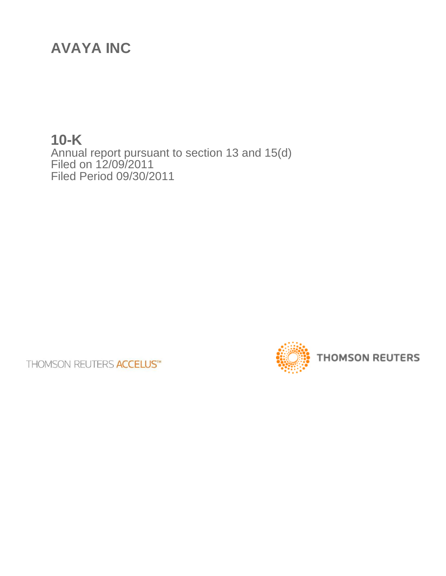# **AVAYA INC**

**10-K** Annual report pursuant to section 13 and 15(d) Filed on 12/09/2011 Filed Period 09/30/2011

**THOMSON REUTERS ACCELUS™** 

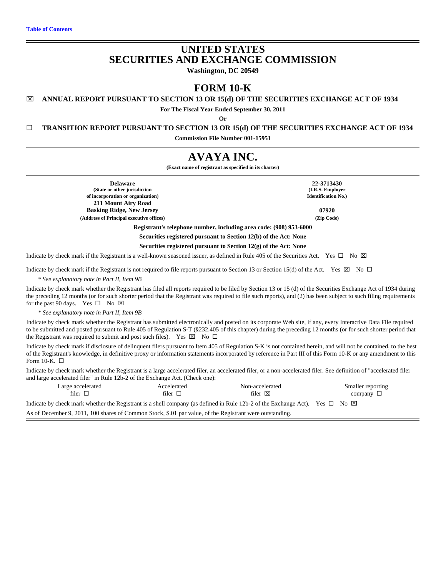# **UNITED STATES SECURITIES AND EXCHANGE COMMISSION**

**Washington, DC 20549**

# **FORM 10-K**

```
x ANNUAL REPORT PURSUANT TO SECTION 13 OR 15(d) OF THE SECURITIES EXCHANGE ACT OF 1934
```
**For The Fiscal Year Ended September 30, 2011**

**Or**

□ **TRANSITION REPORT PURSUANT TO SECTION 13 OR 15(d) OF THE SECURITIES EXCHANGE ACT OF 1934** 

**Commission File Number 001-15951**

# **AVAYA INC.**

**(Exact name of registrant as specified in its charter)**

| <b>Delaware</b>                                                    | 22-3713430                 |
|--------------------------------------------------------------------|----------------------------|
| (State or other jurisdiction)                                      | (I.R.S. Employer)          |
| of incorporation or organization)                                  | <b>Identification No.)</b> |
| 211 Mount Airy Road                                                |                            |
| <b>Basking Ridge, New Jersey</b>                                   | 07920                      |
| (Address of Principal executive offices)                           | (Zip Code)                 |
| Registrant's telephone number, including area code: (908) 953-6000 |                            |
| Securities registered pursuant to Section 12(b) of the Act: None   |                            |
| Securities registered pursuant to Section $12(g)$ of the Act: None |                            |

Indicate by check mark if the Registrant is a well-known seasoned issuer, as defined in Rule 405 of the Securities Act. Yes  $\Box$  No  $\boxtimes$ 

Indicate by check mark if the Registrant is not required to file reports pursuant to Section 13 or Section 15(d) of the Act. Yes  $\boxtimes$  No  $\Box$ 

*\* See explanatory note in Part II, Item 9B*

Indicate by check mark whether the Registrant has filed all reports required to be filed by Section 13 or 15 (d) of the Securities Exchange Act of 1934 during the preceding 12 months (or for such shorter period that the Registrant was required to file such reports), and (2) has been subject to such filing requirements for the past 90 days. Yes  $\square$  No  $\square$ 

*\* See explanatory note in Part II, Item 9B*

Indicate by check mark whether the Registrant has submitted electronically and posted on its corporate Web site, if any, every Interactive Data File required to be submitted and posted pursuant to Rule 405 of Regulation S-T (§232.405 of this chapter) during the preceding 12 months (or for such shorter period that the Registrant was required to submit and post such files). Yes  $\boxtimes$  No  $\square$ 

Indicate by check mark if disclosure of delinquent filers pursuant to Item 405 of Regulation S-K is not contained herein, and will not be contained, to the best of the Registrant's knowledge, in definitive proxy or information statements incorporated by reference in Part III of this Form 10-K or any amendment to this Form 10-K.  $\square$ 

Indicate by check mark whether the Registrant is a large accelerated filer, an accelerated filer, or a non-accelerated filer. See definition of "accelerated filer and large accelerated filer" in Rule 12b-2 of the Exchange Act. (Check one):

| Large accelerated                                                                                                                          | Accelerated  | Non-accelerated   | Smaller reporting |  |
|--------------------------------------------------------------------------------------------------------------------------------------------|--------------|-------------------|-------------------|--|
| filer $\Box$                                                                                                                               | filer $\Box$ | filer $\boxtimes$ | company $\Box$    |  |
| Indicate by check mark whether the Registrant is a shell company (as defined in Rule 12b-2 of the Exchange Act). Yes $\Box$ No $\boxtimes$ |              |                   |                   |  |

As of December 9, 2011, 100 shares of Common Stock, \$.01 par value, of the Registrant were outstanding.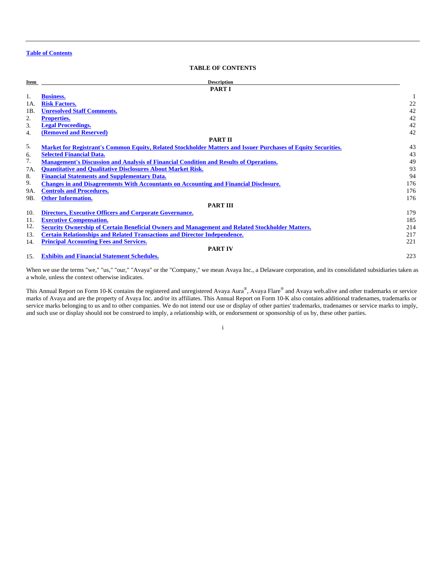# **TABLE OF CONTENTS**

<span id="page-2-0"></span>

| Item | <b>Description</b>                                                                                            |     |  |  |  |  |
|------|---------------------------------------------------------------------------------------------------------------|-----|--|--|--|--|
|      | <b>PART I</b>                                                                                                 |     |  |  |  |  |
| 1.   | <b>Business.</b>                                                                                              | 1   |  |  |  |  |
| 1A.  | <b>Risk Factors.</b>                                                                                          | 22  |  |  |  |  |
| 1B.  | <b>Unresolved Staff Comments.</b>                                                                             | 42  |  |  |  |  |
| 2.   | <b>Properties.</b>                                                                                            | 42  |  |  |  |  |
| 3.   | <b>Legal Proceedings.</b>                                                                                     | 42  |  |  |  |  |
| 4.   | (Removed and Reserved)                                                                                        | 42  |  |  |  |  |
|      | <b>PART II</b>                                                                                                |     |  |  |  |  |
| 5.   | Market for Registrant's Common Equity, Related Stockholder Matters and Issuer Purchases of Equity Securities. | 43  |  |  |  |  |
| 6.   | <b>Selected Financial Data.</b>                                                                               | 43  |  |  |  |  |
| 7.   | <b>Management's Discussion and Analysis of Financial Condition and Results of Operations.</b>                 | 49  |  |  |  |  |
| 7A.  | <b>Ouantitative and Qualitative Disclosures About Market Risk.</b>                                            | 93  |  |  |  |  |
| 8.   | <b>Financial Statements and Supplementary Data.</b>                                                           | 94  |  |  |  |  |
| 9.   | <b>Changes in and Disagreements With Accountants on Accounting and Financial Disclosure.</b>                  | 176 |  |  |  |  |
| 9A.  | <b>Controls and Procedures.</b>                                                                               | 176 |  |  |  |  |
| 9B.  | <b>Other Information.</b>                                                                                     | 176 |  |  |  |  |
|      | <b>PART III</b>                                                                                               |     |  |  |  |  |
| 10.  | <b>Directors, Executive Officers and Corporate Governance.</b>                                                | 179 |  |  |  |  |
| 11.  | <b>Executive Compensation.</b>                                                                                | 185 |  |  |  |  |
| 12.  | <b>Security Ownership of Certain Beneficial Owners and Management and Related Stockholder Matters.</b>        | 214 |  |  |  |  |
| 13.  | <b>Certain Relationships and Related Transactions and Director Independence.</b>                              | 217 |  |  |  |  |
| 14.  | <b>Principal Accounting Fees and Services.</b>                                                                | 221 |  |  |  |  |
|      | <b>PART IV</b>                                                                                                |     |  |  |  |  |
| 15.  | <b>Exhibits and Financial Statement Schedules.</b>                                                            | 223 |  |  |  |  |

When we use the terms "we," "us," "our," "Avaya" or the "Company," we mean Avaya Inc., a Delaware corporation, and its consolidated subsidiaries taken as a whole, unless the context otherwise indicates.

This Annual Report on Form 10-K contains the registered and unregistered Avaya Aura®, Avaya Flare® and Avaya web.alive and other trademarks or service marks of Avaya and are the property of Avaya Inc. and/or its affiliates. This Annual Report on Form 10-K also contains additional tradenames, trademarks or service marks belonging to us and to other companies. We do not intend our use or display of other parties' trademarks, tradenames or service marks to imply, and such use or display should not be construed to imply, a relationship with, or endorsement or sponsorship of us by, these other parties.

i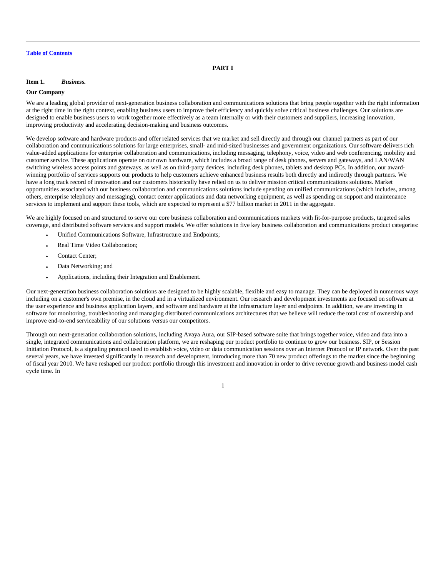### **PART I**

#### <span id="page-3-0"></span>**Item 1.** *Business.*

## **Our Company**

We are a leading global provider of next-generation business collaboration and communications solutions that bring people together with the right information at the right time in the right context, enabling business users to improve their efficiency and quickly solve critical business challenges. Our solutions are designed to enable business users to work together more effectively as a team internally or with their customers and suppliers, increasing innovation, improving productivity and accelerating decision-making and business outcomes.

We develop software and hardware products and offer related services that we market and sell directly and through our channel partners as part of our collaboration and communications solutions for large enterprises, small- and mid-sized businesses and government organizations. Our software delivers rich value-added applications for enterprise collaboration and communications, including messaging, telephony, voice, video and web conferencing, mobility and customer service. These applications operate on our own hardware, which includes a broad range of desk phones, servers and gateways, and LAN/WAN switching wireless access points and gateways, as well as on third-party devices, including desk phones, tablets and desktop PCs. In addition, our awardwinning portfolio of services supports our products to help customers achieve enhanced business results both directly and indirectly through partners. We have a long track record of innovation and our customers historically have relied on us to deliver mission critical communications solutions. Market opportunities associated with our business collaboration and communications solutions include spending on unified communications (which includes, among others, enterprise telephony and messaging), contact center applications and data networking equipment, as well as spending on support and maintenance services to implement and support these tools, which are expected to represent a \$77 billion market in 2011 in the aggregate.

We are highly focused on and structured to serve our core business collaboration and communications markets with fit-for-purpose products, targeted sales coverage, and distributed software services and support models. We offer solutions in five key business collaboration and communications product categories:

- Unified Communications Software, Infrastructure and Endpoints;
- Real Time Video Collaboration;
- Contact Center;
- Data Networking; and
- Applications, including their Integration and Enablement.

Our next-generation business collaboration solutions are designed to be highly scalable, flexible and easy to manage. They can be deployed in numerous ways including on a customer's own premise, in the cloud and in a virtualized environment. Our research and development investments are focused on software at the user experience and business application layers, and software and hardware at the infrastructure layer and endpoints. In addition, we are investing in software for monitoring, troubleshooting and managing distributed communications architectures that we believe will reduce the total cost of ownership and improve end-to-end serviceability of our solutions versus our competitors.

Through our next-generation collaboration solutions, including Avaya Aura, our SIP-based software suite that brings together voice, video and data into a single, integrated communications and collaboration platform, we are reshaping our product portfolio to continue to grow our business. SIP, or Session Initiation Protocol, is a signaling protocol used to establish voice, video or data communication sessions over an Internet Protocol or IP network. Over the past several years, we have invested significantly in research and development, introducing more than 70 new product offerings to the market since the beginning of fiscal year 2010. We have reshaped our product portfolio through this investment and innovation in order to drive revenue growth and business model cash cycle time. In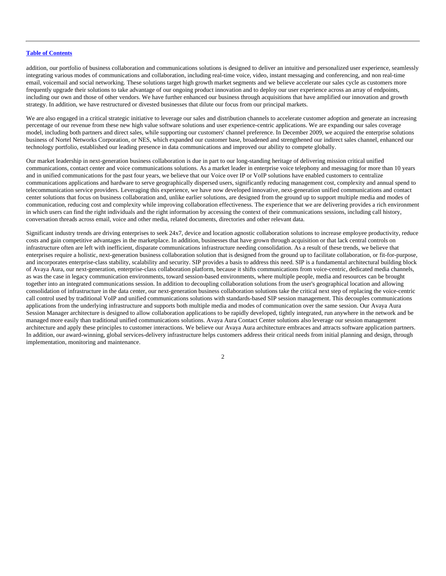addition, our portfolio of business collaboration and communications solutions is designed to deliver an intuitive and personalized user experience, seamlessly integrating various modes of communications and collaboration, including real-time voice, video, instant messaging and conferencing, and non real-time email, voicemail and social networking. These solutions target high growth market segments and we believe accelerate our sales cycle as customers more frequently upgrade their solutions to take advantage of our ongoing product innovation and to deploy our user experience across an array of endpoints, including our own and those of other vendors. We have further enhanced our business through acquisitions that have amplified our innovation and growth strategy. In addition, we have restructured or divested businesses that dilute our focus from our principal markets.

We are also engaged in a critical strategic initiative to leverage our sales and distribution channels to accelerate customer adoption and generate an increasing percentage of our revenue from these new high value software solutions and user experience-centric applications. We are expanding our sales coverage model, including both partners and direct sales, while supporting our customers' channel preference. In December 2009, we acquired the enterprise solutions business of Nortel Networks Corporation, or NES, which expanded our customer base, broadened and strengthened our indirect sales channel, enhanced our technology portfolio, established our leading presence in data communications and improved our ability to compete globally.

Our market leadership in next-generation business collaboration is due in part to our long-standing heritage of delivering mission critical unified communications, contact center and voice communications solutions. As a market leader in enterprise voice telephony and messaging for more than 10 years and in unified communications for the past four years, we believe that our Voice over IP or VoIP solutions have enabled customers to centralize communications applications and hardware to serve geographically dispersed users, significantly reducing management cost, complexity and annual spend to telecommunication service providers. Leveraging this experience, we have now developed innovative, next-generation unified communications and contact center solutions that focus on business collaboration and, unlike earlier solutions, are designed from the ground up to support multiple media and modes of communication, reducing cost and complexity while improving collaboration effectiveness. The experience that we are delivering provides a rich environment in which users can find the right individuals and the right information by accessing the context of their communications sessions, including call history, conversation threads across email, voice and other media, related documents, directories and other relevant data.

Significant industry trends are driving enterprises to seek 24x7, device and location agnostic collaboration solutions to increase employee productivity, reduce costs and gain competitive advantages in the marketplace. In addition, businesses that have grown through acquisition or that lack central controls on infrastructure often are left with inefficient, disparate communications infrastructure needing consolidation. As a result of these trends, we believe that enterprises require a holistic, next-generation business collaboration solution that is designed from the ground up to facilitate collaboration, or fit-for-purpose, and incorporates enterprise-class stability, scalability and security. SIP provides a basis to address this need. SIP is a fundamental architectural building block of Avaya Aura, our next-generation, enterprise-class collaboration platform, because it shifts communications from voice-centric, dedicated media channels, as was the case in legacy communication environments, toward session-based environments, where multiple people, media and resources can be brought together into an integrated communications session. In addition to decoupling collaboration solutions from the user's geographical location and allowing consolidation of infrastructure in the data center, our next-generation business collaboration solutions take the critical next step of replacing the voice-centric call control used by traditional VoIP and unified communications solutions with standards-based SIP session management. This decouples communications applications from the underlying infrastructure and supports both multiple media and modes of communication over the same session. Our Avaya Aura Session Manager architecture is designed to allow collaboration applications to be rapidly developed, tightly integrated, run anywhere in the network and be managed more easily than traditional unified communications solutions. Avaya Aura Contact Center solutions also leverage our session management architecture and apply these principles to customer interactions. We believe our Avaya Aura architecture embraces and attracts software application partners. In addition, our award-winning, global services-delivery infrastructure helps customers address their critical needs from initial planning and design, through implementation, monitoring and maintenance.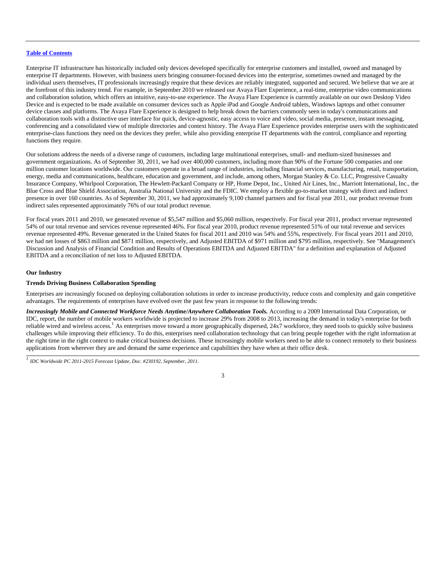Enterprise IT infrastructure has historically included only devices developed specifically for enterprise customers and installed, owned and managed by enterprise IT departments. However, with business users bringing consumer-focused devices into the enterprise, sometimes owned and managed by the individual users themselves, IT professionals increasingly require that these devices are reliably integrated, supported and secured. We believe that we are at the forefront of this industry trend. For example, in September 2010 we released our Avaya Flare Experience, a real-time, enterprise video communications and collaboration solution, which offers an intuitive, easy-to-use experience. The Avaya Flare Experience is currently available on our own Desktop Video Device and is expected to be made available on consumer devices such as Apple iPad and Google Android tablets, Windows laptops and other consumer device classes and platforms. The Avaya Flare Experience is designed to help break down the barriers commonly seen in today's communications and collaboration tools with a distinctive user interface for quick, device-agnostic, easy access to voice and video, social media, presence, instant messaging, conferencing and a consolidated view of multiple directories and context history. The Avaya Flare Experience provides enterprise users with the sophisticated enterprise-class functions they need on the devices they prefer, while also providing enterprise IT departments with the control, compliance and reporting functions they require.

Our solutions address the needs of a diverse range of customers, including large multinational enterprises, small- and medium-sized businesses and government organizations. As of September 30, 2011, we had over 400,000 customers, including more than 90% of the Fortune 500 companies and one million customer locations worldwide. Our customers operate in a broad range of industries, including financial services, manufacturing, retail, transportation, energy, media and communications, healthcare, education and government, and include, among others, Morgan Stanley & Co. LLC, Progressive Casualty Insurance Company, Whirlpool Corporation, The Hewlett-Packard Company or HP, Home Depot, Inc., United Air Lines, Inc., Marriott International, Inc., the Blue Cross and Blue Shield Association, Australia National University and the FDIC. We employ a flexible go-to-market strategy with direct and indirect presence in over 160 countries. As of September 30, 2011, we had approximately 9,100 channel partners and for fiscal year 2011, our product revenue from indirect sales represented approximately 76% of our total product revenue.

For fiscal years 2011 and 2010, we generated revenue of \$5,547 million and \$5,060 million, respectively. For fiscal year 2011, product revenue represented 54% of our total revenue and services revenue represented 46%. For fiscal year 2010, product revenue represented 51% of our total revenue and services revenue represented 49%. Revenue generated in the United States for fiscal 2011 and 2010 was 54% and 55%, respectively. For fiscal years 2011 and 2010, we had net losses of \$863 million and \$871 million, respectively, and Adjusted EBITDA of \$971 million and \$795 million, respectively. See "Management's Discussion and Analysis of Financial Condition and Results of Operations EBITDA and Adjusted EBITDA" for a definition and explanation of Adjusted EBITDA and a reconciliation of net loss to Adjusted EBITDA.

#### **Our Industry**

#### **Trends Driving Business Collaboration Spending**

Enterprises are increasingly focused on deploying collaboration solutions in order to increase productivity, reduce costs and complexity and gain competitive advantages. The requirements of enterprises have evolved over the past few years in response to the following trends:

*Increasingly Mobile and Connected Workforce Needs Anytime/Anywhere Collaboration Tools.* According to a 2009 International Data Corporation, or IDC, report, the number of mobile workers worldwide is projected to increase 29% from 2008 to 2013, increasing the demand in today's enterprise for both reliable wired and wireless access.<sup>1</sup> As enterprises move toward a more geographically dispersed, 24x7 workforce, they need tools to quickly solve business challenges while improving their efficiency. To do this, enterprises need collaboration technology that can bring people together with the right information at the right time in the right context to make critical business decisions. These increasingly mobile workers need to be able to connect remotely to their business applications from wherever they are and demand the same experience and capabilities they have when at their office desk.

*1 IDC Worldwide PC 2011-2015 Forecast Update, Doc. #230192, September, 2011.*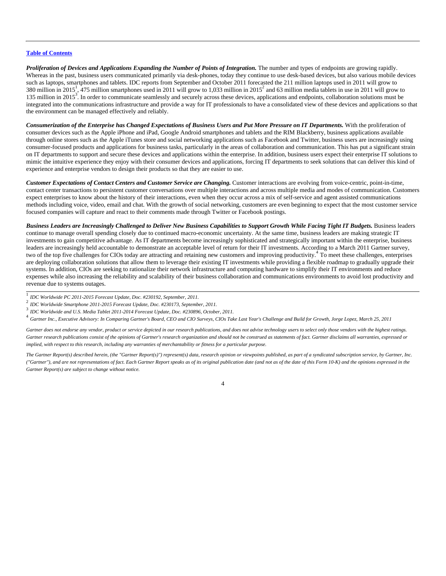*Proliferation of Devices and Applications Expanding the Number of Points of Integration.* The number and types of endpoints are growing rapidly. Whereas in the past, business users communicated primarily via desk-phones, today they continue to use desk-based devices, but also various mobile devices such as laptops, smartphones and tablets. IDC reports from September and October 2011 forecasted the 211 million laptops used in 2011 will grow to 380 million in 2015<sup>1</sup>, 475 million smartphones used in 2011 will grow to 1,033 million in 2015<sup>2</sup> and 63 million media tablets in use in 2011 will grow to 135 million in 2015<sup>3</sup>. In order to communicate seamlessly and securely across these devices, applications and endpoints, collaboration solutions must be integrated into the communications infrastructure and provide a way for IT professionals to have a consolidated view of these devices and applications so that the environment can be managed effectively and reliably.

*Consumerization of the Enterprise has Changed Expectations of Business Users and Put More Pressure on IT Departments.* With the proliferation of consumer devices such as the Apple iPhone and iPad, Google Android smartphones and tablets and the RIM Blackberry, business applications available through online stores such as the Apple iTunes store and social networking applications such as Facebook and Twitter, business users are increasingly using consumer-focused products and applications for business tasks, particularly in the areas of collaboration and communication. This has put a significant strain on IT departments to support and secure these devices and applications within the enterprise. In addition, business users expect their enterprise IT solutions to mimic the intuitive experience they enjoy with their consumer devices and applications, forcing IT departments to seek solutions that can deliver this kind of experience and enterprise vendors to design their products so that they are easier to use.

*Customer Expectations of Contact Centers and Customer Service are Changing.* Customer interactions are evolving from voice-centric, point-in-time, contact center transactions to persistent customer conversations over multiple interactions and across multiple media and modes of communication. Customers expect enterprises to know about the history of their interactions, even when they occur across a mix of self-service and agent assisted communications methods including voice, video, email and chat. With the growth of social networking, customers are even beginning to expect that the most customer service focused companies will capture and react to their comments made through Twitter or Facebook postings.

*Business Leaders are Increasingly Challenged to Deliver New Business Capabilities to Support Growth While Facing Tight IT Budgets.* Business leaders continue to manage overall spending closely due to continued macro-economic uncertainty. At the same time, business leaders are making strategic IT investments to gain competitive advantage. As IT departments become increasingly sophisticated and strategically important within the enterprise, business leaders are increasingly held accountable to demonstrate an acceptable level of return for their IT investments. According to a March 2011 Gartner survey, two of the top five challenges for CIOs today are attracting and retaining new customers and improving productivity.<sup>4</sup> To meet these challenges, enterprises are deploying collaboration solutions that allow them to leverage their existing IT investments while providing a flexible roadmap to gradually upgrade their systems. In addition, CIOs are seeking to rationalize their network infrastructure and computing hardware to simplify their IT environments and reduce expenses while also increasing the reliability and scalability of their business collaboration and communications environments to avoid lost productivity and revenue due to systems outages.

*The Gartner Report(s) described herein, (the "Gartner Report(s)") represent(s) data, research opinion or viewpoints published, as part of a syndicated subscription service, by Gartner, Inc. ("Gartner"), and are not representations of fact. Each Gartner Report speaks as of its original publication date (and not as of the date of this Form 10-K) and the opinions expressed in the Gartner Report(s) are subject to change without notice.*

<sup>1</sup> *IDC Worldwide PC 2011-2015 Forecast Update, Doc. #230192, September, 2011.*

<sup>2</sup> *IDC Worldwide Smartphone 2011-2015 Forecast Update, Doc. #230173, September, 2011.* 3

*IDC Worldwide and U.S. Media Tablet 2011-2014 Forecast Update, Doc. #230896, October, 2011.*

<sup>4</sup> *Gartner Inc., Executive Advisory: In Comparing Gartner's Board, CEO and CIO Surveys, CIOs Take Last Year's Challenge and Build for Growth, Jorge Lopez, March 25, 2011*

*Gartner does not endorse any vendor, product or service depicted in our research publications, and does not advise technology users to select only those vendors with the highest ratings. Gartner research publications consist of the opinions of Gartner's research organization and should not be construed as statements of fact. Gartner disclaims all warranties, expressed or implied, with respect to this research, including any warranties of merchantability or fitness for a particular purpose.*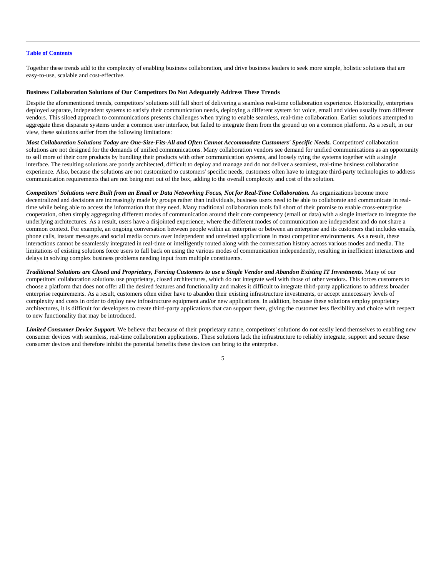Together these trends add to the complexity of enabling business collaboration, and drive business leaders to seek more simple, holistic solutions that are easy-to-use, scalable and cost-effective.

#### **Business Collaboration Solutions of Our Competitors Do Not Adequately Address These Trends**

Despite the aforementioned trends, competitors' solutions still fall short of delivering a seamless real-time collaboration experience. Historically, enterprises deployed separate, independent systems to satisfy their communication needs, deploying a different system for voice, email and video usually from different vendors. This siloed approach to communications presents challenges when trying to enable seamless, real-time collaboration. Earlier solutions attempted to aggregate these disparate systems under a common user interface, but failed to integrate them from the ground up on a common platform. As a result, in our view, these solutions suffer from the following limitations:

*Most Collaboration Solutions Today are One-Size-Fits-All and Often Cannot Accommodate Customers' Specific Needs.* Competitors' collaboration solutions are not designed for the demands of unified communications. Many collaboration vendors see demand for unified communications as an opportunity to sell more of their core products by bundling their products with other communication systems, and loosely tying the systems together with a single interface. The resulting solutions are poorly architected, difficult to deploy and manage and do not deliver a seamless, real-time business collaboration experience. Also, because the solutions are not customized to customers' specific needs, customers often have to integrate third-party technologies to address communication requirements that are not being met out of the box, adding to the overall complexity and cost of the solution.

*Competitors' Solutions were Built from an Email or Data Networking Focus, Not for Real-Time Collaboration.* As organizations become more decentralized and decisions are increasingly made by groups rather than individuals, business users need to be able to collaborate and communicate in realtime while being able to access the information that they need. Many traditional collaboration tools fall short of their promise to enable cross-enterprise cooperation, often simply aggregating different modes of communication around their core competency (email or data) with a single interface to integrate the underlying architectures. As a result, users have a disjointed experience, where the different modes of communication are independent and do not share a common context. For example, an ongoing conversation between people within an enterprise or between an enterprise and its customers that includes emails, phone calls, instant messages and social media occurs over independent and unrelated applications in most competitor environments. As a result, these interactions cannot be seamlessly integrated in real-time or intelligently routed along with the conversation history across various modes and media. The limitations of existing solutions force users to fall back on using the various modes of communication independently, resulting in inefficient interactions and delays in solving complex business problems needing input from multiple constituents.

*Traditional Solutions are Closed and Proprietary, Forcing Customers to use a Single Vendor and Abandon Existing IT Investments.* Many of our competitors' collaboration solutions use proprietary, closed architectures, which do not integrate well with those of other vendors. This forces customers to choose a platform that does not offer all the desired features and functionality and makes it difficult to integrate third-party applications to address broader enterprise requirements. As a result, customers often either have to abandon their existing infrastructure investments, or accept unnecessary levels of complexity and costs in order to deploy new infrastructure equipment and/or new applications. In addition, because these solutions employ proprietary architectures, it is difficult for developers to create third-party applications that can support them, giving the customer less flexibility and choice with respect to new functionality that may be introduced.

*Limited Consumer Device Support.* We believe that because of their proprietary nature, competitors' solutions do not easily lend themselves to enabling new consumer devices with seamless, real-time collaboration applications. These solutions lack the infrastructure to reliably integrate, support and secure these consumer devices and therefore inhibit the potential benefits these devices can bring to the enterprise.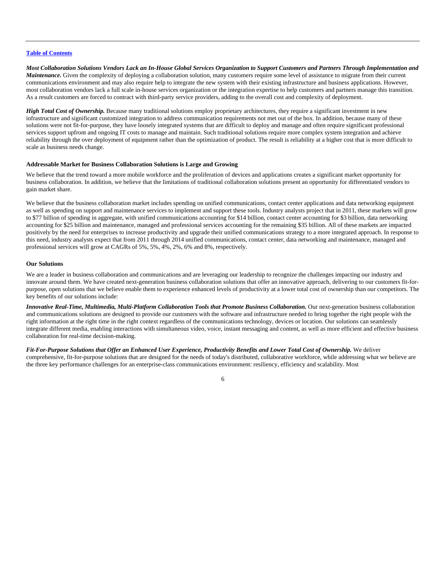*Most Collaboration Solutions Vendors Lack an In-House Global Services Organization to Support Customers and Partners Through Implementation and Maintenance*. Given the complexity of deploying a collaboration solution, many customers require some level of assistance to migrate from their current communications environment and may also require help to integrate the new system with their existing infrastructure and business applications. However, most collaboration vendors lack a full scale in-house services organization or the integration expertise to help customers and partners manage this transition. As a result customers are forced to contract with third-party service providers, adding to the overall cost and complexity of deployment.

High Total Cost of Ownership. Because many traditional solutions employ proprietary architectures, they require a significant investment in new infrastructure and significant customized integration to address communication requirements not met out of the box. In addition, because many of these solutions were not fit-for-purpose, they have loosely integrated systems that are difficult to deploy and manage and often require significant professional services support upfront and ongoing IT costs to manage and maintain. Such traditional solutions require more complex system integration and achieve reliability through the over deployment of equipment rather than the optimization of product. The result is reliability at a higher cost that is more difficult to scale as business needs change.

#### **Addressable Market for Business Collaboration Solutions is Large and Growing**

We believe that the trend toward a more mobile workforce and the proliferation of devices and applications creates a significant market opportunity for business collaboration. In addition, we believe that the limitations of traditional collaboration solutions present an opportunity for differentiated vendors to gain market share.

We believe that the business collaboration market includes spending on unified communications, contact center applications and data networking equipment as well as spending on support and maintenance services to implement and support these tools. Industry analysts project that in 2011, these markets will grow to \$77 billion of spending in aggregate, with unified communications accounting for \$14 billion, contact center accounting for \$3 billion, data networking accounting for \$25 billion and maintenance, managed and professional services accounting for the remaining \$35 billion. All of these markets are impacted positively by the need for enterprises to increase productivity and upgrade their unified communications strategy to a more integrated approach. In response to this need, industry analysts expect that from 2011 through 2014 unified communications, contact center, data networking and maintenance, managed and professional services will grow at CAGRs of 5%, 5%, 4%, 2%, 6% and 8%, respectively.

#### **Our Solutions**

We are a leader in business collaboration and communications and are leveraging our leadership to recognize the challenges impacting our industry and innovate around them. We have created next-generation business collaboration solutions that offer an innovative approach, delivering to our customers fit-forpurpose, open solutions that we believe enable them to experience enhanced levels of productivity at a lower total cost of ownership than our competitors. The key benefits of our solutions include:

*Innovative Real-Time, Multimedia, Multi-Platform Collaboration Tools that Promote Business Collaboration.* Our next-generation business collaboration and communications solutions are designed to provide our customers with the software and infrastructure needed to bring together the right people with the right information at the right time in the right context regardless of the communications technology, devices or location. Our solutions can seamlessly integrate different media, enabling interactions with simultaneous video, voice, instant messaging and content, as well as more efficient and effective business collaboration for real-time decision-making.

*Fit-For-Purpose Solutions that Offer an Enhanced User Experience, Productivity Benefits and Lower Total Cost of Ownership.* We deliver comprehensive, fit-for-purpose solutions that are designed for the needs of today's distributed, collaborative workforce, while addressing what we believe are the three key performance challenges for an enterprise-class communications environment: resiliency, efficiency and scalability. Most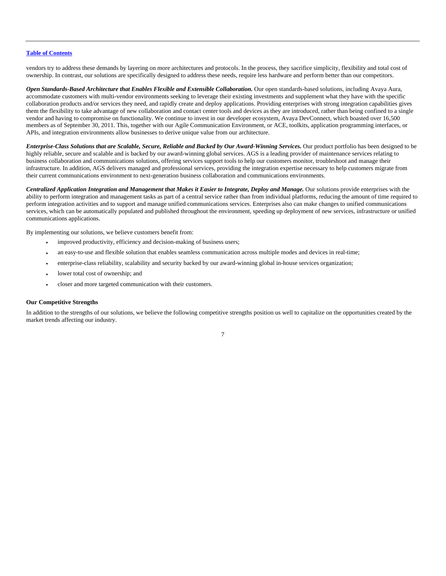vendors try to address these demands by layering on more architectures and protocols. In the process, they sacrifice simplicity, flexibility and total cost of ownership. In contrast, our solutions are specifically designed to address these needs, require less hardware and perform better than our competitors.

*Open Standards-Based Architecture that Enables Flexible and Extensible Collaboration.* Our open standards-based solutions, including Avaya Aura, accommodate customers with multi-vendor environments seeking to leverage their existing investments and supplement what they have with the specific collaboration products and/or services they need, and rapidly create and deploy applications. Providing enterprises with strong integration capabilities gives them the flexibility to take advantage of new collaboration and contact center tools and devices as they are introduced, rather than being confined to a single vendor and having to compromise on functionality. We continue to invest in our developer ecosystem, Avaya DevConnect, which boasted over 16,500 members as of September 30, 2011. This, together with our Agile Communication Environment, or ACE, toolkits, application programming interfaces, or APIs, and integration environments allow businesses to derive unique value from our architecture.

*Enterprise-Class Solutions that are Scalable, Secure, Reliable and Backed by Our Award-Winning Services.* Our product portfolio has been designed to be highly reliable, secure and scalable and is backed by our award-winning global services. AGS is a leading provider of maintenance services relating to business collaboration and communications solutions, offering services support tools to help our customers monitor, troubleshoot and manage their infrastructure. In addition, AGS delivers managed and professional services, providing the integration expertise necessary to help customers migrate from their current communications environment to next-generation business collaboration and communications environments.

*Centralized Application Integration and Management that Makes it Easier to Integrate, Deploy and Manage.* Our solutions provide enterprises with the ability to perform integration and management tasks as part of a central service rather than from individual platforms, reducing the amount of time required to perform integration activities and to support and manage unified communications services. Enterprises also can make changes to unified communications services, which can be automatically populated and published throughout the environment, speeding up deployment of new services, infrastructure or unified communications applications.

By implementing our solutions, we believe customers benefit from:

- improved productivity, efficiency and decision-making of business users;
- an easy-to-use and flexible solution that enables seamless communication across multiple modes and devices in real-time;
- enterprise-class reliability, scalability and security backed by our award-winning global in-house services organization;
- lower total cost of ownership; and
- closer and more targeted communication with their customers.

#### **Our Competitive Strengths**

In addition to the strengths of our solutions, we believe the following competitive strengths position us well to capitalize on the opportunities created by the market trends affecting our industry.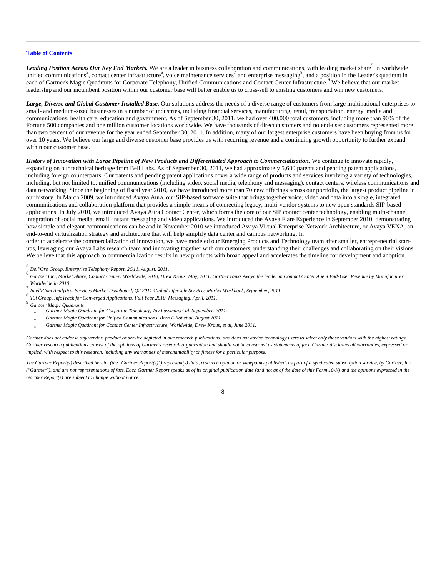Leading Position Across Our Key End Markets. We are a leader in business collaboration and communications, with leading market share<sup>5</sup> in worldwide unified communications<sup>5</sup>, contact center infrastructure<sup>6</sup>, voice maintenance services<sup>7</sup> and enterprise messaging<sup>8</sup>, and a position in the Leader's quadrant in each of Gartner's Magic Quadrants for Corporate Telephony, Unified Communications and Contact Center Infrastructure.<sup>9</sup> We believe that our market leadership and our incumbent position within our customer base will better enable us to cross-sell to existing customers and win new customers.

*Large, Diverse and Global Customer Installed Base.* Our solutions address the needs of a diverse range of customers from large multinational enterprises to small- and medium-sized businesses in a number of industries, including financial services, manufacturing, retail, transportation, energy, media and communications, health care, education and government. As of September 30, 2011, we had over 400,000 total customers, including more than 90% of the Fortune 500 companies and one million customer locations worldwide. We have thousands of direct customers and no end-user customers represented more than two percent of our revenue for the year ended September 30, 2011. In addition, many of our largest enterprise customers have been buying from us for over 10 years. We believe our large and diverse customer base provides us with recurring revenue and a continuing growth opportunity to further expand within our customer base.

*History of Innovation with Large Pipeline of New Products and Differentiated Approach to Commercialization.* We continue to innovate rapidly, expanding on our technical heritage from Bell Labs. As of September 30, 2011, we had approximately 5,600 patents and pending patent applications, including foreign counterparts. Our patents and pending patent applications cover a wide range of products and services involving a variety of technologies, including, but not limited to, unified communications (including video, social media, telephony and messaging), contact centers, wireless communications and data networking. Since the beginning of fiscal year 2010, we have introduced more than 70 new offerings across our portfolio, the largest product pipeline in our history. In March 2009, we introduced Avaya Aura, our SIP-based software suite that brings together voice, video and data into a single, integrated communications and collaboration platform that provides a simple means of connecting legacy, multi-vendor systems to new open standards SIP-based applications. In July 2010, we introduced Avaya Aura Contact Center, which forms the core of our SIP contact center technology, enabling multi-channel integration of social media, email, instant messaging and video applications. We introduced the Avaya Flare Experience in September 2010, demonstrating how simple and elegant communications can be and in November 2010 we introduced Avaya Virtual Enterprise Network Architecture, or Avaya VENA, an end-to-end virtualization strategy and architecture that will help simplify data center and campus networking. In

order to accelerate the commercialization of innovation, we have modeled our Emerging Products and Technology team after smaller, entrepreneurial startups, leveraging our Avaya Labs research team and innovating together with our customers, understanding their challenges and collaborating on their visions. We believe that this approach to commercialization results in new products with broad appeal and accelerates the timeline for development and adoption.

- *T3i Group, InfoTrack for Converged Applications, Full Year 2010, Messaging, April, 2011.*
- 9 *Gartner Magic Quadrants*
	- *• Gartner Magic Quadrant for Corporate Telephony, Jay Lassman,et al, September, 2011.*
	- *• Gartner Magic Quadrant for Unified Communications, Bern Elliot et al, August 2011.*
	- *• Gartner Magic Quadrant for Contact Center Infrastructure, Worldwide, Drew Kraus, et al, June 2011.*

*Gartner does not endorse any vendor, product or service depicted in our research publications, and does not advise technology users to select only those vendors with the highest ratings. Gartner research publications consist of the opinions of Gartner's research organization and should not be construed as statements of fact. Gartner disclaims all warranties, expressed or implied, with respect to this research, including any warranties of merchantability or fitness for a particular purpose.*

*The Gartner Report(s) described herein, (the "Gartner Report(s)") represent(s) data, research opinion or viewpoints published, as part of a syndicated subscription service, by Gartner, Inc. ("Gartner"), and are not representations of fact. Each Gartner Report speaks as of its original publication date (and not as of the date of this Form 10-K) and the opinions expressed in the Gartner Report(s) are subject to change without notice.*

<sup>5</sup> *Dell'Oro Group, Enterprise Telephony Report, 2Q11, August, 2011.*

<sup>6</sup> *Gartner Inc., Market Share, Contact Center: Worldwide, 2010, Drew Kraus, May, 2011. Gartner ranks Avaya the leader in Contact Center Agent End-User Revenue by Manufacturer, Worldwide in 2010*

<sup>7</sup> *IntelliCom Analytics, Services Market Dashboard, Q2 2011 Global Lifecycle Services Market Workbook, September, 2011.* 8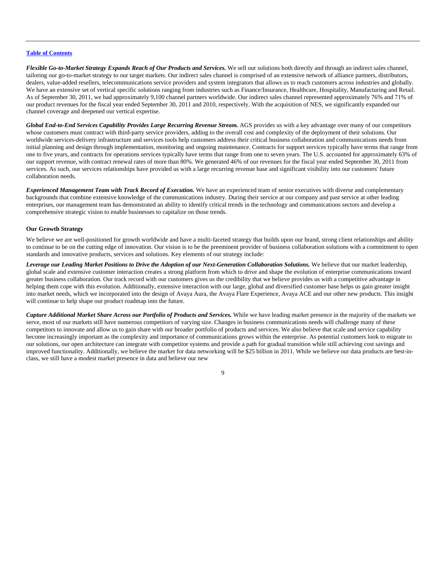*Flexible Go-to-Market Strategy Expands Reach of Our Products and Services.* We sell our solutions both directly and through an indirect sales channel, tailoring our go-to-market strategy to our target markets. Our indirect sales channel is comprised of an extensive network of alliance partners, distributors, dealers, value-added resellers, telecommunications service providers and system integrators that allows us to reach customers across industries and globally. We have an extensive set of vertical specific solutions ranging from industries such as Finance/Insurance, Healthcare, Hospitality, Manufacturing and Retail. As of September 30, 2011, we had approximately 9,100 channel partners worldwide. Our indirect sales channel represented approximately 76% and 71% of our product revenues for the fiscal year ended September 30, 2011 and 2010, respectively. With the acquisition of NES, we significantly expanded our channel coverage and deepened our vertical expertise.

*Global End-to-End Services Capability Provides Large Recurring Revenue Stream.* AGS provides us with a key advantage over many of our competitors whose customers must contract with third-party service providers, adding to the overall cost and complexity of the deployment of their solutions. Our worldwide services-delivery infrastructure and services tools help customers address their critical business collaboration and communications needs from initial planning and design through implementation, monitoring and ongoing maintenance. Contracts for support services typically have terms that range from one to five years, and contracts for operations services typically have terms that range from one to seven years. The U.S. accounted for approximately 63% of our support revenue, with contract renewal rates of more than 80%. We generated 46% of our revenues for the fiscal year ended September 30, 2011 from services. As such, our services relationships have provided us with a large recurring revenue base and significant visibility into our customers' future collaboration needs.

*Experienced Management Team with Track Record of Execution.* We have an experienced team of senior executives with diverse and complementary backgrounds that combine extensive knowledge of the communications industry. During their service at our company and past service at other leading enterprises, our management team has demonstrated an ability to identify critical trends in the technology and communications sectors and develop a comprehensive strategic vision to enable businesses to capitalize on those trends.

#### **Our Growth Strategy**

We believe we are well-positioned for growth worldwide and have a multi-faceted strategy that builds upon our brand, strong client relationships and ability to continue to be on the cutting edge of innovation. Our vision is to be the preeminent provider of business collaboration solutions with a commitment to open standards and innovative products, services and solutions. Key elements of our strategy include:

*Leverage our Leading Market Positions to Drive the Adoption of our Next-Generation Collaboration Solutions.* We believe that our market leadership, global scale and extensive customer interaction creates a strong platform from which to drive and shape the evolution of enterprise communications toward greater business collaboration. Our track record with our customers gives us the credibility that we believe provides us with a competitive advantage in helping them cope with this evolution. Additionally, extensive interaction with our large, global and diversified customer base helps us gain greater insight into market needs, which we incorporated into the design of Avaya Aura, the Avaya Flare Experience, Avaya ACE and our other new products. This insight will continue to help shape our product roadmap into the future.

*Capture Additional Market Share Across our Portfolio of Products and Services.* While we have leading market presence in the majority of the markets we serve, most of our markets still have numerous competitors of varying size. Changes in business communications needs will challenge many of these competitors to innovate and allow us to gain share with our broader portfolio of products and services. We also believe that scale and service capability become increasingly important as the complexity and importance of communications grows within the enterprise. As potential customers look to migrate to our solutions, our open architecture can integrate with competitor systems and provide a path for gradual transition while still achieving cost savings and improved functionality. Additionally, we believe the market for data networking will be \$25 billion in 2011. While we believe our data products are best-inclass, we still have a modest market presence in data and believe our new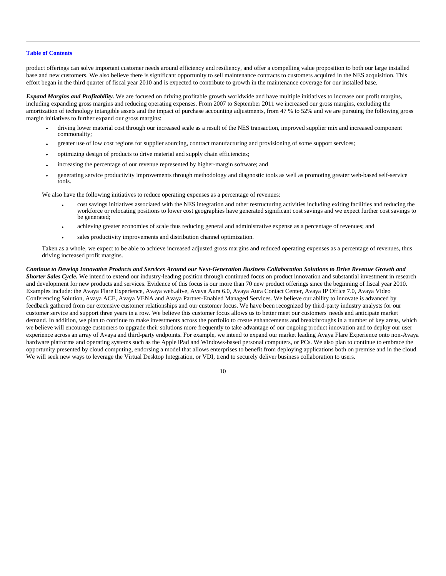product offerings can solve important customer needs around efficiency and resiliency, and offer a compelling value proposition to both our large installed base and new customers. We also believe there is significant opportunity to sell maintenance contracts to customers acquired in the NES acquisition. This effort began in the third quarter of fiscal year 2010 and is expected to contribute to growth in the maintenance coverage for our installed base.

*Expand Margins and Profitability.* We are focused on driving profitable growth worldwide and have multiple initiatives to increase our profit margins, including expanding gross margins and reducing operating expenses. From 2007 to September 2011 we increased our gross margins, excluding the amortization of technology intangible assets and the impact of purchase accounting adjustments, from 47 % to 52% and we are pursuing the following gross margin initiatives to further expand our gross margins:

- driving lower material cost through our increased scale as a result of the NES transaction, improved supplier mix and increased component commonality;
- greater use of low cost regions for supplier sourcing, contract manufacturing and provisioning of some support services;
- optimizing design of products to drive material and supply chain efficiencies;
- increasing the percentage of our revenue represented by higher-margin software; and
- generating service productivity improvements through methodology and diagnostic tools as well as promoting greater web-based self-service tools.

We also have the following initiatives to reduce operating expenses as a percentage of revenues:

- cost savings initiatives associated with the NES integration and other restructuring activities including exiting facilities and reducing the workforce or relocating positions to lower cost geographies have generated significant cost savings and we expect further cost savings to be generated;
- achieving greater economies of scale thus reducing general and administrative expense as a percentage of revenues; and
- sales productivity improvements and distribution channel optimization.

Taken as a whole, we expect to be able to achieve increased adjusted gross margins and reduced operating expenses as a percentage of revenues, thus driving increased profit margins.

*Continue to Develop Innovative Products and Services Around our Next-Generation Business Collaboration Solutions to Drive Revenue Growth and Shorter Sales Cycle.* We intend to extend our industry-leading position through continued focus on product innovation and substantial investment in research and development for new products and services. Evidence of this focus is our more than 70 new product offerings since the beginning of fiscal year 2010. Examples include: the Avaya Flare Experience, Avaya web.alive, Avaya Aura 6.0, Avaya Aura Contact Center, Avaya IP Office 7.0, Avaya Video Conferencing Solution, Avaya ACE, Avaya VENA and Avaya Partner-Enabled Managed Services. We believe our ability to innovate is advanced by feedback gathered from our extensive customer relationships and our customer focus. We have been recognized by third-party industry analysts for our customer service and support three years in a row. We believe this customer focus allows us to better meet our customers' needs and anticipate market demand. In addition, we plan to continue to make investments across the portfolio to create enhancements and breakthroughs in a number of key areas, which we believe will encourage customers to upgrade their solutions more frequently to take advantage of our ongoing product innovation and to deploy our user experience across an array of Avaya and third-party endpoints. For example, we intend to expand our market leading Avaya Flare Experience onto non-Avaya hardware platforms and operating systems such as the Apple iPad and Windows-based personal computers, or PCs. We also plan to continue to embrace the opportunity presented by cloud computing, endorsing a model that allows enterprises to benefit from deploying applications both on premise and in the cloud. We will seek new ways to leverage the Virtual Desktop Integration, or VDI, trend to securely deliver business collaboration to users.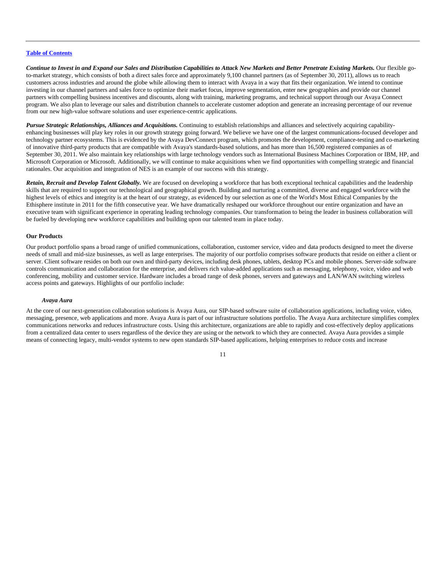*Continue to Invest in and Expand our Sales and Distribution Capabilities to Attack New Markets and Better Penetrate Existing Markets.* Our flexible goto-market strategy, which consists of both a direct sales force and approximately 9,100 channel partners (as of September 30, 2011), allows us to reach customers across industries and around the globe while allowing them to interact with Avaya in a way that fits their organization. We intend to continue investing in our channel partners and sales force to optimize their market focus, improve segmentation, enter new geographies and provide our channel partners with compelling business incentives and discounts, along with training, marketing programs, and technical support through our Avaya Connect program. We also plan to leverage our sales and distribution channels to accelerate customer adoption and generate an increasing percentage of our revenue from our new high-value software solutions and user experience-centric applications.

*Pursue Strategic Relationships, Alliances and Acquisitions.* Continuing to establish relationships and alliances and selectively acquiring capabilityenhancing businesses will play key roles in our growth strategy going forward. We believe we have one of the largest communications-focused developer and technology partner ecosystems. This is evidenced by the Avaya DevConnect program, which promotes the development, compliance-testing and co-marketing of innovative third-party products that are compatible with Avaya's standards-based solutions, and has more than 16,500 registered companies as of September 30, 2011. We also maintain key relationships with large technology vendors such as International Business Machines Corporation or IBM, HP, and Microsoft Corporation or Microsoft. Additionally, we will continue to make acquisitions when we find opportunities with compelling strategic and financial rationales. Our acquisition and integration of NES is an example of our success with this strategy.

*Retain, Recruit and Develop Talent Globally.* We are focused on developing a workforce that has both exceptional technical capabilities and the leadership skills that are required to support our technological and geographical growth. Building and nurturing a committed, diverse and engaged workforce with the highest levels of ethics and integrity is at the heart of our strategy, as evidenced by our selection as one of the World's Most Ethical Companies by the Ethisphere institute in 2011 for the fifth consecutive year. We have dramatically reshaped our workforce throughout our entire organization and have an executive team with significant experience in operating leading technology companies. Our transformation to being the leader in business collaboration will be fueled by developing new workforce capabilities and building upon our talented team in place today.

### **Our Products**

Our product portfolio spans a broad range of unified communications, collaboration, customer service, video and data products designed to meet the diverse needs of small and mid-size businesses, as well as large enterprises. The majority of our portfolio comprises software products that reside on either a client or server. Client software resides on both our own and third-party devices, including desk phones, tablets, desktop PCs and mobile phones. Server-side software controls communication and collaboration for the enterprise, and delivers rich value-added applications such as messaging, telephony, voice, video and web conferencing, mobility and customer service. Hardware includes a broad range of desk phones, servers and gateways and LAN/WAN switching wireless access points and gateways. Highlights of our portfolio include:

#### *Avaya Aura*

At the core of our next-generation collaboration solutions is Avaya Aura, our SIP-based software suite of collaboration applications, including voice, video, messaging, presence, web applications and more. Avaya Aura is part of our infrastructure solutions portfolio. The Avaya Aura architecture simplifies complex communications networks and reduces infrastructure costs. Using this architecture, organizations are able to rapidly and cost-effectively deploy applications from a centralized data center to users regardless of the device they are using or the network to which they are connected. Avaya Aura provides a simple means of connecting legacy, multi-vendor systems to new open standards SIP-based applications, helping enterprises to reduce costs and increase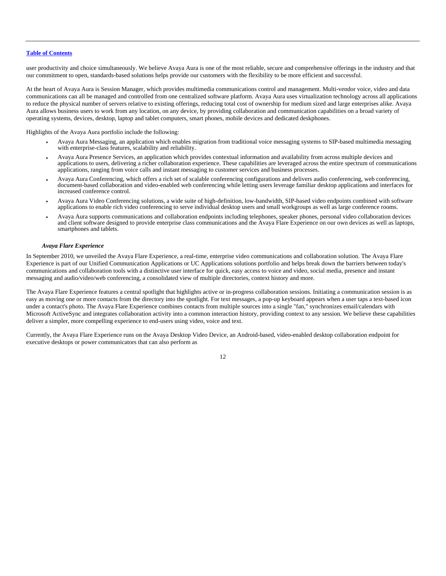user productivity and choice simultaneously. We believe Avaya Aura is one of the most reliable, secure and comprehensive offerings in the industry and that our commitment to open, standards-based solutions helps provide our customers with the flexibility to be more efficient and successful.

At the heart of Avaya Aura is Session Manager, which provides multimedia communications control and management. Multi-vendor voice, video and data communications can all be managed and controlled from one centralized software platform. Avaya Aura uses virtualization technology across all applications to reduce the physical number of servers relative to existing offerings, reducing total cost of ownership for medium sized and large enterprises alike. Avaya Aura allows business users to work from any location, on any device, by providing collaboration and communication capabilities on a broad variety of operating systems, devices, desktop, laptop and tablet computers, smart phones, mobile devices and dedicated deskphones.

Highlights of the Avaya Aura portfolio include the following:

- Avaya Aura Messaging, an application which enables migration from traditional voice messaging systems to SIP-based multimedia messaging with enterprise-class features, scalability and reliability.
- Avaya Aura Presence Services, an application which provides contextual information and availability from across multiple devices and applications to users, delivering a richer collaboration experience. These capabilities are leveraged across the entire spectrum of communications applications, ranging from voice calls and instant messaging to customer services and business processes.
- Avaya Aura Conferencing, which offers a rich set of scalable conferencing configurations and delivers audio conferencing, web conferencing, document-based collaboration and video-enabled web conferencing while letting users leverage familiar desktop applications and interfaces for increased conference control.
- Avaya Aura Video Conferencing solutions, a wide suite of high-definition, low-bandwidth, SIP-based video endpoints combined with software applications to enable rich video conferencing to serve individual desktop users and small workgroups as well as large conference rooms.
- Avaya Aura supports communications and collaboration endpoints including telephones, speaker phones, personal video collaboration devices and client software designed to provide enterprise class communications and the Avaya Flare Experience on our own devices as well as laptops, smartphones and tablets.

#### *Avaya Flare Experience*

In September 2010, we unveiled the Avaya Flare Experience, a real-time, enterprise video communications and collaboration solution. The Avaya Flare Experience is part of our Unified Communication Applications or UC Applications solutions portfolio and helps break down the barriers between today's communications and collaboration tools with a distinctive user interface for quick, easy access to voice and video, social media, presence and instant messaging and audio/video/web conferencing, a consolidated view of multiple directories, context history and more.

The Avaya Flare Experience features a central spotlight that highlights active or in-progress collaboration sessions. Initiating a communication session is as easy as moving one or more contacts from the directory into the spotlight. For text messages, a pop-up keyboard appears when a user taps a text-based icon under a contact's photo. The Avaya Flare Experience combines contacts from multiple sources into a single "fan," synchronizes email/calendars with Microsoft ActiveSync and integrates collaboration activity into a common interaction history, providing context to any session. We believe these capabilities deliver a simpler, more compelling experience to end-users using video, voice and text.

Currently, the Avaya Flare Experience runs on the Avaya Desktop Video Device, an Android-based, video-enabled desktop collaboration endpoint for executive desktops or power communicators that can also perform as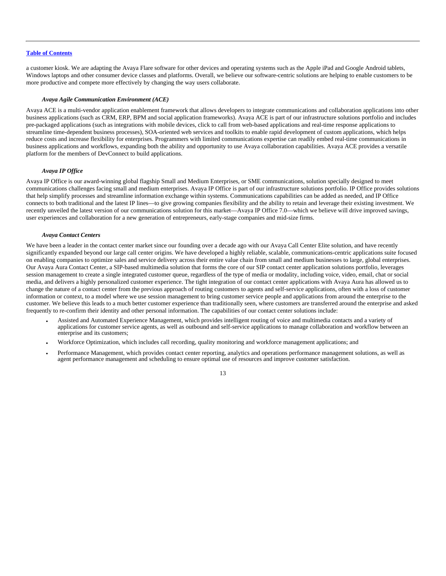a customer kiosk. We are adapting the Avaya Flare software for other devices and operating systems such as the Apple iPad and Google Android tablets, Windows laptops and other consumer device classes and platforms. Overall, we believe our software-centric solutions are helping to enable customers to be more productive and compete more effectively by changing the way users collaborate.

#### *Avaya Agile Communication Environment (ACE)*

Avaya ACE is a multi-vendor application enablement framework that allows developers to integrate communications and collaboration applications into other business applications (such as CRM, ERP, BPM and social application frameworks). Avaya ACE is part of our infrastructure solutions portfolio and includes pre-packaged applications (such as integrations with mobile devices, click to call from web-based applications and real-time response applications to streamline time-dependent business processes), SOA-oriented web services and toolkits to enable rapid development of custom applications, which helps reduce costs and increase flexibility for enterprises. Programmers with limited communications expertise can readily embed real-time communications in business applications and workflows, expanding both the ability and opportunity to use Avaya collaboration capabilities. Avaya ACE provides a versatile platform for the members of DevConnect to build applications.

#### *Avaya IP Office*

Avaya IP Office is our award-winning global flagship Small and Medium Enterprises, or SME communications, solution specially designed to meet communications challenges facing small and medium enterprises. Avaya IP Office is part of our infrastructure solutions portfolio. IP Office provides solutions that help simplify processes and streamline information exchange within systems. Communications capabilities can be added as needed, and IP Office connects to both traditional and the latest IP lines—to give growing companies flexibility and the ability to retain and leverage their existing investment. We recently unveiled the latest version of our communications solution for this market—Avaya IP Office 7.0—which we believe will drive improved savings, user experiences and collaboration for a new generation of entrepreneurs, early-stage companies and mid-size firms.

#### *Avaya Contact Centers*

We have been a leader in the contact center market since our founding over a decade ago with our Avaya Call Center Elite solution, and have recently significantly expanded beyond our large call center origins. We have developed a highly reliable, scalable, communications-centric applications suite focused on enabling companies to optimize sales and service delivery across their entire value chain from small and medium businesses to large, global enterprises. Our Avaya Aura Contact Center, a SIP-based multimedia solution that forms the core of our SIP contact center application solutions portfolio, leverages session management to create a single integrated customer queue, regardless of the type of media or modality, including voice, video, email, chat or social media, and delivers a highly personalized customer experience. The tight integration of our contact center applications with Avaya Aura has allowed us to change the nature of a contact center from the previous approach of routing customers to agents and self-service applications, often with a loss of customer information or context, to a model where we use session management to bring customer service people and applications from around the enterprise to the customer. We believe this leads to a much better customer experience than traditionally seen, where customers are transferred around the enterprise and asked frequently to re-confirm their identity and other personal information. The capabilities of our contact center solutions include:

- Assisted and Automated Experience Management, which provides intelligent routing of voice and multimedia contacts and a variety of applications for customer service agents, as well as outbound and self-service applications to manage collaboration and workflow between an enterprise and its customers;
- Workforce Optimization, which includes call recording, quality monitoring and workforce management applications; and
- Performance Management, which provides contact center reporting, analytics and operations performance management solutions, as well as agent performance management and scheduling to ensure optimal use of resources and improve customer satisfaction.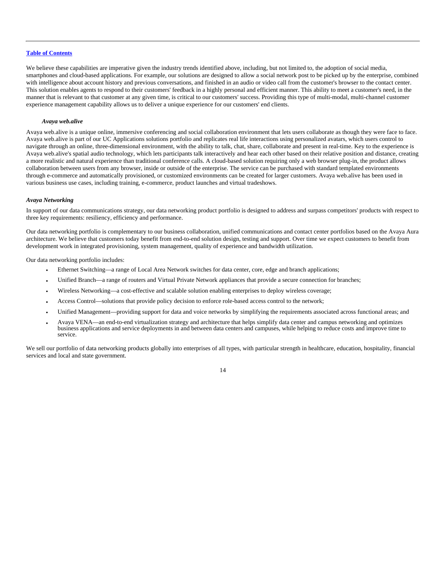We believe these capabilities are imperative given the industry trends identified above, including, but not limited to, the adoption of social media, smartphones and cloud-based applications. For example, our solutions are designed to allow a social network post to be picked up by the enterprise, combined with intelligence about account history and previous conversations, and finished in an audio or video call from the customer's browser to the contact center. This solution enables agents to respond to their customers' feedback in a highly personal and efficient manner. This ability to meet a customer's need, in the manner that is relevant to that customer at any given time, is critical to our customers' success. Providing this type of multi-modal, multi-channel customer experience management capability allows us to deliver a unique experience for our customers' end clients.

#### *Avaya web.alive*

Avaya web.alive is a unique online, immersive conferencing and social collaboration environment that lets users collaborate as though they were face to face. Avaya web.alive is part of our UC Applications solutions portfolio and replicates real life interactions using personalized avatars, which users control to navigate through an online, three-dimensional environment, with the ability to talk, chat, share, collaborate and present in real-time. Key to the experience is Avaya web.alive's spatial audio technology, which lets participants talk interactively and hear each other based on their relative position and distance, creating a more realistic and natural experience than traditional conference calls. A cloud-based solution requiring only a web browser plug-in, the product allows collaboration between users from any browser, inside or outside of the enterprise. The service can be purchased with standard templated environments through e-commerce and automatically provisioned, or customized environments can be created for larger customers. Avaya web.alive has been used in various business use cases, including training, e-commerce, product launches and virtual tradeshows.

#### *Avaya Networking*

In support of our data communications strategy, our data networking product portfolio is designed to address and surpass competitors' products with respect to three key requirements: resiliency, efficiency and performance.

Our data networking portfolio is complementary to our business collaboration, unified communications and contact center portfolios based on the Avaya Aura architecture. We believe that customers today benefit from end-to-end solution design, testing and support. Over time we expect customers to benefit from development work in integrated provisioning, system management, quality of experience and bandwidth utilization.

Our data networking portfolio includes:

- Ethernet Switching—a range of Local Area Network switches for data center, core, edge and branch applications;
- Unified Branch—a range of routers and Virtual Private Network appliances that provide a secure connection for branches;
- Wireless Networking—a cost-effective and scalable solution enabling enterprises to deploy wireless coverage;
- Access Control—solutions that provide policy decision to enforce role-based access control to the network;
- Unified Management—providing support for data and voice networks by simplifying the requirements associated across functional areas; and
- Avaya VENA—an end-to-end virtualization strategy and architecture that helps simplify data center and campus networking and optimizes business applications and service deployments in and between data centers and campuses, while helping to reduce costs and improve time to service.

We sell our portfolio of data networking products globally into enterprises of all types, with particular strength in healthcare, education, hospitality, financial services and local and state government.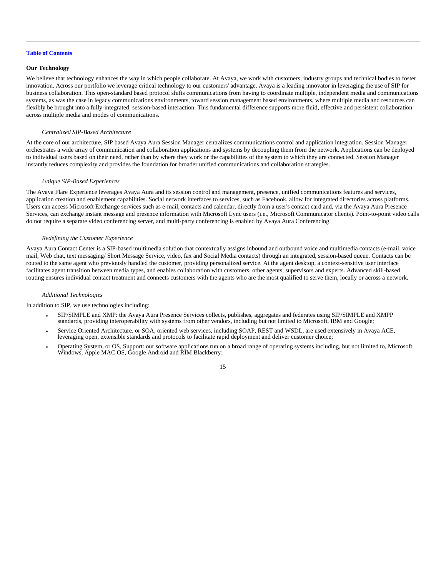# **Our Technology**

We believe that technology enhances the way in which people collaborate. At Avaya, we work with customers, industry groups and technical bodies to foster innovation. Across our portfolio we leverage critical technology to our customers' advantage. Avaya is a leading innovator in leveraging the use of SIP for business collaboration. This open-standard based protocol shifts communications from having to coordinate multiple, independent media and communications systems, as was the case in legacy communications environments, toward session management based environments, where multiple media and resources can flexibly be brought into a fully-integrated, session-based interaction. This fundamental difference supports more fluid, effective and persistent collaboration across multiple media and modes of communications.

#### *Centralized SIP-Based Architecture*

At the core of our architecture, SIP based Avaya Aura Session Manager centralizes communications control and application integration. Session Manager orchestrates a wide array of communication and collaboration applications and systems by decoupling them from the network. Applications can be deployed to individual users based on their need, rather than by where they work or the capabilities of the system to which they are connected. Session Manager instantly reduces complexity and provides the foundation for broader unified communications and collaboration strategies.

#### *Unique SIP-Based Experiences*

The Avaya Flare Experience leverages Avaya Aura and its session control and management, presence, unified communications features and services, application creation and enablement capabilities. Social network interfaces to services, such as Facebook, allow for integrated directories across platforms. Users can access Microsoft Exchange services such as e-mail, contacts and calendar, directly from a user's contact card and, via the Avaya Aura Presence Services, can exchange instant message and presence information with Microsoft Lync users (i.e., Microsoft Communicator clients). Point-to-point video calls do not require a separate video conferencing server, and multi-party conferencing is enabled by Avaya Aura Conferencing.

#### *Redefining the Customer Experience*

Avaya Aura Contact Center is a SIP-based multimedia solution that contextually assigns inbound and outbound voice and multimedia contacts (e-mail, voice mail, Web chat, text messaging/ Short Message Service, video, fax and Social Media contacts) through an integrated, session-based queue. Contacts can be routed to the same agent who previously handled the customer, providing personalized service. At the agent desktop, a context-sensitive user interface facilitates agent transition between media types, and enables collaboration with customers, other agents, supervisors and experts. Advanced skill-based routing ensures individual contact treatment and connects customers with the agents who are the most qualified to serve them, locally or across a network.

#### *Additional Technologies*

In addition to SIP, we use technologies including:

- SIP/SIMPLE and XMP: the Avaya Aura Presence Services collects, publishes, aggregates and federates using SIP/SIMPLE and XMPP standards, providing interoperability with systems from other vendors, including but not limited to Microsoft, IBM and Google;
- Service Oriented Architecture, or SOA, oriented web services, including SOAP, REST and WSDL, are used extensively in Avaya ACE, leveraging open, extensible standards and protocols to facilitate rapid deployment and deliver customer choice;
- Operating System, or OS, Support: our software applications run on a broad range of operating systems including, but not limited to, Microsoft Windows, Apple MAC OS, Google Android and RIM Blackberry;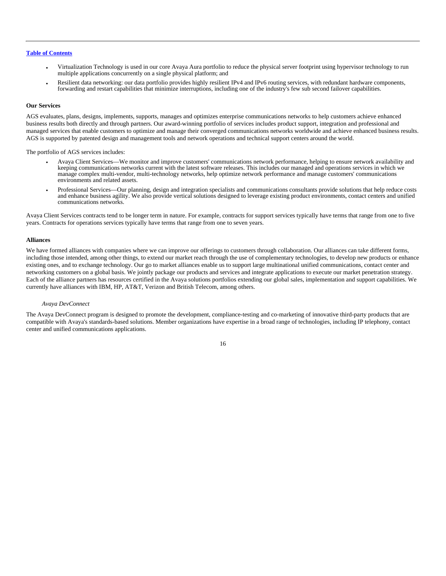- Virtualization Technology is used in our core Avaya Aura portfolio to reduce the physical server footprint using hypervisor technology to run multiple applications concurrently on a single physical platform; and
- Resilient data networking: our data portfolio provides highly resilient IPv4 and IPv6 routing services, with redundant hardware components, forwarding and restart capabilities that minimize interruptions, including one of the industry's few sub second failover capabilities.

#### **Our Services**

AGS evaluates, plans, designs, implements, supports, manages and optimizes enterprise communications networks to help customers achieve enhanced business results both directly and through partners. Our award-winning portfolio of services includes product support, integration and professional and managed services that enable customers to optimize and manage their converged communications networks worldwide and achieve enhanced business results. AGS is supported by patented design and management tools and network operations and technical support centers around the world.

The portfolio of AGS services includes:

- Avaya Client Services—We monitor and improve customers' communications network performance, helping to ensure network availability and keeping communications networks current with the latest software releases. This includes our managed and operations services in which we manage complex multi-vendor, multi-technology networks, help optimize network performance and manage customers' communications environments and related assets.
- Professional Services—Our planning, design and integration specialists and communications consultants provide solutions that help reduce costs and enhance business agility. We also provide vertical solutions designed to leverage existing product environments, contact centers and unified communications networks.

Avaya Client Services contracts tend to be longer term in nature. For example, contracts for support services typically have terms that range from one to five years. Contracts for operations services typically have terms that range from one to seven years.

#### **Alliances**

We have formed alliances with companies where we can improve our offerings to customers through collaboration. Our alliances can take different forms, including those intended, among other things, to extend our market reach through the use of complementary technologies, to develop new products or enhance existing ones, and to exchange technology. Our go to market alliances enable us to support large multinational unified communications, contact center and networking customers on a global basis. We jointly package our products and services and integrate applications to execute our market penetration strategy. Each of the alliance partners has resources certified in the Avaya solutions portfolios extending our global sales, implementation and support capabilities. We currently have alliances with IBM, HP, AT&T, Verizon and British Telecom, among others.

#### *Avaya DevConnect*

The Avaya DevConnect program is designed to promote the development, compliance-testing and co-marketing of innovative third-party products that are compatible with Avaya's standards-based solutions. Member organizations have expertise in a broad range of technologies, including IP telephony, contact center and unified communications applications.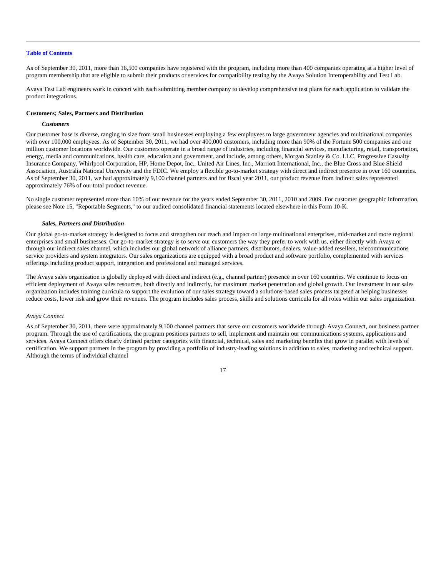As of September 30, 2011, more than 16,500 companies have registered with the program, including more than 400 companies operating at a higher level of program membership that are eligible to submit their products or services for compatibility testing by the Avaya Solution Interoperability and Test Lab.

Avaya Test Lab engineers work in concert with each submitting member company to develop comprehensive test plans for each application to validate the product integrations.

#### **Customers; Sales, Partners and Distribution**

#### *Customers*

Our customer base is diverse, ranging in size from small businesses employing a few employees to large government agencies and multinational companies with over 100,000 employees. As of September 30, 2011, we had over 400,000 customers, including more than 90% of the Fortune 500 companies and one million customer locations worldwide. Our customers operate in a broad range of industries, including financial services, manufacturing, retail, transportation, energy, media and communications, health care, education and government, and include, among others, Morgan Stanley & Co. LLC, Progressive Casualty Insurance Company, Whirlpool Corporation, HP, Home Depot, Inc., United Air Lines, Inc., Marriott International, Inc., the Blue Cross and Blue Shield Association, Australia National University and the FDIC. We employ a flexible go-to-market strategy with direct and indirect presence in over 160 countries. As of September 30, 2011, we had approximately 9,100 channel partners and for fiscal year 2011, our product revenue from indirect sales represented approximately 76% of our total product revenue.

No single customer represented more than 10% of our revenue for the years ended September 30, 2011, 2010 and 2009. For customer geographic information, please see Note 15, "Reportable Segments," to our audited consolidated financial statements located elsewhere in this Form 10-K.

#### *Sales, Partners and Distribution*

Our global go-to-market strategy is designed to focus and strengthen our reach and impact on large multinational enterprises, mid-market and more regional enterprises and small businesses. Our go-to-market strategy is to serve our customers the way they prefer to work with us, either directly with Avaya or through our indirect sales channel, which includes our global network of alliance partners, distributors, dealers, value-added resellers, telecommunications service providers and system integrators. Our sales organizations are equipped with a broad product and software portfolio, complemented with services offerings including product support, integration and professional and managed services.

The Avaya sales organization is globally deployed with direct and indirect (e.g., channel partner) presence in over 160 countries. We continue to focus on efficient deployment of Avaya sales resources, both directly and indirectly, for maximum market penetration and global growth. Our investment in our sales organization includes training curricula to support the evolution of our sales strategy toward a solutions-based sales process targeted at helping businesses reduce costs, lower risk and grow their revenues. The program includes sales process, skills and solutions curricula for all roles within our sales organization.

#### *Avaya Connect*

As of September 30, 2011, there were approximately 9,100 channel partners that serve our customers worldwide through Avaya Connect, our business partner program. Through the use of certifications, the program positions partners to sell, implement and maintain our communications systems, applications and services. Avaya Connect offers clearly defined partner categories with financial, technical, sales and marketing benefits that grow in parallel with levels of certification. We support partners in the program by providing a portfolio of industry-leading solutions in addition to sales, marketing and technical support. Although the terms of individual channel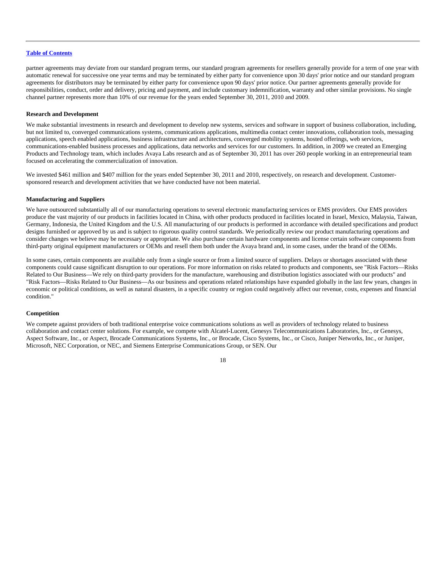partner agreements may deviate from our standard program terms, our standard program agreements for resellers generally provide for a term of one year with automatic renewal for successive one year terms and may be terminated by either party for convenience upon 30 days' prior notice and our standard program agreements for distributors may be terminated by either party for convenience upon 90 days' prior notice. Our partner agreements generally provide for responsibilities, conduct, order and delivery, pricing and payment, and include customary indemnification, warranty and other similar provisions. No single channel partner represents more than 10% of our revenue for the years ended September 30, 2011, 2010 and 2009.

#### **Research and Development**

We make substantial investments in research and development to develop new systems, services and software in support of business collaboration, including, but not limited to, converged communications systems, communications applications, multimedia contact center innovations, collaboration tools, messaging applications, speech enabled applications, business infrastructure and architectures, converged mobility systems, hosted offerings, web services, communications-enabled business processes and applications, data networks and services for our customers. In addition, in 2009 we created an Emerging Products and Technology team, which includes Avaya Labs research and as of September 30, 2011 has over 260 people working in an entrepreneurial team focused on accelerating the commercialization of innovation.

We invested \$461 million and \$407 million for the years ended September 30, 2011 and 2010, respectively, on research and development. Customersponsored research and development activities that we have conducted have not been material.

#### **Manufacturing and Suppliers**

We have outsourced substantially all of our manufacturing operations to several electronic manufacturing services or EMS providers. Our EMS providers produce the vast majority of our products in facilities located in China, with other products produced in facilities located in Israel, Mexico, Malaysia, Taiwan, Germany, Indonesia, the United Kingdom and the U.S. All manufacturing of our products is performed in accordance with detailed specifications and product designs furnished or approved by us and is subject to rigorous quality control standards. We periodically review our product manufacturing operations and consider changes we believe may be necessary or appropriate. We also purchase certain hardware components and license certain software components from third-party original equipment manufacturers or OEMs and resell them both under the Avaya brand and, in some cases, under the brand of the OEMs.

In some cases, certain components are available only from a single source or from a limited source of suppliers. Delays or shortages associated with these components could cause significant disruption to our operations. For more information on risks related to products and components, see "Risk Factors—Risks Related to Our Business—We rely on third-party providers for the manufacture, warehousing and distribution logistics associated with our products" and "Risk Factors—Risks Related to Our Business—As our business and operations related relationships have expanded globally in the last few years, changes in economic or political conditions, as well as natural disasters, in a specific country or region could negatively affect our revenue, costs, expenses and financial condition."

#### **Competition**

We compete against providers of both traditional enterprise voice communications solutions as well as providers of technology related to business collaboration and contact center solutions. For example, we compete with Alcatel-Lucent, Genesys Telecommunications Laboratories, Inc., or Genesys, Aspect Software, Inc., or Aspect, Brocade Communications Systems, Inc., or Brocade, Cisco Systems, Inc., or Cisco, Juniper Networks, Inc., or Juniper, Microsoft, NEC Corporation, or NEC, and Siemens Enterprise Communications Group, or SEN. Our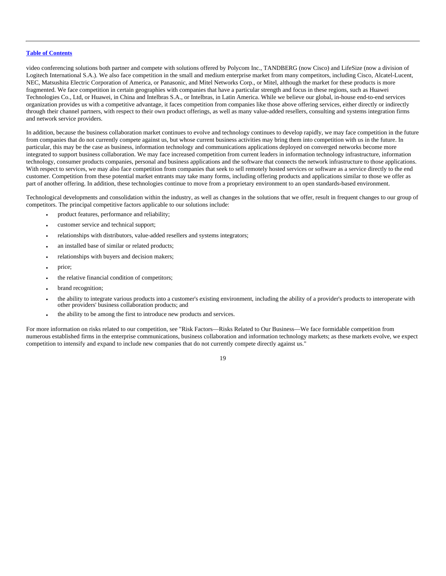video conferencing solutions both partner and compete with solutions offered by Polycom Inc., TANDBERG (now Cisco) and LifeSize (now a division of Logitech International S.A.). We also face competition in the small and medium enterprise market from many competitors, including Cisco, Alcatel-Lucent, NEC, Matsushita Electric Corporation of America, or Panasonic, and Mitel Networks Corp., or Mitel, although the market for these products is more fragmented. We face competition in certain geographies with companies that have a particular strength and focus in these regions, such as Huawei Technologies Co., Ltd, or Huawei, in China and Intelbras S.A., or Intelbras, in Latin America. While we believe our global, in-house end-to-end services organization provides us with a competitive advantage, it faces competition from companies like those above offering services, either directly or indirectly through their channel partners, with respect to their own product offerings, as well as many value-added resellers, consulting and systems integration firms and network service providers.

In addition, because the business collaboration market continues to evolve and technology continues to develop rapidly, we may face competition in the future from companies that do not currently compete against us, but whose current business activities may bring them into competition with us in the future. In particular, this may be the case as business, information technology and communications applications deployed on converged networks become more integrated to support business collaboration. We may face increased competition from current leaders in information technology infrastructure, information technology, consumer products companies, personal and business applications and the software that connects the network infrastructure to those applications. With respect to services, we may also face competition from companies that seek to sell remotely hosted services or software as a service directly to the end customer. Competition from these potential market entrants may take many forms, including offering products and applications similar to those we offer as part of another offering. In addition, these technologies continue to move from a proprietary environment to an open standards-based environment.

Technological developments and consolidation within the industry, as well as changes in the solutions that we offer, result in frequent changes to our group of competitors. The principal competitive factors applicable to our solutions include:

- product features, performance and reliability;
- customer service and technical support;
- relationships with distributors, value-added resellers and systems integrators;
- an installed base of similar or related products;
- relationships with buyers and decision makers;
- price;
- the relative financial condition of competitors;
- brand recognition;
- the ability to integrate various products into a customer's existing environment, including the ability of a provider's products to interoperate with other providers' business collaboration products; and
- the ability to be among the first to introduce new products and services.

For more information on risks related to our competition, see "Risk Factors—Risks Related to Our Business—We face formidable competition from numerous established firms in the enterprise communications, business collaboration and information technology markets; as these markets evolve, we expect competition to intensify and expand to include new companies that do not currently compete directly against us."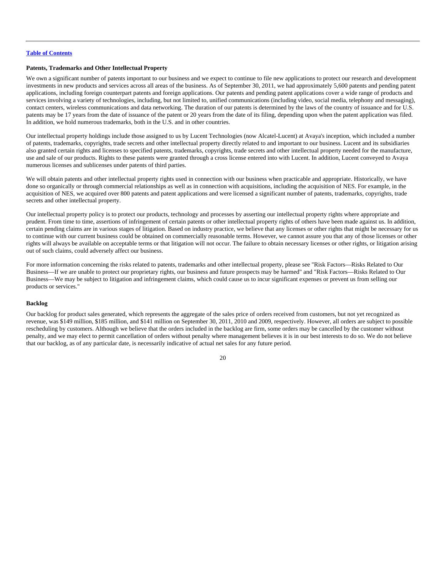#### **Patents, Trademarks and Other Intellectual Property**

We own a significant number of patents important to our business and we expect to continue to file new applications to protect our research and development investments in new products and services across all areas of the business. As of September 30, 2011, we had approximately 5,600 patents and pending patent applications, including foreign counterpart patents and foreign applications. Our patents and pending patent applications cover a wide range of products and services involving a variety of technologies, including, but not limited to, unified communications (including video, social media, telephony and messaging), contact centers, wireless communications and data networking. The duration of our patents is determined by the laws of the country of issuance and for U.S. patents may be 17 years from the date of issuance of the patent or 20 years from the date of its filing, depending upon when the patent application was filed. In addition, we hold numerous trademarks, both in the U.S. and in other countries.

Our intellectual property holdings include those assigned to us by Lucent Technologies (now Alcatel-Lucent) at Avaya's inception, which included a number of patents, trademarks, copyrights, trade secrets and other intellectual property directly related to and important to our business. Lucent and its subsidiaries also granted certain rights and licenses to specified patents, trademarks, copyrights, trade secrets and other intellectual property needed for the manufacture, use and sale of our products. Rights to these patents were granted through a cross license entered into with Lucent. In addition, Lucent conveyed to Avaya numerous licenses and sublicenses under patents of third parties.

We will obtain patents and other intellectual property rights used in connection with our business when practicable and appropriate. Historically, we have done so organically or through commercial relationships as well as in connection with acquisitions, including the acquisition of NES. For example, in the acquisition of NES, we acquired over 800 patents and patent applications and were licensed a significant number of patents, trademarks, copyrights, trade secrets and other intellectual property.

Our intellectual property policy is to protect our products, technology and processes by asserting our intellectual property rights where appropriate and prudent. From time to time, assertions of infringement of certain patents or other intellectual property rights of others have been made against us. In addition, certain pending claims are in various stages of litigation. Based on industry practice, we believe that any licenses or other rights that might be necessary for us to continue with our current business could be obtained on commercially reasonable terms. However, we cannot assure you that any of those licenses or other rights will always be available on acceptable terms or that litigation will not occur. The failure to obtain necessary licenses or other rights, or litigation arising out of such claims, could adversely affect our business.

For more information concerning the risks related to patents, trademarks and other intellectual property, please see "Risk Factors—Risks Related to Our Business—If we are unable to protect our proprietary rights, our business and future prospects may be harmed" and "Risk Factors—Risks Related to Our Business—We may be subject to litigation and infringement claims, which could cause us to incur significant expenses or prevent us from selling our products or services."

#### **Backlog**

Our backlog for product sales generated, which represents the aggregate of the sales price of orders received from customers, but not yet recognized as revenue, was \$149 million, \$185 million, and \$141 million on September 30, 2011, 2010 and 2009, respectively. However, all orders are subject to possible rescheduling by customers. Although we believe that the orders included in the backlog are firm, some orders may be cancelled by the customer without penalty, and we may elect to permit cancellation of orders without penalty where management believes it is in our best interests to do so. We do not believe that our backlog, as of any particular date, is necessarily indicative of actual net sales for any future period.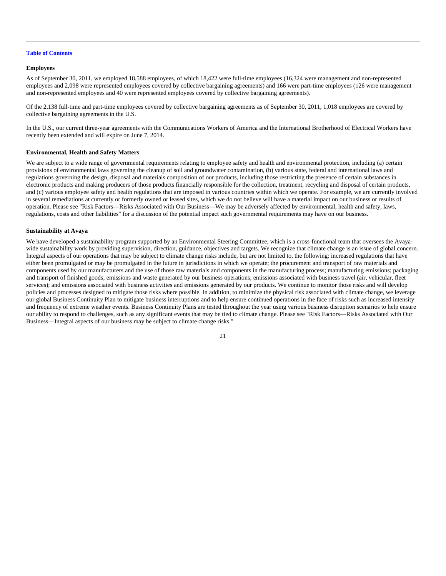#### **Employees**

As of September 30, 2011, we employed 18,588 employees, of which 18,422 were full-time employees (16,324 were management and non-represented employees and 2,098 were represented employees covered by collective bargaining agreements) and 166 were part-time employees (126 were management and non-represented employees and 40 were represented employees covered by collective bargaining agreements).

Of the 2,138 full-time and part-time employees covered by collective bargaining agreements as of September 30, 2011, 1,018 employees are covered by collective bargaining agreements in the U.S.

In the U.S., our current three-year agreements with the Communications Workers of America and the International Brotherhood of Electrical Workers have recently been extended and will expire on June 7, 2014.

#### **Environmental, Health and Safety Matters**

We are subject to a wide range of governmental requirements relating to employee safety and health and environmental protection, including (a) certain provisions of environmental laws governing the cleanup of soil and groundwater contamination, (b) various state, federal and international laws and regulations governing the design, disposal and materials composition of our products, including those restricting the presence of certain substances in electronic products and making producers of those products financially responsible for the collection, treatment, recycling and disposal of certain products, and (c) various employee safety and health regulations that are imposed in various countries within which we operate. For example, we are currently involved in several remediations at currently or formerly owned or leased sites, which we do not believe will have a material impact on our business or results of operation. Please see "Risk Factors—Risks Associated with Our Business—We may be adversely affected by environmental, health and safety, laws, regulations, costs and other liabilities" for a discussion of the potential impact such governmental requirements may have on our business."

#### **Sustainability at Avaya**

We have developed a sustainability program supported by an Environmental Steering Committee, which is a cross-functional team that oversees the Avayawide sustainability work by providing supervision, direction, guidance, objectives and targets. We recognize that climate change is an issue of global concern. Integral aspects of our operations that may be subject to climate change risks include, but are not limited to, the following: increased regulations that have either been promulgated or may be promulgated in the future in jurisdictions in which we operate; the procurement and transport of raw materials and components used by our manufacturers and the use of those raw materials and components in the manufacturing process; manufacturing emissions; packaging and transport of finished goods; emissions and waste generated by our business operations; emissions associated with business travel (air, vehicular, fleet services); and emissions associated with business activities and emissions generated by our products. We continue to monitor those risks and will develop policies and processes designed to mitigate those risks where possible. In addition, to minimize the physical risk associated with climate change, we leverage our global Business Continuity Plan to mitigate business interruptions and to help ensure continued operations in the face of risks such as increased intensity and frequency of extreme weather events. Business Continuity Plans are tested throughout the year using various business disruption scenarios to help ensure our ability to respond to challenges, such as any significant events that may be tied to climate change. Please see "Risk Factors—Risks Associated with Our Business—Integral aspects of our business may be subject to climate change risks."

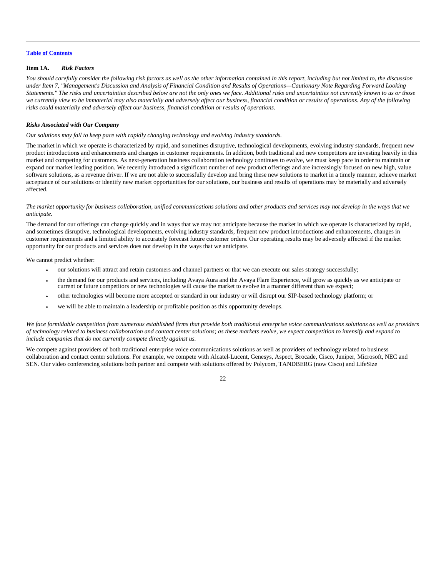#### <span id="page-24-0"></span>**Item 1A.** *Risk Factors*

*You should carefully consider the following risk factors as well as the other information contained in this report, including but not limited to, the discussion under Item 7, "Management's Discussion and Analysis of Financial Condition and Results of Operations—Cautionary Note Regarding Forward Looking Statements." The risks and uncertainties described below are not the only ones we face. Additional risks and uncertainties not currently known to us or those we currently view to be immaterial may also materially and adversely affect our business, financial condition or results of operations. Any of the following risks could materially and adversely affect our business, financial condition or results of operations.*

#### *Risks Associated with Our Company*

*Our solutions may fail to keep pace with rapidly changing technology and evolving industry standards.*

The market in which we operate is characterized by rapid, and sometimes disruptive, technological developments, evolving industry standards, frequent new product introductions and enhancements and changes in customer requirements. In addition, both traditional and new competitors are investing heavily in this market and competing for customers. As next-generation business collaboration technology continues to evolve, we must keep pace in order to maintain or expand our market leading position. We recently introduced a significant number of new product offerings and are increasingly focused on new high, value software solutions, as a revenue driver. If we are not able to successfully develop and bring these new solutions to market in a timely manner, achieve market acceptance of our solutions or identify new market opportunities for our solutions, our business and results of operations may be materially and adversely affected.

#### *The market opportunity for business collaboration, unified communications solutions and other products and services may not develop in the ways that we anticipate.*

The demand for our offerings can change quickly and in ways that we may not anticipate because the market in which we operate is characterized by rapid, and sometimes disruptive, technological developments, evolving industry standards, frequent new product introductions and enhancements, changes in customer requirements and a limited ability to accurately forecast future customer orders. Our operating results may be adversely affected if the market opportunity for our products and services does not develop in the ways that we anticipate.

We cannot predict whether:

- our solutions will attract and retain customers and channel partners or that we can execute our sales strategy successfully;
- the demand for our products and services, including Avaya Aura and the Avaya Flare Experience, will grow as quickly as we anticipate or current or future competitors or new technologies will cause the market to evolve in a manner different than we expect;
- other technologies will become more accepted or standard in our industry or will disrupt our SIP-based technology platform; or
- we will be able to maintain a leadership or profitable position as this opportunity develops.

*We face formidable competition from numerous established firms that provide both traditional enterprise voice communications solutions as well as providers of technology related to business collaboration and contact center solutions; as these markets evolve, we expect competition to intensify and expand to include companies that do not currently compete directly against us.*

We compete against providers of both traditional enterprise voice communications solutions as well as providers of technology related to business collaboration and contact center solutions. For example, we compete with Alcatel-Lucent, Genesys, Aspect, Brocade, Cisco, Juniper, Microsoft, NEC and SEN. Our video conferencing solutions both partner and compete with solutions offered by Polycom, TANDBERG (now Cisco) and LifeSize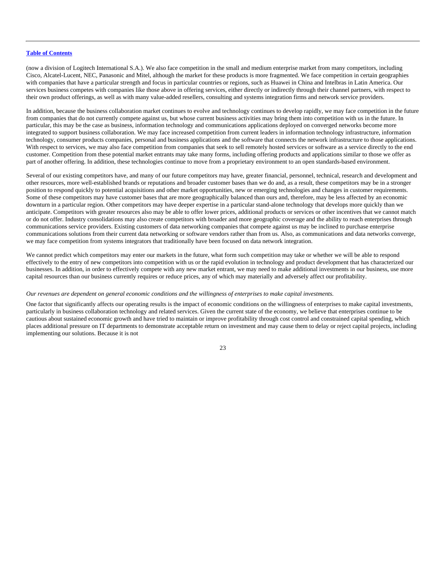(now a division of Logitech International S.A.). We also face competition in the small and medium enterprise market from many competitors, including Cisco, Alcatel-Lucent, NEC, Panasonic and Mitel, although the market for these products is more fragmented. We face competition in certain geographies with companies that have a particular strength and focus in particular countries or regions, such as Huawei in China and Intelbras in Latin America. Our services business competes with companies like those above in offering services, either directly or indirectly through their channel partners, with respect to their own product offerings, as well as with many value-added resellers, consulting and systems integration firms and network service providers.

In addition, because the business collaboration market continues to evolve and technology continues to develop rapidly, we may face competition in the future from companies that do not currently compete against us, but whose current business activities may bring them into competition with us in the future. In particular, this may be the case as business, information technology and communications applications deployed on converged networks become more integrated to support business collaboration. We may face increased competition from current leaders in information technology infrastructure, information technology, consumer products companies, personal and business applications and the software that connects the network infrastructure to those applications. With respect to services, we may also face competition from companies that seek to sell remotely hosted services or software as a service directly to the end customer. Competition from these potential market entrants may take many forms, including offering products and applications similar to those we offer as part of another offering. In addition, these technologies continue to move from a proprietary environment to an open standards-based environment.

Several of our existing competitors have, and many of our future competitors may have, greater financial, personnel, technical, research and development and other resources, more well-established brands or reputations and broader customer bases than we do and, as a result, these competitors may be in a stronger position to respond quickly to potential acquisitions and other market opportunities, new or emerging technologies and changes in customer requirements. Some of these competitors may have customer bases that are more geographically balanced than ours and, therefore, may be less affected by an economic downturn in a particular region. Other competitors may have deeper expertise in a particular stand-alone technology that develops more quickly than we anticipate. Competitors with greater resources also may be able to offer lower prices, additional products or services or other incentives that we cannot match or do not offer. Industry consolidations may also create competitors with broader and more geographic coverage and the ability to reach enterprises through communications service providers. Existing customers of data networking companies that compete against us may be inclined to purchase enterprise communications solutions from their current data networking or software vendors rather than from us. Also, as communications and data networks converge, we may face competition from systems integrators that traditionally have been focused on data network integration.

We cannot predict which competitors may enter our markets in the future, what form such competition may take or whether we will be able to respond effectively to the entry of new competitors into competition with us or the rapid evolution in technology and product development that has characterized our businesses. In addition, in order to effectively compete with any new market entrant, we may need to make additional investments in our business, use more capital resources than our business currently requires or reduce prices, any of which may materially and adversely affect our profitability.

#### *Our revenues are dependent on general economic conditions and the willingness of enterprises to make capital investments.*

One factor that significantly affects our operating results is the impact of economic conditions on the willingness of enterprises to make capital investments, particularly in business collaboration technology and related services. Given the current state of the economy, we believe that enterprises continue to be cautious about sustained economic growth and have tried to maintain or improve profitability through cost control and constrained capital spending, which places additional pressure on IT departments to demonstrate acceptable return on investment and may cause them to delay or reject capital projects, including implementing our solutions. Because it is not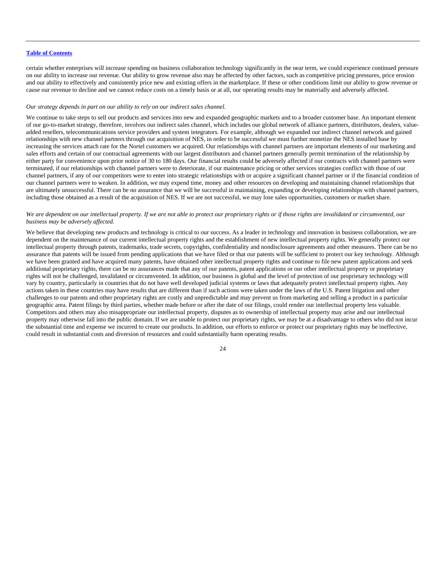certain whether enterprises will increase spending on business collaboration technology significantly in the near term, we could experience continued pressure on our ability to increase our revenue. Our ability to grow revenue also may be affected by other factors, such as competitive pricing pressures, price erosion and our ability to effectively and consistently price new and existing offers in the marketplace. If these or other conditions limit our ability to grow revenue or cause our revenue to decline and we cannot reduce costs on a timely basis or at all, our operating results may be materially and adversely affected.

#### *Our strategy depends in part on our ability to rely on our indirect sales channel.*

We continue to take steps to sell our products and services into new and expanded geographic markets and to a broader customer base. An important element of our go-to-market strategy, therefore, involves our indirect sales channel, which includes our global network of alliance partners, distributors, dealers, valueadded resellers, telecommunications service providers and system integrators. For example, although we expanded our indirect channel network and gained relationships with new channel partners through our acquisition of NES, in order to be successful we must further monetize the NES installed base by increasing the services attach rate for the Nortel customers we acquired. Our relationships with channel partners are important elements of our marketing and sales efforts and certain of our contractual agreements with our largest distributors and channel partners generally permit termination of the relationship by either party for convenience upon prior notice of 30 to 180 days. Our financial results could be adversely affected if our contracts with channel partners were terminated, if our relationships with channel partners were to deteriorate, if our maintenance pricing or other services strategies conflict with those of our channel partners, if any of our competitors were to enter into strategic relationships with or acquire a significant channel partner or if the financial condition of our channel partners were to weaken. In addition, we may expend time, money and other resources on developing and maintaining channel relationships that are ultimately unsuccessful. There can be no assurance that we will be successful in maintaining, expanding or developing relationships with channel partners, including those obtained as a result of the acquisition of NES. If we are not successful, we may lose sales opportunities, customers or market share.

#### *We are dependent on our intellectual property. If we are not able to protect our proprietary rights or if those rights are invalidated or circumvented, our business may be adversely affected.*

We believe that developing new products and technology is critical to our success. As a leader in technology and innovation in business collaboration, we are dependent on the maintenance of our current intellectual property rights and the establishment of new intellectual property rights. We generally protect our intellectual property through patents, trademarks, trade secrets, copyrights, confidentiality and nondisclosure agreements and other measures. There can be no assurance that patents will be issued from pending applications that we have filed or that our patents will be sufficient to protect our key technology. Although we have been granted and have acquired many patents, have obtained other intellectual property rights and continue to file new patent applications and seek additional proprietary rights, there can be no assurances made that any of our patents, patent applications or our other intellectual property or proprietary rights will not be challenged, invalidated or circumvented. In addition, our business is global and the level of protection of our proprietary technology will vary by country, particularly in countries that do not have well developed judicial systems or laws that adequately protect intellectual property rights. Any actions taken in these countries may have results that are different than if such actions were taken under the laws of the U.S. Patent litigation and other challenges to our patents and other proprietary rights are costly and unpredictable and may prevent us from marketing and selling a product in a particular geographic area. Patent filings by third parties, whether made before or after the date of our filings, could render our intellectual property less valuable. Competitors and others may also misappropriate our intellectual property, disputes as to ownership of intellectual property may arise and our intellectual property may otherwise fall into the public domain. If we are unable to protect our proprietary rights, we may be at a disadvantage to others who did not incur the substantial time and expense we incurred to create our products. In addition, our efforts to enforce or protect our proprietary rights may be ineffective, could result in substantial costs and diversion of resources and could substantially harm operating results.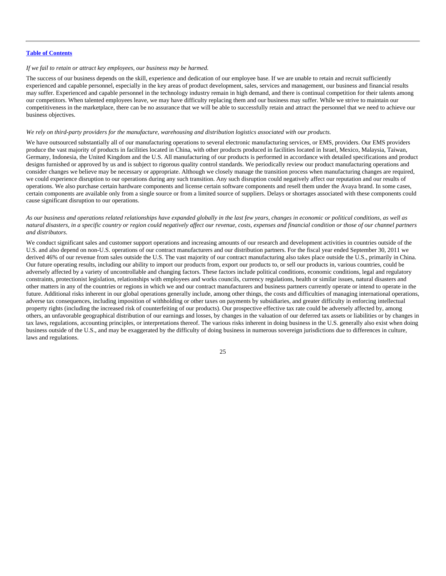#### *If we fail to retain or attract key employees, our business may be harmed.*

The success of our business depends on the skill, experience and dedication of our employee base. If we are unable to retain and recruit sufficiently experienced and capable personnel, especially in the key areas of product development, sales, services and management, our business and financial results may suffer. Experienced and capable personnel in the technology industry remain in high demand, and there is continual competition for their talents among our competitors. When talented employees leave, we may have difficulty replacing them and our business may suffer. While we strive to maintain our competitiveness in the marketplace, there can be no assurance that we will be able to successfully retain and attract the personnel that we need to achieve our business objectives.

#### *We rely on third-party providers for the manufacture, warehousing and distribution logistics associated with our products.*

We have outsourced substantially all of our manufacturing operations to several electronic manufacturing services, or EMS, providers. Our EMS providers produce the vast majority of products in facilities located in China, with other products produced in facilities located in Israel, Mexico, Malaysia, Taiwan, Germany, Indonesia, the United Kingdom and the U.S. All manufacturing of our products is performed in accordance with detailed specifications and product designs furnished or approved by us and is subject to rigorous quality control standards. We periodically review our product manufacturing operations and consider changes we believe may be necessary or appropriate. Although we closely manage the transition process when manufacturing changes are required, we could experience disruption to our operations during any such transition. Any such disruption could negatively affect our reputation and our results of operations. We also purchase certain hardware components and license certain software components and resell them under the Avaya brand. In some cases, certain components are available only from a single source or from a limited source of suppliers. Delays or shortages associated with these components could cause significant disruption to our operations.

*As our business and operations related relationships have expanded globally in the last few years, changes in economic or political conditions, as well as natural disasters, in a specific country or region could negatively affect our revenue, costs, expenses and financial condition or those of our channel partners and distributors.*

We conduct significant sales and customer support operations and increasing amounts of our research and development activities in countries outside of the U.S. and also depend on non-U.S. operations of our contract manufacturers and our distribution partners. For the fiscal year ended September 30, 2011 we derived 46% of our revenue from sales outside the U.S. The vast majority of our contract manufacturing also takes place outside the U.S., primarily in China. Our future operating results, including our ability to import our products from, export our products to, or sell our products in, various countries, could be adversely affected by a variety of uncontrollable and changing factors. These factors include political conditions, economic conditions, legal and regulatory constraints, protectionist legislation, relationships with employees and works councils, currency regulations, health or similar issues, natural disasters and other matters in any of the countries or regions in which we and our contract manufacturers and business partners currently operate or intend to operate in the future. Additional risks inherent in our global operations generally include, among other things, the costs and difficulties of managing international operations, adverse tax consequences, including imposition of withholding or other taxes on payments by subsidiaries, and greater difficulty in enforcing intellectual property rights (including the increased risk of counterfeiting of our products). Our prospective effective tax rate could be adversely affected by, among others, an unfavorable geographical distribution of our earnings and losses, by changes in the valuation of our deferred tax assets or liabilities or by changes in tax laws, regulations, accounting principles, or interpretations thereof. The various risks inherent in doing business in the U.S. generally also exist when doing business outside of the U.S., and may be exaggerated by the difficulty of doing business in numerous sovereign jurisdictions due to differences in culture, laws and regulations.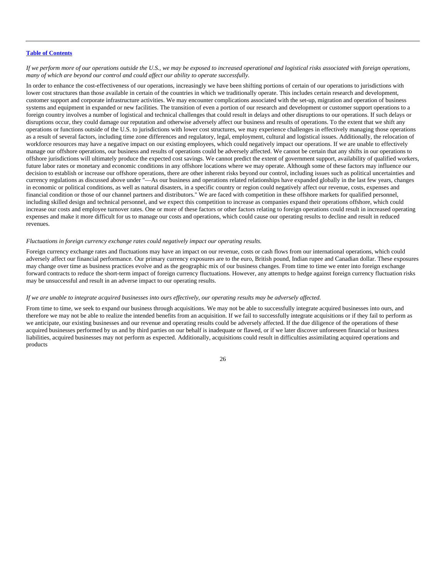#### *If we perform more of our operations outside the U.S., we may be exposed to increased operational and logistical risks associated with foreign operations, many of which are beyond our control and could affect our ability to operate successfully.*

In order to enhance the cost-effectiveness of our operations, increasingly we have been shifting portions of certain of our operations to jurisdictions with lower cost structures than those available in certain of the countries in which we traditionally operate. This includes certain research and development, customer support and corporate infrastructure activities. We may encounter complications associated with the set-up, migration and operation of business systems and equipment in expanded or new facilities. The transition of even a portion of our research and development or customer support operations to a foreign country involves a number of logistical and technical challenges that could result in delays and other disruptions to our operations. If such delays or disruptions occur, they could damage our reputation and otherwise adversely affect our business and results of operations. To the extent that we shift any operations or functions outside of the U.S. to jurisdictions with lower cost structures, we may experience challenges in effectively managing those operations as a result of several factors, including time zone differences and regulatory, legal, employment, cultural and logistical issues. Additionally, the relocation of workforce resources may have a negative impact on our existing employees, which could negatively impact our operations. If we are unable to effectively manage our offshore operations, our business and results of operations could be adversely affected. We cannot be certain that any shifts in our operations to offshore jurisdictions will ultimately produce the expected cost savings. We cannot predict the extent of government support, availability of qualified workers, future labor rates or monetary and economic conditions in any offshore locations where we may operate. Although some of these factors may influence our decision to establish or increase our offshore operations, there are other inherent risks beyond our control, including issues such as political uncertainties and currency regulations as discussed above under "—As our business and operations related relationships have expanded globally in the last few years, changes in economic or political conditions, as well as natural disasters, in a specific country or region could negatively affect our revenue, costs, expenses and financial condition or those of our channel partners and distributors." We are faced with competition in these offshore markets for qualified personnel, including skilled design and technical personnel, and we expect this competition to increase as companies expand their operations offshore, which could increase our costs and employee turnover rates. One or more of these factors or other factors relating to foreign operations could result in increased operating expenses and make it more difficult for us to manage our costs and operations, which could cause our operating results to decline and result in reduced revenues.

#### *Fluctuations in foreign currency exchange rates could negatively impact our operating results.*

Foreign currency exchange rates and fluctuations may have an impact on our revenue, costs or cash flows from our international operations, which could adversely affect our financial performance. Our primary currency exposures are to the euro, British pound, Indian rupee and Canadian dollar. These exposures may change over time as business practices evolve and as the geographic mix of our business changes. From time to time we enter into foreign exchange forward contracts to reduce the short-term impact of foreign currency fluctuations. However, any attempts to hedge against foreign currency fluctuation risks may be unsuccessful and result in an adverse impact to our operating results.

#### *If we are unable to integrate acquired businesses into ours effectively, our operating results may be adversely affected.*

From time to time, we seek to expand our business through acquisitions. We may not be able to successfully integrate acquired businesses into ours, and therefore we may not be able to realize the intended benefits from an acquisition. If we fail to successfully integrate acquisitions or if they fail to perform as we anticipate, our existing businesses and our revenue and operating results could be adversely affected. If the due diligence of the operations of these acquired businesses performed by us and by third parties on our behalf is inadequate or flawed, or if we later discover unforeseen financial or business liabilities, acquired businesses may not perform as expected. Additionally, acquisitions could result in difficulties assimilating acquired operations and products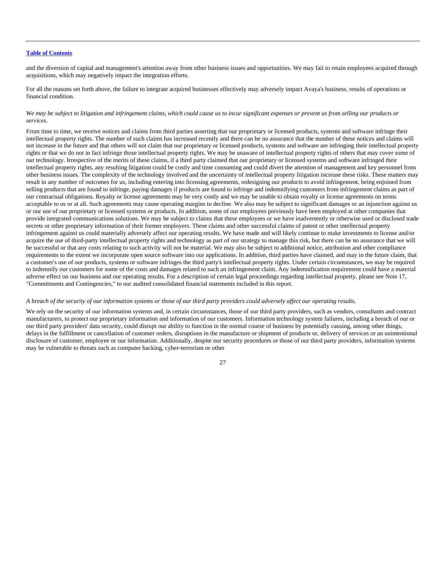and the diversion of capital and management's attention away from other business issues and opportunities. We may fail to retain employees acquired through acquisitions, which may negatively impact the integration efforts.

For all the reasons set forth above, the failure to integrate acquired businesses effectively may adversely impact Avaya's business, results of operations or financial condition.

#### *We may be subject to litigation and infringement claims, which could cause us to incur significant expenses or prevent us from selling our products or services.*

From time to time, we receive notices and claims from third parties asserting that our proprietary or licensed products, systems and software infringe their intellectual property rights. The number of such claims has increased recently and there can be no assurance that the number of these notices and claims will not increase in the future and that others will not claim that our proprietary or licensed products, systems and software are infringing their intellectual property rights or that we do not in fact infringe those intellectual property rights. We may be unaware of intellectual property rights of others that may cover some of our technology. Irrespective of the merits of these claims, if a third party claimed that our proprietary or licensed systems and software infringed their intellectual property rights, any resulting litigation could be costly and time consuming and could divert the attention of management and key personnel from other business issues. The complexity of the technology involved and the uncertainty of intellectual property litigation increase these risks. These matters may result in any number of outcomes for us, including entering into licensing agreements, redesigning our products to avoid infringement, being enjoined from selling products that are found to infringe, paying damages if products are found to infringe and indemnifying customers from infringement claims as part of our contractual obligations. Royalty or license agreements may be very costly and we may be unable to obtain royalty or license agreements on terms acceptable to us or at all. Such agreements may cause operating margins to decline. We also may be subject to significant damages or an injunction against us or our use of our proprietary or licensed systems or products. In addition, some of our employees previously have been employed at other companies that provide integrated communications solutions. We may be subject to claims that these employees or we have inadvertently or otherwise used or disclosed trade secrets or other proprietary information of their former employers. These claims and other successful claims of patent or other intellectual property infringement against us could materially adversely affect our operating results. We have made and will likely continue to make investments to license and/or acquire the use of third-party intellectual property rights and technology as part of our strategy to manage this risk, but there can be no assurance that we will be successful or that any costs relating to such activity will not be material. We may also be subject to additional notice, attribution and other compliance requirements to the extent we incorporate open source software into our applications. In addition, third parties have claimed, and may in the future claim, that a customer's use of our products, systems or software infringes the third party's intellectual property rights. Under certain circumstances, we may be required to indemnify our customers for some of the costs and damages related to such an infringement claim. Any indemnification requirement could have a material adverse effect on our business and our operating results. For a description of certain legal proceedings regarding intellectual property, please see Note 17, "Commitments and Contingencies," to our audited consolidated financial statements included in this report.

#### *A breach of the security of our information systems or those of our third party providers could adversely affect our operating results.*

We rely on the security of our information systems and, in certain circumstances, those of our third party providers, such as vendors, consultants and contract manufacturers, to protect our proprietary information and information of our customers. Information technology system failures, including a breach of our or our third party providers' data security, could disrupt our ability to function in the normal course of business by potentially causing, among other things, delays in the fulfillment or cancellation of customer orders, disruptions in the manufacture or shipment of products or, delivery of services or an unintentional disclosure of customer, employee or our information. Additionally, despite our security procedures or those of our third party providers, information systems may be vulnerable to threats such as computer hacking, cyber-terrorism or other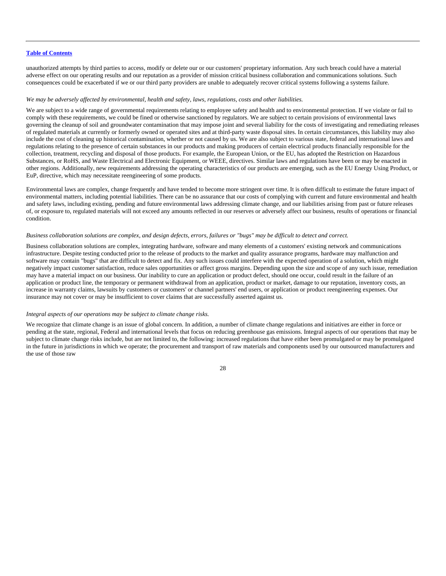unauthorized attempts by third parties to access, modify or delete our or our customers' proprietary information. Any such breach could have a material adverse effect on our operating results and our reputation as a provider of mission critical business collaboration and communications solutions. Such consequences could be exacerbated if we or our third party providers are unable to adequately recover critical systems following a systems failure.

#### *We may be adversely affected by environmental, health and safety, laws, regulations, costs and other liabilities.*

We are subject to a wide range of governmental requirements relating to employee safety and health and to environmental protection. If we violate or fail to comply with these requirements, we could be fined or otherwise sanctioned by regulators. We are subject to certain provisions of environmental laws governing the cleanup of soil and groundwater contamination that may impose joint and several liability for the costs of investigating and remediating releases of regulated materials at currently or formerly owned or operated sites and at third-party waste disposal sites. In certain circumstances, this liability may also include the cost of cleaning up historical contamination, whether or not caused by us. We are also subject to various state, federal and international laws and regulations relating to the presence of certain substances in our products and making producers of certain electrical products financially responsible for the collection, treatment, recycling and disposal of those products. For example, the European Union, or the EU, has adopted the Restriction on Hazardous Substances, or RoHS, and Waste Electrical and Electronic Equipment, or WEEE, directives. Similar laws and regulations have been or may be enacted in other regions. Additionally, new requirements addressing the operating characteristics of our products are emerging, such as the EU Energy Using Product, or EuP, directive, which may necessitate reengineering of some products.

Environmental laws are complex, change frequently and have tended to become more stringent over time. It is often difficult to estimate the future impact of environmental matters, including potential liabilities. There can be no assurance that our costs of complying with current and future environmental and health and safety laws, including existing, pending and future environmental laws addressing climate change, and our liabilities arising from past or future releases of, or exposure to, regulated materials will not exceed any amounts reflected in our reserves or adversely affect our business, results of operations or financial condition.

#### *Business collaboration solutions are complex, and design defects, errors, failures or "bugs" may be difficult to detect and correct.*

Business collaboration solutions are complex, integrating hardware, software and many elements of a customers' existing network and communications infrastructure. Despite testing conducted prior to the release of products to the market and quality assurance programs, hardware may malfunction and software may contain "bugs" that are difficult to detect and fix. Any such issues could interfere with the expected operation of a solution, which might negatively impact customer satisfaction, reduce sales opportunities or affect gross margins. Depending upon the size and scope of any such issue, remediation may have a material impact on our business. Our inability to cure an application or product defect, should one occur, could result in the failure of an application or product line, the temporary or permanent withdrawal from an application, product or market, damage to our reputation, inventory costs, an increase in warranty claims, lawsuits by customers or customers' or channel partners' end users, or application or product reengineering expenses. Our insurance may not cover or may be insufficient to cover claims that are successfully asserted against us.

#### *Integral aspects of our operations may be subject to climate change risks.*

We recognize that climate change is an issue of global concern. In addition, a number of climate change regulations and initiatives are either in force or pending at the state, regional, Federal and international levels that focus on reducing greenhouse gas emissions. Integral aspects of our operations that may be subject to climate change risks include, but are not limited to, the following: increased regulations that have either been promulgated or may be promulgated in the future in jurisdictions in which we operate; the procurement and transport of raw materials and components used by our outsourced manufacturers and the use of those raw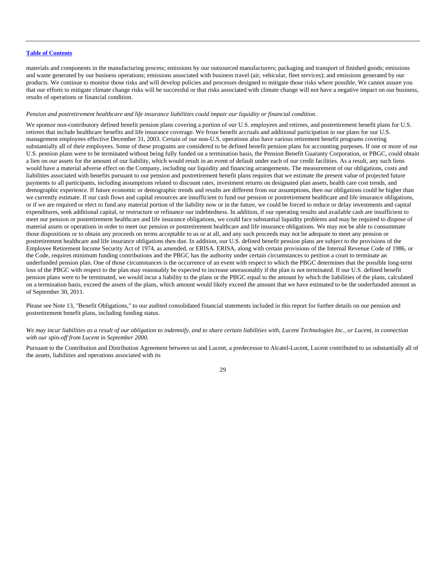materials and components in the manufacturing process; emissions by our outsourced manufacturers; packaging and transport of finished goods; emissions and waste generated by our business operations; emissions associated with business travel (air, vehicular, fleet services); and emissions generated by our products. We continue to monitor those risks and will develop policies and processes designed to mitigate those risks where possible. We cannot assure you that our efforts to mitigate climate change risks will be successful or that risks associated with climate change will not have a negative impact on our business, results of operations or financial condition.

#### *Pension and postretirement healthcare and life insurance liabilities could impair our liquidity or financial condition.*

We sponsor non-contributory defined benefit pension plans covering a portion of our U.S. employees and retirees, and postretirement benefit plans for U.S. retirees that include healthcare benefits and life insurance coverage. We froze benefit accruals and additional participation in our plans for our U.S. management employees effective December 31, 2003. Certain of our non-U.S. operations also have various retirement benefit programs covering substantially all of their employees. Some of these programs are considered to be defined benefit pension plans for accounting purposes. If one or more of our U.S. pension plans were to be terminated without being fully funded on a termination basis, the Pension Benefit Guaranty Corporation, or PBGC, could obtain a lien on our assets for the amount of our liability, which would result in an event of default under each of our credit facilities. As a result, any such liens would have a material adverse effect on the Company, including our liquidity and financing arrangements. The measurement of our obligations, costs and liabilities associated with benefits pursuant to our pension and postretirement benefit plans requires that we estimate the present value of projected future payments to all participants, including assumptions related to discount rates, investment returns on designated plan assets, health care cost trends, and demographic experience. If future economic or demographic trends and results are different from our assumptions, then our obligations could be higher than we currently estimate. If our cash flows and capital resources are insufficient to fund our pension or postretirement healthcare and life insurance obligations, or if we are required or elect to fund any material portion of the liability now or in the future, we could be forced to reduce or delay investments and capital expenditures, seek additional capital, or restructure or refinance our indebtedness. In addition, if our operating results and available cash are insufficient to meet our pension or postretirement healthcare and life insurance obligations, we could face substantial liquidity problems and may be required to dispose of material assets or operations in order to meet our pension or postretirement healthcare and life insurance obligations. We may not be able to consummate those dispositions or to obtain any proceeds on terms acceptable to us or at all, and any such proceeds may not be adequate to meet any pension or postretirement healthcare and life insurance obligations then due. In addition, our U.S. defined benefit pension plans are subject to the provisions of the Employee Retirement Income Security Act of 1974, as amended, or ERISA. ERISA, along with certain provisions of the Internal Revenue Code of 1986, or the Code, requires minimum funding contributions and the PBGC has the authority under certain circumstances to petition a court to terminate an underfunded pension plan. One of those circumstances is the occurrence of an event with respect to which the PBGC determines that the possible long-term loss of the PBGC with respect to the plan may reasonably be expected to increase unreasonably if the plan is not terminated. If our U.S. defined benefit pension plans were to be terminated, we would incur a liability to the plans or the PBGC equal to the amount by which the liabilities of the plans, calculated on a termination basis, exceed the assets of the plans, which amount would likely exceed the amount that we have estimated to be the underfunded amount as of September 30, 2011.

Please see Note 13, "Benefit Obligations," to our audited consolidated financial statements included in this report for further details on our pension and postretirement benefit plans, including funding status.

#### *We may incur liabilities as a result of our obligation to indemnify, and to share certain liabilities with, Lucent Technologies Inc., or Lucent, in connection with our spin-off from Lucent in September 2000.*

Pursuant to the Contribution and Distribution Agreement between us and Lucent, a predecessor to Alcatel-Lucent, Lucent contributed to us substantially all of the assets, liabilities and operations associated with its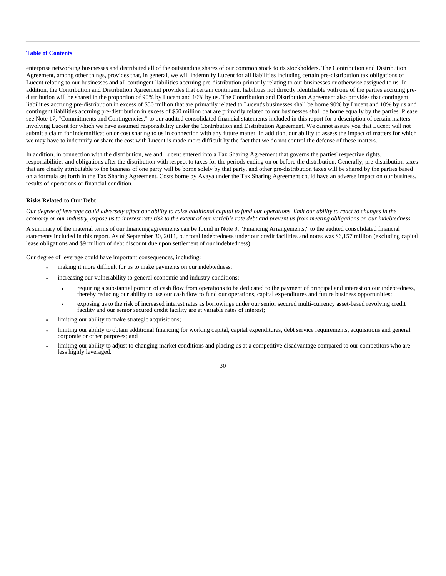enterprise networking businesses and distributed all of the outstanding shares of our common stock to its stockholders. The Contribution and Distribution Agreement, among other things, provides that, in general, we will indemnify Lucent for all liabilities including certain pre-distribution tax obligations of Lucent relating to our businesses and all contingent liabilities accruing pre-distribution primarily relating to our businesses or otherwise assigned to us. In addition, the Contribution and Distribution Agreement provides that certain contingent liabilities not directly identifiable with one of the parties accruing predistribution will be shared in the proportion of 90% by Lucent and 10% by us. The Contribution and Distribution Agreement also provides that contingent liabilities accruing pre-distribution in excess of \$50 million that are primarily related to Lucent's businesses shall be borne 90% by Lucent and 10% by us and contingent liabilities accruing pre-distribution in excess of \$50 million that are primarily related to our businesses shall be borne equally by the parties. Please see Note 17, "Commitments and Contingencies," to our audited consolidated financial statements included in this report for a description of certain matters involving Lucent for which we have assumed responsibility under the Contribution and Distribution Agreement. We cannot assure you that Lucent will not submit a claim for indemnification or cost sharing to us in connection with any future matter. In addition, our ability to assess the impact of matters for which we may have to indemnify or share the cost with Lucent is made more difficult by the fact that we do not control the defense of these matters.

In addition, in connection with the distribution, we and Lucent entered into a Tax Sharing Agreement that governs the parties' respective rights, responsibilities and obligations after the distribution with respect to taxes for the periods ending on or before the distribution. Generally, pre-distribution taxes that are clearly attributable to the business of one party will be borne solely by that party, and other pre-distribution taxes will be shared by the parties based on a formula set forth in the Tax Sharing Agreement. Costs borne by Avaya under the Tax Sharing Agreement could have an adverse impact on our business, results of operations or financial condition.

#### **Risks Related to Our Debt**

*Our degree of leverage could adversely affect our ability to raise additional capital to fund our operations, limit our ability to react to changes in the economy or our industry, expose us to interest rate risk to the extent of our variable rate debt and prevent us from meeting obligations on our indebtedness.*

A summary of the material terms of our financing agreements can be found in Note 9, "Financing Arrangements," to the audited consolidated financial statements included in this report. As of September 30, 2011, our total indebtedness under our credit facilities and notes was \$6,157 million (excluding capital lease obligations and \$9 million of debt discount due upon settlement of our indebtedness).

Our degree of leverage could have important consequences, including:

- making it more difficult for us to make payments on our indebtedness;
- increasing our vulnerability to general economic and industry conditions;
	- requiring a substantial portion of cash flow from operations to be dedicated to the payment of principal and interest on our indebtedness, thereby reducing our ability to use our cash flow to fund our operations, capital expenditures and future business opportunities;
	- exposing us to the risk of increased interest rates as borrowings under our senior secured multi-currency asset-based revolving credit facility and our senior secured credit facility are at variable rates of interest;
- limiting our ability to make strategic acquisitions;
- limiting our ability to obtain additional financing for working capital, capital expenditures, debt service requirements, acquisitions and general corporate or other purposes; and
- limiting our ability to adjust to changing market conditions and placing us at a competitive disadvantage compared to our competitors who are less highly leveraged.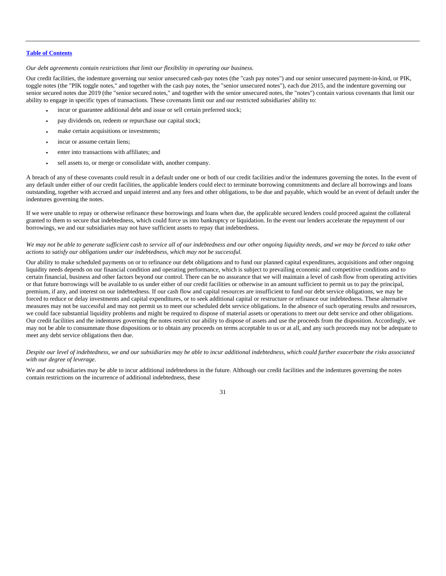*Our debt agreements contain restrictions that limit our flexibility in operating our business.*

Our credit facilities, the indenture governing our senior unsecured cash-pay notes (the "cash pay notes") and our senior unsecured payment-in-kind, or PIK, toggle notes (the "PIK toggle notes," and together with the cash pay notes, the "senior unsecured notes"), each due 2015, and the indenture governing our senior secured notes due 2019 (the "senior secured notes," and together with the senior unsecured notes, the "notes") contain various covenants that limit our ability to engage in specific types of transactions. These covenants limit our and our restricted subsidiaries' ability to:

- incur or guarantee additional debt and issue or sell certain preferred stock;
- pay dividends on, redeem or repurchase our capital stock;
- make certain acquisitions or investments;
- incur or assume certain liens;
- enter into transactions with affiliates; and
- sell assets to, or merge or consolidate with, another company.

A breach of any of these covenants could result in a default under one or both of our credit facilities and/or the indentures governing the notes. In the event of any default under either of our credit facilities, the applicable lenders could elect to terminate borrowing commitments and declare all borrowings and loans outstanding, together with accrued and unpaid interest and any fees and other obligations, to be due and payable, which would be an event of default under the indentures governing the notes.

If we were unable to repay or otherwise refinance these borrowings and loans when due, the applicable secured lenders could proceed against the collateral granted to them to secure that indebtedness, which could force us into bankruptcy or liquidation. In the event our lenders accelerate the repayment of our borrowings, we and our subsidiaries may not have sufficient assets to repay that indebtedness.

#### *We may not be able to generate sufficient cash to service all of our indebtedness and our other ongoing liquidity needs, and we may be forced to take other actions to satisfy our obligations under our indebtedness, which may not be successful.*

Our ability to make scheduled payments on or to refinance our debt obligations and to fund our planned capital expenditures, acquisitions and other ongoing liquidity needs depends on our financial condition and operating performance, which is subject to prevailing economic and competitive conditions and to certain financial, business and other factors beyond our control. There can be no assurance that we will maintain a level of cash flow from operating activities or that future borrowings will be available to us under either of our credit facilities or otherwise in an amount sufficient to permit us to pay the principal, premium, if any, and interest on our indebtedness. If our cash flow and capital resources are insufficient to fund our debt service obligations, we may be forced to reduce or delay investments and capital expenditures, or to seek additional capital or restructure or refinance our indebtedness. These alternative measures may not be successful and may not permit us to meet our scheduled debt service obligations. In the absence of such operating results and resources, we could face substantial liquidity problems and might be required to dispose of material assets or operations to meet our debt service and other obligations. Our credit facilities and the indentures governing the notes restrict our ability to dispose of assets and use the proceeds from the disposition. Accordingly, we may not be able to consummate those dispositions or to obtain any proceeds on terms acceptable to us or at all, and any such proceeds may not be adequate to meet any debt service obligations then due.

*Despite our level of indebtedness, we and our subsidiaries may be able to incur additional indebtedness, which could further exacerbate the risks associated with our degree of leverage.*

We and our subsidiaries may be able to incur additional indebtedness in the future. Although our credit facilities and the indentures governing the notes contain restrictions on the incurrence of additional indebtedness, these

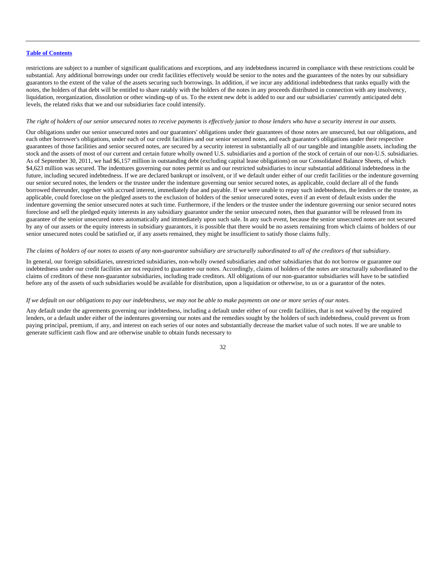restrictions are subject to a number of significant qualifications and exceptions, and any indebtedness incurred in compliance with these restrictions could be substantial. Any additional borrowings under our credit facilities effectively would be senior to the notes and the guarantees of the notes by our subsidiary guarantors to the extent of the value of the assets securing such borrowings. In addition, if we incur any additional indebtedness that ranks equally with the notes, the holders of that debt will be entitled to share ratably with the holders of the notes in any proceeds distributed in connection with any insolvency, liquidation, reorganization, dissolution or other winding-up of us. To the extent new debt is added to our and our subsidiaries' currently anticipated debt levels, the related risks that we and our subsidiaries face could intensify.

#### *The right of holders of our senior unsecured notes to receive payments is effectively junior to those lenders who have a security interest in our assets.*

Our obligations under our senior unsecured notes and our guarantors' obligations under their guarantees of those notes are unsecured, but our obligations, and each other borrower's obligations, under each of our credit facilities and our senior secured notes, and each guarantor's obligations under their respective guarantees of those facilities and senior secured notes, are secured by a security interest in substantially all of our tangible and intangible assets, including the stock and the assets of most of our current and certain future wholly owned U.S. subsidiaries and a portion of the stock of certain of our non-U.S. subsidiaries. As of September 30, 2011, we had \$6,157 million in outstanding debt (excluding capital lease obligations) on our Consolidated Balance Sheets, of which \$4,623 million was secured. The indentures governing our notes permit us and our restricted subsidiaries to incur substantial additional indebtedness in the future, including secured indebtedness. If we are declared bankrupt or insolvent, or if we default under either of our credit facilities or the indenture governing our senior secured notes, the lenders or the trustee under the indenture governing our senior secured notes, as applicable, could declare all of the funds borrowed thereunder, together with accrued interest, immediately due and payable. If we were unable to repay such indebtedness, the lenders or the trustee, as applicable, could foreclose on the pledged assets to the exclusion of holders of the senior unsecured notes, even if an event of default exists under the indenture governing the senior unsecured notes at such time. Furthermore, if the lenders or the trustee under the indenture governing our senior secured notes foreclose and sell the pledged equity interests in any subsidiary guarantor under the senior unsecured notes, then that guarantor will be released from its guarantee of the senior unsecured notes automatically and immediately upon such sale. In any such event, because the senior unsecured notes are not secured by any of our assets or the equity interests in subsidiary guarantors, it is possible that there would be no assets remaining from which claims of holders of our senior unsecured notes could be satisfied or, if any assets remained, they might be insufficient to satisfy those claims fully.

#### *The claims of holders of our notes to assets of any non-guarantor subsidiary are structurally subordinated to all of the creditors of that subsidiary.*

In general, our foreign subsidiaries, unrestricted subsidiaries, non-wholly owned subsidiaries and other subsidiaries that do not borrow or guarantee our indebtedness under our credit facilities are not required to guarantee our notes. Accordingly, claims of holders of the notes are structurally subordinated to the claims of creditors of these non-guarantor subsidiaries, including trade creditors. All obligations of our non-guarantor subsidiaries will have to be satisfied before any of the assets of such subsidiaries would be available for distribution, upon a liquidation or otherwise, to us or a guarantor of the notes.

#### *If we default on our obligations to pay our indebtedness, we may not be able to make payments on one or more series of our notes.*

Any default under the agreements governing our indebtedness, including a default under either of our credit facilities, that is not waived by the required lenders, or a default under either of the indentures governing our notes and the remedies sought by the holders of such indebtedness, could prevent us from paying principal, premium, if any, and interest on each series of our notes and substantially decrease the market value of such notes. If we are unable to generate sufficient cash flow and are otherwise unable to obtain funds necessary to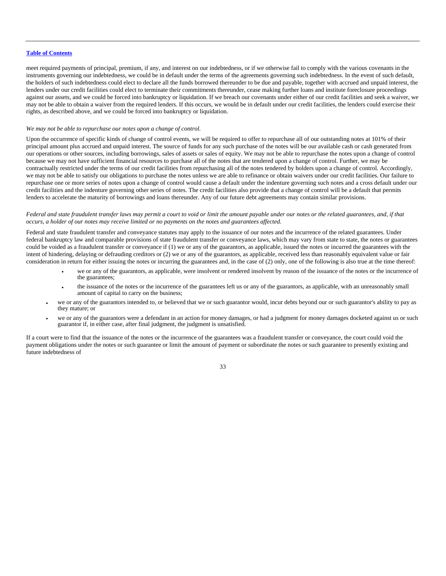meet required payments of principal, premium, if any, and interest on our indebtedness, or if we otherwise fail to comply with the various covenants in the instruments governing our indebtedness, we could be in default under the terms of the agreements governing such indebtedness. In the event of such default, the holders of such indebtedness could elect to declare all the funds borrowed thereunder to be due and payable, together with accrued and unpaid interest, the lenders under our credit facilities could elect to terminate their commitments thereunder, cease making further loans and institute foreclosure proceedings against our assets, and we could be forced into bankruptcy or liquidation. If we breach our covenants under either of our credit facilities and seek a waiver, we may not be able to obtain a waiver from the required lenders. If this occurs, we would be in default under our credit facilities, the lenders could exercise their rights, as described above, and we could be forced into bankruptcy or liquidation.

#### *We may not be able to repurchase our notes upon a change of control.*

Upon the occurrence of specific kinds of change of control events, we will be required to offer to repurchase all of our outstanding notes at 101% of their principal amount plus accrued and unpaid interest. The source of funds for any such purchase of the notes will be our available cash or cash generated from our operations or other sources, including borrowings, sales of assets or sales of equity. We may not be able to repurchase the notes upon a change of control because we may not have sufficient financial resources to purchase all of the notes that are tendered upon a change of control. Further, we may be contractually restricted under the terms of our credit facilities from repurchasing all of the notes tendered by holders upon a change of control. Accordingly, we may not be able to satisfy our obligations to purchase the notes unless we are able to refinance or obtain waivers under our credit facilities. Our failure to repurchase one or more series of notes upon a change of control would cause a default under the indenture governing such notes and a cross default under our credit facilities and the indenture governing other series of notes. The credit facilities also provide that a change of control will be a default that permits lenders to accelerate the maturity of borrowings and loans thereunder. Any of our future debt agreements may contain similar provisions.

#### *Federal and state fraudulent transfer laws may permit a court to void or limit the amount payable under our notes or the related guarantees, and, if that occurs, a holder of our notes may receive limited or no payments on the notes and guarantees affected.*

Federal and state fraudulent transfer and conveyance statutes may apply to the issuance of our notes and the incurrence of the related guarantees. Under federal bankruptcy law and comparable provisions of state fraudulent transfer or conveyance laws, which may vary from state to state, the notes or guarantees could be voided as a fraudulent transfer or conveyance if (1) we or any of the guarantors, as applicable, issued the notes or incurred the guarantees with the intent of hindering, delaying or defrauding creditors or (2) we or any of the guarantors, as applicable, received less than reasonably equivalent value or fair consideration in return for either issuing the notes or incurring the guarantees and, in the case of (2) only, one of the following is also true at the time thereof:

- we or any of the guarantors, as applicable, were insolvent or rendered insolvent by reason of the issuance of the notes or the incurrence of the guarantees;
- the issuance of the notes or the incurrence of the guarantees left us or any of the guarantors, as applicable, with an unreasonably small amount of capital to carry on the business;
- we or any of the guarantors intended to, or believed that we or such guarantor would, incur debts beyond our or such guarantor's ability to pay as they mature; or
- we or any of the guarantors were a defendant in an action for money damages, or had a judgment for money damages docketed against us or such guarantor if, in either case, after final judgment, the judgment is unsatisfied.

If a court were to find that the issuance of the notes or the incurrence of the guarantees was a fraudulent transfer or conveyance, the court could void the payment obligations under the notes or such guarantee or limit the amount of payment or subordinate the notes or such guarantee to presently existing and future indebtedness of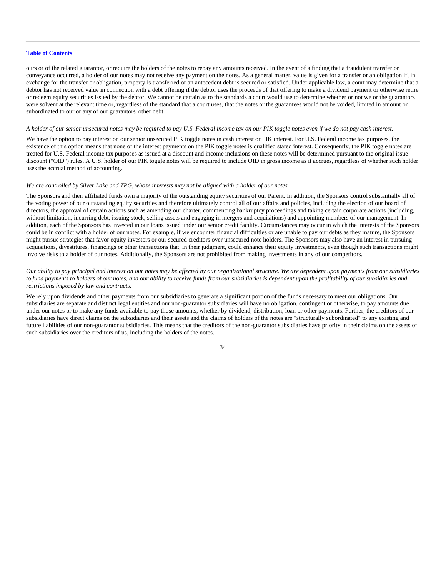ours or of the related guarantor, or require the holders of the notes to repay any amounts received. In the event of a finding that a fraudulent transfer or conveyance occurred, a holder of our notes may not receive any payment on the notes. As a general matter, value is given for a transfer or an obligation if, in exchange for the transfer or obligation, property is transferred or an antecedent debt is secured or satisfied. Under applicable law, a court may determine that a debtor has not received value in connection with a debt offering if the debtor uses the proceeds of that offering to make a dividend payment or otherwise retire or redeem equity securities issued by the debtor. We cannot be certain as to the standards a court would use to determine whether or not we or the guarantors were solvent at the relevant time or, regardless of the standard that a court uses, that the notes or the guarantees would not be voided, limited in amount or subordinated to our or any of our guarantors' other debt.

# *A holder of our senior unsecured notes may be required to pay U.S. Federal income tax on our PIK toggle notes even if we do not pay cash interest.*

We have the option to pay interest on our senior unsecured PIK toggle notes in cash interest or PIK interest. For U.S. Federal income tax purposes, the existence of this option means that none of the interest payments on the PIK toggle notes is qualified stated interest. Consequently, the PIK toggle notes are treated for U.S. Federal income tax purposes as issued at a discount and income inclusions on these notes will be determined pursuant to the original issue discount ("OID") rules. A U.S. holder of our PIK toggle notes will be required to include OID in gross income as it accrues, regardless of whether such holder uses the accrual method of accounting.

### *We are controlled by Silver Lake and TPG, whose interests may not be aligned with a holder of our notes.*

The Sponsors and their affiliated funds own a majority of the outstanding equity securities of our Parent. In addition, the Sponsors control substantially all of the voting power of our outstanding equity securities and therefore ultimately control all of our affairs and policies, including the election of our board of directors, the approval of certain actions such as amending our charter, commencing bankruptcy proceedings and taking certain corporate actions (including, without limitation, incurring debt, issuing stock, selling assets and engaging in mergers and acquisitions) and appointing members of our management. In addition, each of the Sponsors has invested in our loans issued under our senior credit facility. Circumstances may occur in which the interests of the Sponsors could be in conflict with a holder of our notes. For example, if we encounter financial difficulties or are unable to pay our debts as they mature, the Sponsors might pursue strategies that favor equity investors or our secured creditors over unsecured note holders. The Sponsors may also have an interest in pursuing acquisitions, divestitures, financings or other transactions that, in their judgment, could enhance their equity investments, even though such transactions might involve risks to a holder of our notes. Additionally, the Sponsors are not prohibited from making investments in any of our competitors.

# *Our ability to pay principal and interest on our notes may be affected by our organizational structure. We are dependent upon payments from our subsidiaries to fund payments to holders of our notes, and our ability to receive funds from our subsidiaries is dependent upon the profitability of our subsidiaries and restrictions imposed by law and contracts.*

We rely upon dividends and other payments from our subsidiaries to generate a significant portion of the funds necessary to meet our obligations. Our subsidiaries are separate and distinct legal entities and our non-guarantor subsidiaries will have no obligation, contingent or otherwise, to pay amounts due under our notes or to make any funds available to pay those amounts, whether by dividend, distribution, loan or other payments. Further, the creditors of our subsidiaries have direct claims on the subsidiaries and their assets and the claims of holders of the notes are "structurally subordinated" to any existing and future liabilities of our non-guarantor subsidiaries. This means that the creditors of the non-guarantor subsidiaries have priority in their claims on the assets of such subsidiaries over the creditors of us, including the holders of the notes.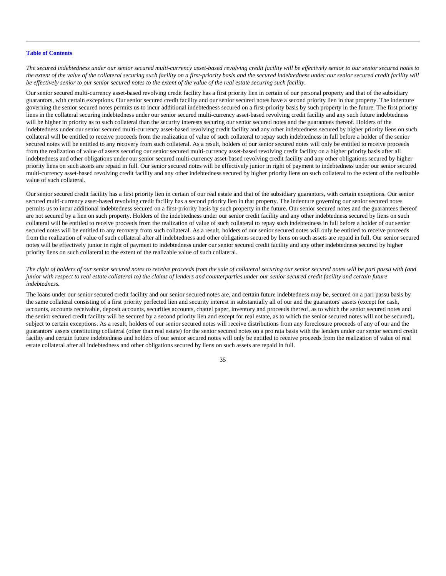*The secured indebtedness under our senior secured multi-currency asset-based revolving credit facility will be effectively senior to our senior secured notes to the extent of the value of the collateral securing such facility on a first-priority basis and the secured indebtedness under our senior secured credit facility will be effectively senior to our senior secured notes to the extent of the value of the real estate securing such facility.*

Our senior secured multi-currency asset-based revolving credit facility has a first priority lien in certain of our personal property and that of the subsidiary guarantors, with certain exceptions. Our senior secured credit facility and our senior secured notes have a second priority lien in that property. The indenture governing the senior secured notes permits us to incur additional indebtedness secured on a first-priority basis by such property in the future. The first priority liens in the collateral securing indebtedness under our senior secured multi-currency asset-based revolving credit facility and any such future indebtedness will be higher in priority as to such collateral than the security interests securing our senior secured notes and the guarantees thereof. Holders of the indebtedness under our senior secured multi-currency asset-based revolving credit facility and any other indebtedness secured by higher priority liens on such collateral will be entitled to receive proceeds from the realization of value of such collateral to repay such indebtedness in full before a holder of the senior secured notes will be entitled to any recovery from such collateral. As a result, holders of our senior secured notes will only be entitled to receive proceeds from the realization of value of assets securing our senior secured multi-currency asset-based revolving credit facility on a higher priority basis after all indebtedness and other obligations under our senior secured multi-currency asset-based revolving credit facility and any other obligations secured by higher priority liens on such assets are repaid in full. Our senior secured notes will be effectively junior in right of payment to indebtedness under our senior secured multi-currency asset-based revolving credit facility and any other indebtedness secured by higher priority liens on such collateral to the extent of the realizable value of such collateral.

Our senior secured credit facility has a first priority lien in certain of our real estate and that of the subsidiary guarantors, with certain exceptions. Our senior secured multi-currency asset-based revolving credit facility has a second priority lien in that property. The indenture governing our senior secured notes permits us to incur additional indebtedness secured on a first-priority basis by such property in the future. Our senior secured notes and the guarantees thereof are not secured by a lien on such property. Holders of the indebtedness under our senior credit facility and any other indebtedness secured by liens on such collateral will be entitled to receive proceeds from the realization of value of such collateral to repay such indebtedness in full before a holder of our senior secured notes will be entitled to any recovery from such collateral. As a result, holders of our senior secured notes will only be entitled to receive proceeds from the realization of value of such collateral after all indebtedness and other obligations secured by liens on such assets are repaid in full. Our senior secured notes will be effectively junior in right of payment to indebtedness under our senior secured credit facility and any other indebtedness secured by higher priority liens on such collateral to the extent of the realizable value of such collateral.

*The right of holders of our senior secured notes to receive proceeds from the sale of collateral securing our senior secured notes will be pari passu with (and junior with respect to real estate collateral to) the claims of lenders and counterparties under our senior secured credit facility and certain future indebtedness.*

The loans under our senior secured credit facility and our senior secured notes are, and certain future indebtedness may be, secured on a pari passu basis by the same collateral consisting of a first priority perfected lien and security interest in substantially all of our and the guarantors' assets (except for cash, accounts, accounts receivable, deposit accounts, securities accounts, chattel paper, inventory and proceeds thereof, as to which the senior secured notes and the senior secured credit facility will be secured by a second priority lien and except for real estate, as to which the senior secured notes will not be secured), subject to certain exceptions. As a result, holders of our senior secured notes will receive distributions from any foreclosure proceeds of any of our and the guarantors' assets constituting collateral (other than real estate) for the senior secured notes on a pro rata basis with the lenders under our senior secured credit facility and certain future indebtedness and holders of our senior secured notes will only be entitled to receive proceeds from the realization of value of real estate collateral after all indebtedness and other obligations secured by liens on such assets are repaid in full.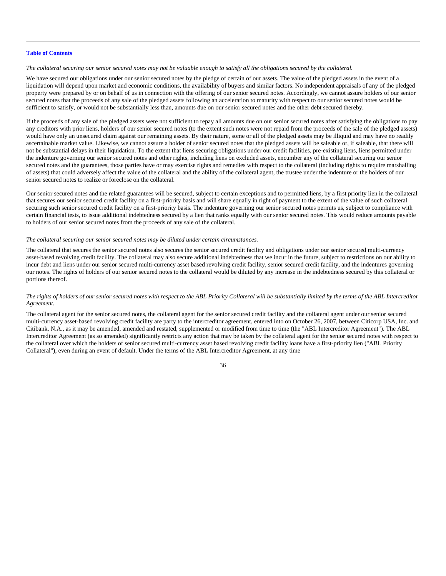# *The collateral securing our senior secured notes may not be valuable enough to satisfy all the obligations secured by the collateral.*

We have secured our obligations under our senior secured notes by the pledge of certain of our assets. The value of the pledged assets in the event of a liquidation will depend upon market and economic conditions, the availability of buyers and similar factors. No independent appraisals of any of the pledged property were prepared by or on behalf of us in connection with the offering of our senior secured notes. Accordingly, we cannot assure holders of our senior secured notes that the proceeds of any sale of the pledged assets following an acceleration to maturity with respect to our senior secured notes would be sufficient to satisfy, or would not be substantially less than, amounts due on our senior secured notes and the other debt secured thereby.

If the proceeds of any sale of the pledged assets were not sufficient to repay all amounts due on our senior secured notes after satisfying the obligations to pay any creditors with prior liens, holders of our senior secured notes (to the extent such notes were not repaid from the proceeds of the sale of the pledged assets) would have only an unsecured claim against our remaining assets. By their nature, some or all of the pledged assets may be illiquid and may have no readily ascertainable market value. Likewise, we cannot assure a holder of senior secured notes that the pledged assets will be saleable or, if saleable, that there will not be substantial delays in their liquidation. To the extent that liens securing obligations under our credit facilities, pre-existing liens, liens permitted under the indenture governing our senior secured notes and other rights, including liens on excluded assets, encumber any of the collateral securing our senior secured notes and the guarantees, those parties have or may exercise rights and remedies with respect to the collateral (including rights to require marshalling of assets) that could adversely affect the value of the collateral and the ability of the collateral agent, the trustee under the indenture or the holders of our senior secured notes to realize or foreclose on the collateral.

Our senior secured notes and the related guarantees will be secured, subject to certain exceptions and to permitted liens, by a first priority lien in the collateral that secures our senior secured credit facility on a first-priority basis and will share equally in right of payment to the extent of the value of such collateral securing such senior secured credit facility on a first-priority basis. The indenture governing our senior secured notes permits us, subject to compliance with certain financial tests, to issue additional indebtedness secured by a lien that ranks equally with our senior secured notes. This would reduce amounts payable to holders of our senior secured notes from the proceeds of any sale of the collateral.

### *The collateral securing our senior secured notes may be diluted under certain circumstances.*

The collateral that secures the senior secured notes also secures the senior secured credit facility and obligations under our senior secured multi-currency asset-based revolving credit facility. The collateral may also secure additional indebtedness that we incur in the future, subject to restrictions on our ability to incur debt and liens under our senior secured multi-currency asset based revolving credit facility, senior secured credit facility, and the indentures governing our notes. The rights of holders of our senior secured notes to the collateral would be diluted by any increase in the indebtedness secured by this collateral or portions thereof.

# *The rights of holders of our senior secured notes with respect to the ABL Priority Collateral will be substantially limited by the terms of the ABL Intercreditor Agreement.*

The collateral agent for the senior secured notes, the collateral agent for the senior secured credit facility and the collateral agent under our senior secured multi-currency asset-based revolving credit facility are party to the intercreditor agreement, entered into on October 26, 2007, between Citicorp USA, Inc. and Citibank, N.A., as it may be amended, amended and restated, supplemented or modified from time to time (the "ABL Intercreditor Agreement"). The ABL Intercreditor Agreement (as so amended) significantly restricts any action that may be taken by the collateral agent for the senior secured notes with respect to the collateral over which the holders of senior secured multi-currency asset based revolving credit facility loans have a first-priority lien ("ABL Priority Collateral"), even during an event of default. Under the terms of the ABL Intercreditor Agreement, at any time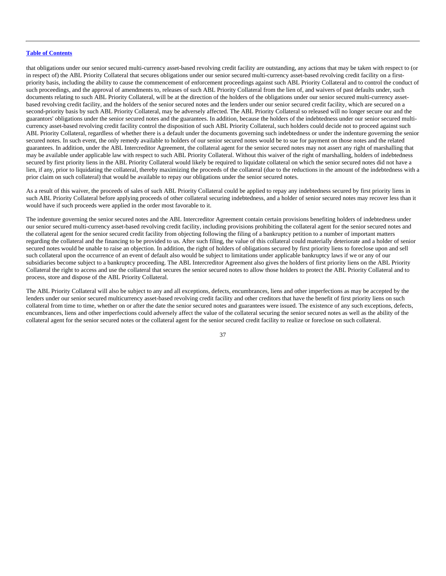that obligations under our senior secured multi-currency asset-based revolving credit facility are outstanding, any actions that may be taken with respect to (or in respect of) the ABL Priority Collateral that secures obligations under our senior secured multi-currency asset-based revolving credit facility on a firstpriority basis, including the ability to cause the commencement of enforcement proceedings against such ABL Priority Collateral and to control the conduct of such proceedings, and the approval of amendments to, releases of such ABL Priority Collateral from the lien of, and waivers of past defaults under, such documents relating to such ABL Priority Collateral, will be at the direction of the holders of the obligations under our senior secured multi-currency assetbased revolving credit facility, and the holders of the senior secured notes and the lenders under our senior secured credit facility, which are secured on a second-priority basis by such ABL Priority Collateral, may be adversely affected. The ABL Priority Collateral so released will no longer secure our and the guarantors' obligations under the senior secured notes and the guarantees. In addition, because the holders of the indebtedness under our senior secured multicurrency asset-based revolving credit facility control the disposition of such ABL Priority Collateral, such holders could decide not to proceed against such ABL Priority Collateral, regardless of whether there is a default under the documents governing such indebtedness or under the indenture governing the senior secured notes. In such event, the only remedy available to holders of our senior secured notes would be to sue for payment on those notes and the related guarantees. In addition, under the ABL Intercreditor Agreement, the collateral agent for the senior secured notes may not assert any right of marshalling that may be available under applicable law with respect to such ABL Priority Collateral. Without this waiver of the right of marshalling, holders of indebtedness secured by first priority liens in the ABL Priority Collateral would likely be required to liquidate collateral on which the senior secured notes did not have a lien, if any, prior to liquidating the collateral, thereby maximizing the proceeds of the collateral (due to the reductions in the amount of the indebtedness with a prior claim on such collateral) that would be available to repay our obligations under the senior secured notes.

As a result of this waiver, the proceeds of sales of such ABL Priority Collateral could be applied to repay any indebtedness secured by first priority liens in such ABL Priority Collateral before applying proceeds of other collateral securing indebtedness, and a holder of senior secured notes may recover less than it would have if such proceeds were applied in the order most favorable to it.

The indenture governing the senior secured notes and the ABL Intercreditor Agreement contain certain provisions benefiting holders of indebtedness under our senior secured multi-currency asset-based revolving credit facility, including provisions prohibiting the collateral agent for the senior secured notes and the collateral agent for the senior secured credit facility from objecting following the filing of a bankruptcy petition to a number of important matters regarding the collateral and the financing to be provided to us. After such filing, the value of this collateral could materially deteriorate and a holder of senior secured notes would be unable to raise an objection. In addition, the right of holders of obligations secured by first priority liens to foreclose upon and sell such collateral upon the occurrence of an event of default also would be subject to limitations under applicable bankruptcy laws if we or any of our subsidiaries become subject to a bankruptcy proceeding. The ABL Intercreditor Agreement also gives the holders of first priority liens on the ABL Priority Collateral the right to access and use the collateral that secures the senior secured notes to allow those holders to protect the ABL Priority Collateral and to process, store and dispose of the ABL Priority Collateral.

The ABL Priority Collateral will also be subject to any and all exceptions, defects, encumbrances, liens and other imperfections as may be accepted by the lenders under our senior secured multicurrency asset-based revolving credit facility and other creditors that have the benefit of first priority liens on such collateral from time to time, whether on or after the date the senior secured notes and guarantees were issued. The existence of any such exceptions, defects, encumbrances, liens and other imperfections could adversely affect the value of the collateral securing the senior secured notes as well as the ability of the collateral agent for the senior secured notes or the collateral agent for the senior secured credit facility to realize or foreclose on such collateral.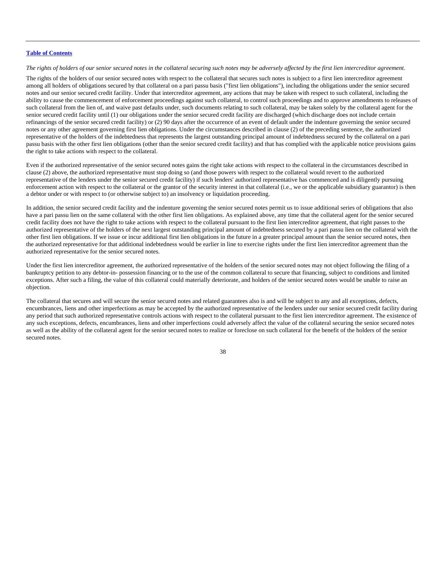*The rights of holders of our senior secured notes in the collateral securing such notes may be adversely affected by the first lien intercreditor agreement.*

The rights of the holders of our senior secured notes with respect to the collateral that secures such notes is subject to a first lien intercreditor agreement among all holders of obligations secured by that collateral on a pari passu basis ("first lien obligations"), including the obligations under the senior secured notes and our senior secured credit facility. Under that intercreditor agreement, any actions that may be taken with respect to such collateral, including the ability to cause the commencement of enforcement proceedings against such collateral, to control such proceedings and to approve amendments to releases of such collateral from the lien of, and waive past defaults under, such documents relating to such collateral, may be taken solely by the collateral agent for the senior secured credit facility until (1) our obligations under the senior secured credit facility are discharged (which discharge does not include certain refinancings of the senior secured credit facility) or (2) 90 days after the occurrence of an event of default under the indenture governing the senior secured notes or any other agreement governing first lien obligations. Under the circumstances described in clause (2) of the preceding sentence, the authorized representative of the holders of the indebtedness that represents the largest outstanding principal amount of indebtedness secured by the collateral on a pari passu basis with the other first lien obligations (other than the senior secured credit facility) and that has complied with the applicable notice provisions gains the right to take actions with respect to the collateral.

Even if the authorized representative of the senior secured notes gains the right take actions with respect to the collateral in the circumstances described in clause (2) above, the authorized representative must stop doing so (and those powers with respect to the collateral would revert to the authorized representative of the lenders under the senior secured credit facility) if such lenders' authorized representative has commenced and is diligently pursuing enforcement action with respect to the collateral or the grantor of the security interest in that collateral (i.e., we or the applicable subsidiary guarantor) is then a debtor under or with respect to (or otherwise subject to) an insolvency or liquidation proceeding.

In addition, the senior secured credit facility and the indenture governing the senior secured notes permit us to issue additional series of obligations that also have a pari passu lien on the same collateral with the other first lien obligations. As explained above, any time that the collateral agent for the senior secured credit facility does not have the right to take actions with respect to the collateral pursuant to the first lien intercreditor agreement, that right passes to the authorized representative of the holders of the next largest outstanding principal amount of indebtedness secured by a pari passu lien on the collateral with the other first lien obligations. If we issue or incur additional first lien obligations in the future in a greater principal amount than the senior secured notes, then the authorized representative for that additional indebtedness would be earlier in line to exercise rights under the first lien intercreditor agreement than the authorized representative for the senior secured notes.

Under the first lien intercreditor agreement, the authorized representative of the holders of the senior secured notes may not object following the filing of a bankruptcy petition to any debtor-in- possession financing or to the use of the common collateral to secure that financing, subject to conditions and limited exceptions. After such a filing, the value of this collateral could materially deteriorate, and holders of the senior secured notes would be unable to raise an objection.

The collateral that secures and will secure the senior secured notes and related guarantees also is and will be subject to any and all exceptions, defects, encumbrances, liens and other imperfections as may be accepted by the authorized representative of the lenders under our senior secured credit facility during any period that such authorized representative controls actions with respect to the collateral pursuant to the first lien intercreditor agreement. The existence of any such exceptions, defects, encumbrances, liens and other imperfections could adversely affect the value of the collateral securing the senior secured notes as well as the ability of the collateral agent for the senior secured notes to realize or foreclose on such collateral for the benefit of the holders of the senior secured notes.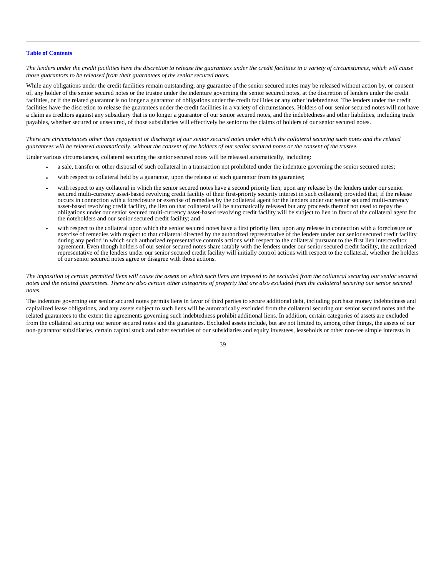*The lenders under the credit facilities have the discretion to release the guarantors under the credit facilities in a variety of circumstances, which will cause those guarantors to be released from their guarantees of the senior secured notes.*

While any obligations under the credit facilities remain outstanding, any guarantee of the senior secured notes may be released without action by, or consent of, any holder of the senior secured notes or the trustee under the indenture governing the senior secured notes, at the discretion of lenders under the credit facilities, or if the related guarantor is no longer a guarantor of obligations under the credit facilities or any other indebtedness. The lenders under the credit facilities have the discretion to release the guarantees under the credit facilities in a variety of circumstances. Holders of our senior secured notes will not have a claim as creditors against any subsidiary that is no longer a guarantor of our senior secured notes, and the indebtedness and other liabilities, including trade payables, whether secured or unsecured, of those subsidiaries will effectively be senior to the claims of holders of our senior secured notes.

# *There are circumstances other than repayment or discharge of our senior secured notes under which the collateral securing such notes and the related guarantees will be released automatically, without the consent of the holders of our senior secured notes or the consent of the trustee.*

Under various circumstances, collateral securing the senior secured notes will be released automatically, including:

- a sale, transfer or other disposal of such collateral in a transaction not prohibited under the indenture governing the senior secured notes;
- with respect to collateral held by a guarantor, upon the release of such guarantor from its guarantee;
- with respect to any collateral in which the senior secured notes have a second priority lien, upon any release by the lenders under our senior secured multi-currency asset-based revolving credit facility of their first-priority security interest in such collateral; provided that, if the release occurs in connection with a foreclosure or exercise of remedies by the collateral agent for the lenders under our senior secured multi-currency asset-based revolving credit facility, the lien on that collateral will be automatically released but any proceeds thereof not used to repay the obligations under our senior secured multi-currency asset-based revolving credit facility will be subject to lien in favor of the collateral agent for the noteholders and our senior secured credit facility; and
- with respect to the collateral upon which the senior secured notes have a first priority lien, upon any release in connection with a foreclosure or exercise of remedies with respect to that collateral directed by the authorized representative of the lenders under our senior secured credit facility during any period in which such authorized representative controls actions with respect to the collateral pursuant to the first lien intercreditor agreement. Even though holders of our senior secured notes share ratably with the lenders under our senior secured credit facility, the authorized representative of the lenders under our senior secured credit facility will initially control actions with respect to the collateral, whether the holders of our senior secured notes agree or disagree with those actions.

# *The imposition of certain permitted liens will cause the assets on which such liens are imposed to be excluded from the collateral securing our senior secured notes and the related guarantees. There are also certain other categories of property that are also excluded from the collateral securing our senior secured notes.*

The indenture governing our senior secured notes permits liens in favor of third parties to secure additional debt, including purchase money indebtedness and capitalized lease obligations, and any assets subject to such liens will be automatically excluded from the collateral securing our senior secured notes and the related guarantees to the extent the agreements governing such indebtedness prohibit additional liens. In addition, certain categories of assets are excluded from the collateral securing our senior secured notes and the guarantees. Excluded assets include, but are not limited to, among other things, the assets of our non-guarantor subsidiaries, certain capital stock and other securities of our subsidiaries and equity investees, leaseholds or other non-fee simple interests in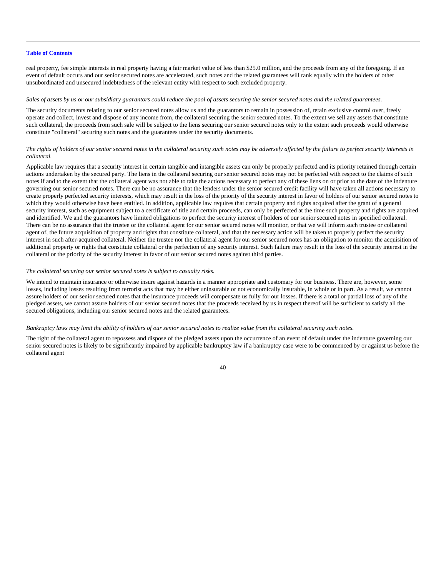real property, fee simple interests in real property having a fair market value of less than \$25.0 million, and the proceeds from any of the foregoing. If an event of default occurs and our senior secured notes are accelerated, such notes and the related guarantees will rank equally with the holders of other unsubordinated and unsecured indebtedness of the relevant entity with respect to such excluded property.

# *Sales of assets by us or our subsidiary guarantors could reduce the pool of assets securing the senior secured notes and the related guarantees.*

The security documents relating to our senior secured notes allow us and the guarantors to remain in possession of, retain exclusive control over, freely operate and collect, invest and dispose of any income from, the collateral securing the senior secured notes. To the extent we sell any assets that constitute such collateral, the proceeds from such sale will be subject to the liens securing our senior secured notes only to the extent such proceeds would otherwise constitute "collateral" securing such notes and the guarantees under the security documents.

# *The rights of holders of our senior secured notes in the collateral securing such notes may be adversely affected by the failure to perfect security interests in collateral.*

Applicable law requires that a security interest in certain tangible and intangible assets can only be properly perfected and its priority retained through certain actions undertaken by the secured party. The liens in the collateral securing our senior secured notes may not be perfected with respect to the claims of such notes if and to the extent that the collateral agent was not able to take the actions necessary to perfect any of these liens on or prior to the date of the indenture governing our senior secured notes. There can be no assurance that the lenders under the senior secured credit facility will have taken all actions necessary to create properly perfected security interests, which may result in the loss of the priority of the security interest in favor of holders of our senior secured notes to which they would otherwise have been entitled. In addition, applicable law requires that certain property and rights acquired after the grant of a general security interest, such as equipment subject to a certificate of title and certain proceeds, can only be perfected at the time such property and rights are acquired and identified. We and the guarantors have limited obligations to perfect the security interest of holders of our senior secured notes in specified collateral. There can be no assurance that the trustee or the collateral agent for our senior secured notes will monitor, or that we will inform such trustee or collateral agent of, the future acquisition of property and rights that constitute collateral, and that the necessary action will be taken to properly perfect the security interest in such after-acquired collateral. Neither the trustee nor the collateral agent for our senior secured notes has an obligation to monitor the acquisition of additional property or rights that constitute collateral or the perfection of any security interest. Such failure may result in the loss of the security interest in the collateral or the priority of the security interest in favor of our senior secured notes against third parties.

# *The collateral securing our senior secured notes is subject to casualty risks.*

We intend to maintain insurance or otherwise insure against hazards in a manner appropriate and customary for our business. There are, however, some losses, including losses resulting from terrorist acts that may be either uninsurable or not economically insurable, in whole or in part. As a result, we cannot assure holders of our senior secured notes that the insurance proceeds will compensate us fully for our losses. If there is a total or partial loss of any of the pledged assets, we cannot assure holders of our senior secured notes that the proceeds received by us in respect thereof will be sufficient to satisfy all the secured obligations, including our senior secured notes and the related guarantees.

### *Bankruptcy laws may limit the ability of holders of our senior secured notes to realize value from the collateral securing such notes.*

The right of the collateral agent to repossess and dispose of the pledged assets upon the occurrence of an event of default under the indenture governing our senior secured notes is likely to be significantly impaired by applicable bankruptcy law if a bankruptcy case were to be commenced by or against us before the collateral agent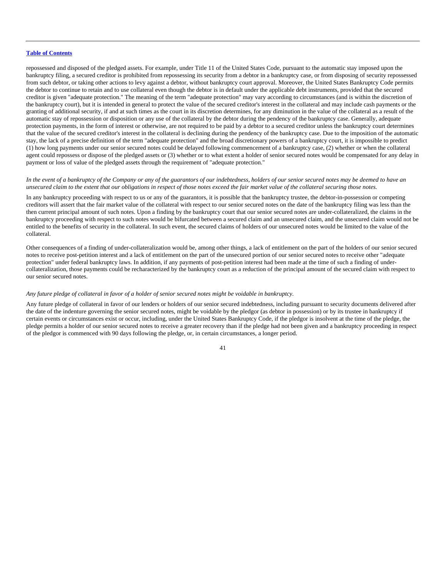repossessed and disposed of the pledged assets. For example, under Title 11 of the United States Code, pursuant to the automatic stay imposed upon the bankruptcy filing, a secured creditor is prohibited from repossessing its security from a debtor in a bankruptcy case, or from disposing of security repossessed from such debtor, or taking other actions to levy against a debtor, without bankruptcy court approval. Moreover, the United States Bankruptcy Code permits the debtor to continue to retain and to use collateral even though the debtor is in default under the applicable debt instruments, provided that the secured creditor is given "adequate protection." The meaning of the term "adequate protection" may vary according to circumstances (and is within the discretion of the bankruptcy court), but it is intended in general to protect the value of the secured creditor's interest in the collateral and may include cash payments or the granting of additional security, if and at such times as the court in its discretion determines, for any diminution in the value of the collateral as a result of the automatic stay of repossession or disposition or any use of the collateral by the debtor during the pendency of the bankruptcy case. Generally, adequate protection payments, in the form of interest or otherwise, are not required to be paid by a debtor to a secured creditor unless the bankruptcy court determines that the value of the secured creditor's interest in the collateral is declining during the pendency of the bankruptcy case. Due to the imposition of the automatic stay, the lack of a precise definition of the term "adequate protection" and the broad discretionary powers of a bankruptcy court, it is impossible to predict (1) how long payments under our senior secured notes could be delayed following commencement of a bankruptcy case, (2) whether or when the collateral agent could repossess or dispose of the pledged assets or (3) whether or to what extent a holder of senior secured notes would be compensated for any delay in payment or loss of value of the pledged assets through the requirement of "adequate protection."

# *In the event of a bankruptcy of the Company or any of the guarantors of our indebtedness, holders of our senior secured notes may be deemed to have an unsecured claim to the extent that our obligations in respect of those notes exceed the fair market value of the collateral securing those notes.*

In any bankruptcy proceeding with respect to us or any of the guarantors, it is possible that the bankruptcy trustee, the debtor-in-possession or competing creditors will assert that the fair market value of the collateral with respect to our senior secured notes on the date of the bankruptcy filing was less than the then current principal amount of such notes. Upon a finding by the bankruptcy court that our senior secured notes are under-collateralized, the claims in the bankruptcy proceeding with respect to such notes would be bifurcated between a secured claim and an unsecured claim, and the unsecured claim would not be entitled to the benefits of security in the collateral. In such event, the secured claims of holders of our unsecured notes would be limited to the value of the collateral.

Other consequences of a finding of under-collateralization would be, among other things, a lack of entitlement on the part of the holders of our senior secured notes to receive post-petition interest and a lack of entitlement on the part of the unsecured portion of our senior secured notes to receive other "adequate protection" under federal bankruptcy laws. In addition, if any payments of post-petition interest had been made at the time of such a finding of undercollateralization, those payments could be recharacterized by the bankruptcy court as a reduction of the principal amount of the secured claim with respect to our senior secured notes.

#### *Any future pledge of collateral in favor of a holder of senior secured notes might be voidable in bankruptcy.*

Any future pledge of collateral in favor of our lenders or holders of our senior secured indebtedness, including pursuant to security documents delivered after the date of the indenture governing the senior secured notes, might be voidable by the pledgor (as debtor in possession) or by its trustee in bankruptcy if certain events or circumstances exist or occur, including, under the United States Bankruptcy Code, if the pledgor is insolvent at the time of the pledge, the pledge permits a holder of our senior secured notes to receive a greater recovery than if the pledge had not been given and a bankruptcy proceeding in respect of the pledgor is commenced with 90 days following the pledge, or, in certain circumstances, a longer period.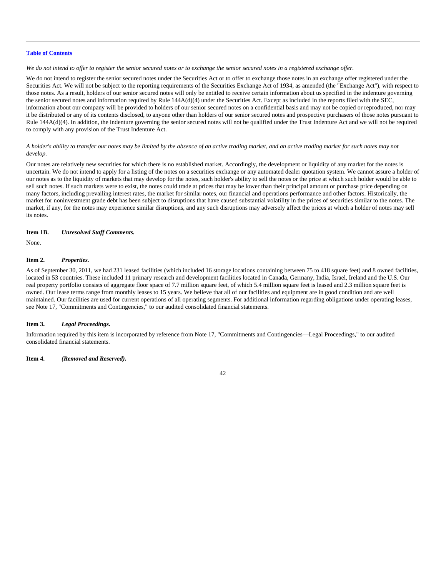## *We do not intend to offer to register the senior secured notes or to exchange the senior secured notes in a registered exchange offer.*

We do not intend to register the senior secured notes under the Securities Act or to offer to exchange those notes in an exchange offer registered under the Securities Act. We will not be subject to the reporting requirements of the Securities Exchange Act of 1934, as amended (the "Exchange Act"), with respect to those notes. As a result, holders of our senior secured notes will only be entitled to receive certain information about us specified in the indenture governing the senior secured notes and information required by Rule 144A(d)(4) under the Securities Act. Except as included in the reports filed with the SEC, information about our company will be provided to holders of our senior secured notes on a confidential basis and may not be copied or reproduced, nor may it be distributed or any of its contents disclosed, to anyone other than holders of our senior secured notes and prospective purchasers of those notes pursuant to Rule 144A(d)(4). In addition, the indenture governing the senior secured notes will not be qualified under the Trust Indenture Act and we will not be required to comply with any provision of the Trust Indenture Act.

# *A holder's ability to transfer our notes may be limited by the absence of an active trading market, and an active trading market for such notes may not develop.*

Our notes are relatively new securities for which there is no established market. Accordingly, the development or liquidity of any market for the notes is uncertain. We do not intend to apply for a listing of the notes on a securities exchange or any automated dealer quotation system. We cannot assure a holder of our notes as to the liquidity of markets that may develop for the notes, such holder's ability to sell the notes or the price at which such holder would be able to sell such notes. If such markets were to exist, the notes could trade at prices that may be lower than their principal amount or purchase price depending on many factors, including prevailing interest rates, the market for similar notes, our financial and operations performance and other factors. Historically, the market for noninvestment grade debt has been subject to disruptions that have caused substantial volatility in the prices of securities similar to the notes. The market, if any, for the notes may experience similar disruptions, and any such disruptions may adversely affect the prices at which a holder of notes may sell its notes.

# **Item 1B.** *Unresolved Staff Comments.*

None.

# **Item 2.** *Properties.*

As of September 30, 2011, we had 231 leased facilities (which included 16 storage locations containing between 75 to 418 square feet) and 8 owned facilities, located in 53 countries. These included 11 primary research and development facilities located in Canada, Germany, India, Israel, Ireland and the U.S. Our real property portfolio consists of aggregate floor space of 7.7 million square feet, of which 5.4 million square feet is leased and 2.3 million square feet is owned. Our lease terms range from monthly leases to 15 years. We believe that all of our facilities and equipment are in good condition and are well maintained. Our facilities are used for current operations of all operating segments. For additional information regarding obligations under operating leases, see Note 17, "Commitments and Contingencies," to our audited consolidated financial statements.

# **Item 3.** *Legal Proceedings.*

Information required by this item is incorporated by reference from Note 17, "Commitments and Contingencies—Legal Proceedings," to our audited consolidated financial statements.

# **Item 4.** *(Removed and Reserved).*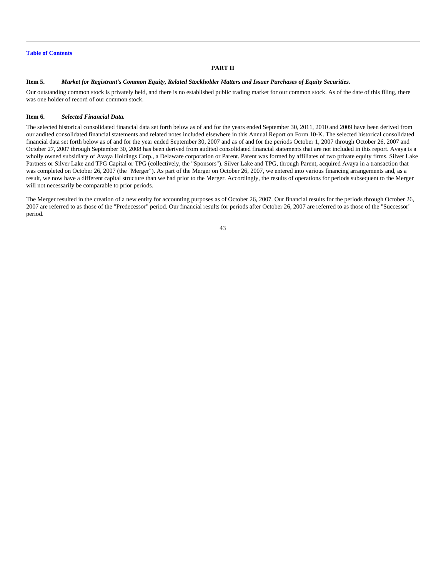# **PART II**

# **Item 5.** *Market for Registrant's Common Equity, Related Stockholder Matters and Issuer Purchases of Equity Securities.*

Our outstanding common stock is privately held, and there is no established public trading market for our common stock. As of the date of this filing, there was one holder of record of our common stock.

## **Item 6.** *Selected Financial Data.*

The selected historical consolidated financial data set forth below as of and for the years ended September 30, 2011, 2010 and 2009 have been derived from our audited consolidated financial statements and related notes included elsewhere in this Annual Report on Form 10-K. The selected historical consolidated financial data set forth below as of and for the year ended September 30, 2007 and as of and for the periods October 1, 2007 through October 26, 2007 and October 27, 2007 through September 30, 2008 has been derived from audited consolidated financial statements that are not included in this report. Avaya is a wholly owned subsidiary of Avaya Holdings Corp., a Delaware corporation or Parent. Parent was formed by affiliates of two private equity firms, Silver Lake Partners or Silver Lake and TPG Capital or TPG (collectively, the "Sponsors"). Silver Lake and TPG, through Parent, acquired Avaya in a transaction that was completed on October 26, 2007 (the "Merger"). As part of the Merger on October 26, 2007, we entered into various financing arrangements and, as a result, we now have a different capital structure than we had prior to the Merger. Accordingly, the results of operations for periods subsequent to the Merger will not necessarily be comparable to prior periods.

The Merger resulted in the creation of a new entity for accounting purposes as of October 26, 2007. Our financial results for the periods through October 26, 2007 are referred to as those of the "Predecessor" period. Our financial results for periods after October 26, 2007 are referred to as those of the "Successor" period.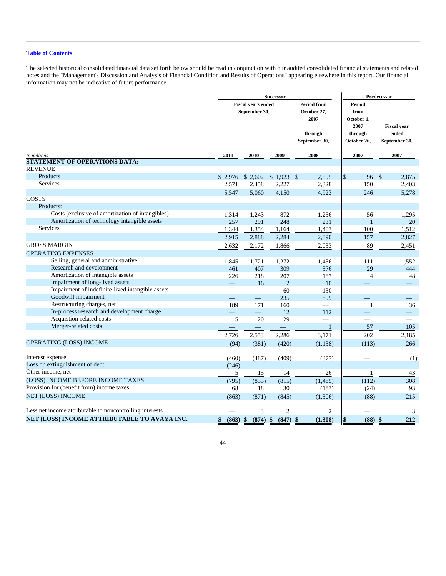The selected historical consolidated financial data set forth below should be read in conjunction with our audited consolidated financial statements and related notes and the "Management's Discussion and Analysis of Financial Condition and Results of Operations" appearing elsewhere in this report. Our financial information may not be indicative of future performance.

|                                                          |                          |                           | <b>Successor</b>         | Predecessor                      |                                              |                                              |  |  |
|----------------------------------------------------------|--------------------------|---------------------------|--------------------------|----------------------------------|----------------------------------------------|----------------------------------------------|--|--|
|                                                          |                          | <b>Fiscal years ended</b> |                          | <b>Period from</b>               | <b>Period</b>                                |                                              |  |  |
|                                                          |                          | September 30,             |                          | October 27,                      | from                                         |                                              |  |  |
|                                                          |                          |                           |                          | 2007<br>through<br>September 30, | October 1,<br>2007<br>through<br>October 26, | <b>Fiscal year</b><br>ended<br>September 30, |  |  |
| In millions                                              | 2011                     | 2010                      | 2009                     | 2008                             | 2007                                         | 2007                                         |  |  |
| <b>STATEMENT OF OPERATIONS DATA:</b>                     |                          |                           |                          |                                  |                                              |                                              |  |  |
| <b>REVENUE</b>                                           |                          |                           |                          |                                  |                                              |                                              |  |  |
| Products                                                 | \$2,976                  | \$2,602                   | \$1,923                  | 2,595<br>- \$                    | \$<br>96                                     | $\mathcal{S}$<br>2,875                       |  |  |
| Services                                                 | 2,571                    | 2,458                     | 2,227                    | 2,328                            | 150                                          | 2,403                                        |  |  |
|                                                          | 5.547                    | 5.060                     | 4.150                    | 4.923                            | 246                                          | 5,278                                        |  |  |
| <b>COSTS</b>                                             |                          |                           |                          |                                  |                                              |                                              |  |  |
| Products:                                                |                          |                           |                          |                                  |                                              |                                              |  |  |
| Costs (exclusive of amortization of intangibles)         | 1,314                    | 1,243                     | 872                      | 1,256                            | 56                                           | 1,295                                        |  |  |
| Amortization of technology intangible assets             | 257                      | 291                       | 248                      | 231                              |                                              | 20                                           |  |  |
| Services                                                 | 1,344                    | 1,354                     | 1,164                    | 1,403                            | 100                                          | 1,512                                        |  |  |
|                                                          | 2,915                    | 2,888                     | 2,284                    | 2,890                            | 157                                          | 2,827                                        |  |  |
| <b>GROSS MARGIN</b>                                      | 2,632                    | 2,172                     | 1,866                    | 2,033                            | 89                                           | 2,451                                        |  |  |
| <b>OPERATING EXPENSES</b>                                |                          |                           |                          |                                  |                                              |                                              |  |  |
| Selling, general and administrative                      | 1,845                    | 1,721                     | 1,272                    | 1,456                            | 111                                          | 1,552                                        |  |  |
| Research and development                                 | 461                      | 407                       | 309                      | 376                              | 29                                           | 444                                          |  |  |
| Amortization of intangible assets                        | 226                      | 218                       | 207                      | 187                              | $\overline{4}$                               | 48                                           |  |  |
| Impairment of long-lived assets                          | $\equiv$                 | 16                        | $\overline{2}$           | 10                               | $\equiv$                                     |                                              |  |  |
| Impairment of indefinite-lived intangible assets         |                          |                           | 60                       | 130                              |                                              |                                              |  |  |
| Goodwill impairment                                      | $\equiv$                 | $\equiv$                  | 235                      | 899                              | $\equiv$                                     | $\overline{\phantom{0}}$                     |  |  |
| Restructuring charges, net                               | 189                      | 171                       | 160                      | $\overline{\phantom{0}}$         | -1                                           | 36                                           |  |  |
| In-process research and development charge               | $\overline{\phantom{a}}$ | $\equiv$                  | 12                       | 112                              | $\equiv$                                     | $\equiv$                                     |  |  |
| Acquistion-related costs                                 | 5                        | 20                        | 29                       | $\overline{\phantom{0}}$         |                                              |                                              |  |  |
| Merger-related costs                                     |                          | $\qquad \qquad -$         | $\overline{\phantom{m}}$ | $\mathbf{1}$                     | 57                                           | 105                                          |  |  |
|                                                          | 2,726                    | 2,553                     | 2,286                    | 3,171                            | 202                                          | 2,185                                        |  |  |
| OPERATING (LOSS) INCOME                                  | (94)                     | (381)                     | (420)                    | (1, 138)                         | (113)                                        | 266                                          |  |  |
| Interest expense                                         | (460)                    | (487)                     | (409)                    | (377)                            |                                              | (1)                                          |  |  |
| Loss on extinguishment of debt                           | (246)                    |                           |                          |                                  |                                              |                                              |  |  |
| Other income, net                                        | 5                        | 15                        | 14                       | 26                               | $\overline{1}$                               | 43                                           |  |  |
| (LOSS) INCOME BEFORE INCOME TAXES                        | (795)                    | (853)                     | (815)                    | (1, 489)                         | (112)                                        | 308                                          |  |  |
| Provision for (benefit from) income taxes                | 68                       | 18                        | 30                       | (183)                            | (24)                                         | 93                                           |  |  |
| <b>NET (LOSS) INCOME</b>                                 | (863)                    | (871)                     | (845)                    | (1,306)                          | (88)                                         | 215                                          |  |  |
| Less net income attributable to noncontrolling interests |                          |                           | 2                        | $\overline{2}$                   |                                              | 3                                            |  |  |
| NET (LOSS) INCOME ATTRIBUTABLE TO AVAYA INC.             | \$<br>$(863)$ \$         | $(874)$ \$                | $(847)$ \$               | (1,308)                          | \$<br>$(88)$ \$                              | 212                                          |  |  |

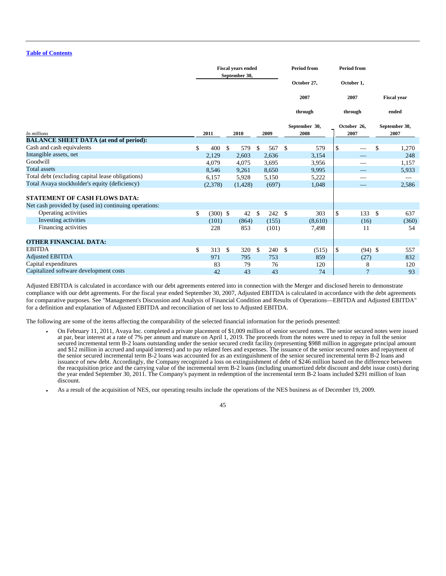|                                                       | <b>Fiscal years ended</b> |               |    |          |                    | <b>Period from</b> | <b>Period from</b>    |               |                     |     |                       |
|-------------------------------------------------------|---------------------------|---------------|----|----------|--------------------|--------------------|-----------------------|---------------|---------------------|-----|-----------------------|
|                                                       |                           | September 30, |    |          |                    |                    | October 27,           | October 1,    |                     |     |                       |
|                                                       |                           |               |    |          |                    |                    | 2007                  |               | 2007                |     | <b>Fiscal vear</b>    |
|                                                       |                           |               |    |          |                    |                    | through               |               | through             |     | ended                 |
| In millions                                           |                           | 2011          |    | 2010     |                    | 2009               | September 30,<br>2008 |               | October 26,<br>2007 |     | September 30,<br>2007 |
| <b>BALANCE SHEET DATA (at end of period):</b>         |                           |               |    |          |                    |                    |                       |               |                     |     |                       |
| Cash and cash equivalents                             | \$                        | 400           | \$ | 579      | \$                 | 567                | \$<br>579             | \$            |                     | \$  | 1,270                 |
| Intangible assets, net                                |                           | 2,129         |    | 2,603    |                    | 2,636              | 3,154                 |               |                     |     | 248                   |
| Goodwill                                              |                           | 4,079         |    | 4,075    |                    | 3,695              | 3,956                 |               |                     |     | 1,157                 |
| <b>Total</b> assets                                   |                           | 8,546         |    | 9,261    |                    | 8,650              | 9,995                 |               |                     |     | 5,933                 |
| Total debt (excluding capital lease obligations)      |                           | 6.157         |    | 5,928    |                    | 5,150              | 5,222                 |               |                     |     |                       |
| Total Avaya stockholder's equity (deficiency)         |                           | (2,378)       |    | (1, 428) |                    | (697)              | 1,048                 |               |                     |     | 2,586                 |
| <b>STATEMENT OF CASH FLOWS DATA:</b>                  |                           |               |    |          |                    |                    |                       |               |                     |     |                       |
| Net cash provided by (used in) continuing operations: |                           |               |    |          |                    |                    |                       |               |                     |     |                       |
| Operating activities                                  | \$                        | $(300)$ \$    |    | 42       | $\mathbb{S}$       | 242                | \$<br>303             | \$            | 133                 | -\$ | 637                   |
| Investing activities                                  |                           | (101)         |    | (864)    |                    | (155)              | (8,610)               |               | (16)                |     | (360)                 |
| Financing activities                                  |                           | 228           |    | 853      |                    | (101)              | 7,498                 |               | 11                  |     | 54                    |
| <b>OTHER FINANCIAL DATA:</b>                          |                           |               |    |          |                    |                    |                       |               |                     |     |                       |
| <b>EBITDA</b>                                         | \$                        | 313           | \$ | 320      | $\mathbf{\hat{S}}$ | 240                | \$<br>(515)           | $\mathcal{S}$ | $(94)$ \$           |     | 557                   |
| <b>Adjusted EBITDA</b>                                |                           | 971           |    | 795      |                    | 753                | 859                   |               | (27)                |     | 832                   |
| Capital expenditures                                  |                           | 83            |    | 79       |                    | 76                 | 120                   |               | 8                   |     | 120                   |
| Capitalized software development costs                |                           | 42            |    | 43       |                    | 43                 | 74                    |               | $\overline{7}$      |     | 93                    |

Adjusted EBITDA is calculated in accordance with our debt agreements entered into in connection with the Merger and disclosed herein to demonstrate compliance with our debt agreements. For the fiscal year ended September 30, 2007, Adjusted EBITDA is calculated in accordance with the debt agreements for comparative purposes. See "Management's Discussion and Analysis of Financial Condition and Results of Operations—EBITDA and Adjusted EBITDA" for a definition and explanation of Adjusted EBITDA and reconciliation of net loss to Adjusted EBITDA.

The following are some of the items affecting the comparability of the selected financial information for the periods presented:

• On February 11, 2011, Avaya Inc. completed a private placement of \$1,009 million of senior secured notes. The senior secured notes were issued at par, bear interest at a rate of 7% per annum and mature on April 1, 2019. secured incremental term B-2 loans outstanding under the senior secured credit facility (representing \$988 million in aggregate principal amount and \$12 million in accrued and unpaid interest) and to pay related fees and expenses. The issuance of the senior secured notes and repayment of the senior secured incremental term B-2 loans was accounted for as an extinguishment of the senior secured incremental term B-2 loans and issuance of new debt. Accordingly, the Company recognized a loss on extinguishment of debt of \$246 million based on the difference between the reacquisition price and the carrying value of the incremental term B-2 loans (including unamortized debt discount and debt issue costs) during the year ended September 30, 2011. The Company's payment in redemption of the incremental term B-2 loans included \$291 million of loan discount.

• As a result of the acquisition of NES, our operating results include the operations of the NES business as of December 19, 2009.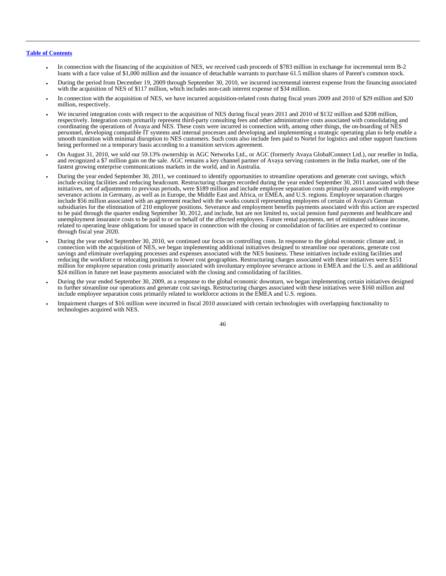- In connection with the financing of the acquisition of NES, we received cash proceeds of \$783 million in exchange for incremental term B-2 loans with a face value of \$1,000 million and the issuance of detachable warrants to purchase 61.5 million shares of Parent's common stock.
- During the period from December 19, 2009 through September 30, 2010, we incurred incremental interest expense from the financing associated with the acquisition of NES of \$117 million, which includes non-cash interest expense of \$34 million.
- In connection with the acquisition of NES, we have incurred acquisition-related costs during fiscal years 2009 and 2010 of \$29 million and \$20 million, respectively.
- We incurred integration costs with respect to the acquisition of NES during fiscal years 2011 and 2010 of \$132 million and \$208 million, respectively. Integration costs primarily represent third-party consulting fees and other administrative costs associated with consolidating and coordinating the operations of Avaya and NES. These costs were incurred in connection with, among other things, the on-boarding of NES personnel, developing compatible IT systems and internal processes and developing and implementing a strategic operating plan to help enable a smooth transition with minimal disruption to NES customers. Such costs also include fees paid to Nortel for logistics and other support functions being performed on a temporary basis according to a transition services agreement.
- On August 31, 2010, we sold our 59.13% ownership in AGC Networks Ltd., or AGC (formerly Avaya GlobalConnect Ltd.), our reseller in India, and recognized a \$7 million gain on the sale. AGC remains a key channel partner of Avaya serving customers in the India market, one of the fastest growing enterprise communications markets in the world, and in Australia.
- During the year ended September 30, 2011, we continued to identify opportunities to streamline operations and generate cost savings, which include exiting facilities and reducing headcount. Restructuring charges recorded during the year ended September 30, 2011 associated with these initiatives, net of adjustments to previous periods, were \$189 million and include employee separation costs primarily associated with employee severance actions in Germany, as well as in Europe, the Middle East and Africa, or EMEA, and U.S. regions. Employee separation charges include \$56 million associated with an agreement reached with the works council representing employees of certain of Avaya's German subsidiaries for the elimination of 210 employee positions. Severance and employment benefits payments associated with this action are expected to be paid through the quarter ending September 30, 2012, and include, but are not limited to, social pension fund payments and healthcare and unemployment insurance costs to be paid to or on behalf of the affected employees. Future rental payments, net of estimated sublease income, related to operating lease obligations for unused space in connection with the closing or consolidation of facilities are expected to continue through fiscal year 2020.
- During the year ended September 30, 2010, we continued our focus on controlling costs. In response to the global economic climate and, in connection with the acquisition of NES, we began implementing additional initiatives designed to streamline our operations, generate cost savings and eliminate overlapping processes and expenses associated with the NES business. These initiatives include exiting facilities and reducing the workforce or relocating positions to lower cost geographies. Restructuring charges associated with these initiatives were \$151 million for employee separation costs primarily associated with involuntary employee severance actions in EMEA and the U.S. and an additional \$24 million in future net lease payments associated with the closing and consolidating of facilities.
- During the year ended September 30, 2009, as a response to the global economic downturn, we began implementing certain initiatives designed to further streamline our operations and generate cost savings. Restructuring charges associated with these initiatives were \$160 million and include employee separation costs primarily related to workforce actions in the EMEA and U.S. regions.
- Impairment charges of \$16 million were incurred in fiscal 2010 associated with certain technologies with overlapping functionality to technologies acquired with NES.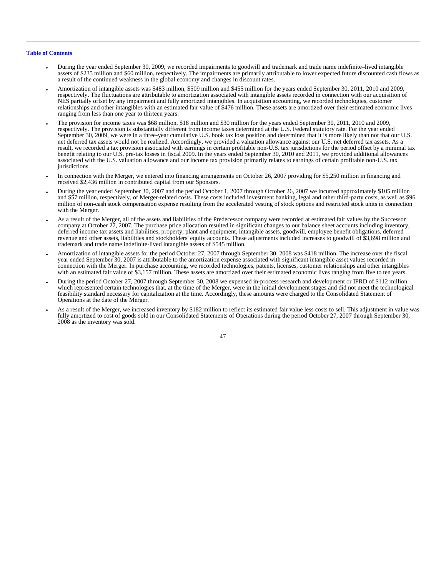- During the year ended September 30, 2009, we recorded impairments to goodwill and trademark and trade name indefinite–lived intangible assets of \$235 million and \$60 million, respectively. The impairments are primarily attributable to lower expected future discounted cash flows as a result of the continued weakness in the global economy and changes in discount rates.
- Amortization of intangible assets was \$483 million, \$509 million and \$455 million for the years ended September 30, 2011, 2010 and 2009, respectively. The fluctuations are attributable to amortization associated with intangible assets recorded in connection with our acquisition of NES partially offset by any impairment and fully amortized intangibles. In acquisition accounting, we recorded technologies, customer relationships and other intangibles with an estimated fair value of \$476 million. These assets are amortized over their estimated economic lives ranging from less than one year to thirteen years.
- The provision for income taxes was \$68 million, \$18 million and \$30 million for the years ended September 30, 2011, 2010 and 2009, respectively. The provision is substantially different from income taxes determined at the U.S. Federal statutory rate. For the year ended September 30, 2009, we were in a three-year cumulative U.S. book tax loss position and determined that it is more likely than not that our U.S. net deferred tax assets would not be realized. Accordingly, we provided a valuation allowance against our U.S. net deferred tax assets. As a result, we recorded a tax provision associated with earnings in certain profitable non-U.S. tax jurisdictions for the period offset by a minimal tax benefit relating to our U.S. pre-tax losses in fiscal 2009. In the years ended September 30, 2010 and 2011, we provided additional allowances associated with the U.S. valuation allowance and our income tax provision primarily relates to earnings of certain profitable non-U.S. tax jurisdictions.
- In connection with the Merger, we entered into financing arrangements on October 26, 2007 providing for \$5,250 million in financing and received \$2,436 million in contributed capital from our Sponsors.
- During the year ended September 30, 2007 and the period October 1, 2007 through October 26, 2007 we incurred approximately \$105 million and \$57 million, respectively, of Merger-related costs. These costs included investment banking, legal and other third-party costs, as well as \$96 million of non-cash stock compensation expense resulting from the accelerated vesting of stock options and restricted stock units in connection with the Merger.
- As a result of the Merger, all of the assets and liabilities of the Predecessor company were recorded at estimated fair values by the Successor company at October 27, 2007. The purchase price allocation resulted in signifi deferred income tax assets and liabilities, property, plant and equipment, intangible assets, goodwill, employee benefit obligations, deferred revenue and other assets, liabilities and stockholders' equity accounts. These adjustments included increases to goodwill of \$3,698 million and trademark and trade name indefinite-lived intangible assets of \$545 million.
- Amortization of intangible assets for the period October 27, 2007 through September 30, 2008 was \$418 million. The increase over the fiscal year ended September 30, 2007 is attributable to the amortization expense associated with significant intangible asset values recorded in connection with the Merger. In purchase accounting, we recorded technologies, patents, licenses, customer relationships and other intangibles with an estimated fair value of \$3,157 million. These assets are amortized over their estimated economic lives ranging from five to ten years.
- During the period October 27, 2007 through September 30, 2008 we expensed in-process research and development or IPRD of \$112 million which represented certain technologies that, at the time of the Merger, were in the initial development stages and did not meet the technological feasibility standard necessary for capitalization at the time. Accordingly, these amounts were charged to the Consolidated Statement of Operations at the date of the Merger.
- As a result of the Merger, we increased inventory by \$182 million to reflect its estimated fair value less costs to sell. This adjustment in value was fully amortized to cost of goods sold in our Consolidated Statements of Operations during the period October 27, 2007 through September 30, 2008 as the inventory was sold.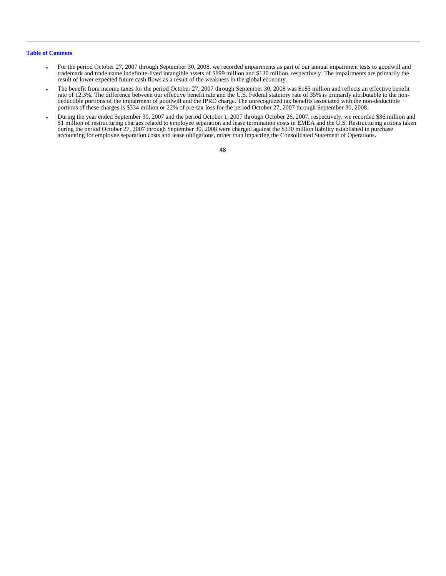- For the period October 27, 2007 through September 30, 2008, we recorded impairments as part of our annual impairment tests to goodwill and trademark and trade name indefinite-lived intangible assets of \$899 million and \$130 million, respectively. The impairments are primarily the result of lower expected future cash flows as a result of the weakness in the global economy.
- The benefit from income taxes for the period October 27, 2007 through September 30, 2008 was \$183 million and reflects an effective benefit rate of 12.3%. The difference between our effective benefit rate and the U.S. Fede deductible portions of the impairment of goodwill and the IPRD charge. The unrecognized tax benefits associated with the non-deductible portions of these charges is \$334 million or 22% of pre-tax loss for the period October 27, 2007 through September 30, 2008.
- During the year ended September 30, 2007 and the period October 1, 2007 through October 26, 2007, respectively, we recorded \$36 million and \$1 million of restructuring charges related to employee separation and lease ter during the period October 27, 2007 through September 30, 2008 were charged against the \$330 million liability established in purchase accounting for employee separation costs and lease obligations, rather than impacting the Consolidated Statement of Operations.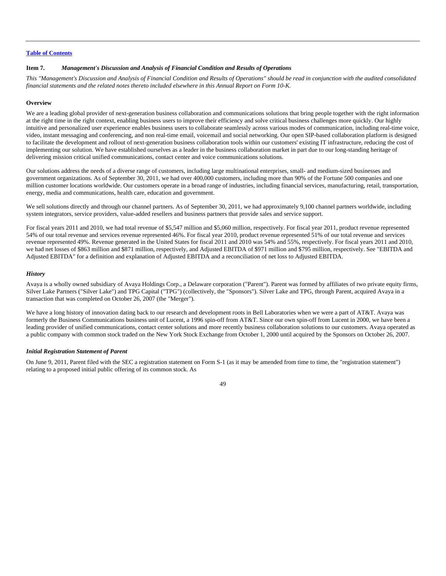# **Item 7.** *Management's Discussion and Analysis of Financial Condition and Results of Operations*

*This "Management's Discussion and Analysis of Financial Condition and Results of Operations" should be read in conjunction with the audited consolidated financial statements and the related notes thereto included elsewhere in this Annual Report on Form 10-K.*

## **Overview**

We are a leading global provider of next-generation business collaboration and communications solutions that bring people together with the right information at the right time in the right context, enabling business users to improve their efficiency and solve critical business challenges more quickly. Our highly intuitive and personalized user experience enables business users to collaborate seamlessly across various modes of communication, including real-time voice, video, instant messaging and conferencing, and non real-time email, voicemail and social networking. Our open SIP-based collaboration platform is designed to facilitate the development and rollout of next-generation business collaboration tools within our customers' existing IT infrastructure, reducing the cost of implementing our solution. We have established ourselves as a leader in the business collaboration market in part due to our long-standing heritage of delivering mission critical unified communications, contact center and voice communications solutions.

Our solutions address the needs of a diverse range of customers, including large multinational enterprises, small- and medium-sized businesses and government organizations. As of September 30, 2011, we had over 400,000 customers, including more than 90% of the Fortune 500 companies and one million customer locations worldwide. Our customers operate in a broad range of industries, including financial services, manufacturing, retail, transportation, energy, media and communications, health care, education and government.

We sell solutions directly and through our channel partners. As of September 30, 2011, we had approximately 9,100 channel partners worldwide, including system integrators, service providers, value-added resellers and business partners that provide sales and service support.

For fiscal years 2011 and 2010, we had total revenue of \$5,547 million and \$5,060 million, respectively. For fiscal year 2011, product revenue represented 54% of our total revenue and services revenue represented 46%. For fiscal year 2010, product revenue represented 51% of our total revenue and services revenue represented 49%. Revenue generated in the United States for fiscal 2011 and 2010 was 54% and 55%, respectively. For fiscal years 2011 and 2010, we had net losses of \$863 million and \$871 million, respectively, and Adjusted EBITDA of \$971 million and \$795 million, respectively. See "EBITDA and Adjusted EBITDA" for a definition and explanation of Adjusted EBITDA and a reconciliation of net loss to Adjusted EBITDA.

## *History*

Avaya is a wholly owned subsidiary of Avaya Holdings Corp., a Delaware corporation ("Parent"). Parent was formed by affiliates of two private equity firms, Silver Lake Partners ("Silver Lake") and TPG Capital ("TPG") (collectively, the "Sponsors"). Silver Lake and TPG, through Parent, acquired Avaya in a transaction that was completed on October 26, 2007 (the "Merger").

We have a long history of innovation dating back to our research and development roots in Bell Laboratories when we were a part of AT&T. Avaya was formerly the Business Communications business unit of Lucent, a 1996 spin-off from AT&T. Since our own spin-off from Lucent in 2000, we have been a leading provider of unified communications, contact center solutions and more recently business collaboration solutions to our customers. Avaya operated as a public company with common stock traded on the New York Stock Exchange from October 1, 2000 until acquired by the Sponsors on October 26, 2007.

# *Initial Registration Statement of Parent*

On June 9, 2011, Parent filed with the SEC a registration statement on Form S-1 (as it may be amended from time to time, the "registration statement") relating to a proposed initial public offering of its common stock. As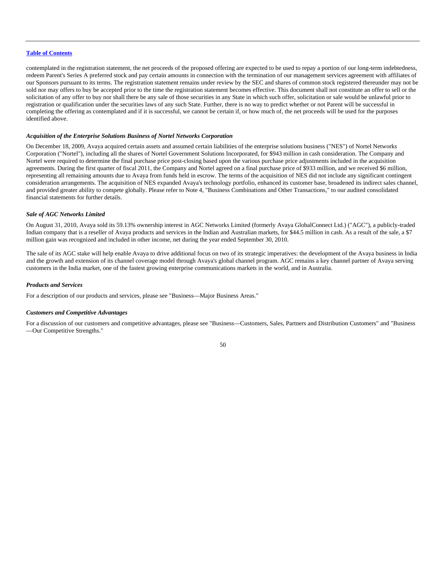contemplated in the registration statement, the net proceeds of the proposed offering are expected to be used to repay a portion of our long-term indebtedness, redeem Parent's Series A preferred stock and pay certain amounts in connection with the termination of our management services agreement with affiliates of our Sponsors pursuant to its terms. The registration statement remains under review by the SEC and shares of common stock registered thereunder may not be sold nor may offers to buy be accepted prior to the time the registration statement becomes effective. This document shall not constitute an offer to sell or the solicitation of any offer to buy nor shall there be any sale of those securities in any State in which such offer, solicitation or sale would be unlawful prior to registration or qualification under the securities laws of any such State. Further, there is no way to predict whether or not Parent will be successful in completing the offering as contemplated and if it is successful, we cannot be certain if, or how much of, the net proceeds will be used for the purposes identified above.

# *Acquisition of the Enterprise Solutions Business of Nortel Networks Corporation*

On December 18, 2009, Avaya acquired certain assets and assumed certain liabilities of the enterprise solutions business ("NES") of Nortel Networks Corporation ("Nortel"), including all the shares of Nortel Government Solutions Incorporated, for \$943 million in cash consideration. The Company and Nortel were required to determine the final purchase price post-closing based upon the various purchase price adjustments included in the acquisition agreements. During the first quarter of fiscal 2011, the Company and Nortel agreed on a final purchase price of \$933 million, and we received \$6 million, representing all remaining amounts due to Avaya from funds held in escrow. The terms of the acquisition of NES did not include any significant contingent consideration arrangements. The acquisition of NES expanded Avaya's technology portfolio, enhanced its customer base, broadened its indirect sales channel, and provided greater ability to compete globally. Please refer to Note 4, "Business Combinations and Other Transactions," to our audited consolidated financial statements for further details.

# *Sale of AGC Networks Limited*

On August 31, 2010, Avaya sold its 59.13% ownership interest in AGC Networks Limited (formerly Avaya GlobalConnect Ltd.) ("AGC"), a publicly-traded Indian company that is a reseller of Avaya products and services in the Indian and Australian markets, for \$44.5 million in cash. As a result of the sale, a \$7 million gain was recognized and included in other income, net during the year ended September 30, 2010.

The sale of its AGC stake will help enable Avaya to drive additional focus on two of its strategic imperatives: the development of the Avaya business in India and the growth and extension of its channel coverage model through Avaya's global channel program. AGC remains a key channel partner of Avaya serving customers in the India market, one of the fastest growing enterprise communications markets in the world, and in Australia.

# *Products and Services*

For a description of our products and services, please see "Business—Major Business Areas."

# *Customers and Competitive Advantages*

For a discussion of our customers and competitive advantages, please see "Business—Customers, Sales, Partners and Distribution Customers" and "Business" —Our Competitive Strengths."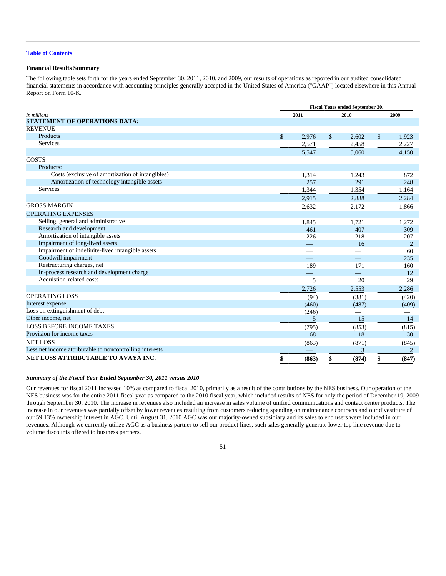# **Financial Results Summary**

The following table sets forth for the years ended September 30, 2011, 2010, and 2009, our results of operations as reported in our audited consolidated financial statements in accordance with accounting principles generally accepted in the United States of America ("GAAP") located elsewhere in this Annual Report on Form 10-K.

|                                                          |               | <b>Fiscal Years ended September 30,</b> |    |       |              |                |  |  |  |  |  |
|----------------------------------------------------------|---------------|-----------------------------------------|----|-------|--------------|----------------|--|--|--|--|--|
| In millions                                              |               | 2011                                    |    | 2010  | 2009         |                |  |  |  |  |  |
| <b>STATEMENT OF OPERATIONS DATA:</b>                     |               |                                         |    |       |              |                |  |  |  |  |  |
| <b>REVENUE</b>                                           |               |                                         |    |       |              |                |  |  |  |  |  |
| Products                                                 | $\mathcal{S}$ | 2,976                                   | \$ | 2,602 | $\mathbb{S}$ | 1,923          |  |  |  |  |  |
| <b>Services</b>                                          |               | 2,571                                   |    | 2,458 |              | 2,227          |  |  |  |  |  |
|                                                          |               | 5,547                                   |    | 5,060 |              | 4,150          |  |  |  |  |  |
| <b>COSTS</b>                                             |               |                                         |    |       |              |                |  |  |  |  |  |
| Products:                                                |               |                                         |    |       |              |                |  |  |  |  |  |
| Costs (exclusive of amortization of intangibles)         |               | 1,314                                   |    | 1,243 |              | 872            |  |  |  |  |  |
| Amortization of technology intangible assets             |               | 257                                     |    | 291   |              | 248            |  |  |  |  |  |
| <b>Services</b>                                          |               | 1,344                                   |    | 1,354 |              | 1,164          |  |  |  |  |  |
|                                                          |               | 2,915                                   |    | 2,888 |              | 2,284          |  |  |  |  |  |
| <b>GROSS MARGIN</b>                                      |               | 2,632                                   |    | 2,172 |              | 1,866          |  |  |  |  |  |
| <b>OPERATING EXPENSES</b>                                |               |                                         |    |       |              |                |  |  |  |  |  |
| Selling, general and administrative                      |               | 1,845                                   |    | 1,721 |              | 1,272          |  |  |  |  |  |
| Research and development                                 |               | 461                                     |    | 407   |              | 309            |  |  |  |  |  |
| Amortization of intangible assets                        |               | 226                                     |    | 218   |              | 207            |  |  |  |  |  |
| Impairment of long-lived assets                          |               |                                         |    | 16    |              | $\overline{2}$ |  |  |  |  |  |
| Impairment of indefinite-lived intangible assets         |               |                                         |    |       |              | 60             |  |  |  |  |  |
| Goodwill impairment                                      |               |                                         |    |       |              | 235            |  |  |  |  |  |
| Restructuring charges, net                               |               | 189                                     |    | 171   |              | 160            |  |  |  |  |  |
| In-process research and development charge               |               |                                         |    |       |              | 12             |  |  |  |  |  |
| Acquistion-related costs                                 |               | 5                                       |    | 20    |              | 29             |  |  |  |  |  |
|                                                          |               | 2,726                                   |    | 2,553 |              | 2,286          |  |  |  |  |  |
| OPERATING LOSS                                           |               | (94)                                    |    | (381) |              | (420)          |  |  |  |  |  |
| Interest expense                                         |               | (460)                                   |    | (487) |              | (409)          |  |  |  |  |  |
| Loss on extinguishment of debt                           |               | (246)                                   |    |       |              |                |  |  |  |  |  |
| Other income, net                                        |               | 5                                       |    | 15    |              | 14             |  |  |  |  |  |
| <b>LOSS BEFORE INCOME TAXES</b>                          |               | (795)                                   |    | (853) |              | (815)          |  |  |  |  |  |
| Provision for income taxes                               |               | 68                                      |    | 18    |              | 30             |  |  |  |  |  |
| <b>NET LOSS</b>                                          |               | (863)                                   |    | (871) |              | (845)          |  |  |  |  |  |
| Less net income attributable to noncontrolling interests |               |                                         |    | 3     |              | $\overline{c}$ |  |  |  |  |  |
| NET LOSS ATTRIBUTABLE TO AVAYA INC.                      | \$            | (863)                                   | \$ | (874) | \$           | (847)          |  |  |  |  |  |

# *Summary of the Fiscal Year Ended September 30, 2011 versus 2010*

Our revenues for fiscal 2011 increased 10% as compared to fiscal 2010, primarily as a result of the contributions by the NES business. Our operation of the NES business was for the entire 2011 fiscal year as compared to the 2010 fiscal year, which included results of NES for only the period of December 19, 2009 through September 30, 2010. The increase in revenues also included an increase in sales volume of unified communications and contact center products. The increase in our revenues was partially offset by lower revenues resulting from customers reducing spending on maintenance contracts and our divestiture of our 59.13% ownership interest in AGC. Until August 31, 2010 AGC was our majority-owned subsidiary and its sales to end users were included in our revenues. Although we currently utilize AGC as a business partner to sell our product lines, such sales generally generate lower top line revenue due to volume discounts offered to business partners.

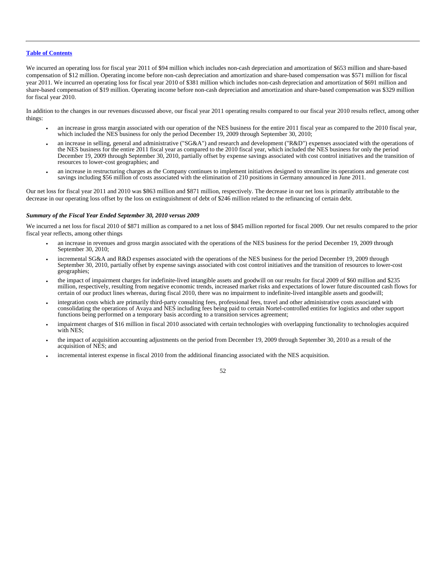We incurred an operating loss for fiscal year 2011 of \$94 million which includes non-cash depreciation and amortization of \$653 million and share-based compensation of \$12 million. Operating income before non-cash depreciation and amortization and share-based compensation was \$571 million for fiscal year 2011. We incurred an operating loss for fiscal year 2010 of \$381 million which includes non-cash depreciation and amortization of \$691 million and share-based compensation of \$19 million. Operating income before non-cash depreciation and amortization and share-based compensation was \$329 million for fiscal year 2010.

In addition to the changes in our revenues discussed above, our fiscal year 2011 operating results compared to our fiscal year 2010 results reflect, among other things:

- an increase in gross margin associated with our operation of the NES business for the entire 2011 fiscal year as compared to the 2010 fiscal year, which included the NES business for only the period December 19, 2009 through September 30, 2010;
- an increase in selling, general and administrative ("SG&A") and research and development ("R&D") expenses associated with the operations of the NES business for the entire 2011 fiscal year as compared to the 2010 fiscal year, which included the NES business for only the period December 19, 2009 through September 30, 2010, partially offset by expense savings associated with cost control initiatives and the transition of resources to lower-cost geographies; and
- an increase in restructuring charges as the Company continues to implement initiatives designed to streamline its operations and generate cost savings including \$56 million of costs associated with the elimination of 210 positions in Germany announced in June 2011.

Our net loss for fiscal year 2011 and 2010 was \$863 million and \$871 million, respectively. The decrease in our net loss is primarily attributable to the decrease in our operating loss offset by the loss on extinguishment of debt of \$246 million related to the refinancing of certain debt.

# *Summary of the Fiscal Year Ended September 30, 2010 versus 2009*

We incurred a net loss for fiscal 2010 of \$871 million as compared to a net loss of \$845 million reported for fiscal 2009. Our net results compared to the prior fiscal year reflects, among other things

- an increase in revenues and gross margin associated with the operations of the NES business for the period December 19, 2009 through September 30, 2010;
- incremental SG&A and R&D expenses associated with the operations of the NES business for the period December 19, 2009 through September 30, 2010, partially offset by expense savings associated with cost control initiatives and the transition of resources to lower-cost geographies;
- the impact of impairment charges for indefinite-lived intangible assets and goodwill on our results for fiscal 2009 of \$60 million and \$235 million, respectively, resulting from negative economic trends, increased market risks and expectations of lower future discounted cash flows for certain of our product lines whereas, during fiscal 2010, there was no impairment to indefinite-lived intangible assets and goodwill;
- integration costs which are primarily third-party consulting fees, professional fees, travel and other administrative costs associated with consolidating the operations of Avaya and NES including fees being paid to certain Nortel-controlled entities for logistics and other support functions being performed on a temporary basis according to a transition services agreement;
- impairment charges of \$16 million in fiscal 2010 associated with certain technologies with overlapping functionality to technologies acquired with NES<sup>.</sup>
- the impact of acquisition accounting adjustments on the period from December 19, 2009 through September 30, 2010 as a result of the acquisition of NES; and
- incremental interest expense in fiscal 2010 from the additional financing associated with the NES acquisition.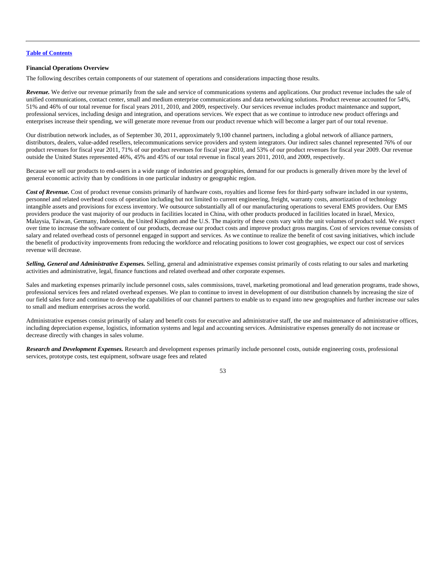# **Financial Operations Overview**

The following describes certain components of our statement of operations and considerations impacting those results.

*Revenue.* We derive our revenue primarily from the sale and service of communications systems and applications. Our product revenue includes the sale of unified communications, contact center, small and medium enterprise communications and data networking solutions. Product revenue accounted for 54%, 51% and 46% of our total revenue for fiscal years 2011, 2010, and 2009, respectively. Our services revenue includes product maintenance and support, professional services, including design and integration, and operations services. We expect that as we continue to introduce new product offerings and enterprises increase their spending, we will generate more revenue from our product revenue which will become a larger part of our total revenue.

Our distribution network includes, as of September 30, 2011, approximately 9,100 channel partners, including a global network of alliance partners, distributors, dealers, value-added resellers, telecommunications service providers and system integrators. Our indirect sales channel represented 76% of our product revenues for fiscal year 2011, 71% of our product revenues for fiscal year 2010, and 53% of our product revenues for fiscal year 2009. Our revenue outside the United States represented 46%, 45% and 45% of our total revenue in fiscal years 2011, 2010, and 2009, respectively.

Because we sell our products to end-users in a wide range of industries and geographies, demand for our products is generally driven more by the level of general economic activity than by conditions in one particular industry or geographic region.

Cost of Revenue. Cost of product revenue consists primarily of hardware costs, royalties and license fees for third-party software included in our systems, personnel and related overhead costs of operation including but not limited to current engineering, freight, warranty costs, amortization of technology intangible assets and provisions for excess inventory. We outsource substantially all of our manufacturing operations to several EMS providers. Our EMS providers produce the vast majority of our products in facilities located in China, with other products produced in facilities located in Israel, Mexico, Malaysia, Taiwan, Germany, Indonesia, the United Kingdom and the U.S. The majority of these costs vary with the unit volumes of product sold. We expect over time to increase the software content of our products, decrease our product costs and improve product gross margins. Cost of services revenue consists of salary and related overhead costs of personnel engaged in support and services. As we continue to realize the benefit of cost saving initiatives, which include the benefit of productivity improvements from reducing the workforce and relocating positions to lower cost geographies, we expect our cost of services revenue will decrease.

*Selling, General and Administrative Expenses.* Selling, general and administrative expenses consist primarily of costs relating to our sales and marketing activities and administrative, legal, finance functions and related overhead and other corporate expenses.

Sales and marketing expenses primarily include personnel costs, sales commissions, travel, marketing promotional and lead generation programs, trade shows, professional services fees and related overhead expenses. We plan to continue to invest in development of our distribution channels by increasing the size of our field sales force and continue to develop the capabilities of our channel partners to enable us to expand into new geographies and further increase our sales to small and medium enterprises across the world.

Administrative expenses consist primarily of salary and benefit costs for executive and administrative staff, the use and maintenance of administrative offices, including depreciation expense, logistics, information systems and legal and accounting services. Administrative expenses generally do not increase or decrease directly with changes in sales volume.

*Research and Development Expenses.* Research and development expenses primarily include personnel costs, outside engineering costs, professional services, prototype costs, test equipment, software usage fees and related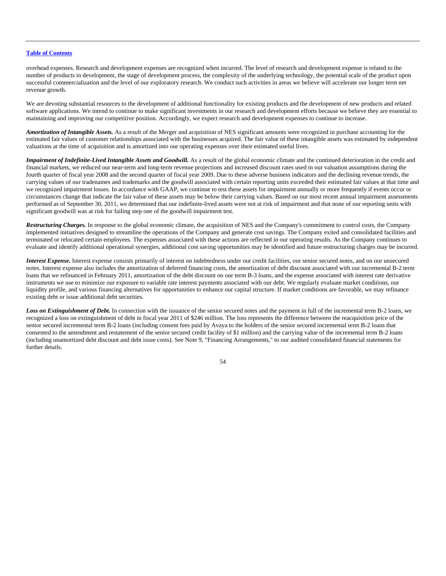overhead expenses. Research and development expenses are recognized when incurred. The level of research and development expense is related to the number of products in development, the stage of development process, the complexity of the underlying technology, the potential scale of the product upon successful commercialization and the level of our exploratory research. We conduct such activities in areas we believe will accelerate our longer term net revenue growth.

We are devoting substantial resources to the development of additional functionality for existing products and the development of new products and related software applications. We intend to continue to make significant investments in our research and development efforts because we believe they are essential to maintaining and improving our competitive position. Accordingly, we expect research and development expenses to continue to increase.

*Amortization of Intangible Assets.* As a result of the Merger and acquisition of NES significant amounts were recognized in purchase accounting for the estimated fair values of customer relationships associated with the businesses acquired. The fair value of these intangible assets was estimated by independent valuations at the time of acquisition and is amortized into our operating expenses over their estimated useful lives.

*Impairment of Indefinite-Lived Intangible Assets and Goodwill.* As a result of the global economic climate and the continued deterioration in the credit and financial markets, we reduced our near-term and long-term revenue projections and increased discount rates used in our valuation assumptions during the fourth quarter of fiscal year 2008 and the second quarter of fiscal year 2009. Due to these adverse business indicators and the declining revenue trends, the carrying values of our tradenames and trademarks and the goodwill associated with certain reporting units exceeded their estimated fair values at that time and we recognized impairment losses. In accordance with GAAP, we continue to test these assets for impairment annually or more frequently if events occur or circumstances change that indicate the fair value of these assets may be below their carrying values. Based on our most recent annual impairment assessments performed as of September 30, 2011, we determined that our indefinite-lived assets were not at risk of impairment and that none of our reporting units with significant goodwill was at risk for failing step one of the goodwill impairment test.

*Restructuring Charges.* In response to the global economic climate, the acquisition of NES and the Company's commitment to control costs, the Company implemented initiatives designed to streamline the operations of the Company and generate cost savings. The Company exited and consolidated facilities and terminated or relocated certain employees. The expenses associated with these actions are reflected in our operating results. As the Company continues to evaluate and identify additional operational synergies, additional cost saving opportunities may be identified and future restructuring charges may be incurred.

*Interest Expense.* Interest expense consists primarily of interest on indebtedness under our credit facilities, our senior secured notes, and on our unsecured notes. Interest expense also includes the amortization of deferred financing costs, the amortization of debt discount associated with our incremental B-2 term loans that we refinanced in February 2011, amortization of the debt discount on our term B-3 loans, and the expense associated with interest rate derivative instruments we use to minimize our exposure to variable rate interest payments associated with our debt. We regularly evaluate market conditions, our liquidity profile, and various financing alternatives for opportunities to enhance our capital structure. If market conditions are favorable, we may refinance existing debt or issue additional debt securities.

Loss on Extinguishment of Debt. In connection with the issuance of the senior secured notes and the payment in full of the incremental term B-2 loans, we recognized a loss on extinguishment of debt in fiscal year 2011 of \$246 million. The loss represents the difference between the reacquisition price of the senior secured incremental term B-2 loans (including consent fees paid by Avaya to the holders of the senior secured incremental term B-2 loans that consented to the amendment and restatement of the senior secured credit facility of \$1 million) and the carrying value of the incremental term B-2 loans (including unamortized debt discount and debt issue costs). See Note 9, "Financing Arrangements," to our audited consolidated financial statements for further details.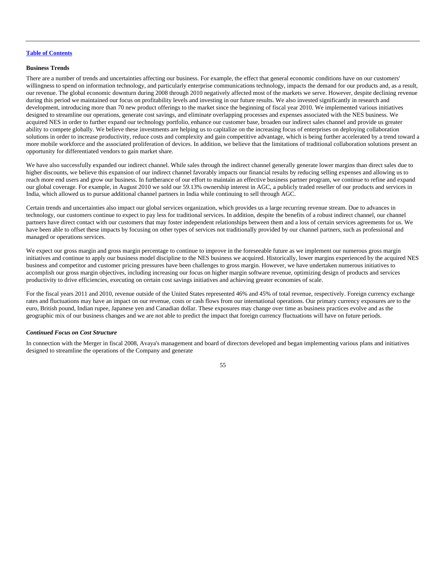# **Business Trends**

There are a number of trends and uncertainties affecting our business. For example, the effect that general economic conditions have on our customers' willingness to spend on information technology, and particularly enterprise communications technology, impacts the demand for our products and, as a result, our revenue. The global economic downturn during 2008 through 2010 negatively affected most of the markets we serve. However, despite declining revenue during this period we maintained our focus on profitability levels and investing in our future results. We also invested significantly in research and development, introducing more than 70 new product offerings to the market since the beginning of fiscal year 2010. We implemented various initiatives designed to streamline our operations, generate cost savings, and eliminate overlapping processes and expenses associated with the NES business. We acquired NES in order to further expand our technology portfolio, enhance our customer base, broaden our indirect sales channel and provide us greater ability to compete globally. We believe these investments are helping us to capitalize on the increasing focus of enterprises on deploying collaboration solutions in order to increase productivity, reduce costs and complexity and gain competitive advantage, which is being further accelerated by a trend toward a more mobile workforce and the associated proliferation of devices. In addition, we believe that the limitations of traditional collaboration solutions present an opportunity for differentiated vendors to gain market share.

We have also successfully expanded our indirect channel. While sales through the indirect channel generally generate lower margins than direct sales due to higher discounts, we believe this expansion of our indirect channel favorably impacts our financial results by reducing selling expenses and allowing us to reach more end users and grow our business. In furtherance of our effort to maintain an effective business partner program, we continue to refine and expand our global coverage. For example, in August 2010 we sold our 59.13% ownership interest in AGC, a publicly traded reseller of our products and services in India, which allowed us to pursue additional channel partners in India while continuing to sell through AGC.

Certain trends and uncertainties also impact our global services organization, which provides us a large recurring revenue stream. Due to advances in technology, our customers continue to expect to pay less for traditional services. In addition, despite the benefits of a robust indirect channel, our channel partners have direct contact with our customers that may foster independent relationships between them and a loss of certain services agreements for us. We have been able to offset these impacts by focusing on other types of services not traditionally provided by our channel partners, such as professional and managed or operations services.

We expect our gross margin and gross margin percentage to continue to improve in the foreseeable future as we implement our numerous gross margin initiatives and continue to apply our business model discipline to the NES business we acquired. Historically, lower margins experienced by the acquired NES business and competitor and customer pricing pressures have been challenges to gross margin. However, we have undertaken numerous initiatives to accomplish our gross margin objectives, including increasing our focus on higher margin software revenue, optimizing design of products and services productivity to drive efficiencies, executing on certain cost savings initiatives and achieving greater economies of scale.

For the fiscal years 2011 and 2010, revenue outside of the United States represented 46% and 45% of total revenue, respectively. Foreign currency exchange rates and fluctuations may have an impact on our revenue, costs or cash flows from our international operations. Our primary currency exposures are to the euro, British pound, Indian rupee, Japanese yen and Canadian dollar. These exposures may change over time as business practices evolve and as the geographic mix of our business changes and we are not able to predict the impact that foreign currency fluctuations will have on future periods.

# *Continued Focus on Cost Structure*

In connection with the Merger in fiscal 2008, Avaya's management and board of directors developed and began implementing various plans and initiatives designed to streamline the operations of the Company and generate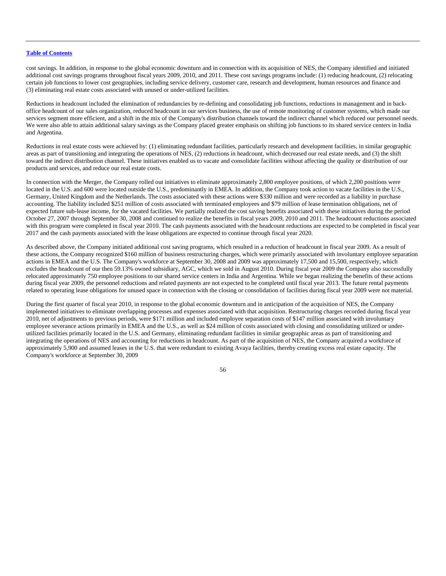cost savings. In addition, in response to the global economic downturn and in connection with its acquisition of NES, the Company identified and initiated additional cost savings programs throughout fiscal years 2009, 2010, and 2011. These cost savings programs include: (1) reducing headcount, (2) relocating certain job functions to lower cost geographies, including service delivery, customer care, research and development, human resources and finance and (3) eliminating real estate costs associated with unused or under-utilized facilities.

Reductions in headcount included the elimination of redundancies by re-defining and consolidating job functions, reductions in management and in backoffice headcount of our sales organization, reduced headcount in our services business, the use of remote monitoring of customer systems, which made our services segment more efficient, and a shift in the mix of the Company's distribution channels toward the indirect channel which reduced our personnel needs. We were also able to attain additional salary savings as the Company placed greater emphasis on shifting job functions to its shared service centers in India and Argentina.

Reductions in real estate costs were achieved by: (1) eliminating redundant facilities, particularly research and development facilities, in similar geographic areas as part of transitioning and integrating the operations of NES, (2) reductions in headcount, which decreased our real estate needs, and (3) the shift toward the indirect distribution channel. These initiatives enabled us to vacate and consolidate facilities without affecting the quality or distribution of our products and services, and reduce our real estate costs.

In connection with the Merger, the Company rolled out initiatives to eliminate approximately 2,800 employee positions, of which 2,200 positions were located in the U.S. and 600 were located outside the U.S., predominantly in EMEA. In addition, the Company took action to vacate facilities in the U.S., Germany, United Kingdom and the Netherlands. The costs associated with these actions were \$330 million and were recorded as a liability in purchase accounting. The liability included \$251 million of costs associated with terminated employees and \$79 million of lease termination obligations, net of expected future sub-lease income, for the vacated facilities. We partially realized the cost saving benefits associated with these initiatives during the period October 27, 2007 through September 30, 2008 and continued to realize the benefits in fiscal years 2009, 2010 and 2011. The headcount reductions associated with this program were completed in fiscal year 2010. The cash payments associated with the headcount reductions are expected to be completed in fiscal year 2017 and the cash payments associated with the lease obligations are expected to continue through fiscal year 2020.

As described above, the Company initiated additional cost saving programs, which resulted in a reduction of headcount in fiscal year 2009. As a result of these actions, the Company recognized \$160 million of business restructuring charges, which were primarily associated with involuntary employee separation actions in EMEA and the U.S. The Company's workforce at September 30, 2008 and 2009 was approximately 17,500 and 15,500, respectively, which excludes the headcount of our then 59.13% owned subsidiary, AGC, which we sold in August 2010. During fiscal year 2009 the Company also successfully relocated approximately 750 employee positions to our shared service centers in India and Argentina. While we began realizing the benefits of these actions during fiscal year 2009, the personnel reductions and related payments are not expected to be completed until fiscal year 2013. The future rental payments related to operating lease obligations for unused space in connection with the closing or consolidation of facilities during fiscal year 2009 were not material.

During the first quarter of fiscal year 2010, in response to the global economic downturn and in anticipation of the acquisition of NES, the Company implemented initiatives to eliminate overlapping processes and expenses associated with that acquisition. Restructuring charges recorded during fiscal year 2010, net of adjustments to previous periods, were \$171 million and included employee separation costs of \$147 million associated with involuntary employee severance actions primarily in EMEA and the U.S., as well as \$24 million of costs associated with closing and consolidating utilized or underutilized facilities primarily located in the U.S. and Germany, eliminating redundant facilities in similar geographic areas as part of transitioning and integrating the operations of NES and accounting for reductions in headcount. As part of the acquisition of NES, the Company acquired a workforce of approximately 5,900 and assumed leases in the U.S. that were redundant to existing Avaya facilities, thereby creating excess real estate capacity. The Company's workforce at September 30, 2009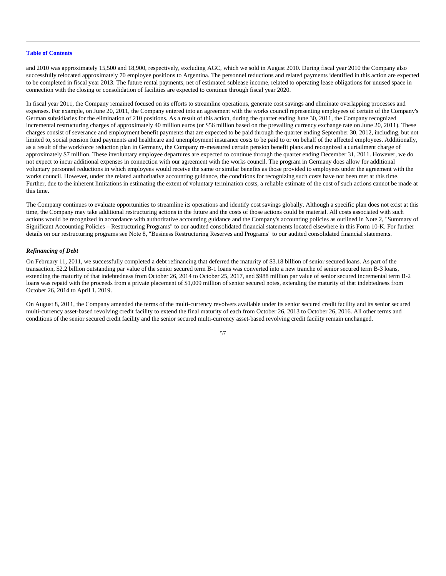and 2010 was approximately 15,500 and 18,900, respectively, excluding AGC, which we sold in August 2010. During fiscal year 2010 the Company also successfully relocated approximately 70 employee positions to Argentina. The personnel reductions and related payments identified in this action are expected to be completed in fiscal year 2013. The future rental payments, net of estimated sublease income, related to operating lease obligations for unused space in connection with the closing or consolidation of facilities are expected to continue through fiscal year 2020.

In fiscal year 2011, the Company remained focused on its efforts to streamline operations, generate cost savings and eliminate overlapping processes and expenses. For example, on June 20, 2011, the Company entered into an agreement with the works council representing employees of certain of the Company's German subsidiaries for the elimination of 210 positions. As a result of this action, during the quarter ending June 30, 2011, the Company recognized incremental restructuring charges of approximately 40 million euros (or \$56 million based on the prevailing currency exchange rate on June 20, 2011). These charges consist of severance and employment benefit payments that are expected to be paid through the quarter ending September 30, 2012, including, but not limited to, social pension fund payments and healthcare and unemployment insurance costs to be paid to or on behalf of the affected employees. Additionally, as a result of the workforce reduction plan in Germany, the Company re-measured certain pension benefit plans and recognized a curtailment charge of approximately \$7 million. These involuntary employee departures are expected to continue through the quarter ending December 31, 2011. However, we do not expect to incur additional expenses in connection with our agreement with the works council. The program in Germany does allow for additional voluntary personnel reductions in which employees would receive the same or similar benefits as those provided to employees under the agreement with the works council. However, under the related authoritative accounting guidance, the conditions for recognizing such costs have not been met at this time. Further, due to the inherent limitations in estimating the extent of voluntary termination costs, a reliable estimate of the cost of such actions cannot be made at this time.

The Company continues to evaluate opportunities to streamline its operations and identify cost savings globally. Although a specific plan does not exist at this time, the Company may take additional restructuring actions in the future and the costs of those actions could be material. All costs associated with such actions would be recognized in accordance with authoritative accounting guidance and the Company's accounting policies as outlined in Note 2, "Summary of Significant Accounting Policies – Restructuring Programs" to our audited consolidated financial statements located elsewhere in this Form 10-K. For further details on our restructuring programs see Note 8, "Business Restructuring Reserves and Programs" to our audited consolidated financial statements.

# *Refinancing of Debt*

On February 11, 2011, we successfully completed a debt refinancing that deferred the maturity of \$3.18 billion of senior secured loans. As part of the transaction, \$2.2 billion outstanding par value of the senior secured term B-1 loans was converted into a new tranche of senior secured term B-3 loans, extending the maturity of that indebtedness from October 26, 2014 to October 25, 2017, and \$988 million par value of senior secured incremental term B-2 loans was repaid with the proceeds from a private placement of \$1,009 million of senior secured notes, extending the maturity of that indebtedness from October 26, 2014 to April 1, 2019.

On August 8, 2011, the Company amended the terms of the multi-currency revolvers available under its senior secured credit facility and its senior secured multi-currency asset-based revolving credit facility to extend the final maturity of each from October 26, 2013 to October 26, 2016. All other terms and conditions of the senior secured credit facility and the senior secured multi-currency asset-based revolving credit facility remain unchanged.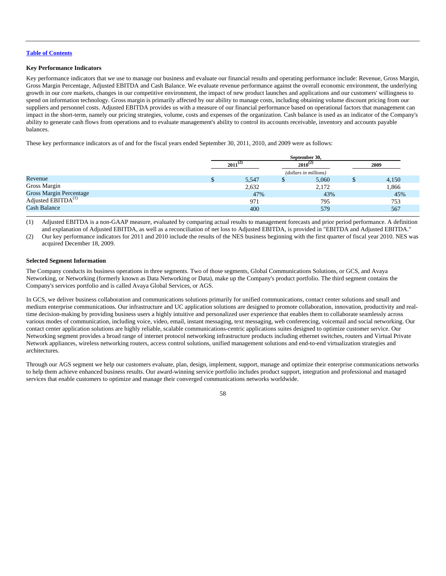# **Key Performance Indicators**

Key performance indicators that we use to manage our business and evaluate our financial results and operating performance include: Revenue, Gross Margin, Gross Margin Percentage, Adjusted EBITDA and Cash Balance. We evaluate revenue performance against the overall economic environment, the underlying growth in our core markets, changes in our competitive environment, the impact of new product launches and applications and our customers' willingness to spend on information technology. Gross margin is primarily affected by our ability to manage costs, including obtaining volume discount pricing from our suppliers and personnel costs. Adjusted EBITDA provides us with a measure of our financial performance based on operational factors that management can impact in the short-term, namely our pricing strategies, volume, costs and expenses of the organization. Cash balance is used as an indicator of the Company's ability to generate cash flows from operations and to evaluate management's ability to control its accounts receivable, inventory and accounts payable balances.

These key performance indicators as of and for the fiscal years ended September 30, 2011, 2010, and 2009 were as follows:

|                                |              |       | September 30,         |       |      |       |
|--------------------------------|--------------|-------|-----------------------|-------|------|-------|
|                                | $2011^{(4)}$ |       | $2010^{12}$           |       | 2009 |       |
|                                |              |       | (dollars in millions) |       |      |       |
| Revenue                        |              | 5,547 |                       | 5,060 |      | 4,150 |
| Gross Margin                   |              | 2,632 |                       | 2,172 |      | 1,866 |
| <b>Gross Margin Percentage</b> |              | 47%   |                       | 43%   |      | 45%   |
| Adjusted EBITDA <sup>(1)</sup> |              | 971   |                       | 795   |      | 753   |
| Cash Balance                   |              | 400   |                       | 579   |      | 567   |

(1) Adjusted EBITDA is a non-GAAP measure, evaluated by comparing actual results to management forecasts and prior period performance. A definition and explanation of Adjusted EBITDA, as well as a reconciliation of net loss to Adjusted EBITDA, is provided in "EBITDA and Adjusted EBITDA."

(2) Our key performance indicators for 2011 and 2010 include the results of the NES business beginning with the first quarter of fiscal year 2010. NES was acquired December 18, 2009.

## **Selected Segment Information**

The Company conducts its business operations in three segments. Two of those segments, Global Communications Solutions, or GCS, and Avaya Networking, or Networking (formerly known as Data Networking or Data), make up the Company's product portfolio. The third segment contains the Company's services portfolio and is called Avaya Global Services, or AGS.

In GCS, we deliver business collaboration and communications solutions primarily for unified communications, contact center solutions and small and medium enterprise communications. Our infrastructure and UC application solutions are designed to promote collaboration, innovation, productivity and realtime decision-making by providing business users a highly intuitive and personalized user experience that enables them to collaborate seamlessly across various modes of communication, including voice, video, email, instant messaging, text messaging, web conferencing, voicemail and social networking. Our contact center application solutions are highly reliable, scalable communications-centric applications suites designed to optimize customer service. Our Networking segment provides a broad range of internet protocol networking infrastructure products including ethernet switches, routers and Virtual Private Network appliances, wireless networking routers, access control solutions, unified management solutions and end-to-end virtualization strategies and architectures.

Through our AGS segment we help our customers evaluate, plan, design, implement, support, manage and optimize their enterprise communications networks to help them achieve enhanced business results. Our award-winning service portfolio includes product support, integration and professional and managed services that enable customers to optimize and manage their converged communications networks worldwide.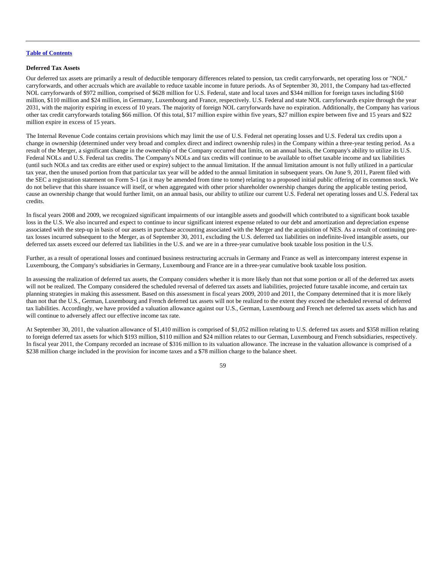# **Deferred Tax Assets**

Our deferred tax assets are primarily a result of deductible temporary differences related to pension, tax credit carryforwards, net operating loss or "NOL" carryforwards, and other accruals which are available to reduce taxable income in future periods. As of September 30, 2011, the Company had tax-effected NOL carryforwards of \$972 million, comprised of \$628 million for U.S. Federal, state and local taxes and \$344 million for foreign taxes including \$160 million, \$110 million and \$24 million, in Germany, Luxembourg and France, respectively. U.S. Federal and state NOL carryforwards expire through the year 2031, with the majority expiring in excess of 10 years. The majority of foreign NOL carryforwards have no expiration. Additionally, the Company has various other tax credit carryforwards totaling \$66 million. Of this total, \$17 million expire within five years, \$27 million expire between five and 15 years and \$22 million expire in excess of 15 years.

The Internal Revenue Code contains certain provisions which may limit the use of U.S. Federal net operating losses and U.S. Federal tax credits upon a change in ownership (determined under very broad and complex direct and indirect ownership rules) in the Company within a three-year testing period. As a result of the Merger, a significant change in the ownership of the Company occurred that limits, on an annual basis, the Company's ability to utilize its U.S. Federal NOLs and U.S. Federal tax credits. The Company's NOLs and tax credits will continue to be available to offset taxable income and tax liabilities (until such NOLs and tax credits are either used or expire) subject to the annual limitation. If the annual limitation amount is not fully utilized in a particular tax year, then the unused portion from that particular tax year will be added to the annual limitation in subsequent years. On June 9, 2011, Parent filed with the SEC a registration statement on Form S-1 (as it may be amended from time to tome) relating to a proposed initial public offering of its common stock. We do not believe that this share issuance will itself, or when aggregated with other prior shareholder ownership changes during the applicable testing period, cause an ownership change that would further limit, on an annual basis, our ability to utilize our current U.S. Federal net operating losses and U.S. Federal tax credits.

In fiscal years 2008 and 2009, we recognized significant impairments of our intangible assets and goodwill which contributed to a significant book taxable loss in the U.S. We also incurred and expect to continue to incur significant interest expense related to our debt and amortization and depreciation expense associated with the step-up in basis of our assets in purchase accounting associated with the Merger and the acquisition of NES. As a result of continuing pretax losses incurred subsequent to the Merger, as of September 30, 2011, excluding the U.S. deferred tax liabilities on indefinite-lived intangible assets, our deferred tax assets exceed our deferred tax liabilities in the U.S. and we are in a three-year cumulative book taxable loss position in the U.S.

Further, as a result of operational losses and continued business restructuring accruals in Germany and France as well as intercompany interest expense in Luxembourg, the Company's subsidiaries in Germany, Luxembourg and France are in a three-year cumulative book taxable loss position.

In assessing the realization of deferred tax assets, the Company considers whether it is more likely than not that some portion or all of the deferred tax assets will not be realized. The Company considered the scheduled reversal of deferred tax assets and liabilities, projected future taxable income, and certain tax planning strategies in making this assessment. Based on this assessment in fiscal years 2009, 2010 and 2011, the Company determined that it is more likely than not that the U.S., German, Luxembourg and French deferred tax assets will not be realized to the extent they exceed the scheduled reversal of deferred tax liabilities. Accordingly, we have provided a valuation allowance against our U.S., German, Luxembourg and French net deferred tax assets which has and will continue to adversely affect our effective income tax rate.

At September 30, 2011, the valuation allowance of \$1,410 million is comprised of \$1,052 million relating to U.S. deferred tax assets and \$358 million relating to foreign deferred tax assets for which \$193 million, \$110 million and \$24 million relates to our German, Luxembourg and French subsidiaries, respectively. In fiscal year 2011, the Company recorded an increase of \$316 million to its valuation allowance. The increase in the valuation allowance is comprised of a \$238 million charge included in the provision for income taxes and a \$78 million charge to the balance sheet.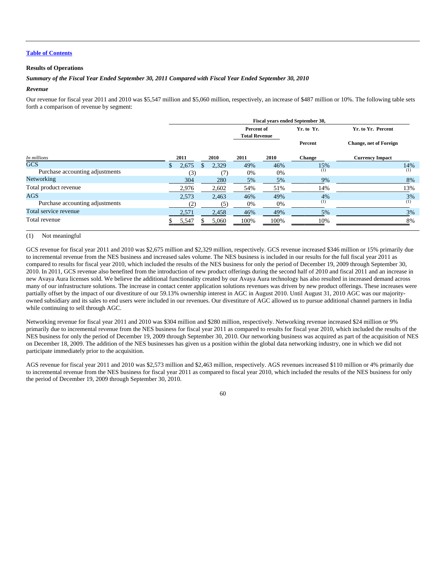# **Results of Operations**

# *Summary of the Fiscal Year Ended September 30, 2011 Compared with Fiscal Year Ended September 30, 2010*

## *Revenue*

Our revenue for fiscal year 2011 and 2010 was \$5,547 million and \$5,060 million, respectively, an increase of \$487 million or 10%. The following table sets forth a comparison of revenue by segment:

|                                 |             |     |       |                                    |      | Fiscal vears ended September 30, |                               |
|---------------------------------|-------------|-----|-------|------------------------------------|------|----------------------------------|-------------------------------|
|                                 |             |     |       | Percent of<br><b>Total Revenue</b> |      | Yr. to Yr.                       | Yr. to Yr. Percent            |
|                                 |             |     |       |                                    |      | Percent                          | <b>Change, net of Foreign</b> |
| In millions                     | 2011        |     | 2010  | 2011                               | 2010 | <b>Change</b>                    | <b>Currency Impact</b>        |
| <b>GCS</b>                      | 2,675<br>\$ |     | 2,329 | 49%                                | 46%  | 15%                              | 14%                           |
| Purchase accounting adjustments |             | (3) | (7)   | 0%                                 | 0%   | (1)                              | (1)                           |
| Networking                      | 304         |     | 280   | 5%                                 | 5%   | 9%                               | 8%                            |
| Total product revenue           | 2,976       |     | 2,602 | 54%                                | 51%  | 14%                              | 13%                           |
| AGS                             | 2,573       |     | 2,463 | 46%                                | 49%  | 4%                               | 3%                            |
| Purchase accounting adjustments |             | .2) | (5)   | 0%                                 | 0%   | (1)                              | (1)                           |
| Total service revenue           | 2,571       |     | 2,458 | 46%                                | 49%  | 5%                               | 3%                            |
| Total revenue                   | 5,547       |     | 5,060 | 100%                               | 100% | 10%                              | 8%                            |

# (1) Not meaningful

GCS revenue for fiscal year 2011 and 2010 was \$2,675 million and \$2,329 million, respectively. GCS revenue increased \$346 million or 15% primarily due to incremental revenue from the NES business and increased sales volume. The NES business is included in our results for the full fiscal year 2011 as compared to results for fiscal year 2010, which included the results of the NES business for only the period of December 19, 2009 through September 30, 2010. In 2011, GCS revenue also benefited from the introduction of new product offerings during the second half of 2010 and fiscal 2011 and an increase in new Avaya Aura licenses sold. We believe the additional functionality created by our Avaya Aura technology has also resulted in increased demand across many of our infrastructure solutions. The increase in contact center application solutions revenues was driven by new product offerings. These increases were partially offset by the impact of our divestiture of our 59.13% ownership interest in AGC in August 2010. Until August 31, 2010 AGC was our majorityowned subsidiary and its sales to end users were included in our revenues. Our divestiture of AGC allowed us to pursue additional channel partners in India while continuing to sell through AGC.

Networking revenue for fiscal year 2011 and 2010 was \$304 million and \$280 million, respectively. Networking revenue increased \$24 million or 9% primarily due to incremental revenue from the NES business for fiscal year 2011 as compared to results for fiscal year 2010, which included the results of the NES business for only the period of December 19, 2009 through September 30, 2010. Our networking business was acquired as part of the acquisition of NES on December 18, 2009. The addition of the NES businesses has given us a position within the global data networking industry, one in which we did not participate immediately prior to the acquisition.

AGS revenue for fiscal year 2011 and 2010 was \$2,573 million and \$2,463 million, respectively. AGS revenues increased \$110 million or 4% primarily due to incremental revenue from the NES business for fiscal year 2011 as compared to fiscal year 2010, which included the results of the NES business for only the period of December 19, 2009 through September 30, 2010.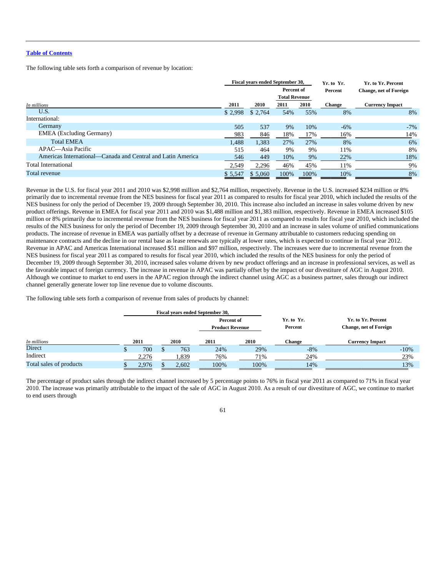The following table sets forth a comparison of revenue by location:

|                                                             |         | Fiscal years ended September 30, |                      |      | Yr. to Yr.    | Yr. to Yr. Percent            |
|-------------------------------------------------------------|---------|----------------------------------|----------------------|------|---------------|-------------------------------|
|                                                             |         |                                  | Percent of           |      | Percent       | <b>Change, net of Foreign</b> |
|                                                             |         |                                  | <b>Total Revenue</b> |      |               |                               |
| In millions                                                 | 2011    | <b>2010</b>                      | 2011                 | 2010 | <b>Change</b> | <b>Currency Impact</b>        |
| U.S.                                                        | \$2,998 | \$2,764                          | 54%                  | 55%  | 8%            | 8%                            |
| International:                                              |         |                                  |                      |      |               |                               |
| Germany                                                     | 505     | 537                              | 9%                   | 10%  | $-6\%$        | $-7\%$                        |
| <b>EMEA</b> (Excluding Germany)                             | 983     | 846                              | 18%                  | 17%  | 16%           | 14%                           |
| <b>Total EMEA</b>                                           | 1.488   | 1.383                            | 27%                  | 27%  | 8%            | 6%                            |
| APAC—Asia Pacific                                           | 515     | 464                              | 9%                   | 9%   | 11%           | 8%                            |
| Americas International—Canada and Central and Latin America | 546     | 449                              | 10%                  | 9%   | 22%           | 18%                           |
| <b>Total International</b>                                  | 2,549   | 2,296                            | 46%                  | 45%  | 11%           | 9%                            |
| Total revenue                                               | \$5,547 | \$5.060                          | 100%                 | 100% | 10%           | 8%                            |

Revenue in the U.S. for fiscal year 2011 and 2010 was \$2,998 million and \$2,764 million, respectively. Revenue in the U.S. increased \$234 million or 8% primarily due to incremental revenue from the NES business for fiscal year 2011 as compared to results for fiscal year 2010, which included the results of the NES business for only the period of December 19, 2009 through September 30, 2010. This increase also included an increase in sales volume driven by new product offerings. Revenue in EMEA for fiscal year 2011 and 2010 was \$1,488 million and \$1,383 million, respectively. Revenue in EMEA increased \$105 million or 8% primarily due to incremental revenue from the NES business for fiscal year 2011 as compared to results for fiscal year 2010, which included the results of the NES business for only the period of December 19, 2009 through September 30, 2010 and an increase in sales volume of unified communications products. The increase of revenue in EMEA was partially offset by a decrease of revenue in Germany attributable to customers reducing spending on maintenance contracts and the decline in our rental base as lease renewals are typically at lower rates, which is expected to continue in fiscal year 2012. Revenue in APAC and Americas International increased \$51 million and \$97 million, respectively. The increases were due to incremental revenue from the NES business for fiscal year 2011 as compared to results for fiscal year 2010, which included the results of the NES business for only the period of December 19, 2009 through September 30, 2010, increased sales volume driven by new product offerings and an increase in professional services, as well as the favorable impact of foreign currency. The increase in revenue in APAC was partially offset by the impact of our divestiture of AGC in August 2010. Although we continue to market to end users in the APAC region through the indirect channel using AGC as a business partner, sales through our indirect channel generally generate lower top line revenue due to volume discounts.

The following table sets forth a comparison of revenue from sales of products by channel:

|                         | Fiscal vears ended September 30, |  |       |                                      |               |                        |                                                     |        |
|-------------------------|----------------------------------|--|-------|--------------------------------------|---------------|------------------------|-----------------------------------------------------|--------|
|                         |                                  |  |       | Percent of<br><b>Product Revenue</b> |               | Yr. to Yr.<br>Percent  | Yr. to Yr. Percent<br><b>Change, net of Foreign</b> |        |
| In millions             | 2010<br>2011                     |  | 2011  | 2010                                 | <b>Change</b> | <b>Currency Impact</b> |                                                     |        |
| Direct                  | 700                              |  | 763   | 24%                                  | 29%           | $-8%$                  |                                                     | $-10%$ |
| Indirect                | 2,276                            |  | 1,839 | 76%                                  | 71%           | 24%                    |                                                     | 23%    |
| Total sales of products | 2,976                            |  | 2,602 | 100%                                 | 100%          | 14%                    |                                                     | 13%    |

The percentage of product sales through the indirect channel increased by 5 percentage points to 76% in fiscal year 2011 as compared to 71% in fiscal year 2010. The increase was primarily attributable to the impact of the sale of AGC in August 2010. As a result of our divestiture of AGC, we continue to market to end users through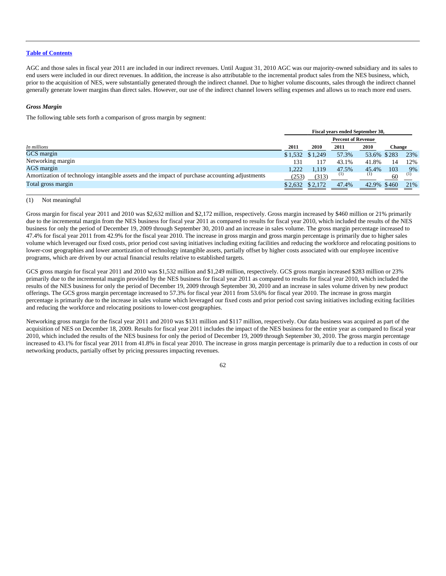AGC and those sales in fiscal year 2011 are included in our indirect revenues. Until August 31, 2010 AGC was our majority-owned subsidiary and its sales to end users were included in our direct revenues. In addition, the increase is also attributable to the incremental product sales from the NES business, which, prior to the acquisition of NES, were substantially generated through the indirect channel. Due to higher volume discounts, sales through the indirect channel generally generate lower margins than direct sales. However, our use of the indirect channel lowers selling expenses and allows us to reach more end users.

## *Gross Margin*

The following table sets forth a comparison of gross margin by segment:

|                                                                                                |                   |         | Fiscal vears ended September 30, |             |        |     |
|------------------------------------------------------------------------------------------------|-------------------|---------|----------------------------------|-------------|--------|-----|
|                                                                                                |                   |         |                                  |             |        |     |
| In millions                                                                                    | 2011              | 2010    | 2011                             | 2010        | Change |     |
| GCS margin                                                                                     | $$1,532$ $$1,249$ |         | 57.3%                            | 53.6% \$283 |        | 23% |
| Networking margin                                                                              | 131               | 117     | 43.1%                            | 41.8%       | 14     | 12% |
| AGS margin                                                                                     | 1.222             | 1.119   | 47.5%                            | 45.4%       | 103    | 9%  |
| Amortization of technology intangible assets and the impact of purchase accounting adjustments | (253)             | (313)   | (1)                              | (1)         | 60     |     |
| Total gross margin                                                                             | \$2,632           | \$2.172 | 47.4%                            | 42.9% \$460 |        | 21% |
|                                                                                                |                   |         |                                  |             |        |     |

### (1) Not meaningful

Gross margin for fiscal year 2011 and 2010 was \$2,632 million and \$2,172 million, respectively. Gross margin increased by \$460 million or 21% primarily due to the incremental margin from the NES business for fiscal year 2011 as compared to results for fiscal year 2010, which included the results of the NES business for only the period of December 19, 2009 through September 30, 2010 and an increase in sales volume. The gross margin percentage increased to 47.4% for fiscal year 2011 from 42.9% for the fiscal year 2010. The increase in gross margin and gross margin percentage is primarily due to higher sales volume which leveraged our fixed costs, prior period cost saving initiatives including exiting facilities and reducing the workforce and relocating positions to lower-cost geographies and lower amortization of technology intangible assets, partially offset by higher costs associated with our employee incentive programs, which are driven by our actual financial results relative to established targets.

GCS gross margin for fiscal year 2011 and 2010 was \$1,532 million and \$1,249 million, respectively. GCS gross margin increased \$283 million or 23% primarily due to the incremental margin provided by the NES business for fiscal year 2011 as compared to results for fiscal year 2010, which included the results of the NES business for only the period of December 19, 2009 through September 30, 2010 and an increase in sales volume driven by new product offerings. The GCS gross margin percentage increased to 57.3% for fiscal year 2011 from 53.6% for fiscal year 2010. The increase in gross margin percentage is primarily due to the increase in sales volume which leveraged our fixed costs and prior period cost saving initiatives including exiting facilities and reducing the workforce and relocating positions to lower-cost geographies.

Networking gross margin for the fiscal year 2011 and 2010 was \$131 million and \$117 million, respectively. Our data business was acquired as part of the acquisition of NES on December 18, 2009. Results for fiscal year 2011 includes the impact of the NES business for the entire year as compared to fiscal year 2010, which included the results of the NES business for only the period of December 19, 2009 through September 30, 2010. The gross margin percentage increased to 43.1% for fiscal year 2011 from 41.8% in fiscal year 2010. The increase in gross margin percentage is primarily due to a reduction in costs of our networking products, partially offset by pricing pressures impacting revenues.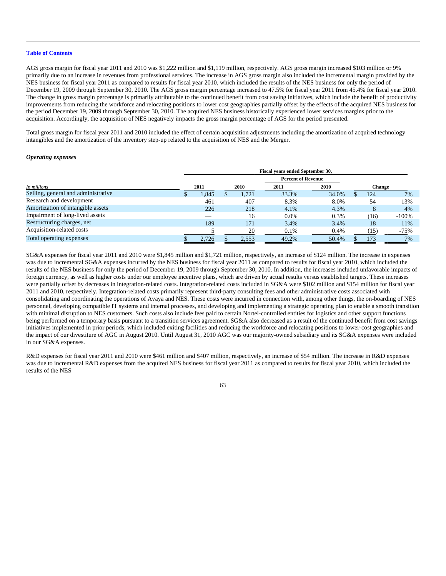AGS gross margin for fiscal year 2011 and 2010 was \$1,222 million and \$1,119 million, respectively. AGS gross margin increased \$103 million or 9% primarily due to an increase in revenues from professional services. The increase in AGS gross margin also included the incremental margin provided by the NES business for fiscal year 2011 as compared to results for fiscal year 2010, which included the results of the NES business for only the period of December 19, 2009 through September 30, 2010. The AGS gross margin percentage increased to 47.5% for fiscal year 2011 from 45.4% for fiscal year 2010. The change in gross margin percentage is primarily attributable to the continued benefit from cost saving initiatives, which include the benefit of productivity improvements from reducing the workforce and relocating positions to lower cost geographies partially offset by the effects of the acquired NES business for the period December 19, 2009 through September 30, 2010. The acquired NES business historically experienced lower services margins prior to the acquisition. Accordingly, the acquisition of NES negatively impacts the gross margin percentage of AGS for the period presented.

Total gross margin for fiscal year 2011 and 2010 included the effect of certain acquisition adjustments including the amortization of acquired technology intangibles and the amortization of the inventory step-up related to the acquisition of NES and the Merger.

## *Operating expenses*

|                                     | Fiscal years ended September 30, |       |  |       |                           |             |  |               |         |  |  |  |  |
|-------------------------------------|----------------------------------|-------|--|-------|---------------------------|-------------|--|---------------|---------|--|--|--|--|
|                                     |                                  |       |  |       | <b>Percent of Revenue</b> |             |  |               |         |  |  |  |  |
| In millions                         |                                  | 2011  |  | 2010  | 2011                      | <b>2010</b> |  | <b>Change</b> |         |  |  |  |  |
| Selling, general and administrative |                                  | 1.845 |  | 1.721 | 33.3%                     | 34.0%       |  | 124           | 7%      |  |  |  |  |
| Research and development            |                                  | 461   |  | 407   | 8.3%                      | 8.0%        |  | 54            | 13%     |  |  |  |  |
| Amortization of intangible assets   |                                  | 226   |  | 218   | 4.1%                      | 4.3%        |  | 8             | 4%      |  |  |  |  |
| Impairment of long-lived assets     |                                  |       |  | 16    | $0.0\%$                   | 0.3%        |  | (16)          | $-100%$ |  |  |  |  |
| Restructuring charges, net          |                                  | 189   |  | 171   | 3.4%                      | 3.4%        |  | 18            | 11%     |  |  |  |  |
| Acquisition-related costs           |                                  |       |  | 20    | 0.1%                      | 0.4%        |  | (15)          | $-75%$  |  |  |  |  |
| Total operating expenses            |                                  | 2,726 |  | 2,553 | 49.2%                     | 50.4%       |  | 173           | 7%      |  |  |  |  |

SG&A expenses for fiscal year 2011 and 2010 were \$1,845 million and \$1,721 million, respectively, an increase of \$124 million. The increase in expenses was due to incremental SG&A expenses incurred by the NES business for fiscal year 2011 as compared to results for fiscal year 2010, which included the results of the NES business for only the period of December 19, 2009 through September 30, 2010. In addition, the increases included unfavorable impacts of foreign currency, as well as higher costs under our employee incentive plans, which are driven by actual results versus established targets. These increases were partially offset by decreases in integration-related costs. Integration-related costs included in SG&A were \$102 million and \$154 million for fiscal year 2011 and 2010, respectively. Integration-related costs primarily represent third-party consulting fees and other administrative costs associated with consolidating and coordinating the operations of Avaya and NES. These costs were incurred in connection with, among other things, the on-boarding of NES personnel, developing compatible IT systems and internal processes, and developing and implementing a strategic operating plan to enable a smooth transition with minimal disruption to NES customers. Such costs also include fees paid to certain Nortel-controlled entities for logistics and other support functions being performed on a temporary basis pursuant to a transition services agreement. SG&A also decreased as a result of the continued benefit from cost savings initiatives implemented in prior periods, which included exiting facilities and reducing the workforce and relocating positions to lower-cost geographies and the impact of our divestiture of AGC in August 2010. Until August 31, 2010 AGC was our majority-owned subsidiary and its SG&A expenses were included in our SG&A expenses.

R&D expenses for fiscal year 2011 and 2010 were \$461 million and \$407 million, respectively, an increase of \$54 million. The increase in R&D expenses was due to incremental R&D expenses from the acquired NES business for fiscal year 2011 as compared to results for fiscal year 2010, which included the results of the NES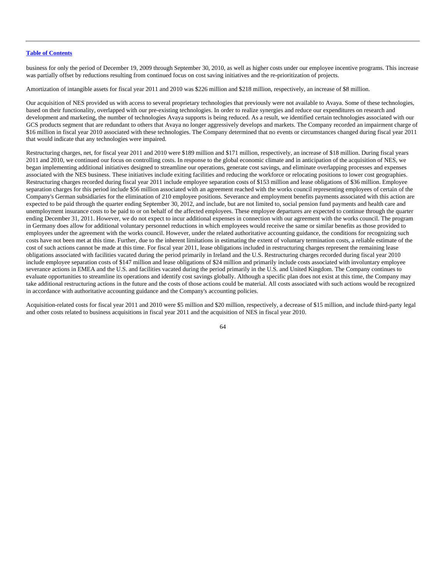business for only the period of December 19, 2009 through September 30, 2010, as well as higher costs under our employee incentive programs. This increase was partially offset by reductions resulting from continued focus on cost saving initiatives and the re-prioritization of projects.

Amortization of intangible assets for fiscal year 2011 and 2010 was \$226 million and \$218 million, respectively, an increase of \$8 million.

Our acquisition of NES provided us with access to several proprietary technologies that previously were not available to Avaya. Some of these technologies, based on their functionality, overlapped with our pre-existing technologies. In order to realize synergies and reduce our expenditures on research and development and marketing, the number of technologies Avaya supports is being reduced. As a result, we identified certain technologies associated with our GCS products segment that are redundant to others that Avaya no longer aggressively develops and markets. The Company recorded an impairment charge of \$16 million in fiscal year 2010 associated with these technologies. The Company determined that no events or circumstances changed during fiscal year 2011 that would indicate that any technologies were impaired.

Restructuring charges, net, for fiscal year 2011 and 2010 were \$189 million and \$171 million, respectively, an increase of \$18 million. During fiscal years 2011 and 2010, we continued our focus on controlling costs. In response to the global economic climate and in anticipation of the acquisition of NES, we began implementing additional initiatives designed to streamline our operations, generate cost savings, and eliminate overlapping processes and expenses associated with the NES business. These initiatives include exiting facilities and reducing the workforce or relocating positions to lower cost geographies. Restructuring charges recorded during fiscal year 2011 include employee separation costs of \$153 million and lease obligations of \$36 million. Employee separation charges for this period include \$56 million associated with an agreement reached with the works council representing employees of certain of the Company's German subsidiaries for the elimination of 210 employee positions. Severance and employment benefits payments associated with this action are expected to be paid through the quarter ending September 30, 2012, and include, but are not limited to, social pension fund payments and health care and unemployment insurance costs to be paid to or on behalf of the affected employees. These employee departures are expected to continue through the quarter ending December 31, 2011. However, we do not expect to incur additional expenses in connection with our agreement with the works council. The program in Germany does allow for additional voluntary personnel reductions in which employees would receive the same or similar benefits as those provided to employees under the agreement with the works council. However, under the related authoritative accounting guidance, the conditions for recognizing such costs have not been met at this time. Further, due to the inherent limitations in estimating the extent of voluntary termination costs, a reliable estimate of the cost of such actions cannot be made at this time. For fiscal year 2011, lease obligations included in restructuring charges represent the remaining lease obligations associated with facilities vacated during the period primarily in Ireland and the U.S. Restructuring charges recorded during fiscal year 2010 include employee separation costs of \$147 million and lease obligations of \$24 million and primarily include costs associated with involuntary employee severance actions in EMEA and the U.S. and facilities vacated during the period primarily in the U.S. and United Kingdom. The Company continues to evaluate opportunities to streamline its operations and identify cost savings globally. Although a specific plan does not exist at this time, the Company may take additional restructuring actions in the future and the costs of those actions could be material. All costs associated with such actions would be recognized in accordance with authoritative accounting guidance and the Company's accounting policies.

Acquisition-related costs for fiscal year 2011 and 2010 were \$5 million and \$20 million, respectively, a decrease of \$15 million, and include third-party legal and other costs related to business acquisitions in fiscal year 2011 and the acquisition of NES in fiscal year 2010.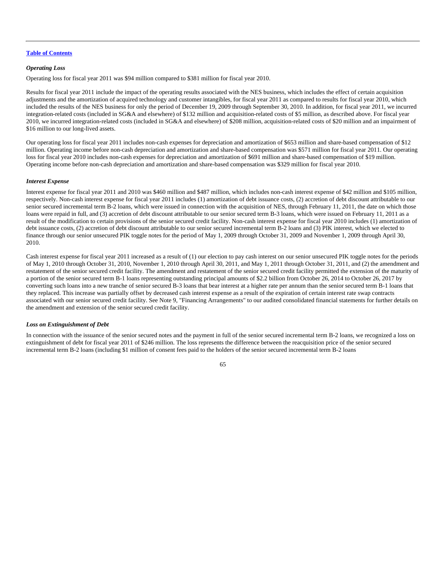# *Operating Loss*

Operating loss for fiscal year 2011 was \$94 million compared to \$381 million for fiscal year 2010.

Results for fiscal year 2011 include the impact of the operating results associated with the NES business, which includes the effect of certain acquisition adjustments and the amortization of acquired technology and customer intangibles, for fiscal year 2011 as compared to results for fiscal year 2010, which included the results of the NES business for only the period of December 19, 2009 through September 30, 2010. In addition, for fiscal year 2011, we incurred integration-related costs (included in SG&A and elsewhere) of \$132 million and acquisition-related costs of \$5 million, as described above. For fiscal year 2010, we incurred integration-related costs (included in SG&A and elsewhere) of \$208 million, acquisition-related costs of \$20 million and an impairment of \$16 million to our long-lived assets.

Our operating loss for fiscal year 2011 includes non-cash expenses for depreciation and amortization of \$653 million and share-based compensation of \$12 million. Operating income before non-cash depreciation and amortization and share-based compensation was \$571 million for fiscal year 2011. Our operating loss for fiscal year 2010 includes non-cash expenses for depreciation and amortization of \$691 million and share-based compensation of \$19 million. Operating income before non-cash depreciation and amortization and share-based compensation was \$329 million for fiscal year 2010.

# *Interest Expense*

Interest expense for fiscal year 2011 and 2010 was \$460 million and \$487 million, which includes non-cash interest expense of \$42 million and \$105 million, respectively. Non-cash interest expense for fiscal year 2011 includes (1) amortization of debt issuance costs, (2) accretion of debt discount attributable to our senior secured incremental term B-2 loans, which were issued in connection with the acquisition of NES, through February 11, 2011, the date on which those loans were repaid in full, and (3) accretion of debt discount attributable to our senior secured term B-3 loans, which were issued on February 11, 2011 as a result of the modification to certain provisions of the senior secured credit facility. Non-cash interest expense for fiscal year 2010 includes (1) amortization of debt issuance costs, (2) accretion of debt discount attributable to our senior secured incremental term B-2 loans and (3) PIK interest, which we elected to finance through our senior unsecured PIK toggle notes for the period of May 1, 2009 through October 31, 2009 and November 1, 2009 through April 30, 2010.

Cash interest expense for fiscal year 2011 increased as a result of (1) our election to pay cash interest on our senior unsecured PIK toggle notes for the periods of May 1, 2010 through October 31, 2010, November 1, 2010 through April 30, 2011, and May 1, 2011 through October 31, 2011, and (2) the amendment and restatement of the senior secured credit facility. The amendment and restatement of the senior secured credit facility permitted the extension of the maturity of a portion of the senior secured term B-1 loans representing outstanding principal amounts of \$2.2 billion from October 26, 2014 to October 26, 2017 by converting such loans into a new tranche of senior secured B-3 loans that bear interest at a higher rate per annum than the senior secured term B-1 loans that they replaced. This increase was partially offset by decreased cash interest expense as a result of the expiration of certain interest rate swap contracts associated with our senior secured credit facility. See Note 9, "Financing Arrangements" to our audited consolidated financial statements for further details on the amendment and extension of the senior secured credit facility.

# *Loss on Extinguishment of Debt*

In connection with the issuance of the senior secured notes and the payment in full of the senior secured incremental term B-2 loans, we recognized a loss on extinguishment of debt for fiscal year 2011 of \$246 million. The loss represents the difference between the reacquisition price of the senior secured incremental term B-2 loans (including \$1 million of consent fees paid to the holders of the senior secured incremental term B-2 loans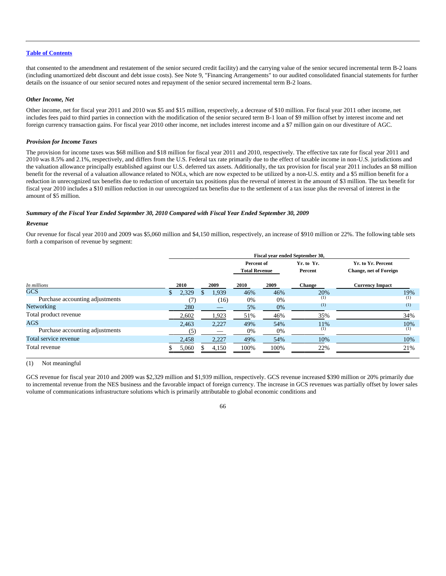that consented to the amendment and restatement of the senior secured credit facility) and the carrying value of the senior secured incremental term B-2 loans (including unamortized debt discount and debt issue costs). See Note 9, "Financing Arrangements" to our audited consolidated financial statements for further details on the issuance of our senior secured notes and repayment of the senior secured incremental term B-2 loans.

### *Other Income, Net*

Other income, net for fiscal year 2011 and 2010 was \$5 and \$15 million, respectively, a decrease of \$10 million. For fiscal year 2011 other income, net includes fees paid to third parties in connection with the modification of the senior secured term B-1 loan of \$9 million offset by interest income and net foreign currency transaction gains. For fiscal year 2010 other income, net includes interest income and a \$7 million gain on our divestiture of AGC.

# *Provision for Income Taxes*

The provision for income taxes was \$68 million and \$18 million for fiscal year 2011 and 2010, respectively. The effective tax rate for fiscal year 2011 and 2010 was 8.5% and 2.1%, respectively, and differs from the U.S. Federal tax rate primarily due to the effect of taxable income in non-U.S. jurisdictions and the valuation allowance principally established against our U.S. deferred tax assets. Additionally, the tax provision for fiscal year 2011 includes an \$8 million benefit for the reversal of a valuation allowance related to NOLs, which are now expected to be utilized by a non-U.S. entity and a \$5 million benefit for a reduction in unrecognized tax benefits due to reduction of uncertain tax positions plus the reversal of interest in the amount of \$3 million. The tax benefit for fiscal year 2010 includes a \$10 million reduction in our unrecognized tax benefits due to the settlement of a tax issue plus the reversal of interest in the amount of \$5 million.

## *Summary of the Fiscal Year Ended September 30, 2010 Compared with Fiscal Year Ended September 30, 2009*

#### *Revenue*

Our revenue for fiscal year 2010 and 2009 was \$5,060 million and \$4,150 million, respectively, an increase of \$910 million or 22%. The following table sets forth a comparison of revenue by segment:

|                                 |             |              |                      |      | Fiscal year ended September 30, |                               |
|---------------------------------|-------------|--------------|----------------------|------|---------------------------------|-------------------------------|
|                                 |             |              | Percent of           |      | Yr. to Yr.                      | Yr. to Yr. Percent            |
|                                 |             |              | <b>Total Revenue</b> |      | Percent                         | <b>Change, net of Foreign</b> |
| In millions                     | 2010        | 2009         | 2010                 | 2009 | Change                          | <b>Currency Impact</b>        |
| <b>GCS</b>                      | 2,329<br>S. | 1.939<br>аĐ. | 46%                  | 46%  | 20%                             | 19%                           |
| Purchase accounting adjustments | 71          | (16)         | 0%                   | 0%   | (1)                             | (1)                           |
| <b>Networking</b>               | 280         |              | 5%                   | 0%   | (1)                             | (1)                           |
| Total product revenue           | 2,602       | 1,923        | 51%                  | 46%  | 35%                             | 34%                           |
| AGS                             | 2.463       | 2.227        | 49%                  | 54%  | 11%                             | 10%                           |
| Purchase accounting adjustments | (5)         |              | 0%                   | 0%   | (1)                             | (1)                           |
| Total service revenue           | 2,458       | 2,227        | 49%                  | 54%  | 10%                             | 10%                           |
| Total revenue                   | 5,060       | 4,150        | 100%                 | 100% | 22%                             | 21%                           |

(1) Not meaningful

GCS revenue for fiscal year 2010 and 2009 was \$2,329 million and \$1,939 million, respectively. GCS revenue increased \$390 million or 20% primarily due to incremental revenue from the NES business and the favorable impact of foreign currency. The increase in GCS revenues was partially offset by lower sales volume of communications infrastructure solutions which is primarily attributable to global economic conditions and

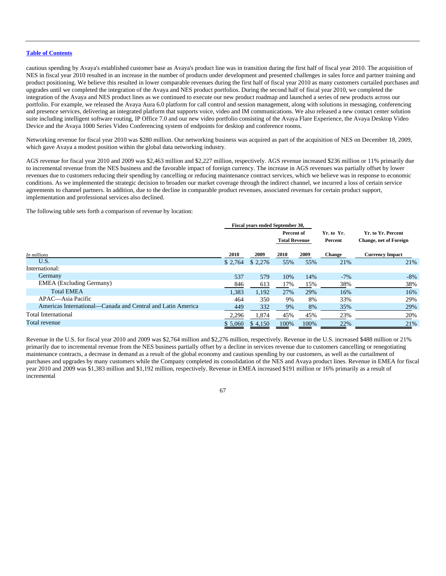cautious spending by Avaya's established customer base as Avaya's product line was in transition during the first half of fiscal year 2010. The acquisition of NES in fiscal year 2010 resulted in an increase in the number of products under development and presented challenges in sales force and partner training and product positioning. We believe this resulted in lower comparable revenues during the first half of fiscal year 2010 as many customers curtailed purchases and upgrades until we completed the integration of the Avaya and NES product portfolios. During the second half of fiscal year 2010, we completed the integration of the Avaya and NES product lines as we continued to execute our new product roadmap and launched a series of new products across our portfolio. For example, we released the Avaya Aura 6.0 platform for call control and session management, along with solutions in messaging, conferencing and presence services, delivering an integrated platform that supports voice, video and IM communications. We also released a new contact center solution suite including intelligent software routing, IP Office 7.0 and our new video portfolio consisting of the Avaya Flare Experience, the Avaya Desktop Video Device and the Avaya 1000 Series Video Conferencing system of endpoints for desktop and conference rooms.

Networking revenue for fiscal year 2010 was \$280 million. Our networking business was acquired as part of the acquisition of NES on December 18, 2009, which gave Avaya a modest position within the global data networking industry.

AGS revenue for fiscal year 2010 and 2009 was \$2,463 million and \$2,227 million, respectively. AGS revenue increased \$236 million or 11% primarily due to incremental revenue from the NES business and the favorable impact of foreign currency. The increase in AGS revenues was partially offset by lower revenues due to customers reducing their spending by cancelling or reducing maintenance contract services, which we believe was in response to economic conditions. As we implemented the strategic decision to broaden our market coverage through the indirect channel, we incurred a loss of certain service agreements to channel partners. In addition, due to the decline in comparable product revenues, associated revenues for certain product support, implementation and professional services also declined.

The following table sets forth a comparison of revenue by location:

|                                                             |             | Fiscal years ended September 30, |                      |      |               |                               |
|-------------------------------------------------------------|-------------|----------------------------------|----------------------|------|---------------|-------------------------------|
|                                                             |             |                                  | <b>Percent of</b>    |      | Yr. to Yr.    | Yr. to Yr. Percent            |
|                                                             |             |                                  | <b>Total Revenue</b> |      | Percent       | <b>Change, net of Foreign</b> |
| In millions                                                 | <b>2010</b> | 2009                             | 2010                 | 2009 | <b>Change</b> | <b>Currency Impact</b>        |
| U.S.                                                        | \$2,764     | \$2,276                          | 55%                  | 55%  | 21%           | 21%                           |
| International:                                              |             |                                  |                      |      |               |                               |
| Germany                                                     | 537         | 579                              | 10%                  | 14%  | $-7%$         | $-8%$                         |
| <b>EMEA</b> (Excluding Germany)                             | 846         | 613                              | 17%                  | 15%  | 38%           | 38%                           |
| <b>Total EMEA</b>                                           | 1,383       | 1,192                            | 27%                  | 29%  | 16%           | 16%                           |
| APAC—Asia Pacific                                           | 464         | 350                              | 9%                   | 8%   | 33%           | 29%                           |
| Americas International—Canada and Central and Latin America | 449         | 332                              | 9%                   | 8%   | 35%           | 29%                           |
| <b>Total International</b>                                  | 2,296       | 1,874                            | 45%                  | 45%  | 23%           | 20%                           |
| Total revenue                                               | \$5,060     | \$4,150                          | 100%                 | 100% | 22%           | 21%                           |

Revenue in the U.S. for fiscal year 2010 and 2009 was \$2,764 million and \$2,276 million, respectively. Revenue in the U.S. increased \$488 million or 21% primarily due to incremental revenue from the NES business partially offset by a decline in services revenue due to customers cancelling or renegotiating maintenance contracts, a decrease in demand as a result of the global economy and cautious spending by our customers, as well as the curtailment of purchases and upgrades by many customers while the Company completed its consolidation of the NES and Avaya product lines. Revenue in EMEA for fiscal year 2010 and 2009 was \$1,383 million and \$1,192 million, respectively. Revenue in EMEA increased \$191 million or 16% primarily as a result of incremental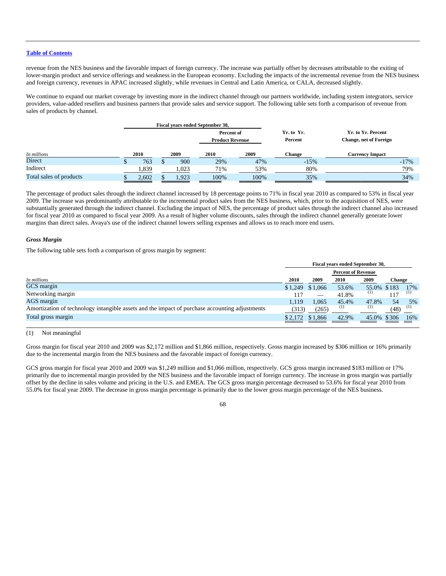revenue from the NES business and the favorable impact of foreign currency. The increase was partially offset by decreases attributable to the exiting of lower-margin product and service offerings and weakness in the European economy. Excluding the impacts of the incremental revenue from the NES business and foreign currency, revenues in APAC increased slightly, while revenues in Central and Latin America, or CALA, decreased slightly.

We continue to expand our market coverage by investing more in the indirect channel through our partners worldwide, including system integrators, service providers, value-added resellers and business partners that provide sales and service support. The following table sets forth a comparison of revenue from sales of products by channel.

|                         |              |  |             | Fiscal years ended September 30,     |        |                        |                                                     |        |
|-------------------------|--------------|--|-------------|--------------------------------------|--------|------------------------|-----------------------------------------------------|--------|
|                         |              |  |             | Percent of<br><b>Product Revenue</b> |        | Yr. to Yr.<br>Percent  | Yr. to Yr. Percent<br><b>Change, net of Foreign</b> |        |
| In millions             | 2009<br>2010 |  | <b>2010</b> | 2009                                 | Change | <b>Currency Impact</b> |                                                     |        |
| Direct                  | 763          |  | 900         | 29%                                  | 47%    | $-15%$                 |                                                     | $-17%$ |
| Indirect                | 1,839        |  | .023        | 71%                                  | 53%    | 80%                    |                                                     | 79%    |
| Total sales of products | 2,602        |  | 1,923       | 100%                                 | 100%   | 35%                    |                                                     | 34%    |

The percentage of product sales through the indirect channel increased by 18 percentage points to 71% in fiscal year 2010 as compared to 53% in fiscal year 2009. The increase was predominantly attributable to the incremental product sales from the NES business, which, prior to the acquisition of NES, were substantially generated through the indirect channel. Excluding the impact of NES, the percentage of product sales through the indirect channel also increased for fiscal year 2010 as compared to fiscal year 2009. As a result of higher volume discounts, sales through the indirect channel generally generate lower margins than direct sales. Avaya's use of the indirect channel lowers selling expenses and allows us to reach more end users.

# *Gross Margin*

The following table sets forth a comparison of gross margin by segment:

|                                                                                                | Fiscal years ended September 30,<br><b>Percent of Revenue</b> |         |       |             |        |     |  |  |
|------------------------------------------------------------------------------------------------|---------------------------------------------------------------|---------|-------|-------------|--------|-----|--|--|
|                                                                                                |                                                               |         |       |             |        |     |  |  |
| In millions                                                                                    | 2009<br>2010<br>2010<br>2009                                  |         |       |             | Change |     |  |  |
| GCS margin                                                                                     | \$1,249                                                       | \$1,066 | 53.6% | 55.0% \$183 |        | 17% |  |  |
| Networking margin                                                                              | 117                                                           | $\sim$  | 41.8% | (1)         | 117    |     |  |  |
| AGS margin                                                                                     | 1.119                                                         | 1.065   | 45.4% | 47.8%       | 54     | 5%  |  |  |
| Amortization of technology intangible assets and the impact of purchase accounting adjustments | (313)                                                         | (265)   | (1)   | (1)         | (48)   |     |  |  |
| Total gross margin                                                                             | \$2,172                                                       | \$1,866 | 42.9% | 45.0% \$306 |        | 16% |  |  |

### (1) Not meaningful

Gross margin for fiscal year 2010 and 2009 was \$2,172 million and \$1,866 million, respectively. Gross margin increased by \$306 million or 16% primarily due to the incremental margin from the NES business and the favorable impact of foreign currency.

GCS gross margin for fiscal year 2010 and 2009 was \$1,249 million and \$1,066 million, respectively. GCS gross margin increased \$183 million or 17% primarily due to incremental margin provided by the NES business and the favorable impact of foreign currency. The increase in gross margin was partially offset by the decline in sales volume and pricing in the U.S. and EMEA. The GCS gross margin percentage decreased to 53.6% for fiscal year 2010 from 55.0% for fiscal year 2009. The decrease in gross margin percentage is primarily due to the lower gross margin percentage of the NES business.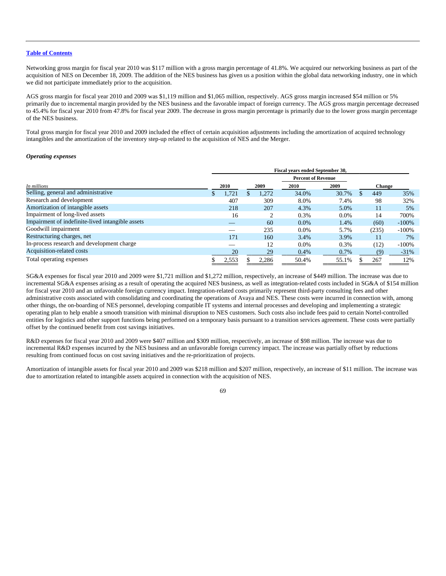Networking gross margin for fiscal year 2010 was \$117 million with a gross margin percentage of 41.8%. We acquired our networking business as part of the acquisition of NES on December 18, 2009. The addition of the NES business has given us a position within the global data networking industry, one in which we did not participate immediately prior to the acquisition.

AGS gross margin for fiscal year 2010 and 2009 was \$1,119 million and \$1,065 million, respectively. AGS gross margin increased \$54 million or 5% primarily due to incremental margin provided by the NES business and the favorable impact of foreign currency. The AGS gross margin percentage decreased to 45.4% for fiscal year 2010 from 47.8% for fiscal year 2009. The decrease in gross margin percentage is primarily due to the lower gross margin percentage of the NES business.

Total gross margin for fiscal year 2010 and 2009 included the effect of certain acquisition adjustments including the amortization of acquired technology intangibles and the amortization of the inventory step-up related to the acquisition of NES and the Merger.

## *Operating expenses*

|                                                  | Fiscal vears ended September 30, |       |      |       |                           |       |  |       |               |  |
|--------------------------------------------------|----------------------------------|-------|------|-------|---------------------------|-------|--|-------|---------------|--|
|                                                  |                                  |       |      |       | <b>Percent of Revenue</b> |       |  |       |               |  |
| In millions                                      |                                  | 2010  | 2009 |       | 2010                      | 2009  |  |       | <b>Change</b> |  |
| Selling, general and administrative              |                                  | 1.721 |      | .272  | 34.0%                     | 30.7% |  | 449   | 35%           |  |
| Research and development                         |                                  | 407   |      | 309   | 8.0%                      | 7.4%  |  | 98    | 32%           |  |
| Amortization of intangible assets                |                                  | 218   |      | 207   | 4.3%                      | 5.0%  |  | 11    | 5%            |  |
| Impairment of long-lived assets                  |                                  | 16    |      | ◠     | 0.3%                      | 0.0%  |  | 14    | 700%          |  |
| Impairment of indefinite-lived intangible assets |                                  |       |      | 60    | $0.0\%$                   | 1.4%  |  | (60)  | $-100%$       |  |
| Goodwill impairment                              |                                  |       |      | 235   | $0.0\%$                   | 5.7%  |  | (235) | $-100%$       |  |
| Restructuring charges, net                       |                                  | 171   |      | 160   | 3.4%                      | 3.9%  |  | 11    | 7%            |  |
| In-process research and development charge       |                                  |       |      | 12    | $0.0\%$                   | 0.3%  |  | (12)  | $-100%$       |  |
| Acquisition-related costs                        |                                  | 20    |      | 29    | 0.4%                      | 0.7%  |  | (9)   | $-31%$        |  |
| Total operating expenses                         |                                  | 2,553 |      | 2,286 | 50.4%                     | 55.1% |  | 267   | 12%           |  |

SG&A expenses for fiscal year 2010 and 2009 were \$1,721 million and \$1,272 million, respectively, an increase of \$449 million. The increase was due to incremental SG&A expenses arising as a result of operating the acquired NES business, as well as integration-related costs included in SG&A of \$154 million for fiscal year 2010 and an unfavorable foreign currency impact. Integration-related costs primarily represent third-party consulting fees and other administrative costs associated with consolidating and coordinating the operations of Avaya and NES. These costs were incurred in connection with, among other things, the on-boarding of NES personnel, developing compatible IT systems and internal processes and developing and implementing a strategic operating plan to help enable a smooth transition with minimal disruption to NES customers. Such costs also include fees paid to certain Nortel-controlled entities for logistics and other support functions being performed on a temporary basis pursuant to a transition services agreement. These costs were partially offset by the continued benefit from cost savings initiatives.

R&D expenses for fiscal year 2010 and 2009 were \$407 million and \$309 million, respectively, an increase of \$98 million. The increase was due to incremental R&D expenses incurred by the NES business and an unfavorable foreign currency impact. The increase was partially offset by reductions resulting from continued focus on cost saving initiatives and the re-prioritization of projects.

Amortization of intangible assets for fiscal year 2010 and 2009 was \$218 million and \$207 million, respectively, an increase of \$11 million. The increase was due to amortization related to intangible assets acquired in connection with the acquisition of NES.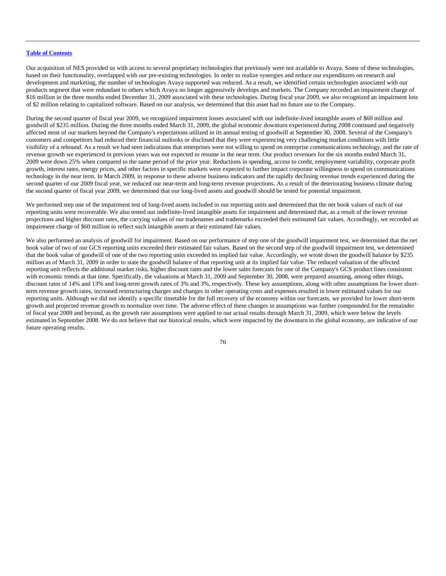Our acquisition of NES provided us with access to several proprietary technologies that previously were not available to Avaya. Some of these technologies, based on their functionality, overlapped with our pre-existing technologies. In order to realize synergies and reduce our expenditures on research and development and marketing, the number of technologies Avaya supported was reduced. As a result, we identified certain technologies associated with our products segment that were redundant to others which Avaya no longer aggressively develops and markets. The Company recorded an impairment charge of \$16 million in the three months ended December 31, 2009 associated with these technologies. During fiscal year 2009, we also recognized an impairment loss of \$2 million relating to capitalized software. Based on our analysis, we determined that this asset had no future use to the Company.

During the second quarter of fiscal year 2009, we recognized impairment losses associated with our indefinite-lived intangible assets of \$60 million and goodwill of \$235 million. During the three months ended March 31, 2009, the global economic downturn experienced during 2008 continued and negatively affected most of our markets beyond the Company's expectations utilized in its annual testing of goodwill at September 30, 2008. Several of the Company's customers and competitors had reduced their financial outlooks or disclosed that they were experiencing very challenging market conditions with little visibility of a rebound. As a result we had seen indications that enterprises were not willing to spend on enterprise communications technology, and the rate of revenue growth we experienced in previous years was not expected to resume in the near term. Our product revenues for the six months ended March 31, 2009 were down 25% when compared to the same period of the prior year. Reductions in spending, access to credit, employment variability, corporate profit growth, interest rates, energy prices, and other factors in specific markets were expected to further impact corporate willingness to spend on communications technology in the near term. In March 2009, in response to these adverse business indicators and the rapidly declining revenue trends experienced during the second quarter of our 2009 fiscal year, we reduced our near-term and long-term revenue projections. As a result of the deteriorating business climate during the second quarter of fiscal year 2009, we determined that our long-lived assets and goodwill should be tested for potential impairment.

We performed step one of the impairment test of long-lived assets included in our reporting units and determined that the net book values of each of our reporting units were recoverable. We also tested our indefinite-lived intangible assets for impairment and determined that, as a result of the lower revenue projections and higher discount rates, the carrying values of our tradenames and trademarks exceeded their estimated fair values. Accordingly, we recorded an impairment charge of \$60 million to reflect such intangible assets at their estimated fair values.

We also performed an analysis of goodwill for impairment. Based on our performance of step one of the goodwill impairment test, we determined that the net book value of two of our GCS reporting units exceeded their estimated fair values. Based on the second step of the goodwill impairment test, we determined that the book value of goodwill of one of the two reporting units exceeded its implied fair value. Accordingly, we wrote down the goodwill balance by \$235 million as of March 31, 2009 in order to state the goodwill balance of that reporting unit at its implied fair value. The reduced valuation of the affected reporting unit reflects the additional market risks, higher discount rates and the lower sales forecasts for one of the Company's GCS product lines consistent with economic trends at that time. Specifically, the valuations at March 31, 2009 and September 30, 2008, were prepared assuming, among other things, discount rates of 14% and 13% and long-term growth rates of 3% and 3%, respectively. These key assumptions, along with other assumptions for lower shortterm revenue growth rates, increased restructuring charges and changes in other operating costs and expenses resulted in lower estimated values for our reporting units. Although we did not identify a specific timetable for the full recovery of the economy within our forecasts, we provided for lower short-term growth and projected revenue growth to normalize over time. The adverse effect of these changes in assumptions was further compounded for the remainder of fiscal year 2009 and beyond, as the growth rate assumptions were applied to our actual results through March 31, 2009, which were below the levels estimated in September 2008. We do not believe that our historical results, which were impacted by the downturn in the global economy, are indicative of our future operating results.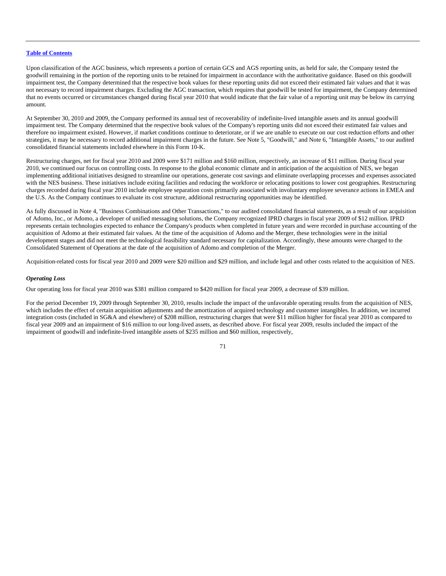Upon classification of the AGC business, which represents a portion of certain GCS and AGS reporting units, as held for sale, the Company tested the goodwill remaining in the portion of the reporting units to be retained for impairment in accordance with the authoritative guidance. Based on this goodwill impairment test, the Company determined that the respective book values for these reporting units did not exceed their estimated fair values and that it was not necessary to record impairment charges. Excluding the AGC transaction, which requires that goodwill be tested for impairment, the Company determined that no events occurred or circumstances changed during fiscal year 2010 that would indicate that the fair value of a reporting unit may be below its carrying amount.

At September 30, 2010 and 2009, the Company performed its annual test of recoverability of indefinite-lived intangible assets and its annual goodwill impairment test. The Company determined that the respective book values of the Company's reporting units did not exceed their estimated fair values and therefore no impairment existed. However, if market conditions continue to deteriorate, or if we are unable to execute on our cost reduction efforts and other strategies, it may be necessary to record additional impairment charges in the future. See Note 5, "Goodwill," and Note 6, "Intangible Assets," to our audited consolidated financial statements included elsewhere in this Form 10-K.

Restructuring charges, net for fiscal year 2010 and 2009 were \$171 million and \$160 million, respectively, an increase of \$11 million. During fiscal year 2010, we continued our focus on controlling costs. In response to the global economic climate and in anticipation of the acquisition of NES, we began implementing additional initiatives designed to streamline our operations, generate cost savings and eliminate overlapping processes and expenses associated with the NES business. These initiatives include exiting facilities and reducing the workforce or relocating positions to lower cost geographies. Restructuring charges recorded during fiscal year 2010 include employee separation costs primarily associated with involuntary employee severance actions in EMEA and the U.S. As the Company continues to evaluate its cost structure, additional restructuring opportunities may be identified.

As fully discussed in Note 4, "Business Combinations and Other Transactions," to our audited consolidated financial statements, as a result of our acquisition of Adomo, Inc., or Adomo, a developer of unified messaging solutions, the Company recognized IPRD charges in fiscal year 2009 of \$12 million. IPRD represents certain technologies expected to enhance the Company's products when completed in future years and were recorded in purchase accounting of the acquisition of Adomo at their estimated fair values. At the time of the acquisition of Adomo and the Merger, these technologies were in the initial development stages and did not meet the technological feasibility standard necessary for capitalization. Accordingly, these amounts were charged to the Consolidated Statement of Operations at the date of the acquisition of Adomo and completion of the Merger.

Acquisition-related costs for fiscal year 2010 and 2009 were \$20 million and \$29 million, and include legal and other costs related to the acquisition of NES.

## *Operating Loss*

Our operating loss for fiscal year 2010 was \$381 million compared to \$420 million for fiscal year 2009, a decrease of \$39 million.

For the period December 19, 2009 through September 30, 2010, results include the impact of the unfavorable operating results from the acquisition of NES, which includes the effect of certain acquisition adjustments and the amortization of acquired technology and customer intangibles. In addition, we incurred integration costs (included in SG&A and elsewhere) of \$208 million, restructuring charges that were \$11 million higher for fiscal year 2010 as compared to fiscal year 2009 and an impairment of \$16 million to our long-lived assets, as described above. For fiscal year 2009, results included the impact of the impairment of goodwill and indefinite-lived intangible assets of \$235 million and \$60 million, respectively,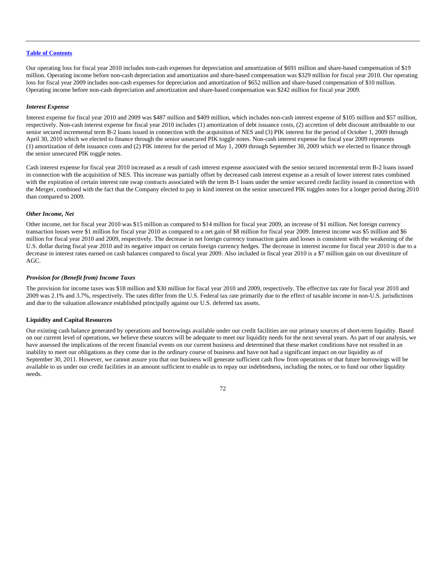Our operating loss for fiscal year 2010 includes non-cash expenses for depreciation and amortization of \$691 million and share-based compensation of \$19 million. Operating income before non-cash depreciation and amortization and share-based compensation was \$329 million for fiscal year 2010. Our operating loss for fiscal year 2009 includes non-cash expenses for depreciation and amortization of \$652 million and share-based compensation of \$10 million. Operating income before non-cash depreciation and amortization and share-based compensation was \$242 million for fiscal year 2009.

## *Interest Expense*

Interest expense for fiscal year 2010 and 2009 was \$487 million and \$409 million, which includes non-cash interest expense of \$105 million and \$57 million, respectively. Non-cash interest expense for fiscal year 2010 includes (1) amortization of debt issuance costs, (2) accretion of debt discount attributable to our senior secured incremental term B-2 loans issued in connection with the acquisition of NES and (3) PIK interest for the period of October 1, 2009 through April 30, 2010 which we elected to finance through the senior unsecured PIK toggle notes. Non-cash interest expense for fiscal year 2009 represents (1) amortization of debt issuance costs and (2) PIK interest for the period of May 1, 2009 through September 30, 2009 which we elected to finance through the senior unsecured PIK toggle notes.

Cash interest expense for fiscal year 2010 increased as a result of cash interest expense associated with the senior secured incremental term B-2 loans issued in connection with the acquisition of NES. This increase was partially offset by decreased cash interest expense as a result of lower interest rates combined with the expiration of certain interest rate swap contracts associated with the term B-1 loans under the senior secured credit facility issued in connection with the Merger, combined with the fact that the Company elected to pay in kind interest on the senior unsecured PIK toggles notes for a longer period during 2010 than compared to 2009.

## *Other Income, Net*

Other income, net for fiscal year 2010 was \$15 million as compared to \$14 million for fiscal year 2009, an increase of \$1 million. Net foreign currency transaction losses were \$1 million for fiscal year 2010 as compared to a net gain of \$8 million for fiscal year 2009. Interest income was \$5 million and \$6 million for fiscal year 2010 and 2009, respectively. The decrease in net foreign currency transaction gains and losses is consistent with the weakening of the U.S. dollar during fiscal year 2010 and its negative impact on certain foreign currency hedges. The decrease in interest income for fiscal year 2010 is due to a decrease in interest rates earned on cash balances compared to fiscal year 2009. Also included in fiscal year 2010 is a \$7 million gain on our divestiture of AGC.

## *Provision for (Benefit from) Income Taxes*

The provision for income taxes was \$18 million and \$30 million for fiscal year 2010 and 2009, respectively. The effective tax rate for fiscal year 2010 and 2009 was 2.1% and 3.7%, respectively. The rates differ from the U.S. Federal tax rate primarily due to the effect of taxable income in non-U.S. jurisdictions and due to the valuation allowance established principally against our U.S. deferred tax assets.

# **Liquidity and Capital Resources**

Our existing cash balance generated by operations and borrowings available under our credit facilities are our primary sources of short-term liquidity. Based on our current level of operations, we believe these sources will be adequate to meet our liquidity needs for the next several years. As part of our analysis, we have assessed the implications of the recent financial events on our current business and determined that these market conditions have not resulted in an inability to meet our obligations as they come due in the ordinary course of business and have not had a significant impact on our liquidity as of September 30, 2011. However, we cannot assure you that our business will generate sufficient cash flow from operations or that future borrowings will be available to us under our credit facilities in an amount sufficient to enable us to repay our indebtedness, including the notes, or to fund our other liquidity needs.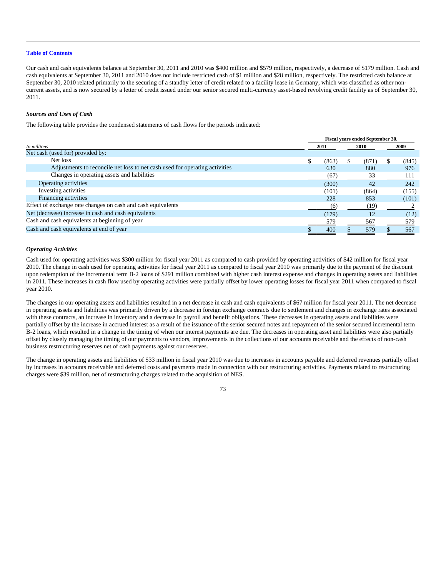Our cash and cash equivalents balance at September 30, 2011 and 2010 was \$400 million and \$579 million, respectively, a decrease of \$179 million. Cash and cash equivalents at September 30, 2011 and 2010 does not include restricted cash of \$1 million and \$28 million, respectively. The restricted cash balance at September 30, 2010 related primarily to the securing of a standby letter of credit related to a facility lease in Germany, which was classified as other noncurrent assets, and is now secured by a letter of credit issued under our senior secured multi-currency asset-based revolving credit facility as of September 30, 2011.

## *Sources and Uses of Cash*

The following table provides the condensed statements of cash flows for the periods indicated:

|                                                                             | Fiscal vears ended September 30, |       |    |       |  |       |  |  |  |
|-----------------------------------------------------------------------------|----------------------------------|-------|----|-------|--|-------|--|--|--|
| In millions                                                                 | 2011                             |       |    | 2010  |  | 2009  |  |  |  |
| Net cash (used for) provided by:                                            |                                  |       |    |       |  |       |  |  |  |
| Net loss                                                                    |                                  | (863) | \$ | (871) |  | (845) |  |  |  |
| Adjustments to reconcile net loss to net cash used for operating activities |                                  | 630   |    | 880   |  | 976   |  |  |  |
| Changes in operating assets and liabilities                                 |                                  | (67)  |    | 33    |  | 111   |  |  |  |
| Operating activities                                                        |                                  | (300) |    | 42    |  | 242   |  |  |  |
| Investing activities                                                        |                                  | (101) |    | (864) |  | (155) |  |  |  |
| Financing activities                                                        |                                  | 228   |    | 853   |  | (101) |  |  |  |
| Effect of exchange rate changes on cash and cash equivalents                |                                  | (6)   |    | (19)  |  |       |  |  |  |
| Net (decrease) increase in cash and cash equivalents                        |                                  | (179) |    | 12    |  | (12)  |  |  |  |
| Cash and cash equivalents at beginning of year                              |                                  | 579   |    | 567   |  | 579   |  |  |  |
| Cash and cash equivalents at end of year                                    |                                  | 400   |    | 579   |  | 567   |  |  |  |

# *Operating Activities*

Cash used for operating activities was \$300 million for fiscal year 2011 as compared to cash provided by operating activities of \$42 million for fiscal year 2010. The change in cash used for operating activities for fiscal year 2011 as compared to fiscal year 2010 was primarily due to the payment of the discount upon redemption of the incremental term B-2 loans of \$291 million combined with higher cash interest expense and changes in operating assets and liabilities in 2011. These increases in cash flow used by operating activities were partially offset by lower operating losses for fiscal year 2011 when compared to fiscal year 2010.

The changes in our operating assets and liabilities resulted in a net decrease in cash and cash equivalents of \$67 million for fiscal year 2011. The net decrease in operating assets and liabilities was primarily driven by a decrease in foreign exchange contracts due to settlement and changes in exchange rates associated with these contracts, an increase in inventory and a decrease in payroll and benefit obligations. These decreases in operating assets and liabilities were partially offset by the increase in accrued interest as a result of the issuance of the senior secured notes and repayment of the senior secured incremental term B-2 loans, which resulted in a change in the timing of when our interest payments are due. The decreases in operating asset and liabilities were also partially offset by closely managing the timing of our payments to vendors, improvements in the collections of our accounts receivable and the effects of non-cash business restructuring reserves net of cash payments against our reserves.

The change in operating assets and liabilities of \$33 million in fiscal year 2010 was due to increases in accounts payable and deferred revenues partially offset by increases in accounts receivable and deferred costs and payments made in connection with our restructuring activities. Payments related to restructuring charges were \$39 million, net of restructuring charges related to the acquisition of NES.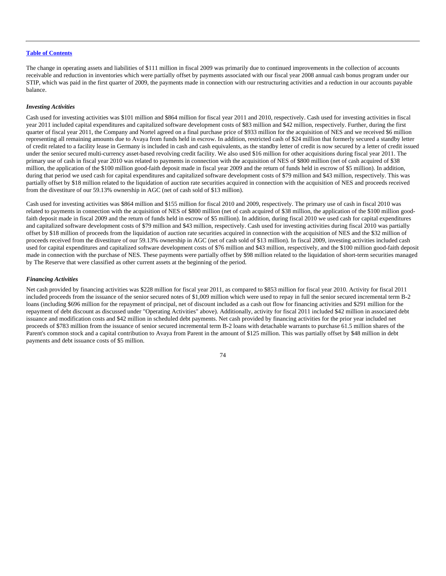The change in operating assets and liabilities of \$111 million in fiscal 2009 was primarily due to continued improvements in the collection of accounts receivable and reduction in inventories which were partially offset by payments associated with our fiscal year 2008 annual cash bonus program under our STIP, which was paid in the first quarter of 2009, the payments made in connection with our restructuring activities and a reduction in our accounts payable balance.

# *Investing Activities*

Cash used for investing activities was \$101 million and \$864 million for fiscal year 2011 and 2010, respectively. Cash used for investing activities in fiscal year 2011 included capital expenditures and capitalized software development costs of \$83 million and \$42 million, respectively. Further, during the first quarter of fiscal year 2011, the Company and Nortel agreed on a final purchase price of \$933 million for the acquisition of NES and we received \$6 million representing all remaining amounts due to Avaya from funds held in escrow. In addition, restricted cash of \$24 million that formerly secured a standby letter of credit related to a facility lease in Germany is included in cash and cash equivalents, as the standby letter of credit is now secured by a letter of credit issued under the senior secured multi-currency asset-based revolving credit facility. We also used \$16 million for other acquisitions during fiscal year 2011. The primary use of cash in fiscal year 2010 was related to payments in connection with the acquisition of NES of \$800 million (net of cash acquired of \$38 million, the application of the \$100 million good-faith deposit made in fiscal year 2009 and the return of funds held in escrow of \$5 million). In addition, during that period we used cash for capital expenditures and capitalized software development costs of \$79 million and \$43 million, respectively. This was partially offset by \$18 million related to the liquidation of auction rate securities acquired in connection with the acquisition of NES and proceeds received from the divestiture of our 59.13% ownership in AGC (net of cash sold of \$13 million).

Cash used for investing activities was \$864 million and \$155 million for fiscal 2010 and 2009, respectively. The primary use of cash in fiscal 2010 was related to payments in connection with the acquisition of NES of \$800 million (net of cash acquired of \$38 million, the application of the \$100 million goodfaith deposit made in fiscal 2009 and the return of funds held in escrow of \$5 million). In addition, during fiscal 2010 we used cash for capital expenditures and capitalized software development costs of \$79 million and \$43 million, respectively. Cash used for investing activities during fiscal 2010 was partially offset by \$18 million of proceeds from the liquidation of auction rate securities acquired in connection with the acquisition of NES and the \$32 million of proceeds received from the divestiture of our 59.13% ownership in AGC (net of cash sold of \$13 million). In fiscal 2009, investing activities included cash used for capital expenditures and capitalized software development costs of \$76 million and \$43 million, respectively, and the \$100 million good-faith deposit made in connection with the purchase of NES. These payments were partially offset by \$98 million related to the liquidation of short-term securities managed by The Reserve that were classified as other current assets at the beginning of the period.

#### *Financing Activities*

Net cash provided by financing activities was \$228 million for fiscal year 2011, as compared to \$853 million for fiscal year 2010. Activity for fiscal 2011 included proceeds from the issuance of the senior secured notes of \$1,009 million which were used to repay in full the senior secured incremental term B-2 loans (including \$696 million for the repayment of principal, net of discount included as a cash out flow for financing activities and \$291 million for the repayment of debt discount as discussed under "Operating Activities" above). Additionally, activity for fiscal 2011 included \$42 million in associated debt issuance and modification costs and \$42 million in scheduled debt payments. Net cash provided by financing activities for the prior year included net proceeds of \$783 million from the issuance of senior secured incremental term B-2 loans with detachable warrants to purchase 61.5 million shares of the Parent's common stock and a capital contribution to Avaya from Parent in the amount of \$125 million. This was partially offset by \$48 million in debt payments and debt issuance costs of \$5 million.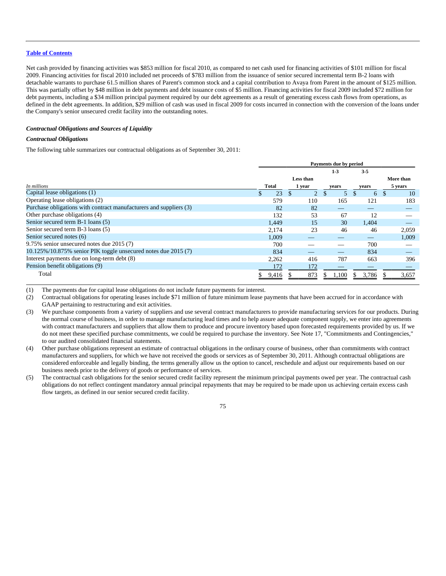Net cash provided by financing activities was \$853 million for fiscal 2010, as compared to net cash used for financing activities of \$101 million for fiscal 2009. Financing activities for fiscal 2010 included net proceeds of \$783 million from the issuance of senior secured incremental term B-2 loans with detachable warrants to purchase 61.5 million shares of Parent's common stock and a capital contribution to Avaya from Parent in the amount of \$125 million. This was partially offset by \$48 million in debt payments and debt issuance costs of \$5 million. Financing activities for fiscal 2009 included \$72 million for debt payments, including a \$34 million principal payment required by our debt agreements as a result of generating excess cash flows from operations, as defined in the debt agreements. In addition, \$29 million of cash was used in fiscal 2009 for costs incurred in connection with the conversion of the loans under the Company's senior unsecured credit facility into the outstanding notes.

# *Contractual Obligations and Sources of Liquidity*

# *Contractual Obligations*

The following table summarizes our contractual obligations as of September 30, 2011:

|                                                                     | Payments due by period |        |                |    |                  |       |         |                     |
|---------------------------------------------------------------------|------------------------|--------|----------------|----|------------------|-------|---------|---------------------|
|                                                                     |                        |        |                |    | $3 - 5$<br>$1-3$ |       |         |                     |
|                                                                     |                        |        | Less than      |    |                  |       |         | More than           |
| In millions                                                         | Total                  | 1 year |                |    | years<br>years   |       | 5 years |                     |
| Capital lease obligations (1)                                       | 23                     | \$     | $\overline{2}$ | \$ | 5                | \$    | 6       | <sup>\$</sup><br>10 |
| Operating lease obligations (2)                                     | 579                    |        | 110            |    | 165              | 121   |         | 183                 |
| Purchase obligations with contract manufacturers and suppliers (3)  | 82                     |        | 82             |    |                  |       |         |                     |
| Other purchase obligations (4)                                      | 132                    |        | 53             |    | 67               |       | 12      |                     |
| Senior secured term B-1 loans (5)                                   | 1.449                  |        | 15             |    | 30               | 1,404 |         |                     |
| Senior secured term B-3 loans (5)                                   | 2,174                  |        | 23             |    | 46               |       | 46      | 2,059               |
| Senior secured notes (6)                                            | 1.009                  |        |                |    |                  |       |         | 1,009               |
| 9.75% senior unsecured notes due 2015 (7)                           | 700                    |        |                |    |                  |       | 700     |                     |
| $10.125\%/10.875\%$ senior PIK toggle unsecured notes due $2015(7)$ | 834                    |        |                |    |                  |       | 834     |                     |
| Interest payments due on long-term debt (8)                         | 2,262                  |        | 416            |    | 787              |       | 663     | 396                 |
| Pension benefit obligations (9)                                     | 172                    |        | 172            |    |                  |       |         |                     |
| Total                                                               | 9.416                  |        | 873            |    | 1,100            | 3,786 |         | 3,657               |

(1) The payments due for capital lease obligations do not include future payments for interest.

(2) Contractual obligations for operating leases include \$71 million of future minimum lease payments that have been accrued for in accordance with GAAP pertaining to restructuring and exit activities.

(3) We purchase components from a variety of suppliers and use several contract manufacturers to provide manufacturing services for our products. During the normal course of business, in order to manage manufacturing lead times and to help assure adequate component supply, we enter into agreements with contract manufacturers and suppliers that allow them to produce and procure inventory based upon forecasted requirements provided by us. If we do not meet these specified purchase commitments, we could be required to purchase the inventory. See Note 17, "Commitments and Contingencies," to our audited consolidated financial statements.

(4) Other purchase obligations represent an estimate of contractual obligations in the ordinary course of business, other than commitments with contract manufacturers and suppliers, for which we have not received the goods or services as of September 30, 2011. Although contractual obligations are considered enforceable and legally binding, the terms generally allow us the option to cancel, reschedule and adjust our requirements based on our business needs prior to the delivery of goods or performance of services.

(5) The contractual cash obligations for the senior secured credit facility represent the minimum principal payments owed per year. The contractual cash obligations do not reflect contingent mandatory annual principal repayments that may be required to be made upon us achieving certain excess cash flow targets, as defined in our senior secured credit facility.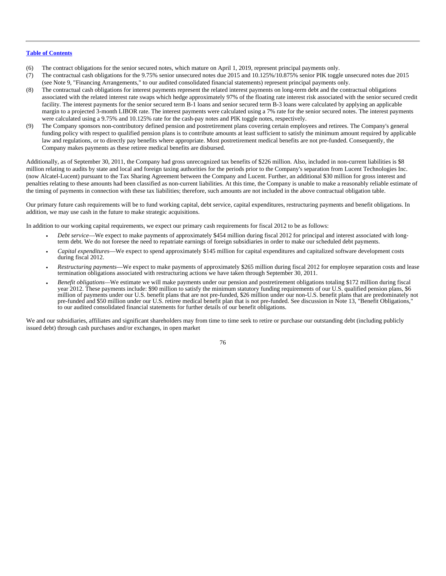- (6) The contract obligations for the senior secured notes, which mature on April 1, 2019, represent principal payments only.
- (7) The contractual cash obligations for the 9.75% senior unsecured notes due 2015 and 10.125%/10.875% senior PIK toggle unsecured notes due 2015 (see Note 9, "Financing Arrangements," to our audited consolidated financial statements) represent principal payments only.
- (8) The contractual cash obligations for interest payments represent the related interest payments on long-term debt and the contractual obligations associated with the related interest rate swaps which hedge approximately 97% of the floating rate interest risk associated with the senior secured credit facility. The interest payments for the senior secured term B-1 loans and senior secured term B-3 loans were calculated by applying an applicable margin to a projected 3-month LIBOR rate. The interest payments were calculated using a 7% rate for the senior secured notes. The interest payments were calculated using a 9.75% and 10.125% rate for the cash-pay notes and PIK toggle notes, respectively.
- (9) The Company sponsors non-contributory defined pension and postretirement plans covering certain employees and retirees. The Company's general funding policy with respect to qualified pension plans is to contribute amounts at least sufficient to satisfy the minimum amount required by applicable law and regulations, or to directly pay benefits where appropriate. Most postretirement medical benefits are not pre-funded. Consequently, the Company makes payments as these retiree medical benefits are disbursed.

Additionally, as of September 30, 2011, the Company had gross unrecognized tax benefits of \$226 million. Also, included in non-current liabilities is \$8 million relating to audits by state and local and foreign taxing authorities for the periods prior to the Company's separation from Lucent Technologies Inc. (now Alcatel-Lucent) pursuant to the Tax Sharing Agreement between the Company and Lucent. Further, an additional \$30 million for gross interest and penalties relating to these amounts had been classified as non-current liabilities. At this time, the Company is unable to make a reasonably reliable estimate of the timing of payments in connection with these tax liabilities; therefore, such amounts are not included in the above contractual obligation table.

Our primary future cash requirements will be to fund working capital, debt service, capital expenditures, restructuring payments and benefit obligations. In addition, we may use cash in the future to make strategic acquisitions.

In addition to our working capital requirements, we expect our primary cash requirements for fiscal 2012 to be as follows:

- *Debt service*—We expect to make payments of approximately \$454 million during fiscal 2012 for principal and interest associated with longterm debt. We do not foresee the need to repatriate earnings of foreign subsidiaries in order to make our scheduled debt payments.
- *Capital expenditures*—We expect to spend approximately \$145 million for capital expenditures and capitalized software development costs during fiscal 2012.
- *Restructuring payments*—We expect to make payments of approximately \$265 million during fiscal 2012 for employee separation costs and lease termination obligations associated with restructuring actions we have taken through September 30, 2011.
- *Benefit obligations—*We estimate we will make payments under our pension and postretirement obligations totaling \$172 million during fiscal year 2012. These payments include: \$90 million to satisfy the minimum statutory funding requirements of our U.S. qualified pension plans, \$6 million of payments under our U.S. benefit plans that are not pre-funded, \$26 million under our non-U.S. benefit plans that are predominately not pre-funded and \$50 million under our U.S. retiree medical benefit plan that is not pre-funded. See discussion in Note 13, "Benefit Obligations," to our audited consolidated financial statements for further details of our benefit obligations.

We and our subsidiaries, affiliates and significant shareholders may from time to time seek to retire or purchase our outstanding debt (including publicly issued debt) through cash purchases and/or exchanges, in open market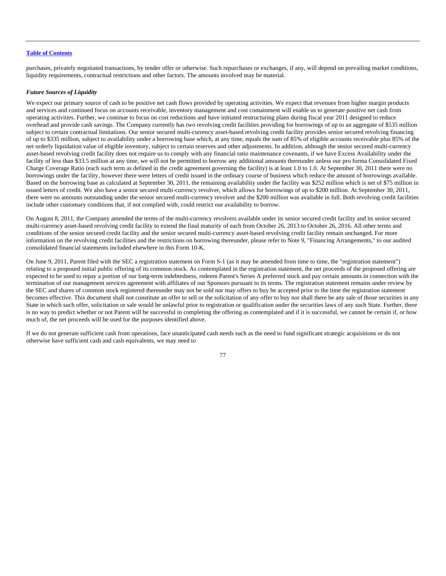purchases, privately negotiated transactions, by tender offer or otherwise. Such repurchases or exchanges, if any, will depend on prevailing market conditions, liquidity requirements, contractual restrictions and other factors. The amounts involved may be material.

## *Future Sources of Liquidity*

We expect our primary source of cash to be positive net cash flows provided by operating activities. We expect that revenues from higher margin products and services and continued focus on accounts receivable, inventory management and cost containment will enable us to generate positive net cash from operating activities. Further, we continue to focus on cost reductions and have initiated restructuring plans during fiscal year 2011 designed to reduce overhead and provide cash savings. The Company currently has two revolving credit facilities providing for borrowings of up to an aggregate of \$535 million subject to certain contractual limitations. Our senior secured multi-currency asset-based revolving credit facility provides senior secured revolving financing of up to \$335 million, subject to availability under a borrowing base which, at any time, equals the sum of 85% of eligible accounts receivable plus 85% of the net orderly liquidation value of eligible inventory, subject to certain reserves and other adjustments. In addition, although the senior secured multi-currency asset-based revolving credit facility does not require us to comply with any financial ratio maintenance covenants, if we have Excess Availability under the facility of less than \$33.5 million at any time, we will not be permitted to borrow any additional amounts thereunder unless our pro forma Consolidated Fixed Charge Coverage Ratio (each such term as defined in the credit agreement governing the facility) is at least 1.0 to 1.0. At September 30, 2011 there were no borrowings under the facility, however there were letters of credit issued in the ordinary course of business which reduce the amount of borrowings available. Based on the borrowing base as calculated at September 30, 2011, the remaining availability under the facility was \$252 million which is net of \$75 million in issued letters of credit. We also have a senior secured multi-currency revolver, which allows for borrowings of up to \$200 million. At September 30, 2011, there were no amounts outstanding under the senior secured multi-currency revolver and the \$200 million was available in full. Both revolving credit facilities include other customary conditions that, if not complied with, could restrict our availability to borrow.

On August 8, 2011, the Company amended the terms of the multi-currency revolvers available under its senior secured credit facility and its senior secured multi-currency asset-based revolving credit facility to extend the final maturity of each from October 26, 2013 to October 26, 2016. All other terms and conditions of the senior secured credit facility and the senior secured multi-currency asset-based revolving credit facility remain unchanged. For more information on the revolving credit facilities and the restrictions on borrowing thereunder, please refer to Note 9, "Financing Arrangements," to our audited consolidated financial statements included elsewhere in this Form 10-K.

On June 9, 2011, Parent filed with the SEC a registration statement on Form S-1 (as it may be amended from time to time, the "registration statement") relating to a proposed initial public offering of its common stock. As contemplated in the registration statement, the net proceeds of the proposed offering are expected to be used to repay a portion of our long-term indebtedness, redeem Parent's Series A preferred stock and pay certain amounts in connection with the termination of our management services agreement with affiliates of our Sponsors pursuant to its terms. The registration statement remains under review by the SEC and shares of common stock registered thereunder may not be sold nor may offers to buy be accepted prior to the time the registration statement becomes effective. This document shall not constitute an offer to sell or the solicitation of any offer to buy nor shall there be any sale of those securities in any State in which such offer, solicitation or sale would be unlawful prior to registration or qualification under the securities laws of any such State. Further, there is no way to predict whether or not Parent will be successful in completing the offering as contemplated and if it is successful, we cannot be certain if, or how much of, the net proceeds will be used for the purposes identified above.

If we do not generate sufficient cash from operations, face unanticipated cash needs such as the need to fund significant strategic acquisitions or do not otherwise have sufficient cash and cash equivalents, we may need to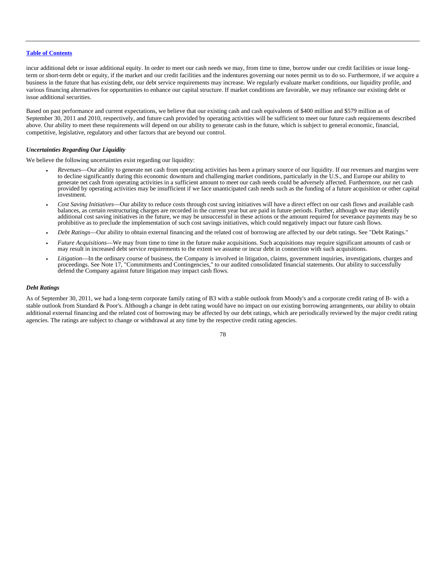incur additional debt or issue additional equity. In order to meet our cash needs we may, from time to time, borrow under our credit facilities or issue longterm or short-term debt or equity, if the market and our credit facilities and the indentures governing our notes permit us to do so. Furthermore, if we acquire a business in the future that has existing debt, our debt service requirements may increase. We regularly evaluate market conditions, our liquidity profile, and various financing alternatives for opportunities to enhance our capital structure. If market conditions are favorable, we may refinance our existing debt or issue additional securities.

Based on past performance and current expectations, we believe that our existing cash and cash equivalents of \$400 million and \$579 million as of September 30, 2011 and 2010, respectively, and future cash provided by operating activities will be sufficient to meet our future cash requirements described above. Our ability to meet these requirements will depend on our ability to generate cash in the future, which is subject to general economic, financial, competitive, legislative, regulatory and other factors that are beyond our control.

#### *Uncertainties Regarding Our Liquidity*

We believe the following uncertainties exist regarding our liquidity:

- *Revenues*—Our ability to generate net cash from operating activities has been a primary source of our liquidity. If our revenues and margins were to decline significantly during this economic downturn and challenging market conditions, particularly in the U.S., and Europe our ability to generate net cash from operating activities in a sufficient amount to meet our cash needs could be adversely affected. Furthermore, our net cash provided by operating activities may be insufficient if we face unanticipated cash needs such as the funding of a future acquisition or other capital investment.
- *Cost Saving Initiatives*—Our ability to reduce costs through cost saving initiatives will have a direct effect on our cash flows and available cash balances, as certain restructuring charges are recorded in the current year but are paid in future periods. Further, although we may identify additional cost saving initiatives in the future, we may be unsuccessful in these actions or the amount required for severance payments may be so prohibitive as to preclude the implementation of such cost savings initiatives, which could negatively impact our future cash flows.
- *Debt Ratings*—Our ability to obtain external financing and the related cost of borrowing are affected by our debt ratings. See "Debt Ratings."
- *Future Acquisitions*—We may from time to time in the future make acquisitions. Such acquisitions may require significant amounts of cash or may result in increased debt service requirements to the extent we assume or incur debt in connection with such acquisitions.
- Litigation—In the ordinary course of business, the Company is involved in litigation, claims, government inquiries, investigations, charges and proceedings. See Note 17, "Commitments and Contingencies," to our audited co defend the Company against future litigation may impact cash flows.

#### *Debt Ratings*

As of September 30, 2011, we had a long-term corporate family rating of B3 with a stable outlook from Moody's and a corporate credit rating of B- with a stable outlook from Standard & Poor's. Although a change in debt rating would have no impact on our existing borrowing arrangements, our ability to obtain additional external financing and the related cost of borrowing may be affected by our debt ratings, which are periodically reviewed by the major credit rating agencies. The ratings are subject to change or withdrawal at any time by the respective credit rating agencies.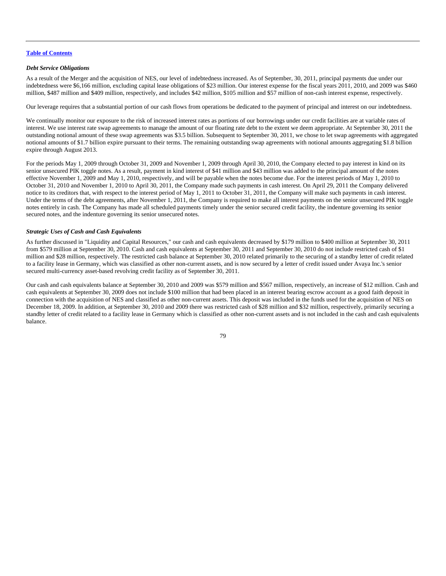## *Debt Service Obligations*

As a result of the Merger and the acquisition of NES, our level of indebtedness increased. As of September, 30, 2011, principal payments due under our indebtedness were \$6,166 million, excluding capital lease obligations of \$23 million. Our interest expense for the fiscal years 2011, 2010, and 2009 was \$460 million, \$487 million and \$409 million, respectively, and includes \$42 million, \$105 million and \$57 million of non-cash interest expense, respectively.

Our leverage requires that a substantial portion of our cash flows from operations be dedicated to the payment of principal and interest on our indebtedness.

We continually monitor our exposure to the risk of increased interest rates as portions of our borrowings under our credit facilities are at variable rates of interest. We use interest rate swap agreements to manage the amount of our floating rate debt to the extent we deem appropriate. At September 30, 2011 the outstanding notional amount of these swap agreements was \$3.5 billion. Subsequent to September 30, 2011, we chose to let swap agreements with aggregated notional amounts of \$1.7 billion expire pursuant to their terms. The remaining outstanding swap agreements with notional amounts aggregating \$1.8 billion expire through August 2013.

For the periods May 1, 2009 through October 31, 2009 and November 1, 2009 through April 30, 2010, the Company elected to pay interest in kind on its senior unsecured PIK toggle notes. As a result, payment in kind interest of \$41 million and \$43 million was added to the principal amount of the notes effective November 1, 2009 and May 1, 2010, respectively, and will be payable when the notes become due. For the interest periods of May 1, 2010 to October 31, 2010 and November 1, 2010 to April 30, 2011, the Company made such payments in cash interest. On April 29, 2011 the Company delivered notice to its creditors that, with respect to the interest period of May 1, 2011 to October 31, 2011, the Company will make such payments in cash interest. Under the terms of the debt agreements, after November 1, 2011, the Company is required to make all interest payments on the senior unsecured PIK toggle notes entirely in cash. The Company has made all scheduled payments timely under the senior secured credit facility, the indenture governing its senior secured notes, and the indenture governing its senior unsecured notes.

# *Strategic Uses of Cash and Cash Equivalents*

As further discussed in "Liquidity and Capital Resources," our cash and cash equivalents decreased by \$179 million to \$400 million at September 30, 2011 from \$579 million at September 30, 2010. Cash and cash equivalents at September 30, 2011 and September 30, 2010 do not include restricted cash of \$1 million and \$28 million, respectively. The restricted cash balance at September 30, 2010 related primarily to the securing of a standby letter of credit related to a facility lease in Germany, which was classified as other non-current assets, and is now secured by a letter of credit issued under Avaya Inc.'s senior secured multi-currency asset-based revolving credit facility as of September 30, 2011.

Our cash and cash equivalents balance at September 30, 2010 and 2009 was \$579 million and \$567 million, respectively, an increase of \$12 million. Cash and cash equivalents at September 30, 2009 does not include \$100 million that had been placed in an interest bearing escrow account as a good faith deposit in connection with the acquisition of NES and classified as other non-current assets. This deposit was included in the funds used for the acquisition of NES on December 18, 2009. In addition, at September 30, 2010 and 2009 there was restricted cash of \$28 million and \$32 million, respectively, primarily securing a standby letter of credit related to a facility lease in Germany which is classified as other non-current assets and is not included in the cash and cash equivalents balance.

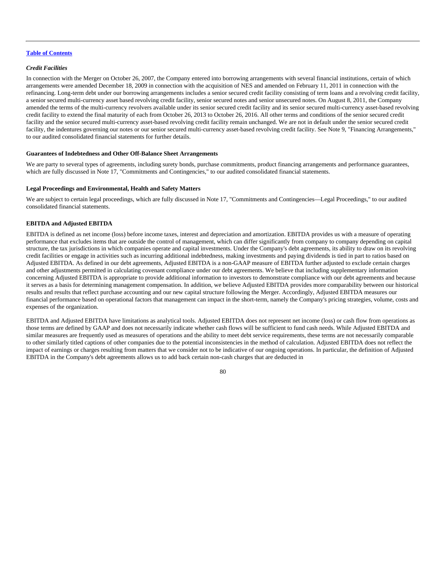# *Credit Facilities*

In connection with the Merger on October 26, 2007, the Company entered into borrowing arrangements with several financial institutions, certain of which arrangements were amended December 18, 2009 in connection with the acquisition of NES and amended on February 11, 2011 in connection with the refinancing. Long-term debt under our borrowing arrangements includes a senior secured credit facility consisting of term loans and a revolving credit facility, a senior secured multi-currency asset based revolving credit facility, senior secured notes and senior unsecured notes. On August 8, 2011, the Company amended the terms of the multi-currency revolvers available under its senior secured credit facility and its senior secured multi-currency asset-based revolving credit facility to extend the final maturity of each from October 26, 2013 to October 26, 2016. All other terms and conditions of the senior secured credit facility and the senior secured multi-currency asset-based revolving credit facility remain unchanged. We are not in default under the senior secured credit facility, the indentures governing our notes or our senior secured multi-currency asset-based revolving credit facility. See Note 9, "Financing Arrangements," to our audited consolidated financial statements for further details.

## **Guarantees of Indebtedness and Other Off-Balance Sheet Arrangements**

We are party to several types of agreements, including surety bonds, purchase commitments, product financing arrangements and performance guarantees, which are fully discussed in Note 17, "Commitments and Contingencies," to our audited consolidated financial statements.

# **Legal Proceedings and Environmental, Health and Safety Matters**

We are subject to certain legal proceedings, which are fully discussed in Note 17, "Commitments and Contingencies—Legal Proceedings," to our audited consolidated financial statements.

#### **EBITDA and Adjusted EBITDA**

EBITDA is defined as net income (loss) before income taxes, interest and depreciation and amortization. EBITDA provides us with a measure of operating performance that excludes items that are outside the control of management, which can differ significantly from company to company depending on capital structure, the tax jurisdictions in which companies operate and capital investments. Under the Company's debt agreements, its ability to draw on its revolving credit facilities or engage in activities such as incurring additional indebtedness, making investments and paying dividends is tied in part to ratios based on Adjusted EBITDA. As defined in our debt agreements, Adjusted EBITDA is a non-GAAP measure of EBITDA further adjusted to exclude certain charges and other adjustments permitted in calculating covenant compliance under our debt agreements. We believe that including supplementary information concerning Adjusted EBITDA is appropriate to provide additional information to investors to demonstrate compliance with our debt agreements and because it serves as a basis for determining management compensation. In addition, we believe Adjusted EBITDA provides more comparability between our historical results and results that reflect purchase accounting and our new capital structure following the Merger. Accordingly, Adjusted EBITDA measures our financial performance based on operational factors that management can impact in the short-term, namely the Company's pricing strategies, volume, costs and expenses of the organization.

EBITDA and Adjusted EBITDA have limitations as analytical tools. Adjusted EBITDA does not represent net income (loss) or cash flow from operations as those terms are defined by GAAP and does not necessarily indicate whether cash flows will be sufficient to fund cash needs. While Adjusted EBITDA and similar measures are frequently used as measures of operations and the ability to meet debt service requirements, these terms are not necessarily comparable to other similarly titled captions of other companies due to the potential inconsistencies in the method of calculation. Adjusted EBITDA does not reflect the impact of earnings or charges resulting from matters that we consider not to be indicative of our ongoing operations. In particular, the definition of Adjusted EBITDA in the Company's debt agreements allows us to add back certain non-cash charges that are deducted in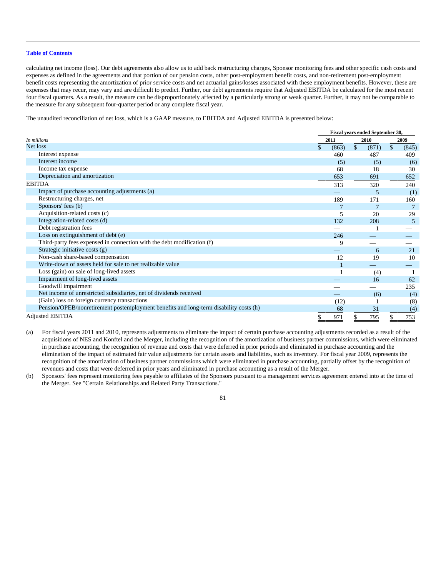calculating net income (loss). Our debt agreements also allow us to add back restructuring charges, Sponsor monitoring fees and other specific cash costs and expenses as defined in the agreements and that portion of our pension costs, other post-employment benefit costs, and non-retirement post-employment benefit costs representing the amortization of prior service costs and net actuarial gains/losses associated with these employment benefits. However, these are expenses that may recur, may vary and are difficult to predict. Further, our debt agreements require that Adjusted EBITDA be calculated for the most recent four fiscal quarters. As a result, the measure can be disproportionately affected by a particularly strong or weak quarter. Further, it may not be comparable to the measure for any subsequent four-quarter period or any complete fiscal year.

The unaudited reconciliation of net loss, which is a GAAP measure, to EBITDA and Adjusted EBITDA is presented below:

|                                                                                       | Fiscal years ended September 30, |       |    |       |              |       |  |  |  |
|---------------------------------------------------------------------------------------|----------------------------------|-------|----|-------|--------------|-------|--|--|--|
| In millions                                                                           |                                  | 2011  |    | 2010  |              | 2009  |  |  |  |
| Net loss                                                                              | \$                               | (863) | \$ | (871) | $\mathbb{S}$ | (845) |  |  |  |
| Interest expense                                                                      |                                  | 460   |    | 487   |              | 409   |  |  |  |
| Interest income                                                                       |                                  | (5)   |    | (5)   |              | (6)   |  |  |  |
| Income tax expense                                                                    |                                  | 68    |    | 18    |              | 30    |  |  |  |
| Depreciation and amortization                                                         |                                  | 653   |    | 691   |              | 652   |  |  |  |
| <b>EBITDA</b>                                                                         |                                  | 313   |    | 320   |              | 240   |  |  |  |
| Impact of purchase accounting adjustments (a)                                         |                                  |       |    | 5     |              | (1)   |  |  |  |
| Restructuring charges, net                                                            |                                  | 189   |    | 171   |              | 160   |  |  |  |
| Sponsors' fees (b)                                                                    |                                  |       |    |       |              |       |  |  |  |
| Acquisition-related costs (c)                                                         |                                  | 5     |    | 20    |              | 29    |  |  |  |
| Integration-related costs (d)                                                         |                                  | 132   |    | 208   |              | 5     |  |  |  |
| Debt registration fees                                                                |                                  |       |    |       |              |       |  |  |  |
| Loss on extinguishment of debt (e)                                                    |                                  | 246   |    |       |              |       |  |  |  |
| Third-party fees expensed in connection with the debt modification (f)                |                                  | 9     |    |       |              |       |  |  |  |
| Strategic initiative costs (g)                                                        |                                  |       |    | 6     |              | 21    |  |  |  |
| Non-cash share-based compensation                                                     |                                  | 12    |    | 19    |              | 10    |  |  |  |
| Write-down of assets held for sale to net realizable value                            |                                  |       |    |       |              |       |  |  |  |
| Loss (gain) on sale of long-lived assets                                              |                                  |       |    | (4)   |              |       |  |  |  |
| Impairment of long-lived assets                                                       |                                  |       |    | 16    |              | 62    |  |  |  |
| Goodwill impairment                                                                   |                                  |       |    |       |              | 235   |  |  |  |
| Net income of unrestricted subsidiaries, net of dividends received                    |                                  |       |    | (6)   |              | (4)   |  |  |  |
| (Gain) loss on foreign currency transactions                                          |                                  | (12)  |    |       |              | (8)   |  |  |  |
| Pension/OPEB/nonretirement postemployment benefits and long-term disability costs (h) |                                  | 68    |    | 31    |              | (4)   |  |  |  |
| <b>Adjusted EBITDA</b>                                                                |                                  | 971   |    | 795   |              | 753   |  |  |  |

(a) For fiscal years 2011 and 2010, represents adjustments to eliminate the impact of certain purchase accounting adjustments recorded as a result of the acquisitions of NES and Konftel and the Merger, including the recognition of the amortization of business partner commissions, which were eliminated in purchase accounting, the recognition of revenue and costs that were deferred in prior periods and eliminated in purchase accounting and the elimination of the impact of estimated fair value adjustments for certain assets and liabilities, such as inventory. For fiscal year 2009, represents the recognition of the amortization of business partner commissions which were eliminated in purchase accounting, partially offset by the recognition of revenues and costs that were deferred in prior years and eliminated in purchase accounting as a result of the Merger.

(b) Sponsors' fees represent monitoring fees payable to affiliates of the Sponsors pursuant to a management services agreement entered into at the time of the Merger. See "Certain Relationships and Related Party Transactions."

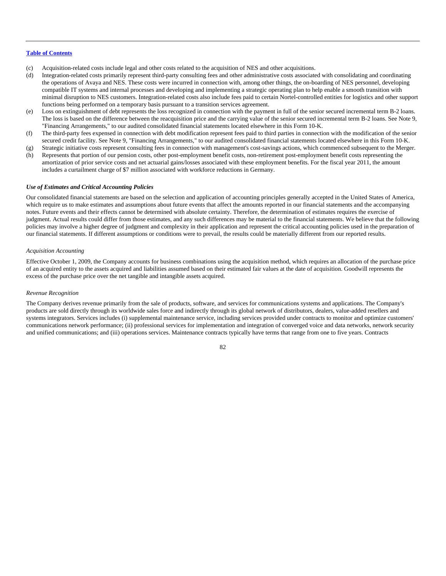- (c) Acquisition-related costs include legal and other costs related to the acquisition of NES and other acquisitions.
- (d) Integration-related costs primarily represent third-party consulting fees and other administrative costs associated with consolidating and coordinating the operations of Avaya and NES. These costs were incurred in connection with, among other things, the on-boarding of NES personnel, developing compatible IT systems and internal processes and developing and implementing a strategic operating plan to help enable a smooth transition with minimal disruption to NES customers. Integration-related costs also include fees paid to certain Nortel-controlled entities for logistics and other support functions being performed on a temporary basis pursuant to a transition services agreement.
- (e) Loss on extinguishment of debt represents the loss recognized in connection with the payment in full of the senior secured incremental term B-2 loans. The loss is based on the difference between the reacquisition price and the carrying value of the senior secured incremental term B-2 loans. See Note 9, "Financing Arrangements," to our audited consolidated financial statements located elsewhere in this Form 10-K.
- (f) The third-party fees expensed in connection with debt modification represent fees paid to third parties in connection with the modification of the senior secured credit facility. See Note 9, "Financing Arrangements," to our audited consolidated financial statements located elsewhere in this Form 10-K.
- (g) Strategic initiative costs represent consulting fees in connection with management's cost-savings actions, which commenced subsequent to the Merger.
- (h) Represents that portion of our pension costs, other post-employment benefit costs, non-retirement post-employment benefit costs representing the amortization of prior service costs and net actuarial gains/losses associated with these employment benefits. For the fiscal year 2011, the amount includes a curtailment charge of \$7 million associated with workforce reductions in Germany.

## *Use of Estimates and Critical Accounting Policies*

Our consolidated financial statements are based on the selection and application of accounting principles generally accepted in the United States of America, which require us to make estimates and assumptions about future events that affect the amounts reported in our financial statements and the accompanying notes. Future events and their effects cannot be determined with absolute certainty. Therefore, the determination of estimates requires the exercise of judgment. Actual results could differ from those estimates, and any such differences may be material to the financial statements. We believe that the following policies may involve a higher degree of judgment and complexity in their application and represent the critical accounting policies used in the preparation of our financial statements. If different assumptions or conditions were to prevail, the results could be materially different from our reported results.

#### *Acquisition Accounting*

Effective October 1, 2009, the Company accounts for business combinations using the acquisition method, which requires an allocation of the purchase price of an acquired entity to the assets acquired and liabilities assumed based on their estimated fair values at the date of acquisition. Goodwill represents the excess of the purchase price over the net tangible and intangible assets acquired.

#### *Revenue Recognition*

The Company derives revenue primarily from the sale of products, software, and services for communications systems and applications. The Company's products are sold directly through its worldwide sales force and indirectly through its global network of distributors, dealers, value-added resellers and systems integrators. Services includes (i) supplemental maintenance service, including services provided under contracts to monitor and optimize customers' communications network performance; (ii) professional services for implementation and integration of converged voice and data networks, network security and unified communications; and (iii) operations services. Maintenance contracts typically have terms that range from one to five years. Contracts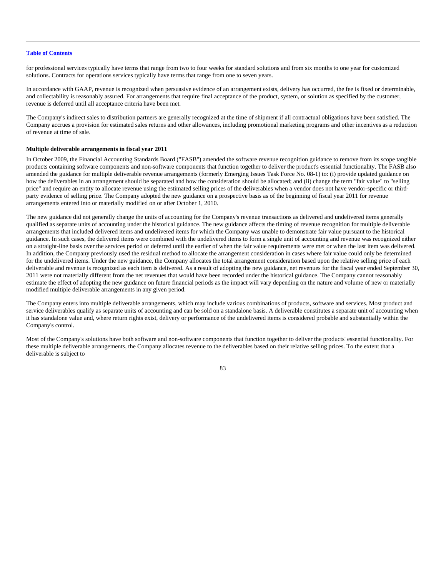for professional services typically have terms that range from two to four weeks for standard solutions and from six months to one year for customized solutions. Contracts for operations services typically have terms that range from one to seven years.

In accordance with GAAP, revenue is recognized when persuasive evidence of an arrangement exists, delivery has occurred, the fee is fixed or determinable, and collectability is reasonably assured. For arrangements that require final acceptance of the product, system, or solution as specified by the customer, revenue is deferred until all acceptance criteria have been met.

The Company's indirect sales to distribution partners are generally recognized at the time of shipment if all contractual obligations have been satisfied. The Company accrues a provision for estimated sales returns and other allowances, including promotional marketing programs and other incentives as a reduction of revenue at time of sale.

### **Multiple deliverable arrangements in fiscal year 2011**

In October 2009, the Financial Accounting Standards Board ("FASB") amended the software revenue recognition guidance to remove from its scope tangible products containing software components and non-software components that function together to deliver the product's essential functionality. The FASB also amended the guidance for multiple deliverable revenue arrangements (formerly Emerging Issues Task Force No. 08-1) to: (i) provide updated guidance on how the deliverables in an arrangement should be separated and how the consideration should be allocated; and (ii) change the term "fair value" to "selling price" and require an entity to allocate revenue using the estimated selling prices of the deliverables when a vendor does not have vendor-specific or thirdparty evidence of selling price. The Company adopted the new guidance on a prospective basis as of the beginning of fiscal year 2011 for revenue arrangements entered into or materially modified on or after October 1, 2010.

The new guidance did not generally change the units of accounting for the Company's revenue transactions as delivered and undelivered items generally qualified as separate units of accounting under the historical guidance. The new guidance affects the timing of revenue recognition for multiple deliverable arrangements that included delivered items and undelivered items for which the Company was unable to demonstrate fair value pursuant to the historical guidance. In such cases, the delivered items were combined with the undelivered items to form a single unit of accounting and revenue was recognized either on a straight-line basis over the services period or deferred until the earlier of when the fair value requirements were met or when the last item was delivered. In addition, the Company previously used the residual method to allocate the arrangement consideration in cases where fair value could only be determined for the undelivered items. Under the new guidance, the Company allocates the total arrangement consideration based upon the relative selling price of each deliverable and revenue is recognized as each item is delivered. As a result of adopting the new guidance, net revenues for the fiscal year ended September 30, 2011 were not materially different from the net revenues that would have been recorded under the historical guidance. The Company cannot reasonably estimate the effect of adopting the new guidance on future financial periods as the impact will vary depending on the nature and volume of new or materially modified multiple deliverable arrangements in any given period.

The Company enters into multiple deliverable arrangements, which may include various combinations of products, software and services. Most product and service deliverables qualify as separate units of accounting and can be sold on a standalone basis. A deliverable constitutes a separate unit of accounting when it has standalone value and, where return rights exist, delivery or performance of the undelivered items is considered probable and substantially within the Company's control.

Most of the Company's solutions have both software and non-software components that function together to deliver the products' essential functionality. For these multiple deliverable arrangements, the Company allocates revenue to the deliverables based on their relative selling prices. To the extent that a deliverable is subject to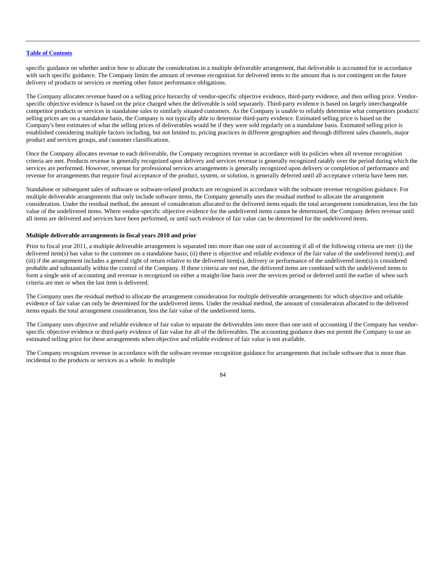specific guidance on whether and/or how to allocate the consideration in a multiple deliverable arrangement, that deliverable is accounted for in accordance with such specific guidance. The Company limits the amount of revenue recognition for delivered items to the amount that is not contingent on the future delivery of products or services or meeting other future performance obligations.

The Company allocates revenue based on a selling price hierarchy of vendor-specific objective evidence, third-party evidence, and then selling price. Vendorspecific objective evidence is based on the price charged when the deliverable is sold separately. Third-party evidence is based on largely interchangeable competitor products or services in standalone sales to similarly situated customers. As the Company is unable to reliably determine what competitors products' selling prices are on a standalone basis, the Company is not typically able to determine third-party evidence. Estimated selling price is based on the Company's best estimates of what the selling prices of deliverables would be if they were sold regularly on a standalone basis. Estimated selling price is established considering multiple factors including, but not limited to, pricing practices in different geographies and through different sales channels, major product and services groups, and customer classifications.

Once the Company allocates revenue to each deliverable, the Company recognizes revenue in accordance with its policies when all revenue recognition criteria are met. Products revenue is generally recognized upon delivery and services revenue is generally recognized ratably over the period during which the services are performed. However, revenue for professional services arrangements is generally recognized upon delivery or completion of performance and revenue for arrangements that require final acceptance of the product, system, or solution, is generally deferred until all acceptance criteria have been met.

Standalone or subsequent sales of software or software-related products are recognized in accordance with the software revenue recognition guidance. For multiple deliverable arrangements that only include software items, the Company generally uses the residual method to allocate the arrangement consideration. Under the residual method, the amount of consideration allocated to the delivered items equals the total arrangement consideration, less the fair value of the undelivered items. Where vendor-specific objective evidence for the undelivered items cannot be determined, the Company defers revenue until all items are delivered and services have been performed, or until such evidence of fair value can be determined for the undelivered items.

## **Multiple deliverable arrangements in fiscal years 2010 and prior**

Prior to fiscal year 2011, a multiple deliverable arrangement is separated into more than one unit of accounting if all of the following criteria are met: (i) the delivered item(s) has value to the customer on a standalone basis; (ii) there is objective and reliable evidence of the fair value of the undelivered item(s); and (iii) if the arrangement includes a general right of return relative to the delivered item(s), delivery or performance of the undelivered item(s) is considered probable and substantially within the control of the Company. If these criteria are not met, the delivered items are combined with the undelivered items to form a single unit of accounting and revenue is recognized on either a straight-line basis over the services period or deferred until the earlier of when such criteria are met or when the last item is delivered.

The Company uses the residual method to allocate the arrangement consideration for multiple deliverable arrangements for which objective and reliable evidence of fair value can only be determined for the undelivered items. Under the residual method, the amount of consideration allocated to the delivered items equals the total arrangement consideration, less the fair value of the undelivered items.

The Company uses objective and reliable evidence of fair value to separate the deliverables into more than one unit of accounting if the Company has vendorspecific objective evidence or third-party evidence of fair value for all of the deliverables. The accounting guidance does not permit the Company to use an estimated selling price for these arrangements when objective and reliable evidence of fair value is not available.

The Company recognizes revenue in accordance with the software revenue recognition guidance for arrangements that include software that is more than incidental to the products or services as a whole. In multiple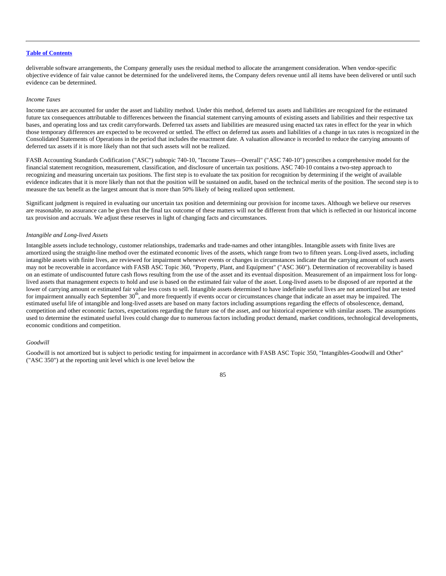deliverable software arrangements, the Company generally uses the residual method to allocate the arrangement consideration. When vendor-specific objective evidence of fair value cannot be determined for the undelivered items, the Company defers revenue until all items have been delivered or until such evidence can be determined.

#### *Income Taxes*

Income taxes are accounted for under the asset and liability method. Under this method, deferred tax assets and liabilities are recognized for the estimated future tax consequences attributable to differences between the financial statement carrying amounts of existing assets and liabilities and their respective tax bases, and operating loss and tax credit carryforwards. Deferred tax assets and liabilities are measured using enacted tax rates in effect for the year in which those temporary differences are expected to be recovered or settled. The effect on deferred tax assets and liabilities of a change in tax rates is recognized in the Consolidated Statements of Operations in the period that includes the enactment date. A valuation allowance is recorded to reduce the carrying amounts of deferred tax assets if it is more likely than not that such assets will not be realized.

FASB Accounting Standards Codification ("ASC") subtopic 740-10, "Income Taxes—Overall" ("ASC 740-10") prescribes a comprehensive model for the financial statement recognition, measurement, classification, and disclosure of uncertain tax positions. ASC 740-10 contains a two-step approach to recognizing and measuring uncertain tax positions. The first step is to evaluate the tax position for recognition by determining if the weight of available evidence indicates that it is more likely than not that the position will be sustained on audit, based on the technical merits of the position. The second step is to measure the tax benefit as the largest amount that is more than 50% likely of being realized upon settlement.

Significant judgment is required in evaluating our uncertain tax position and determining our provision for income taxes. Although we believe our reserves are reasonable, no assurance can be given that the final tax outcome of these matters will not be different from that which is reflected in our historical income tax provision and accruals. We adjust these reserves in light of changing facts and circumstances.

# *Intangible and Long-lived Assets*

Intangible assets include technology, customer relationships, trademarks and trade-names and other intangibles. Intangible assets with finite lives are amortized using the straight-line method over the estimated economic lives of the assets, which range from two to fifteen years. Long-lived assets, including intangible assets with finite lives, are reviewed for impairment whenever events or changes in circumstances indicate that the carrying amount of such assets may not be recoverable in accordance with FASB ASC Topic 360, "Property, Plant, and Equipment" ("ASC 360"). Determination of recoverability is based on an estimate of undiscounted future cash flows resulting from the use of the asset and its eventual disposition. Measurement of an impairment loss for longlived assets that management expects to hold and use is based on the estimated fair value of the asset. Long-lived assets to be disposed of are reported at the lower of carrying amount or estimated fair value less costs to sell. Intangible assets determined to have indefinite useful lives are not amortized but are tested for impairment annually each September 30<sup>th</sup>, and more frequently if events occur or circumstances change that indicate an asset may be impaired. The estimated useful life of intangible and long-lived assets are based on many factors including assumptions regarding the effects of obsolescence, demand, competition and other economic factors, expectations regarding the future use of the asset, and our historical experience with similar assets. The assumptions used to determine the estimated useful lives could change due to numerous factors including product demand, market conditions, technological developments, economic conditions and competition.

# *Goodwill*

Goodwill is not amortized but is subject to periodic testing for impairment in accordance with FASB ASC Topic 350, "Intangibles-Goodwill and Other" ("ASC 350") at the reporting unit level which is one level below the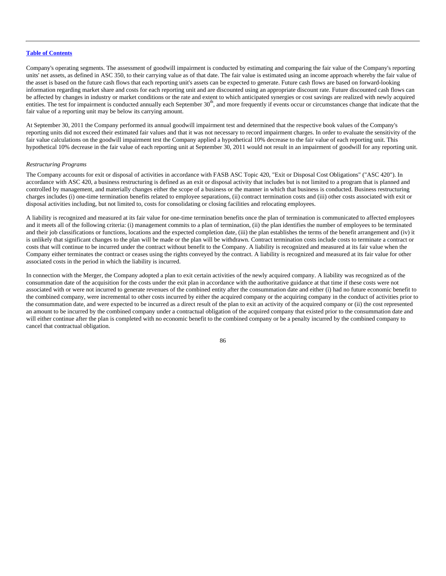Company's operating segments. The assessment of goodwill impairment is conducted by estimating and comparing the fair value of the Company's reporting units' net assets, as defined in ASC 350, to their carrying value as of that date. The fair value is estimated using an income approach whereby the fair value of the asset is based on the future cash flows that each reporting unit's assets can be expected to generate. Future cash flows are based on forward-looking information regarding market share and costs for each reporting unit and are discounted using an appropriate discount rate. Future discounted cash flows can be affected by changes in industry or market conditions or the rate and extent to which anticipated synergies or cost savings are realized with newly acquired entities. The test for impairment is conducted annually each September 30<sup>th</sup>, and more frequently if events occur or circumstances change that indicate that the fair value of a reporting unit may be below its carrying amount.

At September 30, 2011 the Company performed its annual goodwill impairment test and determined that the respective book values of the Company's reporting units did not exceed their estimated fair values and that it was not necessary to record impairment charges. In order to evaluate the sensitivity of the fair value calculations on the goodwill impairment test the Company applied a hypothetical 10% decrease to the fair value of each reporting unit. This hypothetical 10% decrease in the fair value of each reporting unit at September 30, 2011 would not result in an impairment of goodwill for any reporting unit.

## *Restructuring Programs*

The Company accounts for exit or disposal of activities in accordance with FASB ASC Topic 420, "Exit or Disposal Cost Obligations" ("ASC 420"). In accordance with ASC 420, a business restructuring is defined as an exit or disposal activity that includes but is not limited to a program that is planned and controlled by management, and materially changes either the scope of a business or the manner in which that business is conducted. Business restructuring charges includes (i) one-time termination benefits related to employee separations, (ii) contract termination costs and (iii) other costs associated with exit or disposal activities including, but not limited to, costs for consolidating or closing facilities and relocating employees.

A liability is recognized and measured at its fair value for one-time termination benefits once the plan of termination is communicated to affected employees and it meets all of the following criteria: (i) management commits to a plan of termination, (ii) the plan identifies the number of employees to be terminated and their job classifications or functions, locations and the expected completion date, (iii) the plan establishes the terms of the benefit arrangement and (iv) it is unlikely that significant changes to the plan will be made or the plan will be withdrawn. Contract termination costs include costs to terminate a contract or costs that will continue to be incurred under the contract without benefit to the Company. A liability is recognized and measured at its fair value when the Company either terminates the contract or ceases using the rights conveyed by the contract. A liability is recognized and measured at its fair value for other associated costs in the period in which the liability is incurred.

In connection with the Merger, the Company adopted a plan to exit certain activities of the newly acquired company. A liability was recognized as of the consummation date of the acquisition for the costs under the exit plan in accordance with the authoritative guidance at that time if these costs were not associated with or were not incurred to generate revenues of the combined entity after the consummation date and either (i) had no future economic benefit to the combined company, were incremental to other costs incurred by either the acquired company or the acquiring company in the conduct of activities prior to the consummation date, and were expected to be incurred as a direct result of the plan to exit an activity of the acquired company or (ii) the cost represented an amount to be incurred by the combined company under a contractual obligation of the acquired company that existed prior to the consummation date and will either continue after the plan is completed with no economic benefit to the combined company or be a penalty incurred by the combined company to cancel that contractual obligation.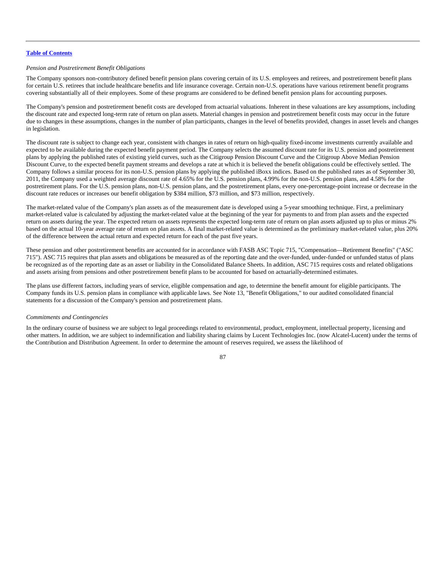# *Pension and Postretirement Benefit Obligations*

The Company sponsors non-contributory defined benefit pension plans covering certain of its U.S. employees and retirees, and postretirement benefit plans for certain U.S. retirees that include healthcare benefits and life insurance coverage. Certain non-U.S. operations have various retirement benefit programs covering substantially all of their employees. Some of these programs are considered to be defined benefit pension plans for accounting purposes.

The Company's pension and postretirement benefit costs are developed from actuarial valuations. Inherent in these valuations are key assumptions, including the discount rate and expected long-term rate of return on plan assets. Material changes in pension and postretirement benefit costs may occur in the future due to changes in these assumptions, changes in the number of plan participants, changes in the level of benefits provided, changes in asset levels and changes in legislation.

The discount rate is subject to change each year, consistent with changes in rates of return on high-quality fixed-income investments currently available and expected to be available during the expected benefit payment period. The Company selects the assumed discount rate for its U.S. pension and postretirement plans by applying the published rates of existing yield curves, such as the Citigroup Pension Discount Curve and the Citigroup Above Median Pension Discount Curve, to the expected benefit payment streams and develops a rate at which it is believed the benefit obligations could be effectively settled. The Company follows a similar process for its non-U.S. pension plans by applying the published iBoxx indices. Based on the published rates as of September 30, 2011, the Company used a weighted average discount rate of 4.65% for the U.S. pension plans, 4.99% for the non-U.S. pension plans, and 4.58% for the postretirement plans. For the U.S. pension plans, non-U.S. pension plans, and the postretirement plans, every one-percentage-point increase or decrease in the discount rate reduces or increases our benefit obligation by \$384 million, \$73 million, and \$73 million, respectively.

The market-related value of the Company's plan assets as of the measurement date is developed using a 5-year smoothing technique. First, a preliminary market-related value is calculated by adjusting the market-related value at the beginning of the year for payments to and from plan assets and the expected return on assets during the year. The expected return on assets represents the expected long-term rate of return on plan assets adjusted up to plus or minus 2% based on the actual 10-year average rate of return on plan assets. A final market-related value is determined as the preliminary market-related value, plus 20% of the difference between the actual return and expected return for each of the past five years.

These pension and other postretirement benefits are accounted for in accordance with FASB ASC Topic 715, "Compensation—Retirement Benefits" ("ASC 715"). ASC 715 requires that plan assets and obligations be measured as of the reporting date and the over-funded, under-funded or unfunded status of plans be recognized as of the reporting date as an asset or liability in the Consolidated Balance Sheets. In addition, ASC 715 requires costs and related obligations and assets arising from pensions and other postretirement benefit plans to be accounted for based on actuarially-determined estimates.

The plans use different factors, including years of service, eligible compensation and age, to determine the benefit amount for eligible participants. The Company funds its U.S. pension plans in compliance with applicable laws. See Note 13, "Benefit Obligations," to our audited consolidated financial statements for a discussion of the Company's pension and postretirement plans.

#### *Commitments and Contingencies*

In the ordinary course of business we are subject to legal proceedings related to environmental, product, employment, intellectual property, licensing and other matters. In addition, we are subject to indemnification and liability sharing claims by Lucent Technologies Inc. (now Alcatel-Lucent) under the terms of the Contribution and Distribution Agreement. In order to determine the amount of reserves required, we assess the likelihood of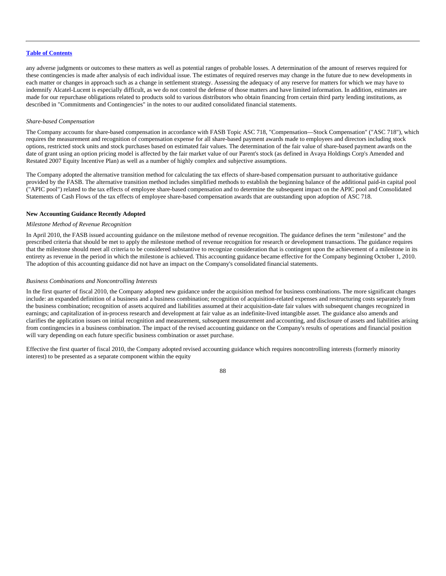any adverse judgments or outcomes to these matters as well as potential ranges of probable losses. A determination of the amount of reserves required for these contingencies is made after analysis of each individual issue. The estimates of required reserves may change in the future due to new developments in each matter or changes in approach such as a change in settlement strategy. Assessing the adequacy of any reserve for matters for which we may have to indemnify Alcatel-Lucent is especially difficult, as we do not control the defense of those matters and have limited information. In addition, estimates are made for our repurchase obligations related to products sold to various distributors who obtain financing from certain third party lending institutions, as described in "Commitments and Contingencies" in the notes to our audited consolidated financial statements.

## *Share-based Compensation*

The Company accounts for share-based compensation in accordance with FASB Topic ASC 718, "Compensation—Stock Compensation" ("ASC 718"), which requires the measurement and recognition of compensation expense for all share-based payment awards made to employees and directors including stock options, restricted stock units and stock purchases based on estimated fair values. The determination of the fair value of share-based payment awards on the date of grant using an option pricing model is affected by the fair market value of our Parent's stock (as defined in Avaya Holdings Corp's Amended and Restated 2007 Equity Incentive Plan) as well as a number of highly complex and subjective assumptions.

The Company adopted the alternative transition method for calculating the tax effects of share-based compensation pursuant to authoritative guidance provided by the FASB. The alternative transition method includes simplified methods to establish the beginning balance of the additional paid-in capital pool ("APIC pool") related to the tax effects of employee share-based compensation and to determine the subsequent impact on the APIC pool and Consolidated Statements of Cash Flows of the tax effects of employee share-based compensation awards that are outstanding upon adoption of ASC 718.

## **New Accounting Guidance Recently Adopted**

# *Milestone Method of Revenue Recognition*

In April 2010, the FASB issued accounting guidance on the milestone method of revenue recognition. The guidance defines the term "milestone" and the prescribed criteria that should be met to apply the milestone method of revenue recognition for research or development transactions. The guidance requires that the milestone should meet all criteria to be considered substantive to recognize consideration that is contingent upon the achievement of a milestone in its entirety as revenue in the period in which the milestone is achieved. This accounting guidance became effective for the Company beginning October 1, 2010. The adoption of this accounting guidance did not have an impact on the Company's consolidated financial statements.

## *Business Combinations and Noncontrolling Interests*

In the first quarter of fiscal 2010, the Company adopted new guidance under the acquisition method for business combinations. The more significant changes include: an expanded definition of a business and a business combination; recognition of acquisition-related expenses and restructuring costs separately from the business combination; recognition of assets acquired and liabilities assumed at their acquisition-date fair values with subsequent changes recognized in earnings; and capitalization of in-process research and development at fair value as an indefinite-lived intangible asset. The guidance also amends and clarifies the application issues on initial recognition and measurement, subsequent measurement and accounting, and disclosure of assets and liabilities arising from contingencies in a business combination. The impact of the revised accounting guidance on the Company's results of operations and financial position will vary depending on each future specific business combination or asset purchase.

Effective the first quarter of fiscal 2010, the Company adopted revised accounting guidance which requires noncontrolling interests (formerly minority interest) to be presented as a separate component within the equity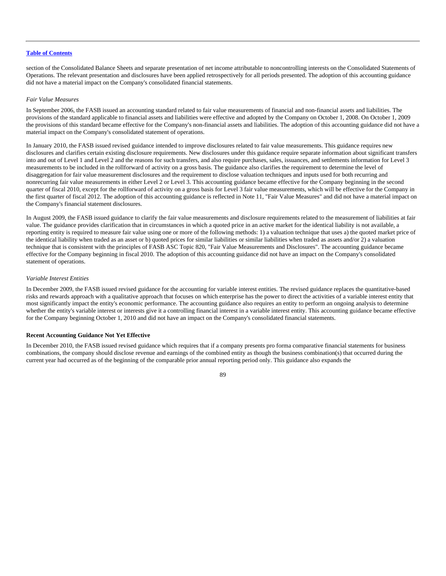section of the Consolidated Balance Sheets and separate presentation of net income attributable to noncontrolling interests on the Consolidated Statements of Operations. The relevant presentation and disclosures have been applied retrospectively for all periods presented. The adoption of this accounting guidance did not have a material impact on the Company's consolidated financial statements.

#### *Fair Value Measures*

In September 2006, the FASB issued an accounting standard related to fair value measurements of financial and non-financial assets and liabilities. The provisions of the standard applicable to financial assets and liabilities were effective and adopted by the Company on October 1, 2008. On October 1, 2009 the provisions of this standard became effective for the Company's non-financial assets and liabilities. The adoption of this accounting guidance did not have a material impact on the Company's consolidated statement of operations.

In January 2010, the FASB issued revised guidance intended to improve disclosures related to fair value measurements. This guidance requires new disclosures and clarifies certain existing disclosure requirements. New disclosures under this guidance require separate information about significant transfers into and out of Level 1 and Level 2 and the reasons for such transfers, and also require purchases, sales, issuances, and settlements information for Level 3 measurements to be included in the rollforward of activity on a gross basis. The guidance also clarifies the requirement to determine the level of disaggregation for fair value measurement disclosures and the requirement to disclose valuation techniques and inputs used for both recurring and nonrecurring fair value measurements in either Level 2 or Level 3. This accounting guidance became effective for the Company beginning in the second quarter of fiscal 2010, except for the rollforward of activity on a gross basis for Level 3 fair value measurements, which will be effective for the Company in the first quarter of fiscal 2012. The adoption of this accounting guidance is reflected in Note 11, "Fair Value Measures" and did not have a material impact on the Company's financial statement disclosures.

In August 2009, the FASB issued guidance to clarify the fair value measurements and disclosure requirements related to the measurement of liabilities at fair value. The guidance provides clarification that in circumstances in which a quoted price in an active market for the identical liability is not available, a reporting entity is required to measure fair value using one or more of the following methods: 1) a valuation technique that uses a) the quoted market price of the identical liability when traded as an asset or b) quoted prices for similar liabilities or similar liabilities when traded as assets and/or 2) a valuation technique that is consistent with the principles of FASB ASC Topic 820, "Fair Value Measurements and Disclosures". The accounting guidance became effective for the Company beginning in fiscal 2010. The adoption of this accounting guidance did not have an impact on the Company's consolidated statement of operations.

## *Variable Interest Entities*

In December 2009, the FASB issued revised guidance for the accounting for variable interest entities. The revised guidance replaces the quantitative-based risks and rewards approach with a qualitative approach that focuses on which enterprise has the power to direct the activities of a variable interest entity that most significantly impact the entity's economic performance. The accounting guidance also requires an entity to perform an ongoing analysis to determine whether the entity's variable interest or interests give it a controlling financial interest in a variable interest entity. This accounting guidance became effective for the Company beginning October 1, 2010 and did not have an impact on the Company's consolidated financial statements.

# **Recent Accounting Guidance Not Yet Effective**

In December 2010, the FASB issued revised guidance which requires that if a company presents pro forma comparative financial statements for business combinations, the company should disclose revenue and earnings of the combined entity as though the business combination(s) that occurred during the current year had occurred as of the beginning of the comparable prior annual reporting period only. This guidance also expands the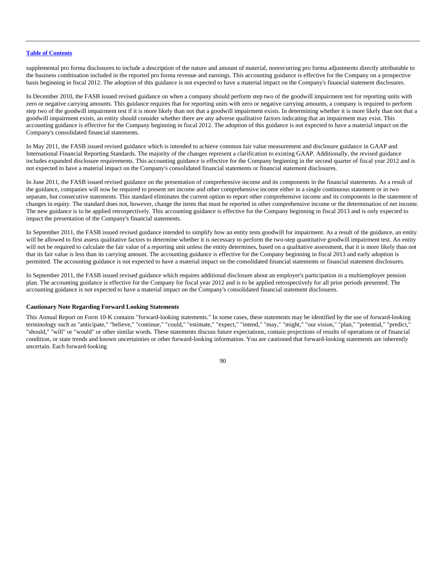supplemental pro forma disclosures to include a description of the nature and amount of material, nonrecurring pro forma adjustments directly attributable to the business combination included in the reported pro forma revenue and earnings. This accounting guidance is effective for the Company on a prospective basis beginning in fiscal 2012. The adoption of this guidance is not expected to have a material impact on the Company's financial statement disclosures.

In December 2010, the FASB issued revised guidance on when a company should perform step two of the goodwill impairment test for reporting units with zero or negative carrying amounts. This guidance requires that for reporting units with zero or negative carrying amounts, a company is required to perform step two of the goodwill impairment test if it is more likely than not that a goodwill impairment exists. In determining whether it is more likely than not that a goodwill impairment exists, an entity should consider whether there are any adverse qualitative factors indicating that an impairment may exist. This accounting guidance is effective for the Company beginning in fiscal 2012. The adoption of this guidance is not expected to have a material impact on the Company's consolidated financial statements.

In May 2011, the FASB issued revised guidance which is intended to achieve common fair value measurement and disclosure guidance in GAAP and International Financial Reporting Standards. The majority of the changes represent a clarification to existing GAAP. Additionally, the revised guidance includes expanded disclosure requirements. This accounting guidance is effective for the Company beginning in the second quarter of fiscal year 2012 and is not expected to have a material impact on the Company's consolidated financial statements or financial statement disclosures.

In June 2011, the FASB issued revised guidance on the presentation of comprehensive income and its components in the financial statements. As a result of the guidance, companies will now be required to present net income and other comprehensive income either in a single continuous statement or in two separate, but consecutive statements. This standard eliminates the current option to report other comprehensive income and its components in the statement of changes in equity. The standard does not, however, change the items that must be reported in other comprehensive income or the determination of net income. The new guidance is to be applied retrospectively. This accounting guidance is effective for the Company beginning in fiscal 2013 and is only expected to impact the presentation of the Company's financial statements.

In September 2011, the FASB issued revised guidance intended to simplify how an entity tests goodwill for impairment. As a result of the guidance, an entity will be allowed to first assess qualitative factors to determine whether it is necessary to perform the two-step quantitative goodwill impairment test. An entity will not be required to calculate the fair value of a reporting unit unless the entity determines, based on a qualitative assessment, that it is more likely than not that its fair value is less than its carrying amount. The accounting guidance is effective for the Company beginning in fiscal 2013 and early adoption is permitted. The accounting guidance is not expected to have a material impact on the consolidated financial statements or financial statement disclosures.

In September 2011, the FASB issued revised guidance which requires additional disclosure about an employer's participation in a multiemployer pension plan. The accounting guidance is effective for the Company for fiscal year 2012 and is to be applied retrospectively for all prior periods presented. The accounting guidance is not expected to have a material impact on the Company's consolidated financial statement disclosures.

### **Cautionary Note Regarding Forward Looking Statements**

This Annual Report on Form 10-K contains "forward-looking statements." In some cases, these statements may be identified by the use of forward-looking terminology such as "anticipate," "believe," "continue," "could," "estimate," "expect," "intend," "may," "might," "our vision," "plan," "potential," "predict," "should," "will" or "would" or other similar words. These statements discuss future expectations, contain projections of results of operations or of financial condition, or state trends and known uncertainties or other forward-looking information. You are cautioned that forward-looking statements are inherently uncertain. Each forward-looking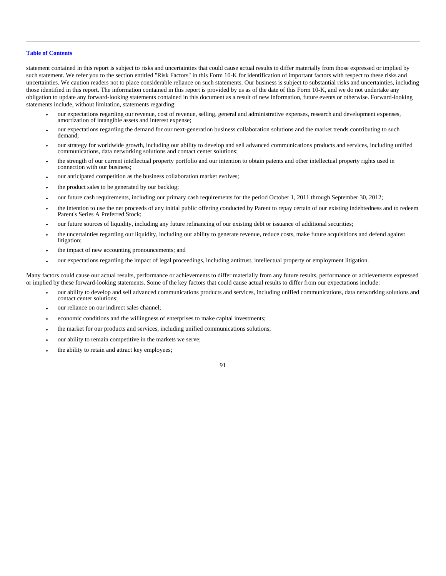statement contained in this report is subject to risks and uncertainties that could cause actual results to differ materially from those expressed or implied by such statement. We refer you to the section entitled "Risk Factors" in this Form 10-K for identification of important factors with respect to these risks and uncertainties. We caution readers not to place considerable reliance on such statements. Our business is subject to substantial risks and uncertainties, including those identified in this report. The information contained in this report is provided by us as of the date of this Form 10-K, and we do not undertake any obligation to update any forward-looking statements contained in this document as a result of new information, future events or otherwise. Forward-looking statements include, without limitation, statements regarding:

- our expectations regarding our revenue, cost of revenue, selling, general and administrative expenses, research and development expenses, amortization of intangible assets and interest expense;
- our expectations regarding the demand for our next-generation business collaboration solutions and the market trends contributing to such demand;
- our strategy for worldwide growth, including our ability to develop and sell advanced communications products and services, including unified communications, data networking solutions and contact center solutions;
- the strength of our current intellectual property portfolio and our intention to obtain patents and other intellectual property rights used in connection with our business;
- our anticipated competition as the business collaboration market evolves;
- the product sales to be generated by our backlog;
- our future cash requirements, including our primary cash requirements for the period October 1, 2011 through September 30, 2012;
- the intention to use the net proceeds of any initial public offering conducted by Parent to repay certain of our existing indebtedness and to redeem Parent's Series A Preferred Stock;
- our future sources of liquidity, including any future refinancing of our existing debt or issuance of additional securities;
- the uncertainties regarding our liquidity, including our ability to generate revenue, reduce costs, make future acquisitions and defend against litigation;
- the impact of new accounting pronouncements; and
- our expectations regarding the impact of legal proceedings, including antitrust, intellectual property or employment litigation.

Many factors could cause our actual results, performance or achievements to differ materially from any future results, performance or achievements expressed or implied by these forward-looking statements. Some of the key factors that could cause actual results to differ from our expectations include:

- our ability to develop and sell advanced communications products and services, including unified communications, data networking solutions and contact center solutions;
- our reliance on our indirect sales channel;
- economic conditions and the willingness of enterprises to make capital investments;
- the market for our products and services, including unified communications solutions;
- our ability to remain competitive in the markets we serve;
- the ability to retain and attract key employees;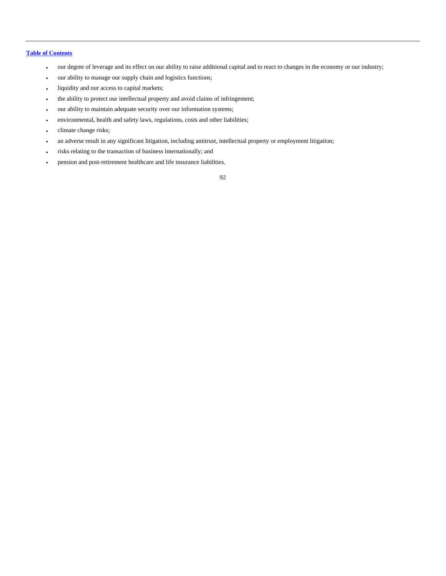- our degree of leverage and its effect on our ability to raise additional capital and to react to changes in the economy or our industry;
- our ability to manage our supply chain and logistics functions;
- liquidity and our access to capital markets;
- the ability to protect our intellectual property and avoid claims of infringement;
- our ability to maintain adequate security over our information systems;
- environmental, health and safety laws, regulations, costs and other liabilities;
- climate change risks;
- an adverse result in any significant litigation, including antitrust, intellectual property or employment litigation;
- risks relating to the transaction of business internationally; and
- pension and post-retirement healthcare and life insurance liabilities.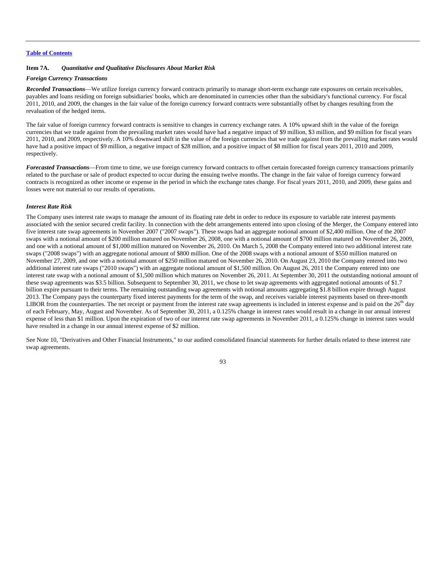# **Item 7A.** *Quantitative and Qualitative Disclosures About Market Risk*

## *Foreign Currency Transactions*

*Recorded Transactions*—We utilize foreign currency forward contracts primarily to manage short-term exchange rate exposures on certain receivables, payables and loans residing on foreign subsidiaries' books, which are denominated in currencies other than the subsidiary's functional currency. For fiscal 2011, 2010, and 2009, the changes in the fair value of the foreign currency forward contracts were substantially offset by changes resulting from the revaluation of the hedged items.

The fair value of foreign currency forward contracts is sensitive to changes in currency exchange rates. A 10% upward shift in the value of the foreign currencies that we trade against from the prevailing market rates would have had a negative impact of \$9 million, \$3 million, and \$9 million for fiscal years 2011, 2010, and 2009, respectively. A 10% downward shift in the value of the foreign currencies that we trade against from the prevailing market rates would have had a positive impact of \$9 million, a negative impact of \$28 million, and a positive impact of \$8 million for fiscal years 2011, 2010 and 2009, respectively.

*Forecasted Transactions*—From time to time, we use foreign currency forward contracts to offset certain forecasted foreign currency transactions primarily related to the purchase or sale of product expected to occur during the ensuing twelve months. The change in the fair value of foreign currency forward contracts is recognized as other income or expense in the period in which the exchange rates change. For fiscal years 2011, 2010, and 2009, these gains and losses were not material to our results of operations.

# *Interest Rate Risk*

The Company uses interest rate swaps to manage the amount of its floating rate debt in order to reduce its exposure to variable rate interest payments associated with the senior secured credit facility. In connection with the debt arrangements entered into upon closing of the Merger, the Company entered into five interest rate swap agreements in November 2007 ("2007 swaps"). These swaps had an aggregate notional amount of \$2,400 million. One of the 2007 swaps with a notional amount of \$200 million matured on November 26, 2008, one with a notional amount of \$700 million matured on November 26, 2009, and one with a notional amount of \$1,000 million matured on November 26, 2010. On March 5, 2008 the Company entered into two additional interest rate swaps ("2008 swaps") with an aggregate notional amount of \$800 million. One of the 2008 swaps with a notional amount of \$550 million matured on November 27, 2009, and one with a notional amount of \$250 million matured on November 26, 2010. On August 23, 2010 the Company entered into two additional interest rate swaps ("2010 swaps") with an aggregate notional amount of \$1,500 million. On August 26, 2011 the Company entered into one interest rate swap with a notional amount of \$1,500 million which matures on November 26, 2011. At September 30, 2011 the outstanding notional amount of these swap agreements was \$3.5 billion. Subsequent to September 30, 2011, we chose to let swap agreements with aggregated notional amounts of \$1.7 billion expire pursuant to their terms. The remaining outstanding swap agreements with notional amounts aggregating \$1.8 billion expire through August 2013. The Company pays the counterparty fixed interest payments for the term of the swap, and receives variable interest payments based on three-month LIBOR from the counterparties. The net receipt or payment from the interest rate swap agreements is included in interest expense and is paid on the  $26<sup>th</sup>$  day of each February, May, August and November. As of September 30, 2011, a 0.125% change in interest rates would result in a change in our annual interest expense of less than \$1 million. Upon the expiration of two of our interest rate swap agreements in November 2011, a 0.125% change in interest rates would have resulted in a change in our annual interest expense of \$2 million.

See Note 10, "Derivatives and Other Financial Instruments," to our audited consolidated financial statements for further details related to these interest rate swap agreements.

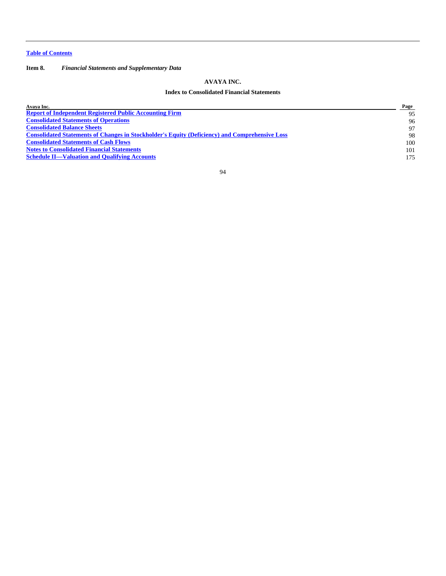# **Item 8.** *Financial Statements and Supplementary Data*

# **AVAYA INC.**

# **Index to Consolidated Financial Statements**

| Avaya Inc.                                                                                            | Page |
|-------------------------------------------------------------------------------------------------------|------|
| <b>Report of Independent Registered Public Accounting Firm</b>                                        | 95   |
| <b>Consolidated Statements of Operations</b>                                                          | 96   |
| <b>Consolidated Balance Sheets</b>                                                                    | 97   |
| <b>Consolidated Statements of Changes in Stockholder's Equity (Deficiency) and Comprehensive Loss</b> | 98   |
| <b>Consolidated Statements of Cash Flows</b>                                                          | 100  |
| <b>Notes to Consolidated Financial Statements</b>                                                     | 101  |
| <b>Schedule II—Valuation and Qualifying Accounts</b>                                                  | 175  |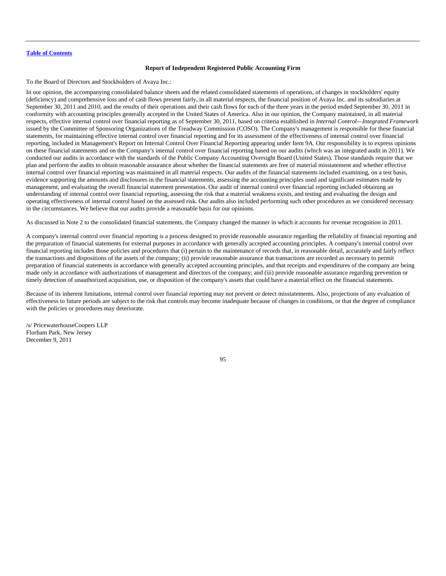# **Report of Independent Registered Public Accounting Firm**

<span id="page-97-0"></span>To the Board of Directors and Stockholders of Avaya Inc.:

In our opinion, the accompanying consolidated balance sheets and the related consolidated statements of operations, of changes in stockholders' equity (deficiency) and comprehensive loss and of cash flows present fairly, in all material respects, the financial position of Avaya Inc. and its subsidiaries at September 30, 2011 and 2010, and the results of their operations and their cash flows for each of the three years in the period ended September 30, 2011 in conformity with accounting principles generally accepted in the United States of America. Also in our opinion, the Company maintained, in all material respects, effective internal control over financial reporting as of September 30, 2011, based on criteria established in *Internal Control—Integrated Framework* issued by the Committee of Sponsoring Organizations of the Treadway Commission (COSO). The Company's management is responsible for these financial statements, for maintaining effective internal control over financial reporting and for its assessment of the effectiveness of internal control over financial reporting, included in Management's Report on Internal Control Over Financial Reporting appearing under Item 9A. Our responsibility is to express opinions on these financial statements and on the Company's internal control over financial reporting based on our audits (which was an integrated audit in 2011). We conducted our audits in accordance with the standards of the Public Company Accounting Oversight Board (United States). Those standards require that we plan and perform the audits to obtain reasonable assurance about whether the financial statements are free of material misstatement and whether effective internal control over financial reporting was maintained in all material respects. Our audits of the financial statements included examining, on a test basis, evidence supporting the amounts and disclosures in the financial statements, assessing the accounting principles used and significant estimates made by management, and evaluating the overall financial statement presentation. Our audit of internal control over financial reporting included obtaining an understanding of internal control over financial reporting, assessing the risk that a material weakness exists, and testing and evaluating the design and operating effectiveness of internal control based on the assessed risk. Our audits also included performing such other procedures as we considered necessary in the circumstances. We believe that our audits provide a reasonable basis for our opinions.

As discussed in Note 2 to the consolidated financial statements, the Company changed the manner in which it accounts for revenue recognition in 2011.

A company's internal control over financial reporting is a process designed to provide reasonable assurance regarding the reliability of financial reporting and the preparation of financial statements for external purposes in accordance with generally accepted accounting principles. A company's internal control over financial reporting includes those policies and procedures that (i) pertain to the maintenance of records that, in reasonable detail, accurately and fairly reflect the transactions and dispositions of the assets of the company; (ii) provide reasonable assurance that transactions are recorded as necessary to permit preparation of financial statements in accordance with generally accepted accounting principles, and that receipts and expenditures of the company are being made only in accordance with authorizations of management and directors of the company; and (iii) provide reasonable assurance regarding prevention or timely detection of unauthorized acquisition, use, or disposition of the company's assets that could have a material effect on the financial statements.

Because of its inherent limitations, internal control over financial reporting may not prevent or detect misstatements. Also, projections of any evaluation of effectiveness to future periods are subject to the risk that controls may become inadequate because of changes in conditions, or that the degree of compliance with the policies or procedures may deteriorate.

/s/ PricewaterhouseCoopers LLP Florham Park, New Jersey December 9, 2011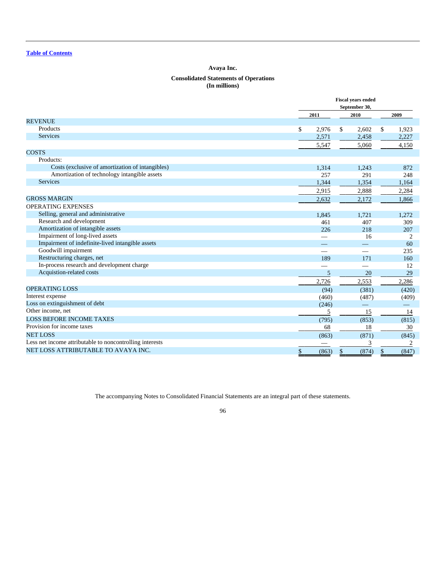# **Avaya Inc.**

## **Consolidated Statements of Operations (In millions)**

<span id="page-98-0"></span>

|                                                          | <b>Fiscal years ended</b><br>September 30, |    |       |    |                         |  |
|----------------------------------------------------------|--------------------------------------------|----|-------|----|-------------------------|--|
|                                                          | 2011                                       |    | 2010  |    | 2009                    |  |
| <b>REVENUE</b>                                           |                                            |    |       |    |                         |  |
| Products                                                 | \$<br>2,976                                | \$ | 2,602 | \$ | 1,923                   |  |
| Services                                                 | 2,571                                      |    | 2,458 |    | 2,227                   |  |
|                                                          | 5,547                                      |    | 5,060 |    | 4,150                   |  |
| <b>COSTS</b>                                             |                                            |    |       |    |                         |  |
| Products:                                                |                                            |    |       |    |                         |  |
| Costs (exclusive of amortization of intangibles)         | 1,314                                      |    | 1,243 |    | 872                     |  |
| Amortization of technology intangible assets             | 257                                        |    | 291   |    | 248                     |  |
| <b>Services</b>                                          | 1,344                                      |    | 1,354 |    | 1,164                   |  |
|                                                          | 2,915                                      |    | 2,888 |    | 2,284                   |  |
| <b>GROSS MARGIN</b>                                      | 2,632                                      |    | 2,172 |    | 1,866                   |  |
| OPERATING EXPENSES                                       |                                            |    |       |    |                         |  |
| Selling, general and administrative                      | 1,845                                      |    | 1,721 |    | 1,272                   |  |
| Research and development                                 | 461                                        |    | 407   |    | 309                     |  |
| Amortization of intangible assets                        | 226                                        |    | 218   |    | 207                     |  |
| Impairment of long-lived assets                          |                                            |    | 16    |    | $\overline{2}$          |  |
| Impairment of indefinite-lived intangible assets         |                                            |    |       |    | 60                      |  |
| Goodwill impairment                                      |                                            |    |       |    | 235                     |  |
| Restructuring charges, net                               | 189                                        |    | 171   |    | 160                     |  |
| In-process research and development charge               |                                            |    |       |    | 12                      |  |
| Acquistion-related costs                                 | 5                                          |    | 20    |    | 29                      |  |
|                                                          | 2,726                                      |    | 2,553 |    | 2,286                   |  |
| <b>OPERATING LOSS</b>                                    | (94)                                       |    | (381) |    | (420)                   |  |
| Interest expense                                         | (460)                                      |    | (487) |    | (409)                   |  |
| Loss on extinguishment of debt                           | (246)                                      |    |       |    |                         |  |
| Other income, net                                        | 5                                          |    | 15    |    | 14                      |  |
| <b>LOSS BEFORE INCOME TAXES</b>                          | (795)                                      |    | (853) |    | (815)                   |  |
| Provision for income taxes                               | 68                                         |    | 18    |    | 30                      |  |
| <b>NET LOSS</b>                                          | (863)                                      |    | (871) |    | (845)                   |  |
| Less net income attributable to noncontrolling interests |                                            |    | 3     |    | $\overline{\mathbf{c}}$ |  |
| NET LOSS ATTRIBUTABLE TO AVAYA INC.                      | \$<br>(863)                                | \$ | (874) | \$ | (847)                   |  |

The accompanying Notes to Consolidated Financial Statements are an integral part of these statements.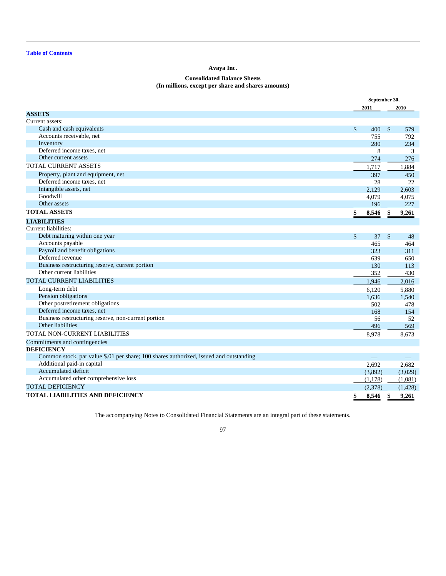# **Avaya Inc.**

## **Consolidated Balance Sheets (In millions, except per share and shares amounts)**

<span id="page-99-0"></span>

|                                                                                        | September 30,      |          |               |         |  |
|----------------------------------------------------------------------------------------|--------------------|----------|---------------|---------|--|
|                                                                                        |                    | 2011     |               | 2010    |  |
| <b>ASSETS</b>                                                                          |                    |          |               |         |  |
| Current assets:                                                                        |                    |          |               |         |  |
| Cash and cash equivalents                                                              | $\mathsf{\$}$      | 400      | $\mathbb{S}$  | 579     |  |
| Accounts receivable, net                                                               |                    | 755      |               | 792     |  |
| Inventory                                                                              |                    | 280      |               | 234     |  |
| Deferred income taxes, net                                                             |                    | 8        |               | 3       |  |
| Other current assets                                                                   |                    | 274      |               | 276     |  |
| TOTAL CURRENT ASSETS                                                                   |                    | 1,717    |               | 1,884   |  |
| Property, plant and equipment, net                                                     |                    | 397      |               | 450     |  |
| Deferred income taxes, net                                                             |                    | 28       |               | 22      |  |
| Intangible assets, net                                                                 |                    | 2.129    |               | 2.603   |  |
| Goodwill                                                                               |                    | 4,079    |               | 4,075   |  |
| Other assets                                                                           |                    | 196      |               | 227     |  |
| <b>TOTAL ASSETS</b>                                                                    | \$                 | 8,546    | \$            | 9,261   |  |
| <b>LIABILITIES</b>                                                                     |                    |          |               |         |  |
| Current liabilities:                                                                   |                    |          |               |         |  |
| Debt maturing within one year                                                          | $\mathbf{\hat{S}}$ | 37       | $\mathsf{\$}$ | 48      |  |
| Accounts payable                                                                       |                    | 465      |               | 464     |  |
| Payroll and benefit obligations                                                        |                    | 323      |               | 311     |  |
| Deferred revenue                                                                       |                    | 639      |               | 650     |  |
| Business restructuring reserve, current portion                                        |                    | 130      |               | 113     |  |
| Other current liabilities                                                              |                    | 352      |               | 430     |  |
| <b>TOTAL CURRENT LIABILITIES</b>                                                       |                    | 1,946    |               | 2,016   |  |
| Long-term debt                                                                         |                    | 6,120    |               | 5,880   |  |
| Pension obligations                                                                    |                    | 1,636    |               | 1,540   |  |
| Other postretirement obligations                                                       |                    | 502      |               | 478     |  |
| Deferred income taxes, net                                                             |                    | 168      |               | 154     |  |
| Business restructuring reserve, non-current portion                                    |                    | 56       |               | 52      |  |
| Other liabilities                                                                      |                    | 496      |               | 569     |  |
| TOTAL NON-CURRENT LIABILITIES                                                          |                    | 8,978    |               | 8,673   |  |
| Commitments and contingencies                                                          |                    |          |               |         |  |
| <b>DEFICIENCY</b>                                                                      |                    |          |               |         |  |
| Common stock, par value \$.01 per share; 100 shares authorized, issued and outstanding |                    |          |               |         |  |
| Additional paid-in capital                                                             |                    | 2.692    |               | 2,682   |  |
| Accumulated deficit                                                                    |                    | (3,892)  |               | (3,029) |  |
| Accumulated other comprehensive loss                                                   |                    | (1, 178) |               | (1,081) |  |
| <b>TOTAL DEFICIENCY</b>                                                                |                    | (2,378)  |               | (1,428) |  |
| <b>TOTAL LIABILITIES AND DEFICIENCY</b>                                                | \$                 | 8,546    | \$            | 9,261   |  |

The accompanying Notes to Consolidated Financial Statements are an integral part of these statements.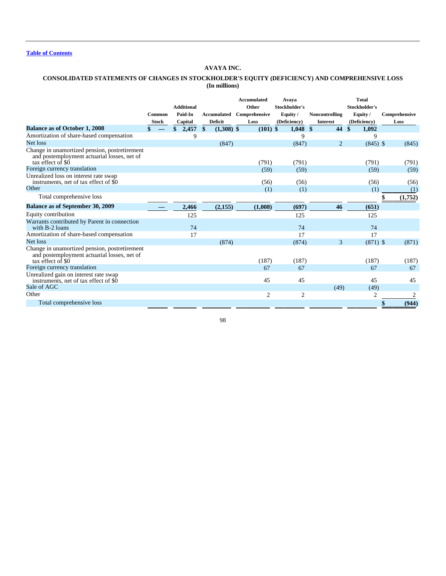# **AVAYA INC.**

## <span id="page-100-0"></span>**CONSOLIDATED STATEMENTS OF CHANGES IN STOCKHOLDER'S EQUITY (DEFICIENCY) AND COMPREHENSIVE LOSS (In millions)**

|                                                                                                                       |              | <b>Additional</b> |                               | <b>Accumulated</b><br>Other | Avava<br>Stockholder's |                 | <b>Total</b><br>Stockholder's |                |
|-----------------------------------------------------------------------------------------------------------------------|--------------|-------------------|-------------------------------|-----------------------------|------------------------|-----------------|-------------------------------|----------------|
|                                                                                                                       | Common       | Paid-In           | Accumulated                   | Comprehensive               | Equity /               | Noncontrolling  | Equity /                      | Comprehensive  |
|                                                                                                                       | <b>Stock</b> | Capital           | <b>Deficit</b>                | Loss                        | (Deficiency)           | <b>Interest</b> | (Deficiency)                  | Loss           |
| <b>Balance as of October 1, 2008</b>                                                                                  | \$           | 2,457<br>\$       | $\mathbf{\$}$<br>$(1,308)$ \$ | $(101)$ \$                  | $1,048$ \$             | 44              | \$<br>1,092                   |                |
| Amortization of share-based compensation                                                                              |              | 9                 |                               |                             | 9                      |                 | 9                             |                |
| Net loss                                                                                                              |              |                   | (847)                         |                             | (847)                  | 2               | $(845)$ \$                    | (845)          |
| Change in unamortized pension, postretirement<br>and postemployment actuarial losses, net of<br>$tax$ effect of $\$0$ |              |                   |                               | (791)                       | (791)                  |                 | (791)                         | (791)          |
| Foreign currency translation                                                                                          |              |                   |                               | (59)                        | (59)                   |                 | (59)                          | (59)           |
| Unrealized loss on interest rate swap<br>instruments, net of tax effect of \$0                                        |              |                   |                               | (56)                        | (56)                   |                 | (56)                          | (56)           |
| Other                                                                                                                 |              |                   |                               | (1)                         | (1)                    |                 | (1)                           | (1)            |
| Total comprehensive loss                                                                                              |              |                   |                               |                             |                        |                 |                               | (1,752)        |
| <b>Balance as of September 30, 2009</b>                                                                               |              | 2,466             | (2,155)                       | (1,008)                     | (697)                  | 46              | (651)                         |                |
| Equity contribution                                                                                                   |              | 125               |                               |                             | 125                    |                 | 125                           |                |
| Warrants contributed by Parent in connection<br>with B-2 loans                                                        |              | 74                |                               |                             | 74                     |                 | 74                            |                |
| Amortization of share-based compensation                                                                              |              | 17                |                               |                             | 17                     |                 | 17                            |                |
| Net loss                                                                                                              |              |                   | (874)                         |                             | (874)                  | $\overline{3}$  | $(871)$ \$                    | (871)          |
| Change in unamortized pension, postretirement<br>and postemployment actuarial losses, net of                          |              |                   |                               |                             |                        |                 |                               |                |
| tax effect of \$0                                                                                                     |              |                   |                               | (187)                       | (187)                  |                 | (187)                         | (187)          |
| Foreign currency translation                                                                                          |              |                   |                               | 67                          | 67                     |                 | 67                            | 67             |
| Unrealized gain on interest rate swap<br>instruments, net of tax effect of \$0                                        |              |                   |                               | 45                          | 45                     |                 | 45                            | 45             |
| Sale of AGC                                                                                                           |              |                   |                               |                             |                        | (49)            | (49)                          |                |
| Other                                                                                                                 |              |                   |                               | $\overline{c}$              | $\overline{2}$         |                 | $\overline{2}$                | $\overline{2}$ |
| Total comprehensive loss                                                                                              |              |                   |                               |                             |                        |                 |                               | (944)          |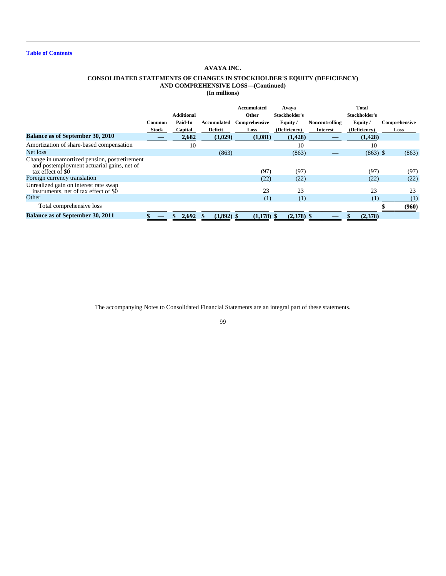# **AVAYA INC.**

## **CONSOLIDATED STATEMENTS OF CHANGES IN STOCKHOLDER'S EQUITY (DEFICIENCY) AND COMPREHENSIVE LOSS—(Continued) (In millions)**

|                                                                                                                  | Common | <b>Additional</b><br>Paid-In | Accumulated    | Accumulated<br>Other<br>Comprehensive | Avava<br>Stockholder's<br>Equity / | Noncontrolling  | <b>Total</b><br>Stockholder's<br>Equity/ | Comprehensive |
|------------------------------------------------------------------------------------------------------------------|--------|------------------------------|----------------|---------------------------------------|------------------------------------|-----------------|------------------------------------------|---------------|
|                                                                                                                  | Stock  | Capital                      | <b>Deficit</b> | Loss                                  | (Deficiency)                       | <b>Interest</b> | (Deficiency)                             | Loss          |
| <b>Balance as of September 30, 2010</b>                                                                          |        | 2,682                        | (3,029)        | (1,081)                               | (1,428)                            |                 | (1,428)                                  |               |
| Amortization of share-based compensation                                                                         |        | 10                           |                |                                       | 10                                 |                 | 10                                       |               |
| Net loss                                                                                                         |        |                              | (863)          |                                       | (863)                              |                 | $(863)$ \$                               | (863)         |
| Change in unamortized pension, postretirement<br>and postemployment actuarial gains, net of<br>tax effect of \$0 |        |                              |                | (97)                                  | (97)                               |                 | (97)                                     | (97)          |
| Foreign currency translation                                                                                     |        |                              |                | (22)                                  | (22)                               |                 | (22)                                     | (22)          |
| Unrealized gain on interest rate swap<br>instruments, net of tax effect of \$0<br>Other                          |        |                              |                | 23                                    | 23                                 |                 | 23                                       | 23            |
| Total comprehensive loss                                                                                         |        |                              |                | (1)                                   | (1)                                |                 | (1)                                      | (1)<br>(960)  |
| <b>Balance as of September 30, 2011</b>                                                                          |        | 2,692                        | $(3,892)$ \$   | $(1,178)$ \$                          | $(2,378)$ \$                       |                 | (2,378)                                  |               |

The accompanying Notes to Consolidated Financial Statements are an integral part of these statements.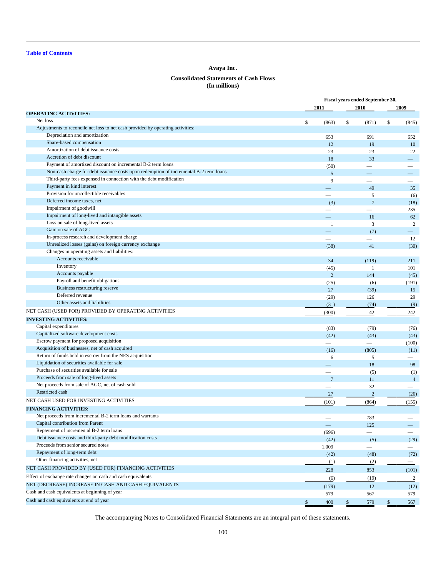# **Avaya Inc.**

# **Consolidated Statements of Cash Flows (In millions)**

<span id="page-102-0"></span>

|                                                                                       | Fiscal years ended September 30, |               |                          |      |                          |  |  |
|---------------------------------------------------------------------------------------|----------------------------------|---------------|--------------------------|------|--------------------------|--|--|
|                                                                                       | 2011                             |               | 2010                     | 2009 |                          |  |  |
| <b>OPERATING ACTIVITIES:</b>                                                          |                                  |               |                          |      |                          |  |  |
| Net loss                                                                              | \$<br>(863)                      | \$            | (871)                    | \$   | (845)                    |  |  |
| Adjustments to reconcile net loss to net cash provided by operating activities:       |                                  |               |                          |      |                          |  |  |
| Depreciation and amortization                                                         | 653                              |               | 691                      |      | 652                      |  |  |
| Share-based compensation                                                              | 12                               |               | 19                       |      | 10                       |  |  |
| Amortization of debt issuance costs                                                   | 23                               |               | 23                       |      | 22                       |  |  |
| Accretion of debt discount                                                            | 18                               |               | 33                       |      | $\overline{\phantom{0}}$ |  |  |
| Payment of amortized discount on incremental B-2 term loans                           | (50)                             |               | $\overline{\phantom{0}}$ |      |                          |  |  |
| Non-cash charge for debt issuance costs upon redemption of incremental B-2 term loans | 5                                |               |                          |      |                          |  |  |
| Third-party fees expensed in connection with the debt modification                    | 9                                |               | $\overline{\phantom{0}}$ |      |                          |  |  |
| Payment in kind interest                                                              |                                  |               | 49                       |      | 35                       |  |  |
| Provision for uncollectible receivables                                               | $\overline{\phantom{0}}$         |               | 5                        |      | (6)                      |  |  |
| Deferred income taxes, net                                                            | (3)                              |               | $\overline{7}$           |      | (18)                     |  |  |
| Impairment of goodwill                                                                |                                  |               |                          |      | 235                      |  |  |
| Impairment of long-lived and intangible assets                                        |                                  |               | 16                       |      | 62                       |  |  |
| Loss on sale of long-lived assets                                                     | $\mathbf{1}$                     |               | 3                        |      | 2                        |  |  |
| Gain on sale of AGC                                                                   |                                  |               | (7)                      |      |                          |  |  |
| In-process research and development charge                                            | ▃                                |               |                          |      | 12                       |  |  |
| Unrealized losses (gains) on foreign currency exchange                                | (38)                             |               | 41                       |      | (30)                     |  |  |
| Changes in operating assets and liabilities:                                          |                                  |               |                          |      |                          |  |  |
| Accounts receivable                                                                   | 34                               |               | (119)                    |      | 211                      |  |  |
| Inventory                                                                             | (45)                             |               | 1                        |      | 101                      |  |  |
| Accounts payable                                                                      | $\overline{2}$                   |               | 144                      |      | (45)                     |  |  |
| Payroll and benefit obligations                                                       | (25)                             |               | (6)                      |      | (191)                    |  |  |
| Business restructuring reserve                                                        | 27                               |               | (39)                     |      | 15                       |  |  |
| Deferred revenue                                                                      | (29)                             |               | 126                      |      | 29                       |  |  |
| Other assets and liabilities                                                          | (31)                             |               | (74)                     |      | (9)                      |  |  |
| NET CASH (USED FOR) PROVIDED BY OPERATING ACTIVITIES                                  | (300)                            |               | 42                       |      | 242                      |  |  |
| <b>INVESTING ACTIVITIES:</b>                                                          |                                  |               |                          |      |                          |  |  |
| Capital expenditures                                                                  |                                  |               |                          |      |                          |  |  |
| Capitalized software development costs                                                | (83)                             |               | (79)                     |      | (76)                     |  |  |
| Escrow payment for proposed acquisition                                               | (42)                             |               | (43)                     |      | (43)                     |  |  |
| Acquisition of businesses, net of cash acquired                                       |                                  |               | $\overline{\phantom{0}}$ |      | (100)                    |  |  |
| Return of funds held in escrow from the NES acquisition                               | (16)                             |               | (805)                    |      | (11)                     |  |  |
| Liquidation of securities available for sale                                          | 6                                |               | 5                        |      |                          |  |  |
| Purchase of securities available for sale                                             |                                  |               | 18                       |      | 98                       |  |  |
| Proceeds from sale of long-lived assets                                               |                                  |               | (5)                      |      | (1)                      |  |  |
| Net proceeds from sale of AGC, net of cash sold                                       | $\overline{7}$                   |               | 11                       |      | $\overline{4}$           |  |  |
| Restricted cash                                                                       |                                  |               | 32                       |      |                          |  |  |
|                                                                                       | 27                               |               | $\sqrt{2}$               |      | (26)                     |  |  |
| NET CASH USED FOR INVESTING ACTIVITIES                                                | (101)                            |               | (864)                    |      | (155)                    |  |  |
| <b>FINANCING ACTIVITIES:</b>                                                          |                                  |               |                          |      |                          |  |  |
| Net proceeds from incremental B-2 term loans and warrants                             |                                  |               | 783                      |      |                          |  |  |
| Capital contribution from Parent                                                      |                                  |               | 125                      |      |                          |  |  |
| Repayment of incremental B-2 term loans                                               | (696)                            |               | $\qquad \qquad -$        |      |                          |  |  |
| Debt issuance costs and third-party debt modification costs                           | (42)                             |               | (5)                      |      | (29)                     |  |  |
| Proceeds from senior secured notes                                                    | 1,009                            |               |                          |      |                          |  |  |
| Repayment of long-term debt                                                           | (42)                             |               | (48)                     |      | (72)                     |  |  |
| Other financing activities, net                                                       | (1)                              |               | (2)                      |      |                          |  |  |
| NET CASH PROVIDED BY (USED FOR) FINANCING ACTIVITIES                                  | 228                              |               | 853                      |      | (101)                    |  |  |
| Effect of exchange rate changes on cash and cash equivalents                          |                                  |               |                          |      |                          |  |  |
| NET (DECREASE) INCREASE IN CASH AND CASH EQUIVALENTS                                  | (6)                              |               | (19)                     |      | $\overline{2}$           |  |  |
| Cash and cash equivalents at beginning of year                                        | (179)                            |               | 12                       |      | (12)                     |  |  |
|                                                                                       | 579                              |               | 567                      |      | 579                      |  |  |
| Cash and cash equivalents at end of year                                              | \$<br>400                        | $\frac{1}{2}$ | 579                      | \$   | 567                      |  |  |

The accompanying Notes to Consolidated Financial Statements are an integral part of these statements.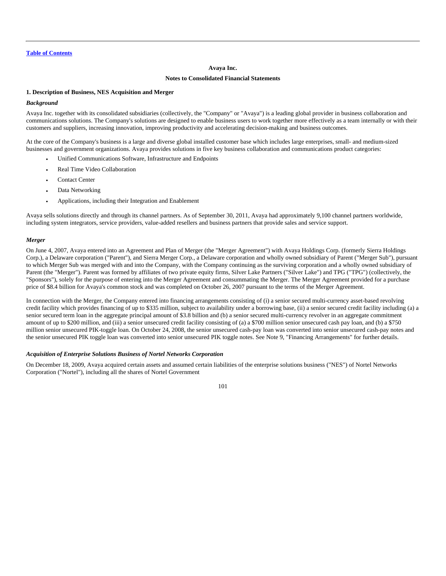# **Avaya Inc.**

## **Notes to Consolidated Financial Statements**

# <span id="page-103-0"></span>**1. Description of Business, NES Acquisition and Merger**

#### *Background*

Avaya Inc. together with its consolidated subsidiaries (collectively, the "Company" or "Avaya") is a leading global provider in business collaboration and communications solutions. The Company's solutions are designed to enable business users to work together more effectively as a team internally or with their customers and suppliers, increasing innovation, improving productivity and accelerating decision-making and business outcomes.

At the core of the Company's business is a large and diverse global installed customer base which includes large enterprises, small- and medium-sized businesses and government organizations. Avaya provides solutions in five key business collaboration and communications product categories:

- Unified Communications Software, Infrastructure and Endpoints
- Real Time Video Collaboration
- Contact Center
- Data Networking
- Applications, including their Integration and Enablement

Avaya sells solutions directly and through its channel partners. As of September 30, 2011, Avaya had approximately 9,100 channel partners worldwide, including system integrators, service providers, value-added resellers and business partners that provide sales and service support.

## *Merger*

On June 4, 2007, Avaya entered into an Agreement and Plan of Merger (the "Merger Agreement") with Avaya Holdings Corp. (formerly Sierra Holdings Corp.), a Delaware corporation ("Parent"), and Sierra Merger Corp., a Delaware corporation and wholly owned subsidiary of Parent ("Merger Sub"), pursuant to which Merger Sub was merged with and into the Company, with the Company continuing as the surviving corporation and a wholly owned subsidiary of Parent (the "Merger"). Parent was formed by affiliates of two private equity firms, Silver Lake Partners ("Silver Lake") and TPG ("TPG") (collectively, the "Sponsors"), solely for the purpose of entering into the Merger Agreement and consummating the Merger. The Merger Agreement provided for a purchase price of \$8.4 billion for Avaya's common stock and was completed on October 26, 2007 pursuant to the terms of the Merger Agreement.

In connection with the Merger, the Company entered into financing arrangements consisting of (i) a senior secured multi-currency asset-based revolving credit facility which provides financing of up to \$335 million, subject to availability under a borrowing base, (ii) a senior secured credit facility including (a) a senior secured term loan in the aggregate principal amount of \$3.8 billion and (b) a senior secured multi-currency revolver in an aggregate commitment amount of up to \$200 million, and (iii) a senior unsecured credit facility consisting of (a) a \$700 million senior unsecured cash pay loan, and (b) a \$750 million senior unsecured PIK-toggle loan. On October 24, 2008, the senior unsecured cash-pay loan was converted into senior unsecured cash-pay notes and the senior unsecured PIK toggle loan was converted into senior unsecured PIK toggle notes. See Note 9, "Financing Arrangements" for further details.

# *Acquisition of Enterprise Solutions Business of Nortel Networks Corporation*

On December 18, 2009, Avaya acquired certain assets and assumed certain liabilities of the enterprise solutions business ("NES") of Nortel Networks Corporation ("Nortel"), including all the shares of Nortel Government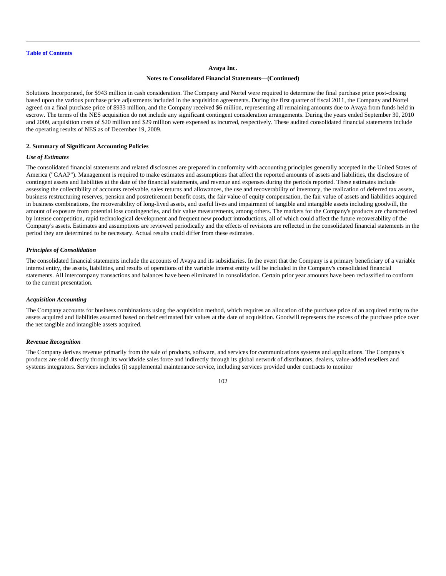# **Avaya Inc.**

# **Notes to Consolidated Financial Statements—(Continued)**

Solutions Incorporated, for \$943 million in cash consideration. The Company and Nortel were required to determine the final purchase price post-closing based upon the various purchase price adjustments included in the acquisition agreements. During the first quarter of fiscal 2011, the Company and Nortel agreed on a final purchase price of \$933 million, and the Company received \$6 million, representing all remaining amounts due to Avaya from funds held in escrow. The terms of the NES acquisition do not include any significant contingent consideration arrangements. During the years ended September 30, 2010 and 2009, acquisition costs of \$20 million and \$29 million were expensed as incurred, respectively. These audited consolidated financial statements include the operating results of NES as of December 19, 2009.

## **2. Summary of Significant Accounting Policies**

#### *Use of Estimates*

The consolidated financial statements and related disclosures are prepared in conformity with accounting principles generally accepted in the United States of America ("GAAP"). Management is required to make estimates and assumptions that affect the reported amounts of assets and liabilities, the disclosure of contingent assets and liabilities at the date of the financial statements, and revenue and expenses during the periods reported. These estimates include assessing the collectibility of accounts receivable, sales returns and allowances, the use and recoverability of inventory, the realization of deferred tax assets, business restructuring reserves, pension and postretirement benefit costs, the fair value of equity compensation, the fair value of assets and liabilities acquired in business combinations, the recoverability of long-lived assets, and useful lives and impairment of tangible and intangible assets including goodwill, the amount of exposure from potential loss contingencies, and fair value measurements, among others. The markets for the Company's products are characterized by intense competition, rapid technological development and frequent new product introductions, all of which could affect the future recoverability of the Company's assets. Estimates and assumptions are reviewed periodically and the effects of revisions are reflected in the consolidated financial statements in the period they are determined to be necessary. Actual results could differ from these estimates.

## *Principles of Consolidation*

The consolidated financial statements include the accounts of Avaya and its subsidiaries. In the event that the Company is a primary beneficiary of a variable interest entity, the assets, liabilities, and results of operations of the variable interest entity will be included in the Company's consolidated financial statements. All intercompany transactions and balances have been eliminated in consolidation. Certain prior year amounts have been reclassified to conform to the current presentation.

#### *Acquisition Accounting*

The Company accounts for business combinations using the acquisition method, which requires an allocation of the purchase price of an acquired entity to the assets acquired and liabilities assumed based on their estimated fair values at the date of acquisition. Goodwill represents the excess of the purchase price over the net tangible and intangible assets acquired.

#### *Revenue Recognition*

The Company derives revenue primarily from the sale of products, software, and services for communications systems and applications. The Company's products are sold directly through its worldwide sales force and indirectly through its global network of distributors, dealers, value-added resellers and systems integrators. Services includes (i) supplemental maintenance service, including services provided under contracts to monitor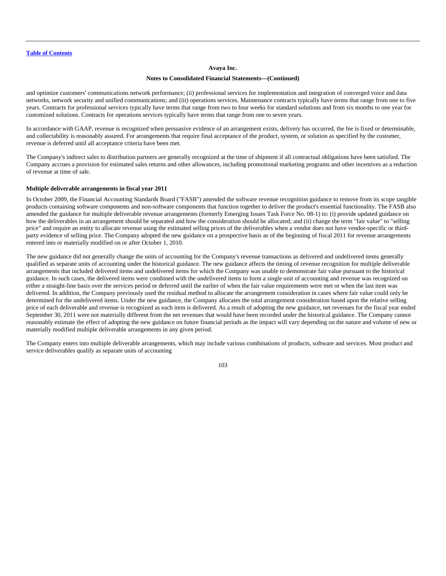# **Avaya Inc.**

# **Notes to Consolidated Financial Statements—(Continued)**

and optimize customers' communications network performance; (ii) professional services for implementation and integration of converged voice and data networks, network security and unified communications; and (iii) operations services. Maintenance contracts typically have terms that range from one to five years. Contracts for professional services typically have terms that range from two to four weeks for standard solutions and from six months to one year for customized solutions. Contracts for operations services typically have terms that range from one to seven years.

In accordance with GAAP, revenue is recognized when persuasive evidence of an arrangement exists, delivery has occurred, the fee is fixed or determinable, and collectability is reasonably assured. For arrangements that require final acceptance of the product, system, or solution as specified by the customer, revenue is deferred until all acceptance criteria have been met.

The Company's indirect sales to distribution partners are generally recognized at the time of shipment if all contractual obligations have been satisfied. The Company accrues a provision for estimated sales returns and other allowances, including promotional marketing programs and other incentives as a reduction of revenue at time of sale.

#### **Multiple deliverable arrangements in fiscal year 2011**

In October 2009, the Financial Accounting Standards Board ("FASB") amended the software revenue recognition guidance to remove from its scope tangible products containing software components and non-software components that function together to deliver the product's essential functionality. The FASB also amended the guidance for multiple deliverable revenue arrangements (formerly Emerging Issues Task Force No. 08-1) to: (i) provide updated guidance on how the deliverables in an arrangement should be separated and how the consideration should be allocated; and (ii) change the term "fair value" to "selling price" and require an entity to allocate revenue using the estimated selling prices of the deliverables when a vendor does not have vendor-specific or thirdparty evidence of selling price. The Company adopted the new guidance on a prospective basis as of the beginning of fiscal 2011 for revenue arrangements entered into or materially modified on or after October 1, 2010.

The new guidance did not generally change the units of accounting for the Company's revenue transactions as delivered and undelivered items generally qualified as separate units of accounting under the historical guidance. The new guidance affects the timing of revenue recognition for multiple deliverable arrangements that included delivered items and undelivered items for which the Company was unable to demonstrate fair value pursuant to the historical guidance. In such cases, the delivered items were combined with the undelivered items to form a single unit of accounting and revenue was recognized on either a straight-line basis over the services period or deferred until the earlier of when the fair value requirements were met or when the last item was delivered. In addition, the Company previously used the residual method to allocate the arrangement consideration in cases where fair value could only be determined for the undelivered items. Under the new guidance, the Company allocates the total arrangement consideration based upon the relative selling price of each deliverable and revenue is recognized as each item is delivered. As a result of adopting the new guidance, net revenues for the fiscal year ended September 30, 2011 were not materially different from the net revenues that would have been recorded under the historical guidance. The Company cannot reasonably estimate the effect of adopting the new guidance on future financial periods as the impact will vary depending on the nature and volume of new or materially modified multiple deliverable arrangements in any given period.

The Company enters into multiple deliverable arrangements, which may include various combinations of products, software and services. Most product and service deliverables qualify as separate units of accounting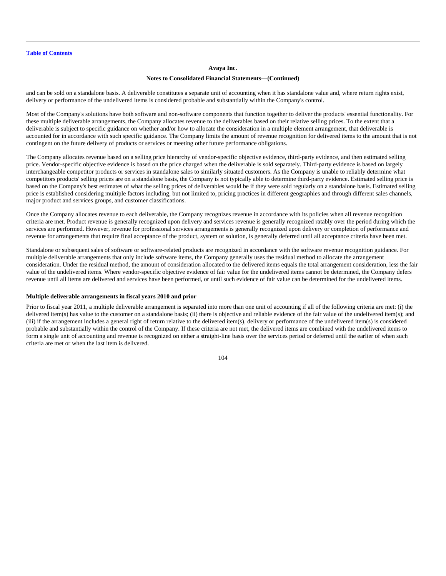# **Avaya Inc.**

## **Notes to Consolidated Financial Statements—(Continued)**

and can be sold on a standalone basis. A deliverable constitutes a separate unit of accounting when it has standalone value and, where return rights exist, delivery or performance of the undelivered items is considered probable and substantially within the Company's control.

Most of the Company's solutions have both software and non-software components that function together to deliver the products' essential functionality. For these multiple deliverable arrangements, the Company allocates revenue to the deliverables based on their relative selling prices. To the extent that a deliverable is subject to specific guidance on whether and/or how to allocate the consideration in a multiple element arrangement, that deliverable is accounted for in accordance with such specific guidance. The Company limits the amount of revenue recognition for delivered items to the amount that is not contingent on the future delivery of products or services or meeting other future performance obligations.

The Company allocates revenue based on a selling price hierarchy of vendor-specific objective evidence, third-party evidence, and then estimated selling price. Vendor-specific objective evidence is based on the price charged when the deliverable is sold separately. Third-party evidence is based on largely interchangeable competitor products or services in standalone sales to similarly situated customers. As the Company is unable to reliably determine what competitors products' selling prices are on a standalone basis, the Company is not typically able to determine third-party evidence. Estimated selling price is based on the Company's best estimates of what the selling prices of deliverables would be if they were sold regularly on a standalone basis. Estimated selling price is established considering multiple factors including, but not limited to, pricing practices in different geographies and through different sales channels, major product and services groups, and customer classifications.

Once the Company allocates revenue to each deliverable, the Company recognizes revenue in accordance with its policies when all revenue recognition criteria are met. Product revenue is generally recognized upon delivery and services revenue is generally recognized ratably over the period during which the services are performed. However, revenue for professional services arrangements is generally recognized upon delivery or completion of performance and revenue for arrangements that require final acceptance of the product, system or solution, is generally deferred until all acceptance criteria have been met.

Standalone or subsequent sales of software or software-related products are recognized in accordance with the software revenue recognition guidance. For multiple deliverable arrangements that only include software items, the Company generally uses the residual method to allocate the arrangement consideration. Under the residual method, the amount of consideration allocated to the delivered items equals the total arrangement consideration, less the fair value of the undelivered items. Where vendor-specific objective evidence of fair value for the undelivered items cannot be determined, the Company defers revenue until all items are delivered and services have been performed, or until such evidence of fair value can be determined for the undelivered items.

# **Multiple deliverable arrangements in fiscal years 2010 and prior**

Prior to fiscal year 2011, a multiple deliverable arrangement is separated into more than one unit of accounting if all of the following criteria are met: (i) the delivered item(s) has value to the customer on a standalone basis; (ii) there is objective and reliable evidence of the fair value of the undelivered item(s); and (iii) if the arrangement includes a general right of return relative to the delivered item(s), delivery or performance of the undelivered item(s) is considered probable and substantially within the control of the Company. If these criteria are not met, the delivered items are combined with the undelivered items to form a single unit of accounting and revenue is recognized on either a straight-line basis over the services period or deferred until the earlier of when such criteria are met or when the last item is delivered.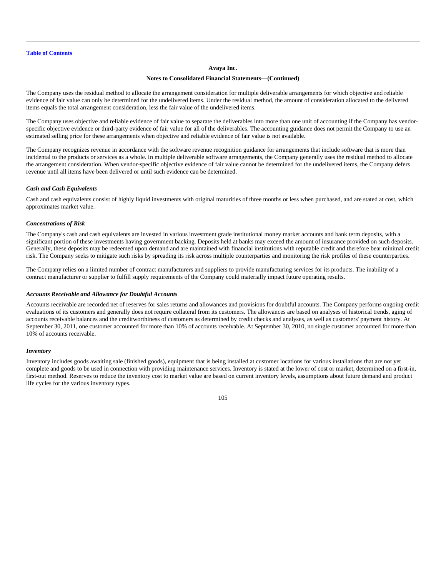# **Avaya Inc.**

## **Notes to Consolidated Financial Statements—(Continued)**

The Company uses the residual method to allocate the arrangement consideration for multiple deliverable arrangements for which objective and reliable evidence of fair value can only be determined for the undelivered items. Under the residual method, the amount of consideration allocated to the delivered items equals the total arrangement consideration, less the fair value of the undelivered items.

The Company uses objective and reliable evidence of fair value to separate the deliverables into more than one unit of accounting if the Company has vendorspecific objective evidence or third-party evidence of fair value for all of the deliverables. The accounting guidance does not permit the Company to use an estimated selling price for these arrangements when objective and reliable evidence of fair value is not available.

The Company recognizes revenue in accordance with the software revenue recognition guidance for arrangements that include software that is more than incidental to the products or services as a whole. In multiple deliverable software arrangements, the Company generally uses the residual method to allocate the arrangement consideration. When vendor-specific objective evidence of fair value cannot be determined for the undelivered items, the Company defers revenue until all items have been delivered or until such evidence can be determined.

#### *Cash and Cash Equivalents*

Cash and cash equivalents consist of highly liquid investments with original maturities of three months or less when purchased, and are stated at cost, which approximates market value.

#### *Concentrations of Risk*

The Company's cash and cash equivalents are invested in various investment grade institutional money market accounts and bank term deposits, with a significant portion of these investments having government backing. Deposits held at banks may exceed the amount of insurance provided on such deposits. Generally, these deposits may be redeemed upon demand and are maintained with financial institutions with reputable credit and therefore bear minimal credit risk. The Company seeks to mitigate such risks by spreading its risk across multiple counterparties and monitoring the risk profiles of these counterparties.

The Company relies on a limited number of contract manufacturers and suppliers to provide manufacturing services for its products. The inability of a contract manufacturer or supplier to fulfill supply requirements of the Company could materially impact future operating results.

#### *Accounts Receivable and Allowance for Doubtful Accounts*

Accounts receivable are recorded net of reserves for sales returns and allowances and provisions for doubtful accounts. The Company performs ongoing credit evaluations of its customers and generally does not require collateral from its customers. The allowances are based on analyses of historical trends, aging of accounts receivable balances and the creditworthiness of customers as determined by credit checks and analyses, as well as customers' payment history. At September 30, 2011, one customer accounted for more than 10% of accounts receivable. At September 30, 2010, no single customer accounted for more than 10% of accounts receivable.

#### *Inventory*

Inventory includes goods awaiting sale (finished goods), equipment that is being installed at customer locations for various installations that are not yet complete and goods to be used in connection with providing maintenance services. Inventory is stated at the lower of cost or market, determined on a first-in, first-out method. Reserves to reduce the inventory cost to market value are based on current inventory levels, assumptions about future demand and product life cycles for the various inventory types.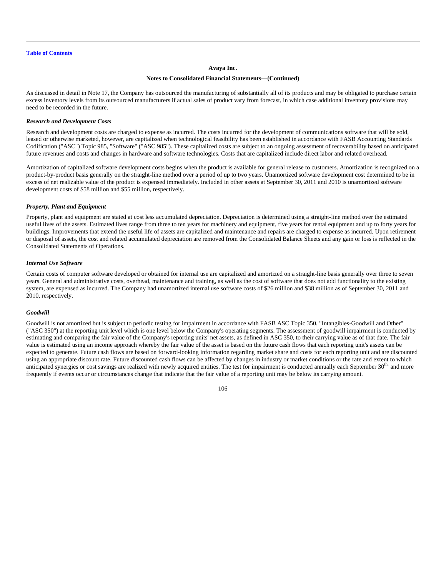# **Notes to Consolidated Financial Statements—(Continued)**

As discussed in detail in Note 17, the Company has outsourced the manufacturing of substantially all of its products and may be obligated to purchase certain excess inventory levels from its outsourced manufacturers if actual sales of product vary from forecast, in which case additional inventory provisions may need to be recorded in the future.

### *Research and Development Costs*

Research and development costs are charged to expense as incurred. The costs incurred for the development of communications software that will be sold, leased or otherwise marketed, however, are capitalized when technological feasibility has been established in accordance with FASB Accounting Standards Codification ("ASC") Topic 985, "Software" ("ASC 985"). These capitalized costs are subject to an ongoing assessment of recoverability based on anticipated future revenues and costs and changes in hardware and software technologies. Costs that are capitalized include direct labor and related overhead.

Amortization of capitalized software development costs begins when the product is available for general release to customers. Amortization is recognized on a product-by-product basis generally on the straight-line method over a period of up to two years. Unamortized software development cost determined to be in excess of net realizable value of the product is expensed immediately. Included in other assets at September 30, 2011 and 2010 is unamortized software development costs of \$58 million and \$55 million, respectively.

#### *Property, Plant and Equipment*

Property, plant and equipment are stated at cost less accumulated depreciation. Depreciation is determined using a straight-line method over the estimated useful lives of the assets. Estimated lives range from three to ten years for machinery and equipment, five years for rental equipment and up to forty years for buildings. Improvements that extend the useful life of assets are capitalized and maintenance and repairs are charged to expense as incurred. Upon retirement or disposal of assets, the cost and related accumulated depreciation are removed from the Consolidated Balance Sheets and any gain or loss is reflected in the Consolidated Statements of Operations.

# *Internal Use Software*

Certain costs of computer software developed or obtained for internal use are capitalized and amortized on a straight-line basis generally over three to seven years. General and administrative costs, overhead, maintenance and training, as well as the cost of software that does not add functionality to the existing system, are expensed as incurred. The Company had unamortized internal use software costs of \$26 million and \$38 million as of September 30, 2011 and 2010, respectively.

### *Goodwill*

Goodwill is not amortized but is subject to periodic testing for impairment in accordance with FASB ASC Topic 350, "Intangibles-Goodwill and Other" ("ASC 350") at the reporting unit level which is one level below the Company's operating segments. The assessment of goodwill impairment is conducted by estimating and comparing the fair value of the Company's reporting units' net assets, as defined in ASC 350, to their carrying value as of that date. The fair value is estimated using an income approach whereby the fair value of the asset is based on the future cash flows that each reporting unit's assets can be expected to generate. Future cash flows are based on forward-looking information regarding market share and costs for each reporting unit and are discounted using an appropriate discount rate. Future discounted cash flows can be affected by changes in industry or market conditions or the rate and extent to which anticipated synergies or cost savings are realized with newly acquired entities. The test for impairment is conducted annually each September 30<sup>th,</sup> and more frequently if events occur or circumstances change that indicate that the fair value of a reporting unit may be below its carrying amount.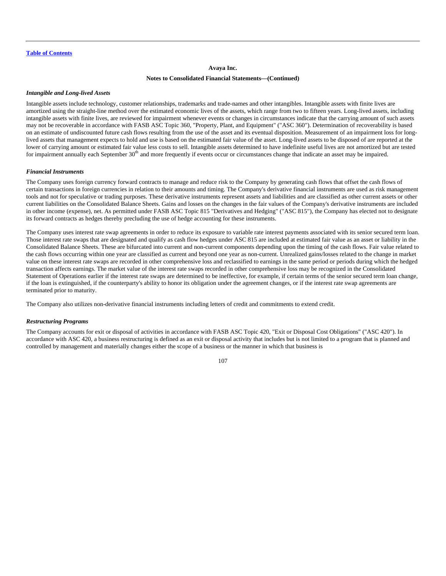# **Avaya Inc.**

### **Notes to Consolidated Financial Statements—(Continued)**

#### *Intangible and Long-lived Assets*

Intangible assets include technology, customer relationships, trademarks and trade-names and other intangibles. Intangible assets with finite lives are amortized using the straight-line method over the estimated economic lives of the assets, which range from two to fifteen years. Long-lived assets, including intangible assets with finite lives, are reviewed for impairment whenever events or changes in circumstances indicate that the carrying amount of such assets may not be recoverable in accordance with FASB ASC Topic 360, "Property, Plant, and Equipment" ("ASC 360"). Determination of recoverability is based on an estimate of undiscounted future cash flows resulting from the use of the asset and its eventual disposition. Measurement of an impairment loss for longlived assets that management expects to hold and use is based on the estimated fair value of the asset. Long-lived assets to be disposed of are reported at the lower of carrying amount or estimated fair value less costs to sell. Intangible assets determined to have indefinite useful lives are not amortized but are tested for impairment annually each September 30<sup>th</sup> and more frequently if events occur or circumstances change that indicate an asset may be impaired.

### *Financial Instruments*

The Company uses foreign currency forward contracts to manage and reduce risk to the Company by generating cash flows that offset the cash flows of certain transactions in foreign currencies in relation to their amounts and timing. The Company's derivative financial instruments are used as risk management tools and not for speculative or trading purposes. These derivative instruments represent assets and liabilities and are classified as other current assets or other current liabilities on the Consolidated Balance Sheets. Gains and losses on the changes in the fair values of the Company's derivative instruments are included in other income (expense), net. As permitted under FASB ASC Topic 815 "Derivatives and Hedging" ("ASC 815"), the Company has elected not to designate its forward contracts as hedges thereby precluding the use of hedge accounting for these instruments.

The Company uses interest rate swap agreements in order to reduce its exposure to variable rate interest payments associated with its senior secured term loan. Those interest rate swaps that are designated and qualify as cash flow hedges under ASC 815 are included at estimated fair value as an asset or liability in the Consolidated Balance Sheets. These are bifurcated into current and non-current components depending upon the timing of the cash flows. Fair value related to the cash flows occurring within one year are classified as current and beyond one year as non-current. Unrealized gains/losses related to the change in market value on these interest rate swaps are recorded in other comprehensive loss and reclassified to earnings in the same period or periods during which the hedged transaction affects earnings. The market value of the interest rate swaps recorded in other comprehensive loss may be recognized in the Consolidated Statement of Operations earlier if the interest rate swaps are determined to be ineffective, for example, if certain terms of the senior secured term loan change, if the loan is extinguished, if the counterparty's ability to honor its obligation under the agreement changes, or if the interest rate swap agreements are terminated prior to maturity.

The Company also utilizes non-derivative financial instruments including letters of credit and commitments to extend credit.

#### *Restructuring Programs*

The Company accounts for exit or disposal of activities in accordance with FASB ASC Topic 420, "Exit or Disposal Cost Obligations" ("ASC 420"). In accordance with ASC 420, a business restructuring is defined as an exit or disposal activity that includes but is not limited to a program that is planned and controlled by management and materially changes either the scope of a business or the manner in which that business is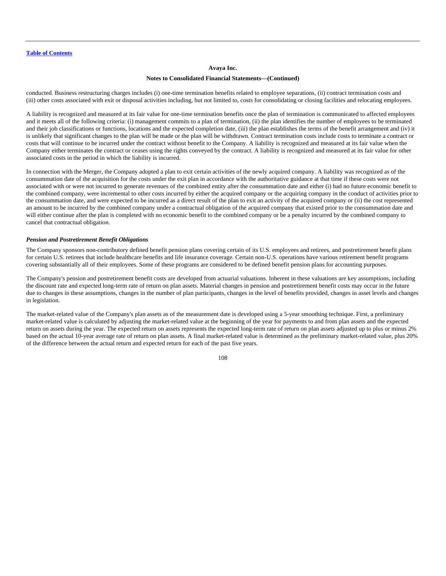# **Avaya Inc.**

### **Notes to Consolidated Financial Statements—(Continued)**

conducted. Business restructuring charges includes (i) one-time termination benefits related to employee separations, (ii) contract termination costs and (iii) other costs associated with exit or disposal activities including, but not limited to, costs for consolidating or closing facilities and relocating employees.

A liability is recognized and measured at its fair value for one-time termination benefits once the plan of termination is communicated to affected employees and it meets all of the following criteria: (i) management commits to a plan of termination, (ii) the plan identifies the number of employees to be terminated and their job classifications or functions, locations and the expected completion date, (iii) the plan establishes the terms of the benefit arrangement and (iv) it is unlikely that significant changes to the plan will be made or the plan will be withdrawn. Contract termination costs include costs to terminate a contract or costs that will continue to be incurred under the contract without benefit to the Company. A liability is recognized and measured at its fair value when the Company either terminates the contract or ceases using the rights conveyed by the contract. A liability is recognized and measured at its fair value for other associated costs in the period in which the liability is incurred.

In connection with the Merger, the Company adopted a plan to exit certain activities of the newly acquired company. A liability was recognized as of the consummation date of the acquisition for the costs under the exit plan in accordance with the authoritative guidance at that time if these costs were not associated with or were not incurred to generate revenues of the combined entity after the consummation date and either (i) had no future economic benefit to the combined company, were incremental to other costs incurred by either the acquired company or the acquiring company in the conduct of activities prior to the consummation date, and were expected to be incurred as a direct result of the plan to exit an activity of the acquired company or (ii) the cost represented an amount to be incurred by the combined company under a contractual obligation of the acquired company that existed prior to the consummation date and will either continue after the plan is completed with no economic benefit to the combined company or be a penalty incurred by the combined company to cancel that contractual obligation.

#### *Pension and Postretirement Benefit Obligations*

The Company sponsors non-contributory defined benefit pension plans covering certain of its U.S. employees and retirees, and postretirement benefit plans for certain U.S. retirees that include healthcare benefits and life insurance coverage. Certain non-U.S. operations have various retirement benefit programs covering substantially all of their employees. Some of these programs are considered to be defined benefit pension plans for accounting purposes.

The Company's pension and postretirement benefit costs are developed from actuarial valuations. Inherent in these valuations are key assumptions, including the discount rate and expected long-term rate of return on plan assets. Material changes in pension and postretirement benefit costs may occur in the future due to changes in these assumptions, changes in the number of plan participants, changes in the level of benefits provided, changes in asset levels and changes in legislation.

The market-related value of the Company's plan assets as of the measurement date is developed using a 5-year smoothing technique. First, a preliminary market-related value is calculated by adjusting the market-related value at the beginning of the year for payments to and from plan assets and the expected return on assets during the year. The expected return on assets represents the expected long-term rate of return on plan assets adjusted up to plus or minus 2% based on the actual 10-year average rate of return on plan assets. A final market-related value is determined as the preliminary market-related value, plus 20% of the difference between the actual return and expected return for each of the past five years.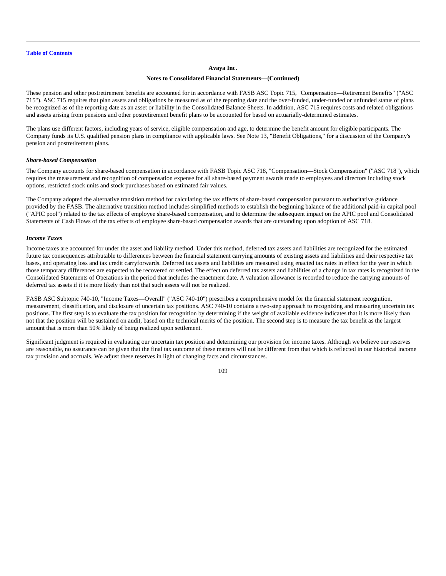### **Notes to Consolidated Financial Statements—(Continued)**

These pension and other postretirement benefits are accounted for in accordance with FASB ASC Topic 715, "Compensation—Retirement Benefits" ("ASC 715"). ASC 715 requires that plan assets and obligations be measured as of the reporting date and the over-funded, under-funded or unfunded status of plans be recognized as of the reporting date as an asset or liability in the Consolidated Balance Sheets. In addition, ASC 715 requires costs and related obligations and assets arising from pensions and other postretirement benefit plans to be accounted for based on actuarially-determined estimates.

The plans use different factors, including years of service, eligible compensation and age, to determine the benefit amount for eligible participants. The Company funds its U.S. qualified pension plans in compliance with applicable laws. See Note 13, "Benefit Obligations," for a discussion of the Company's pension and postretirement plans.

### *Share-based Compensation*

The Company accounts for share-based compensation in accordance with FASB Topic ASC 718, "Compensation—Stock Compensation" ("ASC 718"), which requires the measurement and recognition of compensation expense for all share-based payment awards made to employees and directors including stock options, restricted stock units and stock purchases based on estimated fair values.

The Company adopted the alternative transition method for calculating the tax effects of share-based compensation pursuant to authoritative guidance provided by the FASB. The alternative transition method includes simplified methods to establish the beginning balance of the additional paid-in capital pool ("APIC pool") related to the tax effects of employee share-based compensation, and to determine the subsequent impact on the APIC pool and Consolidated Statements of Cash Flows of the tax effects of employee share-based compensation awards that are outstanding upon adoption of ASC 718.

### *Income Taxes*

Income taxes are accounted for under the asset and liability method. Under this method, deferred tax assets and liabilities are recognized for the estimated future tax consequences attributable to differences between the financial statement carrying amounts of existing assets and liabilities and their respective tax bases, and operating loss and tax credit carryforwards. Deferred tax assets and liabilities are measured using enacted tax rates in effect for the year in which those temporary differences are expected to be recovered or settled. The effect on deferred tax assets and liabilities of a change in tax rates is recognized in the Consolidated Statements of Operations in the period that includes the enactment date. A valuation allowance is recorded to reduce the carrying amounts of deferred tax assets if it is more likely than not that such assets will not be realized.

FASB ASC Subtopic 740-10, "Income Taxes—Overall" ("ASC 740-10") prescribes a comprehensive model for the financial statement recognition, measurement, classification, and disclosure of uncertain tax positions. ASC 740-10 contains a two-step approach to recognizing and measuring uncertain tax positions. The first step is to evaluate the tax position for recognition by determining if the weight of available evidence indicates that it is more likely than not that the position will be sustained on audit, based on the technical merits of the position. The second step is to measure the tax benefit as the largest amount that is more than 50% likely of being realized upon settlement.

Significant judgment is required in evaluating our uncertain tax position and determining our provision for income taxes. Although we believe our reserves are reasonable, no assurance can be given that the final tax outcome of these matters will not be different from that which is reflected in our historical income tax provision and accruals. We adjust these reserves in light of changing facts and circumstances.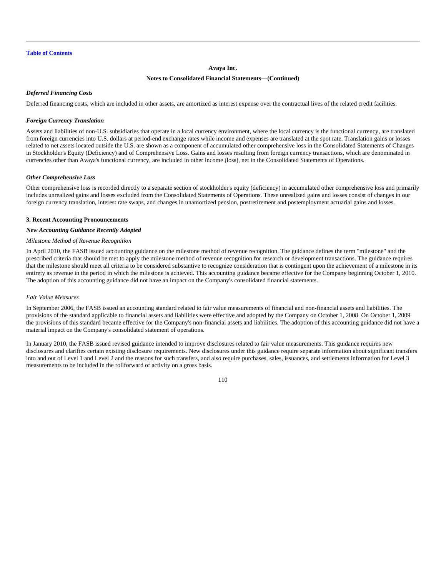### **Notes to Consolidated Financial Statements—(Continued)**

### *Deferred Financing Costs*

Deferred financing costs, which are included in other assets, are amortized as interest expense over the contractual lives of the related credit facilities.

### *Foreign Currency Translation*

Assets and liabilities of non-U.S. subsidiaries that operate in a local currency environment, where the local currency is the functional currency, are translated from foreign currencies into U.S. dollars at period-end exchange rates while income and expenses are translated at the spot rate. Translation gains or losses related to net assets located outside the U.S. are shown as a component of accumulated other comprehensive loss in the Consolidated Statements of Changes in Stockholder's Equity (Deficiency) and of Comprehensive Loss. Gains and losses resulting from foreign currency transactions, which are denominated in currencies other than Avaya's functional currency, are included in other income (loss), net in the Consolidated Statements of Operations.

#### *Other Comprehensive Loss*

Other comprehensive loss is recorded directly to a separate section of stockholder's equity (deficiency) in accumulated other comprehensive loss and primarily includes unrealized gains and losses excluded from the Consolidated Statements of Operations. These unrealized gains and losses consist of changes in our foreign currency translation, interest rate swaps, and changes in unamortized pension, postretirement and postemployment actuarial gains and losses.

#### **3. Recent Accounting Pronouncements**

# *New Accounting Guidance Recently Adopted*

# *Milestone Method of Revenue Recognition*

In April 2010, the FASB issued accounting guidance on the milestone method of revenue recognition. The guidance defines the term "milestone" and the prescribed criteria that should be met to apply the milestone method of revenue recognition for research or development transactions. The guidance requires that the milestone should meet all criteria to be considered substantive to recognize consideration that is contingent upon the achievement of a milestone in its entirety as revenue in the period in which the milestone is achieved. This accounting guidance became effective for the Company beginning October 1, 2010. The adoption of this accounting guidance did not have an impact on the Company's consolidated financial statements.

### *Fair Value Measures*

In September 2006, the FASB issued an accounting standard related to fair value measurements of financial and non-financial assets and liabilities. The provisions of the standard applicable to financial assets and liabilities were effective and adopted by the Company on October 1, 2008. On October 1, 2009 the provisions of this standard became effective for the Company's non-financial assets and liabilities. The adoption of this accounting guidance did not have a material impact on the Company's consolidated statement of operations.

In January 2010, the FASB issued revised guidance intended to improve disclosures related to fair value measurements. This guidance requires new disclosures and clarifies certain existing disclosure requirements. New disclosures under this guidance require separate information about significant transfers into and out of Level 1 and Level 2 and the reasons for such transfers, and also require purchases, sales, issuances, and settlements information for Level 3 measurements to be included in the rollforward of activity on a gross basis.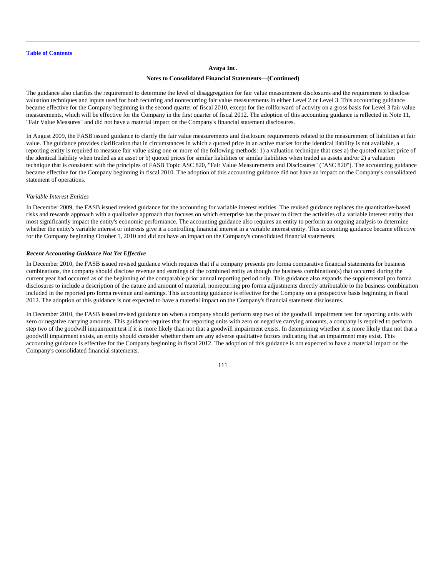### **Notes to Consolidated Financial Statements—(Continued)**

The guidance also clarifies the requirement to determine the level of disaggregation for fair value measurement disclosures and the requirement to disclose valuation techniques and inputs used for both recurring and nonrecurring fair value measurements in either Level 2 or Level 3. This accounting guidance became effective for the Company beginning in the second quarter of fiscal 2010, except for the rollforward of activity on a gross basis for Level 3 fair value measurements, which will be effective for the Company in the first quarter of fiscal 2012. The adoption of this accounting guidance is reflected in Note 11, "Fair Value Measures" and did not have a material impact on the Company's financial statement disclosures.

In August 2009, the FASB issued guidance to clarify the fair value measurements and disclosure requirements related to the measurement of liabilities at fair value. The guidance provides clarification that in circumstances in which a quoted price in an active market for the identical liability is not available, a reporting entity is required to measure fair value using one or more of the following methods: 1) a valuation technique that uses a) the quoted market price of the identical liability when traded as an asset or b) quoted prices for similar liabilities or similar liabilities when traded as assets and/or 2) a valuation technique that is consistent with the principles of FASB Topic ASC 820, "Fair Value Measurements and Disclosures" ("ASC 820"). The accounting guidance became effective for the Company beginning in fiscal 2010. The adoption of this accounting guidance did not have an impact on the Company's consolidated statement of operations.

# *Variable Interest Entities*

In December 2009, the FASB issued revised guidance for the accounting for variable interest entities. The revised guidance replaces the quantitative-based risks and rewards approach with a qualitative approach that focuses on which enterprise has the power to direct the activities of a variable interest entity that most significantly impact the entity's economic performance. The accounting guidance also requires an entity to perform an ongoing analysis to determine whether the entity's variable interest or interests give it a controlling financial interest in a variable interest entity. This accounting guidance became effective for the Company beginning October 1, 2010 and did not have an impact on the Company's consolidated financial statements.

### *Recent Accounting Guidance Not Yet Effective*

In December 2010, the FASB issued revised guidance which requires that if a company presents pro forma comparative financial statements for business combinations, the company should disclose revenue and earnings of the combined entity as though the business combination(s) that occurred during the current year had occurred as of the beginning of the comparable prior annual reporting period only. This guidance also expands the supplemental pro forma disclosures to include a description of the nature and amount of material, nonrecurring pro forma adjustments directly attributable to the business combination included in the reported pro forma revenue and earnings. This accounting guidance is effective for the Company on a prospective basis beginning in fiscal 2012. The adoption of this guidance is not expected to have a material impact on the Company's financial statement disclosures.

In December 2010, the FASB issued revised guidance on when a company should perform step two of the goodwill impairment test for reporting units with zero or negative carrying amounts. This guidance requires that for reporting units with zero or negative carrying amounts, a company is required to perform step two of the goodwill impairment test if it is more likely than not that a goodwill impairment exists. In determining whether it is more likely than not that a goodwill impairment exists, an entity should consider whether there are any adverse qualitative factors indicating that an impairment may exist. This accounting guidance is effective for the Company beginning in fiscal 2012. The adoption of this guidance is not expected to have a material impact on the Company's consolidated financial statements.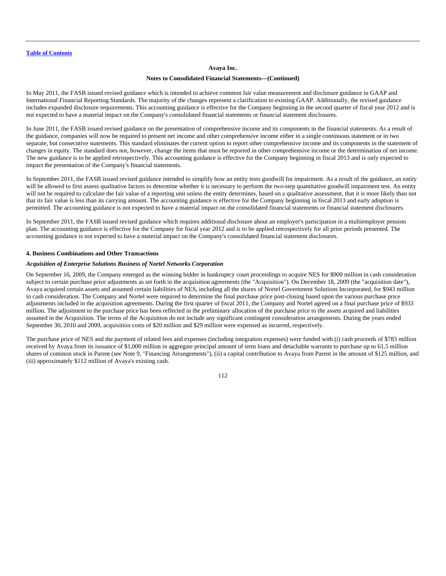# **Avaya Inc.**

# **Notes to Consolidated Financial Statements—(Continued)**

In May 2011, the FASB issued revised guidance which is intended to achieve common fair value measurement and disclosure guidance in GAAP and International Financial Reporting Standards. The majority of the changes represent a clarification to existing GAAP. Additionally, the revised guidance includes expanded disclosure requirements. This accounting guidance is effective for the Company beginning in the second quarter of fiscal year 2012 and is not expected to have a material impact on the Company's consolidated financial statements or financial statement disclosures.

In June 2011, the FASB issued revised guidance on the presentation of comprehensive income and its components in the financial statements. As a result of the guidance, companies will now be required to present net income and other comprehensive income either in a single continuous statement or in two separate, but consecutive statements. This standard eliminates the current option to report other comprehensive income and its components in the statement of changes in equity. The standard does not, however, change the items that must be reported in other comprehensive income or the determination of net income. The new guidance is to be applied retrospectively. This accounting guidance is effective for the Company beginning in fiscal 2013 and is only expected to impact the presentation of the Company's financial statements.

In September 2011, the FASB issued revised guidance intended to simplify how an entity tests goodwill for impairment. As a result of the guidance, an entity will be allowed to first assess qualitative factors to determine whether it is necessary to perform the two-step quantitative goodwill impairment test. An entity will not be required to calculate the fair value of a reporting unit unless the entity determines, based on a qualitative assessment, that it is more likely than not that its fair value is less than its carrying amount. The accounting guidance is effective for the Company beginning in fiscal 2013 and early adoption is permitted. The accounting guidance is not expected to have a material impact on the consolidated financial statements or financial statement disclosures.

In September 2011, the FASB issued revised guidance which requires additional disclosure about an employer's participation in a multiemployer pension plan. The accounting guidance is effective for the Company for fiscal year 2012 and is to be applied retrospectively for all prior periods presented. The accounting guidance is not expected to have a material impact on the Company's consolidated financial statement disclosures.

### **4. Business Combinations and Other Transactions**

### *Acquisition of Enterprise Solutions Business of Nortel Networks Corporation*

On September 16, 2009, the Company emerged as the winning bidder in bankruptcy court proceedings to acquire NES for \$900 million in cash consideration subject to certain purchase price adjustments as set forth in the acquisition agreements (the "Acquisition"). On December 18, 2009 (the "acquisition date"), Avaya acquired certain assets and assumed certain liabilities of NES, including all the shares of Nortel Government Solutions Incorporated, for \$943 million in cash consideration. The Company and Nortel were required to determine the final purchase price post-closing based upon the various purchase price adjustments included in the acquisition agreements. During the first quarter of fiscal 2011, the Company and Nortel agreed on a final purchase price of \$933 million. The adjustment to the purchase price has been reflected in the preliminary allocation of the purchase price to the assets acquired and liabilities assumed in the Acquisition. The terms of the Acquisition do not include any significant contingent consideration arrangements. During the years ended September 30, 2010 and 2009, acquisition costs of \$20 million and \$29 million were expensed as incurred, respectively.

The purchase price of NES and the payment of related fees and expenses (including integration expenses) were funded with (i) cash proceeds of \$783 million received by Avaya from its issuance of \$1,000 million in aggregate principal amount of term loans and detachable warrants to purchase up to 61.5 million shares of common stock in Parent (see Note 9, "Financing Arrangements"), (ii) a capital contribution to Avaya from Parent in the amount of \$125 million, and (iii) approximately \$112 million of Avaya's existing cash.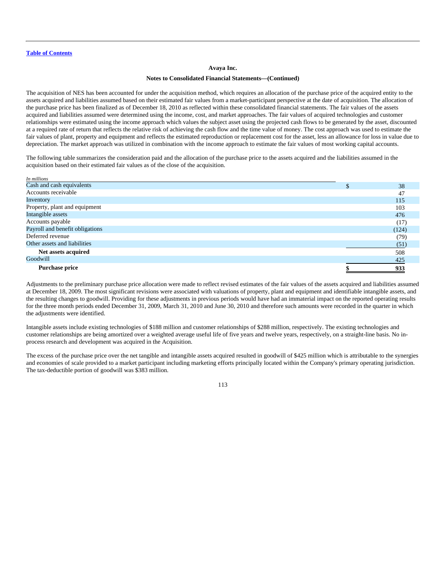# **Avaya Inc.**

# **Notes to Consolidated Financial Statements—(Continued)**

The acquisition of NES has been accounted for under the acquisition method, which requires an allocation of the purchase price of the acquired entity to the assets acquired and liabilities assumed based on their estimated fair values from a market-participant perspective at the date of acquisition. The allocation of the purchase price has been finalized as of December 18, 2010 as reflected within these consolidated financial statements. The fair values of the assets acquired and liabilities assumed were determined using the income, cost, and market approaches. The fair values of acquired technologies and customer relationships were estimated using the income approach which values the subject asset using the projected cash flows to be generated by the asset, discounted at a required rate of return that reflects the relative risk of achieving the cash flow and the time value of money. The cost approach was used to estimate the fair values of plant, property and equipment and reflects the estimated reproduction or replacement cost for the asset, less an allowance for loss in value due to depreciation. The market approach was utilized in combination with the income approach to estimate the fair values of most working capital accounts.

The following table summarizes the consideration paid and the allocation of the purchase price to the assets acquired and the liabilities assumed in the acquisition based on their estimated fair values as of the close of the acquisition.

| In millions                     |       |
|---------------------------------|-------|
| Cash and cash equivalents       | 38    |
| Accounts receivable             | 47    |
| Inventory                       | 115   |
| Property, plant and equipment   | 103   |
| Intangible assets               | 476   |
| Accounts payable                | (17)  |
| Payroll and benefit obligations | (124) |
| Deferred revenue                | (79)  |
| Other assets and liabilities    | (51)  |
| Net assets acquired             | 508   |
| Goodwill                        | 425   |
| <b>Purchase price</b>           | 933   |

Adjustments to the preliminary purchase price allocation were made to reflect revised estimates of the fair values of the assets acquired and liabilities assumed at December 18, 2009. The most significant revisions were associated with valuations of property, plant and equipment and identifiable intangible assets, and the resulting changes to goodwill. Providing for these adjustments in previous periods would have had an immaterial impact on the reported operating results for the three month periods ended December 31, 2009, March 31, 2010 and June 30, 2010 and therefore such amounts were recorded in the quarter in which the adjustments were identified.

Intangible assets include existing technologies of \$188 million and customer relationships of \$288 million, respectively. The existing technologies and customer relationships are being amortized over a weighted average useful life of five years and twelve years, respectively, on a straight-line basis. No inprocess research and development was acquired in the Acquisition.

The excess of the purchase price over the net tangible and intangible assets acquired resulted in goodwill of \$425 million which is attributable to the synergies and economies of scale provided to a market participant including marketing efforts principally located within the Company's primary operating jurisdiction. The tax-deductible portion of goodwill was \$383 million.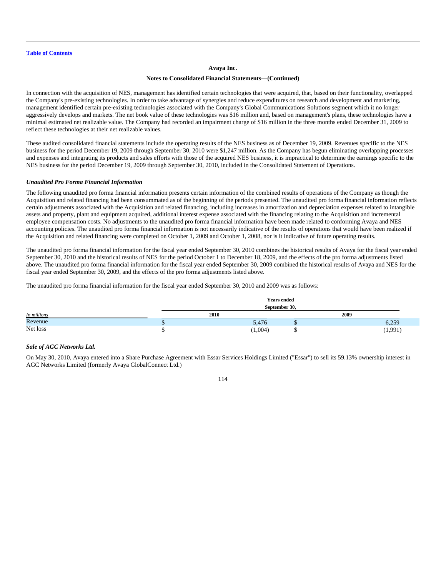### **Notes to Consolidated Financial Statements—(Continued)**

In connection with the acquisition of NES, management has identified certain technologies that were acquired, that, based on their functionality, overlapped the Company's pre-existing technologies. In order to take advantage of synergies and reduce expenditures on research and development and marketing, management identified certain pre-existing technologies associated with the Company's Global Communications Solutions segment which it no longer aggressively develops and markets. The net book value of these technologies was \$16 million and, based on management's plans, these technologies have a minimal estimated net realizable value. The Company had recorded an impairment charge of \$16 million in the three months ended December 31, 2009 to reflect these technologies at their net realizable values.

These audited consolidated financial statements include the operating results of the NES business as of December 19, 2009. Revenues specific to the NES business for the period December 19, 2009 through September 30, 2010 were \$1,247 million. As the Company has begun eliminating overlapping processes and expenses and integrating its products and sales efforts with those of the acquired NES business, it is impractical to determine the earnings specific to the NES business for the period December 19, 2009 through September 30, 2010, included in the Consolidated Statement of Operations.

#### *Unaudited Pro Forma Financial Information*

The following unaudited pro forma financial information presents certain information of the combined results of operations of the Company as though the Acquisition and related financing had been consummated as of the beginning of the periods presented. The unaudited pro forma financial information reflects certain adjustments associated with the Acquisition and related financing, including increases in amortization and depreciation expenses related to intangible assets and property, plant and equipment acquired, additional interest expense associated with the financing relating to the Acquisition and incremental employee compensation costs. No adjustments to the unaudited pro forma financial information have been made related to conforming Avaya and NES accounting policies. The unaudited pro forma financial information is not necessarily indicative of the results of operations that would have been realized if the Acquisition and related financing were completed on October 1, 2009 and October 1, 2008, nor is it indicative of future operating results.

The unaudited pro forma financial information for the fiscal year ended September 30, 2010 combines the historical results of Avaya for the fiscal year ended September 30, 2010 and the historical results of NES for the period October 1 to December 18, 2009, and the effects of the pro forma adjustments listed above. The unaudited pro forma financial information for the fiscal year ended September 30, 2009 combined the historical results of Avaya and NES for the fiscal year ended September 30, 2009, and the effects of the pro forma adjustments listed above.

The unaudited pro forma financial information for the fiscal year ended September 30, 2010 and 2009 was as follows:

|             | <b>Years ended</b> |   |         |  |  |
|-------------|--------------------|---|---------|--|--|
|             | September 30,      |   |         |  |  |
| In millions | 2010               |   | 2009    |  |  |
| Revenue     | 5,476              | w | 6,259   |  |  |
| Net loss    | (1,004)            |   | (1,991) |  |  |

### *Sale of AGC Networks Ltd.*

On May 30, 2010, Avaya entered into a Share Purchase Agreement with Essar Services Holdings Limited ("Essar") to sell its 59.13% ownership interest in AGC Networks Limited (formerly Avaya GlobalConnect Ltd.)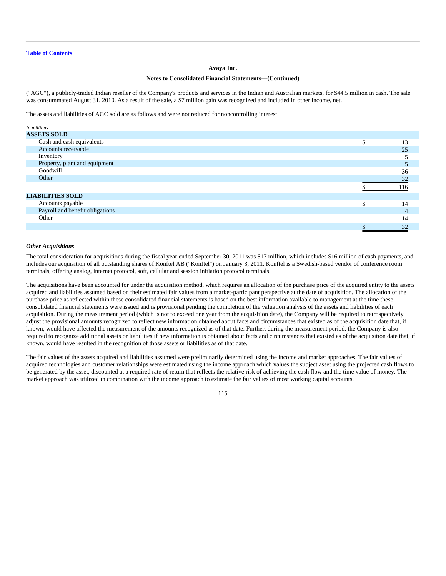# **Notes to Consolidated Financial Statements—(Continued)**

("AGC"), a publicly-traded Indian reseller of the Company's products and services in the Indian and Australian markets, for \$44.5 million in cash. The sale was consummated August 31, 2010. As a result of the sale, a \$7 million gain was recognized and included in other income, net.

The assets and liabilities of AGC sold are as follows and were not reduced for noncontrolling interest:

| In millions                     |     |
|---------------------------------|-----|
| <b>ASSETS SOLD</b>              |     |
| Cash and cash equivalents       | 13  |
| Accounts receivable             | 25  |
| Inventory                       |     |
| Property, plant and equipment   |     |
| Goodwill                        | 36  |
| Other                           | 32  |
|                                 | 116 |
| <b>LIABILITIES SOLD</b>         |     |
| Accounts payable                | 14  |
| Payroll and benefit obligations |     |
| Other                           | 14  |
|                                 | 32  |

# *Other Acquisitions*

The total consideration for acquisitions during the fiscal year ended September 30, 2011 was \$17 million, which includes \$16 million of cash payments, and includes our acquisition of all outstanding shares of Konftel AB ("Konftel") on January 3, 2011. Konftel is a Swedish-based vendor of conference room terminals, offering analog, internet protocol, soft, cellular and session initiation protocol terminals.

The acquisitions have been accounted for under the acquisition method, which requires an allocation of the purchase price of the acquired entity to the assets acquired and liabilities assumed based on their estimated fair values from a market-participant perspective at the date of acquisition. The allocation of the purchase price as reflected within these consolidated financial statements is based on the best information available to management at the time these consolidated financial statements were issued and is provisional pending the completion of the valuation analysis of the assets and liabilities of each acquisition. During the measurement period (which is not to exceed one year from the acquisition date), the Company will be required to retrospectively adjust the provisional amounts recognized to reflect new information obtained about facts and circumstances that existed as of the acquisition date that, if known, would have affected the measurement of the amounts recognized as of that date. Further, during the measurement period, the Company is also required to recognize additional assets or liabilities if new information is obtained about facts and circumstances that existed as of the acquisition date that, if known, would have resulted in the recognition of those assets or liabilities as of that date.

The fair values of the assets acquired and liabilities assumed were preliminarily determined using the income and market approaches. The fair values of acquired technologies and customer relationships were estimated using the income approach which values the subject asset using the projected cash flows to be generated by the asset, discounted at a required rate of return that reflects the relative risk of achieving the cash flow and the time value of money. The market approach was utilized in combination with the income approach to estimate the fair values of most working capital accounts.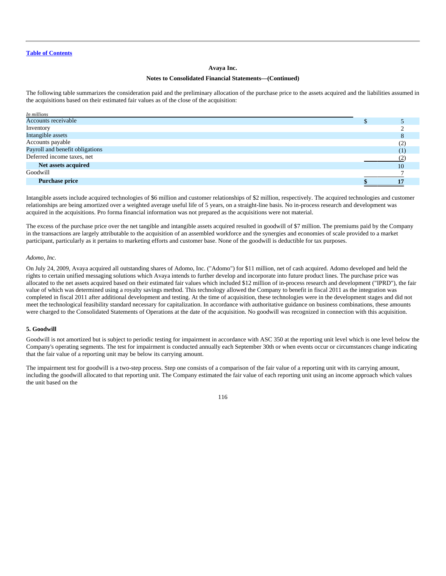# **Notes to Consolidated Financial Statements—(Continued)**

The following table summarizes the consideration paid and the preliminary allocation of the purchase price to the assets acquired and the liabilities assumed in the acquisitions based on their estimated fair values as of the close of the acquisition:

| In millions                     |     |
|---------------------------------|-----|
| Accounts receivable             |     |
| Inventory                       |     |
| Intangible assets               |     |
| Accounts payable                | (2) |
| Payroll and benefit obligations | (1) |
| Deferred income taxes, net      |     |
| Net assets acquired             | 10  |
| Goodwill                        |     |
| <b>Purchase price</b>           |     |

Intangible assets include acquired technologies of \$6 million and customer relationships of \$2 million, respectively. The acquired technologies and customer relationships are being amortized over a weighted average useful life of 5 years, on a straight-line basis. No in-process research and development was acquired in the acquisitions. Pro forma financial information was not prepared as the acquisitions were not material.

The excess of the purchase price over the net tangible and intangible assets acquired resulted in goodwill of \$7 million. The premiums paid by the Company in the transactions are largely attributable to the acquisition of an assembled workforce and the synergies and economies of scale provided to a market participant, particularly as it pertains to marketing efforts and customer base. None of the goodwill is deductible for tax purposes.

### *Adomo, Inc.*

On July 24, 2009, Avaya acquired all outstanding shares of Adomo, Inc. ("Adomo") for \$11 million, net of cash acquired. Adomo developed and held the rights to certain unified messaging solutions which Avaya intends to further develop and incorporate into future product lines. The purchase price was allocated to the net assets acquired based on their estimated fair values which included \$12 million of in-process research and development ("IPRD"), the fair value of which was determined using a royalty savings method. This technology allowed the Company to benefit in fiscal 2011 as the integration was completed in fiscal 2011 after additional development and testing. At the time of acquisition, these technologies were in the development stages and did not meet the technological feasibility standard necessary for capitalization. In accordance with authoritative guidance on business combinations, these amounts were charged to the Consolidated Statements of Operations at the date of the acquisition. No goodwill was recognized in connection with this acquisition.

# **5. Goodwill**

Goodwill is not amortized but is subject to periodic testing for impairment in accordance with ASC 350 at the reporting unit level which is one level below the Company's operating segments. The test for impairment is conducted annually each September 30th or when events occur or circumstances change indicating that the fair value of a reporting unit may be below its carrying amount.

The impairment test for goodwill is a two-step process. Step one consists of a comparison of the fair value of a reporting unit with its carrying amount, including the goodwill allocated to that reporting unit. The Company estimated the fair value of each reporting unit using an income approach which values the unit based on the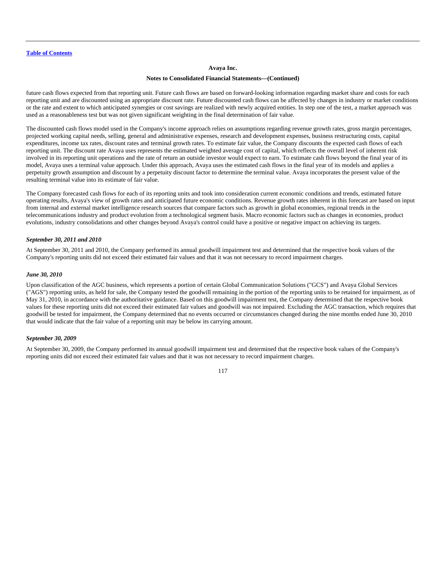# **Avaya Inc.**

# **Notes to Consolidated Financial Statements—(Continued)**

future cash flows expected from that reporting unit. Future cash flows are based on forward-looking information regarding market share and costs for each reporting unit and are discounted using an appropriate discount rate. Future discounted cash flows can be affected by changes in industry or market conditions or the rate and extent to which anticipated synergies or cost savings are realized with newly acquired entities. In step one of the test, a market approach was used as a reasonableness test but was not given significant weighting in the final determination of fair value.

The discounted cash flows model used in the Company's income approach relies on assumptions regarding revenue growth rates, gross margin percentages, projected working capital needs, selling, general and administrative expenses, research and development expenses, business restructuring costs, capital expenditures, income tax rates, discount rates and terminal growth rates. To estimate fair value, the Company discounts the expected cash flows of each reporting unit. The discount rate Avaya uses represents the estimated weighted average cost of capital, which reflects the overall level of inherent risk involved in its reporting unit operations and the rate of return an outside investor would expect to earn. To estimate cash flows beyond the final year of its model, Avaya uses a terminal value approach. Under this approach, Avaya uses the estimated cash flows in the final year of its models and applies a perpetuity growth assumption and discount by a perpetuity discount factor to determine the terminal value. Avaya incorporates the present value of the resulting terminal value into its estimate of fair value.

The Company forecasted cash flows for each of its reporting units and took into consideration current economic conditions and trends, estimated future operating results, Avaya's view of growth rates and anticipated future economic conditions. Revenue growth rates inherent in this forecast are based on input from internal and external market intelligence research sources that compare factors such as growth in global economies, regional trends in the telecommunications industry and product evolution from a technological segment basis. Macro economic factors such as changes in economies, product evolutions, industry consolidations and other changes beyond Avaya's control could have a positive or negative impact on achieving its targets.

### *September 30, 2011 and 2010*

At September 30, 2011 and 2010, the Company performed its annual goodwill impairment test and determined that the respective book values of the Company's reporting units did not exceed their estimated fair values and that it was not necessary to record impairment charges.

### *June 30, 2010*

Upon classification of the AGC business, which represents a portion of certain Global Communication Solutions ("GCS") and Avaya Global Services ("AGS") reporting units, as held for sale, the Company tested the goodwill remaining in the portion of the reporting units to be retained for impairment, as of May 31, 2010, in accordance with the authoritative guidance. Based on this goodwill impairment test, the Company determined that the respective book values for these reporting units did not exceed their estimated fair values and goodwill was not impaired. Excluding the AGC transaction, which requires that goodwill be tested for impairment, the Company determined that no events occurred or circumstances changed during the nine months ended June 30, 2010 that would indicate that the fair value of a reporting unit may be below its carrying amount.

#### *September 30, 2009*

At September 30, 2009, the Company performed its annual goodwill impairment test and determined that the respective book values of the Company's reporting units did not exceed their estimated fair values and that it was not necessary to record impairment charges.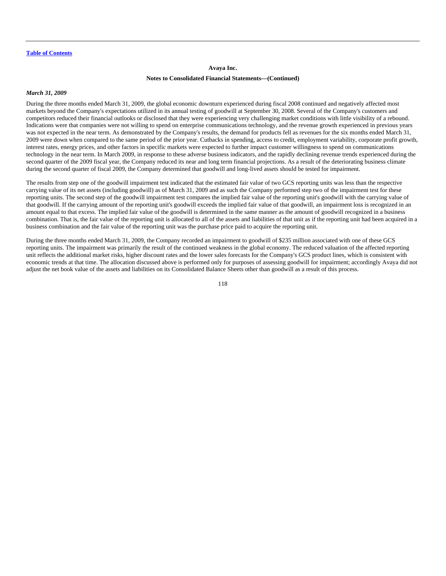### **Notes to Consolidated Financial Statements—(Continued)**

# *March 31, 2009*

During the three months ended March 31, 2009, the global economic downturn experienced during fiscal 2008 continued and negatively affected most markets beyond the Company's expectations utilized in its annual testing of goodwill at September 30, 2008. Several of the Company's customers and competitors reduced their financial outlooks or disclosed that they were experiencing very challenging market conditions with little visibility of a rebound. Indications were that companies were not willing to spend on enterprise communications technology, and the revenue growth experienced in previous years was not expected in the near term. As demonstrated by the Company's results, the demand for products fell as revenues for the six months ended March 31, 2009 were down when compared to the same period of the prior year. Cutbacks in spending, access to credit, employment variability, corporate profit growth, interest rates, energy prices, and other factors in specific markets were expected to further impact customer willingness to spend on communications technology in the near term. In March 2009, in response to these adverse business indicators, and the rapidly declining revenue trends experienced during the second quarter of the 2009 fiscal year, the Company reduced its near and long term financial projections. As a result of the deteriorating business climate during the second quarter of fiscal 2009, the Company determined that goodwill and long-lived assets should be tested for impairment.

The results from step one of the goodwill impairment test indicated that the estimated fair value of two GCS reporting units was less than the respective carrying value of its net assets (including goodwill) as of March 31, 2009 and as such the Company performed step two of the impairment test for these reporting units. The second step of the goodwill impairment test compares the implied fair value of the reporting unit's goodwill with the carrying value of that goodwill. If the carrying amount of the reporting unit's goodwill exceeds the implied fair value of that goodwill, an impairment loss is recognized in an amount equal to that excess. The implied fair value of the goodwill is determined in the same manner as the amount of goodwill recognized in a business combination. That is, the fair value of the reporting unit is allocated to all of the assets and liabilities of that unit as if the reporting unit had been acquired in a business combination and the fair value of the reporting unit was the purchase price paid to acquire the reporting unit.

During the three months ended March 31, 2009, the Company recorded an impairment to goodwill of \$235 million associated with one of these GCS reporting units. The impairment was primarily the result of the continued weakness in the global economy. The reduced valuation of the affected reporting unit reflects the additional market risks, higher discount rates and the lower sales forecasts for the Company's GCS product lines, which is consistent with economic trends at that time. The allocation discussed above is performed only for purposes of assessing goodwill for impairment; accordingly Avaya did not adjust the net book value of the assets and liabilities on its Consolidated Balance Sheets other than goodwill as a result of this process.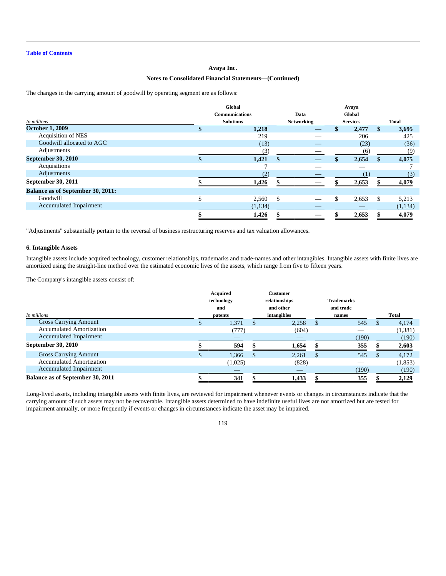# **Notes to Consolidated Financial Statements—(Continued)**

The changes in the carrying amount of goodwill by operating segment are as follows:

|                                          |   | Global                |                   | Avaya           |              |
|------------------------------------------|---|-----------------------|-------------------|-----------------|--------------|
|                                          |   | <b>Communications</b> | Data              | Global          |              |
| In millions                              |   | <b>Solutions</b>      | <b>Networking</b> | <b>Services</b> | <b>Total</b> |
| <b>October 1, 2009</b>                   |   | 1,218                 |                   | 2,477           | \$<br>3,695  |
| <b>Acquisition of NES</b>                |   | 219                   |                   | 206             | 425          |
| Goodwill allocated to AGC                |   | (13)                  |                   | (23)            | (36)         |
| Adjustments                              |   | (3)                   |                   | (6)             | (9)          |
| <b>September 30, 2010</b>                |   | 1,421                 | \$                | 2,654           | \$<br>4,075  |
| Acquisitions                             |   |                       |                   |                 |              |
| Adjustments                              |   | (2)                   |                   | (1)             | (3)          |
| September 30, 2011                       |   | 1,426                 |                   | 2,653           | 4,079        |
| <b>Balance as of September 30, 2011:</b> |   |                       |                   |                 |              |
| Goodwill                                 | Φ | 2,560                 | \$                | \$<br>2,653     | \$<br>5,213  |
| <b>Accumulated Impairment</b>            |   | (1,134)               |                   |                 | (1, 134)     |
|                                          |   | 1,426                 |                   | 2,653           | 4,079        |

"Adjustments" substantially pertain to the reversal of business restructuring reserves and tax valuation allowances.

# **6. Intangible Assets**

Intangible assets include acquired technology, customer relationships, trademarks and trade-names and other intangibles. Intangible assets with finite lives are amortized using the straight-line method over the estimated economic lives of the assets, which range from five to fifteen years.

The Company's intangible assets consist of:

|                                  |     | <b>Acquired</b> |    | <b>Customer</b> |    |                   |              |
|----------------------------------|-----|-----------------|----|-----------------|----|-------------------|--------------|
|                                  |     | technology      |    | relationships   |    | <b>Trademarks</b> |              |
|                                  |     | and             |    | and other       |    | and trade         |              |
| In millions                      |     | patents         |    | intangibles     |    | names             | <b>Total</b> |
| <b>Gross Carrying Amount</b>     | ۰D. | 1,371           | -S | 2,258           | -S | 545               | 4,174        |
| <b>Accumulated Amortization</b>  |     | (777)           |    | (604)           |    |                   | (1,381)      |
| <b>Accumulated Impairment</b>    |     |                 |    |                 |    | (190)             | (190)        |
| September 30, 2010               |     | 594             |    | 1,654           |    | 355               | 2,603        |
| <b>Gross Carrying Amount</b>     |     | 1.366           | -S | 2,261           | S  | 545               | 4,172        |
| <b>Accumulated Amortization</b>  |     | (1,025)         |    | (828)           |    |                   | (1, 853)     |
| <b>Accumulated Impairment</b>    |     |                 |    |                 |    | (190)             | (190)        |
| Balance as of September 30, 2011 |     | 341             |    | 1,433           |    | 355               | 2,129        |

Long-lived assets, including intangible assets with finite lives, are reviewed for impairment whenever events or changes in circumstances indicate that the carrying amount of such assets may not be recoverable. Intangible assets determined to have indefinite useful lives are not amortized but are tested for impairment annually, or more frequently if events or changes in circumstances indicate the asset may be impaired.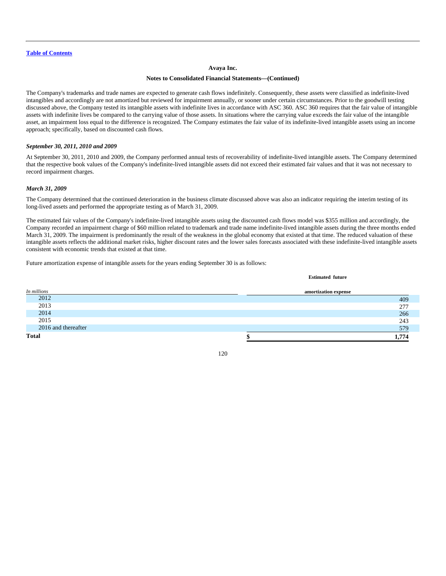### **Notes to Consolidated Financial Statements—(Continued)**

The Company's trademarks and trade names are expected to generate cash flows indefinitely. Consequently, these assets were classified as indefinite-lived intangibles and accordingly are not amortized but reviewed for impairment annually, or sooner under certain circumstances. Prior to the goodwill testing discussed above, the Company tested its intangible assets with indefinite lives in accordance with ASC 360. ASC 360 requires that the fair value of intangible assets with indefinite lives be compared to the carrying value of those assets. In situations where the carrying value exceeds the fair value of the intangible asset, an impairment loss equal to the difference is recognized. The Company estimates the fair value of its indefinite-lived intangible assets using an income approach; specifically, based on discounted cash flows.

# *September 30, 2011, 2010 and 2009*

At September 30, 2011, 2010 and 2009, the Company performed annual tests of recoverability of indefinite-lived intangible assets. The Company determined that the respective book values of the Company's indefinite-lived intangible assets did not exceed their estimated fair values and that it was not necessary to record impairment charges.

# *March 31, 2009*

The Company determined that the continued deterioration in the business climate discussed above was also an indicator requiring the interim testing of its long-lived assets and performed the appropriate testing as of March 31, 2009.

The estimated fair values of the Company's indefinite-lived intangible assets using the discounted cash flows model was \$355 million and accordingly, the Company recorded an impairment charge of \$60 million related to trademark and trade name indefinite-lived intangible assets during the three months ended March 31, 2009. The impairment is predominantly the result of the weakness in the global economy that existed at that time. The reduced valuation of these intangible assets reflects the additional market risks, higher discount rates and the lower sales forecasts associated with these indefinite-lived intangible assets consistent with economic trends that existed at that time.

Future amortization expense of intangible assets for the years ending September 30 is as follows:

#### **Estimated future**

| In millions         | amortization expense |      |
|---------------------|----------------------|------|
| 2012                |                      | 409  |
| 2013                |                      | 277  |
| 2014                |                      | 266  |
| 2015                |                      | 243  |
| 2016 and thereafter |                      | 579  |
| <b>Total</b>        | ١D                   | .774 |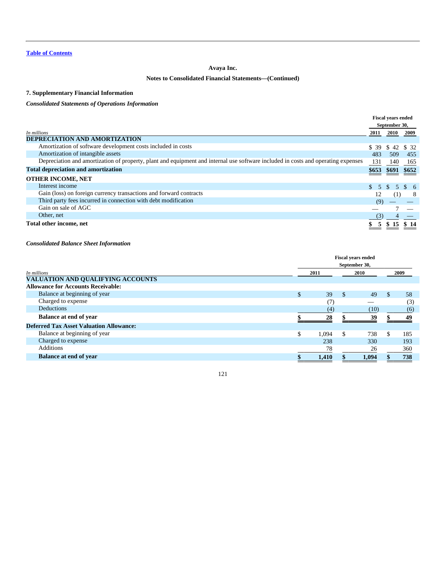# **Notes to Consolidated Financial Statements—(Continued)**

# **7. Supplementary Financial Information**

*Consolidated Statements of Operations Information*

|                                                                                                                                   |       | <b>Fiscal vears ended</b> |                 |
|-----------------------------------------------------------------------------------------------------------------------------------|-------|---------------------------|-----------------|
|                                                                                                                                   |       | September 30,             |                 |
| In millions                                                                                                                       | 2011  | <b>2010</b>               | 2009            |
| <b>DEPRECIATION AND AMORTIZATION</b>                                                                                              |       |                           |                 |
| Amortization of software development costs included in costs                                                                      |       | $$39 \$42$                | \$ 32           |
| Amortization of intangible assets                                                                                                 | 483   | 509                       | 455             |
| Depreciation and amortization of property, plant and equipment and internal use software included in costs and operating expenses | 131   | 140                       | 165             |
| <b>Total depreciation and amortization</b>                                                                                        | \$653 | \$691                     | \$652           |
| <b>OTHER INCOME, NET</b>                                                                                                          |       |                           |                 |
| Interest income                                                                                                                   |       | $\text{\$}$ 5 \$ 5        | $\mathcal{S}$ 6 |
| Gain (loss) on foreign currency transactions and forward contracts                                                                | 12    | (1)                       | - 8             |
| Third party fees incurred in connection with debt modification                                                                    | (9)   |                           |                 |
| Gain on sale of AGC                                                                                                               |       |                           |                 |
| Other, net                                                                                                                        | (3)   |                           |                 |
| Total other income, net                                                                                                           |       |                           |                 |

# *Consolidated Balance Sheet Information*

|                                                | <b>Fiscal years ended</b><br>September 30, |       |    |       |          |      |  |
|------------------------------------------------|--------------------------------------------|-------|----|-------|----------|------|--|
| In millions                                    |                                            | 2011  |    | 2010  |          | 2009 |  |
| <b>VALUATION AND QUALIFYING ACCOUNTS</b>       |                                            |       |    |       |          |      |  |
| <b>Allowance for Accounts Receivable:</b>      |                                            |       |    |       |          |      |  |
| Balance at beginning of year                   | \$                                         | 39    | \$ | 49    | <b>S</b> | 58   |  |
| Charged to expense                             |                                            | (7)   |    |       |          | (3)  |  |
| Deductions                                     |                                            | (4)   |    | (10)  |          | (6)  |  |
| Balance at end of year                         |                                            | 28    |    | 39    |          | 49   |  |
| <b>Deferred Tax Asset Valuation Allowance:</b> |                                            |       |    |       |          |      |  |
| Balance at beginning of year                   | \$                                         | 1.094 | \$ | 738   | £.       | 185  |  |
| Charged to expense                             |                                            | 238   |    | 330   |          | 193  |  |
| <b>Additions</b>                               |                                            | 78    |    | 26    |          | 360  |  |
| <b>Balance at end of year</b>                  |                                            | 1,410 |    | 1,094 |          | 738  |  |

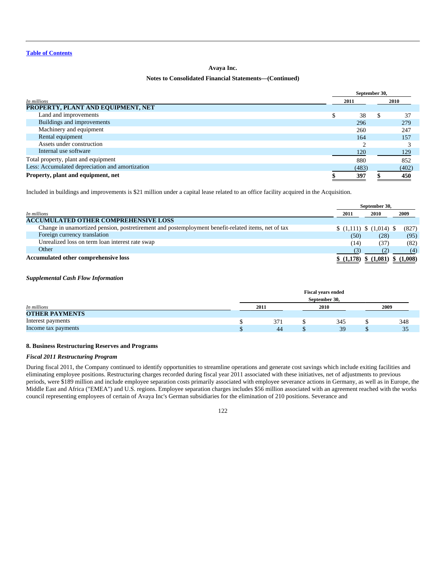# **Avaya Inc.**

### **Notes to Consolidated Financial Statements—(Continued)**

|                                                 | September 30. |       |     |             |
|-------------------------------------------------|---------------|-------|-----|-------------|
| In millions                                     | 2011          |       |     | <b>2010</b> |
| PROPERTY, PLANT AND EQUIPMENT, NET              |               |       |     |             |
| Land and improvements                           |               | 38    | \$. | 37          |
| Buildings and improvements                      |               | 296   |     | 279         |
| Machinery and equipment                         |               | 260   |     | 247         |
| Rental equipment                                |               | 164   |     | 157         |
| Assets under construction                       |               | ◠     |     |             |
| Internal use software                           |               | 120   |     | 129         |
| Total property, plant and equipment             |               | 880   |     | 852         |
| Less: Accumulated depreciation and amortization |               | (483) |     | (402)       |
| Property, plant and equipment, net              |               | 397   |     | 450         |

Included in buildings and improvements is \$21 million under a capital lease related to an office facility acquired in the Acquisition.

|                                                                                                    | September 30, |                                  |       |  |
|----------------------------------------------------------------------------------------------------|---------------|----------------------------------|-------|--|
| In millions                                                                                        | 2011          | 2010                             | 2009  |  |
| <b>ACCUMULATED OTHER COMPREHENSIVE LOSS</b>                                                        |               |                                  |       |  |
| Change in unamortized pension, postretirement and postemployment benefit-related items, net of tax |               | \$(1,111) \$(1,014) \$           | (827) |  |
| Foreign currency translation                                                                       | (50)          | (28)                             | (95)  |  |
| Unrealized loss on term loan interest rate swap                                                    | (14)          | (37)                             | (82)  |  |
| Other                                                                                              |               | (2)                              | (4)   |  |
| <b>Accumulated other comprehensive loss</b>                                                        |               | $$(1,178) \$ (1,081) \$ (1,008)$ |       |  |

### *Supplemental Cash Flow Information*

|                       | <b>Fiscal years ended</b> |              |  |     |  |      |  |  |
|-----------------------|---------------------------|--------------|--|-----|--|------|--|--|
|                       | September 30,             |              |  |     |  |      |  |  |
| In millions           |                           | 2011<br>2010 |  |     |  | 2009 |  |  |
| <b>OTHER PAYMENTS</b> |                           |              |  |     |  |      |  |  |
| Interest payments     |                           | 371          |  | 345 |  | 348  |  |  |
| Income tax payments   |                           | 44           |  | 39  |  | 35   |  |  |

# **8. Business Restructuring Reserves and Programs**

### *Fiscal 2011 Restructuring Program*

During fiscal 2011, the Company continued to identify opportunities to streamline operations and generate cost savings which include exiting facilities and eliminating employee positions. Restructuring charges recorded during fiscal year 2011 associated with these initiatives, net of adjustments to previous periods, were \$189 million and include employee separation costs primarily associated with employee severance actions in Germany, as well as in Europe, the Middle East and Africa ("EMEA") and U.S. regions. Employee separation charges includes \$56 million associated with an agreement reached with the works council representing employees of certain of Avaya Inc's German subsidiaries for the elimination of 210 positions. Severance and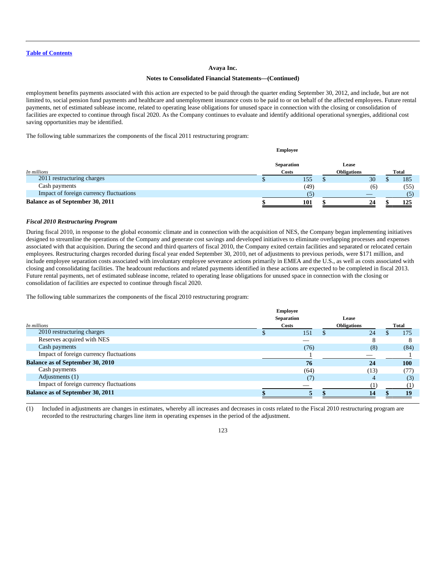# **Notes to Consolidated Financial Statements—(Continued)**

employment benefits payments associated with this action are expected to be paid through the quarter ending September 30, 2012, and include, but are not limited to, social pension fund payments and healthcare and unemployment insurance costs to be paid to or on behalf of the affected employees. Future rental payments, net of estimated sublease income, related to operating lease obligations for unused space in connection with the closing or consolidation of facilities are expected to continue through fiscal 2020. As the Company continues to evaluate and identify additional operational synergies, additional cost saving opportunities may be identified.

The following table summarizes the components of the fiscal 2011 restructuring program:

|                                         | Employee          |      |                    |       |
|-----------------------------------------|-------------------|------|--------------------|-------|
|                                         | <b>Separation</b> |      | Lease              |       |
| In millions                             | <b>Costs</b>      |      | <b>Obligations</b> | Total |
| 2011 restructuring charges              |                   | 155  | 30                 | 185   |
| Cash payments                           |                   | (49) | (6)                | (55)  |
| Impact of foreign currency fluctuations |                   |      |                    |       |
| Balance as of September 30, 2011        |                   | 101  | 24                 | 125   |

**Employee**

#### *Fiscal 2010 Restructuring Program*

During fiscal 2010, in response to the global economic climate and in connection with the acquisition of NES, the Company began implementing initiatives designed to streamline the operations of the Company and generate cost savings and developed initiatives to eliminate overlapping processes and expenses associated with that acquisition. During the second and third quarters of fiscal 2010, the Company exited certain facilities and separated or relocated certain employees. Restructuring charges recorded during fiscal year ended September 30, 2010, net of adjustments to previous periods, were \$171 million, and include employee separation costs associated with involuntary employee severance actions primarily in EMEA and the U.S., as well as costs associated with closing and consolidating facilities. The headcount reductions and related payments identified in these actions are expected to be completed in fiscal 2013. Future rental payments, net of estimated sublease income, related to operating lease obligations for unused space in connection with the closing or consolidation of facilities are expected to continue through fiscal 2020.

The following table summarizes the components of the fiscal 2010 restructuring program:

|                                         | <b>Employee</b>   |                    |            |
|-----------------------------------------|-------------------|--------------------|------------|
|                                         | <b>Separation</b> | Lease              |            |
| In millions                             | <b>Costs</b>      | <b>Obligations</b> | Total      |
| 2010 restructuring charges              | 151               | 24                 | 175        |
| Reserves acquired with NES              | --                | 8                  |            |
| Cash payments                           | (76)              | (8)                | (84)       |
| Impact of foreign currency fluctuations |                   |                    |            |
| <b>Balance as of September 30, 2010</b> | 76                | 24                 | <b>100</b> |
| Cash payments                           | (64)              | (13)               | (77)       |
| Adjustments $(1)$                       | (7)               |                    | (3)        |
| Impact of foreign currency fluctuations |                   |                    |            |
| <b>Balance as of September 30, 2011</b> |                   | 14                 | 10         |

(1) Included in adjustments are changes in estimates, whereby all increases and decreases in costs related to the Fiscal 2010 restructuring program are recorded to the restructuring charges line item in operating expenses in the period of the adjustment.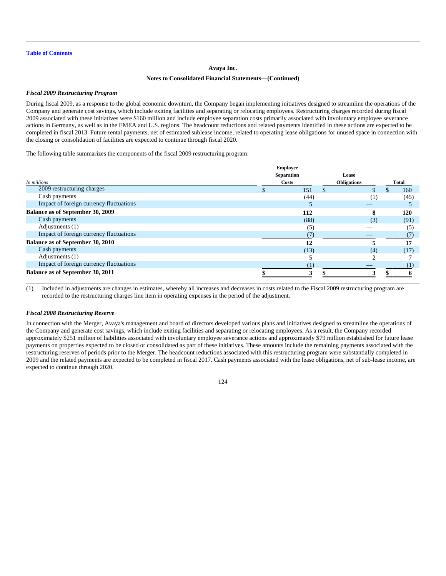# **Notes to Consolidated Financial Statements—(Continued)**

#### *Fiscal 2009 Restructuring Program*

During fiscal 2009, as a response to the global economic downturn, the Company began implementing initiatives designed to streamline the operations of the Company and generate cost savings, which include exiting facilities and separating or relocating employees. Restructuring charges recorded during fiscal 2009 associated with these initiatives were \$160 million and include employee separation costs primarily associated with involuntary employee severance actions in Germany, as well as in the EMEA and U.S. regions. The headcount reductions and related payments identified in these actions are expected to be completed in fiscal 2013. Future rental payments, net of estimated sublease income, related to operating lease obligations for unused space in connection with the closing or consolidation of facilities are expected to continue through fiscal 2020.

The following table summarizes the components of the fiscal 2009 restructuring program:

|                                         | <b>Employee</b>   |      |                    |          |              |
|-----------------------------------------|-------------------|------|--------------------|----------|--------------|
|                                         | <b>Separation</b> |      | Lease              |          |              |
| In millions                             | <b>Costs</b>      |      | <b>Obligations</b> |          | <b>Total</b> |
| 2009 restructuring charges              |                   | 151  |                    | 9        | 160          |
| Cash payments                           |                   | (44) |                    | $^{(1)}$ | (45)         |
| Impact of foreign currency fluctuations |                   |      |                    |          |              |
| Balance as of September 30, 2009        |                   | 112  |                    |          | <b>120</b>   |
| Cash payments                           |                   | (88) |                    | (3)      | (91)         |
| Adjustments (1)                         |                   | (5)  |                    |          | (5)          |
| Impact of foreign currency fluctuations |                   |      |                    |          |              |
| Balance as of September 30, 2010        |                   | 12   |                    |          | 17           |
| Cash payments                           |                   | (13) |                    | (4)      | (17)         |
| Adjustments (1)                         |                   |      |                    | ◠        |              |
| Impact of foreign currency fluctuations |                   | (T   |                    |          | Œ            |
| Balance as of September 30, 2011        |                   |      |                    |          |              |

(1) Included in adjustments are changes in estimates, whereby all increases and decreases in costs related to the Fiscal 2009 restructuring program are recorded to the restructuring charges line item in operating expenses in the period of the adjustment.

### *Fiscal 2008 Restructuring Reserve*

In connection with the Merger, Avaya's management and board of directors developed various plans and initiatives designed to streamline the operations of the Company and generate cost savings, which include exiting facilities and separating or relocating employees. As a result, the Company recorded approximately \$251 million of liabilities associated with involuntary employee severance actions and approximately \$79 million established for future lease payments on properties expected to be closed or consolidated as part of these initiatives. These amounts include the remaining payments associated with the restructuring reserves of periods prior to the Merger. The headcount reductions associated with this restructuring program were substantially completed in 2009 and the related payments are expected to be completed in fiscal 2017. Cash payments associated with the lease obligations, net of sub-lease income, are expected to continue through 2020.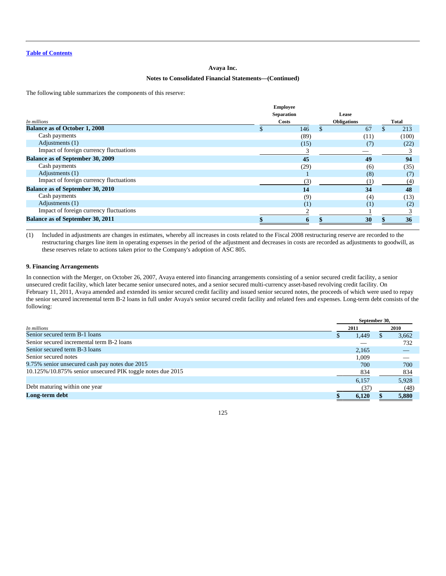# **Notes to Consolidated Financial Statements—(Continued)**

The following table summarizes the components of this reserve:

|                                         | <b>Employee</b>   |          |                    |   |       |
|-----------------------------------------|-------------------|----------|--------------------|---|-------|
|                                         | <b>Separation</b> |          | Lease              |   |       |
| In millions                             | <b>Costs</b>      |          | <b>Obligations</b> |   | Total |
| <b>Balance as of October 1, 2008</b>    |                   | 146      | 67                 | S | 213   |
| Cash payments                           |                   | (89)     | (11)               |   | (100) |
| Adjustments (1)                         |                   | (15)     | (7)                |   | (22)  |
| Impact of foreign currency fluctuations |                   |          |                    |   |       |
| <b>Balance as of September 30, 2009</b> |                   | 45       | 49                 |   | 94    |
| Cash payments                           |                   | (29)     | (6)                |   | (35)  |
| Adjustments (1)                         |                   |          | (8)                |   | W     |
| Impact of foreign currency fluctuations |                   | 3)       | T                  |   | (4)   |
| <b>Balance as of September 30, 2010</b> |                   | 14       | 34                 |   | 48    |
| Cash payments                           |                   | (9)      | (4)                |   | (13)  |
| Adjustments (1)                         |                   | $^{(1)}$ | (1)                |   | (2)   |
| Impact of foreign currency fluctuations |                   |          |                    |   |       |
| <b>Balance as of September 30, 2011</b> |                   | o        | 30                 |   | 36    |

(1) Included in adjustments are changes in estimates, whereby all increases in costs related to the Fiscal 2008 restructuring reserve are recorded to the restructuring charges line item in operating expenses in the period of the adjustment and decreases in costs are recorded as adjustments to goodwill, as these reserves relate to actions taken prior to the Company's adoption of ASC 805.

# **9. Financing Arrangements**

In connection with the Merger, on October 26, 2007, Avaya entered into financing arrangements consisting of a senior secured credit facility, a senior unsecured credit facility, which later became senior unsecured notes, and a senior secured multi-currency asset-based revolving credit facility. On February 11, 2011, Avaya amended and extended its senior secured credit facility and issued senior secured notes, the proceeds of which were used to repay the senior secured incremental term B-2 loans in full under Avaya's senior secured credit facility and related fees and expenses. Long-term debt consists of the following:

|                                                            | September 30, |             |
|------------------------------------------------------------|---------------|-------------|
| In millions                                                | 2011          | <b>2010</b> |
| Senior secured term B-1 loans                              | 1.449         | 3,662       |
| Senior secured incremental term B-2 loans                  | ___           | 732         |
| Senior secured term B-3 loans                              | 2,165         |             |
| Senior secured notes                                       | 1,009         |             |
| 9.75% senior unsecured cash pay notes due 2015             | 700           | 700         |
| 10.125%/10.875% senior unsecured PIK toggle notes due 2015 | 834           | 834         |
|                                                            | 6.157         | 5,928       |
| Debt maturing within one year                              | (37)          | (48)        |
| Long-term debt                                             | 6.120         | 5,880       |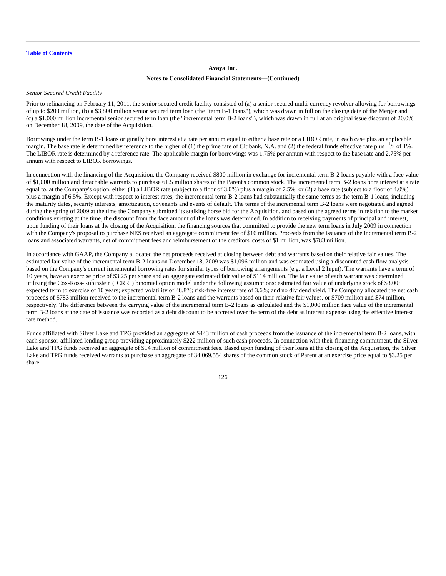# **Avaya Inc.**

### **Notes to Consolidated Financial Statements—(Continued)**

#### *Senior Secured Credit Facility*

Prior to refinancing on February 11, 2011, the senior secured credit facility consisted of (a) a senior secured multi-currency revolver allowing for borrowings of up to \$200 million, (b) a \$3,800 million senior secured term loan (the "term B-1 loans"), which was drawn in full on the closing date of the Merger and (c) a \$1,000 million incremental senior secured term loan (the "incremental term B-2 loans"), which was drawn in full at an original issue discount of 20.0% on December 18, 2009, the date of the Acquisition.

Borrowings under the term B-1 loans originally bore interest at a rate per annum equal to either a base rate or a LIBOR rate, in each case plus an applicable margin. The base rate is determined by reference to the higher of (1) the prime rate of Citibank, N.A. and (2) the federal funds effective rate plus  $\frac{1}{2}$  of 1%. The LIBOR rate is determined by a reference rate. The applicable margin for borrowings was 1.75% per annum with respect to the base rate and 2.75% per annum with respect to LIBOR borrowings.

In connection with the financing of the Acquisition, the Company received \$800 million in exchange for incremental term B-2 loans payable with a face value of \$1,000 million and detachable warrants to purchase 61.5 million shares of the Parent's common stock. The incremental term B-2 loans bore interest at a rate equal to, at the Company's option, either (1) a LIBOR rate (subject to a floor of 3.0%) plus a margin of 7.5%, or (2) a base rate (subject to a floor of 4.0%) plus a margin of 6.5%. Except with respect to interest rates, the incremental term B-2 loans had substantially the same terms as the term B-1 loans, including the maturity dates, security interests, amortization, covenants and events of default. The terms of the incremental term B-2 loans were negotiated and agreed during the spring of 2009 at the time the Company submitted its stalking horse bid for the Acquisition, and based on the agreed terms in relation to the market conditions existing at the time, the discount from the face amount of the loans was determined. In addition to receiving payments of principal and interest, upon funding of their loans at the closing of the Acquisition, the financing sources that committed to provide the new term loans in July 2009 in connection with the Company's proposal to purchase NES received an aggregate commitment fee of \$16 million. Proceeds from the issuance of the incremental term B-2 loans and associated warrants, net of commitment fees and reimbursement of the creditors' costs of \$1 million, was \$783 million.

In accordance with GAAP, the Company allocated the net proceeds received at closing between debt and warrants based on their relative fair values. The estimated fair value of the incremental term B-2 loans on December 18, 2009 was \$1,096 million and was estimated using a discounted cash flow analysis based on the Company's current incremental borrowing rates for similar types of borrowing arrangements (e.g. a Level 2 Input). The warrants have a term of 10 years, have an exercise price of \$3.25 per share and an aggregate estimated fair value of \$114 million. The fair value of each warrant was determined utilizing the Cox-Ross-Rubinstein ("CRR") binomial option model under the following assumptions: estimated fair value of underlying stock of \$3.00; expected term to exercise of 10 years; expected volatility of 48.8%; risk-free interest rate of 3.6%; and no dividend yield. The Company allocated the net cash proceeds of \$783 million received to the incremental term B-2 loans and the warrants based on their relative fair values, or \$709 million and \$74 million, respectively. The difference between the carrying value of the incremental term B-2 loans as calculated and the \$1,000 million face value of the incremental term B-2 loans at the date of issuance was recorded as a debt discount to be accreted over the term of the debt as interest expense using the effective interest rate method.

Funds affiliated with Silver Lake and TPG provided an aggregate of \$443 million of cash proceeds from the issuance of the incremental term B-2 loans, with each sponsor-affiliated lending group providing approximately \$222 million of such cash proceeds. In connection with their financing commitment, the Silver Lake and TPG funds received an aggregate of \$14 million of commitment fees. Based upon funding of their loans at the closing of the Acquisition, the Silver Lake and TPG funds received warrants to purchase an aggregate of 34,069,554 shares of the common stock of Parent at an exercise price equal to \$3.25 per share.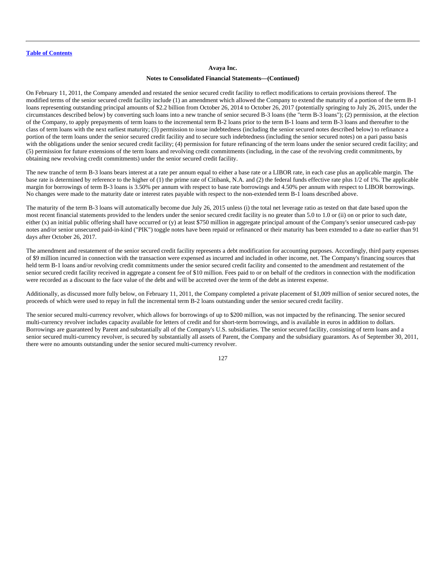# **Avaya Inc.**

### **Notes to Consolidated Financial Statements—(Continued)**

On February 11, 2011, the Company amended and restated the senior secured credit facility to reflect modifications to certain provisions thereof. The modified terms of the senior secured credit facility include (1) an amendment which allowed the Company to extend the maturity of a portion of the term B-1 loans representing outstanding principal amounts of \$2.2 billion from October 26, 2014 to October 26, 2017 (potentially springing to July 26, 2015, under the circumstances described below) by converting such loans into a new tranche of senior secured B-3 loans (the "term B-3 loans"); (2) permission, at the election of the Company, to apply prepayments of term loans to the incremental term B-2 loans prior to the term B-1 loans and term B-3 loans and thereafter to the class of term loans with the next earliest maturity; (3) permission to issue indebtedness (including the senior secured notes described below) to refinance a portion of the term loans under the senior secured credit facility and to secure such indebtedness (including the senior secured notes) on a pari passu basis with the obligations under the senior secured credit facility; (4) permission for future refinancing of the term loans under the senior secured credit facility; and (5) permission for future extensions of the term loans and revolving credit commitments (including, in the case of the revolving credit commitments, by obtaining new revolving credit commitments) under the senior secured credit facility.

The new tranche of term B-3 loans bears interest at a rate per annum equal to either a base rate or a LIBOR rate, in each case plus an applicable margin. The base rate is determined by reference to the higher of (1) the prime rate of Citibank, N.A. and (2) the federal funds effective rate plus 1/2 of 1%. The applicable margin for borrowings of term B-3 loans is 3.50% per annum with respect to base rate borrowings and 4.50% per annum with respect to LIBOR borrowings. No changes were made to the maturity date or interest rates payable with respect to the non-extended term B-1 loans described above.

The maturity of the term B-3 loans will automatically become due July 26, 2015 unless (i) the total net leverage ratio as tested on that date based upon the most recent financial statements provided to the lenders under the senior secured credit facility is no greater than 5.0 to 1.0 or (ii) on or prior to such date, either (x) an initial public offering shall have occurred or (y) at least \$750 million in aggregate principal amount of the Company's senior unsecured cash-pay notes and/or senior unsecured paid-in-kind ("PIK") toggle notes have been repaid or refinanced or their maturity has been extended to a date no earlier than 91 days after October 26, 2017.

The amendment and restatement of the senior secured credit facility represents a debt modification for accounting purposes. Accordingly, third party expenses of \$9 million incurred in connection with the transaction were expensed as incurred and included in other income, net. The Company's financing sources that held term B-1 loans and/or revolving credit commitments under the senior secured credit facility and consented to the amendment and restatement of the senior secured credit facility received in aggregate a consent fee of \$10 million. Fees paid to or on behalf of the creditors in connection with the modification were recorded as a discount to the face value of the debt and will be accreted over the term of the debt as interest expense.

Additionally, as discussed more fully below, on February 11, 2011, the Company completed a private placement of \$1,009 million of senior secured notes, the proceeds of which were used to repay in full the incremental term B-2 loans outstanding under the senior secured credit facility.

The senior secured multi-currency revolver, which allows for borrowings of up to \$200 million, was not impacted by the refinancing. The senior secured multi-currency revolver includes capacity available for letters of credit and for short-term borrowings, and is available in euros in addition to dollars. Borrowings are guaranteed by Parent and substantially all of the Company's U.S. subsidiaries. The senior secured facility, consisting of term loans and a senior secured multi-currency revolver, is secured by substantially all assets of Parent, the Company and the subsidiary guarantors. As of September 30, 2011, there were no amounts outstanding under the senior secured multi-currency revolver.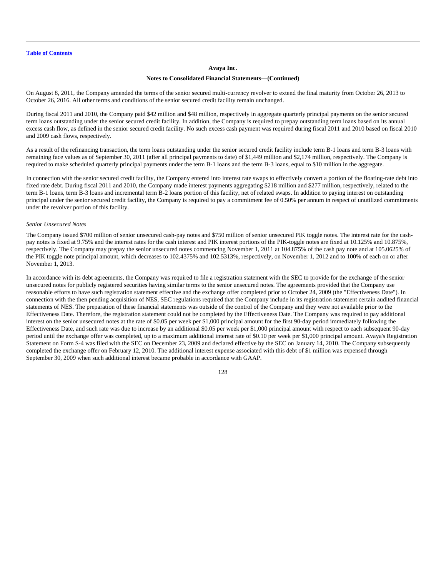### **Notes to Consolidated Financial Statements—(Continued)**

On August 8, 2011, the Company amended the terms of the senior secured multi-currency revolver to extend the final maturity from October 26, 2013 to October 26, 2016. All other terms and conditions of the senior secured credit facility remain unchanged.

During fiscal 2011 and 2010, the Company paid \$42 million and \$48 million, respectively in aggregate quarterly principal payments on the senior secured term loans outstanding under the senior secured credit facility. In addition, the Company is required to prepay outstanding term loans based on its annual excess cash flow, as defined in the senior secured credit facility. No such excess cash payment was required during fiscal 2011 and 2010 based on fiscal 2010 and 2009 cash flows, respectively.

As a result of the refinancing transaction, the term loans outstanding under the senior secured credit facility include term B-1 loans and term B-3 loans with remaining face values as of September 30, 2011 (after all principal payments to date) of \$1,449 million and \$2,174 million, respectively. The Company is required to make scheduled quarterly principal payments under the term B-1 loans and the term B-3 loans, equal to \$10 million in the aggregate.

In connection with the senior secured credit facility, the Company entered into interest rate swaps to effectively convert a portion of the floating-rate debt into fixed rate debt. During fiscal 2011 and 2010, the Company made interest payments aggregating \$218 million and \$277 million, respectively, related to the term B-1 loans, term B-3 loans and incremental term B-2 loans portion of this facility, net of related swaps. In addition to paying interest on outstanding principal under the senior secured credit facility, the Company is required to pay a commitment fee of 0.50% per annum in respect of unutilized commitments under the revolver portion of this facility.

#### *Senior Unsecured Notes*

The Company issued \$700 million of senior unsecured cash-pay notes and \$750 million of senior unsecured PIK toggle notes. The interest rate for the cashpay notes is fixed at 9.75% and the interest rates for the cash interest and PIK interest portions of the PIK-toggle notes are fixed at 10.125% and 10.875%, respectively. The Company may prepay the senior unsecured notes commencing November 1, 2011 at 104.875% of the cash pay note and at 105.0625% of the PIK toggle note principal amount, which decreases to 102.4375% and 102.5313%, respectively, on November 1, 2012 and to 100% of each on or after November 1, 2013.

In accordance with its debt agreements, the Company was required to file a registration statement with the SEC to provide for the exchange of the senior unsecured notes for publicly registered securities having similar terms to the senior unsecured notes. The agreements provided that the Company use reasonable efforts to have such registration statement effective and the exchange offer completed prior to October 24, 2009 (the "Effectiveness Date"). In connection with the then pending acquisition of NES, SEC regulations required that the Company include in its registration statement certain audited financial statements of NES. The preparation of these financial statements was outside of the control of the Company and they were not available prior to the Effectiveness Date. Therefore, the registration statement could not be completed by the Effectiveness Date. The Company was required to pay additional interest on the senior unsecured notes at the rate of \$0.05 per week per \$1,000 principal amount for the first 90-day period immediately following the Effectiveness Date, and such rate was due to increase by an additional \$0.05 per week per \$1,000 principal amount with respect to each subsequent 90-day period until the exchange offer was completed, up to a maximum additional interest rate of \$0.10 per week per \$1,000 principal amount. Avaya's Registration Statement on Form S-4 was filed with the SEC on December 23, 2009 and declared effective by the SEC on January 14, 2010. The Company subsequently completed the exchange offer on February 12, 2010. The additional interest expense associated with this debt of \$1 million was expensed through September 30, 2009 when such additional interest became probable in accordance with GAAP.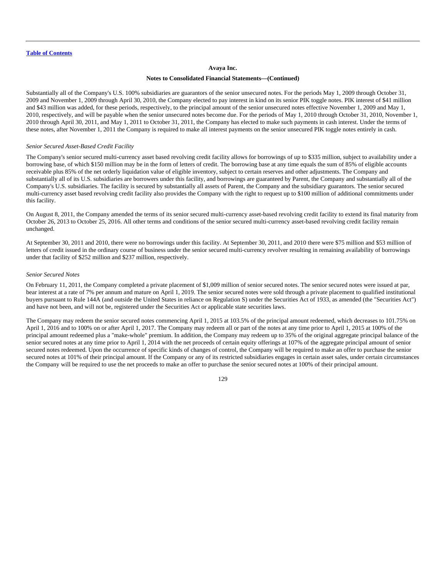### **Notes to Consolidated Financial Statements—(Continued)**

Substantially all of the Company's U.S. 100% subsidiaries are guarantors of the senior unsecured notes. For the periods May 1, 2009 through October 31, 2009 and November 1, 2009 through April 30, 2010, the Company elected to pay interest in kind on its senior PIK toggle notes. PIK interest of \$41 million and \$43 million was added, for these periods, respectively, to the principal amount of the senior unsecured notes effective November 1, 2009 and May 1, 2010, respectively, and will be payable when the senior unsecured notes become due. For the periods of May 1, 2010 through October 31, 2010, November 1, 2010 through April 30, 2011, and May 1, 2011 to October 31, 2011, the Company has elected to make such payments in cash interest. Under the terms of these notes, after November 1, 2011 the Company is required to make all interest payments on the senior unsecured PIK toggle notes entirely in cash.

#### *Senior Secured Asset-Based Credit Facility*

The Company's senior secured multi-currency asset based revolving credit facility allows for borrowings of up to \$335 million, subject to availability under a borrowing base, of which \$150 million may be in the form of letters of credit. The borrowing base at any time equals the sum of 85% of eligible accounts receivable plus 85% of the net orderly liquidation value of eligible inventory, subject to certain reserves and other adjustments. The Company and substantially all of its U.S. subsidiaries are borrowers under this facility, and borrowings are guaranteed by Parent, the Company and substantially all of the Company's U.S. subsidiaries. The facility is secured by substantially all assets of Parent, the Company and the subsidiary guarantors. The senior secured multi-currency asset based revolving credit facility also provides the Company with the right to request up to \$100 million of additional commitments under this facility.

On August 8, 2011, the Company amended the terms of its senior secured multi-currency asset-based revolving credit facility to extend its final maturity from October 26, 2013 to October 25, 2016. All other terms and conditions of the senior secured multi-currency asset-based revolving credit facility remain unchanged.

At September 30, 2011 and 2010, there were no borrowings under this facility. At September 30, 2011, and 2010 there were \$75 million and \$53 million of letters of credit issued in the ordinary course of business under the senior secured multi-currency revolver resulting in remaining availability of borrowings under that facility of \$252 million and \$237 million, respectively.

#### *Senior Secured Notes*

On February 11, 2011, the Company completed a private placement of \$1,009 million of senior secured notes. The senior secured notes were issued at par, bear interest at a rate of 7% per annum and mature on April 1, 2019. The senior secured notes were sold through a private placement to qualified institutional buyers pursuant to Rule 144A (and outside the United States in reliance on Regulation S) under the Securities Act of 1933, as amended (the "Securities Act") and have not been, and will not be, registered under the Securities Act or applicable state securities laws.

The Company may redeem the senior secured notes commencing April 1, 2015 at 103.5% of the principal amount redeemed, which decreases to 101.75% on April 1, 2016 and to 100% on or after April 1, 2017. The Company may redeem all or part of the notes at any time prior to April 1, 2015 at 100% of the principal amount redeemed plus a "make-whole" premium. In addition, the Company may redeem up to 35% of the original aggregate principal balance of the senior secured notes at any time prior to April 1, 2014 with the net proceeds of certain equity offerings at 107% of the aggregate principal amount of senior secured notes redeemed. Upon the occurrence of specific kinds of changes of control, the Company will be required to make an offer to purchase the senior secured notes at 101% of their principal amount. If the Company or any of its restricted subsidiaries engages in certain asset sales, under certain circumstances the Company will be required to use the net proceeds to make an offer to purchase the senior secured notes at 100% of their principal amount.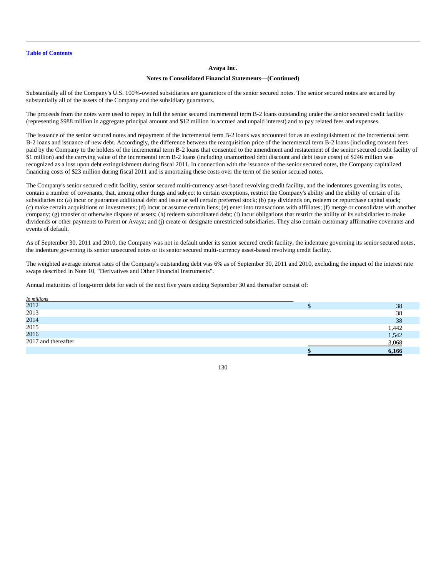# **Avaya Inc.**

# **Notes to Consolidated Financial Statements—(Continued)**

Substantially all of the Company's U.S. 100%-owned subsidiaries are guarantors of the senior secured notes. The senior secured notes are secured by substantially all of the assets of the Company and the subsidiary guarantors.

The proceeds from the notes were used to repay in full the senior secured incremental term B-2 loans outstanding under the senior secured credit facility (representing \$988 million in aggregate principal amount and \$12 million in accrued and unpaid interest) and to pay related fees and expenses.

The issuance of the senior secured notes and repayment of the incremental term B-2 loans was accounted for as an extinguishment of the incremental term B-2 loans and issuance of new debt. Accordingly, the difference between the reacquisition price of the incremental term B-2 loans (including consent fees paid by the Company to the holders of the incremental term B-2 loans that consented to the amendment and restatement of the senior secured credit facility of \$1 million) and the carrying value of the incremental term B-2 loans (including unamortized debt discount and debt issue costs) of \$246 million was recognized as a loss upon debt extinguishment during fiscal 2011. In connection with the issuance of the senior secured notes, the Company capitalized financing costs of \$23 million during fiscal 2011 and is amortizing these costs over the term of the senior secured notes.

The Company's senior secured credit facility, senior secured multi-currency asset-based revolving credit facility, and the indentures governing its notes, contain a number of covenants, that, among other things and subject to certain exceptions, restrict the Company's ability and the ability of certain of its subsidiaries to: (a) incur or guarantee additional debt and issue or sell certain preferred stock; (b) pay dividends on, redeem or repurchase capital stock; (c) make certain acquisitions or investments; (d) incur or assume certain liens; (e) enter into transactions with affiliates; (f) merge or consolidate with another company; (g) transfer or otherwise dispose of assets; (h) redeem subordinated debt; (i) incur obligations that restrict the ability of its subsidiaries to make dividends or other payments to Parent or Avaya; and (j) create or designate unrestricted subsidiaries. They also contain customary affirmative covenants and events of default.

As of September 30, 2011 and 2010, the Company was not in default under its senior secured credit facility, the indenture governing its senior secured notes, the indenture governing its senior unsecured notes or its senior secured multi-currency asset-based revolving credit facility.

The weighted average interest rates of the Company's outstanding debt was 6% as of September 30, 2011 and 2010, excluding the impact of the interest rate swaps described in Note 10, "Derivatives and Other Financial Instruments".

Annual maturities of long-term debt for each of the next five years ending September 30 and thereafter consist of:

| In millions         |       |
|---------------------|-------|
| $\overline{2012}$   | 38    |
| 2013                | 38    |
| 2014                | 38    |
| 2015                | 1,442 |
| 2016                | 1,542 |
| 2017 and thereafter | 3,068 |
|                     | 6,166 |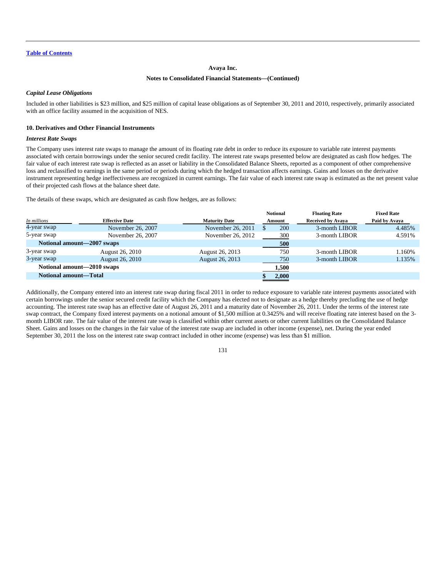### **Notes to Consolidated Financial Statements—(Continued)**

#### *Capital Lease Obligations*

Included in other liabilities is \$23 million, and \$25 million of capital lease obligations as of September 30, 2011 and 2010, respectively, primarily associated with an office facility assumed in the acquisition of NES.

#### **10. Derivatives and Other Financial Instruments**

### *Interest Rate Swaps*

The Company uses interest rate swaps to manage the amount of its floating rate debt in order to reduce its exposure to variable rate interest payments associated with certain borrowings under the senior secured credit facility. The interest rate swaps presented below are designated as cash flow hedges. The fair value of each interest rate swap is reflected as an asset or liability in the Consolidated Balance Sheets, reported as a component of other comprehensive loss and reclassified to earnings in the same period or periods during which the hedged transaction affects earnings. Gains and losses on the derivative instrument representing hedge ineffectiveness are recognized in current earnings. The fair value of each interest rate swap is estimated as the net present value of their projected cash flows at the balance sheet date.

The details of these swaps, which are designated as cash flow hedges, are as follows:

|                       |                            |                      | <b>Notional</b> | <b>Floating Rate</b>     | <b>Fixed Rate</b> |
|-----------------------|----------------------------|----------------------|-----------------|--------------------------|-------------------|
| In millions           | <b>Effective Date</b>      | <b>Maturity Date</b> | Amount          | <b>Received by Avava</b> | Paid by Avava     |
| 4-year swap           | November 26, 2007          | November 26, 2011    | 200             | 3-month LIBOR            | 4.485%            |
| 5-year swap           | November 26, 2007          | November 26, 2012    | 300             | 3-month LIBOR            | 4.591%            |
|                       | Notional amount-2007 swaps |                      | 500             |                          |                   |
| 3-year swap           | August 26, 2010            | August 26, 2013      | 750             | 3-month LIBOR            | 1.160%            |
| 3-year swap           | August 26, 2010            | August 26, 2013      | 750             | 3-month LIBOR            | 1.135%            |
|                       | Notional amount-2010 swaps |                      | 1,500           |                          |                   |
| Notional amount—Total |                            |                      | 2,000           |                          |                   |

Additionally, the Company entered into an interest rate swap during fiscal 2011 in order to reduce exposure to variable rate interest payments associated with certain borrowings under the senior secured credit facility which the Company has elected not to designate as a hedge thereby precluding the use of hedge accounting. The interest rate swap has an effective date of August 26, 2011 and a maturity date of November 26, 2011. Under the terms of the interest rate swap contract, the Company fixed interest payments on a notional amount of \$1,500 million at 0.3425% and will receive floating rate interest based on the 3 month LIBOR rate. The fair value of the interest rate swap is classified within other current assets or other current liabilities on the Consolidated Balance Sheet. Gains and losses on the changes in the fair value of the interest rate swap are included in other income (expense), net. During the year ended September 30, 2011 the loss on the interest rate swap contract included in other income (expense) was less than \$1 million.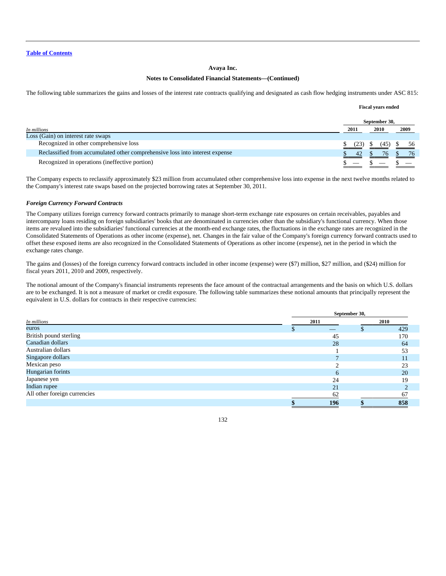# **Notes to Consolidated Financial Statements—(Continued)**

The following table summarizes the gains and losses of the interest rate contracts qualifying and designated as cash flow hedging instruments under ASC 815:

|                                                                              |      | <b>Fiscal vears ended</b> |      |
|------------------------------------------------------------------------------|------|---------------------------|------|
|                                                                              |      | September 30,             |      |
| In millions                                                                  | 2011 | 2010                      | 2009 |
| Loss (Gain) on interest rate swaps                                           |      |                           |      |
| Recognized in other comprehensive loss                                       | (23) | (45)                      | 56   |
| Reclassified from accumulated other comprehensive loss into interest expense | 42   | 76                        | 76   |
| Recognized in operations (ineffective portion)                               |      |                           |      |

The Company expects to reclassify approximately \$23 million from accumulated other comprehensive loss into expense in the next twelve months related to the Company's interest rate swaps based on the projected borrowing rates at September 30, 2011.

# *Foreign Currency Forward Contracts*

The Company utilizes foreign currency forward contracts primarily to manage short-term exchange rate exposures on certain receivables, payables and intercompany loans residing on foreign subsidiaries' books that are denominated in currencies other than the subsidiary's functional currency. When those items are revalued into the subsidiaries' functional currencies at the month-end exchange rates, the fluctuations in the exchange rates are recognized in the Consolidated Statements of Operations as other income (expense), net. Changes in the fair value of the Company's foreign currency forward contracts used to offset these exposed items are also recognized in the Consolidated Statements of Operations as other income (expense), net in the period in which the exchange rates change.

The gains and (losses) of the foreign currency forward contracts included in other income (expense) were (\$7) million, \$27 million, and (\$24) million for fiscal years 2011, 2010 and 2009, respectively.

The notional amount of the Company's financial instruments represents the face amount of the contractual arrangements and the basis on which U.S. dollars are to be exchanged. It is not a measure of market or credit exposure. The following table summarizes these notional amounts that principally represent the equivalent in U.S. dollars for contracts in their respective currencies:

|                              | September 30, |  |             |  |  |  |
|------------------------------|---------------|--|-------------|--|--|--|
| In millions                  | 2011          |  | <b>2010</b> |  |  |  |
| euros                        | _             |  | 429         |  |  |  |
| British pound sterling       | 45            |  | 170         |  |  |  |
| Canadian dollars             | 28            |  | 64          |  |  |  |
| Australian dollars           |               |  | 53          |  |  |  |
| Singapore dollars            |               |  | 11          |  |  |  |
| Mexican peso                 |               |  | 23          |  |  |  |
| Hungarian forints            | 6             |  | 20          |  |  |  |
| Japanese yen                 | 24            |  | 19          |  |  |  |
| Indian rupee                 | 21            |  |             |  |  |  |
| All other foreign currencies | 62            |  | 67          |  |  |  |
|                              | 196           |  | 858         |  |  |  |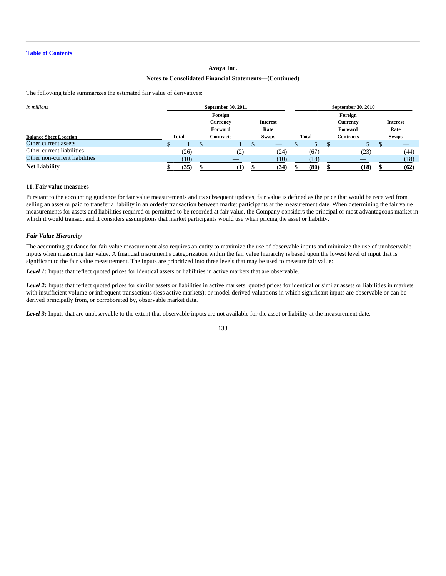# **Avaya Inc.**

### **Notes to Consolidated Financial Statements—(Continued)**

The following table summarizes the estimated fair value of derivatives:

| In millions                   | September 30, 2011<br>September 30, 2010 |                 |                  |              |                 |              |  |      |                  |         |              |      |
|-------------------------------|------------------------------------------|-----------------|------------------|--------------|-----------------|--------------|--|------|------------------|---------|--------------|------|
|                               |                                          |                 | Foreign          |              |                 |              |  |      |                  | Foreign |              |      |
|                               | <b>Currency</b><br><b>Interest</b>       |                 |                  |              | <b>Currency</b> |              |  |      | <b>Interest</b>  |         |              |      |
|                               |                                          | Forward<br>Rate |                  |              | Forward         |              |  |      | Rate             |         |              |      |
| <b>Balance Sheet Location</b> | <b>Total</b>                             |                 | <b>Contracts</b> | <b>Swaps</b> |                 | <b>Total</b> |  |      | <b>Contracts</b> |         | <b>Swaps</b> |      |
| Other current assets          |                                          |                 |                  |              |                 |              |  |      |                  |         |              |      |
| Other current liabilities     | (26)                                     |                 |                  | (2)          |                 | (24)         |  | (67) |                  | (23)    |              | (44) |
| Other non-current liabilities | (10)                                     |                 |                  |              |                 | (10)         |  | (18) |                  |         |              | (18) |
| <b>Net Liability</b>          | (35)                                     |                 |                  |              |                 | (34)         |  | (80) |                  | (18)    |              | (62) |

#### **11. Fair value measures**

Pursuant to the accounting guidance for fair value measurements and its subsequent updates, fair value is defined as the price that would be received from selling an asset or paid to transfer a liability in an orderly transaction between market participants at the measurement date. When determining the fair value measurements for assets and liabilities required or permitted to be recorded at fair value, the Company considers the principal or most advantageous market in which it would transact and it considers assumptions that market participants would use when pricing the asset or liability.

#### *Fair Value Hierarchy*

The accounting guidance for fair value measurement also requires an entity to maximize the use of observable inputs and minimize the use of unobservable inputs when measuring fair value. A financial instrument's categorization within the fair value hierarchy is based upon the lowest level of input that is significant to the fair value measurement. The inputs are prioritized into three levels that may be used to measure fair value:

*Level 1:* Inputs that reflect quoted prices for identical assets or liabilities in active markets that are observable.

*Level 2:* Inputs that reflect quoted prices for similar assets or liabilities in active markets; quoted prices for identical or similar assets or liabilities in markets with insufficient volume or infrequent transactions (less active markets); or model-derived valuations in which significant inputs are observable or can be derived principally from, or corroborated by, observable market data.

Level 3: Inputs that are unobservable to the extent that observable inputs are not available for the asset or liability at the measurement date.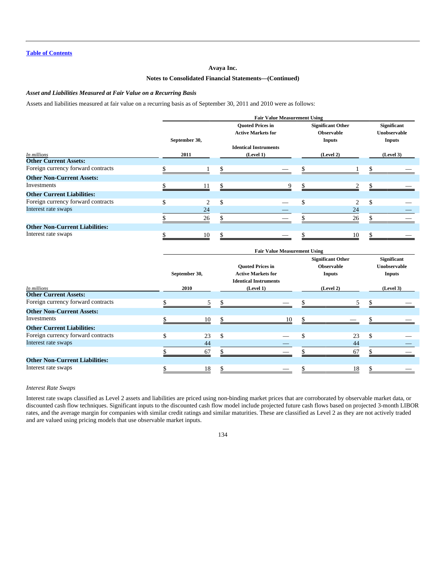# **Avaya Inc.**

# **Notes to Consolidated Financial Statements—(Continued)**

# *Asset and Liabilities Measured at Fair Value on a Recurring Basis*

Assets and liabilities measured at fair value on a recurring basis as of September 30, 2011 and 2010 were as follows:

|                                       | <b>Fair Value Measurement Using</b> |                                                                                      |                                                                |                                                            |  |  |  |  |  |  |  |
|---------------------------------------|-------------------------------------|--------------------------------------------------------------------------------------|----------------------------------------------------------------|------------------------------------------------------------|--|--|--|--|--|--|--|
|                                       | September 30,                       | <b>Ouoted Prices in</b><br><b>Active Markets for</b><br><b>Identical Instruments</b> | <b>Significant Other</b><br><b>Observable</b><br><b>Inputs</b> | <b>Significant</b><br><b>Unobservable</b><br><b>Inputs</b> |  |  |  |  |  |  |  |
| In millions                           | 2011                                | (Level 1)                                                                            | (Level 2)                                                      | (Level 3)                                                  |  |  |  |  |  |  |  |
| <b>Other Current Assets:</b>          |                                     |                                                                                      |                                                                |                                                            |  |  |  |  |  |  |  |
| Foreign currency forward contracts    |                                     |                                                                                      |                                                                |                                                            |  |  |  |  |  |  |  |
| <b>Other Non-Current Assets:</b>      |                                     |                                                                                      |                                                                |                                                            |  |  |  |  |  |  |  |
| Investments                           |                                     | Q                                                                                    |                                                                |                                                            |  |  |  |  |  |  |  |
| <b>Other Current Liabilities:</b>     |                                     |                                                                                      |                                                                |                                                            |  |  |  |  |  |  |  |
| Foreign currency forward contracts    | \$<br>2                             | \$                                                                                   | 2                                                              | <sup>\$</sup>                                              |  |  |  |  |  |  |  |
| Interest rate swaps                   | 24                                  |                                                                                      | 24                                                             |                                                            |  |  |  |  |  |  |  |
|                                       | 26                                  |                                                                                      | 26                                                             |                                                            |  |  |  |  |  |  |  |
| <b>Other Non-Current Liabilities:</b> |                                     |                                                                                      |                                                                |                                                            |  |  |  |  |  |  |  |
| Interest rate swaps                   | 10                                  |                                                                                      | 10                                                             |                                                            |  |  |  |  |  |  |  |

|                                       | <b>Fair Value Measurement Using</b> |    |    |                                                                                      |                                                                |    |     |                                                     |  |  |
|---------------------------------------|-------------------------------------|----|----|--------------------------------------------------------------------------------------|----------------------------------------------------------------|----|-----|-----------------------------------------------------|--|--|
|                                       | September 30,                       |    |    | <b>Ouoted Prices in</b><br><b>Active Markets for</b><br><b>Identical Instruments</b> | <b>Significant Other</b><br><b>Observable</b><br><b>Inputs</b> |    |     | <b>Significant</b><br>Unobservable<br><b>Inputs</b> |  |  |
| In millions                           | <b>2010</b>                         |    |    | (Level 1)                                                                            | (Level 2)                                                      |    |     | (Level 3)                                           |  |  |
| <b>Other Current Assets:</b>          |                                     |    |    |                                                                                      |                                                                |    |     |                                                     |  |  |
| Foreign currency forward contracts    | Φ                                   |    |    |                                                                                      |                                                                |    |     |                                                     |  |  |
| <b>Other Non-Current Assets:</b>      |                                     |    |    |                                                                                      |                                                                |    |     |                                                     |  |  |
| Investments                           |                                     | 10 |    | 10                                                                                   |                                                                |    |     |                                                     |  |  |
| <b>Other Current Liabilities:</b>     |                                     |    |    |                                                                                      |                                                                |    |     |                                                     |  |  |
| Foreign currency forward contracts    | \$                                  | 23 | \$ |                                                                                      |                                                                | 23 | \$. |                                                     |  |  |
| Interest rate swaps                   |                                     | 44 |    |                                                                                      |                                                                | 44 |     |                                                     |  |  |
|                                       |                                     | 67 |    |                                                                                      |                                                                | 67 |     |                                                     |  |  |
| <b>Other Non-Current Liabilities:</b> |                                     |    |    |                                                                                      |                                                                |    |     |                                                     |  |  |
| Interest rate swaps                   | \$                                  | 18 |    |                                                                                      |                                                                | 18 |     |                                                     |  |  |

# *Interest Rate Swaps*

Interest rate swaps classified as Level 2 assets and liabilities are priced using non-binding market prices that are corroborated by observable market data, or discounted cash flow techniques. Significant inputs to the discounted cash flow model include projected future cash flows based on projected 3-month LIBOR rates, and the average margin for companies with similar credit ratings and similar maturities. These are classified as Level 2 as they are not actively traded and are valued using pricing models that use observable market inputs.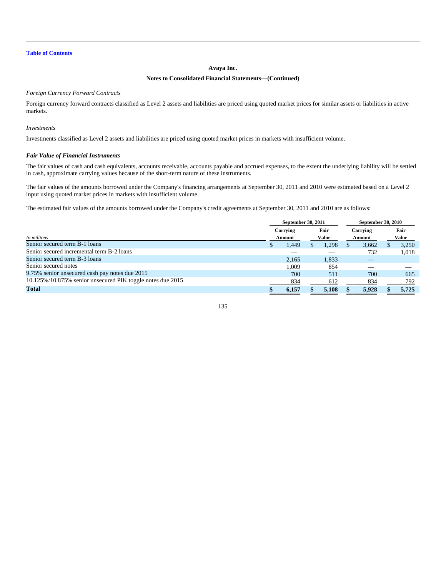#### **Notes to Consolidated Financial Statements—(Continued)**

# *Foreign Currency Forward Contracts*

Foreign currency forward contracts classified as Level 2 assets and liabilities are priced using quoted market prices for similar assets or liabilities in active markets.

#### *Investments*

Investments classified as Level 2 assets and liabilities are priced using quoted market prices in markets with insufficient volume.

# *Fair Value of Financial Instruments*

The fair values of cash and cash equivalents, accounts receivable, accounts payable and accrued expenses, to the extent the underlying liability will be settled in cash, approximate carrying values because of the short-term nature of these instruments.

The fair values of the amounts borrowed under the Company's financing arrangements at September 30, 2011 and 2010 were estimated based on a Level 2 input using quoted market prices in markets with insufficient volume.

The estimated fair values of the amounts borrowed under the Company's credit agreements at September 30, 2011 and 2010 are as follows:

|                                                            | <b>September 30, 2011</b> |       |       | September 30, 2010 |        |       |       |       |  |  |  |  |  |  |  |  |  |  |  |  |  |  |  |  |  |  |  |  |  |      |  |          |  |      |
|------------------------------------------------------------|---------------------------|-------|-------|--------------------|--------|-------|-------|-------|--|--|--|--|--|--|--|--|--|--|--|--|--|--|--|--|--|--|--|--|--|------|--|----------|--|------|
|                                                            | Carrying                  |       |       |                    |        |       |       |       |  |  |  |  |  |  |  |  |  |  |  |  |  |  |  |  |  |  |  |  |  | Fair |  | Carrying |  | Fair |
| In millions                                                | Amount                    |       | Value |                    | Amount |       | Value |       |  |  |  |  |  |  |  |  |  |  |  |  |  |  |  |  |  |  |  |  |  |      |  |          |  |      |
| Senior secured term B-1 loans                              |                           | 1.449 |       | .298               |        | 3,662 |       | 3,250 |  |  |  |  |  |  |  |  |  |  |  |  |  |  |  |  |  |  |  |  |  |      |  |          |  |      |
| Senior secured incremental term B-2 loans                  |                           |       |       |                    |        | 732   |       | 1,018 |  |  |  |  |  |  |  |  |  |  |  |  |  |  |  |  |  |  |  |  |  |      |  |          |  |      |
| Senior secured term B-3 loans                              |                           | 2.165 |       | 1,833              |        | _     |       |       |  |  |  |  |  |  |  |  |  |  |  |  |  |  |  |  |  |  |  |  |  |      |  |          |  |      |
| Senior secured notes                                       |                           | 1.009 |       | 854                |        |       |       |       |  |  |  |  |  |  |  |  |  |  |  |  |  |  |  |  |  |  |  |  |  |      |  |          |  |      |
| 9.75% senior unsecured cash pay notes due 2015             |                           | 700   |       | 511                |        | 700   |       | 665   |  |  |  |  |  |  |  |  |  |  |  |  |  |  |  |  |  |  |  |  |  |      |  |          |  |      |
| 10.125%/10.875% senior unsecured PIK toggle notes due 2015 |                           | 834   |       | 612                |        | 834   |       | 792   |  |  |  |  |  |  |  |  |  |  |  |  |  |  |  |  |  |  |  |  |  |      |  |          |  |      |
| Total                                                      |                           | 6,157 |       | 5,108              |        | 5,928 |       | 5.725 |  |  |  |  |  |  |  |  |  |  |  |  |  |  |  |  |  |  |  |  |  |      |  |          |  |      |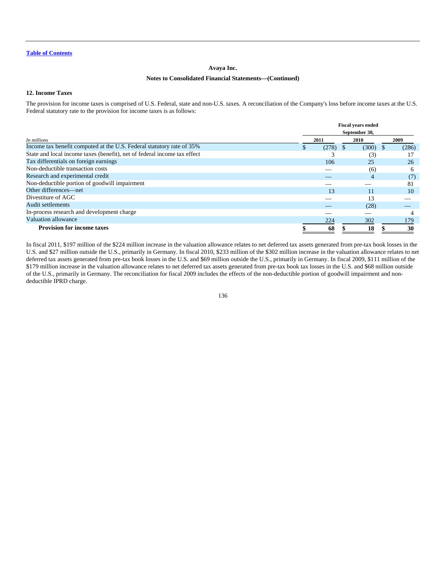# **Notes to Consolidated Financial Statements—(Continued)**

# **12. Income Taxes**

The provision for income taxes is comprised of U.S. Federal, state and non-U.S. taxes. A reconciliation of the Company's loss before income taxes at the U.S. Federal statutory rate to the provision for income taxes is as follows:

| In millions                                                              |  | <b>Fiscal years ended</b><br>September 30, |            |       |  |  |  |  |
|--------------------------------------------------------------------------|--|--------------------------------------------|------------|-------|--|--|--|--|
|                                                                          |  | 2011                                       |            | 2009  |  |  |  |  |
| Income tax benefit computed at the U.S. Federal statutory rate of 35%    |  | (278)                                      | $(300)$ \$ | (286) |  |  |  |  |
| State and local income taxes (benefit), net of federal income tax effect |  |                                            | (3)        |       |  |  |  |  |
| Tax differentials on foreign earnings                                    |  | 106                                        | 25         | 26    |  |  |  |  |
| Non-deductible transaction costs                                         |  |                                            | (6)        | 6     |  |  |  |  |
| Research and experimental credit                                         |  |                                            | 4          | (7)   |  |  |  |  |
| Non-deductible portion of goodwill impairment                            |  |                                            |            | 81    |  |  |  |  |
| Other differences—net                                                    |  | 13                                         | 11         | 10    |  |  |  |  |
| Divestiture of AGC                                                       |  |                                            | 13         |       |  |  |  |  |
| Audit settlements                                                        |  |                                            | (28)       |       |  |  |  |  |
| In-process research and development charge                               |  |                                            |            | 4     |  |  |  |  |
| Valuation allowance                                                      |  | 224                                        | 302        | 179   |  |  |  |  |
| <b>Provision for income taxes</b>                                        |  | 68                                         | 18         | 30    |  |  |  |  |

In fiscal 2011, \$197 million of the \$224 million increase in the valuation allowance relates to net deferred tax assets generated from pre-tax book losses in the U.S. and \$27 million outside the U.S., primarily in Germany. In fiscal 2010, \$233 million of the \$302 million increase in the valuation allowance relates to net deferred tax assets generated from pre-tax book losses in the U.S. and \$69 million outside the U.S., primarily in Germany. In fiscal 2009, \$111 million of the \$179 million increase in the valuation allowance relates to net deferred tax assets generated from pre-tax book tax losses in the U.S. and \$68 million outside of the U.S., primarily in Germany. The reconciliation for fiscal 2009 includes the effects of the non-deductible portion of goodwill impairment and nondeductible IPRD charge.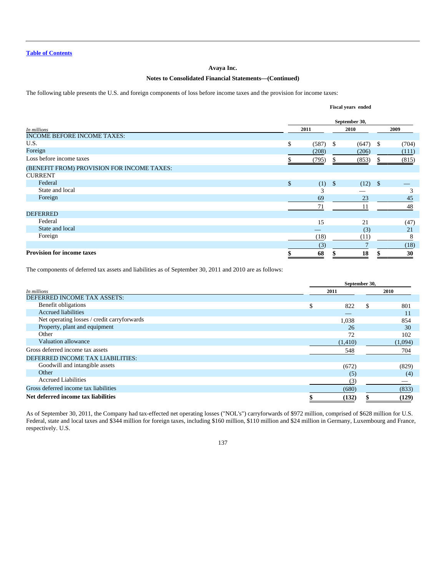# **Notes to Consolidated Financial Statements—(Continued)**

The following table presents the U.S. and foreign components of loss before income taxes and the provision for income taxes:

|                                            | <b>Fiscal years ended</b> |                    |       |            |       |  |  |  |
|--------------------------------------------|---------------------------|--------------------|-------|------------|-------|--|--|--|
|                                            | September 30,             |                    |       |            |       |  |  |  |
| In millions                                | 2011                      |                    | 2010  |            | 2009  |  |  |  |
| <b>INCOME BEFORE INCOME TAXES:</b>         |                           |                    |       |            |       |  |  |  |
| U.S.                                       | \$<br>(587)               | - \$               | (647) | \$         | (704) |  |  |  |
| Foreign                                    | (208)                     |                    | (206) |            | (111) |  |  |  |
| Loss before income taxes                   | (795)                     |                    | (853) | S          | (815) |  |  |  |
| (BENEFIT FROM) PROVISION FOR INCOME TAXES: |                           |                    |       |            |       |  |  |  |
| <b>CURRENT</b>                             |                           |                    |       |            |       |  |  |  |
| Federal                                    | \$<br>(1)                 | $\mathbf{\hat{S}}$ | (12)  | $^{\circ}$ |       |  |  |  |
| State and local                            | 3                         |                    |       |            | 3     |  |  |  |
| Foreign                                    | 69                        |                    | 23    |            | 45    |  |  |  |
|                                            | 71                        |                    | 11    |            | 48    |  |  |  |
| <b>DEFERRED</b>                            |                           |                    |       |            |       |  |  |  |
| Federal                                    | 15                        |                    | 21    |            | (47)  |  |  |  |
| State and local                            |                           |                    | (3)   |            | 21    |  |  |  |
| Foreign                                    | (18)                      |                    | (11)  |            | 8     |  |  |  |
|                                            | (3)                       |                    |       |            | (18)  |  |  |  |
| <b>Provision for income taxes</b>          | 68                        |                    | 18    |            | 30    |  |  |  |

The components of deferred tax assets and liabilities as of September 30, 2011 and 2010 are as follows:

|                                             | September 30, |         |      |         |  |  |
|---------------------------------------------|---------------|---------|------|---------|--|--|
| In millions                                 | 2011          |         | 2010 |         |  |  |
| DEFERRED INCOME TAX ASSETS:                 |               |         |      |         |  |  |
| Benefit obligations                         | \$            | 822     | \$   | 801     |  |  |
| <b>Accrued liabilities</b>                  |               | _       |      | 11      |  |  |
| Net operating losses / credit carryforwards |               | 1,038   |      | 854     |  |  |
| Property, plant and equipment               |               | 26      |      | 30      |  |  |
| Other                                       |               | 72      |      | 102     |  |  |
| Valuation allowance                         |               | (1,410) |      | (1,094) |  |  |
| Gross deferred income tax assets            |               | 548     |      | 704     |  |  |
| DEFERRED INCOME TAX LIABILITIES:            |               |         |      |         |  |  |
| Goodwill and intangible assets              |               | (672)   |      | (829)   |  |  |
| Other                                       |               | (5)     |      | (4)     |  |  |
| Accrued Liabilities                         |               | (3)     |      |         |  |  |
| Gross deferred income tax liabilities       |               | (680)   |      | (833)   |  |  |
| Net deferred income tax liabilities         |               | (132)   |      | (129)   |  |  |

As of September 30, 2011, the Company had tax-effected net operating losses ("NOL's") carryforwards of \$972 million, comprised of \$628 million for U.S. Federal, state and local taxes and \$344 million for foreign taxes, including \$160 million, \$110 million and \$24 million in Germany, Luxembourg and France, respectively. U.S.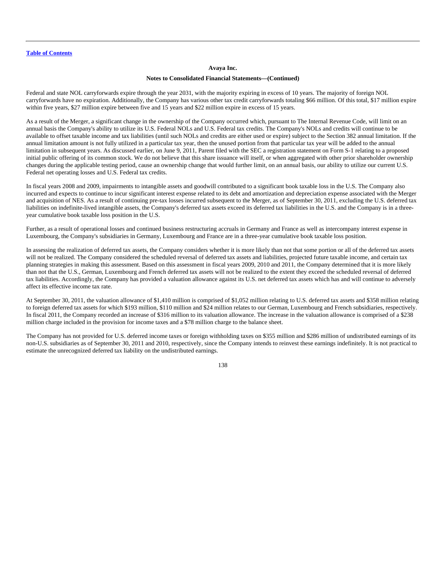# **Avaya Inc.**

### **Notes to Consolidated Financial Statements—(Continued)**

Federal and state NOL carryforwards expire through the year 2031, with the majority expiring in excess of 10 years. The majority of foreign NOL carryforwards have no expiration. Additionally, the Company has various other tax credit carryforwards totaling \$66 million. Of this total, \$17 million expire within five years, \$27 million expire between five and 15 years and \$22 million expire in excess of 15 years.

As a result of the Merger, a significant change in the ownership of the Company occurred which, pursuant to The Internal Revenue Code, will limit on an annual basis the Company's ability to utilize its U.S. Federal NOLs and U.S. Federal tax credits. The Company's NOLs and credits will continue to be available to offset taxable income and tax liabilities (until such NOLs and credits are either used or expire) subject to the Section 382 annual limitation. If the annual limitation amount is not fully utilized in a particular tax year, then the unused portion from that particular tax year will be added to the annual limitation in subsequent years. As discussed earlier, on June 9, 2011, Parent filed with the SEC a registration statement on Form S-1 relating to a proposed initial public offering of its common stock. We do not believe that this share issuance will itself, or when aggregated with other prior shareholder ownership changes during the applicable testing period, cause an ownership change that would further limit, on an annual basis, our ability to utilize our current U.S. Federal net operating losses and U.S. Federal tax credits.

In fiscal years 2008 and 2009, impairments to intangible assets and goodwill contributed to a significant book taxable loss in the U.S. The Company also incurred and expects to continue to incur significant interest expense related to its debt and amortization and depreciation expense associated with the Merger and acquisition of NES. As a result of continuing pre-tax losses incurred subsequent to the Merger, as of September 30, 2011, excluding the U.S. deferred tax liabilities on indefinite-lived intangible assets, the Company's deferred tax assets exceed its deferred tax liabilities in the U.S. and the Company is in a threeyear cumulative book taxable loss position in the U.S.

Further, as a result of operational losses and continued business restructuring accruals in Germany and France as well as intercompany interest expense in Luxembourg, the Company's subsidiaries in Germany, Luxembourg and France are in a three-year cumulative book taxable loss position.

In assessing the realization of deferred tax assets, the Company considers whether it is more likely than not that some portion or all of the deferred tax assets will not be realized. The Company considered the scheduled reversal of deferred tax assets and liabilities, projected future taxable income, and certain tax planning strategies in making this assessment. Based on this assessment in fiscal years 2009, 2010 and 2011, the Company determined that it is more likely than not that the U.S., German, Luxembourg and French deferred tax assets will not be realized to the extent they exceed the scheduled reversal of deferred tax liabilities. Accordingly, the Company has provided a valuation allowance against its U.S. net deferred tax assets which has and will continue to adversely affect its effective income tax rate.

At September 30, 2011, the valuation allowance of \$1,410 million is comprised of \$1,052 million relating to U.S. deferred tax assets and \$358 million relating to foreign deferred tax assets for which \$193 million, \$110 million and \$24 million relates to our German, Luxembourg and French subsidiaries, respectively. In fiscal 2011, the Company recorded an increase of \$316 million to its valuation allowance. The increase in the valuation allowance is comprised of a \$238 million charge included in the provision for income taxes and a \$78 million charge to the balance sheet.

The Company has not provided for U.S. deferred income taxes or foreign withholding taxes on \$355 million and \$286 million of undistributed earnings of its non-U.S. subsidiaries as of September 30, 2011 and 2010, respectively, since the Company intends to reinvest these earnings indefinitely. It is not practical to estimate the unrecognized deferred tax liability on the undistributed earnings.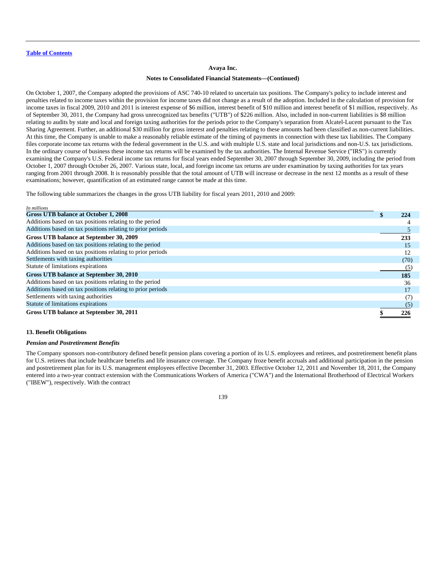# **Avaya Inc.**

# **Notes to Consolidated Financial Statements—(Continued)**

On October 1, 2007, the Company adopted the provisions of ASC 740-10 related to uncertain tax positions. The Company's policy to include interest and penalties related to income taxes within the provision for income taxes did not change as a result of the adoption. Included in the calculation of provision for income taxes in fiscal 2009, 2010 and 2011 is interest expense of \$6 million, interest benefit of \$10 million and interest benefit of \$1 million, respectively. As of September 30, 2011, the Company had gross unrecognized tax benefits ("UTB") of \$226 million. Also, included in non-current liabilities is \$8 million relating to audits by state and local and foreign taxing authorities for the periods prior to the Company's separation from Alcatel-Lucent pursuant to the Tax Sharing Agreement. Further, an additional \$30 million for gross interest and penalties relating to these amounts had been classified as non-current liabilities. At this time, the Company is unable to make a reasonably reliable estimate of the timing of payments in connection with these tax liabilities. The Company files corporate income tax returns with the federal government in the U.S. and with multiple U.S. state and local jurisdictions and non-U.S. tax jurisdictions. In the ordinary course of business these income tax returns will be examined by the tax authorities. The Internal Revenue Service ("IRS") is currently examining the Company's U.S. Federal income tax returns for fiscal years ended September 30, 2007 through September 30, 2009, including the period from October 1, 2007 through October 26, 2007. Various state, local, and foreign income tax returns are under examination by taxing authorities for tax years ranging from 2001 through 2008. It is reasonably possible that the total amount of UTB will increase or decrease in the next 12 months as a result of these examinations; however, quantification of an estimated range cannot be made at this time.

The following table summarizes the changes in the gross UTB liability for fiscal years 2011, 2010 and 2009:

| In millions                                                |      |
|------------------------------------------------------------|------|
| Gross UTB balance at October 1, 2008                       | 224  |
| Additions based on tax positions relating to the period    |      |
| Additions based on tax positions relating to prior periods |      |
| Gross UTB balance at September 30, 2009                    | 233  |
| Additions based on tax positions relating to the period    | 15   |
| Additions based on tax positions relating to prior periods | 12   |
| Settlements with taxing authorities                        | (70) |
| Statute of limitations expirations                         |      |
| Gross UTB balance at September 30, 2010                    | 185  |
| Additions based on tax positions relating to the period    | 36   |
| Additions based on tax positions relating to prior periods |      |
| Settlements with taxing authorities                        | (7)  |
| Statute of limitations expirations                         | (5)  |
| Gross UTB balance at September 30, 2011                    | 226  |

# **13. Benefit Obligations**

#### *Pension and Postretirement Benefits*

The Company sponsors non-contributory defined benefit pension plans covering a portion of its U.S. employees and retirees, and postretirement benefit plans for U.S. retirees that include healthcare benefits and life insurance coverage. The Company froze benefit accruals and additional participation in the pension and postretirement plan for its U.S. management employees effective December 31, 2003. Effective October 12, 2011 and November 18, 2011, the Company entered into a two-year contract extension with the Communications Workers of America ("CWA") and the International Brotherhood of Electrical Workers ("IBEW"), respectively. With the contract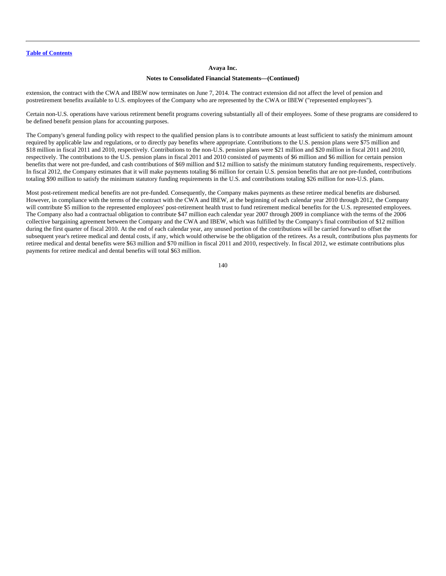# **Avaya Inc.**

### **Notes to Consolidated Financial Statements—(Continued)**

extension, the contract with the CWA and IBEW now terminates on June 7, 2014. The contract extension did not affect the level of pension and postretirement benefits available to U.S. employees of the Company who are represented by the CWA or IBEW ("represented employees").

Certain non-U.S. operations have various retirement benefit programs covering substantially all of their employees. Some of these programs are considered to be defined benefit pension plans for accounting purposes.

The Company's general funding policy with respect to the qualified pension plans is to contribute amounts at least sufficient to satisfy the minimum amount required by applicable law and regulations, or to directly pay benefits where appropriate. Contributions to the U.S. pension plans were \$75 million and \$18 million in fiscal 2011 and 2010, respectively. Contributions to the non-U.S. pension plans were \$21 million and \$20 million in fiscal 2011 and 2010, respectively. The contributions to the U.S. pension plans in fiscal 2011 and 2010 consisted of payments of \$6 million and \$6 million for certain pension benefits that were not pre-funded, and cash contributions of \$69 million and \$12 million to satisfy the minimum statutory funding requirements, respectively. In fiscal 2012, the Company estimates that it will make payments totaling \$6 million for certain U.S. pension benefits that are not pre-funded, contributions totaling \$90 million to satisfy the minimum statutory funding requirements in the U.S. and contributions totaling \$26 million for non-U.S. plans.

Most post-retirement medical benefits are not pre-funded. Consequently, the Company makes payments as these retiree medical benefits are disbursed. However, in compliance with the terms of the contract with the CWA and IBEW, at the beginning of each calendar year 2010 through 2012, the Company will contribute \$5 million to the represented employees' post-retirement health trust to fund retirement medical benefits for the U.S. represented employees. The Company also had a contractual obligation to contribute \$47 million each calendar year 2007 through 2009 in compliance with the terms of the 2006 collective bargaining agreement between the Company and the CWA and IBEW, which was fulfilled by the Company's final contribution of \$12 million during the first quarter of fiscal 2010. At the end of each calendar year, any unused portion of the contributions will be carried forward to offset the subsequent year's retiree medical and dental costs, if any, which would otherwise be the obligation of the retirees. As a result, contributions plus payments for retiree medical and dental benefits were \$63 million and \$70 million in fiscal 2011 and 2010, respectively. In fiscal 2012, we estimate contributions plus payments for retiree medical and dental benefits will total \$63 million.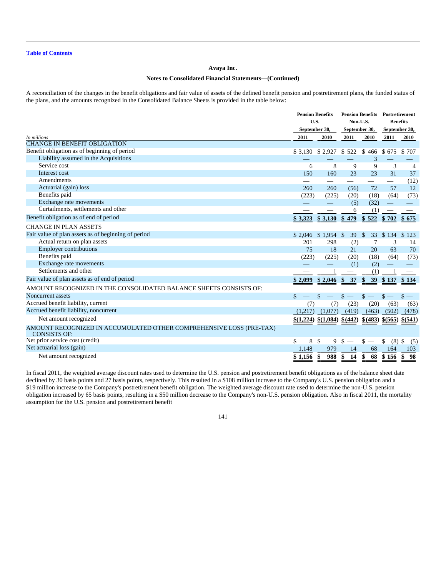# **Notes to Consolidated Financial Statements—(Continued)**

A reconciliation of the changes in the benefit obligations and fair value of assets of the defined benefit pension and postretirement plans, the funded status of the plans, and the amounts recognized in the Consolidated Balance Sheets is provided in the table below:

|                                                                                            | <b>Pension Benefits</b><br>U.S. |                             | <b>Pension Benefits</b><br>Non-U.S. |                          | Postretirement<br><b>Benefits</b> |                     |
|--------------------------------------------------------------------------------------------|---------------------------------|-----------------------------|-------------------------------------|--------------------------|-----------------------------------|---------------------|
|                                                                                            |                                 |                             |                                     |                          |                                   |                     |
|                                                                                            | September 30,                   |                             | September 30,                       |                          | September 30,                     |                     |
| In millions                                                                                | 2011                            | 2010                        | 2011                                | 2010                     | 2011                              | 2010                |
| <b>CHANGE IN BENEFIT OBLIGATION</b>                                                        |                                 |                             |                                     |                          |                                   |                     |
| Benefit obligation as of beginning of period                                               | \$3,130 \$2,927                 |                             | \$522                               | \$466                    | \$675                             | \$707               |
| Liability assumed in the Acquisitions                                                      |                                 |                             |                                     | 3                        |                                   |                     |
| Service cost                                                                               | 6                               | 8                           | 9                                   | 9                        | 3                                 | 4                   |
| Interest cost                                                                              | 150                             | 160                         | 23                                  | 23                       | 31                                | 37                  |
| Amendments                                                                                 |                                 | $\overline{\phantom{0}}$    |                                     | $\overline{\phantom{0}}$ | $\qquad \qquad$                   | (12)                |
| Actuarial (gain) loss                                                                      | 260                             | 260                         | (56)                                | 72                       | 57                                | 12                  |
| Benefits paid                                                                              | (223)                           | (225)                       | (20)                                | (18)                     | (64)                              | (73)                |
| Exchange rate movements                                                                    |                                 |                             | (5)                                 | (32)                     |                                   |                     |
| Curtailments, settlements and other                                                        |                                 |                             | 6                                   | (1)                      |                                   |                     |
| Benefit obligation as of end of period                                                     | \$3,323                         | \$3,130                     | \$479                               | \$522                    | \$702                             | \$675               |
| <b>CHANGE IN PLAN ASSETS</b>                                                               |                                 |                             |                                     |                          |                                   |                     |
| Fair value of plan assets as of beginning of period                                        |                                 | $$2,046$ $$1,954$ $$$       | 39                                  | 33<br>\$                 | \$134                             | $\mathbb{S}$<br>123 |
| Actual return on plan assets                                                               | 201                             | 298                         | (2)                                 | 7                        | 3                                 | 14                  |
| <b>Employer contributions</b>                                                              | 75                              | 18                          | 21                                  | 20                       | 63                                | 70                  |
| Benefits paid                                                                              | (223)                           | (225)                       | (20)                                | (18)                     | (64)                              | (73)                |
| Exchange rate movements                                                                    |                                 |                             | (1)                                 | (2)                      |                                   |                     |
| Settlements and other                                                                      |                                 |                             |                                     | (1)                      |                                   |                     |
| Fair value of plan assets as of end of period                                              | \$2,099                         | \$2,046                     | 37<br>\$                            | 39<br>\$                 | \$137                             | \$134               |
| AMOUNT RECOGNIZED IN THE CONSOLIDATED BALANCE SHEETS CONSISTS OF:                          |                                 |                             |                                     |                          |                                   |                     |
| Noncurrent assets                                                                          | $\mathbf{s}$                    |                             | \$.                                 | $\mathcal{S}$            | $s -$                             | \$                  |
| Accrued benefit liability, current                                                         | (7)                             | (7)                         | (23)                                | (20)                     | (63)                              | (63)                |
| Accrued benefit liability, noncurrent                                                      | (1,217)                         | (1,077)                     | (419)                               | (463)                    | (502)                             | (478)               |
| Net amount recognized                                                                      |                                 | \$(1,224) \$(1,084) \$(442) |                                     |                          | \$(483) \$(565) \$(541)           |                     |
| AMOUNT RECOGNIZED IN ACCUMULATED OTHER COMPREHENSIVE LOSS (PRE-TAX)<br><b>CONSISTS OF:</b> |                                 |                             |                                     |                          |                                   |                     |
| Net prior service cost (credit)                                                            | \$<br>8 \$                      | 9                           | $\mathbf{s}$                        | $s -$                    | $\mathbb{S}$<br>$(8)$ \$          | (5)                 |
| Net actuarial loss (gain)                                                                  | 1,148                           | 979                         | 14                                  | 68                       | 164                               | 103                 |
| Net amount recognized                                                                      | \$1,156                         | 988<br>\$                   | 14<br>\$                            | \$<br>68                 | \$156                             | \$<br>98            |

In fiscal 2011, the weighted average discount rates used to determine the U.S. pension and postretirement benefit obligations as of the balance sheet date declined by 30 basis points and 27 basis points, respectively. This resulted in a \$108 million increase to the Company's U.S. pension obligation and a \$19 million increase to the Company's postretirement benefit obligation. The weighted average discount rate used to determine the non-U.S. pension obligation increased by 65 basis points, resulting in a \$50 million decrease to the Company's non-U.S. pension obligation. Also in fiscal 2011, the mortality assumption for the U.S. pension and postretirement benefit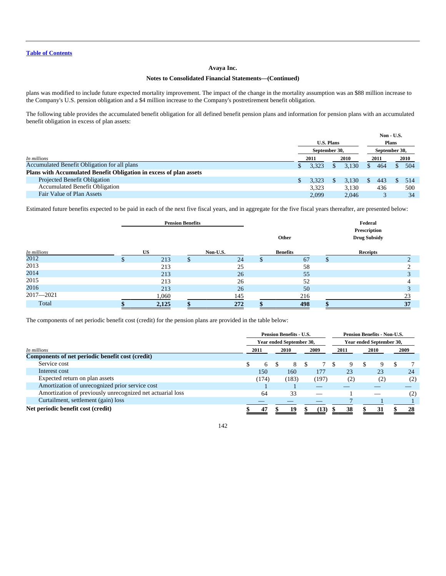## **Notes to Consolidated Financial Statements—(Continued)**

plans was modified to include future expected mortality improvement. The impact of the change in the mortality assumption was an \$88 million increase to the Company's U.S. pension obligation and a \$4 million increase to the Company's postretirement benefit obligation.

The following table provides the accumulated benefit obligation for all defined benefit pension plans and information for pension plans with an accumulated benefit obligation in excess of plan assets:

|                                                                    |                   |       |  |       |               | $Non$ - U.S. |              |      |
|--------------------------------------------------------------------|-------------------|-------|--|-------|---------------|--------------|--------------|------|
|                                                                    | <b>U.S. Plans</b> |       |  |       |               |              | <b>Plans</b> |      |
|                                                                    | September 30,     |       |  |       | September 30, |              |              |      |
| In millions                                                        | 2011<br>2010      |       |  |       | 2011          |              |              | 2010 |
| Accumulated Benefit Obligation for all plans                       |                   | 3.323 |  | 3.130 | \$            | 464          |              | 504  |
| Plans with Accumulated Benefit Obligation in excess of plan assets |                   |       |  |       |               |              |              |      |
| Projected Benefit Obligation                                       |                   | 3.323 |  | 3.130 |               | 443          |              | 514  |
| <b>Accumulated Benefit Obligation</b>                              |                   | 3,323 |  | 3,130 |               | 436          |              | 500  |
| Fair Value of Plan Assets                                          |                   | 2.099 |  | 2.046 |               |              |              | 34   |

Estimated future benefits expected to be paid in each of the next five fiscal years, and in aggregate for the five fiscal years thereafter, are presented below:

|               |           | <b>Pension Benefits</b> |          |     |                 |     | Federal                                    |  |
|---------------|-----------|-------------------------|----------|-----|-----------------|-----|--------------------------------------------|--|
|               |           |                         |          |     | Other           |     | <b>Prescription</b><br><b>Drug Subsidy</b> |  |
| In millions   | <b>US</b> |                         | Non-U.S. |     | <b>Benefits</b> |     | <b>Receipts</b>                            |  |
| 2012          | 213       |                         | 24       | лh. | 67              | аĐ. |                                            |  |
| 2013          | 213       |                         | 25       |     | 58              |     |                                            |  |
| 2014          | 213       |                         | 26       |     | 55              |     |                                            |  |
| 2015          | 213       |                         | 26       |     | 52              |     |                                            |  |
| 2016          | 213       |                         | 26       |     | 50              |     |                                            |  |
| $2017 - 2021$ | 1,060     |                         | 145      |     | 216             |     | 23                                         |  |
| Total         | 2,125     |                         | 272      |     | 498             |     | 37                                         |  |

The components of net periodic benefit cost (credit) for the pension plans are provided in the table below:

|                                                            | <b>Pension Benefits - U.S.</b> |       |  |             |  |       | <b>Pension Benefits - Non-U.S.</b> |      |  |             |  |      |
|------------------------------------------------------------|--------------------------------|-------|--|-------------|--|-------|------------------------------------|------|--|-------------|--|------|
|                                                            | Year ended September 30,       |       |  |             |  |       | Year ended September 30,           |      |  |             |  |      |
| In millions                                                |                                | 2011  |  | <b>2010</b> |  | 2009  |                                    | 2011 |  | <b>2010</b> |  | 2009 |
| Components of net periodic benefit cost (credit)           |                                |       |  |             |  |       |                                    |      |  |             |  |      |
| Service cost                                               |                                | 6     |  | 8           |  |       |                                    | 9    |  | ч           |  |      |
| Interest cost                                              |                                | 150   |  | 160         |  | 177   |                                    | 23   |  | 23          |  | 24   |
| Expected return on plan assets                             |                                | (174) |  | (183)       |  | (197) |                                    | (2)  |  | (2)         |  | (2)  |
| Amortization of unrecognized prior service cost            |                                |       |  |             |  |       |                                    |      |  |             |  |      |
| Amortization of previously unrecognized net actuarial loss |                                | 64    |  | 33          |  |       |                                    |      |  |             |  | (2)  |
| Curtailment, settlement (gain) loss                        |                                |       |  |             |  |       |                                    |      |  |             |  |      |
| Net periodic benefit cost (credit)                         |                                | 47    |  | 19          |  | (13)  |                                    | 38   |  | 31          |  | 28   |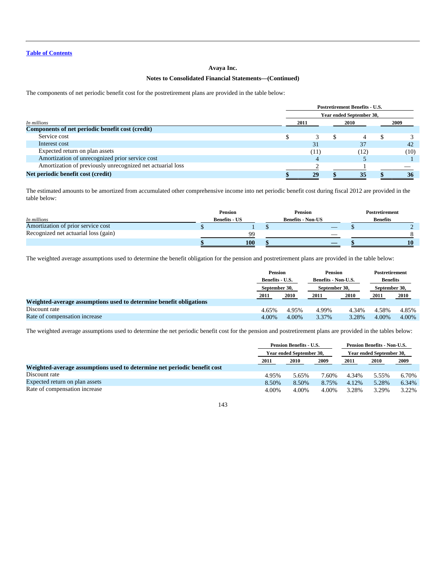## **Notes to Consolidated Financial Statements—(Continued)**

The components of net periodic benefit cost for the postretirement plans are provided in the table below:

|                                                            |  | <b>Postretirement Benefits - U.S.</b> |  |                   |  |      |  |  |
|------------------------------------------------------------|--|---------------------------------------|--|-------------------|--|------|--|--|
|                                                            |  | Year ended September 30,              |  |                   |  |      |  |  |
| In millions                                                |  | 2011<br><b>2010</b><br>2009           |  |                   |  |      |  |  |
| Components of net periodic benefit cost (credit)           |  |                                       |  |                   |  |      |  |  |
| Service cost                                               |  |                                       |  |                   |  |      |  |  |
| Interest cost                                              |  | 31                                    |  | 37                |  | 42   |  |  |
| Expected return on plan assets                             |  | (11)                                  |  | $\left(12\right)$ |  | (10) |  |  |
| Amortization of unrecognized prior service cost            |  |                                       |  |                   |  |      |  |  |
| Amortization of previously unrecognized net actuarial loss |  |                                       |  |                   |  |      |  |  |
| Net periodic benefit cost (credit)                         |  | 29                                    |  | 35                |  |      |  |  |

The estimated amounts to be amortized from accumulated other comprehensive income into net periodic benefit cost during fiscal 2012 are provided in the table below:

|                                      | <b>Pension</b> |                      |  | Pension                  | Postretirement  |
|--------------------------------------|----------------|----------------------|--|--------------------------|-----------------|
| In millions                          |                | <b>Benefits - US</b> |  | <b>Benefits - Non-US</b> | <b>Benefits</b> |
| Amortization of prior service cost   |                |                      |  |                          |                 |
| Recognized net actuarial loss (gain) |                | QQ                   |  |                          |                 |
|                                      |                | 100                  |  |                          |                 |

The weighted average assumptions used to determine the benefit obligation for the pension and postretirement plans are provided in the table below:

|                                                                    | Pension<br><b>Pension</b>        |             |                                             |             | <b>Postretirement</b> |       |
|--------------------------------------------------------------------|----------------------------------|-------------|---------------------------------------------|-------------|-----------------------|-------|
|                                                                    | Benefits - U.S.<br>September 30, |             | <b>Benefits - Non-U.S.</b><br>September 30. |             | <b>Benefits</b>       |       |
|                                                                    |                                  |             |                                             |             | September 30,         |       |
|                                                                    | 2011                             | <b>2010</b> | 2011                                        | <b>2010</b> | 2011                  | 2010  |
| Weighted-average assumptions used to determine benefit obligations |                                  |             |                                             |             |                       |       |
| Discount rate                                                      | 4.65%                            | 4.95%       | 4.99%                                       | 4.34%       | 4.58%                 | 4.85% |
| Rate of compensation increase                                      | 4.00%                            | 4.00%       | 3.37%                                       | 3.28%       | 4.00%                 | 4.00% |

The weighted average assumptions used to determine the net periodic benefit cost for the pension and postretirement plans are provided in the tables below:

|                                                                          | <b>Pension Benefits - U.S.</b> |             |       | <b>Pension Benefits - Non-U.S.</b> |       |       |  |  |
|--------------------------------------------------------------------------|--------------------------------|-------------|-------|------------------------------------|-------|-------|--|--|
|                                                                          | Year ended September 30,       |             |       | Year ended September 30.           |       |       |  |  |
|                                                                          | 2011                           | <b>2010</b> | 2009  | 2011                               | 2010  | 2009  |  |  |
| Weighted-average assumptions used to determine net periodic benefit cost |                                |             |       |                                    |       |       |  |  |
| Discount rate                                                            | 4.95%                          | 5.65%       | 7.60% | 4.34%                              | 5.55% | 6.70% |  |  |
| Expected return on plan assets                                           | 8.50%                          | 8.50%       | 8.75% | 4.12%                              | 5.28% | 6.34% |  |  |
| Rate of compensation increase                                            | 4.00%                          | 4.00%       | 4.00% | 3.28%                              | 3.29% | 3.22% |  |  |

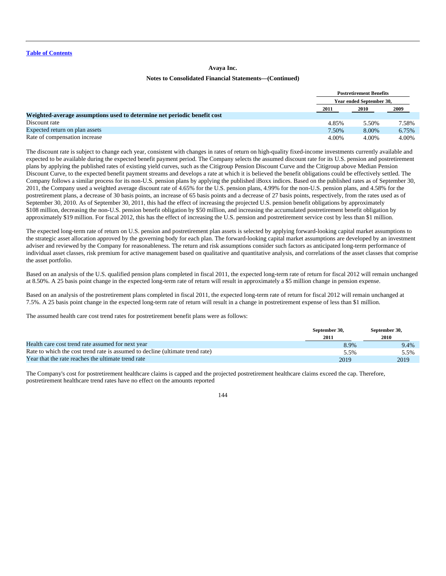### **Notes to Consolidated Financial Statements—(Continued)**

|                                                                          | <b>Postretirement Benefits</b> |             |       |  |  |
|--------------------------------------------------------------------------|--------------------------------|-------------|-------|--|--|
|                                                                          | Year ended September 30,       |             |       |  |  |
|                                                                          | 2011                           | <b>2010</b> | 2009  |  |  |
| Weighted-average assumptions used to determine net periodic benefit cost |                                |             |       |  |  |
| Discount rate                                                            | 4.85%                          | 5.50%       | 7.58% |  |  |
| Expected return on plan assets                                           | 7.50%                          | 8.00%       | 6.75% |  |  |
| Rate of compensation increase                                            | 4.00%                          | 4.00%       | 4.00% |  |  |

The discount rate is subject to change each year, consistent with changes in rates of return on high-quality fixed-income investments currently available and expected to be available during the expected benefit payment period. The Company selects the assumed discount rate for its U.S. pension and postretirement plans by applying the published rates of existing yield curves, such as the Citigroup Pension Discount Curve and the Citigroup above Median Pension Discount Curve, to the expected benefit payment streams and develops a rate at which it is believed the benefit obligations could be effectively settled. The Company follows a similar process for its non-U.S. pension plans by applying the published iBoxx indices. Based on the published rates as of September 30, 2011, the Company used a weighted average discount rate of 4.65% for the U.S. pension plans, 4.99% for the non-U.S. pension plans, and 4.58% for the postretirement plans, a decrease of 30 basis points, an increase of 65 basis points and a decrease of 27 basis points, respectively, from the rates used as of September 30, 2010. As of September 30, 2011, this had the effect of increasing the projected U.S. pension benefit obligations by approximately \$108 million, decreasing the non-U.S. pension benefit obligation by \$50 million, and increasing the accumulated postretirement benefit obligation by approximately \$19 million. For fiscal 2012, this has the effect of increasing the U.S. pension and postretirement service cost by less than \$1 million.

The expected long-term rate of return on U.S. pension and postretirement plan assets is selected by applying forward-looking capital market assumptions to the strategic asset allocation approved by the governing body for each plan. The forward-looking capital market assumptions are developed by an investment adviser and reviewed by the Company for reasonableness. The return and risk assumptions consider such factors as anticipated long-term performance of individual asset classes, risk premium for active management based on qualitative and quantitative analysis, and correlations of the asset classes that comprise the asset portfolio.

Based on an analysis of the U.S. qualified pension plans completed in fiscal 2011, the expected long-term rate of return for fiscal 2012 will remain unchanged at 8.50%. A 25 basis point change in the expected long-term rate of return will result in approximately a \$5 million change in pension expense.

Based on an analysis of the postretirement plans completed in fiscal 2011, the expected long-term rate of return for fiscal 2012 will remain unchanged at 7.5%. A 25 basis point change in the expected long-term rate of return will result in a change in postretirement expense of less than \$1 million.

The assumed health care cost trend rates for postretirement benefit plans were as follows:

|                                                                               | September 30, | September 30, |
|-------------------------------------------------------------------------------|---------------|---------------|
|                                                                               | 2011          | 2010          |
| Health care cost trend rate assumed for next year                             | 8.9%          | 9.4%          |
| Rate to which the cost trend rate is assumed to decline (ultimate trend rate) | 5.5%          | 5.5%          |
| Year that the rate reaches the ultimate trend rate                            | 2019          | 2019          |

The Company's cost for postretirement healthcare claims is capped and the projected postretirement healthcare claims exceed the cap. Therefore, postretirement healthcare trend rates have no effect on the amounts reported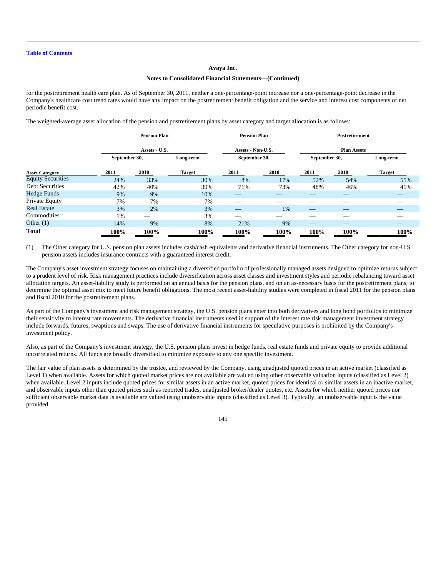## **Notes to Consolidated Financial Statements—(Continued)**

for the postretirement health care plan. As of September 30, 2011, neither a one-percentage-point increase nor a one-percentage-point decrease in the Company's healthcare cost trend rates would have any impact on the postretirement benefit obligation and the service and interest cost components of net periodic benefit cost.

The weighted-average asset allocation of the pension and postretirement plans by asset category and target allocation is as follows:

|                          |               | <b>Pension Plan</b> |               | <b>Pension Plan</b> |      |                    | <b>Postretirement</b> |               |  |  |
|--------------------------|---------------|---------------------|---------------|---------------------|------|--------------------|-----------------------|---------------|--|--|
|                          |               | Assets - U.S.       |               | Assets - Non-U.S.   |      | <b>Plan Assets</b> |                       |               |  |  |
|                          | September 30, |                     | Long-term     | September 30,       |      | September 30,      |                       | Long-term     |  |  |
| <b>Asset Category</b>    | 2011          | 2010                | <b>Target</b> | 2011                | 2010 | 2011               | 2010                  | <b>Target</b> |  |  |
| <b>Equity Securities</b> | 24%           | 33%                 | 30%           | 8%                  | 17%  | 52%                | 54%                   | 55%           |  |  |
| <b>Debt Securities</b>   | 42%           | 40%                 | 39%           | 71%                 | 73%  | 48%                | 46%                   | 45%           |  |  |
| <b>Hedge Funds</b>       | 9%            | 9%                  | 10%           |                     |      |                    |                       |               |  |  |
| Private Equity           | 7%            | 7%                  | 7%            |                     |      |                    |                       |               |  |  |
| <b>Real Estate</b>       | 3%            | 2%                  | 3%            | _                   | 1%   | _                  |                       |               |  |  |
| Commodities              | 1%            | _                   | 3%            |                     |      |                    |                       |               |  |  |
| Other $(1)$              | 14%           | 9%                  | 8%            | 21%                 | 9%   |                    |                       |               |  |  |
| <b>Total</b>             | 100%          | 100%                | 100%          | 100%                | 100% | 100%               | 100%                  | 100%          |  |  |

(1) The Other category for U.S. pension plan assets includes cash/cash equivalents and derivative financial instruments. The Other category for non-U.S. pension assets includes insurance contracts with a guaranteed interest credit.

The Company's asset investment strategy focuses on maintaining a diversified portfolio of professionally managed assets designed to optimize returns subject to a prudent level of risk. Risk management practices include diversification across asset classes and investment styles and periodic rebalancing toward asset allocation targets. An asset-liability study is performed on an annual basis for the pension plans, and on an as-necessary basis for the postretirement plans, to determine the optimal asset mix to meet future benefit obligations. The most recent asset-liability studies were completed in fiscal 2011 for the pension plans and fiscal 2010 for the postretirement plans.

As part of the Company's investment and risk management strategy, the U.S. pension plans enter into both derivatives and long bond portfolios to minimize their sensitivity to interest rate movements. The derivative financial instruments used in support of the interest rate risk management investment strategy include forwards, futures, swaptions and swaps. The use of derivative financial instruments for speculative purposes is prohibited by the Company's investment policy.

Also, as part of the Company's investment strategy, the U.S. pension plans invest in hedge funds, real estate funds and private equity to provide additional uncorrelated returns. All funds are broadly diversified to minimize exposure to any one specific investment.

The fair value of plan assets is determined by the trustee, and reviewed by the Company, using unadjusted quoted prices in an active market (classified as Level 1) when available. Assets for which quoted market prices are not available are valued using other observable valuation inputs (classified as Level 2) when available. Level 2 inputs include quoted prices for similar assets in an active market, quoted prices for identical or similar assets in an inactive market, and observable inputs other than quoted prices such as reported trades, unadjusted broker/dealer quotes, etc. Assets for which neither quoted prices nor sufficient observable market data is available are valued using unobservable inputs (classified as Level 3). Typically, an unobservable input is the value provided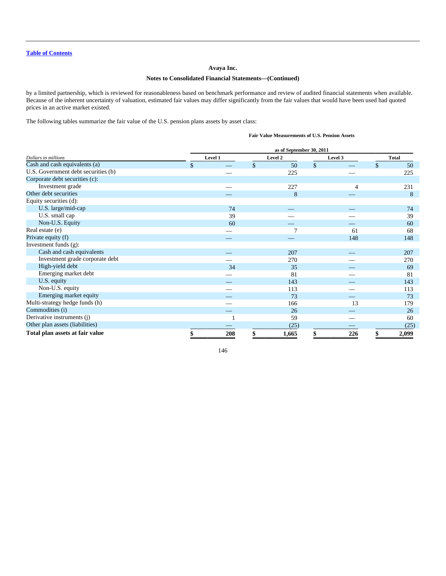## **Notes to Consolidated Financial Statements—(Continued)**

by a limited partnership, which is reviewed for reasonableness based on benchmark performance and review of audited financial statements when available. Because of the inherent uncertainty of valuation, estimated fair values may differ significantly from the fair values that would have been used had quoted prices in an active market existed.

The following tables summarize the fair value of the U.S. pension plans assets by asset class:

## **Fair Value Measurements of U.S. Pension Assets**

|                                     | as of September 30, 2011 |         |              |         |               |         |              |              |  |  |  |
|-------------------------------------|--------------------------|---------|--------------|---------|---------------|---------|--------------|--------------|--|--|--|
| Dollars in millions                 |                          | Level 1 |              | Level 2 |               | Level 3 |              | <b>Total</b> |  |  |  |
| Cash and cash equivalents (a)       | $\mathcal{S}$            |         | $\mathbb{S}$ | 50      | $\mathsf{\$}$ |         | $\mathbb{S}$ | 50           |  |  |  |
| U.S. Government debt securities (b) |                          |         |              | 225     |               |         |              | 225          |  |  |  |
| Corporate debt securities (c):      |                          |         |              |         |               |         |              |              |  |  |  |
| Investment grade                    |                          |         |              | 227     |               | 4       |              | 231          |  |  |  |
| Other debt securities               |                          |         |              | 8       |               |         |              | 8            |  |  |  |
| Equity securities (d):              |                          |         |              |         |               |         |              |              |  |  |  |
| U.S. large/mid-cap                  |                          | 74      |              |         |               |         |              | 74           |  |  |  |
| U.S. small cap                      |                          | 39      |              |         |               |         |              | 39           |  |  |  |
| Non-U.S. Equity                     |                          | 60      |              |         |               |         |              | 60           |  |  |  |
| Real estate (e)                     |                          |         |              |         |               | 61      |              | 68           |  |  |  |
| Private equity (f)                  |                          |         |              |         |               | 148     |              | 148          |  |  |  |
| Investment funds $(g)$ :            |                          |         |              |         |               |         |              |              |  |  |  |
| Cash and cash equivalents           |                          |         |              | 207     |               |         |              | 207          |  |  |  |
| Investment grade corporate debt     |                          |         |              | 270     |               |         |              | 270          |  |  |  |
| High-yield debt                     |                          | 34      |              | 35      |               |         |              | 69           |  |  |  |
| Emerging market debt                |                          |         |              | 81      |               |         |              | 81           |  |  |  |
| U.S. equity                         |                          |         |              | 143     |               |         |              | 143          |  |  |  |
| Non-U.S. equity                     |                          |         |              | 113     |               |         |              | 113          |  |  |  |
| Emerging market equity              |                          |         |              | 73      |               |         |              | 73           |  |  |  |
| Multi-strategy hedge funds (h)      |                          |         |              | 166     |               | 13      |              | 179          |  |  |  |
| Commodities (i)                     |                          |         |              | 26      |               |         |              | 26           |  |  |  |
| Derivative instruments (j)          |                          |         |              | 59      |               |         |              | 60           |  |  |  |
| Other plan assets (liabilities)     |                          |         |              | (25)    |               |         |              | (25)         |  |  |  |
| Total plan assets at fair value     |                          | 208     |              | 1,665   |               | 226     |              | 2,099        |  |  |  |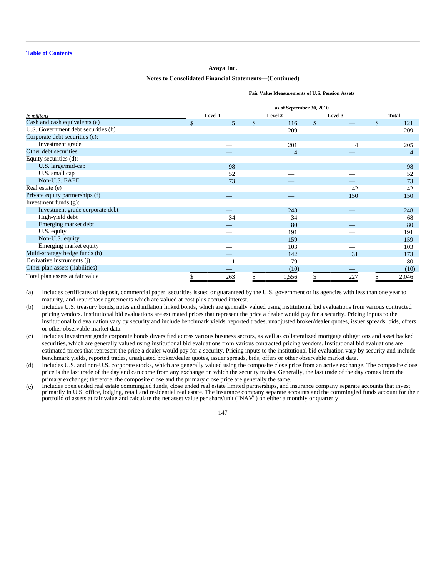#### **Notes to Consolidated Financial Statements—(Continued)**

**Fair Value Measurements of U.S. Pension Assets**

|                                     | as of September 30, 2010 |         |    |                |         |     |    |                |  |  |  |
|-------------------------------------|--------------------------|---------|----|----------------|---------|-----|----|----------------|--|--|--|
| In millions                         |                          | Level 1 |    | Level 2        | Level 3 |     |    | <b>Total</b>   |  |  |  |
| Cash and cash equivalents (a)       | \$                       | 5       | \$ | 116            | \$      |     | \$ | 121            |  |  |  |
| U.S. Government debt securities (b) |                          |         |    | 209            |         |     |    | 209            |  |  |  |
| Corporate debt securities (c):      |                          |         |    |                |         |     |    |                |  |  |  |
| Investment grade                    |                          |         |    | 201            |         | 4   |    | 205            |  |  |  |
| Other debt securities               |                          |         |    | $\overline{4}$ |         |     |    | $\overline{4}$ |  |  |  |
| Equity securities (d):              |                          |         |    |                |         |     |    |                |  |  |  |
| U.S. large/mid-cap                  |                          | 98      |    |                |         |     |    | 98             |  |  |  |
| U.S. small cap                      |                          | 52      |    |                |         |     |    | 52             |  |  |  |
| Non-U.S. EAFE                       |                          | 73      |    |                |         |     |    | 73             |  |  |  |
| Real estate (e)                     |                          |         |    |                |         | 42  |    | 42             |  |  |  |
| Private equity partnerships (f)     |                          |         |    |                |         | 150 |    | 150            |  |  |  |
| Investment funds $(g)$ :            |                          |         |    |                |         |     |    |                |  |  |  |
| Investment grade corporate debt     |                          |         |    | 248            |         |     |    | 248            |  |  |  |
| High-yield debt                     |                          | 34      |    | 34             |         |     |    | 68             |  |  |  |
| Emerging market debt                |                          |         |    | 80             |         |     |    | 80             |  |  |  |
| U.S. equity                         |                          |         |    | 191            |         |     |    | 191            |  |  |  |
| Non-U.S. equity                     |                          |         |    | 159            |         |     |    | 159            |  |  |  |
| Emerging market equity              |                          |         |    | 103            |         |     |    | 103            |  |  |  |
| Multi-strategy hedge funds (h)      |                          |         |    | 142            |         | 31  |    | 173            |  |  |  |
| Derivative instruments (j)          |                          |         |    | 79             |         |     |    | 80             |  |  |  |
| Other plan assets (liabilities)     |                          |         |    | (10)           |         |     |    | (10)           |  |  |  |
| Total plan assets at fair value     |                          | 263     |    | 1,556          |         | 227 |    | 2,046          |  |  |  |

(a) Includes certificates of deposit, commercial paper, securities issued or guaranteed by the U.S. government or its agencies with less than one year to maturity, and repurchase agreements which are valued at cost plus accrued interest.

(b) Includes U.S. treasury bonds, notes and inflation linked bonds, which are generally valued using institutional bid evaluations from various contracted pricing vendors. Institutional bid evaluations are estimated prices that represent the price a dealer would pay for a security. Pricing inputs to the institutional bid evaluation vary by security and include benchmark yields, reported trades, unadjusted broker/dealer quotes, issuer spreads, bids, offers or other observable market data.

(c) Includes Investment grade corporate bonds diversified across various business sectors, as well as collateralized mortgage obligations and asset backed securities, which are generally valued using institutional bid evaluations from various contracted pricing vendors. Institutional bid evaluations are estimated prices that represent the price a dealer would pay for a security. Pricing inputs to the institutional bid evaluation vary by security and include benchmark yields, reported trades, unadjusted broker/dealer quotes, issuer spreads, bids, offers or other observable market data.

(d) Includes U.S. and non-U.S. corporate stocks, which are generally valued using the composite close price from an active exchange. The composite close price is the last trade of the day and can come from any exchange on which the security trades. Generally, the last trade of the day comes from the primary exchange; therefore, the composite close and the primary close price are generally the same.

(e) Includes open ended real estate commingled funds, close ended real estate limited partnerships, and insurance company separate accounts that invest primarily in U.S. office, lodging, retail and residential real estate. The insurance company separate accounts and the commingled funds account for their portfolio of assets at fair value and calculate the net asset value per share/unit ("NAV") on either a monthly or quarterly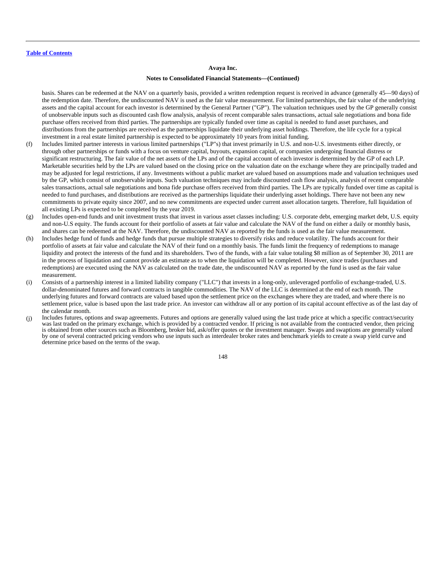#### **Avaya Inc.**

## **Notes to Consolidated Financial Statements—(Continued)**

basis. Shares can be redeemed at the NAV on a quarterly basis, provided a written redemption request is received in advance (generally 45—90 days) of the redemption date. Therefore, the undiscounted NAV is used as the fair value measurement. For limited partnerships, the fair value of the underlying assets and the capital account for each investor is determined by the General Partner ("GP"). The valuation techniques used by the GP generally consist of unobservable inputs such as discounted cash flow analysis, analysis of recent comparable sales transactions, actual sale negotiations and bona fide purchase offers received from third parties. The partnerships are typically funded over time as capital is needed to fund asset purchases, and distributions from the partnerships are received as the partnerships liquidate their underlying asset holdings. Therefore, the life cycle for a typical investment in a real estate limited partnership is expected to be approximately 10 years from initial funding.

- (f) Includes limited partner interests in various limited partnerships ("LP"s) that invest primarily in U.S. and non-U.S. investments either directly, or through other partnerships or funds with a focus on venture capital, buyouts, expansion capital, or companies undergoing financial distress or significant restructuring. The fair value of the net assets of the LPs and of the capital account of each investor is determined by the GP of each LP. Marketable securities held by the LPs are valued based on the closing price on the valuation date on the exchange where they are principally traded and may be adjusted for legal restrictions, if any. Investments without a public market are valued based on assumptions made and valuation techniques used by the GP, which consist of unobservable inputs. Such valuation techniques may include discounted cash flow analysis, analysis of recent comparable sales transactions, actual sale negotiations and bona fide purchase offers received from third parties. The LPs are typically funded over time as capital is needed to fund purchases, and distributions are received as the partnerships liquidate their underlying asset holdings. There have not been any new commitments to private equity since 2007, and no new commitments are expected under current asset allocation targets. Therefore, full liquidation of all existing LPs is expected to be completed by the year 2019.
- (g) Includes open-end funds and unit investment trusts that invest in various asset classes including: U.S. corporate debt, emerging market debt, U.S. equity and non-U.S equity. The funds account for their portfolio of assets at fair value and calculate the NAV of the fund on either a daily or monthly basis, and shares can be redeemed at the NAV. Therefore, the undiscounted NAV as reported by the funds is used as the fair value measurement.
- (h) Includes hedge fund of funds and hedge funds that pursue multiple strategies to diversify risks and reduce volatility. The funds account for their portfolio of assets at fair value and calculate the NAV of their fund on a monthly basis. The funds limit the frequency of redemptions to manage liquidity and protect the interests of the fund and its shareholders. Two of the funds, with a fair value totaling \$8 million as of September 30, 2011 are in the process of liquidation and cannot provide an estimate as to when the liquidation will be completed. However, since trades (purchases and redemptions) are executed using the NAV as calculated on the trade date, the undiscounted NAV as reported by the fund is used as the fair value measurement.
- (i) Consists of a partnership interest in a limited liability company ("LLC") that invests in a long-only, unleveraged portfolio of exchange-traded, U.S. dollar-denominated futures and forward contracts in tangible commodities. The NAV of the LLC is determined at the end of each month. The underlying futures and forward contracts are valued based upon the settlement price on the exchanges where they are traded, and where there is no settlement price, value is based upon the last trade price. An investor can withdraw all or any portion of its capital account effective as of the last day of the calendar month.
- (j) Includes futures, options and swap agreements. Futures and options are generally valued using the last trade price at which a specific contract/security was last traded on the primary exchange, which is provided by a contracted vendor. If pricing is not available from the contracted vendor, then pricing is obtained from other sources such as Bloomberg, broker bid, ask/offer quotes or the investment manager. Swaps and swaptions are generally valued by one of several contracted pricing vendors who use inputs such as interdealer broker rates and benchmark yields to create a swap yield curve and determine price based on the terms of the swap.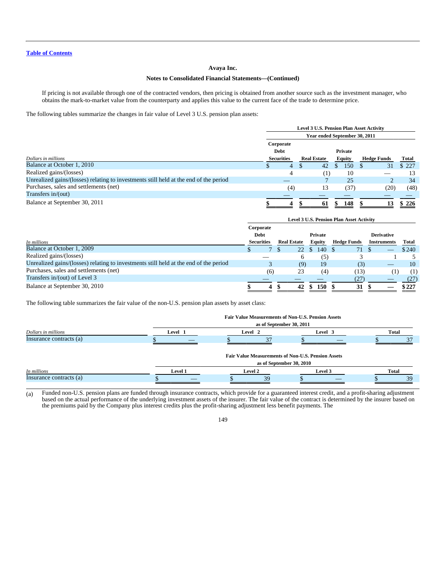## **Notes to Consolidated Financial Statements—(Continued)**

If pricing is not available through one of the contracted vendors, then pricing is obtained from another source such as the investment manager, who obtains the mark-to-market value from the counterparty and applies this value to the current face of the trade to determine price.

The following tables summarize the changes in fair value of Level 3 U.S. pension plan assets:

|                                                                                       | <b>Level 3 U.S. Pension Plan Asset Activity</b> |     |                               |   |                |                    |       |
|---------------------------------------------------------------------------------------|-------------------------------------------------|-----|-------------------------------|---|----------------|--------------------|-------|
|                                                                                       |                                                 |     | Year ended September 30, 2011 |   |                |                    |       |
|                                                                                       | Corporate                                       |     |                               |   |                |                    |       |
|                                                                                       | Debt                                            |     |                               |   | <b>Private</b> |                    |       |
| Dollars in millions                                                                   | <b>Securities</b>                               |     | <b>Real Estate</b>            |   | <b>Equity</b>  | <b>Hedge Funds</b> | Total |
| Balance at October 1, 2010                                                            |                                                 | 4   | 42<br><b>S</b>                |   | 150            | 31                 | \$227 |
| Realized gains/(losses)                                                               |                                                 | 4   | (1)                           |   | 10             |                    | 13    |
| Unrealized gains/(losses) relating to investments still held at the end of the period |                                                 |     |                               |   | 25             | 2                  | 34    |
| Purchases, sales and settlements (net)                                                |                                                 | (4) | 13                            |   | (37)           | (20)               | (48)  |
| Transfers in/(out)                                                                    |                                                 |     |                               |   |                |                    |       |
| Balance at September 30, 2011                                                         |                                                 | 4   | 61                            | ъ | 148            | 13                 | 226   |

|                                                                                       | <b>Level 3 U.S. Pension Plan Asset Activity</b> |           |                    |               |                    |                    |              |
|---------------------------------------------------------------------------------------|-------------------------------------------------|-----------|--------------------|---------------|--------------------|--------------------|--------------|
|                                                                                       |                                                 | Corporate |                    |               |                    |                    |              |
|                                                                                       | <b>Debt</b>                                     |           |                    | Private       |                    | <b>Derivative</b>  |              |
| In millions                                                                           | <b>Securities</b>                               |           | <b>Real Estate</b> | <b>Equity</b> | <b>Hedge Funds</b> | <b>Instruments</b> | <b>Total</b> |
| Balance at October 1, 2009                                                            | ٠D                                              |           | 22<br>- 55         | 140 \$<br>S.  |                    | 71 \$<br>_         | \$240        |
| Realized gains/(losses)                                                               |                                                 |           | b                  | (5)           |                    |                    |              |
| Unrealized gains/(losses) relating to investments still held at the end of the period |                                                 |           | (9)                | 19            | (3)                |                    | 10           |
| Purchases, sales and settlements (net)                                                |                                                 | (6)       | 23                 | (4)           | (13)               | (1)                | (1)          |
| Transfers in/(out) of Level 3                                                         |                                                 |           |                    |               | (27)               |                    | (27)         |
| Balance at September 30, 2010                                                         |                                                 | 4         | 42                 | 150<br>S      | 31                 |                    | \$227        |

The following table summarizes the fair value of the non-U.S. pension plan assets by asset class:

#### **Fair Value Measurements of Non-U.S. Pension Assets as of September 30, 2011**

|                                   |       |                          |       | as of September 50, 2011 |  |                          |              |  |  |
|-----------------------------------|-------|--------------------------|-------|--------------------------|--|--------------------------|--------------|--|--|
| <b>Dollars</b><br><br>in millions | Level |                          | Level |                          |  | $\alpha$ va<br>Leve      | <b>Total</b> |  |  |
| contracts<br>Insurance<br>1 a     |       | $\overline{\phantom{a}}$ |       | $\sim$                   |  | $\overline{\phantom{a}}$ |              |  |  |
|                                   |       |                          |       |                          |  |                          |              |  |  |

#### **Fair Value Measurements of Non-U.S. Pension Assets**

|                             |                          | . sentember : | 2010<br>-30. |              |
|-----------------------------|--------------------------|---------------|--------------|--------------|
| In millions                 | Level                    | Level :       | Level        | <b>Total</b> |
| Insuran<br>contracts<br>1 a | $\overline{\phantom{a}}$ | n o           | _            | $\sim$       |

(a) Funded non-U.S. pension plans are funded through insurance contracts, which provide for a guaranteed interest credit, and a profit-sharing adjustment based on the actual performance of the underlying investment assets of the insurer. The fair value of the contract is determined by the insurer based on the premiums paid by the Company plus interest credits plus the profit-sharing adjustment less benefit payments. The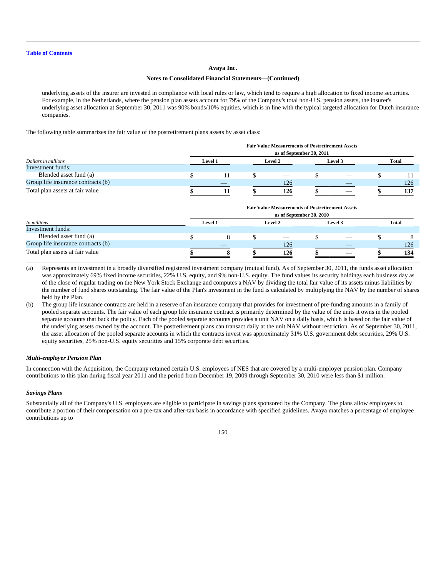## **Notes to Consolidated Financial Statements—(Continued)**

underlying assets of the insurer are invested in compliance with local rules or law, which tend to require a high allocation to fixed income securities. For example, in the Netherlands, where the pension plan assets account for 79% of the Company's total non-U.S. pension assets, the insurer's underlying asset allocation at September 30, 2011 was 90% bonds/10% equities, which is in line with the typical targeted allocation for Dutch insurance companies.

The following table summarizes the fair value of the postretirement plans assets by asset class:

|                                    | <b>Fair Value Measurements of Postretirement Assets</b> |                          |  |                                                         |  |         |  |              |  |  |
|------------------------------------|---------------------------------------------------------|--------------------------|--|---------------------------------------------------------|--|---------|--|--------------|--|--|
|                                    |                                                         |                          |  | as of September 30, 2011                                |  |         |  |              |  |  |
| Dollars in millions                |                                                         | Level 1                  |  | <b>Level 2</b>                                          |  | Level 3 |  | <b>Total</b> |  |  |
| Investment funds:                  |                                                         |                          |  |                                                         |  |         |  |              |  |  |
| Blended asset fund (a)             |                                                         | 11                       |  |                                                         |  |         |  |              |  |  |
| Group life insurance contracts (b) |                                                         |                          |  | 126                                                     |  |         |  | 126          |  |  |
| Total plan assets at fair value    |                                                         |                          |  | 126                                                     |  |         |  | 137          |  |  |
|                                    |                                                         |                          |  | <b>Fair Value Measurements of Postretirement Assets</b> |  |         |  |              |  |  |
|                                    |                                                         | as of September 30, 2010 |  |                                                         |  |         |  |              |  |  |
| In millions                        |                                                         | Level 1                  |  | Level 2                                                 |  | Level 3 |  | Total        |  |  |

| In millions                        | <b>Level 1</b> | <b>Level 2</b>           | Level ? |  | <b>Total</b> |
|------------------------------------|----------------|--------------------------|---------|--|--------------|
| Investment funds:                  |                |                          |         |  |              |
| Blended asset fund (a)             |                | $\overline{\phantom{a}}$ |         |  |              |
| Group life insurance contracts (b) |                |                          |         |  | 12C          |
| Total plan assets at fair value    |                | 126                      | _       |  |              |

(a) Represents an investment in a broadly diversified registered investment company (mutual fund). As of September 30, 2011, the funds asset allocation was approximately 69% fixed income securities, 22% U.S. equity, and 9% non-U.S. equity. The fund values its security holdings each business day as of the close of regular trading on the New York Stock Exchange and computes a NAV by dividing the total fair value of its assets minus liabilities by the number of fund shares outstanding. The fair value of the Plan's investment in the fund is calculated by multiplying the NAV by the number of shares held by the Plan.

(b) The group life insurance contracts are held in a reserve of an insurance company that provides for investment of pre-funding amounts in a family of pooled separate accounts. The fair value of each group life insurance contract is primarily determined by the value of the units it owns in the pooled separate accounts that back the policy. Each of the pooled separate accounts provides a unit NAV on a daily basis, which is based on the fair value of the underlying assets owned by the account. The postretirement plans can transact daily at the unit NAV without restriction. As of September 30, 2011, the asset allocation of the pooled separate accounts in which the contracts invest was approximately 31% U.S. government debt securities, 29% U.S. equity securities, 25% non-U.S. equity securities and 15% corporate debt securities.

#### *Multi-employer Pension Plan*

In connection with the Acquisition, the Company retained certain U.S. employees of NES that are covered by a multi-employer pension plan. Company contributions to this plan during fiscal year 2011 and the period from December 19, 2009 through September 30, 2010 were less than \$1 million.

#### *Savings Plans*

Substantially all of the Company's U.S. employees are eligible to participate in savings plans sponsored by the Company. The plans allow employees to contribute a portion of their compensation on a pre-tax and after-tax basis in accordance with specified guidelines. Avaya matches a percentage of employee contributions up to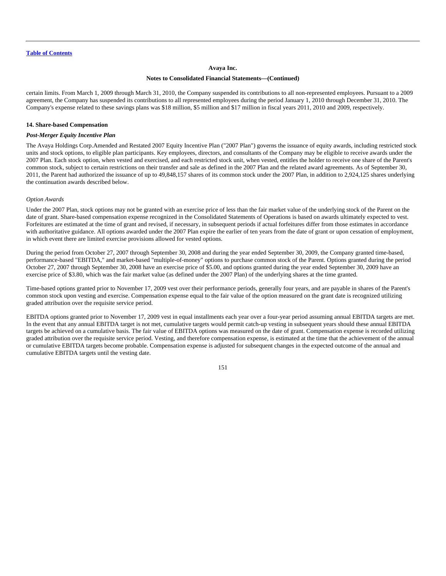## **Notes to Consolidated Financial Statements—(Continued)**

certain limits. From March 1, 2009 through March 31, 2010, the Company suspended its contributions to all non-represented employees. Pursuant to a 2009 agreement, the Company has suspended its contributions to all represented employees during the period January 1, 2010 through December 31, 2010. The Company's expense related to these savings plans was \$18 million, \$5 million and \$17 million in fiscal years 2011, 2010 and 2009, respectively.

#### **14. Share-based Compensation**

#### *Post-Merger Equity Incentive Plan*

The Avaya Holdings Corp.Amended and Restated 2007 Equity Incentive Plan ("2007 Plan") governs the issuance of equity awards, including restricted stock units and stock options, to eligible plan participants. Key employees, directors, and consultants of the Company may be eligible to receive awards under the 2007 Plan. Each stock option, when vested and exercised, and each restricted stock unit, when vested, entitles the holder to receive one share of the Parent's common stock, subject to certain restrictions on their transfer and sale as defined in the 2007 Plan and the related award agreements. As of September 30, 2011, the Parent had authorized the issuance of up to 49,848,157 shares of its common stock under the 2007 Plan, in addition to 2,924,125 shares underlying the continuation awards described below.

#### *Option Awards*

Under the 2007 Plan, stock options may not be granted with an exercise price of less than the fair market value of the underlying stock of the Parent on the date of grant. Share-based compensation expense recognized in the Consolidated Statements of Operations is based on awards ultimately expected to vest. Forfeitures are estimated at the time of grant and revised, if necessary, in subsequent periods if actual forfeitures differ from those estimates in accordance with authoritative guidance. All options awarded under the 2007 Plan expire the earlier of ten years from the date of grant or upon cessation of employment, in which event there are limited exercise provisions allowed for vested options.

During the period from October 27, 2007 through September 30, 2008 and during the year ended September 30, 2009, the Company granted time-based, performance-based "EBITDA," and market-based "multiple-of-money" options to purchase common stock of the Parent. Options granted during the period October 27, 2007 through September 30, 2008 have an exercise price of \$5.00, and options granted during the year ended September 30, 2009 have an exercise price of \$3.80, which was the fair market value (as defined under the 2007 Plan) of the underlying shares at the time granted.

Time-based options granted prior to November 17, 2009 vest over their performance periods, generally four years, and are payable in shares of the Parent's common stock upon vesting and exercise. Compensation expense equal to the fair value of the option measured on the grant date is recognized utilizing graded attribution over the requisite service period.

EBITDA options granted prior to November 17, 2009 vest in equal installments each year over a four-year period assuming annual EBITDA targets are met. In the event that any annual EBITDA target is not met, cumulative targets would permit catch-up vesting in subsequent years should these annual EBITDA targets be achieved on a cumulative basis. The fair value of EBITDA options was measured on the date of grant. Compensation expense is recorded utilizing graded attribution over the requisite service period. Vesting, and therefore compensation expense, is estimated at the time that the achievement of the annual or cumulative EBITDA targets become probable. Compensation expense is adjusted for subsequent changes in the expected outcome of the annual and cumulative EBITDA targets until the vesting date.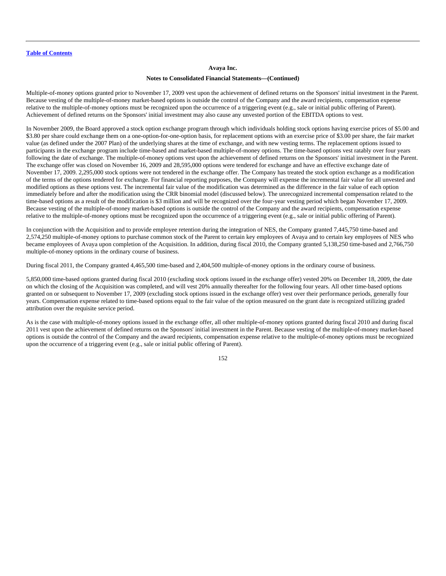## **Avaya Inc.**

## **Notes to Consolidated Financial Statements—(Continued)**

Multiple-of-money options granted prior to November 17, 2009 vest upon the achievement of defined returns on the Sponsors' initial investment in the Parent. Because vesting of the multiple-of-money market-based options is outside the control of the Company and the award recipients, compensation expense relative to the multiple-of-money options must be recognized upon the occurrence of a triggering event (e.g., sale or initial public offering of Parent). Achievement of defined returns on the Sponsors' initial investment may also cause any unvested portion of the EBITDA options to vest.

In November 2009, the Board approved a stock option exchange program through which individuals holding stock options having exercise prices of \$5.00 and \$3.80 per share could exchange them on a one-option-for-one-option basis, for replacement options with an exercise price of \$3.00 per share, the fair market value (as defined under the 2007 Plan) of the underlying shares at the time of exchange, and with new vesting terms. The replacement options issued to participants in the exchange program include time-based and market-based multiple-of-money options. The time-based options vest ratably over four years following the date of exchange. The multiple-of-money options vest upon the achievement of defined returns on the Sponsors' initial investment in the Parent. The exchange offer was closed on November 16, 2009 and 28,595,000 options were tendered for exchange and have an effective exchange date of November 17, 2009. 2,295,000 stock options were not tendered in the exchange offer. The Company has treated the stock option exchange as a modification of the terms of the options tendered for exchange. For financial reporting purposes, the Company will expense the incremental fair value for all unvested and modified options as these options vest. The incremental fair value of the modification was determined as the difference in the fair value of each option immediately before and after the modification using the CRR binomial model (discussed below). The unrecognized incremental compensation related to the time-based options as a result of the modification is \$3 million and will be recognized over the four-year vesting period which began November 17, 2009. Because vesting of the multiple-of-money market-based options is outside the control of the Company and the award recipients, compensation expense relative to the multiple-of-money options must be recognized upon the occurrence of a triggering event (e.g., sale or initial public offering of Parent).

In conjunction with the Acquisition and to provide employee retention during the integration of NES, the Company granted 7,445,750 time-based and 2,574,250 multiple-of-money options to purchase common stock of the Parent to certain key employees of Avaya and to certain key employees of NES who became employees of Avaya upon completion of the Acquisition. In addition, during fiscal 2010, the Company granted 5,138,250 time-based and 2,766,750 multiple-of-money options in the ordinary course of business.

During fiscal 2011, the Company granted 4,465,500 time-based and 2,404,500 multiple-of-money options in the ordinary course of business.

5,850,000 time-based options granted during fiscal 2010 (excluding stock options issued in the exchange offer) vested 20% on December 18, 2009, the date on which the closing of the Acquisition was completed, and will vest 20% annually thereafter for the following four years. All other time-based options granted on or subsequent to November 17, 2009 (excluding stock options issued in the exchange offer) vest over their performance periods, generally four years. Compensation expense related to time-based options equal to the fair value of the option measured on the grant date is recognized utilizing graded attribution over the requisite service period.

As is the case with multiple-of-money options issued in the exchange offer, all other multiple-of-money options granted during fiscal 2010 and during fiscal 2011 vest upon the achievement of defined returns on the Sponsors' initial investment in the Parent. Because vesting of the multiple-of-money market-based options is outside the control of the Company and the award recipients, compensation expense relative to the multiple-of-money options must be recognized upon the occurrence of a triggering event (e.g., sale or initial public offering of Parent).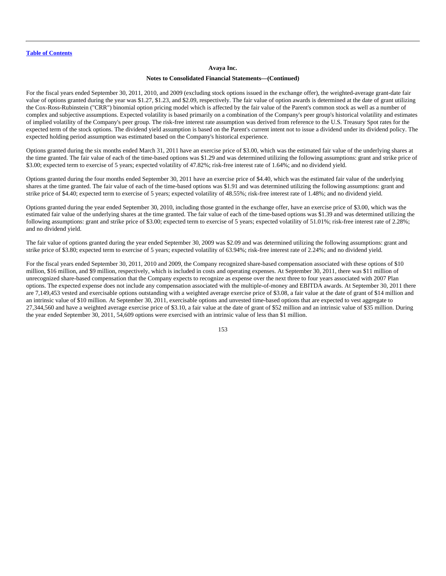## **Avaya Inc.**

## **Notes to Consolidated Financial Statements—(Continued)**

For the fiscal years ended September 30, 2011, 2010, and 2009 (excluding stock options issued in the exchange offer), the weighted-average grant-date fair value of options granted during the year was \$1.27, \$1.23, and \$2.09, respectively. The fair value of option awards is determined at the date of grant utilizing the Cox-Ross-Rubinstein ("CRR") binomial option pricing model which is affected by the fair value of the Parent's common stock as well as a number of complex and subjective assumptions. Expected volatility is based primarily on a combination of the Company's peer group's historical volatility and estimates of implied volatility of the Company's peer group. The risk-free interest rate assumption was derived from reference to the U.S. Treasury Spot rates for the expected term of the stock options. The dividend yield assumption is based on the Parent's current intent not to issue a dividend under its dividend policy. The expected holding period assumption was estimated based on the Company's historical experience.

Options granted during the six months ended March 31, 2011 have an exercise price of \$3.00, which was the estimated fair value of the underlying shares at the time granted. The fair value of each of the time-based options was \$1.29 and was determined utilizing the following assumptions: grant and strike price of \$3.00; expected term to exercise of 5 years; expected volatility of 47.82%; risk-free interest rate of 1.64%; and no dividend yield.

Options granted during the four months ended September 30, 2011 have an exercise price of \$4.40, which was the estimated fair value of the underlying shares at the time granted. The fair value of each of the time-based options was \$1.91 and was determined utilizing the following assumptions: grant and strike price of \$4.40; expected term to exercise of 5 years; expected volatility of 48.55%; risk-free interest rate of 1.48%; and no dividend yield.

Options granted during the year ended September 30, 2010, including those granted in the exchange offer, have an exercise price of \$3.00, which was the estimated fair value of the underlying shares at the time granted. The fair value of each of the time-based options was \$1.39 and was determined utilizing the following assumptions: grant and strike price of \$3.00; expected term to exercise of 5 years; expected volatility of 51.01%; risk-free interest rate of 2.28%; and no dividend yield.

The fair value of options granted during the year ended September 30, 2009 was \$2.09 and was determined utilizing the following assumptions: grant and strike price of \$3.80; expected term to exercise of 5 years; expected volatility of 63.94%; risk-free interest rate of 2.24%; and no dividend yield.

For the fiscal years ended September 30, 2011, 2010 and 2009, the Company recognized share-based compensation associated with these options of \$10 million, \$16 million, and \$9 million, respectively, which is included in costs and operating expenses. At September 30, 2011, there was \$11 million of unrecognized share-based compensation that the Company expects to recognize as expense over the next three to four years associated with 2007 Plan options. The expected expense does not include any compensation associated with the multiple-of-money and EBITDA awards. At September 30, 2011 there are 7,149,453 vested and exercisable options outstanding with a weighted average exercise price of \$3.08, a fair value at the date of grant of \$14 million and an intrinsic value of \$10 million. At September 30, 2011, exercisable options and unvested time-based options that are expected to vest aggregate to 27,344,560 and have a weighted average exercise price of \$3.10, a fair value at the date of grant of \$52 million and an intrinsic value of \$35 million. During the year ended September 30, 2011, 54,609 options were exercised with an intrinsic value of less than \$1 million.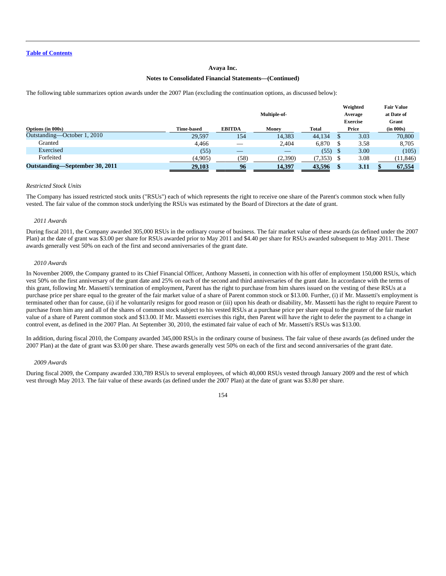## **Notes to Consolidated Financial Statements—(Continued)**

The following table summarizes option awards under the 2007 Plan (excluding the continuation options, as discussed below):

|                                |                   | Multiple-of-             |         |              |       | Weighted<br>Average<br><b>Exercise</b> | <b>Fair Value</b><br>at Date of<br>Grant |
|--------------------------------|-------------------|--------------------------|---------|--------------|-------|----------------------------------------|------------------------------------------|
| Options (in 000s)              | <b>Time-based</b> | <b>EBITDA</b>            | Money   | <b>Total</b> | Price |                                        | (in 000s)                                |
| Outstanding—October 1, 2010    | 29,597            | 154                      | 14,383  | 44.134       |       | 3.03                                   | 70,800                                   |
| Granted                        | 4.466             | $\overline{\phantom{m}}$ | 2,404   | 6,870        |       | 3.58                                   | 8,705                                    |
| Exercised                      | (55)              | $\overline{\phantom{a}}$ |         | (55)         | - 5   | 3.00                                   | (105)                                    |
| Forfeited                      | (4,905)           | (58)                     | (2,390) | (7,353)      |       | 3.08                                   | (11, 846)                                |
| Outstanding-September 30, 2011 | 29,103            | 96                       | 14,397  | 43,596       |       | 3.11                                   | 67,554                                   |

#### *Restricted Stock Units*

The Company has issued restricted stock units ("RSUs") each of which represents the right to receive one share of the Parent's common stock when fully vested. The fair value of the common stock underlying the RSUs was estimated by the Board of Directors at the date of grant.

## *2011 Awards*

During fiscal 2011, the Company awarded 305,000 RSUs in the ordinary course of business. The fair market value of these awards (as defined under the 2007 Plan) at the date of grant was \$3.00 per share for RSUs awarded prior to May 2011 and \$4.40 per share for RSUs awarded subsequent to May 2011. These awards generally vest 50% on each of the first and second anniversaries of the grant date.

## *2010 Awards*

In November 2009, the Company granted to its Chief Financial Officer, Anthony Massetti, in connection with his offer of employment 150,000 RSUs, which vest 50% on the first anniversary of the grant date and 25% on each of the second and third anniversaries of the grant date. In accordance with the terms of this grant, following Mr. Massetti's termination of employment, Parent has the right to purchase from him shares issued on the vesting of these RSUs at a purchase price per share equal to the greater of the fair market value of a share of Parent common stock or \$13.00. Further, (i) if Mr. Massetti's employment is terminated other than for cause, (ii) if he voluntarily resigns for good reason or (iii) upon his death or disability, Mr. Massetti has the right to require Parent to purchase from him any and all of the shares of common stock subject to his vested RSUs at a purchase price per share equal to the greater of the fair market value of a share of Parent common stock and \$13.00. If Mr. Massetti exercises this right, then Parent will have the right to defer the payment to a change in control event, as defined in the 2007 Plan. At September 30, 2010, the estimated fair value of each of Mr. Massetti's RSUs was \$13.00.

In addition, during fiscal 2010, the Company awarded 345,000 RSUs in the ordinary course of business. The fair value of these awards (as defined under the 2007 Plan) at the date of grant was \$3.00 per share. These awards generally vest 50% on each of the first and second anniversaries of the grant date.

#### *2009 Awards*

During fiscal 2009, the Company awarded 330,789 RSUs to several employees, of which 40,000 RSUs vested through January 2009 and the rest of which vest through May 2013. The fair value of these awards (as defined under the 2007 Plan) at the date of grant was \$3.80 per share.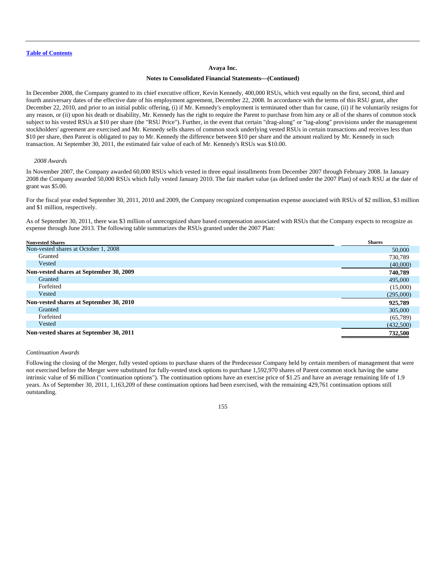## **Avaya Inc.**

### **Notes to Consolidated Financial Statements—(Continued)**

In December 2008, the Company granted to its chief executive officer, Kevin Kennedy, 400,000 RSUs, which vest equally on the first, second, third and fourth anniversary dates of the effective date of his employment agreement, December 22, 2008. In accordance with the terms of this RSU grant, after December 22, 2010, and prior to an initial public offering, (i) if Mr. Kennedy's employment is terminated other than for cause, (ii) if he voluntarily resigns for any reason, or (ii) upon his death or disability, Mr. Kennedy has the right to require the Parent to purchase from him any or all of the shares of common stock subject to his vested RSUs at \$10 per share (the "RSU Price"). Further, in the event that certain "drag-along" or "tag-along" provisions under the management stockholders' agreement are exercised and Mr. Kennedy sells shares of common stock underlying vested RSUs in certain transactions and receives less than \$10 per share, then Parent is obligated to pay to Mr. Kennedy the difference between \$10 per share and the amount realized by Mr. Kennedy in such transaction. At September 30, 2011, the estimated fair value of each of Mr. Kennedy's RSUs was \$10.00.

#### *2008 Awards*

In November 2007, the Company awarded 60,000 RSUs which vested in three equal installments from December 2007 through February 2008. In January 2008 the Company awarded 50,000 RSUs which fully vested January 2010. The fair market value (as defined under the 2007 Plan) of each RSU at the date of grant was \$5.00.

For the fiscal year ended September 30, 2011, 2010 and 2009, the Company recognized compensation expense associated with RSUs of \$2 million, \$3 million and \$1 million, respectively.

As of September 30, 2011, there was \$3 million of unrecognized share based compensation associated with RSUs that the Company expects to recognize as expense through June 2013. The following table summarizes the RSUs granted under the 2007 Plan:

| <b>Nonvested Shares</b>                 | <b>Shares</b> |
|-----------------------------------------|---------------|
| Non-vested shares at October 1, 2008    | 50,000        |
| Granted                                 | 730,789       |
| Vested                                  | (40,000)      |
| Non-vested shares at September 30, 2009 | 740,789       |
| Granted                                 | 495,000       |
| Forfeited                               | (15,000)      |
| Vested                                  | (295,000)     |
| Non-vested shares at September 30, 2010 | 925,789       |
| Granted                                 | 305,000       |
| Forfeited                               | (65,789)      |
| Vested                                  | (432,500)     |
| Non-vested shares at September 30, 2011 | 732,500       |

#### *Continuation Awards*

Following the closing of the Merger, fully vested options to purchase shares of the Predecessor Company held by certain members of management that were not exercised before the Merger were substituted for fully-vested stock options to purchase 1,592,970 shares of Parent common stock having the same intrinsic value of \$6 million ("continuation options"). The continuation options have an exercise price of \$1.25 and have an average remaining life of 1.9 years. As of September 30, 2011, 1,163,209 of these continuation options had been exercised, with the remaining 429,761 continuation options still outstanding.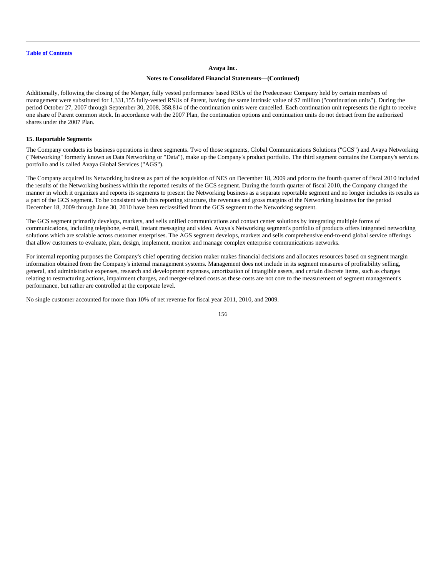### **Notes to Consolidated Financial Statements—(Continued)**

Additionally, following the closing of the Merger, fully vested performance based RSUs of the Predecessor Company held by certain members of management were substituted for 1,331,155 fully-vested RSUs of Parent, having the same intrinsic value of \$7 million ("continuation units"). During the period October 27, 2007 through September 30, 2008, 358,814 of the continuation units were cancelled. Each continuation unit represents the right to receive one share of Parent common stock. In accordance with the 2007 Plan, the continuation options and continuation units do not detract from the authorized shares under the 2007 Plan.

#### **15. Reportable Segments**

The Company conducts its business operations in three segments. Two of those segments, Global Communications Solutions ("GCS") and Avaya Networking ("Networking" formerly known as Data Networking or "Data"), make up the Company's product portfolio. The third segment contains the Company's services portfolio and is called Avaya Global Services ("AGS").

The Company acquired its Networking business as part of the acquisition of NES on December 18, 2009 and prior to the fourth quarter of fiscal 2010 included the results of the Networking business within the reported results of the GCS segment. During the fourth quarter of fiscal 2010, the Company changed the manner in which it organizes and reports its segments to present the Networking business as a separate reportable segment and no longer includes its results as a part of the GCS segment. To be consistent with this reporting structure, the revenues and gross margins of the Networking business for the period December 18, 2009 through June 30, 2010 have been reclassified from the GCS segment to the Networking segment.

The GCS segment primarily develops, markets, and sells unified communications and contact center solutions by integrating multiple forms of communications, including telephone, e-mail, instant messaging and video. Avaya's Networking segment's portfolio of products offers integrated networking solutions which are scalable across customer enterprises. The AGS segment develops, markets and sells comprehensive end-to-end global service offerings that allow customers to evaluate, plan, design, implement, monitor and manage complex enterprise communications networks.

For internal reporting purposes the Company's chief operating decision maker makes financial decisions and allocates resources based on segment margin information obtained from the Company's internal management systems. Management does not include in its segment measures of profitability selling, general, and administrative expenses, research and development expenses, amortization of intangible assets, and certain discrete items, such as charges relating to restructuring actions, impairment charges, and merger-related costs as these costs are not core to the measurement of segment management's performance, but rather are controlled at the corporate level.

No single customer accounted for more than 10% of net revenue for fiscal year 2011, 2010, and 2009.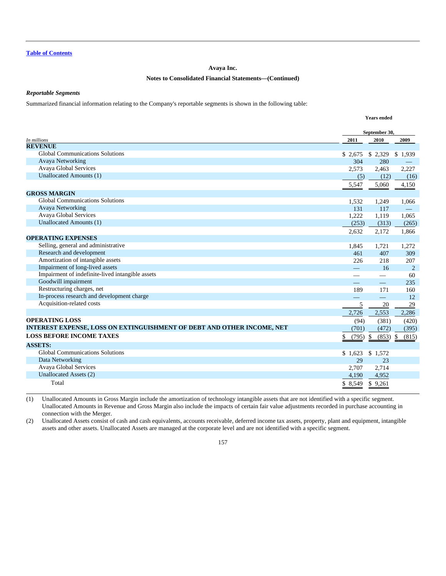## **Notes to Consolidated Financial Statements—(Continued)**

## *Reportable Segments*

Summarized financial information relating to the Company's reportable segments is shown in the following table:

|                                                                        | <b>Years</b> ended |                                   |             |  |  |
|------------------------------------------------------------------------|--------------------|-----------------------------------|-------------|--|--|
|                                                                        |                    | September 30,                     |             |  |  |
| In millions                                                            | 2011               | 2010                              | 2009        |  |  |
| <b>REVENUE</b>                                                         |                    |                                   |             |  |  |
| <b>Global Communications Solutions</b>                                 | \$2,675            | \$2,329                           | \$1,939     |  |  |
| Avaya Networking                                                       | 304                | 280                               |             |  |  |
| Avaya Global Services                                                  | 2,573              | 2,463                             | 2,227       |  |  |
| <b>Unallocated Amounts (1)</b>                                         | (5)                | (12)                              | (16)        |  |  |
|                                                                        | 5,547              | 5,060                             | 4,150       |  |  |
| <b>GROSS MARGIN</b>                                                    |                    |                                   |             |  |  |
| <b>Global Communications Solutions</b>                                 | 1.532              | 1.249                             | 1.066       |  |  |
| Avaya Networking                                                       | 131                | 117                               |             |  |  |
| Avaya Global Services                                                  | 1,222              | 1,119                             | 1,065       |  |  |
| <b>Unallocated Amounts (1)</b>                                         | (253)              | (313)                             | (265)       |  |  |
|                                                                        | 2,632              | 2,172                             | 1,866       |  |  |
| <b>OPERATING EXPENSES</b>                                              |                    |                                   |             |  |  |
| Selling, general and administrative                                    | 1,845              | 1,721                             | 1,272       |  |  |
| Research and development                                               | 461                | 407                               | 309         |  |  |
| Amortization of intangible assets                                      | 226                | 218                               | 207         |  |  |
| Impairment of long-lived assets                                        |                    | 16                                | 2           |  |  |
| Impairment of indefinite-lived intangible assets                       |                    | $\overline{\phantom{0}}$          | 60          |  |  |
| Goodwill impairment                                                    | $-$                | $\overline{\phantom{0}}$          | 235         |  |  |
| Restructuring charges, net                                             | 189                | 171                               | 160         |  |  |
| In-process research and development charge                             | $\frac{1}{2}$      |                                   | 12          |  |  |
| Acquisition-related costs                                              | 5                  | 20                                | 29          |  |  |
|                                                                        | 2,726              | 2,553                             | 2,286       |  |  |
| <b>OPERATING LOSS</b>                                                  | (94)               | (381)                             | (420)       |  |  |
| INTEREST EXPENSE, LOSS ON EXTINGUISHMENT OF DEBT AND OTHER INCOME, NET | (701)              | (472)                             | (395)       |  |  |
| <b>LOSS BEFORE INCOME TAXES</b>                                        | (795)<br>\$        | $\overline{\mathcal{E}}$<br>(853) | (815)<br>\$ |  |  |
| <b>ASSETS:</b>                                                         |                    |                                   |             |  |  |
| <b>Global Communications Solutions</b>                                 | \$1,623            | \$1,572                           |             |  |  |
| Data Networking                                                        | 29                 | 23                                |             |  |  |
| Avaya Global Services                                                  | 2.707              | 2.714                             |             |  |  |
| <b>Unallocated Assets (2)</b>                                          | 4,190              | 4,952                             |             |  |  |
| Total                                                                  | \$ 8,549           | \$9,261                           |             |  |  |

(1) Unallocated Amounts in Gross Margin include the amortization of technology intangible assets that are not identified with a specific segment. Unallocated Amounts in Revenue and Gross Margin also include the impacts of certain fair value adjustments recorded in purchase accounting in connection with the Merger.

(2) Unallocated Assets consist of cash and cash equivalents, accounts receivable, deferred income tax assets, property, plant and equipment, intangible assets and other assets. Unallocated Assets are managed at the corporate level and are not identified with a specific segment.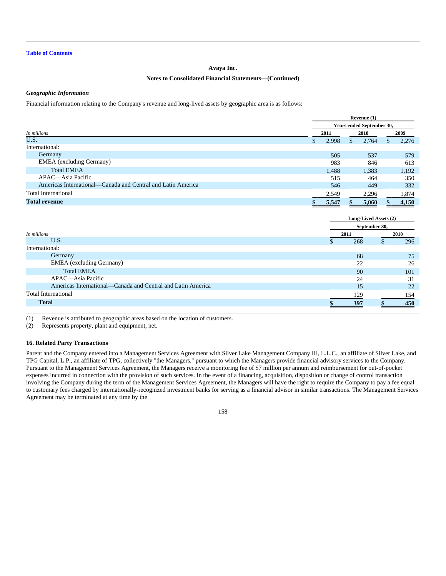### **Notes to Consolidated Financial Statements—(Continued)**

## *Geographic Information*

Financial information relating to the Company's revenue and long-lived assets by geographic area is as follows:

|                                                             |                                  | Revenue $(1)$ |    |       |   |       |  |
|-------------------------------------------------------------|----------------------------------|---------------|----|-------|---|-------|--|
|                                                             | <b>Years ended September 30,</b> |               |    |       |   |       |  |
| In millions                                                 |                                  | 2011          |    | 2010  |   | 2009  |  |
| U.S.                                                        | D                                | 2,998         | S. | 2,764 | ъ | 2,276 |  |
| International:                                              |                                  |               |    |       |   |       |  |
| Germany                                                     |                                  | 505           |    | 537   |   | 579   |  |
| <b>EMEA</b> (excluding Germany)                             |                                  | 983           |    | 846   |   | 613   |  |
| <b>Total EMEA</b>                                           |                                  | 1,488         |    | 1,383 |   | 1,192 |  |
| APAC—Asia Pacific                                           |                                  | 515           |    | 464   |   | 350   |  |
| Americas International—Canada and Central and Latin America |                                  | 546           |    | 449   |   | 332   |  |
| Total International                                         |                                  | 2,549         |    | 2,296 |   | 1,874 |  |
| <b>Total revenue</b>                                        |                                  | 5,547         |    | 5,060 |   | 4,150 |  |

|                                                             |  | Long-Lived Assets (2) |  |             |
|-------------------------------------------------------------|--|-----------------------|--|-------------|
|                                                             |  |                       |  |             |
| In millions                                                 |  | 2011                  |  | <b>2010</b> |
| U.S.                                                        |  | 268                   |  | 296         |
| International:                                              |  |                       |  |             |
| Germany                                                     |  | 68                    |  | 75          |
| <b>EMEA</b> (excluding Germany)                             |  | 22                    |  | 26          |
| <b>Total EMEA</b>                                           |  | 90                    |  | 101         |
| APAC—Asia Pacific                                           |  | 24                    |  | 31          |
| Americas International—Canada and Central and Latin America |  |                       |  | 22          |
| Total International                                         |  | 129                   |  | 154         |
| <b>Total</b>                                                |  | 397                   |  | 450         |

(1) Revenue is attributed to geographic areas based on the location of customers.

(2) Represents property, plant and equipment, net.

## **16. Related Party Transactions**

Parent and the Company entered into a Management Services Agreement with Silver Lake Management Company III, L.L.C., an affiliate of Silver Lake, and TPG Capital, L.P., an affiliate of TPG, collectively "the Managers," pursuant to which the Managers provide financial advisory services to the Company. Pursuant to the Management Services Agreement, the Managers receive a monitoring fee of \$7 million per annum and reimbursement for out-of-pocket expenses incurred in connection with the provision of such services. In the event of a financing, acquisition, disposition or change of control transaction involving the Company during the term of the Management Services Agreement, the Managers will have the right to require the Company to pay a fee equal to customary fees charged by internationally-recognized investment banks for serving as a financial advisor in similar transactions. The Management Services Agreement may be terminated at any time by the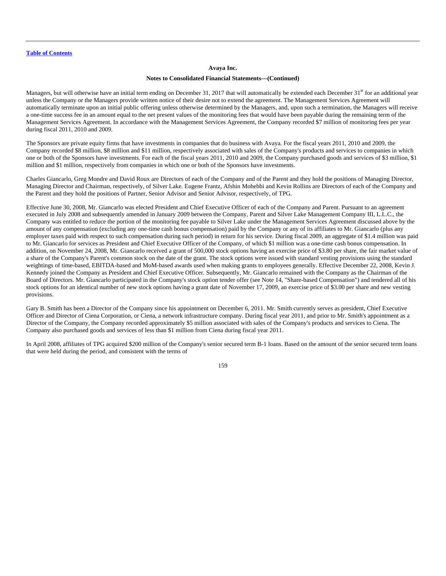## **Notes to Consolidated Financial Statements—(Continued)**

Managers, but will otherwise have an initial term ending on December 31, 2017 that will automatically be extended each December 31<sup>st</sup> for an additional year unless the Company or the Managers provide written notice of their desire not to extend the agreement. The Management Services Agreement will automatically terminate upon an initial public offering unless otherwise determined by the Managers, and, upon such a termination, the Managers will receive a one-time success fee in an amount equal to the net present values of the monitoring fees that would have been payable during the remaining term of the Management Services Agreement. In accordance with the Management Services Agreement, the Company recorded \$7 million of monitoring fees per year during fiscal 2011, 2010 and 2009.

The Sponsors are private equity firms that have investments in companies that do business with Avaya. For the fiscal years 2011, 2010 and 2009, the Company recorded \$8 million, \$8 million and \$11 million, respectively associated with sales of the Company's products and services to companies in which one or both of the Sponsors have investments. For each of the fiscal years 2011, 2010 and 2009, the Company purchased goods and services of \$3 million, \$1 million and \$1 million, respectively from companies in which one or both of the Sponsors have investments.

Charles Giancarlo, Greg Mondre and David Roux are Directors of each of the Company and of the Parent and they hold the positions of Managing Director, Managing Director and Chairman, respectively, of Silver Lake. Eugene Frantz, Afshin Mohebbi and Kevin Rollins are Directors of each of the Company and the Parent and they hold the positions of Partner, Senior Advisor and Senior Advisor, respectively, of TPG.

Effective June 30, 2008, Mr. Giancarlo was elected President and Chief Executive Officer of each of the Company and Parent. Pursuant to an agreement executed in July 2008 and subsequently amended in January 2009 between the Company, Parent and Silver Lake Management Company III, L.L.C., the Company was entitled to reduce the portion of the monitoring fee payable to Silver Lake under the Management Services Agreement discussed above by the amount of any compensation (excluding any one-time cash bonus compensation) paid by the Company or any of its affiliates to Mr. Giancarlo (plus any employer taxes paid with respect to such compensation during such period) in return for his service. During fiscal 2009, an aggregate of \$1.4 million was paid to Mr. Giancarlo for services as President and Chief Executive Officer of the Company, of which \$1 million was a one-time cash bonus compensation. In addition, on November 24, 2008, Mr. Giancarlo received a grant of 500,000 stock options having an exercise price of \$3.80 per share, the fair market value of a share of the Company's Parent's common stock on the date of the grant. The stock options were issued with standard vesting provisions using the standard weightings of time-based, EBITDA-based and MoM-based awards used when making grants to employees generally. Effective December 22, 2008, Kevin J. Kennedy joined the Company as President and Chief Executive Officer. Subsequently, Mr. Giancarlo remained with the Company as the Chairman of the Board of Directors. Mr. Giancarlo participated in the Company's stock option tender offer (see Note 14, "Share-based Compensation") and tendered all of his stock options for an identical number of new stock options having a grant date of November 17, 2009, an exercise price of \$3.00 per share and new vesting provisions.

Gary B. Smith has been a Director of the Company since his appointment on December 6, 2011. Mr. Smith currently serves as president, Chief Executive Officer and Director of Ciena Corporation, or Ciena, a network infrastructure company. During fiscal year 2011, and prior to Mr. Smith's appointment as a Director of the Company, the Company recorded approximately \$5 million associated with sales of the Company's products and services to Ciena. The Company also purchased goods and services of less than \$1 million from Ciena during fiscal year 2011.

In April 2008, affiliates of TPG acquired \$200 million of the Company's senior secured term B-1 loans. Based on the amount of the senior secured term loans that were held during the period, and consistent with the terms of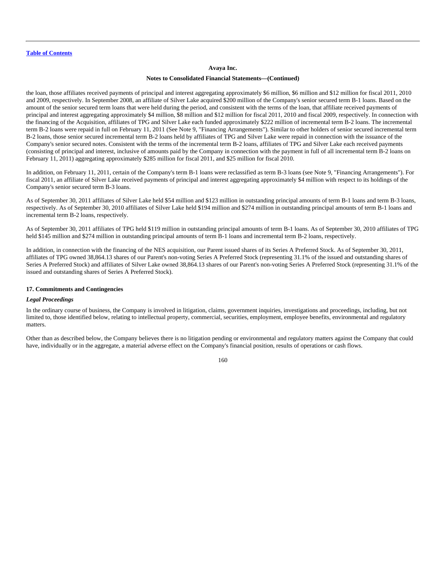## **Avaya Inc.**

## **Notes to Consolidated Financial Statements—(Continued)**

the loan, those affiliates received payments of principal and interest aggregating approximately \$6 million, \$6 million and \$12 million for fiscal 2011, 2010 and 2009, respectively. In September 2008, an affiliate of Silver Lake acquired \$200 million of the Company's senior secured term B-1 loans. Based on the amount of the senior secured term loans that were held during the period, and consistent with the terms of the loan, that affiliate received payments of principal and interest aggregating approximately \$4 million, \$8 million and \$12 million for fiscal 2011, 2010 and fiscal 2009, respectively. In connection with the financing of the Acquisition, affiliates of TPG and Silver Lake each funded approximately \$222 million of incremental term B-2 loans. The incremental term B-2 loans were repaid in full on February 11, 2011 (See Note 9, "Financing Arrangements"). Similar to other holders of senior secured incremental term B-2 loans, those senior secured incremental term B-2 loans held by affiliates of TPG and Silver Lake were repaid in connection with the issuance of the Company's senior secured notes. Consistent with the terms of the incremental term B-2 loans, affiliates of TPG and Silver Lake each received payments (consisting of principal and interest, inclusive of amounts paid by the Company in connection with the payment in full of all incremental term B-2 loans on February 11, 2011) aggregating approximately \$285 million for fiscal 2011, and \$25 million for fiscal 2010.

In addition, on February 11, 2011, certain of the Company's term B-1 loans were reclassified as term B-3 loans (see Note 9, "Financing Arrangements"). For fiscal 2011, an affiliate of Silver Lake received payments of principal and interest aggregating approximately \$4 million with respect to its holdings of the Company's senior secured term B-3 loans.

As of September 30, 2011 affiliates of Silver Lake held \$54 million and \$123 million in outstanding principal amounts of term B-1 loans and term B-3 loans, respectively. As of September 30, 2010 affiliates of Silver Lake held \$194 million and \$274 million in outstanding principal amounts of term B-1 loans and incremental term B-2 loans, respectively.

As of September 30, 2011 affiliates of TPG held \$119 million in outstanding principal amounts of term B-1 loans. As of September 30, 2010 affiliates of TPG held \$145 million and \$274 million in outstanding principal amounts of term B-1 loans and incremental term B-2 loans, respectively.

In addition, in connection with the financing of the NES acquisition, our Parent issued shares of its Series A Preferred Stock. As of September 30, 2011, affiliates of TPG owned 38,864.13 shares of our Parent's non-voting Series A Preferred Stock (representing 31.1% of the issued and outstanding shares of Series A Preferred Stock) and affiliates of Silver Lake owned 38,864.13 shares of our Parent's non-voting Series A Preferred Stock (representing 31.1% of the issued and outstanding shares of Series A Preferred Stock).

#### **17. Commitments and Contingencies**

## *Legal Proceedings*

In the ordinary course of business, the Company is involved in litigation, claims, government inquiries, investigations and proceedings, including, but not limited to, those identified below, relating to intellectual property, commercial, securities, employment, employee benefits, environmental and regulatory matters.

Other than as described below, the Company believes there is no litigation pending or environmental and regulatory matters against the Company that could have, individually or in the aggregate, a material adverse effect on the Company's financial position, results of operations or cash flows.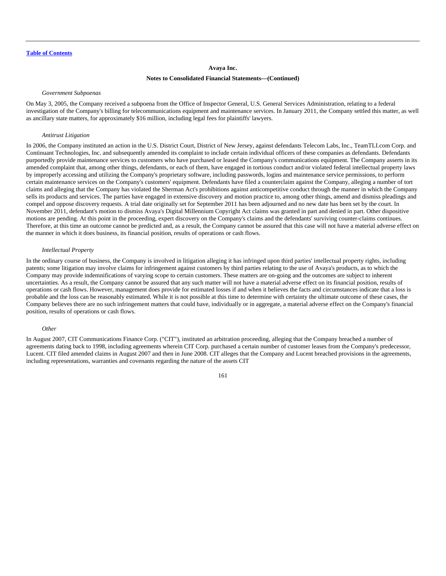### **Notes to Consolidated Financial Statements—(Continued)**

#### *Government Subpoenas*

On May 3, 2005, the Company received a subpoena from the Office of Inspector General, U.S. General Services Administration, relating to a federal investigation of the Company's billing for telecommunications equipment and maintenance services. In January 2011, the Company settled this matter, as well as ancillary state matters, for approximately \$16 million, including legal fees for plaintiffs' lawyers.

#### *Antitrust Litigation*

In 2006, the Company instituted an action in the U.S. District Court, District of New Jersey, against defendants Telecom Labs, Inc., TeamTLI.com Corp. and Continuant Technologies, Inc. and subsequently amended its complaint to include certain individual officers of these companies as defendants. Defendants purportedly provide maintenance services to customers who have purchased or leased the Company's communications equipment. The Company asserts in its amended complaint that, among other things, defendants, or each of them, have engaged in tortious conduct and/or violated federal intellectual property laws by improperly accessing and utilizing the Company's proprietary software, including passwords, logins and maintenance service permissions, to perform certain maintenance services on the Company's customers' equipment. Defendants have filed a counterclaim against the Company, alleging a number of tort claims and alleging that the Company has violated the Sherman Act's prohibitions against anticompetitive conduct through the manner in which the Company sells its products and services. The parties have engaged in extensive discovery and motion practice to, among other things, amend and dismiss pleadings and compel and oppose discovery requests. A trial date originally set for September 2011 has been adjourned and no new date has been set by the court. In November 2011, defendant's motion to dismiss Avaya's Digital Millennium Copyright Act claims was granted in part and denied in part. Other dispositive motions are pending. At this point in the proceeding, expert discovery on the Company's claims and the defendants' surviving counter-claims continues. Therefore, at this time an outcome cannot be predicted and, as a result, the Company cannot be assured that this case will not have a material adverse effect on the manner in which it does business, its financial position, results of operations or cash flows.

#### *Intellectual Property*

In the ordinary course of business, the Company is involved in litigation alleging it has infringed upon third parties' intellectual property rights, including patents; some litigation may involve claims for infringement against customers by third parties relating to the use of Avaya's products, as to which the Company may provide indemnifications of varying scope to certain customers. These matters are on-going and the outcomes are subject to inherent uncertainties. As a result, the Company cannot be assured that any such matter will not have a material adverse effect on its financial position, results of operations or cash flows. However, management does provide for estimated losses if and when it believes the facts and circumstances indicate that a loss is probable and the loss can be reasonably estimated. While it is not possible at this time to determine with certainty the ultimate outcome of these cases, the Company believes there are no such infringement matters that could have, individually or in aggregate, a material adverse effect on the Company's financial position, results of operations or cash flows.

## *Other*

In August 2007, CIT Communications Finance Corp. ("CIT"), instituted an arbitration proceeding, alleging that the Company breached a number of agreements dating back to 1998, including agreements wherein CIT Corp. purchased a certain number of customer leases from the Company's predecessor, Lucent. CIT filed amended claims in August 2007 and then in June 2008. CIT alleges that the Company and Lucent breached provisions in the agreements, including representations, warranties and covenants regarding the nature of the assets CIT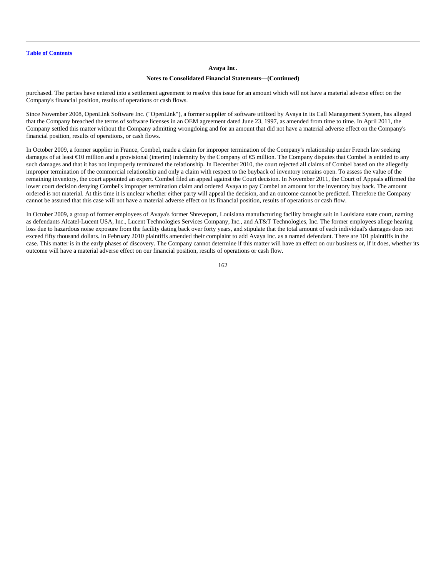## **Avaya Inc.**

## **Notes to Consolidated Financial Statements—(Continued)**

purchased. The parties have entered into a settlement agreement to resolve this issue for an amount which will not have a material adverse effect on the Company's financial position, results of operations or cash flows.

Since November 2008, OpenLink Software Inc. ("OpenLink"), a former supplier of software utilized by Avaya in its Call Management System, has alleged that the Company breached the terms of software licenses in an OEM agreement dated June 23, 1997, as amended from time to time. In April 2011, the Company settled this matter without the Company admitting wrongdoing and for an amount that did not have a material adverse effect on the Company's financial position, results of operations, or cash flows.

In October 2009, a former supplier in France, Combel, made a claim for improper termination of the Company's relationship under French law seeking damages of at least  $\text{E}0$  million and a provisional (interim) indemnity by the Company of  $\text{E}$  million. The Company disputes that Combel is entitled to any such damages and that it has not improperly terminated the relationship. In December 2010, the court rejected all claims of Combel based on the allegedly improper termination of the commercial relationship and only a claim with respect to the buyback of inventory remains open. To assess the value of the remaining inventory, the court appointed an expert. Combel filed an appeal against the Court decision. In November 2011, the Court of Appeals affirmed the lower court decision denying Combel's improper termination claim and ordered Avaya to pay Combel an amount for the inventory buy back. The amount ordered is not material. At this time it is unclear whether either party will appeal the decision, and an outcome cannot be predicted. Therefore the Company cannot be assured that this case will not have a material adverse effect on its financial position, results of operations or cash flow.

In October 2009, a group of former employees of Avaya's former Shreveport, Louisiana manufacturing facility brought suit in Louisiana state court, naming as defendants Alcatel-Lucent USA, Inc., Lucent Technologies Services Company, Inc., and AT&T Technologies, Inc. The former employees allege hearing loss due to hazardous noise exposure from the facility dating back over forty years, and stipulate that the total amount of each individual's damages does not exceed fifty thousand dollars. In February 2010 plaintiffs amended their complaint to add Avaya Inc. as a named defendant. There are 101 plaintiffs in the case. This matter is in the early phases of discovery. The Company cannot determine if this matter will have an effect on our business or, if it does, whether its outcome will have a material adverse effect on our financial position, results of operations or cash flow.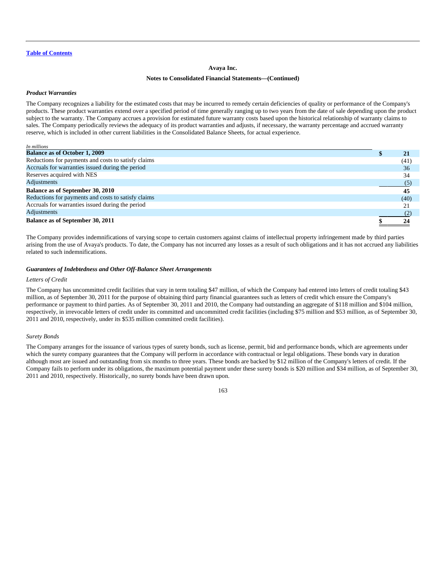## **Notes to Consolidated Financial Statements—(Continued)**

## *Product Warranties*

The Company recognizes a liability for the estimated costs that may be incurred to remedy certain deficiencies of quality or performance of the Company's products. These product warranties extend over a specified period of time generally ranging up to two years from the date of sale depending upon the product subject to the warranty. The Company accrues a provision for estimated future warranty costs based upon the historical relationship of warranty claims to sales. The Company periodically reviews the adequacy of its product warranties and adjusts, if necessary, the warranty percentage and accrued warranty reserve, which is included in other current liabilities in the Consolidated Balance Sheets, for actual experience.

| In millions                                         |      |
|-----------------------------------------------------|------|
| <b>Balance as of October 1, 2009</b>                | 21   |
| Reductions for payments and costs to satisfy claims | (41) |
| Accruals for warranties issued during the period    | 36   |
| Reserves acquired with NES                          | 34   |
| Adjustments                                         |      |
| Balance as of September 30, 2010                    | 45   |
| Reductions for payments and costs to satisfy claims | (40) |
| Accruals for warranties issued during the period    | 21   |
| Adjustments                                         |      |
| Balance as of September 30, 2011                    |      |

The Company provides indemnifications of varying scope to certain customers against claims of intellectual property infringement made by third parties arising from the use of Avaya's products. To date, the Company has not incurred any losses as a result of such obligations and it has not accrued any liabilities related to such indemnifications.

## *Guarantees of Indebtedness and Other Off-Balance Sheet Arrangements*

#### *Letters of Credit*

The Company has uncommitted credit facilities that vary in term totaling \$47 million, of which the Company had entered into letters of credit totaling \$43 million, as of September 30, 2011 for the purpose of obtaining third party financial guarantees such as letters of credit which ensure the Company's performance or payment to third parties. As of September 30, 2011 and 2010, the Company had outstanding an aggregate of \$118 million and \$104 million, respectively, in irrevocable letters of credit under its committed and uncommitted credit facilities (including \$75 million and \$53 million, as of September 30, 2011 and 2010, respectively, under its \$535 million committed credit facilities).

#### *Surety Bonds*

The Company arranges for the issuance of various types of surety bonds, such as license, permit, bid and performance bonds, which are agreements under which the surety company guarantees that the Company will perform in accordance with contractual or legal obligations. These bonds vary in duration although most are issued and outstanding from six months to three years. These bonds are backed by \$12 million of the Company's letters of credit. If the Company fails to perform under its obligations, the maximum potential payment under these surety bonds is \$20 million and \$34 million, as of September 30, 2011 and 2010, respectively. Historically, no surety bonds have been drawn upon.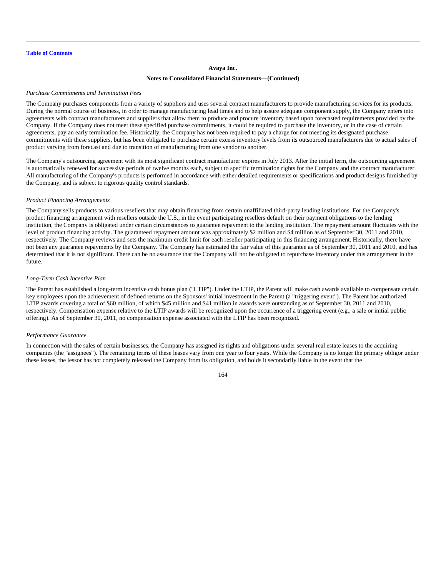## **Avaya Inc.**

## **Notes to Consolidated Financial Statements—(Continued)**

#### *Purchase Commitments and Termination Fees*

The Company purchases components from a variety of suppliers and uses several contract manufacturers to provide manufacturing services for its products. During the normal course of business, in order to manage manufacturing lead times and to help assure adequate component supply, the Company enters into agreements with contract manufacturers and suppliers that allow them to produce and procure inventory based upon forecasted requirements provided by the Company. If the Company does not meet these specified purchase commitments, it could be required to purchase the inventory, or in the case of certain agreements, pay an early termination fee. Historically, the Company has not been required to pay a charge for not meeting its designated purchase commitments with these suppliers, but has been obligated to purchase certain excess inventory levels from its outsourced manufacturers due to actual sales of product varying from forecast and due to transition of manufacturing from one vendor to another.

The Company's outsourcing agreement with its most significant contract manufacturer expires in July 2013. After the initial term, the outsourcing agreement is automatically renewed for successive periods of twelve months each, subject to specific termination rights for the Company and the contract manufacturer. All manufacturing of the Company's products is performed in accordance with either detailed requirements or specifications and product designs furnished by the Company, and is subject to rigorous quality control standards.

#### *Product Financing Arrangements*

The Company sells products to various resellers that may obtain financing from certain unaffiliated third-party lending institutions. For the Company's product financing arrangement with resellers outside the U.S., in the event participating resellers default on their payment obligations to the lending institution, the Company is obligated under certain circumstances to guarantee repayment to the lending institution. The repayment amount fluctuates with the level of product financing activity. The guaranteed repayment amount was approximately \$2 million and \$4 million as of September 30, 2011 and 2010, respectively. The Company reviews and sets the maximum credit limit for each reseller participating in this financing arrangement. Historically, there have not been any guarantee repayments by the Company. The Company has estimated the fair value of this guarantee as of September 30, 2011 and 2010, and has determined that it is not significant. There can be no assurance that the Company will not be obligated to repurchase inventory under this arrangement in the future.

#### *Long-Term Cash Incentive Plan*

The Parent has established a long-term incentive cash bonus plan ("LTIP"). Under the LTIP, the Parent will make cash awards available to compensate certain key employees upon the achievement of defined returns on the Sponsors' initial investment in the Parent (a "triggering event"). The Parent has authorized LTIP awards covering a total of \$60 million, of which \$45 million and \$41 million in awards were outstanding as of September 30, 2011 and 2010, respectively. Compensation expense relative to the LTIP awards will be recognized upon the occurrence of a triggering event (e.g., a sale or initial public offering). As of September 30, 2011, no compensation expense associated with the LTIP has been recognized.

#### *Performance Guarantee*

In connection with the sales of certain businesses, the Company has assigned its rights and obligations under several real estate leases to the acquiring companies (the "assignees"). The remaining terms of these leases vary from one year to four years. While the Company is no longer the primary obligor under these leases, the lessor has not completely released the Company from its obligation, and holds it secondarily liable in the event that the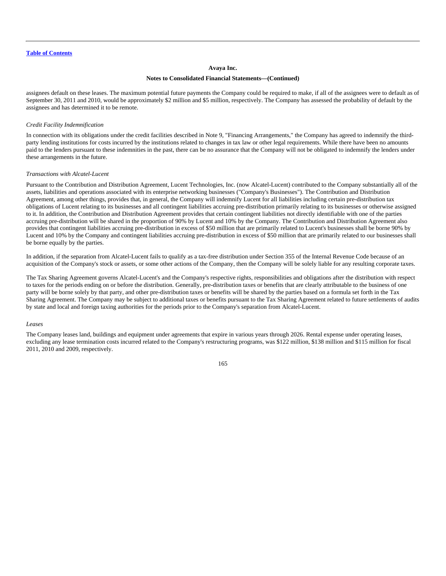## **Notes to Consolidated Financial Statements—(Continued)**

assignees default on these leases. The maximum potential future payments the Company could be required to make, if all of the assignees were to default as of September 30, 2011 and 2010, would be approximately \$2 million and \$5 million, respectively. The Company has assessed the probability of default by the assignees and has determined it to be remote.

#### *Credit Facility Indemnification*

In connection with its obligations under the credit facilities described in Note 9, "Financing Arrangements," the Company has agreed to indemnify the thirdparty lending institutions for costs incurred by the institutions related to changes in tax law or other legal requirements. While there have been no amounts paid to the lenders pursuant to these indemnities in the past, there can be no assurance that the Company will not be obligated to indemnify the lenders under these arrangements in the future.

#### *Transactions with Alcatel-Lucent*

Pursuant to the Contribution and Distribution Agreement, Lucent Technologies, Inc. (now Alcatel-Lucent) contributed to the Company substantially all of the assets, liabilities and operations associated with its enterprise networking businesses ("Company's Businesses"). The Contribution and Distribution Agreement, among other things, provides that, in general, the Company will indemnify Lucent for all liabilities including certain pre-distribution tax obligations of Lucent relating to its businesses and all contingent liabilities accruing pre-distribution primarily relating to its businesses or otherwise assigned to it. In addition, the Contribution and Distribution Agreement provides that certain contingent liabilities not directly identifiable with one of the parties accruing pre-distribution will be shared in the proportion of 90% by Lucent and 10% by the Company. The Contribution and Distribution Agreement also provides that contingent liabilities accruing pre-distribution in excess of \$50 million that are primarily related to Lucent's businesses shall be borne 90% by Lucent and 10% by the Company and contingent liabilities accruing pre-distribution in excess of \$50 million that are primarily related to our businesses shall be borne equally by the parties.

In addition, if the separation from Alcatel-Lucent fails to qualify as a tax-free distribution under Section 355 of the Internal Revenue Code because of an acquisition of the Company's stock or assets, or some other actions of the Company, then the Company will be solely liable for any resulting corporate taxes.

The Tax Sharing Agreement governs Alcatel-Lucent's and the Company's respective rights, responsibilities and obligations after the distribution with respect to taxes for the periods ending on or before the distribution. Generally, pre-distribution taxes or benefits that are clearly attributable to the business of one party will be borne solely by that party, and other pre-distribution taxes or benefits will be shared by the parties based on a formula set forth in the Tax Sharing Agreement. The Company may be subject to additional taxes or benefits pursuant to the Tax Sharing Agreement related to future settlements of audits by state and local and foreign taxing authorities for the periods prior to the Company's separation from Alcatel-Lucent.

#### *Leases*

The Company leases land, buildings and equipment under agreements that expire in various years through 2026. Rental expense under operating leases, excluding any lease termination costs incurred related to the Company's restructuring programs, was \$122 million, \$138 million and \$115 million for fiscal 2011, 2010 and 2009, respectively.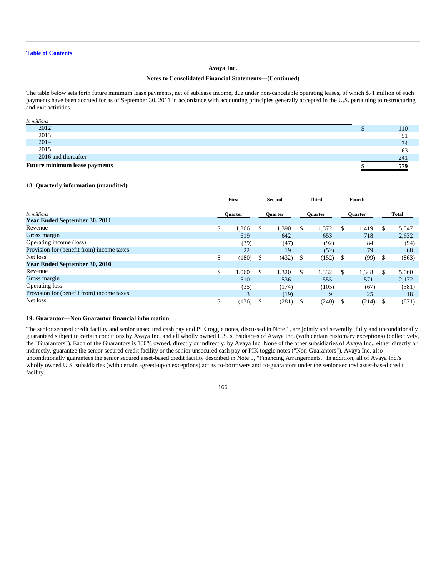## **Notes to Consolidated Financial Statements—(Continued)**

The table below sets forth future minimum lease payments, net of sublease income, due under non-cancelable operating leases, of which \$71 million of such payments have been accrued for as of September 30, 2011 in accordance with accounting principles generally accepted in the U.S. pertaining to restructuring and exit activities.

| In millions                          |     |
|--------------------------------------|-----|
| 2012                                 | 110 |
| 2013                                 | 91  |
| 2014                                 | 74  |
| 2015                                 | 63  |
| 2016 and thereafter                  | 241 |
| <b>Future minimum lease payments</b> | 579 |

#### **18. Quarterly information (unaudited)**

|                                              | First          |    | <b>Second</b>  |    | <b>Third</b>   |     | Fourth         |     |              |
|----------------------------------------------|----------------|----|----------------|----|----------------|-----|----------------|-----|--------------|
| In millions<br>Year Ended September 30, 2011 | <b>Ouarter</b> |    | <b>Ouarter</b> |    | <b>Ouarter</b> |     | <b>Ouarter</b> |     | <b>Total</b> |
| Revenue                                      | \$<br>1,366    | \$ | 1,390          | \$ | 1,372          | \$  | 1,419          | \$  | 5,547        |
| Gross margin                                 | 619            |    | 642            |    | 653            |     | 718            |     | 2,632        |
| Operating income (loss)                      | (39)           |    | (47)           |    | (92)           |     | 84             |     | (94)         |
| Provision for (benefit from) income taxes    | 22             |    | 19             |    | (52)           |     | 79             |     | 68           |
| Net loss                                     | \$<br>(180)    | -S | (432)          | S  | (152)          | \$. | (99)           | \$. | (863)        |
| Year Ended September 30, 2010                |                |    |                |    |                |     |                |     |              |
| Revenue                                      | \$<br>1.060    | S  | 1.320          | \$ | 1,332          | \$  | 1.348          | \$  | 5,060        |
| Gross margin                                 | 510            |    | 536            |    | 555            |     | 571            |     | 2,172        |
| Operating loss                               | (35)           |    | (174)          |    | (105)          |     | (67)           |     | (381)        |
| Provision for (benefit from) income taxes    | 3              |    | (19)           |    | 9              |     | 25             |     | 18           |
| Net loss                                     | \$<br>136)     |    | (281)          |    | (240)          | \$  | (214)          | S   | (871)        |

#### **19. Guarantor—Non Guarantor financial information**

The senior secured credit facility and senior unsecured cash pay and PIK toggle notes, discussed in Note 1, are jointly and severally, fully and unconditionally guaranteed subject to certain conditions by Avaya Inc. and all wholly owned U.S. subsidiaries of Avaya Inc. (with certain customary exceptions) (collectively, the "Guarantors"). Each of the Guarantors is 100% owned, directly or indirectly, by Avaya Inc. None of the other subsidiaries of Avaya Inc., either directly or indirectly, guarantee the senior secured credit facility or the senior unsecured cash pay or PIK toggle notes ("Non-Guarantors"). Avaya Inc. also unconditionally guarantees the senior secured asset-based credit facility described in Note 9, "Financing Arrangements." In addition, all of Avaya Inc.'s wholly owned U.S. subsidiaries (with certain agreed-upon exceptions) act as co-borrowers and co-guarantors under the senior secured asset-based credit facility.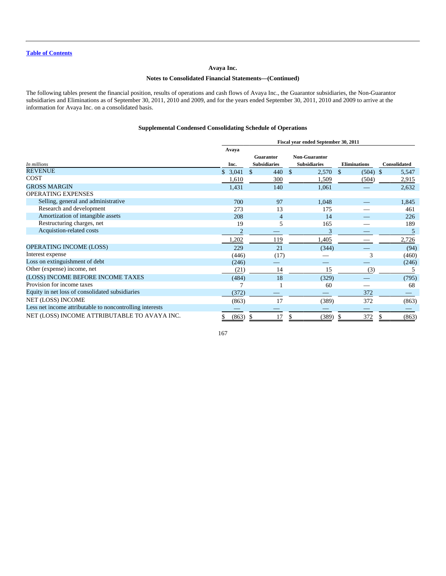## **Notes to Consolidated Financial Statements—(Continued)**

The following tables present the financial position, results of operations and cash flows of Avaya Inc., the Guarantor subsidiaries, the Non-Guarantor subsidiaries and Eliminations as of September 30, 2011, 2010 and 2009, and for the years ended September 30, 2011, 2010 and 2009 to arrive at the information for Avaya Inc. on a consolidated basis.

# **Supplemental Condensed Consolidating Schedule of Operations**

|                                                          | Fiscal year ended September 30, 2011 |                                  |                                             |                        |                     |  |  |  |  |  |
|----------------------------------------------------------|--------------------------------------|----------------------------------|---------------------------------------------|------------------------|---------------------|--|--|--|--|--|
| In millions                                              | Avaya<br>Inc.                        | Guarantor<br><b>Subsidiaries</b> | <b>Non-Guarantor</b><br><b>Subsidiaries</b> | <b>Eliminations</b>    | <b>Consolidated</b> |  |  |  |  |  |
| <b>REVENUE</b>                                           | 3,041<br>\$                          | 440<br>\$.                       | 2,570<br><sup>\$</sup>                      | <sup>\$</sup><br>(504) | -\$<br>5,547        |  |  |  |  |  |
| COST                                                     | 1,610                                | 300                              | 1,509                                       | (504)                  | 2,915               |  |  |  |  |  |
| <b>GROSS MARGIN</b>                                      | 1,431                                | 140                              | 1,061                                       |                        | 2,632               |  |  |  |  |  |
| <b>OPERATING EXPENSES</b>                                |                                      |                                  |                                             |                        |                     |  |  |  |  |  |
| Selling, general and administrative                      | 700                                  | 97                               | 1,048                                       |                        | 1,845               |  |  |  |  |  |
| Research and development                                 | 273                                  | 13                               | 175                                         |                        | 461                 |  |  |  |  |  |
| Amortization of intangible assets                        | 208                                  | $\overline{4}$                   | 14                                          |                        | 226                 |  |  |  |  |  |
| Restructuring charges, net                               | 19                                   | 5                                | 165                                         |                        | 189                 |  |  |  |  |  |
| Acquistion-related costs                                 |                                      |                                  | 3                                           |                        | 5                   |  |  |  |  |  |
|                                                          | ,202                                 | 119                              | 1,405                                       |                        | 2,726               |  |  |  |  |  |
| <b>OPERATING INCOME (LOSS)</b>                           | 229                                  | 21                               | (344)                                       |                        | (94)                |  |  |  |  |  |
| Interest expense                                         | (446)                                | (17)                             |                                             | 3                      | (460)               |  |  |  |  |  |
| Loss on extinguishment of debt                           | (246)                                |                                  |                                             |                        | (246)               |  |  |  |  |  |
| Other (expense) income, net                              | (21)                                 | 14                               | 15                                          | (3)                    |                     |  |  |  |  |  |
| (LOSS) INCOME BEFORE INCOME TAXES                        | (484)                                | 18                               | (329)                                       |                        | (795)               |  |  |  |  |  |
| Provision for income taxes                               |                                      |                                  | 60                                          |                        | 68                  |  |  |  |  |  |
| Equity in net loss of consolidated subsidiaries          | (372)                                |                                  |                                             | 372                    |                     |  |  |  |  |  |
| NET (LOSS) INCOME                                        | (863)                                | 17                               | (389)                                       | 372                    | (863)               |  |  |  |  |  |
| Less net income attributable to noncontrolling interests |                                      |                                  |                                             |                        |                     |  |  |  |  |  |
| NET (LOSS) INCOME ATTRIBUTABLE TO AVAYA INC.             | (863)                                | 17                               | (389)                                       | 372                    | (863)               |  |  |  |  |  |

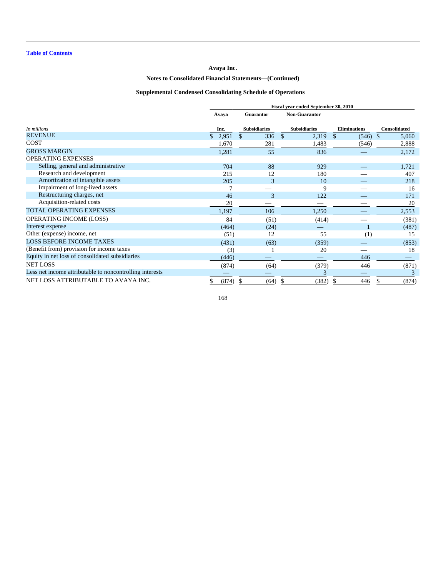# **Avaya Inc.**

# **Notes to Consolidated Financial Statements—(Continued)**

# **Supplemental Condensed Consolidating Schedule of Operations**

|                                                          | Fiscal year ended September 30, 2010 |                     |                             |                            |                     |  |  |  |  |
|----------------------------------------------------------|--------------------------------------|---------------------|-----------------------------|----------------------------|---------------------|--|--|--|--|
|                                                          |                                      | Guarantor           | <b>Non-Guarantor</b>        |                            |                     |  |  |  |  |
| In millions                                              | Inc.                                 | <b>Subsidiaries</b> | <b>Subsidiaries</b>         | <b>Eliminations</b>        | <b>Consolidated</b> |  |  |  |  |
| <b>REVENUE</b>                                           | 2,951<br>\$                          | 336<br>\$           | $\mathbf{\hat{S}}$<br>2,319 | $\mathbb{S}$<br>$(546)$ \$ | 5,060               |  |  |  |  |
| <b>COST</b>                                              | 1,670                                | 281                 | 1,483                       | (546)                      | 2,888               |  |  |  |  |
| <b>GROSS MARGIN</b>                                      | 1,281                                | 55                  | 836                         |                            | 2,172               |  |  |  |  |
| <b>OPERATING EXPENSES</b>                                |                                      |                     |                             |                            |                     |  |  |  |  |
| Selling, general and administrative                      | 704                                  | 88                  | 929                         |                            | 1,721               |  |  |  |  |
| Research and development                                 | 215                                  | 12                  | 180                         |                            | 407                 |  |  |  |  |
| Amortization of intangible assets                        | 205                                  | 3                   | 10                          |                            | 218                 |  |  |  |  |
| Impairment of long-lived assets                          | 7                                    |                     | 9                           |                            | 16                  |  |  |  |  |
| Restructuring charges, net                               | 46                                   | 3                   | 122                         |                            | 171                 |  |  |  |  |
| Acquisition-related costs                                | 20                                   |                     |                             |                            | 20                  |  |  |  |  |
| TOTAL OPERATING EXPENSES                                 | 1,197                                | 106                 | 1,250                       |                            | 2,553               |  |  |  |  |
| <b>OPERATING INCOME (LOSS)</b>                           | 84                                   | (51)                | (414)                       |                            | (381)               |  |  |  |  |
| Interest expense                                         | (464)                                | (24)                |                             |                            | (487)               |  |  |  |  |
| Other (expense) income, net                              | (51)                                 | 12                  | 55                          | (1)                        | 15                  |  |  |  |  |
| <b>LOSS BEFORE INCOME TAXES</b>                          | (431)                                | (63)                | (359)                       |                            | (853)               |  |  |  |  |
| (Benefit from) provision for income taxes                | (3)                                  |                     | 20                          |                            | 18                  |  |  |  |  |
| Equity in net loss of consolidated subsidiaries          | (446)                                |                     |                             | 446                        |                     |  |  |  |  |
| <b>NET LOSS</b>                                          | (874)                                | (64)                | (379)                       | 446                        | (871)               |  |  |  |  |
| Less net income attributable to noncontrolling interests |                                      |                     | 3                           |                            | 3                   |  |  |  |  |
| NET LOSS ATTRIBUTABLE TO AVAYA INC.                      | (874)                                | (64)<br>S           | (382)<br>S                  | 446                        | (874)               |  |  |  |  |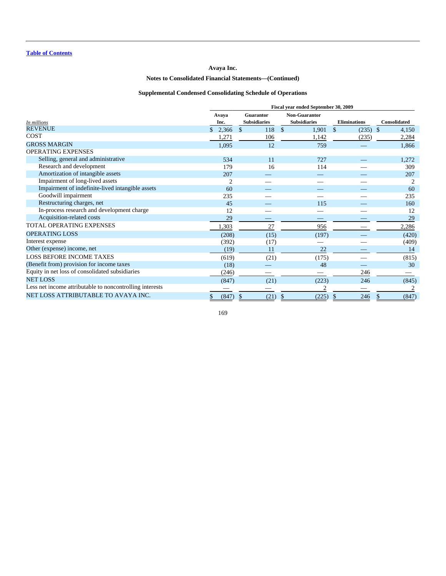# **Notes to Consolidated Financial Statements—(Continued)**

# **Supplemental Condensed Consolidating Schedule of Operations**

|                                                          | Fiscal year ended September 30, 2009 |                     |                             |                     |                     |  |  |  |
|----------------------------------------------------------|--------------------------------------|---------------------|-----------------------------|---------------------|---------------------|--|--|--|
|                                                          | Avaya                                | <b>Guarantor</b>    | <b>Non-Guarantor</b>        |                     |                     |  |  |  |
| In millions                                              | Inc.                                 | <b>Subsidiaries</b> | <b>Subsidiaries</b>         | <b>Eliminations</b> | <b>Consolidated</b> |  |  |  |
| <b>REVENUE</b>                                           | 2,366<br>\$                          | \$<br>118           | $\mathbf{\hat{S}}$<br>1,901 | \$<br>$(235)$ \$    | 4,150               |  |  |  |
| COST                                                     | 1,271                                | 106                 | 1,142                       | (235)               | 2,284               |  |  |  |
| <b>GROSS MARGIN</b>                                      | 1,095                                | 12                  | 759                         |                     | 1,866               |  |  |  |
| <b>OPERATING EXPENSES</b>                                |                                      |                     |                             |                     |                     |  |  |  |
| Selling, general and administrative                      | 534                                  | 11                  | 727                         |                     | 1,272               |  |  |  |
| Research and development                                 | 179                                  | 16                  | 114                         |                     | 309                 |  |  |  |
| Amortization of intangible assets                        | 207                                  |                     |                             |                     | 207                 |  |  |  |
| Impairment of long-lived assets                          | 2                                    |                     |                             |                     | $\mathfrak{D}$      |  |  |  |
| Impairment of indefinite-lived intangible assets         | 60                                   |                     |                             |                     | 60                  |  |  |  |
| Goodwill impairment                                      | 235                                  |                     |                             |                     | 235                 |  |  |  |
| Restructuring charges, net                               | 45                                   |                     | 115                         |                     | 160                 |  |  |  |
| In-process research and development charge               | 12                                   |                     |                             |                     | 12                  |  |  |  |
| Acquisition-related costs                                | 29                                   |                     |                             |                     | 29                  |  |  |  |
| TOTAL OPERATING EXPENSES                                 | 1,303                                | 27                  | 956                         |                     | 2,286               |  |  |  |
| <b>OPERATING LOSS</b>                                    | (208)                                | (15)                | (197)                       |                     | (420)               |  |  |  |
| Interest expense                                         | (392)                                | (17)                |                             |                     | (409)               |  |  |  |
| Other (expense) income, net                              | (19)                                 | 11                  | 22                          |                     | 14                  |  |  |  |
| <b>LOSS BEFORE INCOME TAXES</b>                          | (619)                                | (21)                | (175)                       |                     | (815)               |  |  |  |
| (Benefit from) provision for income taxes                | (18)                                 |                     | 48                          |                     | 30                  |  |  |  |
| Equity in net loss of consolidated subsidiaries          | (246)                                |                     |                             | 246                 |                     |  |  |  |
| <b>NET LOSS</b>                                          | (847)                                | (21)                | (223)                       | 246                 | (845)               |  |  |  |
| Less net income attributable to noncontrolling interests |                                      |                     |                             |                     |                     |  |  |  |
| NET LOSS ATTRIBUTABLE TO AVAYA INC.                      | (847)                                | (21)<br>\$          | (225)<br>\$                 | 246<br>S            | (847)<br>S          |  |  |  |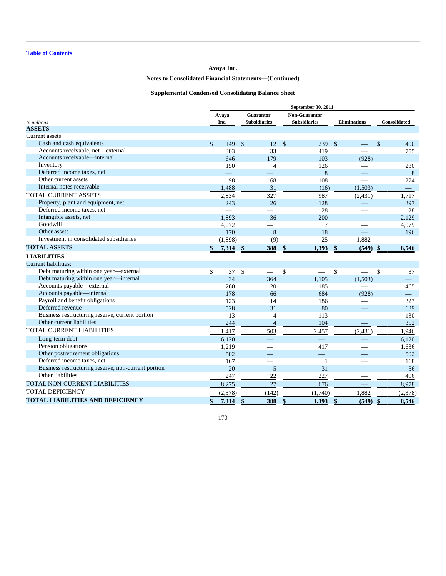# **Notes to Consolidated Financial Statements—(Continued)**

# **Supplemental Condensed Consolidating Balance Sheet**

|                                                     |               | Avaya    | Guarantor          |                     | <b>Non-Guarantor</b> |                     |    |                          |               |                                 |
|-----------------------------------------------------|---------------|----------|--------------------|---------------------|----------------------|---------------------|----|--------------------------|---------------|---------------------------------|
| In millions                                         |               | Inc.     |                    | <b>Subsidiaries</b> |                      | <b>Subsidiaries</b> |    | <b>Eliminations</b>      |               | <b>Consolidated</b>             |
| <b>ASSETS</b>                                       |               |          |                    |                     |                      |                     |    |                          |               |                                 |
| Current assets:                                     |               |          |                    |                     |                      |                     |    |                          |               |                                 |
| Cash and cash equivalents                           | $\mathsf{\$}$ | 149      | $\mathbf{\hat{S}}$ | 12                  | $\mathbf{\hat{S}}$   | 239                 | \$ |                          | $\mathcal{S}$ | 400                             |
| Accounts receivable, net-external                   |               | 303      |                    | 33                  |                      | 419                 |    |                          |               | 755                             |
| Accounts receivable—internal                        |               | 646      |                    | 179                 |                      | 103                 |    | (928)                    |               |                                 |
| Inventory                                           |               | 150      |                    | $\overline{4}$      |                      | 126                 |    | $\overline{\phantom{0}}$ |               | 280                             |
| Deferred income taxes, net                          |               |          |                    |                     |                      | 8                   |    |                          |               | 8                               |
| Other current assets                                |               | 98       |                    | 68                  |                      | 108                 |    |                          |               | 274                             |
| Internal notes receivable                           |               | 1,488    |                    | 31                  |                      | (16)                |    | (1,503)                  |               |                                 |
| <b>TOTAL CURRENT ASSETS</b>                         |               | 2,834    |                    | 327                 |                      | 987                 |    | (2, 431)                 |               | 1,717                           |
| Property, plant and equipment, net                  |               | 243      |                    | 26                  |                      | 128                 |    |                          |               | 397                             |
| Deferred income taxes, net                          |               |          |                    |                     |                      | 28                  |    |                          |               | 28                              |
| Intangible assets, net                              |               | 1,893    |                    | 36                  |                      | 200                 |    |                          |               | 2,129                           |
| Goodwill                                            |               | 4,072    |                    |                     |                      | 7                   |    |                          |               | 4,079                           |
| Other assets                                        |               | 170      |                    | 8                   |                      | 18                  |    | $\overline{\phantom{0}}$ |               | 196                             |
| Investment in consolidated subsidiaries             |               | (1, 898) |                    | (9)                 |                      | 25                  |    | 1,882                    |               | $\hspace{0.1mm}-\hspace{0.1mm}$ |
| <b>TOTAL ASSETS</b>                                 |               | 7,314    | \$                 | 388                 | \$                   | 1,393               | \$ | (549)                    | \$            | 8,546                           |
| <b>LIABILITIES</b>                                  |               |          |                    |                     |                      |                     |    |                          |               |                                 |
| <b>Current liabilities:</b>                         |               |          |                    |                     |                      |                     |    |                          |               |                                 |
| Debt maturing within one year-external              | \$            | 37       | $\mathbf S$        |                     | \$                   |                     | \$ |                          | \$            | 37                              |
| Debt maturing within one year—internal              |               | 34       |                    | 364                 |                      | 1,105               |    | (1,503)                  |               |                                 |
| Accounts payable-external                           |               | 260      |                    | 20                  |                      | 185                 |    |                          |               | 465                             |
| Accounts payable-internal                           |               | 178      |                    | 66                  |                      | 684                 |    | (928)                    |               |                                 |
| Payroll and benefit obligations                     |               | 123      |                    | 14                  |                      | 186                 |    | —                        |               | 323                             |
| Deferred revenue                                    |               | 528      |                    | 31                  |                      | 80                  |    |                          |               | 639                             |
| Business restructuring reserve, current portion     |               | 13       |                    | $\overline{4}$      |                      | 113                 |    | $\overline{\phantom{0}}$ |               | 130                             |
| Other current liabilities                           |               | 244      |                    | $\overline{4}$      |                      | 104                 |    |                          |               | 352                             |
| <b>TOTAL CURRENT LIABILITIES</b>                    |               | 1,417    |                    | 503                 |                      | 2,457               |    | (2,431)                  |               | 1,946                           |
| Long-term debt                                      |               | 6,120    |                    | —                   |                      | $\equiv$            |    |                          |               | 6,120                           |
| Pension obligations                                 |               | 1,219    |                    |                     |                      | 417                 |    |                          |               | 1,636                           |
| Other postretirement obligations                    |               | 502      |                    |                     |                      |                     |    |                          |               | 502                             |
| Deferred income taxes, net                          |               | 167      |                    |                     |                      | $\mathbf{1}$        |    |                          |               | 168                             |
| Business restructuring reserve, non-current portion |               | 20       |                    | 5                   |                      | 31                  |    |                          |               | 56                              |
| Other liabilities                                   |               | 247      |                    | 22                  |                      | 227                 |    | $\overline{\phantom{0}}$ |               | 496                             |
| TOTAL NON-CURRENT LIABILITIES                       |               | 8,275    |                    | 27                  |                      | 676                 |    |                          |               | 8,978                           |
| <b>TOTAL DEFICIENCY</b>                             |               | (2,378)  |                    | (142)               |                      | (1,740)             |    | 1,882                    |               | (2,378)                         |
| <b>TOTAL LIABILITIES AND DEFICIENCY</b>             | \$            | 7,314    | \$                 | 388                 | \$                   | 1,393               | \$ | (549)                    | \$            | 8,546                           |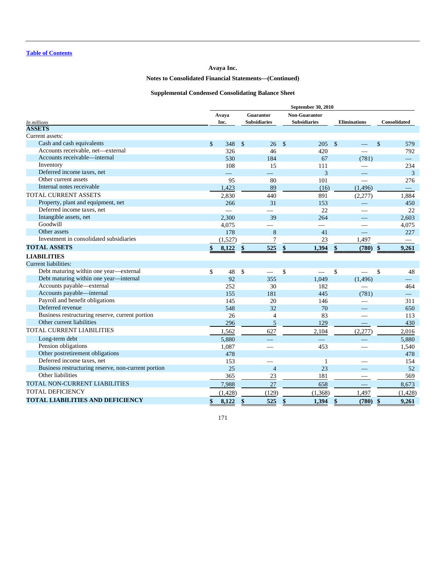# **Notes to Consolidated Financial Statements—(Continued)**

**Supplemental Condensed Consolidating Balance Sheet**

|                                                     |              | September 30, 2010 |                    |                          |                    |                     |               |                          |               |                          |  |  |
|-----------------------------------------------------|--------------|--------------------|--------------------|--------------------------|--------------------|---------------------|---------------|--------------------------|---------------|--------------------------|--|--|
|                                                     |              | Avaya              |                    | Guarantor                |                    | Non-Guarantor       |               |                          |               |                          |  |  |
| In millions                                         |              | Inc.               |                    | <b>Subsidiaries</b>      |                    | <b>Subsidiaries</b> |               | <b>Eliminations</b>      |               | <b>Consolidated</b>      |  |  |
| <b>ASSETS</b>                                       |              |                    |                    |                          |                    |                     |               |                          |               |                          |  |  |
| Current assets:                                     |              |                    |                    |                          |                    |                     |               |                          |               |                          |  |  |
| Cash and cash equivalents                           | $\mathbb{S}$ | 348                | $\mathbf{\hat{S}}$ | 26                       | $\mathbf{\hat{S}}$ | 205                 | $\mathcal{S}$ |                          | $\mathsf{\$}$ | 579                      |  |  |
| Accounts receivable, net-external                   |              | 326                |                    | 46                       |                    | 420                 |               |                          |               | 792                      |  |  |
| Accounts receivable—internal                        |              | 530                |                    | 184                      |                    | 67                  |               | (781)                    |               |                          |  |  |
| Inventory                                           |              | 108                |                    | 15                       |                    | 111                 |               |                          |               | 234                      |  |  |
| Deferred income taxes, net                          |              |                    |                    |                          |                    | 3                   |               |                          |               | 3                        |  |  |
| Other current assets                                |              | 95                 |                    | 80                       |                    | 101                 |               |                          |               | 276                      |  |  |
| Internal notes receivable                           |              | 1,423              |                    | 89                       |                    | (16)                |               | (1,496)                  |               |                          |  |  |
| <b>TOTAL CURRENT ASSETS</b>                         |              | 2,830              |                    | 440                      |                    | 891                 |               | (2,277)                  |               | 1,884                    |  |  |
| Property, plant and equipment, net                  |              | 266                |                    | 31                       |                    | 153                 |               |                          |               | 450                      |  |  |
| Deferred income taxes, net                          |              |                    |                    |                          |                    | 22                  |               |                          |               | 22                       |  |  |
| Intangible assets, net                              |              | 2,300              |                    | 39                       |                    | 264                 |               |                          |               | 2,603                    |  |  |
| Goodwill                                            |              | 4,075              |                    |                          |                    |                     |               |                          |               | 4,075                    |  |  |
| Other assets                                        |              | 178                |                    | 8                        |                    | 41                  |               |                          |               | 227                      |  |  |
| Investment in consolidated subsidiaries             |              | (1,527)            |                    | 7                        |                    | 23                  |               | 1,497                    |               | $\overline{\phantom{0}}$ |  |  |
| <b>TOTAL ASSETS</b>                                 |              | 8,122              | \$                 | 525                      | \$                 | 1,394               | \$            | (780)                    | \$            | 9,261                    |  |  |
| <b>LIABILITIES</b>                                  |              |                    |                    |                          |                    |                     |               |                          |               |                          |  |  |
| <b>Current liabilities:</b>                         |              |                    |                    |                          |                    |                     |               |                          |               |                          |  |  |
| Debt maturing within one year-external              | \$           | 48                 | \$                 | $\overline{\phantom{0}}$ | \$                 |                     | \$            |                          | \$            | 48                       |  |  |
| Debt maturing within one year—internal              |              | 92                 |                    | 355                      |                    | 1,049               |               | (1, 496)                 |               |                          |  |  |
| Accounts payable-external                           |              | 252                |                    | 30                       |                    | 182                 |               |                          |               | 464                      |  |  |
| Accounts payable-internal                           |              | 155                |                    | 181                      |                    | 445                 |               | (781)                    |               |                          |  |  |
| Payroll and benefit obligations                     |              | 145                |                    | 20                       |                    | 146                 |               |                          |               | 311                      |  |  |
| Deferred revenue                                    |              | 548                |                    | 32                       |                    | 70                  |               |                          |               | 650                      |  |  |
| Business restructuring reserve, current portion     |              | 26                 |                    | $\overline{4}$           |                    | 83                  |               |                          |               | 113                      |  |  |
| Other current liabilities                           |              | 296                |                    | 5                        |                    | 129                 |               |                          |               | 430                      |  |  |
| <b>TOTAL CURRENT LIABILITIES</b>                    |              | 1,562              |                    | 627                      |                    | 2,104               |               | (2,277)                  |               | 2,016                    |  |  |
| Long-term debt                                      |              | 5,880              |                    |                          |                    |                     |               |                          |               | 5,880                    |  |  |
| Pension obligations                                 |              | 1,087              |                    |                          |                    | 453                 |               |                          |               | 1,540                    |  |  |
| Other postretirement obligations                    |              | 478                |                    |                          |                    |                     |               |                          |               | 478                      |  |  |
| Deferred income taxes, net                          |              | 153                |                    |                          |                    | 1                   |               |                          |               | 154                      |  |  |
| Business restructuring reserve, non-current portion |              | 25                 |                    | $\overline{4}$           |                    | 23                  |               |                          |               | 52                       |  |  |
| Other liabilities                                   |              | 365                |                    | 23                       |                    | 181                 |               | $\overline{\phantom{0}}$ |               | 569                      |  |  |
| TOTAL NON-CURRENT LIABILITIES                       |              | 7,988              |                    | 27                       |                    | 658                 |               |                          |               | 8,673                    |  |  |
| <b>TOTAL DEFICIENCY</b>                             |              | (1, 428)           |                    | (129)                    |                    | (1, 368)            |               | 1,497                    |               | (1, 428)                 |  |  |
| <b>TOTAL LIABILITIES AND DEFICIENCY</b>             | \$           | 8,122              | \$                 | 525                      | \$                 | 1,394               | \$            | (780)                    | \$            | 9,261                    |  |  |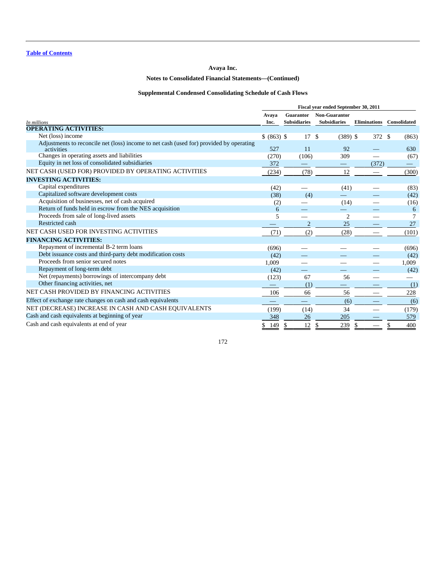**Notes to Consolidated Financial Statements—(Continued)**

# **Supplemental Condensed Consolidating Schedule of Cash Flows**

|                                                                                                       | Fiscal year ended September 30, 2011 |                     |                             |                     |              |  |
|-------------------------------------------------------------------------------------------------------|--------------------------------------|---------------------|-----------------------------|---------------------|--------------|--|
|                                                                                                       | Avava                                | Guarantor           | <b>Non-Guarantor</b>        |                     |              |  |
| In millions                                                                                           | Inc.                                 | <b>Subsidiaries</b> | <b>Subsidiaries</b>         | <b>Eliminations</b> | Consolidated |  |
| <b>OPERATING ACTIVITIES:</b>                                                                          |                                      |                     |                             |                     |              |  |
| Net (loss) income                                                                                     | $$ (863)$ \$                         | 17                  | $(389)$ \$<br><sup>\$</sup> | 372                 | -S<br>(863)  |  |
| Adjustments to reconcile net (loss) income to net cash (used for) provided by operating<br>activities | 527                                  | 11                  | 92                          |                     | 630          |  |
| Changes in operating assets and liabilities                                                           | (270)                                | (106)               | 309                         |                     | (67)         |  |
| Equity in net loss of consolidated subsidiaries                                                       | 372                                  |                     |                             | (372)               |              |  |
| NET CASH (USED FOR) PROVIDED BY OPERATING ACTIVITIES                                                  | (234)                                | (78)                | 12                          |                     | (300)        |  |
| <b>INVESTING ACTIVITIES:</b>                                                                          |                                      |                     |                             |                     |              |  |
| Capital expenditures                                                                                  | (42)                                 |                     | (41)                        |                     | (83)         |  |
| Capitalized software development costs                                                                | (38)                                 | (4)                 |                             |                     | (42)         |  |
| Acquisition of businesses, net of cash acquired                                                       | (2)                                  |                     | (14)                        |                     | (16)         |  |
| Return of funds held in escrow from the NES acquisition                                               | 6                                    |                     |                             |                     | 6            |  |
| Proceeds from sale of long-lived assets                                                               | 5                                    |                     | 2                           |                     |              |  |
| Restricted cash                                                                                       |                                      | 2                   | 25                          |                     | 27           |  |
| NET CASH USED FOR INVESTING ACTIVITIES                                                                | (71)                                 | (2)                 | (28)                        |                     | (101)        |  |
| <b>FINANCING ACTIVITIES:</b>                                                                          |                                      |                     |                             |                     |              |  |
| Repayment of incremental B-2 term loans                                                               | (696)                                |                     |                             |                     | (696)        |  |
| Debt issuance costs and third-party debt modification costs                                           | (42)                                 |                     |                             |                     | (42)         |  |
| Proceeds from senior secured notes                                                                    | 1,009                                |                     |                             |                     | 1,009        |  |
| Repayment of long-term debt                                                                           | (42)                                 |                     |                             |                     | (42)         |  |
| Net (repayments) borrowings of intercompany debt                                                      | (123)                                | 67                  | 56                          |                     |              |  |
| Other financing activities, net                                                                       |                                      | (1)                 |                             |                     | (1)          |  |
| NET CASH PROVIDED BY FINANCING ACTIVITIES                                                             | 106                                  | 66                  | 56                          |                     | 228          |  |
| Effect of exchange rate changes on cash and cash equivalents                                          |                                      |                     | (6)                         |                     | (6)          |  |
| NET (DECREASE) INCREASE IN CASH AND CASH EQUIVALENTS                                                  | (199)                                | (14)                | 34                          |                     | (179)        |  |
| Cash and cash equivalents at beginning of year                                                        | 348                                  | 26                  | 205                         |                     | 579          |  |
| Cash and cash equivalents at end of year                                                              | 149<br>\$                            | 12<br>\$            | 239<br>\$                   |                     | 400          |  |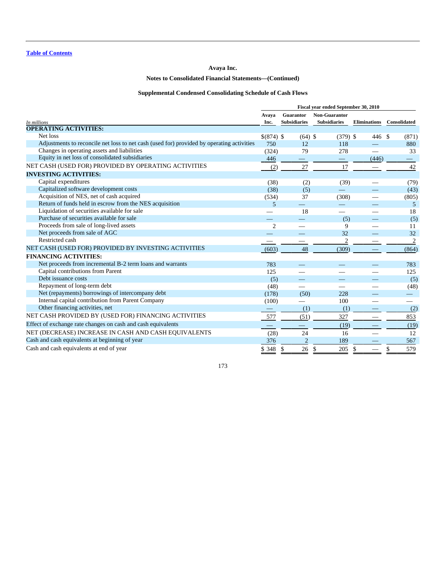**Notes to Consolidated Financial Statements—(Continued)**

# **Supplemental Condensed Consolidating Schedule of Cash Flows**

|                                                                                           | Fiscal year ended September 30, 2010 |                          |                      |                          |                |  |
|-------------------------------------------------------------------------------------------|--------------------------------------|--------------------------|----------------------|--------------------------|----------------|--|
|                                                                                           | Avaya                                | Guarantor                | <b>Non-Guarantor</b> |                          |                |  |
| In millions                                                                               | Inc.                                 | <b>Subsidiaries</b>      | <b>Subsidiaries</b>  | <b>Eliminations</b>      | Consolidated   |  |
| <b>OPERATING ACTIVITIES:</b>                                                              |                                      |                          |                      |                          |                |  |
| Net loss                                                                                  | $$(874)$ \;                          | $(64)$ \$                | $(379)$ \$           | 446 \$                   | (871)          |  |
| Adjustments to reconcile net loss to net cash (used for) provided by operating activities | 750                                  | 12                       | 118                  |                          | 880            |  |
| Changes in operating assets and liabilities                                               | (324)                                | 79                       | 278                  | $\overline{\phantom{0}}$ | 33             |  |
| Equity in net loss of consolidated subsidiaries                                           | 446                                  |                          |                      | (446)                    |                |  |
| NET CASH (USED FOR) PROVIDED BY OPERATING ACTIVITIES                                      | (2)                                  | 27                       | 17                   |                          | 42             |  |
| <b>INVESTING ACTIVITIES:</b>                                                              |                                      |                          |                      |                          |                |  |
| Capital expenditures                                                                      | (38)                                 | (2)                      | (39)                 |                          | (79)           |  |
| Capitalized software development costs                                                    | (38)                                 | (5)                      |                      |                          | (43)           |  |
| Acquisition of NES, net of cash acquired                                                  | (534)                                | 37                       | (308)                |                          | (805)          |  |
| Return of funds held in escrow from the NES acquisition                                   | 5                                    |                          |                      |                          | 5              |  |
| Liquidation of securities available for sale                                              |                                      | 18                       |                      |                          | 18             |  |
| Purchase of securities available for sale                                                 |                                      |                          | (5)                  |                          | (5)            |  |
| Proceeds from sale of long-lived assets                                                   | $\overline{2}$                       |                          | 9                    | -                        | 11             |  |
| Net proceeds from sale of AGC                                                             |                                      |                          | 32                   |                          | 32             |  |
| Restricted cash                                                                           |                                      |                          | $\overline{2}$       |                          | $\overline{c}$ |  |
| NET CASH (USED FOR) PROVIDED BY INVESTING ACTIVITIES                                      | (603)                                | 48                       | (309)                |                          | (864)          |  |
| <b>FINANCING ACTIVITIES:</b>                                                              |                                      |                          |                      |                          |                |  |
| Net proceeds from incremental B-2 term loans and warrants                                 | 783                                  |                          |                      |                          | 783            |  |
| Capital contributions from Parent                                                         | 125                                  |                          |                      |                          | 125            |  |
| Debt issuance costs                                                                       | (5)                                  |                          |                      |                          | (5)            |  |
| Repayment of long-term debt                                                               | (48)                                 | $\overline{\phantom{0}}$ |                      |                          | (48)           |  |
| Net (repayments) borrowings of intercompany debt                                          | (178)                                | (50)                     | 228                  |                          |                |  |
| Internal capital contribution from Parent Company                                         | (100)                                |                          | 100                  |                          |                |  |
| Other financing activities, net                                                           |                                      | (1)                      | (1)                  |                          | (2)            |  |
| NET CASH PROVIDED BY (USED FOR) FINANCING ACTIVITIES                                      | 577                                  | (51)                     | 327                  |                          | 853            |  |
| Effect of exchange rate changes on cash and cash equivalents                              |                                      |                          | (19)                 |                          | (19)           |  |
| NET (DECREASE) INCREASE IN CASH AND CASH EQUIVALENTS                                      | (28)                                 | 24                       | 16                   |                          | 12             |  |
| Cash and cash equivalents at beginning of year                                            | 376                                  | $\overline{2}$           | 189                  |                          | 567            |  |
| Cash and cash equivalents at end of year                                                  | \$348                                | 26<br>\$                 | 205<br>\$            | \$                       | 579            |  |
|                                                                                           |                                      |                          |                      |                          |                |  |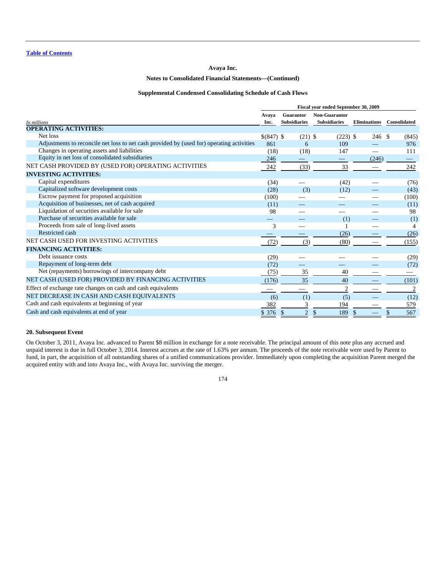**Notes to Consolidated Financial Statements—(Continued)**

# **Supplemental Condensed Consolidating Schedule of Cash Flows**

|                                                                                           | Fiscal year ended September 30, 2009 |                                |                          |                                           |                     |  |  |
|-------------------------------------------------------------------------------------------|--------------------------------------|--------------------------------|--------------------------|-------------------------------------------|---------------------|--|--|
|                                                                                           | Avava                                | Guarantor                      | <b>Non-Guarantor</b>     |                                           |                     |  |  |
| In millions                                                                               | Inc.                                 | <b>Subsidiaries</b>            | <b>Subsidiaries</b>      | <b>Eliminations</b>                       | <b>Consolidated</b> |  |  |
| <b>OPERATING ACTIVITIES:</b>                                                              |                                      |                                |                          |                                           |                     |  |  |
| Net loss                                                                                  | $$(847)$ \                           | $(21)$ \$                      | $(223)$ \$               | 246 \$                                    | (845)               |  |  |
| Adjustments to reconcile net loss to net cash provided by (used for) operating activities | 861                                  | 6                              | 109                      |                                           | 976                 |  |  |
| Changes in operating assets and liabilities                                               | (18)                                 | (18)                           | 147                      | $\overline{\phantom{0}}$                  | 111                 |  |  |
| Equity in net loss of consolidated subsidiaries                                           | 246                                  |                                | $\overline{\phantom{0}}$ | (246)                                     |                     |  |  |
| NET CASH PROVIDED BY (USED FOR) OPERATING ACTIVITIES                                      | 242                                  | (33)                           | 33                       |                                           | 242                 |  |  |
| <b>INVESTING ACTIVITIES:</b>                                                              |                                      |                                |                          |                                           |                     |  |  |
| Capital expenditures                                                                      | (34)                                 |                                | (42)                     |                                           | (76)                |  |  |
| Capitalized software development costs                                                    | (28)                                 | (3)                            | (12)                     |                                           | (43)                |  |  |
| Escrow payment for proposed acquisition                                                   | (100)                                |                                |                          |                                           | (100)               |  |  |
| Acquisition of businesses, net of cash acquired                                           | (11)                                 |                                |                          |                                           | (11)                |  |  |
| Liquidation of securities available for sale                                              | 98                                   |                                |                          |                                           | 98                  |  |  |
| Purchase of securities available for sale                                                 |                                      |                                | (1)                      |                                           | (1)                 |  |  |
| Proceeds from sale of long-lived assets                                                   | 3                                    |                                |                          |                                           | 4                   |  |  |
| Restricted cash                                                                           |                                      |                                | (26)                     |                                           | (26)                |  |  |
| NET CASH USED FOR INVESTING ACTIVITIES                                                    | (72)                                 | (3)                            | (80)                     |                                           | (155)               |  |  |
| <b>FINANCING ACTIVITIES:</b>                                                              |                                      |                                |                          |                                           |                     |  |  |
| Debt issuance costs                                                                       | (29)                                 |                                |                          |                                           | (29)                |  |  |
| Repayment of long-term debt                                                               | (72)                                 |                                |                          |                                           | (72)                |  |  |
| Net (repayments) borrowings of intercompany debt                                          | (75)                                 | 35                             | 40                       |                                           |                     |  |  |
| NET CASH (USED FOR) PROVIDED BY FINANCING ACTIVITIES                                      | (176)                                | 35                             | 40                       |                                           | (101)               |  |  |
| Effect of exchange rate changes on cash and cash equivalents                              |                                      |                                | $\overline{2}$           |                                           |                     |  |  |
| NET DECREASE IN CASH AND CASH EQUIVALENTS                                                 | (6)                                  | (1)                            | (5)                      |                                           | (12)                |  |  |
| Cash and cash equivalents at beginning of year                                            | 382                                  | 3                              | 194                      |                                           | 579                 |  |  |
| Cash and cash equivalents at end of year                                                  | \$376                                | $\overline{c}$<br>$\mathbb{S}$ | \$<br>189                | $\mathcal{S}$<br>$\overline{\phantom{a}}$ | \$<br>567           |  |  |

## **20. Subsequent Event**

On October 3, 2011, Avaya Inc. advanced to Parent \$8 million in exchange for a note receivable. The principal amount of this note plus any accrued and unpaid interest is due in full October 3, 2014. Interest accrues at the rate of 1.63% per annum. The proceeds of the note receivable were used by Parent to fund, in part, the acquisition of all outstanding shares of a unified communications provider. Immediately upon completing the acquisition Parent merged the acquired entity with and into Avaya Inc., with Avaya Inc. surviving the merger.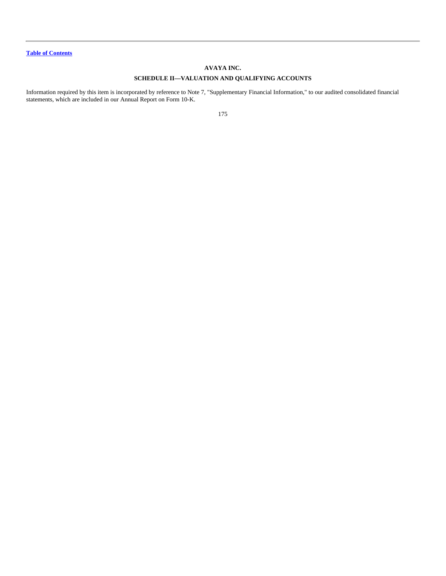## **AVAYA INC.**

# **SCHEDULE II—VALUATION AND QUALIFYING ACCOUNTS**

Information required by this item is incorporated by reference to Note 7, "Supplementary Financial Information," to our audited consolidated financial statements, which are included in our Annual Report on Form 10-K.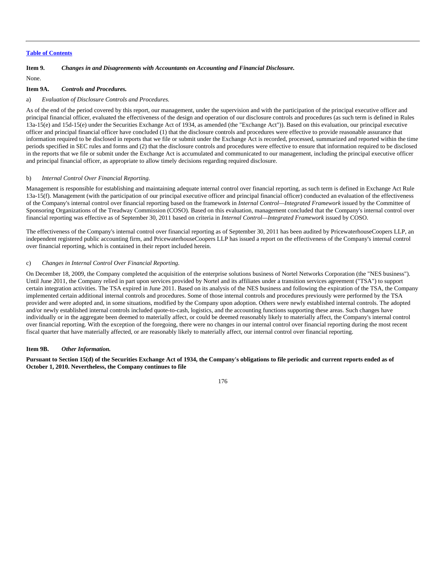## **Item 9.** *Changes in and Disagreements with Accountants on Accounting and Financial Disclosure.*

None.

**Item 9A.** *Controls and Procedures.*

## a) *Evaluation of Disclosure Controls and Procedures.*

As of the end of the period covered by this report, our management, under the supervision and with the participation of the principal executive officer and principal financial officer, evaluated the effectiveness of the design and operation of our disclosure controls and procedures (as such term is defined in Rules 13a-15(e) and 15d-15(e) under the Securities Exchange Act of 1934, as amended (the "Exchange Act")). Based on this evaluation, our principal executive officer and principal financial officer have concluded (1) that the disclosure controls and procedures were effective to provide reasonable assurance that information required to be disclosed in reports that we file or submit under the Exchange Act is recorded, processed, summarized and reported within the time periods specified in SEC rules and forms and (2) that the disclosure controls and procedures were effective to ensure that information required to be disclosed in the reports that we file or submit under the Exchange Act is accumulated and communicated to our management, including the principal executive officer and principal financial officer, as appropriate to allow timely decisions regarding required disclosure.

## b) *Internal Control Over Financial Reporting.*

Management is responsible for establishing and maintaining adequate internal control over financial reporting, as such term is defined in Exchange Act Rule 13a-15(f). Management (with the participation of our principal executive officer and principal financial officer) conducted an evaluation of the effectiveness of the Company's internal control over financial reporting based on the framework in *Internal Control—Integrated Framework* issued by the Committee of Sponsoring Organizations of the Treadway Commission (COSO). Based on this evaluation, management concluded that the Company's internal control over financial reporting was effective as of September 30, 2011 based on criteria in *Internal Control—Integrated Framework* issued by COSO.

The effectiveness of the Company's internal control over financial reporting as of September 30, 2011 has been audited by PricewaterhouseCoopers LLP, an independent registered public accounting firm, and PricewaterhouseCoopers LLP has issued a report on the effectiveness of the Company's internal control over financial reporting, which is contained in their report included herein.

## c) *Changes in Internal Control Over Financial Reporting.*

On December 18, 2009, the Company completed the acquisition of the enterprise solutions business of Nortel Networks Corporation (the "NES business"). Until June 2011, the Company relied in part upon services provided by Nortel and its affiliates under a transition services agreement ("TSA") to support certain integration activities. The TSA expired in June 2011. Based on its analysis of the NES business and following the expiration of the TSA, the Company implemented certain additional internal controls and procedures. Some of those internal controls and procedures previously were performed by the TSA provider and were adopted and, in some situations, modified by the Company upon adoption. Others were newly established internal controls. The adopted and/or newly established internal controls included quote-to-cash, logistics, and the accounting functions supporting these areas. Such changes have individually or in the aggregate been deemed to materially affect, or could be deemed reasonably likely to materially affect, the Company's internal control over financial reporting. With the exception of the foregoing, there were no changes in our internal control over financial reporting during the most recent fiscal quarter that have materially affected, or are reasonably likely to materially affect, our internal control over financial reporting.

## **Item 9B.** *Other Information.*

**Pursuant to Section 15(d) of the Securities Exchange Act of 1934, the Company's obligations to file periodic and current reports ended as of October 1, 2010. Nevertheless, the Company continues to file**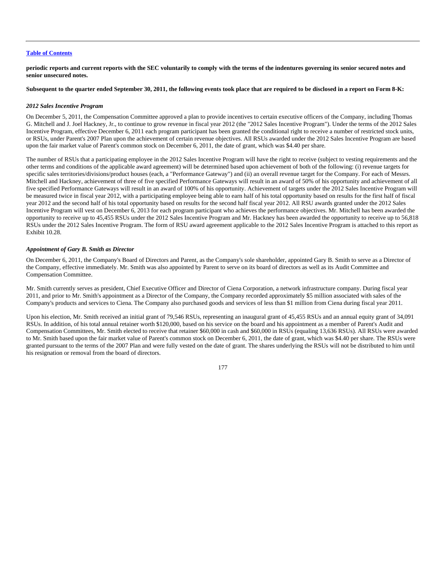**periodic reports and current reports with the SEC voluntarily to comply with the terms of the indentures governing its senior secured notes and senior unsecured notes.**

## **Subsequent to the quarter ended September 30, 2011, the following events took place that are required to be disclosed in a report on Form 8-K:**

#### *2012 Sales Incentive Program*

On December 5, 2011, the Compensation Committee approved a plan to provide incentives to certain executive officers of the Company, including Thomas G. Mitchell and J. Joel Hackney, Jr., to continue to grow revenue in fiscal year 2012 (the "2012 Sales Incentive Program"). Under the terms of the 2012 Sales Incentive Program, effective December 6, 2011 each program participant has been granted the conditional right to receive a number of restricted stock units, or RSUs, under Parent's 2007 Plan upon the achievement of certain revenue objectives. All RSUs awarded under the 2012 Sales Incentive Program are based upon the fair market value of Parent's common stock on December 6, 2011, the date of grant, which was \$4.40 per share.

The number of RSUs that a participating employee in the 2012 Sales Incentive Program will have the right to receive (subject to vesting requirements and the other terms and conditions of the applicable award agreement) will be determined based upon achievement of both of the following: (i) revenue targets for specific sales territories/divisions/product houses (each, a "Performance Gateway") and (ii) an overall revenue target for the Company. For each of Messrs. Mitchell and Hackney, achievement of three of five specified Performance Gateways will result in an award of 50% of his opportunity and achievement of all five specified Performance Gateways will result in an award of 100% of his opportunity. Achievement of targets under the 2012 Sales Incentive Program will be measured twice in fiscal year 2012, with a participating employee being able to earn half of his total opportunity based on results for the first half of fiscal year 2012 and the second half of his total opportunity based on results for the second half fiscal year 2012. All RSU awards granted under the 2012 Sales Incentive Program will vest on December 6, 2013 for each program participant who achieves the performance objectives. Mr. Mitchell has been awarded the opportunity to receive up to 45,455 RSUs under the 2012 Sales Incentive Program and Mr. Hackney has been awarded the opportunity to receive up to 56,818 RSUs under the 2012 Sales Incentive Program. The form of RSU award agreement applicable to the 2012 Sales Incentive Program is attached to this report as Exhibit 10.28.

#### *Appointment of Gary B. Smith as Director*

On December 6, 2011, the Company's Board of Directors and Parent, as the Company's sole shareholder, appointed Gary B. Smith to serve as a Director of the Company, effective immediately. Mr. Smith was also appointed by Parent to serve on its board of directors as well as its Audit Committee and Compensation Committee.

Mr. Smith currently serves as president, Chief Executive Officer and Director of Ciena Corporation, a network infrastructure company. During fiscal year 2011, and prior to Mr. Smith's appointment as a Director of the Company, the Company recorded approximately \$5 million associated with sales of the Company's products and services to Ciena. The Company also purchased goods and services of less than \$1 million from Ciena during fiscal year 2011.

Upon his election, Mr. Smith received an initial grant of 79,546 RSUs, representing an inaugural grant of 45,455 RSUs and an annual equity grant of 34,091 RSUs. In addition, of his total annual retainer worth \$120,000, based on his service on the board and his appointment as a member of Parent's Audit and Compensation Committees, Mr. Smith elected to receive that retainer \$60,000 in cash and \$60,000 in RSUs (equaling 13,636 RSUs). All RSUs were awarded to Mr. Smith based upon the fair market value of Parent's common stock on December 6, 2011, the date of grant, which was \$4.40 per share. The RSUs were granted pursuant to the terms of the 2007 Plan and were fully vested on the date of grant. The shares underlying the RSUs will not be distributed to him until his resignation or removal from the board of directors.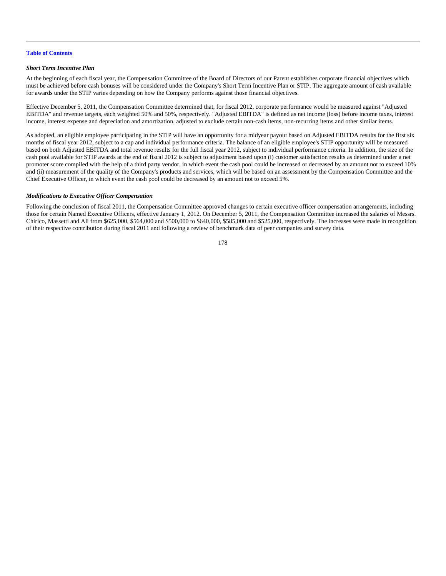### *Short Term Incentive Plan*

At the beginning of each fiscal year, the Compensation Committee of the Board of Directors of our Parent establishes corporate financial objectives which must be achieved before cash bonuses will be considered under the Company's Short Term Incentive Plan or STIP. The aggregate amount of cash available for awards under the STIP varies depending on how the Company performs against those financial objectives.

Effective December 5, 2011, the Compensation Committee determined that, for fiscal 2012, corporate performance would be measured against "Adjusted EBITDA" and revenue targets, each weighted 50% and 50%, respectively. "Adjusted EBITDA" is defined as net income (loss) before income taxes, interest income, interest expense and depreciation and amortization, adjusted to exclude certain non-cash items, non-recurring items and other similar items.

As adopted, an eligible employee participating in the STIP will have an opportunity for a midyear payout based on Adjusted EBITDA results for the first six months of fiscal year 2012, subject to a cap and individual performance criteria. The balance of an eligible employee's STIP opportunity will be measured based on both Adjusted EBITDA and total revenue results for the full fiscal year 2012, subject to individual performance criteria. In addition, the size of the cash pool available for STIP awards at the end of fiscal 2012 is subject to adjustment based upon (i) customer satisfaction results as determined under a net promoter score compiled with the help of a third party vendor, in which event the cash pool could be increased or decreased by an amount not to exceed 10% and (ii) measurement of the quality of the Company's products and services, which will be based on an assessment by the Compensation Committee and the Chief Executive Officer, in which event the cash pool could be decreased by an amount not to exceed 5%.

### *Modifications to Executive Officer Compensation*

Following the conclusion of fiscal 2011, the Compensation Committee approved changes to certain executive officer compensation arrangements, including those for certain Named Executive Officers, effective January 1, 2012. On December 5, 2011, the Compensation Committee increased the salaries of Messrs. Chirico, Massetti and Ali from \$625,000, \$564,000 and \$500,000 to \$640,000, \$585,000 and \$525,000, respectively. The increases were made in recognition of their respective contribution during fiscal 2011 and following a review of benchmark data of peer companies and survey data.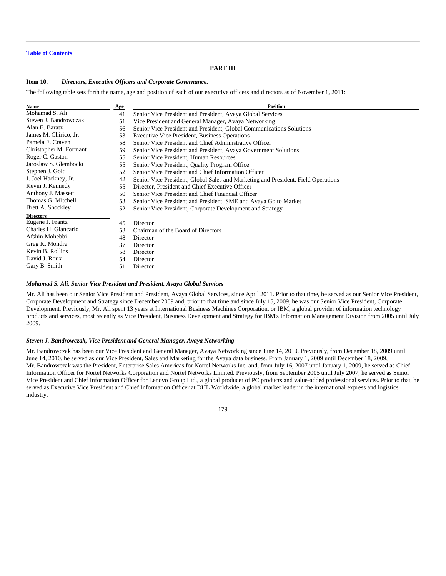# **PART III**

### **Item 10.** *Directors, Executive Officers and Corporate Governance.*

The following table sets forth the name, age and position of each of our executive officers and directors as of November 1, 2011:

| <b>Name</b>            | Age | <b>Position</b>                                                                   |
|------------------------|-----|-----------------------------------------------------------------------------------|
| Mohamad S. Ali         | 41  | Senior Vice President and President, Avaya Global Services                        |
| Steven J. Bandrowczak  | 51  | Vice President and General Manager, Avaya Networking                              |
| Alan E. Baratz         | 56  | Senior Vice President and President, Global Communications Solutions              |
| James M. Chirico, Jr.  | 53  | <b>Executive Vice President, Business Operations</b>                              |
| Pamela F. Craven       | 58  | Senior Vice President and Chief Administrative Officer                            |
| Christopher M. Formant | 59  | Senior Vice President and President, Avaya Government Solutions                   |
| Roger C. Gaston        | 55  | Senior Vice President, Human Resources                                            |
| Jaroslaw S. Glembocki  | 55  | Senior Vice President, Quality Program Office                                     |
| Stephen J. Gold        | 52  | Senior Vice President and Chief Information Officer                               |
| J. Joel Hackney, Jr.   | 42  | Senior Vice President, Global Sales and Marketing and President, Field Operations |
| Kevin J. Kennedy       | 55  | Director, President and Chief Executive Officer                                   |
| Anthony J. Massetti    | 50  | Senior Vice President and Chief Financial Officer                                 |
| Thomas G. Mitchell     | 53  | Senior Vice President and President, SME and Avaya Go to Market                   |
| Brett A. Shockley      | 52  | Senior Vice President, Corporate Development and Strategy                         |
| <b>Directors</b>       |     |                                                                                   |
| Eugene J. Frantz       | 45  | Director                                                                          |
| Charles H. Giancarlo   | 53  | Chairman of the Board of Directors                                                |
| Afshin Mohebbi         | 48  | Director                                                                          |
| Greg K. Mondre         | 37  | Director                                                                          |
| Kevin B. Rollins       | 58  | Director                                                                          |
| David J. Roux          | 54  | Director                                                                          |
| Gary B. Smith          | 51  | Director                                                                          |

#### *Mohamad S. Ali, Senior Vice President and President, Avaya Global Services*

Mr. Ali has been our Senior Vice President and President, Avaya Global Services, since April 2011. Prior to that time, he served as our Senior Vice President, Corporate Development and Strategy since December 2009 and, prior to that time and since July 15, 2009, he was our Senior Vice President, Corporate Development. Previously, Mr. Ali spent 13 years at International Business Machines Corporation, or IBM, a global provider of information technology products and services, most recently as Vice President, Business Development and Strategy for IBM's Information Management Division from 2005 until July 2009.

### *Steven J. Bandrowczak, Vice President and General Manager, Avaya Networking*

Mr. Bandrowczak has been our Vice President and General Manager, Avaya Networking since June 14, 2010. Previously, from December 18, 2009 until June 14, 2010, he served as our Vice President, Sales and Marketing for the Avaya data business. From January 1, 2009 until December 18, 2009, Mr. Bandrowczak was the President, Enterprise Sales Americas for Nortel Networks Inc. and, from July 16, 2007 until January 1, 2009, he served as Chief Information Officer for Nortel Networks Corporation and Nortel Networks Limited. Previously, from September 2005 until July 2007, he served as Senior Vice President and Chief Information Officer for Lenovo Group Ltd., a global producer of PC products and value-added professional services. Prior to that, he served as Executive Vice President and Chief Information Officer at DHL Worldwide, a global market leader in the international express and logistics industry.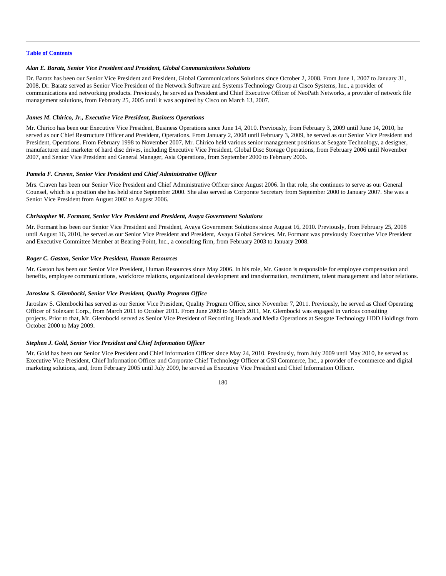#### *Alan E. Baratz, Senior Vice President and President, Global Communications Solutions*

Dr. Baratz has been our Senior Vice President and President, Global Communications Solutions since October 2, 2008. From June 1, 2007 to January 31, 2008, Dr. Baratz served as Senior Vice President of the Network Software and Systems Technology Group at Cisco Systems, Inc., a provider of communications and networking products. Previously, he served as President and Chief Executive Officer of NeoPath Networks, a provider of network file management solutions, from February 25, 2005 until it was acquired by Cisco on March 13, 2007.

#### *James M. Chirico, Jr., Executive Vice President, Business Operations*

Mr. Chirico has been our Executive Vice President, Business Operations since June 14, 2010. Previously, from February 3, 2009 until June 14, 2010, he served as our Chief Restructure Officer and President, Operations. From January 2, 2008 until February 3, 2009, he served as our Senior Vice President and President, Operations. From February 1998 to November 2007, Mr. Chirico held various senior management positions at Seagate Technology, a designer, manufacturer and marketer of hard disc drives, including Executive Vice President, Global Disc Storage Operations, from February 2006 until November 2007, and Senior Vice President and General Manager, Asia Operations, from September 2000 to February 2006.

#### *Pamela F. Craven, Senior Vice President and Chief Administrative Officer*

Mrs. Craven has been our Senior Vice President and Chief Administrative Officer since August 2006. In that role, she continues to serve as our General Counsel, which is a position she has held since September 2000. She also served as Corporate Secretary from September 2000 to January 2007. She was a Senior Vice President from August 2002 to August 2006.

#### *Christopher M. Formant, Senior Vice President and President, Avaya Government Solutions*

Mr. Formant has been our Senior Vice President and President, Avaya Government Solutions since August 16, 2010. Previously, from February 25, 2008 until August 16, 2010, he served as our Senior Vice President and President, Avaya Global Services. Mr. Formant was previously Executive Vice President and Executive Committee Member at Bearing-Point, Inc., a consulting firm, from February 2003 to January 2008.

### *Roger C. Gaston, Senior Vice President, Human Resources*

Mr. Gaston has been our Senior Vice President, Human Resources since May 2006. In his role, Mr. Gaston is responsible for employee compensation and benefits, employee communications, workforce relations, organizational development and transformation, recruitment, talent management and labor relations.

#### *Jaroslaw S. Glembocki, Senior Vice President, Quality Program Office*

Jaroslaw S. Glembocki has served as our Senior Vice President, Quality Program Office, since November 7, 2011. Previously, he served as Chief Operating Officer of Solexant Corp., from March 2011 to October 2011. From June 2009 to March 2011, Mr. Glembocki was engaged in various consulting projects. Prior to that, Mr. Glembocki served as Senior Vice President of Recording Heads and Media Operations at Seagate Technology HDD Holdings from October 2000 to May 2009.

### *Stephen J. Gold, Senior Vice President and Chief Information Officer*

Mr. Gold has been our Senior Vice President and Chief Information Officer since May 24, 2010. Previously, from July 2009 until May 2010, he served as Executive Vice President, Chief Information Officer and Corporate Chief Technology Officer at GSI Commerce, Inc., a provider of e-commerce and digital marketing solutions, and, from February 2005 until July 2009, he served as Executive Vice President and Chief Information Officer.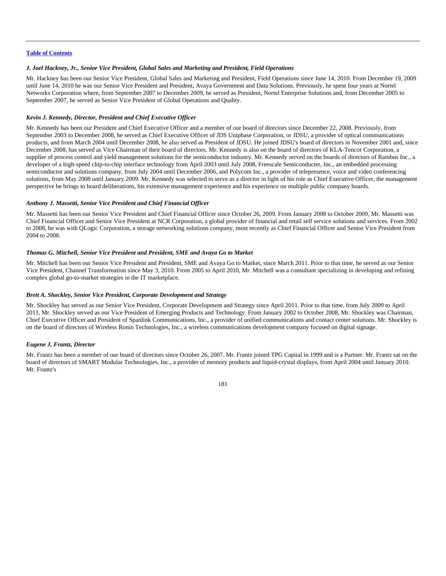### *J. Joel Hackney, Jr., Senior Vice President, Global Sales and Marketing and President, Field Operations*

Mr. Hackney has been our Senior Vice President, Global Sales and Marketing and President, Field Operations since June 14, 2010. From December 19, 2009 until June 14, 2010 he was our Senior Vice President and President, Avaya Government and Data Solutions. Previously, he spent four years at Nortel Networks Corporation where, from September 2007 to December 2009, he served as President, Nortel Enterprise Solutions and, from December 2005 to September 2007, he served as Senior Vice President of Global Operations and Quality.

### *Kevin J. Kennedy, Director, President and Chief Executive Officer*

Mr. Kennedy has been our President and Chief Executive Officer and a member of our board of directors since December 22, 2008. Previously, from September 2003 to December 2008, he served as Chief Executive Officer of JDS Uniphase Corporation, or JDSU, a provider of optical communications products, and from March 2004 until December 2008, he also served as President of JDSU. He joined JDSU's board of directors in November 2001 and, since December 2008, has served as Vice Chairman of their board of directors. Mr. Kennedy is also on the board of directors of KLA-Tencor Corporation, a supplier of process control and yield management solutions for the semiconductor industry. Mr. Kennedy served on the boards of directors of Rambus Inc., a developer of a high-speed chip-to-chip interface technology from April 2003 until July 2008, Freescale Semiconducter, Inc., an embedded processing semiconductor and solutions company, from July 2004 until December 2006, and Polycom Inc., a provider of telepresence, voice and video conferencing solutions, from May 2008 until January 2009. Mr. Kennedy was selected to serve as a director in light of his role as Chief Executive Officer, the management perspective he brings to board deliberations, his extensive management experience and his experience on multiple public company boards.

### *Anthony J. Massetti, Senior Vice President and Chief Financial Officer*

Mr. Massetti has been our Senior Vice President and Chief Financial Officer since October 26, 2009. From January 2008 to October 2009, Mr. Massetti was Chief Financial Officer and Senior Vice President at NCR Corporation, a global provider of financial and retail self service solutions and services. From 2002 to 2008, he was with QLogic Corporation, a storage networking solutions company, most recently as Chief Financial Officer and Senior Vice President from 2004 to 2008.

### *Thomas G. Mitchell, Senior Vice President and President, SME and Avaya Go to Market*

Mr. Mitchell has been our Senior Vice President and President, SME and Avaya Go to Market, since March 2011. Prior to that time, he served as our Senior Vice President, Channel Transformation since May 3, 2010. From 2005 to April 2010, Mr. Mitchell was a consultant specializing in developing and refining complex global go-to-market strategies in the IT marketplace.

#### *Brett A. Shockley, Senior Vice President, Corporate Development and Strategy*

Mr. Shockley has served as our Senior Vice President, Corporate Development and Strategy since April 2011. Prior to that time, from July 2009 to April 2011, Mr. Shockley served as our Vice President of Emerging Products and Technology. From January 2002 to October 2008, Mr. Shockley was Chairman, Chief Executive Officer and President of Spanlink Communications, Inc., a provider of unified communications and contact center solutions. Mr. Shockley is on the board of directors of Wireless Ronin Technologies, Inc., a wireless communications development company focused on digital signage.

# *Eugene J. Frantz, Director*

Mr. Frantz has been a member of our board of directors since October 26, 2007. Mr. Frantz joined TPG Capital in 1999 and is a Partner. Mr. Frantz sat on the board of directors of SMART Modular Technologies, Inc., a provider of memory products and liquid-crystal displays, from April 2004 until January 2010. Mr. Frantz's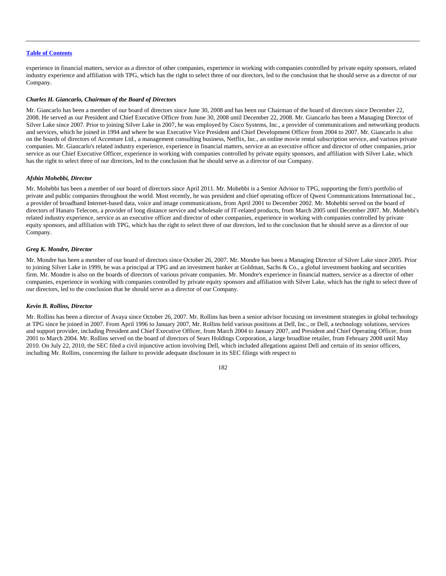experience in financial matters, service as a director of other companies, experience in working with companies controlled by private equity sponsors, related industry experience and affiliation with TPG, which has the right to select three of our directors, led to the conclusion that he should serve as a director of our Company.

#### *Charles H. Giancarlo, Chairman of the Board of Directors*

Mr. Giancarlo has been a member of our board of directors since June 30, 2008 and has been our Chairman of the board of directors since December 22, 2008. He served as our President and Chief Executive Officer from June 30, 2008 until December 22, 2008. Mr. Giancarlo has been a Managing Director of Silver Lake since 2007. Prior to joining Silver Lake in 2007, he was employed by Cisco Systems, Inc., a provider of communications and networking products and services, which he joined in 1994 and where he was Executive Vice President and Chief Development Officer from 2004 to 2007. Mr. Giancarlo is also on the boards of directors of Accenture Ltd., a management consulting business, Netflix, Inc., an online movie rental subscription service, and various private companies. Mr. Giancarlo's related industry experience, experience in financial matters, service as an executive officer and director of other companies, prior service as our Chief Executive Officer, experience in working with companies controlled by private equity sponsors, and affiliation with Silver Lake, which has the right to select three of our directors, led to the conclusion that he should serve as a director of our Company.

#### *Afshin Mohebbi, Director*

Mr. Mohebbi has been a member of our board of directors since April 2011. Mr. Mohebbi is a Senior Advisor to TPG, supporting the firm's portfolio of private and public companies throughout the world. Most recently, he was president and chief operating officer of Qwest Communications International Inc., a provider of broadband Internet-based data, voice and image communications, from April 2001 to December 2002. Mr. Mohebbi served on the board of directors of Hanaro Telecom, a provider of long distance service and wholesale of IT-related products, from March 2005 until December 2007. Mr. Mohebbi's related industry experience, service as an executive officer and director of other companies, experience in working with companies controlled by private equity sponsors, and affiliation with TPG, which has the right to select three of our directors, led to the conclusion that he should serve as a director of our Company.

#### *Greg K. Mondre, Director*

Mr. Mondre has been a member of our board of directors since October 26, 2007. Mr. Mondre has been a Managing Director of Silver Lake since 2005. Prior to joining Silver Lake in 1999, he was a principal at TPG and an investment banker at Goldman, Sachs & Co., a global investment banking and securities firm. Mr. Mondre is also on the boards of directors of various private companies. Mr. Mondre's experience in financial matters, service as a director of other companies, experience in working with companies controlled by private equity sponsors and affiliation with Silver Lake, which has the right to select three of our directors, led to the conclusion that he should serve as a director of our Company.

#### *Kevin B. Rollins, Director*

Mr. Rollins has been a director of Avaya since October 26, 2007. Mr. Rollins has been a senior advisor focusing on investment strategies in global technology at TPG since he joined in 2007. From April 1996 to January 2007, Mr. Rollins held various positions at Dell, Inc., or Dell, a technology solutions, services and support provider, including President and Chief Executive Officer, from March 2004 to January 2007, and President and Chief Operating Officer, from 2001 to March 2004. Mr. Rollins served on the board of directors of Sears Holdings Corporation, a large broadline retailer, from February 2008 until May 2010. On July 22, 2010, the SEC filed a civil injunctive action involving Dell, which included allegations against Dell and certain of its senior officers, including Mr. Rollins, concerning the failure to provide adequate disclosure in its SEC filings with respect to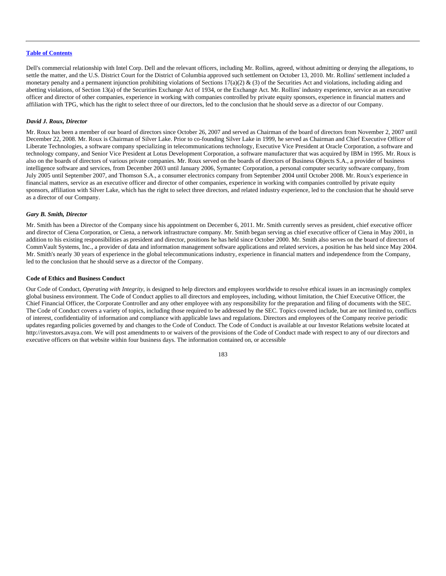Dell's commercial relationship with Intel Corp. Dell and the relevant officers, including Mr. Rollins, agreed, without admitting or denying the allegations, to settle the matter, and the U.S. District Court for the District of Columbia approved such settlement on October 13, 2010. Mr. Rollins' settlement included a monetary penalty and a permanent injunction prohibiting violations of Sections 17(a)(2) & (3) of the Securities Act and violations, including aiding and abetting violations, of Section 13(a) of the Securities Exchange Act of 1934, or the Exchange Act. Mr. Rollins' industry experience, service as an executive officer and director of other companies, experience in working with companies controlled by private equity sponsors, experience in financial matters and affiliation with TPG, which has the right to select three of our directors, led to the conclusion that he should serve as a director of our Company.

### *David J. Roux, Director*

Mr. Roux has been a member of our board of directors since October 26, 2007 and served as Chairman of the board of directors from November 2, 2007 until December 22, 2008. Mr. Roux is Chairman of Silver Lake. Prior to co-founding Silver Lake in 1999, he served as Chairman and Chief Executive Officer of Liberate Technologies, a software company specializing in telecommunications technology, Executive Vice President at Oracle Corporation, a software and technology company, and Senior Vice President at Lotus Development Corporation, a software manufacturer that was acquired by IBM in 1995. Mr. Roux is also on the boards of directors of various private companies. Mr. Roux served on the boards of directors of Business Objects S.A., a provider of business intelligence software and services, from December 2003 until January 2006, Symantec Corporation, a personal computer security software company, from July 2005 until September 2007, and Thomson S.A., a consumer electronics company from September 2004 until October 2008. Mr. Roux's experience in financial matters, service as an executive officer and director of other companies, experience in working with companies controlled by private equity sponsors, affiliation with Silver Lake, which has the right to select three directors, and related industry experience, led to the conclusion that he should serve as a director of our Company.

#### *Gary B. Smith, Director*

Mr. Smith has been a Director of the Company since his appointment on December 6, 2011. Mr. Smith currently serves as president, chief executive officer and director of Ciena Corporation, or Ciena, a network infrastructure company. Mr. Smith began serving as chief executive officer of Ciena in May 2001, in addition to his existing responsibilities as president and director, positions he has held since October 2000. Mr. Smith also serves on the board of directors of CommVault Systems, Inc., a provider of data and information management software applications and related services, a position he has held since May 2004. Mr. Smith's nearly 30 years of experience in the global telecommunications industry, experience in financial matters and independence from the Company, led to the conclusion that he should serve as a director of the Company.

#### **Code of Ethics and Business Conduct**

Our Code of Conduct, *Operating with Integrity*, is designed to help directors and employees worldwide to resolve ethical issues in an increasingly complex global business environment. The Code of Conduct applies to all directors and employees, including, without limitation, the Chief Executive Officer, the Chief Financial Officer, the Corporate Controller and any other employee with any responsibility for the preparation and filing of documents with the SEC. The Code of Conduct covers a variety of topics, including those required to be addressed by the SEC. Topics covered include, but are not limited to, conflicts of interest, confidentiality of information and compliance with applicable laws and regulations. Directors and employees of the Company receive periodic updates regarding policies governed by and changes to the Code of Conduct. The Code of Conduct is available at our Investor Relations website located at http://investors.avaya.com. We will post amendments to or waivers of the provisions of the Code of Conduct made with respect to any of our directors and executive officers on that website within four business days. The information contained on, or accessible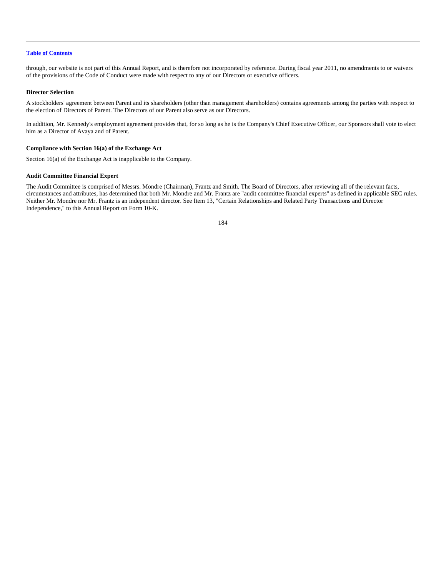through, our website is not part of this Annual Report, and is therefore not incorporated by reference. During fiscal year 2011, no amendments to or waivers of the provisions of the Code of Conduct were made with respect to any of our Directors or executive officers.

### **Director Selection**

A stockholders' agreement between Parent and its shareholders (other than management shareholders) contains agreements among the parties with respect to the election of Directors of Parent. The Directors of our Parent also serve as our Directors.

In addition, Mr. Kennedy's employment agreement provides that, for so long as he is the Company's Chief Executive Officer, our Sponsors shall vote to elect him as a Director of Avaya and of Parent.

## **Compliance with Section 16(a) of the Exchange Act**

Section 16(a) of the Exchange Act is inapplicable to the Company.

### **Audit Committee Financial Expert**

The Audit Committee is comprised of Messrs. Mondre (Chairman), Frantz and Smith. The Board of Directors, after reviewing all of the relevant facts, circumstances and attributes, has determined that both Mr. Mondre and Mr. Frantz are "audit committee financial experts" as defined in applicable SEC rules. Neither Mr. Mondre nor Mr. Frantz is an independent director. See Item 13, "Certain Relationships and Related Party Transactions and Director Independence," to this Annual Report on Form 10-K.

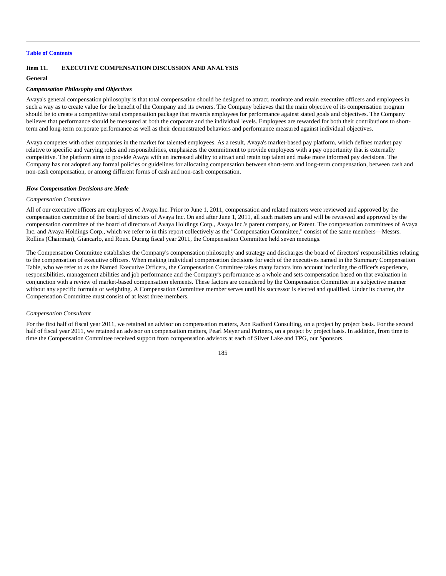### **Item 11. EXECUTIVE COMPENSATION DISCUSSION AND ANALYSIS**

#### **General**

### *Compensation Philosophy and Objectives*

Avaya's general compensation philosophy is that total compensation should be designed to attract, motivate and retain executive officers and employees in such a way as to create value for the benefit of the Company and its owners. The Company believes that the main objective of its compensation program should be to create a competitive total compensation package that rewards employees for performance against stated goals and objectives. The Company believes that performance should be measured at both the corporate and the individual levels. Employees are rewarded for both their contributions to shortterm and long-term corporate performance as well as their demonstrated behaviors and performance measured against individual objectives.

Avaya competes with other companies in the market for talented employees. As a result, Avaya's market-based pay platform, which defines market pay relative to specific and varying roles and responsibilities, emphasizes the commitment to provide employees with a pay opportunity that is externally competitive. The platform aims to provide Avaya with an increased ability to attract and retain top talent and make more informed pay decisions. The Company has not adopted any formal policies or guidelines for allocating compensation between short-term and long-term compensation, between cash and non-cash compensation, or among different forms of cash and non-cash compensation.

#### *How Compensation Decisions are Made*

### *Compensation Committee*

All of our executive officers are employees of Avaya Inc. Prior to June 1, 2011, compensation and related matters were reviewed and approved by the compensation committee of the board of directors of Avaya Inc. On and after June 1, 2011, all such matters are and will be reviewed and approved by the compensation committee of the board of directors of Avaya Holdings Corp., Avaya Inc.'s parent company, or Parent. The compensation committees of Avaya Inc. and Avaya Holdings Corp., which we refer to in this report collectively as the "Compensation Committee," consist of the same members—Messrs. Rollins (Chairman), Giancarlo, and Roux. During fiscal year 2011, the Compensation Committee held seven meetings.

The Compensation Committee establishes the Company's compensation philosophy and strategy and discharges the board of directors' responsibilities relating to the compensation of executive officers. When making individual compensation decisions for each of the executives named in the Summary Compensation Table, who we refer to as the Named Executive Officers, the Compensation Committee takes many factors into account including the officer's experience, responsibilities, management abilities and job performance and the Company's performance as a whole and sets compensation based on that evaluation in conjunction with a review of market-based compensation elements. These factors are considered by the Compensation Committee in a subjective manner without any specific formula or weighting. A Compensation Committee member serves until his successor is elected and qualified. Under its charter, the Compensation Committee must consist of at least three members.

### *Compensation Consultant*

For the first half of fiscal year 2011, we retained an advisor on compensation matters, Aon Radford Consulting, on a project by project basis. For the second half of fiscal year 2011, we retained an advisor on compensation matters, Pearl Meyer and Partners, on a project by project basis. In addition, from time to time the Compensation Committee received support from compensation advisors at each of Silver Lake and TPG, our Sponsors.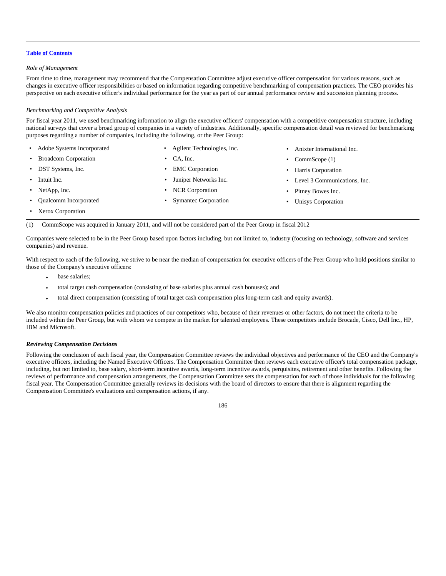#### *Role of Management*

From time to time, management may recommend that the Compensation Committee adjust executive officer compensation for various reasons, such as changes in executive officer responsibilities or based on information regarding competitive benchmarking of compensation practices. The CEO provides his perspective on each executive officer's individual performance for the year as part of our annual performance review and succession planning process.

#### *Benchmarking and Competitive Analysis*

For fiscal year 2011, we used benchmarking information to align the executive officers' compensation with a competitive compensation structure, including national surveys that cover a broad group of companies in a variety of industries. Additionally, specific compensation detail was reviewed for benchmarking purposes regarding a number of companies, including the following, or the Peer Group:

| • Adobe Systems Incorporated | Agilent Technologies, Inc.       | Anixter International Inc.     |
|------------------------------|----------------------------------|--------------------------------|
| • Broadcom Corporation       | $\bullet$ CA, Inc.               | • CommScope $(1)$              |
| • DST Systems, Inc.          | <b>EMC</b> Corporation<br>٠      | <b>Harris Corporation</b>      |
| $\bullet$ Intuit Inc.        | Juniper Networks Inc.<br>٠       | • Level 3 Communications, Inc. |
| • NetApp, Inc.               | <b>NCR</b> Corporation<br>٠      | Pitney Bowes Inc.              |
| • Qualcomm Incorporated      | <b>Symantec Corporation</b><br>٠ | Unisys Corporation             |
| • Xerox Corporation          |                                  |                                |

(1) CommScope was acquired in January 2011, and will not be considered part of the Peer Group in fiscal 2012

Companies were selected to be in the Peer Group based upon factors including, but not limited to, industry (focusing on technology, software and services companies) and revenue.

With respect to each of the following, we strive to be near the median of compensation for executive officers of the Peer Group who hold positions similar to those of the Company's executive officers:

- base salaries;
- total target cash compensation (consisting of base salaries plus annual cash bonuses); and
- total direct compensation (consisting of total target cash compensation plus long-term cash and equity awards).

We also monitor compensation policies and practices of our competitors who, because of their revenues or other factors, do not meet the criteria to be included within the Peer Group, but with whom we compete in the market for talented employees. These competitors include Brocade, Cisco, Dell Inc., HP, IBM and Microsoft.

#### *Reviewing Compensation Decisions*

Following the conclusion of each fiscal year, the Compensation Committee reviews the individual objectives and performance of the CEO and the Company's executive officers, including the Named Executive Officers. The Compensation Committee then reviews each executive officer's total compensation package, including, but not limited to, base salary, short-term incentive awards, long-term incentive awards, perquisites, retirement and other benefits. Following the reviews of performance and compensation arrangements, the Compensation Committee sets the compensation for each of those individuals for the following fiscal year. The Compensation Committee generally reviews its decisions with the board of directors to ensure that there is alignment regarding the Compensation Committee's evaluations and compensation actions, if any.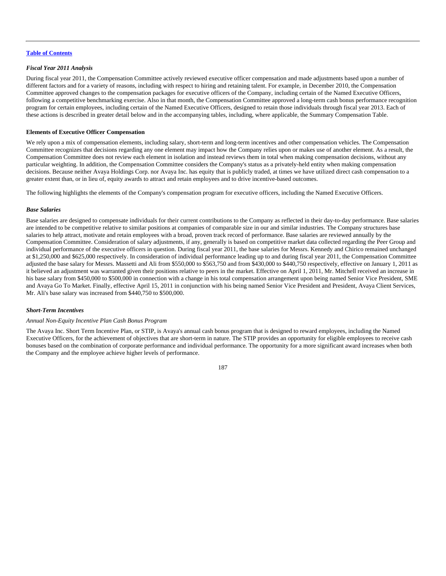### *Fiscal Year 2011 Analysis*

During fiscal year 2011, the Compensation Committee actively reviewed executive officer compensation and made adjustments based upon a number of different factors and for a variety of reasons, including with respect to hiring and retaining talent. For example, in December 2010, the Compensation Committee approved changes to the compensation packages for executive officers of the Company, including certain of the Named Executive Officers, following a competitive benchmarking exercise. Also in that month, the Compensation Committee approved a long-term cash bonus performance recognition program for certain employees, including certain of the Named Executive Officers, designed to retain those individuals through fiscal year 2013. Each of these actions is described in greater detail below and in the accompanying tables, including, where applicable, the Summary Compensation Table.

### **Elements of Executive Officer Compensation**

We rely upon a mix of compensation elements, including salary, short-term and long-term incentives and other compensation vehicles. The Compensation Committee recognizes that decisions regarding any one element may impact how the Company relies upon or makes use of another element. As a result, the Compensation Committee does not review each element in isolation and instead reviews them in total when making compensation decisions, without any particular weighting. In addition, the Compensation Committee considers the Company's status as a privately-held entity when making compensation decisions. Because neither Avaya Holdings Corp. nor Avaya Inc. has equity that is publicly traded, at times we have utilized direct cash compensation to a greater extent than, or in lieu of, equity awards to attract and retain employees and to drive incentive-based outcomes.

The following highlights the elements of the Company's compensation program for executive officers, including the Named Executive Officers.

#### *Base Salaries*

Base salaries are designed to compensate individuals for their current contributions to the Company as reflected in their day-to-day performance. Base salaries are intended to be competitive relative to similar positions at companies of comparable size in our and similar industries. The Company structures base salaries to help attract, motivate and retain employees with a broad, proven track record of performance. Base salaries are reviewed annually by the Compensation Committee. Consideration of salary adjustments, if any, generally is based on competitive market data collected regarding the Peer Group and individual performance of the executive officers in question. During fiscal year 2011, the base salaries for Messrs. Kennedy and Chirico remained unchanged at \$1,250,000 and \$625,000 respectively. In consideration of individual performance leading up to and during fiscal year 2011, the Compensation Committee adjusted the base salary for Messrs. Massetti and Ali from \$550,000 to \$563,750 and from \$430,000 to \$440,750 respectively, effective on January 1, 2011 as it believed an adjustment was warranted given their positions relative to peers in the market. Effective on April 1, 2011, Mr. Mitchell received an increase in his base salary from \$450,000 to \$500,000 in connection with a change in his total compensation arrangement upon being named Senior Vice President, SME and Avaya Go To Market. Finally, effective April 15, 2011 in conjunction with his being named Senior Vice President and President, Avaya Client Services, Mr. Ali's base salary was increased from \$440,750 to \$500,000.

#### *Short-Term Incentives*

## *Annual Non-Equity Incentive Plan Cash Bonus Program*

The Avaya Inc. Short Term Incentive Plan, or STIP, is Avaya's annual cash bonus program that is designed to reward employees, including the Named Executive Officers, for the achievement of objectives that are short-term in nature. The STIP provides an opportunity for eligible employees to receive cash bonuses based on the combination of corporate performance and individual performance. The opportunity for a more significant award increases when both the Company and the employee achieve higher levels of performance.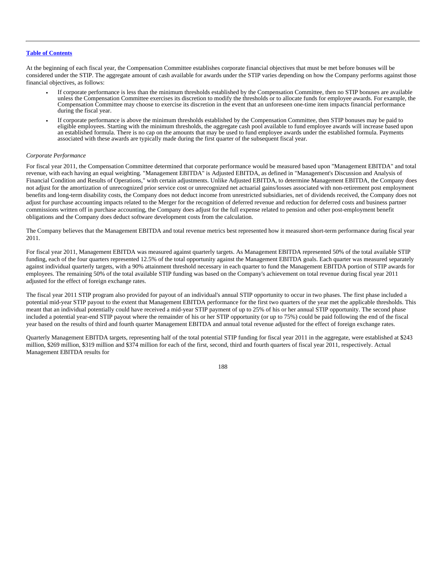At the beginning of each fiscal year, the Compensation Committee establishes corporate financial objectives that must be met before bonuses will be considered under the STIP. The aggregate amount of cash available for awards under the STIP varies depending on how the Company performs against those financial objectives, as follows:

- If corporate performance is less than the minimum thresholds established by the Compensation Committee, then no STIP bonuses are available unless the Compensation Committee exercises its discretion to modify the thresholds or to allocate funds for employee awards. For example, the Compensation Committee may choose to exercise its discretion in the event that an unforeseen one-time item impacts financial performance during the fiscal year.
- If corporate performance is above the minimum thresholds established by the Compensation Committee, then STIP bonuses may be paid to eligible employees. Starting with the minimum thresholds, the aggregate cash pool available to fund employee awards will increase based upon an established formula. There is no cap on the amounts that may be used to fund employee awards under the established formula. Payments associated with these awards are typically made during the first quarter of the subsequent fiscal year.

### *Corporate Performance*

For fiscal year 2011, the Compensation Committee determined that corporate performance would be measured based upon "Management EBITDA" and total revenue, with each having an equal weighting. "Management EBITDA" is Adjusted EBITDA, as defined in "Management's Discussion and Analysis of Financial Condition and Results of Operations," with certain adjustments. Unlike Adjusted EBITDA, to determine Management EBITDA, the Company does not adjust for the amortization of unrecognized prior service cost or unrecognized net actuarial gains/losses associated with non-retirement post employment benefits and long-term disability costs, the Company does not deduct income from unrestricted subsidiaries, net of dividends received, the Company does not adjust for purchase accounting impacts related to the Merger for the recognition of deferred revenue and reduction for deferred costs and business partner commissions written off in purchase accounting, the Company does adjust for the full expense related to pension and other post-employment benefit obligations and the Company does deduct software development costs from the calculation.

The Company believes that the Management EBITDA and total revenue metrics best represented how it measured short-term performance during fiscal year 2011.

For fiscal year 2011, Management EBITDA was measured against quarterly targets. As Management EBITDA represented 50% of the total available STIP funding, each of the four quarters represented 12.5% of the total opportunity against the Management EBITDA goals. Each quarter was measured separately against individual quarterly targets, with a 90% attainment threshold necessary in each quarter to fund the Management EBITDA portion of STIP awards for employees. The remaining 50% of the total available STIP funding was based on the Company's achievement on total revenue during fiscal year 2011 adjusted for the effect of foreign exchange rates.

The fiscal year 2011 STIP program also provided for payout of an individual's annual STIP opportunity to occur in two phases. The first phase included a potential mid-year STIP payout to the extent that Management EBITDA performance for the first two quarters of the year met the applicable thresholds. This meant that an individual potentially could have received a mid-year STIP payment of up to 25% of his or her annual STIP opportunity. The second phase included a potential year-end STIP payout where the remainder of his or her STIP opportunity (or up to 75%) could be paid following the end of the fiscal year based on the results of third and fourth quarter Management EBITDA and annual total revenue adjusted for the effect of foreign exchange rates.

Quarterly Management EBITDA targets, representing half of the total potential STIP funding for fiscal year 2011 in the aggregate, were established at \$243 million, \$269 million, \$319 million and \$374 million for each of the first, second, third and fourth quarters of fiscal year 2011, respectively. Actual Management EBITDA results for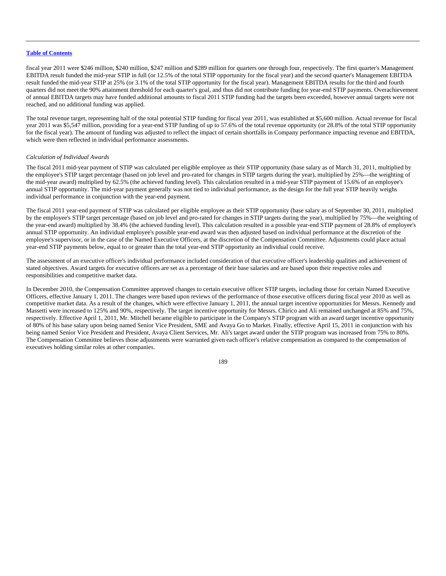fiscal year 2011 were \$246 million, \$240 million, \$247 million and \$289 million for quarters one through four, respectively. The first quarter's Management EBITDA result funded the mid-year STIP in full (or 12.5% of the total STIP opportunity for the fiscal year) and the second quarter's Management EBITDA result funded the mid-year STIP at 25% (or 3.1% of the total STIP opportunity for the fiscal year). Management EBITDA results for the third and fourth quarters did not meet the 90% attainment threshold for each quarter's goal, and thus did not contribute funding for year-end STIP payments. Overachievement of annual EBITDA targets may have funded additional amounts to fiscal 2011 STIP funding had the targets been exceeded, however annual targets were not reached, and no additional funding was applied.

The total revenue target, representing half of the total potential STIP funding for fiscal year 2011, was established at \$5,600 million. Actual revenue for fiscal year 2011 was \$5,547 million, providing for a year-end STIP funding of up to 57.6% of the total revenue opportunity (or 28.8% of the total STIP opportunity for the fiscal year). The amount of funding was adjusted to reflect the impact of certain shortfalls in Company performance impacting revenue and EBITDA, which were then reflected in individual performance assessments.

#### *Calculation of Individual Awards*

The fiscal 2011 mid-year payment of STIP was calculated per eligible employee as their STIP opportunity (base salary as of March 31, 2011, multiplied by the employee's STIP target percentage (based on job level and pro-rated for changes in STIP targets during the year), multiplied by 25%—the weighting of the mid-year award) multiplied by 62.5% (the achieved funding level). This calculation resulted in a mid-year STIP payment of 15.6% of an employee's annual STIP opportunity. The mid-year payment generally was not tied to individual performance, as the design for the full year STIP heavily weighs individual performance in conjunction with the year-end payment.

The fiscal 2011 year-end payment of STIP was calculated per eligible employee as their STIP opportunity (base salary as of September 30, 2011, multiplied by the employee's STIP target percentage (based on job level and pro-rated for changes in STIP targets during the year), multiplied by 75%—the weighting of the year-end award) multiplied by 38.4% (the achieved funding level). This calculation resulted in a possible year-end STIP payment of 28.8% of employee's annual STIP opportunity. An individual employee's possible year-end award was then adjusted based on individual performance at the discretion of the employee's supervisor, or in the case of the Named Executive Officers, at the discretion of the Compensation Committee. Adjustments could place actual year-end STIP payments below, equal to or greater than the total year-end STIP opportunity an individual could receive.

The assessment of an executive officer's individual performance included consideration of that executive officer's leadership qualities and achievement of stated objectives. Award targets for executive officers are set as a percentage of their base salaries and are based upon their respective roles and responsibilities and competitive market data.

In December 2010, the Compensation Committee approved changes to certain executive officer STIP targets, including those for certain Named Executive Officers, effective January 1, 2011. The changes were based upon reviews of the performance of those executive officers during fiscal year 2010 as well as competitive market data. As a result of the changes, which were effective January 1, 2011, the annual target incentive opportunities for Messrs. Kennedy and Massetti were increased to 125% and 90%, respectively. The target incentive opportunity for Messrs. Chirico and Ali remained unchanged at 85% and 75%, respectively. Effective April 1, 2011, Mr. Mitchell became eligible to participate in the Company's STIP program with an award target incentive opportunity of 80% of his base salary upon being named Senior Vice President, SME and Avaya Go to Market. Finally, effective April 15, 2011 in conjunction with his being named Senior Vice President and President, Avaya Client Services, Mr. Ali's target award under the STIP program was increased from 75% to 80%. The Compensation Committee believes those adjustments were warranted given each officer's relative compensation as compared to the compensation of executives holding similar roles at other companies.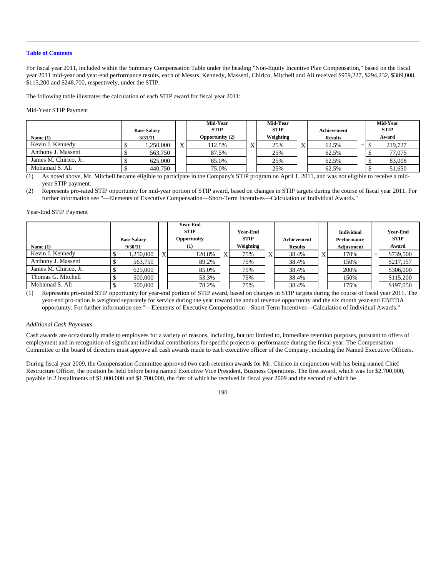For fiscal year 2011, included within the Summary Compensation Table under the heading "Non-Equity Incentive Plan Compensation," based on the fiscal year 2011 mid-year and year-end performance results, each of Messrs. Kennedy, Massetti, Chirico, Mitchell and Ali received \$959,227, \$294,232, \$389,008, \$115,200 and \$248,700, respectively, under the STIP.

The following table illustrates the calculation of each STIP award for fiscal year 2011:

### Mid-Year STIP Payment

|                       | <b>Base Salary</b> |              | Mid-Year<br><b>STIP</b> | Mid-Year<br><b>STIP</b> |                           | Achievement    |                               | Mid-Year<br>STIP |
|-----------------------|--------------------|--------------|-------------------------|-------------------------|---------------------------|----------------|-------------------------------|------------------|
| Name $(1)$            | 3/31/11            |              | <b>Opportunity (2)</b>  | Weighting               |                           | <b>Results</b> |                               | Award            |
| Kevin J. Kennedy      | ,250,000           | $\mathbf{v}$ | 112.5%                  | 25%                     | $\mathbf{v}$<br>$\Lambda$ | 62.5%          | $\overline{\phantom{0}}$<br>- | 219,727          |
| Anthony J. Massetti   | 563,750            |              | 87.5%                   | 25%                     |                           | 62.5%          |                               | 77,075           |
| James M. Chirico, Jr. | 625,000            |              | 85.0%                   | 25%                     |                           | 62.5%          |                               | 83,008           |
| Mohamad S. Ali        | 440,750            |              | 75.0%                   | 25%                     |                           | 62.5%          |                               | 51,650           |

(1) As noted above, Mr. Mitchell became eligible to participate in the Company's STIP program on April 1, 2011, and was not eligible to receive a midyear STIP payment.

(2) Represents pro-rated STIP opportunity for mid-year portion of STIP award, based on changes in STIP targets during the course of fiscal year 2011. For further information see "—Elements of Executive Compensation—Short-Term Incentives—Calculation of Individual Awards."

# Year-End STIP Payment

|                       | <b>Base Salary</b> |   | <b>Year-End</b><br><b>STIP</b><br><b>Opportunity</b> |              | <b>Year-End</b><br><b>STIP</b> |   | <b>Achievement</b> |   | <b>Individual</b><br>Performance |     | <b>Year-End</b><br><b>STIP</b> |
|-----------------------|--------------------|---|------------------------------------------------------|--------------|--------------------------------|---|--------------------|---|----------------------------------|-----|--------------------------------|
| Name $(1)$            | 9/30/11            |   | $\rm(1)$                                             |              | Weighting                      |   | <b>Results</b>     |   | Adjustment                       |     | Award                          |
| Kevin J. Kennedy      | 1.250.000          | X | 120.8%                                               | $\mathbf{X}$ | 75%                            | X | 38.4%              | Х | 170%                             | $=$ | \$739,500                      |
| Anthony J. Massetti   | 563,750            |   | 89.2%                                                |              | 75%                            |   | 38.4%              |   | 150%                             |     | \$217,157                      |
| James M. Chirico, Jr. | 625,000            |   | 85.0%                                                |              | 75%                            |   | 38.4%              |   | 200%                             |     | \$306,000                      |
| Thomas G. Mitchell    | 500,000            |   | 53.3%                                                |              | 75%                            |   | 38.4%              |   | 150%                             |     | \$115,200                      |
| Mohamad S. Ali        | 500,000            |   | 78.2%                                                |              | 75%                            |   | 38.4%              |   | 175%                             |     | \$197,050                      |

(1) Represents pro-rated STIP opportunity for year-end portion of STIP award, based on changes in STIP targets during the course of fiscal year 2011. The year-end pro-ration is weighted separately for service during the year toward the annual revenue opportunity and the six month year-end EBITDA opportunity. For further information see "—Elements of Executive Compensation—Short-Term Incentives—Calculation of Individual Awards."

#### *Additional Cash Payments*

Cash awards are occasionally made to employees for a variety of reasons, including, but not limited to, immediate retention purposes, pursuant to offers of employment and in recognition of significant individual contributions for specific projects or performance during the fiscal year. The Compensation Committee or the board of directors must approve all cash awards made to each executive officer of the Company, including the Named Executive Officers.

During fiscal year 2009, the Compensation Committee approved two cash retention awards for Mr. Chirico in conjunction with his being named Chief Restructure Officer, the position he held before being named Executive Vice President, Business Operations. The first award, which was for \$2,700,000, payable in 2 installments of \$1,000,000 and \$1,700,000, the first of which he received in fiscal year 2009 and the second of which he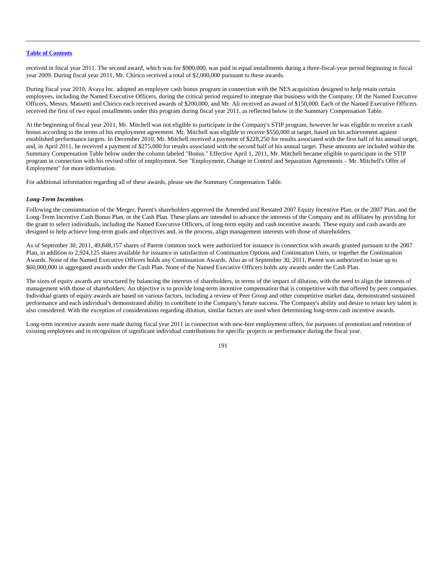received in fiscal year 2011. The second award, which was for \$900,000, was paid in equal installments during a three-fiscal-year period beginning in fiscal year 2009. During fiscal year 2011, Mr. Chirico received a total of \$2,000,000 pursuant to these awards.

During fiscal year 2010, Avaya Inc. adopted an employee cash bonus program in connection with the NES acquisition designed to help retain certain employees, including the Named Executive Officers, during the critical period required to integrate that business with the Company. Of the Named Executive Officers, Messrs. Massetti and Chirico each received awards of \$200,000, and Mr. Ali received an award of \$150,000. Each of the Named Executive Officers received the first of two equal installments under this program during fiscal year 2011, as reflected below in the Summary Compensation Table.

At the beginning of fiscal year 2011, Mr. Mitchell was not eligible to participate in the Company's STIP program, however he was eligible to receive a cash bonus according to the terms of his employment agreement. Mr. Mitchell was eligible to receive \$550,000 at target, based on his achievement against established performance targets. In December 2010, Mr. Mitchell received a payment of \$228,250 for results associated with the first half of his annual target, and, in April 2011, he received a payment of \$275,000 for results associated with the second half of his annual target. These amounts are included within the Summary Compensation Table below under the column labeled "Bonus." Effective April 1, 2011, Mr. Mitchell became eligible to participate in the STIP program in connection with his revised offer of employment. See "Employment, Change in Control and Separation Agreements – Mr. Mitchell's Offer of Employment" for more information.

For additional information regarding all of these awards, please see the Summary Compensation Table.

#### *Long-Term Incentives*

Following the consummation of the Merger, Parent's shareholders approved the Amended and Restated 2007 Equity Incentive Plan, or the 2007 Plan, and the Long-Term Incentive Cash Bonus Plan, or the Cash Plan. These plans are intended to advance the interests of the Company and its affiliates by providing for the grant to select individuals, including the Named Executive Officers, of long-term equity and cash incentive awards. These equity and cash awards are designed to help achieve long-term goals and objectives and, in the process, align management interests with those of shareholders.

As of September 30, 2011, 49,848,157 shares of Parent common stock were authorized for issuance in connection with awards granted pursuant to the 2007 Plan, in addition to 2,924,125 shares available for issuance in satisfaction of Continuation Options and Continuation Units, or together the Continuation Awards. None of the Named Executive Officers holds any Continuation Awards. Also as of September 30, 2011, Parent was authorized to issue up to \$60,000,000 in aggregated awards under the Cash Plan. None of the Named Executive Officers holds any awards under the Cash Plan.

The sizes of equity awards are structured by balancing the interests of shareholders, in terms of the impact of dilution, with the need to align the interests of management with those of shareholders. An objective is to provide long-term incentive compensation that is competitive with that offered by peer companies. Individual grants of equity awards are based on various factors, including a review of Peer Group and other competitive market data, demonstrated sustained performance and each individual's demonstrated ability to contribute to the Company's future success. The Company's ability and desire to retain key talent is also considered. With the exception of considerations regarding dilution, similar factors are used when determining long-term cash incentive awards.

Long-term incentive awards were made during fiscal year 2011 in connection with new-hire employment offers, for purposes of promotion and retention of existing employees and in recognition of significant individual contributions for specific projects or performance during the fiscal year.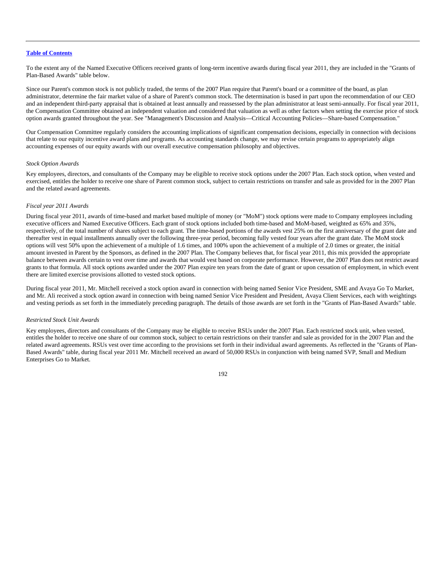To the extent any of the Named Executive Officers received grants of long-term incentive awards during fiscal year 2011, they are included in the "Grants of Plan-Based Awards" table below.

Since our Parent's common stock is not publicly traded, the terms of the 2007 Plan require that Parent's board or a committee of the board, as plan administrator, determine the fair market value of a share of Parent's common stock. The determination is based in part upon the recommendation of our CEO and an independent third-party appraisal that is obtained at least annually and reassessed by the plan administrator at least semi-annually. For fiscal year 2011, the Compensation Committee obtained an independent valuation and considered that valuation as well as other factors when setting the exercise price of stock option awards granted throughout the year. See "Management's Discussion and Analysis—Critical Accounting Policies—Share-based Compensation."

Our Compensation Committee regularly considers the accounting implications of significant compensation decisions, especially in connection with decisions that relate to our equity incentive award plans and programs. As accounting standards change, we may revise certain programs to appropriately align accounting expenses of our equity awards with our overall executive compensation philosophy and objectives.

### *Stock Option Awards*

Key employees, directors, and consultants of the Company may be eligible to receive stock options under the 2007 Plan. Each stock option, when vested and exercised, entitles the holder to receive one share of Parent common stock, subject to certain restrictions on transfer and sale as provided for in the 2007 Plan and the related award agreements.

### *Fiscal year 2011 Awards*

During fiscal year 2011, awards of time-based and market based multiple of money (or "MoM") stock options were made to Company employees including executive officers and Named Executive Officers. Each grant of stock options included both time-based and MoM-based, weighted as 65% and 35%, respectively, of the total number of shares subject to each grant. The time-based portions of the awards vest 25% on the first anniversary of the grant date and thereafter vest in equal installments annually over the following three-year period, becoming fully vested four years after the grant date. The MoM stock options will vest 50% upon the achievement of a multiple of 1.6 times, and 100% upon the achievement of a multiple of 2.0 times or greater, the initial amount invested in Parent by the Sponsors, as defined in the 2007 Plan. The Company believes that, for fiscal year 2011, this mix provided the appropriate balance between awards certain to vest over time and awards that would vest based on corporate performance. However, the 2007 Plan does not restrict award grants to that formula. All stock options awarded under the 2007 Plan expire ten years from the date of grant or upon cessation of employment, in which event there are limited exercise provisions allotted to vested stock options.

During fiscal year 2011, Mr. Mitchell received a stock option award in connection with being named Senior Vice President, SME and Avaya Go To Market, and Mr. Ali received a stock option award in connection with being named Senior Vice President and President, Avaya Client Services, each with weightings and vesting periods as set forth in the immediately preceding paragraph. The details of those awards are set forth in the "Grants of Plan-Based Awards" table.

#### *Restricted Stock Unit Awards*

Key employees, directors and consultants of the Company may be eligible to receive RSUs under the 2007 Plan. Each restricted stock unit, when vested, entitles the holder to receive one share of our common stock, subject to certain restrictions on their transfer and sale as provided for in the 2007 Plan and the related award agreements. RSUs vest over time according to the provisions set forth in their individual award agreements. As reflected in the "Grants of Plan-Based Awards" table, during fiscal year 2011 Mr. Mitchell received an award of 50,000 RSUs in conjunction with being named SVP, Small and Medium Enterprises Go to Market.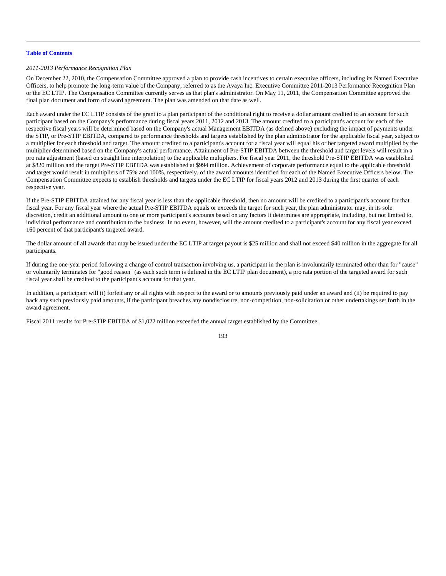### *2011-2013 Performance Recognition Plan*

On December 22, 2010, the Compensation Committee approved a plan to provide cash incentives to certain executive officers, including its Named Executive Officers, to help promote the long-term value of the Company, referred to as the Avaya Inc. Executive Committee 2011-2013 Performance Recognition Plan or the EC LTIP. The Compensation Committee currently serves as that plan's administrator. On May 11, 2011, the Compensation Committee approved the final plan document and form of award agreement. The plan was amended on that date as well.

Each award under the EC LTIP consists of the grant to a plan participant of the conditional right to receive a dollar amount credited to an account for such participant based on the Company's performance during fiscal years 2011, 2012 and 2013. The amount credited to a participant's account for each of the respective fiscal years will be determined based on the Company's actual Management EBITDA (as defined above) excluding the impact of payments under the STIP, or Pre-STIP EBITDA, compared to performance thresholds and targets established by the plan administrator for the applicable fiscal year, subject to a multiplier for each threshold and target. The amount credited to a participant's account for a fiscal year will equal his or her targeted award multiplied by the multiplier determined based on the Company's actual performance. Attainment of Pre-STIP EBITDA between the threshold and target levels will result in a pro rata adjustment (based on straight line interpolation) to the applicable multipliers. For fiscal year 2011, the threshold Pre-STIP EBITDA was established at \$820 million and the target Pre-STIP EBITDA was established at \$994 million. Achievement of corporate performance equal to the applicable threshold and target would result in multipliers of 75% and 100%, respectively, of the award amounts identified for each of the Named Executive Officers below. The Compensation Committee expects to establish thresholds and targets under the EC LTIP for fiscal years 2012 and 2013 during the first quarter of each respective year.

If the Pre-STIP EBITDA attained for any fiscal year is less than the applicable threshold, then no amount will be credited to a participant's account for that fiscal year. For any fiscal year where the actual Pre-STIP EBITDA equals or exceeds the target for such year, the plan administrator may, in its sole discretion, credit an additional amount to one or more participant's accounts based on any factors it determines are appropriate, including, but not limited to, individual performance and contribution to the business. In no event, however, will the amount credited to a participant's account for any fiscal year exceed 160 percent of that participant's targeted award.

The dollar amount of all awards that may be issued under the EC LTIP at target payout is \$25 million and shall not exceed \$40 million in the aggregate for all participants.

If during the one-year period following a change of control transaction involving us, a participant in the plan is involuntarily terminated other than for "cause" or voluntarily terminates for "good reason" (as each such term is defined in the EC LTIP plan document), a pro rata portion of the targeted award for such fiscal year shall be credited to the participant's account for that year.

In addition, a participant will (i) forfeit any or all rights with respect to the award or to amounts previously paid under an award and (ii) be required to pay back any such previously paid amounts, if the participant breaches any nondisclosure, non-competition, non-solicitation or other undertakings set forth in the award agreement.

Fiscal 2011 results for Pre-STIP EBITDA of \$1,022 million exceeded the annual target established by the Committee.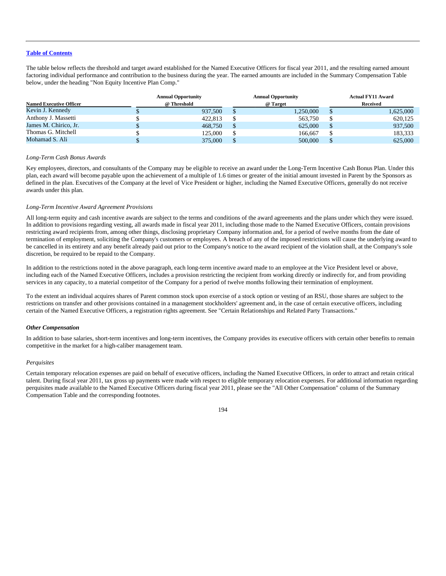The table below reflects the threshold and target award established for the Named Executive Officers for fiscal year 2011, and the resulting earned amount factoring individual performance and contribution to the business during the year. The earned amounts are included in the Summary Compensation Table below, under the heading "Non Equity Incentive Plan Comp."

|                                | <b>Annual Opportunity</b> | <b>Annual Opportunity</b> | <b>Actual FY11 Award</b> |
|--------------------------------|---------------------------|---------------------------|--------------------------|
| <b>Named Executive Officer</b> | @ Threshold               | @ Target                  | <b>Received</b>          |
| Kevin J. Kennedy               | 937,500                   | 1.250.000                 | 1,625,000                |
| Anthony J. Massetti            | 422,813                   | 563,750                   | 620.125                  |
| James M. Chirico, Jr.          | 468,750                   | 625,000                   | 937,500                  |
| Thomas G. Mitchell             | 125,000                   | 166.667                   | 183,333                  |
| Mohamad S. Ali                 | 375,000                   | 500,000                   | 625,000                  |

#### *Long-Term Cash Bonus Awards*

Key employees, directors, and consultants of the Company may be eligible to receive an award under the Long-Term Incentive Cash Bonus Plan. Under this plan, each award will become payable upon the achievement of a multiple of 1.6 times or greater of the initial amount invested in Parent by the Sponsors as defined in the plan. Executives of the Company at the level of Vice President or higher, including the Named Executive Officers, generally do not receive awards under this plan.

#### *Long-Term Incentive Award Agreement Provisions*

All long-term equity and cash incentive awards are subject to the terms and conditions of the award agreements and the plans under which they were issued. In addition to provisions regarding vesting, all awards made in fiscal year 2011, including those made to the Named Executive Officers, contain provisions restricting award recipients from, among other things, disclosing proprietary Company information and, for a period of twelve months from the date of termination of employment, soliciting the Company's customers or employees. A breach of any of the imposed restrictions will cause the underlying award to be cancelled in its entirety and any benefit already paid out prior to the Company's notice to the award recipient of the violation shall, at the Company's sole discretion, be required to be repaid to the Company.

In addition to the restrictions noted in the above paragraph, each long-term incentive award made to an employee at the Vice President level or above, including each of the Named Executive Officers, includes a provision restricting the recipient from working directly or indirectly for, and from providing services in any capacity, to a material competitor of the Company for a period of twelve months following their termination of employment.

To the extent an individual acquires shares of Parent common stock upon exercise of a stock option or vesting of an RSU, those shares are subject to the restrictions on transfer and other provisions contained in a management stockholders' agreement and, in the case of certain executive officers, including certain of the Named Executive Officers, a registration rights agreement. See "Certain Relationships and Related Party Transactions."

#### *Other Compensation*

In addition to base salaries, short-term incentives and long-term incentives, the Company provides its executive officers with certain other benefits to remain competitive in the market for a high-caliber management team.

#### *Perquisites*

Certain temporary relocation expenses are paid on behalf of executive officers, including the Named Executive Officers, in order to attract and retain critical talent. During fiscal year 2011, tax gross up payments were made with respect to eligible temporary relocation expenses. For additional information regarding perquisites made available to the Named Executive Officers during fiscal year 2011, please see the "All Other Compensation" column of the Summary Compensation Table and the corresponding footnotes.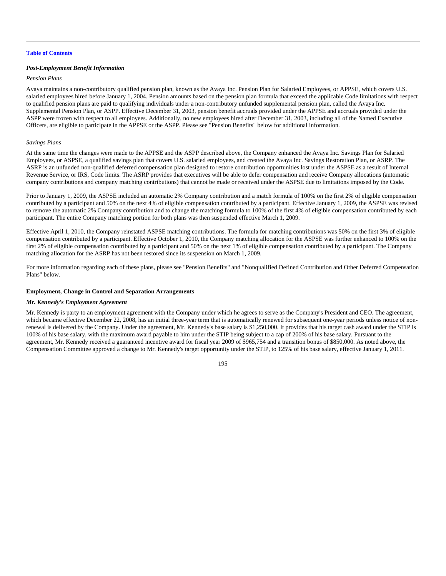# *Post-Employment Benefit Information*

#### *Pension Plans*

Avaya maintains a non-contributory qualified pension plan, known as the Avaya Inc. Pension Plan for Salaried Employees, or APPSE, which covers U.S. salaried employees hired before January 1, 2004. Pension amounts based on the pension plan formula that exceed the applicable Code limitations with respect to qualified pension plans are paid to qualifying individuals under a non-contributory unfunded supplemental pension plan, called the Avaya Inc. Supplemental Pension Plan, or ASPP. Effective December 31, 2003, pension benefit accruals provided under the APPSE and accruals provided under the ASPP were frozen with respect to all employees. Additionally, no new employees hired after December 31, 2003, including all of the Named Executive Officers, are eligible to participate in the APPSE or the ASPP. Please see "Pension Benefits" below for additional information.

### *Savings Plans*

At the same time the changes were made to the APPSE and the ASPP described above, the Company enhanced the Avaya Inc. Savings Plan for Salaried Employees, or ASPSE, a qualified savings plan that covers U.S. salaried employees, and created the Avaya Inc. Savings Restoration Plan, or ASRP. The ASRP is an unfunded non-qualified deferred compensation plan designed to restore contribution opportunities lost under the ASPSE as a result of Internal Revenue Service, or IRS, Code limits. The ASRP provides that executives will be able to defer compensation and receive Company allocations (automatic company contributions and company matching contributions) that cannot be made or received under the ASPSE due to limitations imposed by the Code.

Prior to January 1, 2009, the ASPSE included an automatic 2% Company contribution and a match formula of 100% on the first 2% of eligible compensation contributed by a participant and 50% on the next 4% of eligible compensation contributed by a participant. Effective January 1, 2009, the ASPSE was revised to remove the automatic 2% Company contribution and to change the matching formula to 100% of the first 4% of eligible compensation contributed by each participant. The entire Company matching portion for both plans was then suspended effective March 1, 2009.

Effective April 1, 2010, the Company reinstated ASPSE matching contributions. The formula for matching contributions was 50% on the first 3% of eligible compensation contributed by a participant. Effective October 1, 2010, the Company matching allocation for the ASPSE was further enhanced to 100% on the first 2% of eligible compensation contributed by a participant and 50% on the next 1% of eligible compensation contributed by a participant. The Company matching allocation for the ASRP has not been restored since its suspension on March 1, 2009.

For more information regarding each of these plans, please see "Pension Benefits" and "Nonqualified Defined Contribution and Other Deferred Compensation Plans" below.

#### **Employment, Change in Control and Separation Arrangements**

#### *Mr. Kennedy's Employment Agreement*

Mr. Kennedy is party to an employment agreement with the Company under which he agrees to serve as the Company's President and CEO. The agreement, which became effective December 22, 2008, has an initial three-year term that is automatically renewed for subsequent one-year periods unless notice of nonrenewal is delivered by the Company. Under the agreement, Mr. Kennedy's base salary is \$1,250,000. It provides that his target cash award under the STIP is 100% of his base salary, with the maximum award payable to him under the STIP being subject to a cap of 200% of his base salary. Pursuant to the agreement, Mr. Kennedy received a guaranteed incentive award for fiscal year 2009 of \$965,754 and a transition bonus of \$850,000. As noted above, the Compensation Committee approved a change to Mr. Kennedy's target opportunity under the STIP, to 125% of his base salary, effective January 1, 2011.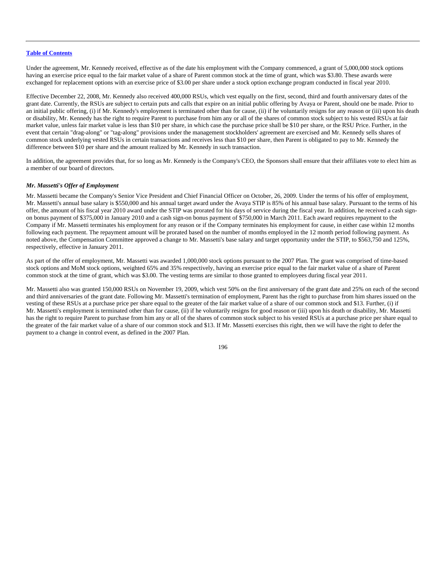Under the agreement, Mr. Kennedy received, effective as of the date his employment with the Company commenced, a grant of 5,000,000 stock options having an exercise price equal to the fair market value of a share of Parent common stock at the time of grant, which was \$3.80. These awards were exchanged for replacement options with an exercise price of \$3.00 per share under a stock option exchange program conducted in fiscal year 2010.

Effective December 22, 2008, Mr. Kennedy also received 400,000 RSUs, which vest equally on the first, second, third and fourth anniversary dates of the grant date. Currently, the RSUs are subject to certain puts and calls that expire on an initial public offering by Avaya or Parent, should one be made. Prior to an initial public offering, (i) if Mr. Kennedy's employment is terminated other than for cause, (ii) if he voluntarily resigns for any reason or (iii) upon his death or disability, Mr. Kennedy has the right to require Parent to purchase from him any or all of the shares of common stock subject to his vested RSUs at fair market value, unless fair market value is less than \$10 per share, in which case the purchase price shall be \$10 per share, or the RSU Price. Further, in the event that certain "drag-along" or "tag-along" provisions under the management stockholders' agreement are exercised and Mr. Kennedy sells shares of common stock underlying vested RSUs in certain transactions and receives less than \$10 per share, then Parent is obligated to pay to Mr. Kennedy the difference between \$10 per share and the amount realized by Mr. Kennedy in such transaction.

In addition, the agreement provides that, for so long as Mr. Kennedy is the Company's CEO, the Sponsors shall ensure that their affiliates vote to elect him as a member of our board of directors.

#### *Mr. Massetti's Offer of Employment*

Mr. Massetti became the Company's Senior Vice President and Chief Financial Officer on October, 26, 2009. Under the terms of his offer of employment, Mr. Massetti's annual base salary is \$550,000 and his annual target award under the Avaya STIP is 85% of his annual base salary. Pursuant to the terms of his offer, the amount of his fiscal year 2010 award under the STIP was prorated for his days of service during the fiscal year. In addition, he received a cash signon bonus payment of \$375,000 in January 2010 and a cash sign-on bonus payment of \$750,000 in March 2011. Each award requires repayment to the Company if Mr. Massetti terminates his employment for any reason or if the Company terminates his employment for cause, in either case within 12 months following each payment. The repayment amount will be prorated based on the number of months employed in the 12 month period following payment. As noted above, the Compensation Committee approved a change to Mr. Massetti's base salary and target opportunity under the STIP, to \$563,750 and 125%, respectively, effective in January 2011.

As part of the offer of employment, Mr. Massetti was awarded 1,000,000 stock options pursuant to the 2007 Plan. The grant was comprised of time-based stock options and MoM stock options, weighted 65% and 35% respectively, having an exercise price equal to the fair market value of a share of Parent common stock at the time of grant, which was \$3.00. The vesting terms are similar to those granted to employees during fiscal year 2011.

Mr. Massetti also was granted 150,000 RSUs on November 19, 2009, which vest 50% on the first anniversary of the grant date and 25% on each of the second and third anniversaries of the grant date. Following Mr. Massetti's termination of employment, Parent has the right to purchase from him shares issued on the vesting of these RSUs at a purchase price per share equal to the greater of the fair market value of a share of our common stock and \$13. Further, (i) if Mr. Massetti's employment is terminated other than for cause, (ii) if he voluntarily resigns for good reason or (iii) upon his death or disability, Mr. Massetti has the right to require Parent to purchase from him any or all of the shares of common stock subject to his vested RSUs at a purchase price per share equal to the greater of the fair market value of a share of our common stock and \$13. If Mr. Massetti exercises this right, then we will have the right to defer the payment to a change in control event, as defined in the 2007 Plan.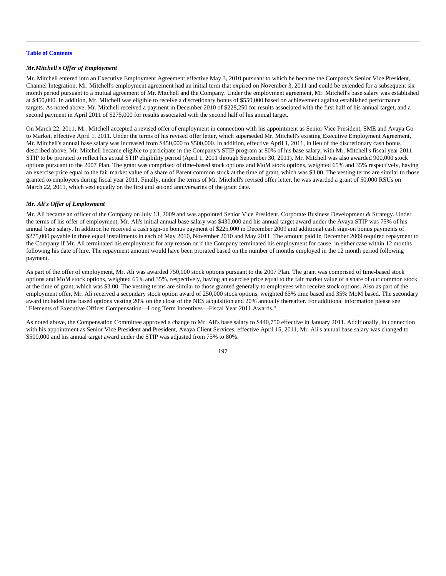### *Mr.Mitchell's Offer of Employment*

Mr. Mitchell entered into an Executive Employment Agreement effective May 3, 2010 pursuant to which he became the Company's Senior Vice President, Channel Integration. Mr. Mitchell's employment agreement had an initial term that expired on November 3, 2011 and could be extended for a subsequent six month period pursuant to a mutual agreement of Mr. Mitchell and the Company. Under the employment agreement, Mr. Mitchell's base salary was established at \$450,000. In addition, Mr. Mitchell was eligible to receive a discretionary bonus of \$550,000 based on achievement against established performance targets. As noted above, Mr. Mitchell received a payment in December 2010 of \$228,250 for results associated with the first half of his annual target, and a second payment in April 2011 of \$275,000 for results associated with the second half of his annual target.

On March 22, 2011, Mr. Mitchell accepted a revised offer of employment in connection with his appointment as Senior Vice President, SME and Avaya Go to Market, effective April 1, 2011. Under the terms of his revised offer letter, which superseded Mr. Mitchell's existing Executive Employment Agreement, Mr. Mitchell's annual base salary was increased from \$450,000 to \$500,000. In addition, effective April 1, 2011, in lieu of the discretionary cash bonus described above, Mr. Mitchell became eligible to participate in the Company's STIP program at 80% of his base salary, with Mr. Mitchell's fiscal year 2011 STIP to be prorated to reflect his actual STIP eligibility period (April 1, 2011 through September 30, 2011). Mr. Mitchell was also awarded 900,000 stock options pursuant to the 2007 Plan. The grant was comprised of time-based stock options and MoM stock options, weighted 65% and 35% respectively, having an exercise price equal to the fair market value of a share of Parent common stock at the time of grant, which was \$3.00. The vesting terms are similar to those granted to employees during fiscal year 2011. Finally, under the terms of Mr. Mitchell's revised offer letter, he was awarded a grant of 50,000 RSUs on March 22, 2011, which vest equally on the first and second anniversaries of the grant date.

### *Mr. Ali's Offer of Employment*

Mr. Ali became an officer of the Company on July 13, 2009 and was appointed Senior Vice President, Corporate Business Development & Strategy. Under the terms of his offer of employment, Mr. Ali's initial annual base salary was \$430,000 and his annual target award under the Avaya STIP was 75% of his annual base salary. In addition he received a cash sign-on bonus payment of \$225,000 in December 2009 and additional cash sign-on bonus payments of \$275,000 payable in three equal installments in each of May 2010, November 2010 and May 2011. The amount paid in December 2009 required repayment to the Company if Mr. Ali terminated his employment for any reason or if the Company terminated his employment for cause, in either case within 12 months following his date of hire. The repayment amount would have been prorated based on the number of months employed in the 12 month period following payment.

As part of the offer of employment, Mr. Ali was awarded 750,000 stock options pursuant to the 2007 Plan. The grant was comprised of time-based stock options and MoM stock options, weighted 65% and 35%, respectively, having an exercise price equal to the fair market value of a share of our common stock at the time of grant, which was \$3.00. The vesting terms are similar to those granted generally to employees who receive stock options. Also as part of the employment offer, Mr. Ali received a secondary stock option award of 250,000 stock options, weighted 65% time based and 35% MoM based. The secondary award included time based options vesting 20% on the close of the NES acquisition and 20% annually thereafter. For additional information please see "Elements of Executive Officer Compensation—Long Term Incentives—Fiscal Year 2011 Awards."

As noted above, the Compensation Committee approved a change to Mr. Ali's base salary to \$440,750 effective in January 2011. Additionally, in connection with his appointment as Senior Vice President and President, Avaya Client Services, effective April 15, 2011, Mr. Ali's annual base salary was changed to \$500,000 and his annual target award under the STIP was adjusted from 75% to 80%.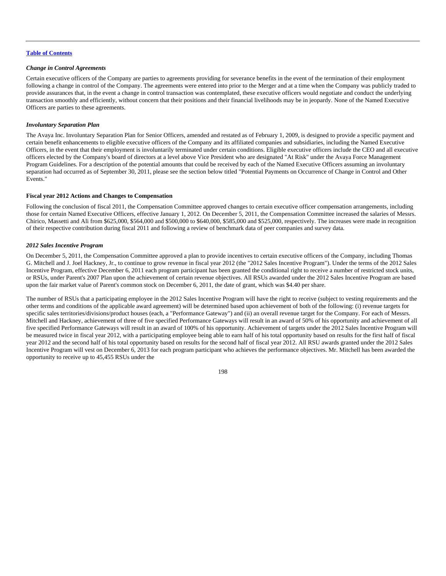### *Change in Control Agreements*

Certain executive officers of the Company are parties to agreements providing for severance benefits in the event of the termination of their employment following a change in control of the Company. The agreements were entered into prior to the Merger and at a time when the Company was publicly traded to provide assurances that, in the event a change in control transaction was contemplated, these executive officers would negotiate and conduct the underlying transaction smoothly and efficiently, without concern that their positions and their financial livelihoods may be in jeopardy. None of the Named Executive Officers are parties to these agreements.

### *Involuntary Separation Plan*

The Avaya Inc. Involuntary Separation Plan for Senior Officers, amended and restated as of February 1, 2009, is designed to provide a specific payment and certain benefit enhancements to eligible executive officers of the Company and its affiliated companies and subsidiaries, including the Named Executive Officers, in the event that their employment is involuntarily terminated under certain conditions. Eligible executive officers include the CEO and all executive officers elected by the Company's board of directors at a level above Vice President who are designated "At Risk" under the Avaya Force Management Program Guidelines. For a description of the potential amounts that could be received by each of the Named Executive Officers assuming an involuntary separation had occurred as of September 30, 2011, please see the section below titled "Potential Payments on Occurrence of Change in Control and Other Events."

### **Fiscal year 2012 Actions and Changes to Compensation**

Following the conclusion of fiscal 2011, the Compensation Committee approved changes to certain executive officer compensation arrangements, including those for certain Named Executive Officers, effective January 1, 2012. On December 5, 2011, the Compensation Committee increased the salaries of Messrs. Chirico, Massetti and Ali from \$625,000, \$564,000 and \$500,000 to \$640,000, \$585,000 and \$525,000, respectively. The increases were made in recognition of their respective contribution during fiscal 2011 and following a review of benchmark data of peer companies and survey data.

### *2012 Sales Incentive Program*

On December 5, 2011, the Compensation Committee approved a plan to provide incentives to certain executive officers of the Company, including Thomas G. Mitchell and J. Joel Hackney, Jr., to continue to grow revenue in fiscal year 2012 (the "2012 Sales Incentive Program"). Under the terms of the 2012 Sales Incentive Program, effective December 6, 2011 each program participant has been granted the conditional right to receive a number of restricted stock units, or RSUs, under Parent's 2007 Plan upon the achievement of certain revenue objectives. All RSUs awarded under the 2012 Sales Incentive Program are based upon the fair market value of Parent's common stock on December 6, 2011, the date of grant, which was \$4.40 per share.

The number of RSUs that a participating employee in the 2012 Sales Incentive Program will have the right to receive (subject to vesting requirements and the other terms and conditions of the applicable award agreement) will be determined based upon achievement of both of the following: (i) revenue targets for specific sales territories/divisions/product houses (each, a "Performance Gateway") and (ii) an overall revenue target for the Company. For each of Messrs. Mitchell and Hackney, achievement of three of five specified Performance Gateways will result in an award of 50% of his opportunity and achievement of all five specified Performance Gateways will result in an award of 100% of his opportunity. Achievement of targets under the 2012 Sales Incentive Program will be measured twice in fiscal year 2012, with a participating employee being able to earn half of his total opportunity based on results for the first half of fiscal year 2012 and the second half of his total opportunity based on results for the second half of fiscal year 2012. All RSU awards granted under the 2012 Sales Incentive Program will vest on December 6, 2013 for each program participant who achieves the performance objectives. Mr. Mitchell has been awarded the opportunity to receive up to 45,455 RSUs under the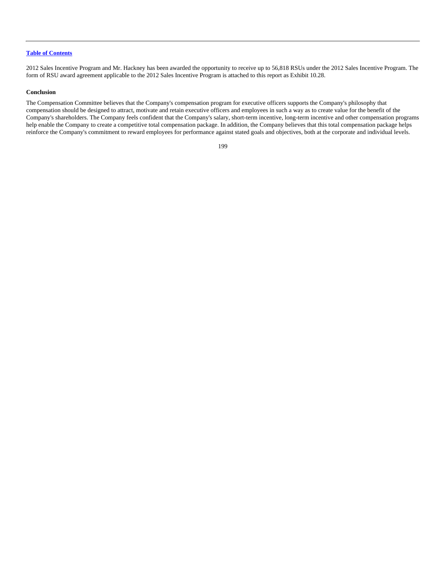2012 Sales Incentive Program and Mr. Hackney has been awarded the opportunity to receive up to 56,818 RSUs under the 2012 Sales Incentive Program. The form of RSU award agreement applicable to the 2012 Sales Incentive Program is attached to this report as Exhibit 10.28.

### **Conclusion**

The Compensation Committee believes that the Company's compensation program for executive officers supports the Company's philosophy that compensation should be designed to attract, motivate and retain executive officers and employees in such a way as to create value for the benefit of the Company's shareholders. The Company feels confident that the Company's salary, short-term incentive, long-term incentive and other compensation programs help enable the Company to create a competitive total compensation package. In addition, the Company believes that this total compensation package helps reinforce the Company's commitment to reward employees for performance against stated goals and objectives, both at the corporate and individual levels.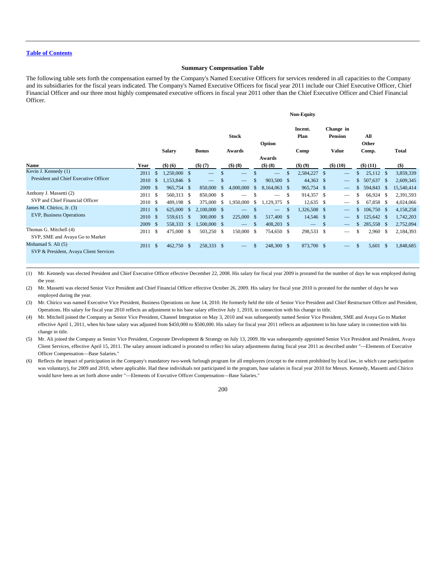### **Summary Compensation Table**

The following table sets forth the compensation earned by the Company's Named Executive Officers for services rendered in all capacities to the Company and its subsidiaries for the fiscal years indicated. The Company's Named Executive Officers for fiscal year 2011 include our Chief Executive Officer, Chief Financial Officer and our three most highly compensated executive officers in fiscal year 2011 other than the Chief Executive Officer and Chief Financial Officer.

**Non-Equity**

|                                                              |                    |               |               |               |                          |               | <b>Stock</b>                    |    | Option            |               | Incent.<br>Plan   |      | Change in<br><b>Pension</b>     | All<br>Other       |      |              |
|--------------------------------------------------------------|--------------------|---------------|---------------|---------------|--------------------------|---------------|---------------------------------|----|-------------------|---------------|-------------------|------|---------------------------------|--------------------|------|--------------|
|                                                              |                    |               | <b>Salary</b> |               | <b>Bonus</b>             |               | Awards                          |    |                   |               | Comp              |      | Value                           | Comp.              |      | <b>Total</b> |
|                                                              |                    |               |               |               |                          |               |                                 |    | Awards            |               |                   |      |                                 |                    |      |              |
| <b>Name</b>                                                  | Year               |               | $($ \$) $(6)$ |               | (3)(7)                   |               | $($ \$) $($ 8)                  |    | $($ \$) $($ 8)    |               | (3)(9)            |      | $($ \$) $(10)$                  | $($ \$ $)$ $(11)$  |      | $($ \$)      |
| Kevin J. Kennedy (1)                                         | 2011               |               | 1,250,000     | $\mathcal{S}$ |                          |               |                                 |    |                   |               | 2,584,227 \$      |      |                                 | 25,112 \$          |      | 3,859,339    |
| President and Chief Executive Officer                        | 2010               | $\mathcal{S}$ | 1,153,846 \$  |               | $\overline{\phantom{0}}$ | <sup>\$</sup> |                                 |    | 903,500 \$        |               | 44,363 \$         |      |                                 | 507,637 \$         |      | 2,609,345    |
|                                                              | 2009               | - \$          | 965,754       | - \$          | 850,000                  | <sup>\$</sup> | 4,000,000                       | -S | 8.164.063 \$      |               | 965,754 \$        |      | $\hspace{0.1mm}-\hspace{0.1mm}$ | 594,843            | - \$ | 15,540,414   |
| Anthony J. Massetti (2)                                      | 2011 \$            |               | 560,313       | -S            | 850,000 \$               |               |                                 | \$ | $\hspace{0.05cm}$ | S             | 914,357 \$        |      | $\hspace{0.1mm}-\hspace{0.1mm}$ | 66,924 \$          |      | 2,391,593    |
| SVP and Chief Financial Officer                              | 2010 \$            |               | 489,198       | S             | 375,000                  | \$            | 1,950,000                       | S  | 1,129,375 \$      |               | $12,635$ \$       |      |                                 | \$<br>67,858 \$    |      | 4,024,066    |
| James M. Chirico, Jr. (3)                                    | $2011 \text{ }$ \$ |               | 625,000       | -S            | 2,100,000 \$             |               |                                 | -8 |                   | <sup>\$</sup> | 1,326,508 \$      |      | $\qquad \qquad -$               | \$<br>$106,750$ \$ |      | 4,158,258    |
| <b>EVP, Business Operations</b>                              | $2010 \text{ }$ \$ |               | 559,615 \$    |               | 300,000 \$               |               | 225,000 \$                      |    | 517,400 \$        |               | 14,546 \$         |      |                                 | 125,642 \$         |      | 1,742,203    |
|                                                              | 2009               | - S           | 558,333       | <sup>\$</sup> | 1,500,000 \$             |               | $\hspace{0.1mm}-\hspace{0.1mm}$ | -8 | $408,203$ \$      |               | $\qquad \qquad -$ | - \$ |                                 | \$<br>285,558 \$   |      | 2,752,094    |
| Thomas G. Mitchell (4)                                       | 2011 \$            |               | 475,000       | -S            | 503,250 \$               |               | 150,000 \$                      |    | 754,650 \$        |               | 298,533 \$        |      |                                 | $2,960$ \$         |      | 2,184,393    |
| SVP, SME and Avaya Go to Market                              |                    |               |               |               |                          |               |                                 |    |                   |               |                   |      |                                 |                    |      |              |
| Mohamad S. Ali (5)<br>SVP & President, Avaya Client Services | 2011S              |               | 462,750 \$    |               | 258,333 \$               |               | $\hspace{0.1mm}-\hspace{0.1mm}$ | S. | 248,300 \$        |               | 873,700 \$        |      |                                 | \$<br>$5,601$ \$   |      | 1,848,685    |

(1) Mr. Kennedy was elected President and Chief Executive Officer effective December 22, 2008. His salary for fiscal year 2009 is prorated for the number of days he was employed during the year.

(2) Mr. Massetti was elected Senior Vice President and Chief Financial Officer effective October 26, 2009. His salary for fiscal year 2010 is prorated for the number of days he was employed during the year.

(3) Mr. Chirico was named Executive Vice President, Business Operations on June 14, 2010. He formerly held the title of Senior Vice President and Chief Restructure Officer and President, Operations. His salary for fiscal year 2010 reflects an adjustment to his base salary effective July 1, 2010, in connection with his change in title.

(4) Mr. Mitchell joined the Company as Senior Vice President, Channel Integration on May 3, 2010 and was subsequently named Senior Vice President, SME and Avaya Go to Market effective April 1, 2011, when his base salary was adjusted from \$450,000 to \$500,000. His salary for fiscal year 2011 reflects an adjustment to his base salary in connection with his change in title.

(5) Mr. Ali joined the Company as Senior Vice President, Corporate Development & Strategy on July 13, 2009. He was subsequently appointed Senior Vice President and President, Avaya Client Services, effective April 15, 2011. The salary amount indicated is prorated to reflect his salary adjustments during fiscal year 2011 as described under "—Elements of Executive Officer Compensation—Base Salaries."

(6) Reflects the impact of participation in the Company's mandatory two-week furlough program for all employees (except to the extent prohibited by local law, in which case participation was voluntary), for 2009 and 2010, where applicable. Had these individuals not participated in the program, base salaries in fiscal year 2010 for Messrs. Kennedy, Massetti and Chirico would have been as set forth above under "—Elements of Executive Officer Compensation—Base Salaries."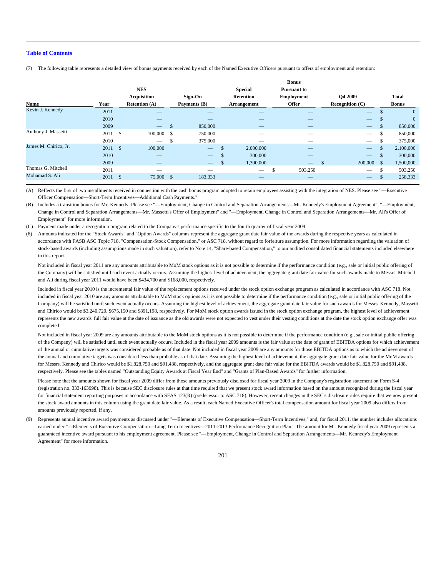(7) The following table represents a detailed view of bonus payments received by each of the Named Executive Officers pursuant to offers of employment and retention:

|      |                                       |               |                          |                                 | <b>Bonus</b>       |               |                                 |               |                |
|------|---------------------------------------|---------------|--------------------------|---------------------------------|--------------------|---------------|---------------------------------|---------------|----------------|
|      | <b>NES</b>                            |               |                          | <b>Special</b>                  | <b>Pursuant to</b> |               |                                 |               |                |
|      | <b>Acquisition</b>                    |               | Sign-On                  | <b>Retention</b>                | <b>Employment</b>  |               | <b>O4 2009</b>                  |               | <b>Total</b>   |
| Year | Retention $(A)$                       |               | Payments (B)             | <b>Arrangement</b>              | <b>Offer</b>       |               | $Reco$ gnition $(C)$            |               | <b>Bonus</b>   |
| 2011 |                                       |               | —                        | __                              | —                  |               |                                 | \$            | $\mathbf{0}$   |
| 2010 | $-$                                   |               |                          |                                 |                    |               |                                 | <sup>\$</sup> | $\overline{0}$ |
| 2009 | $\hspace{0.1mm}-\hspace{0.1mm}$       | <sup>\$</sup> | 850,000                  |                                 |                    |               | $\hspace{0.1mm}-\hspace{0.1mm}$ | \$            | 850,000        |
|      |                                       |               | 750,000                  |                                 | _                  |               |                                 | \$            | 850,000        |
| 2010 |                                       | £.            | 375,000                  |                                 | _                  |               | $\hspace{0.1mm}-\hspace{0.1mm}$ | \$            | 375,000        |
|      | 100,000                               |               |                          | \$<br>2,000,000                 |                    |               | $\qquad \qquad -$               | S.            | 2,100,000      |
| 2010 |                                       |               |                          | \$<br>300,000                   |                    |               |                                 | -\$           | 300,000        |
| 2009 |                                       |               | $\overline{\phantom{m}}$ | \$<br>1,300,000                 |                    | <sup>\$</sup> |                                 |               | 1,500,000      |
| 2011 |                                       |               | _                        | $\hspace{0.1mm}-\hspace{0.1mm}$ | \$<br>503,250      |               | $\hspace{0.1mm}-\hspace{0.1mm}$ | \$            | 503,250        |
| 2011 |                                       |               | 183,333                  |                                 | __                 |               |                                 | \$            | 258,333        |
|      | 2011S<br>$2011 \quad $$<br>$^{\circ}$ |               | 100,000 \$<br>75,000 \$  |                                 |                    |               |                                 |               | 200,000 \$     |

(A) Reflects the first of two installments received in connection with the cash bonus program adopted to retain employees assisting with the integration of NES. Please see "—Executive Officer Compensation—Short-Term Incentives—Additional Cash Payments."

(B) Includes a transition bonus for Mr. Kennedy. Please see "—Employment, Change in Control and Separation Arrangements—Mr. Kennedy's Employment Agreement", "—Employment, Change in Control and Separation Arrangements—Mr. Massetti's Offer of Employment" and "—Employment, Change in Control and Separation Arrangements—Mr. Ali's Offer of Employment" for more information.

(C) Payment made under a recognition program related to the Company's performance specific to the fourth quarter of fiscal year 2009.

Amounts indicated for the "Stock Awards" and "Option Awards" columns represent the aggregate grant date fair value of the awards during the respective years as calculated in accordance with FASB ASC Topic 718, "Compensation-Stock Compensation," or ASC 718, without regard to forfeiture assumption. For more information regarding the valuation of stock-based awards (including assumptions made in such valuation), refer to Note 14, "Share-based Compensation," to our audited consolidated financial statements included elsewhere in this report.

Not included in fiscal year 2011 are any amounts attributable to MoM stock options as it is not possible to determine if the performance condition (e.g., sale or initial public offering of the Company) will be satisfied until such event actually occurs. Assuming the highest level of achievement, the aggregate grant date fair value for such awards made to Messrs. Mitchell and Ali during fiscal year 2011 would have been \$434,700 and \$168,000, respectively.

Included in fiscal year 2010 is the incremental fair value of the replacement options received under the stock option exchange program as calculated in accordance with ASC 718. Not included in fiscal year 2010 are any amounts attributable to MoM stock options as it is not possible to determine if the performance condition (e.g., sale or initial public offering of the Company) will be satisfied until such event actually occurs. Assuming the highest level of achievement, the aggregate grant date fair value for such awards for Messrs. Kennedy, Massetti and Chirico would be \$3,240,720, \$675,150 and \$891,198, respectively. For MoM stock option awards issued in the stock option exchange program, the highest level of achievement represents the new awards' full fair value at the date of issuance as the old awards were not expected to vest under their vesting conditions at the date the stock option exchange offer was completed.

Not included in fiscal year 2009 are any amounts attributable to the MoM stock options as it is not possible to determine if the performance condition (e.g., sale or initial public offering of the Company) will be satisfied until such event actually occurs. Included in the fiscal year 2009 amounts is the fair value at the date of grant of EBITDA options for which achievement of the annual or cumulative targets was considered probable as of that date. Not included in fiscal year 2009 are any amounts for those EBITDA options as to which the achievement of the annual and cumulative targets was considered less than probable as of that date. Assuming the highest level of achievement, the aggregate grant date fair value for the MoM awards for Messrs. Kennedy and Chirico would be \$1,828,750 and \$91,438, respectively, and the aggregate grant date fair value for the EBITDA awards would be \$1,828,750 and \$91,438, respectively. Please see the tables named "Outstanding Equity Awards at Fiscal Year End" and "Grants of Plan-Based Awards" for further information.

Please note that the amounts shown for fiscal year 2009 differ from those amounts previously disclosed for fiscal year 2009 in the Company's registration statement on Form S-4 (registration no. 333-163998). This is because SEC disclosure rules at that time required that we present stock award information based on the amount recognized during the fiscal year for financial statement reporting purposes in accordance with SFAS 123(R) (predecessor to ASC 718). However, recent changes in the SEC's disclosure rules require that we now present the stock award amounts in this column using the grant date fair value. As a result, each Named Executive Officer's total compensation amount for fiscal year 2009 also differs from amounts previously reported, if any.

Represents annual incentive award payments as discussed under "—Elements of Executive Compensation—Short-Term Incentives," and, for fiscal 2011, the number includes allocations earned under "—Elements of Executive Compensation—Long Term Incentives—2011-2013 Performance Recognition Plan." The amount for Mr. Kennedy fiscal year 2009 represents a guaranteed incentive award pursuant to his employment agreement. Please see "—Employment, Change in Control and Separation Arrangements—Mr. Kennedy's Employment Agreement" for more information.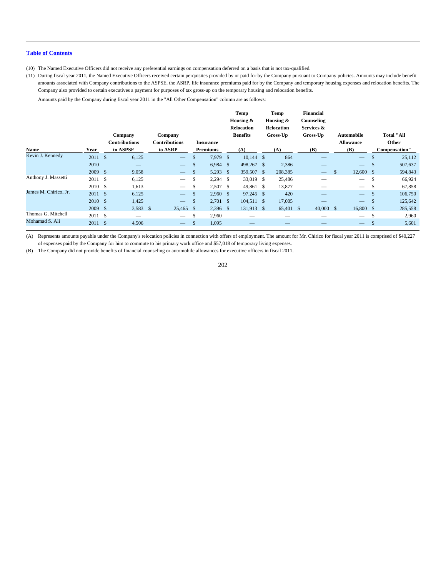(10) The Named Executive Officers did not receive any preferential earnings on compensation deferred on a basis that is not tax-qualified.

(11) During fiscal year 2011, the Named Executive Officers received certain perquisites provided by or paid for by the Company pursuant to Company policies. Amounts may include benefit amounts associated with Company contributions to the ASPSE, the ASRP, life insurance premiums paid for by the Company and temporary housing expenses and relocation benefits. The Company also provided to certain executives a payment for purposes of tax gross-up on the temporary housing and relocation benefits.

Amounts paid by the Company during fiscal year 2011 in the "All Other Compensation" column are as follows:

|      |                                                                                           |                      |                          |                      |           |                                     | Temp                                                                                     |                   | Temp                                                                                                         |                                            |                          |                                     |                                           |                                       |                        |
|------|-------------------------------------------------------------------------------------------|----------------------|--------------------------|----------------------|-----------|-------------------------------------|------------------------------------------------------------------------------------------|-------------------|--------------------------------------------------------------------------------------------------------------|--------------------------------------------|--------------------------|-------------------------------------|-------------------------------------------|---------------------------------------|------------------------|
|      |                                                                                           |                      |                          |                      |           |                                     | Housing &                                                                                |                   |                                                                                                              | Counseling                                 |                          |                                     |                                           |                                       |                        |
|      |                                                                                           |                      |                          |                      |           |                                     |                                                                                          |                   |                                                                                                              |                                            |                          |                                     |                                           |                                       |                        |
|      | Company                                                                                   |                      | Company                  |                      |           |                                     | <b>Benefits</b>                                                                          |                   |                                                                                                              |                                            |                          |                                     |                                           |                                       | <b>Total "All</b>      |
|      |                                                                                           |                      |                          |                      |           |                                     |                                                                                          |                   |                                                                                                              |                                            |                          |                                     |                                           |                                       | Other                  |
| Year | to ASPSE                                                                                  |                      | to ASRP                  |                      |           |                                     | (A)                                                                                      |                   | (A)                                                                                                          | (B)                                        |                          |                                     | <b>(B)</b>                                |                                       | <b>Compensation"</b>   |
|      | 6,125                                                                                     |                      |                          |                      | 7,979     |                                     |                                                                                          |                   | 864                                                                                                          |                                            |                          |                                     |                                           |                                       | 25,112                 |
| 2010 | —                                                                                         |                      |                          | \$                   | 6,984     | - \$                                |                                                                                          |                   | 2,386                                                                                                        |                                            |                          |                                     | —                                         | \$                                    | 507,637                |
|      | 9,058                                                                                     |                      | $\overline{\phantom{m}}$ | \$                   |           |                                     |                                                                                          |                   | 208,385                                                                                                      |                                            | $\overline{\phantom{m}}$ | \$                                  |                                           |                                       | 594,843                |
|      | 6,125                                                                                     |                      | $\overline{\phantom{a}}$ | \$                   |           |                                     |                                                                                          |                   | 25,486                                                                                                       |                                            |                          |                                     | $\overline{\phantom{a}}$                  | \$                                    | 66,924                 |
|      | 1,613                                                                                     |                      |                          |                      |           |                                     |                                                                                          |                   | 13,877                                                                                                       |                                            |                          |                                     |                                           | \$                                    | 67,858                 |
|      | 6,125                                                                                     |                      |                          | \$                   |           |                                     |                                                                                          |                   | 420                                                                                                          |                                            |                          |                                     | $\hspace{0.1mm}-\hspace{0.1mm}$           | \$                                    | 106,750                |
|      | 1,425                                                                                     |                      | $\overline{\phantom{a}}$ | \$                   |           |                                     |                                                                                          |                   | 17,005                                                                                                       |                                            |                          |                                     | $\qquad \qquad \overline{\qquad \qquad }$ | \$                                    | 125,642                |
|      |                                                                                           |                      |                          |                      |           |                                     |                                                                                          |                   |                                                                                                              |                                            |                          |                                     |                                           |                                       | 285,558                |
|      | –                                                                                         |                      | $\overline{\phantom{a}}$ | \$                   | 2,960     |                                     |                                                                                          |                   |                                                                                                              |                                            | _                        |                                     | $\overline{\phantom{a}}$                  | \$                                    | 2,960                  |
|      | 4,506                                                                                     |                      |                          | ъ                    | 1,095     |                                     |                                                                                          |                   |                                                                                                              |                                            |                          |                                     |                                           | \$                                    | 5,601                  |
|      | 2011S<br>2009 \$<br>2011 \$<br>2010 \$<br>2011S<br>2010 \$<br>2009 \$<br>2011 \$<br>2011S | <b>Contributions</b> | $3,583$ \$               | <b>Contributions</b> | 25,465 \$ | <b>Insurance</b><br><b>Premiums</b> | - \$<br>$5,293$ \$<br>$2,294$ \$<br>$2,507$ \$<br>$2,960$ \$<br>$2,701$ \$<br>$2,396$ \$ | <b>Relocation</b> | $10,144$ \$<br>498,267 \$<br>359,507 \$<br>33,019 \$<br>49,861 \$<br>97,245 \$<br>$104,511$ \$<br>131,913 \$ | Housing &<br><b>Relocation</b><br>Gross-Up | 65,401 \$                | Financial<br>Services &<br>Gross-Up | $40,000$ \$                               | <b>Automobile</b><br><b>Allowance</b> | 12,600 \$<br>16,800 \$ |

(A) Represents amounts payable under the Company's relocation policies in connection with offers of employment. The amount for Mr. Chirico for fiscal year 2011 is comprised of \$40,227 of expenses paid by the Company for him to commute to his primary work office and \$57,018 of temporary living expenses.

(B) The Company did not provide benefits of financial counseling or automobile allowances for executive officers in fiscal 2011.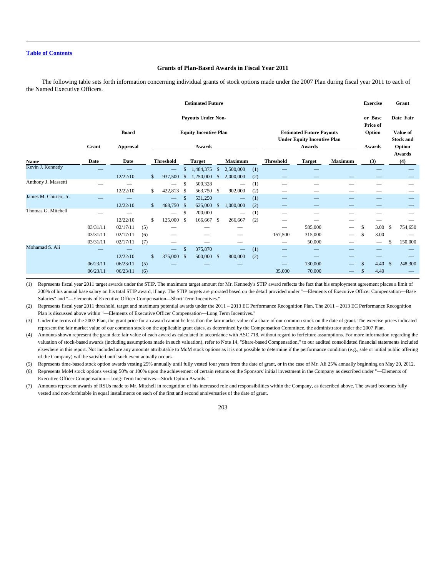### **Grants of Plan-Based Awards in Fiscal Year 2011**

The following table sets forth information concerning individual grants of stock options made under the 2007 Plan during fiscal year 2011 to each of the Named Executive Officers.

| <b>Estimated Future</b> |                      |                                  |                            |                                            |                    |                              |          |                                       |            |                                           |                                                                       |                                       |          | <b>Exercise</b>       | Grant                        |           |  |
|-------------------------|----------------------|----------------------------------|----------------------------|--------------------------------------------|--------------------|------------------------------|----------|---------------------------------------|------------|-------------------------------------------|-----------------------------------------------------------------------|---------------------------------------|----------|-----------------------|------------------------------|-----------|--|
|                         |                      |                                  |                            |                                            |                    | <b>Payouts Under Non-</b>    |          |                                       |            |                                           |                                                                       |                                       |          | or Base<br>Price of   |                              | Date Fair |  |
|                         |                      | <b>Board</b>                     |                            |                                            |                    | <b>Equity Incentive Plan</b> |          |                                       |            |                                           | <b>Estimated Future Payouts</b><br><b>Under Equity Incentive Plan</b> |                                       | Option   |                       | Value of<br><b>Stock and</b> |           |  |
|                         | Grant                | <b>Approval</b>                  |                            |                                            |                    | Awards                       |          |                                       |            |                                           | Awards                                                                |                                       | Awards   |                       | Option<br>Awards             |           |  |
| <b>Name</b>             | Date                 | Date                             |                            | <b>Threshold</b>                           |                    | <b>Target</b>                |          | <b>Maximum</b>                        |            | <b>Threshold</b>                          | <b>Target</b>                                                         | <b>Maximum</b>                        |          | (3)                   |                              | (4)       |  |
| Kevin J. Kennedy        |                      | 12/22/10                         | $\mathbb{S}$               | 937,500                                    | $\mathbb{S}$<br>\$ | 1,484,375<br>1,250,000       | -S<br>-S | 2,500,000<br>2,000,000                | (1)<br>(2) | $\hspace{0.1mm}-\hspace{0.1mm}$           | _<br>-                                                                |                                       |          |                       |                              | –         |  |
| Anthony J. Massetti     |                      | 12/22/10                         | \$                         | $\hspace{0.1mm}-\hspace{0.1mm}$<br>422,813 | \$                 | 500,328                      |          | $\overline{\phantom{m}}$              | (1)        | -                                         | -                                                                     |                                       |          |                       |                              |           |  |
| James M. Chirico, Jr.   |                      |                                  |                            |                                            | -S<br>\$           | 563,750 \$<br>531,250        |          | 902,000                               | (2)<br>(1) | -                                         | -                                                                     |                                       |          | -                     |                              |           |  |
| Thomas G. Mitchell      |                      | 12/22/10                         | \$                         | 468,750 \$                                 | <sup>\$</sup>      | 625,000 \$<br>200,000        |          | 1,000,000<br>$\overline{\phantom{a}}$ | (2)<br>(1) |                                           |                                                                       |                                       |          |                       |                              |           |  |
|                         | 03/31/11<br>03/31/11 | 12/22/10<br>02/17/11<br>02/17/11 | $\mathbb{S}$<br>(5)<br>(6) | 125,000 \$<br>$\qquad \qquad$              |                    | 166,667 \$<br>_<br>--        |          | 266,667<br>_                          | (2)        | $\overline{\phantom{m}}$<br>157,500       | 585,000<br>315,000                                                    | $\hspace{1.0cm} \rule{1.5cm}{0.15cm}$ | \$<br>\$ | 3.00 S<br>3.00        |                              | 754,650   |  |
| Mohamad S. Ali          | 03/31/11             | 02/17/11                         | (7)                        | $\qquad \qquad$<br>$\qquad \qquad -$       | \$                 | -<br>375,870                 |          | -<br>$\overline{\phantom{0}}$         | (1)        |                                           | 50,000                                                                |                                       |          | $\qquad \qquad$       | \$                           | 150,000   |  |
|                         | 06/23/11<br>06/23/11 | 12/22/10<br>06/23/11<br>06/23/11 | $\mathbb{S}$<br>(5)<br>(6) | 375,000 \$                                 |                    | 500,000 \$                   |          | 800,000                               | (2)        | $\hspace{0.1mm}-\hspace{0.1mm}$<br>35,000 | 130,000<br>70,000                                                     | $\overline{\phantom{0}}$              | \$<br>\$ | $4.40\degree$<br>4.40 |                              | 248,300   |  |

(1) Represents fiscal year 2011 target awards under the STIP. The maximum target amount for Mr. Kennedy's STIP award reflects the fact that his employment agreement places a limit of 200% of his annual base salary on his total STIP award, if any. The STIP targets are prorated based on the detail provided under "—Elements of Executive Officer Compensation—Base Salaries" and "—Elements of Executive Officer Compensation—Short Term Incentives."

(2) Represents fiscal year 2011 threshold, target and maximum potential awards under the 2011 – 2013 EC Performance Recognition Plan. The 2011 – 2013 EC Performance Recognition Plan is discussed above within "—Elements of Executive Officer Compensation—Long Term Incentives."

(3) Under the terms of the 2007 Plan, the grant price for an award cannot be less than the fair market value of a share of our common stock on the date of grant. The exercise prices indicated represent the fair market value of our common stock on the applicable grant dates, as determined by the Compensation Committee, the administrator under the 2007 Plan.

(4) Amounts shown represent the grant date fair value of each award as calculated in accordance with ASC 718, without regard to forfeiture assumptions. For more information regarding the valuation of stock-based awards (including assumptions made in such valuation), refer to Note 14, "Share-based Compensation," to our audited consolidated financial statements included elsewhere in this report. Not included are any amounts attributable to MoM stock options as it is not possible to determine if the performance condition (e.g., sale or initial public offering of the Company) will be satisfied until such event actually occurs.

(5) Represents time-based stock option awards vesting 25% annually until fully vested four years from the date of grant, or in the case of Mr. Ali 25% annually beginning on May 20, 2012.

(6) Represents MoM stock options vesting 50% or 100% upon the achievement of certain returns on the Sponsors' initial investment in the Company as described under "—Elements of Executive Officer Compensation—Long-Term Incentives—Stock Option Awards."

(7) Amounts represent awards of RSUs made to Mr. Mitchell in recognition of his increased role and responsibilities within the Company, as described above. The award becomes fully vested and non-forfeitable in equal installments on each of the first and second anniversaries of the date of grant.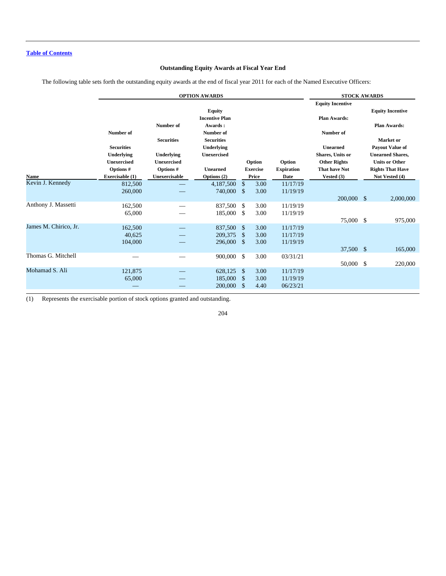# **Outstanding Equity Awards at Fiscal Year End**

The following table sets forth the outstanding equity awards at the end of fiscal year 2011 for each of the Named Executive Officers:

|                       |                                  | <b>OPTION AWARDS</b>      | <b>STOCK AWARDS</b>              |                        |                 |                   |                                     |  |                                                   |
|-----------------------|----------------------------------|---------------------------|----------------------------------|------------------------|-----------------|-------------------|-------------------------------------|--|---------------------------------------------------|
|                       |                                  |                           |                                  |                        |                 |                   | <b>Equity Incentive</b>             |  |                                                   |
|                       |                                  |                           | <b>Equity</b>                    |                        |                 |                   |                                     |  | <b>Equity Incentive</b>                           |
|                       |                                  |                           | <b>Incentive Plan</b>            |                        |                 |                   | <b>Plan Awards:</b>                 |  |                                                   |
|                       |                                  | Number of                 | Awards:                          |                        |                 |                   |                                     |  | <b>Plan Awards:</b>                               |
|                       | Number of                        |                           | Number of                        |                        |                 |                   | Number of                           |  |                                                   |
|                       |                                  | <b>Securities</b>         | <b>Securities</b>                |                        |                 |                   |                                     |  | <b>Market</b> or                                  |
|                       | <b>Securities</b>                |                           | Underlying<br><b>Unexercised</b> |                        |                 |                   | <b>Unearned</b><br>Shares, Units or |  | <b>Payout Value of</b><br><b>Unearned Shares,</b> |
|                       | Underlying<br><b>Unexercised</b> | Underlying<br>Unexercised |                                  |                        | Option          | Option            | <b>Other Rights</b>                 |  | <b>Units or Other</b>                             |
|                       | Options #                        | Options #                 | <b>Unearned</b>                  |                        | <b>Exercise</b> | <b>Expiration</b> | <b>That have Not</b>                |  | <b>Rights That Have</b>                           |
| Name                  | Exercisable (1)                  | Unexercisable             | Options (2)                      |                        | Price           | Date              | Vested (3)                          |  | Not Vested (4)                                    |
| Kevin J. Kennedy      | 812,500                          |                           | 4,187,500                        | \$                     | 3.00            | 11/17/19          |                                     |  |                                                   |
|                       | 260,000                          |                           | 740,000                          | $\mathbb{S}$           | 3.00            | 11/19/19          |                                     |  |                                                   |
|                       |                                  |                           |                                  |                        |                 |                   | 200,000 \$                          |  | 2,000,000                                         |
| Anthony J. Massetti   | 162,500                          |                           | 837,500                          | \$                     | 3.00            | 11/19/19          |                                     |  |                                                   |
|                       | 65,000                           |                           | 185,000                          | \$                     | 3.00            | 11/19/19          |                                     |  |                                                   |
|                       |                                  |                           |                                  |                        |                 |                   | 75,000 \$                           |  | 975,000                                           |
| James M. Chirico, Jr. | 162,500                          |                           | 837,500                          | $\mathbb{S}$           | 3.00            | 11/17/19          |                                     |  |                                                   |
|                       | 40,625                           |                           | 209,375                          | \$                     | 3.00            | 11/17/19          |                                     |  |                                                   |
|                       | 104,000                          |                           | 296,000                          | $\mathbf{\mathcal{S}}$ | 3.00            | 11/19/19          |                                     |  |                                                   |
|                       |                                  |                           |                                  |                        |                 |                   | 37,500 \$                           |  | 165,000                                           |
| Thomas G. Mitchell    |                                  |                           | 900,000                          | \$                     | 3.00            | 03/31/21          |                                     |  |                                                   |
|                       |                                  |                           |                                  |                        |                 |                   | 50,000 \$                           |  | 220,000                                           |
| Mohamad S. Ali        | 121,875                          |                           | 628,125                          | $\mathbf{\mathcal{S}}$ | 3.00            | 11/17/19          |                                     |  |                                                   |
|                       | 65,000                           |                           | 185,000                          | \$                     | 3.00            | 11/19/19          |                                     |  |                                                   |
|                       |                                  |                           | 200,000                          | $\mathbb{S}$           | 4.40            | 06/23/21          |                                     |  |                                                   |

(1) Represents the exercisable portion of stock options granted and outstanding.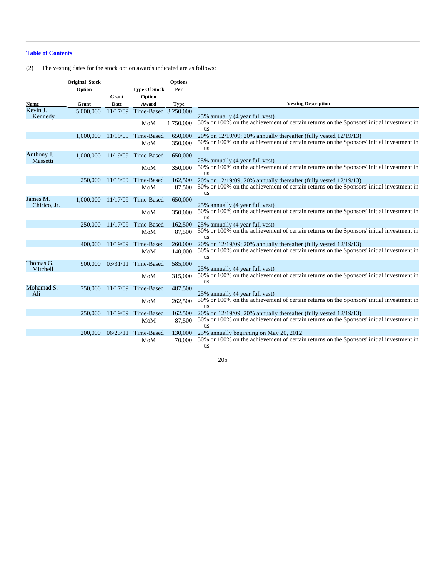(2) The vesting dates for the stock option awards indicated are as follows:

|                          | <b>Original Stock</b> |               |                       | Options     |                                                                                                       |
|--------------------------|-----------------------|---------------|-----------------------|-------------|-------------------------------------------------------------------------------------------------------|
|                          | Option                |               | <b>Type Of Stock</b>  | Per         |                                                                                                       |
| Name                     | Grant                 | Grant<br>Date | Option<br>Award       | <b>Type</b> | <b>Vesting Description</b>                                                                            |
| Kevin J.                 | 5,000,000             | 11/17/09      | Time-Based 3,250,000  |             |                                                                                                       |
| Kennedy                  |                       |               |                       |             | 25% annually (4 year full vest)                                                                       |
|                          |                       |               | MoM                   | 1,750,000   | 50% or 100% on the achievement of certain returns on the Sponsors' initial investment in<br><b>us</b> |
|                          | 1,000,000             | 11/19/09      | Time-Based            | 650,000     | 20% on 12/19/09; 20% annually thereafter (fully vested 12/19/13)                                      |
|                          |                       |               | MoM                   | 350,000     | 50% or 100% on the achievement of certain returns on the Sponsors' initial investment in<br><b>us</b> |
| Anthony J.<br>Massetti   | 1,000,000             |               | 11/19/09 Time-Based   | 650,000     | 25% annually (4 year full vest)                                                                       |
|                          |                       |               | MoM                   | 350,000     | 50% or 100% on the achievement of certain returns on the Sponsors' initial investment in<br><b>us</b> |
|                          | 250,000               | 11/19/09      | Time-Based            | 162,500     | 20% on 12/19/09; 20% annually thereafter (fully vested 12/19/13)                                      |
|                          |                       |               | MoM                   | 87,500      | 50% or 100% on the achievement of certain returns on the Sponsors' initial investment in<br>us        |
| James M.<br>Chirico, Jr. | 1,000,000             |               | $11/17/09$ Time-Based | 650,000     | 25% annually (4 year full vest)                                                                       |
|                          |                       |               | MoM                   | 350,000     | 50% or 100% on the achievement of certain returns on the Sponsors' initial investment in<br><b>us</b> |
|                          | 250,000               | 11/17/09      | Time-Based            | 162,500     | 25% annually (4 year full vest)                                                                       |
|                          |                       |               | MoM                   | 87,500      | 50% or 100% on the achievement of certain returns on the Sponsors' initial investment in<br><b>us</b> |
|                          | 400,000               |               | 11/19/09 Time-Based   | 260,000     | 20% on 12/19/09; 20% annually thereafter (fully vested 12/19/13)                                      |
|                          |                       |               | MoM                   | 140,000     | 50% or 100% on the achievement of certain returns on the Sponsors' initial investment in<br><b>us</b> |
| Thomas G.<br>Mitchell    | 900,000               |               | 03/31/11 Time-Based   | 585,000     | 25% annually (4 year full vest)                                                                       |
|                          |                       |               | MoM                   | 315,000     | 50% or 100% on the achievement of certain returns on the Sponsors' initial investment in<br>us        |
| Mohamad S.<br>Ali        | 750,000               | 11/17/09      | Time-Based            | 487,500     | 25% annually (4 year full vest)                                                                       |
|                          |                       |               | MoM                   | 262,500     | 50% or 100% on the achievement of certain returns on the Sponsors' initial investment in<br><b>US</b> |
|                          | 250,000               | 11/19/09      | Time-Based            | 162,500     | 20% on 12/19/09; 20% annually thereafter (fully vested 12/19/13)                                      |
|                          |                       |               | MoM                   | 87,500      | 50% or 100% on the achievement of certain returns on the Sponsors' initial investment in<br><b>us</b> |
|                          | 200,000               | 06/23/11      | Time-Based            | 130,000     | 25% annually beginning on May 20, 2012                                                                |
|                          |                       |               | MoM                   | 70,000      | 50% or 100% on the achievement of certain returns on the Sponsors' initial investment in<br>us        |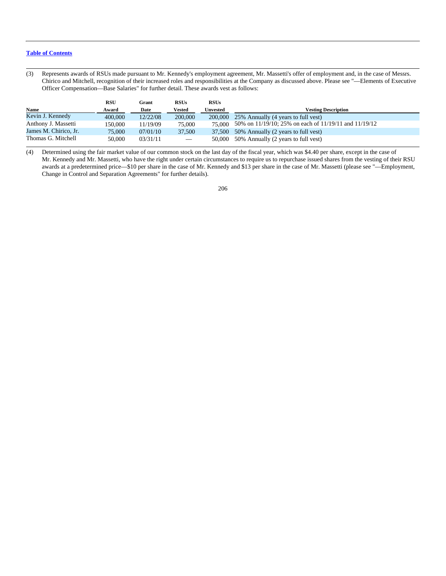(3) Represents awards of RSUs made pursuant to Mr. Kennedy's employment agreement, Mr. Massetti's offer of employment and, in the case of Messrs. Chirico and Mitchell, recognition of their increased roles and responsibilities at the Company as discussed above. Please see "—Elements of Executive Officer Compensation—Base Salaries" for further detail. These awards vest as follows:

|                       | RSU     | Grant    | <b>RSUs</b>                     | <b>RSUs</b> |                                                       |
|-----------------------|---------|----------|---------------------------------|-------------|-------------------------------------------------------|
| Name                  | Award   | Date     | Vested                          | Unvested    | <b>Vesting Description</b>                            |
| Kevin J. Kennedy      | 400,000 | 12/22/08 | 200,000                         | 200,000     | 25% Annually (4 years to full vest)                   |
| Anthony J. Massetti   | 150.000 | 11/19/09 | 75,000                          | 75.000      | 50% on 11/19/10; 25% on each of 11/19/11 and 11/19/12 |
| James M. Chirico, Jr. | 75,000  | 07/01/10 | 37,500                          |             | 37,500 50% Annually (2 years to full vest)            |
| Thomas G. Mitchell    | 50,000  | 03/31/11 | $\hspace{0.1mm}-\hspace{0.1mm}$ |             | 50,000 50% Annually (2 years to full vest)            |

(4) Determined using the fair market value of our common stock on the last day of the fiscal year, which was \$4.40 per share, except in the case of Mr. Kennedy and Mr. Massetti, who have the right under certain circumstances to require us to repurchase issued shares from the vesting of their RSU awards at a predetermined price—\$10 per share in the case of Mr. Kennedy and \$13 per share in the case of Mr. Massetti (please see "—Employment, Change in Control and Separation Agreements" for further details).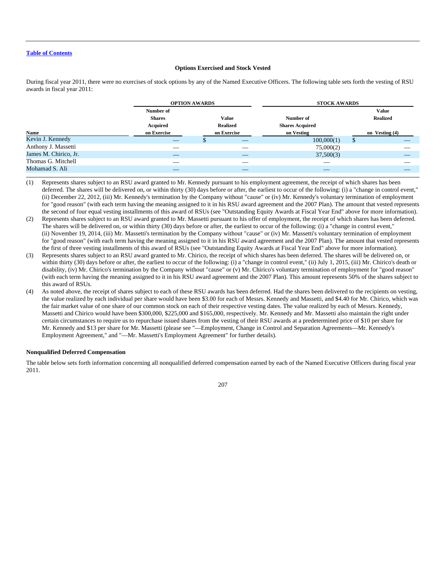### **Options Exercised and Stock Vested**

During fiscal year 2011, there were no exercises of stock options by any of the Named Executive Officers. The following table sets forth the vesting of RSU awards in fiscal year 2011:

|                       |                 | <b>OPTION AWARDS</b> |                 | <b>STOCK AWARDS</b>    |                |                 |  |  |  |
|-----------------------|-----------------|----------------------|-----------------|------------------------|----------------|-----------------|--|--|--|
|                       | Number of       |                      |                 |                        |                | <b>Value</b>    |  |  |  |
|                       | <b>Shares</b>   |                      | <b>Value</b>    | Number of              |                | <b>Realized</b> |  |  |  |
|                       | <b>Acquired</b> |                      | <b>Realized</b> | <b>Shares Acquired</b> |                |                 |  |  |  |
| <b>Name</b>           | on Exercise     |                      | on Exercise     | on Vesting             | on Vesting (4) |                 |  |  |  |
| Kevin J. Kennedy      |                 |                      |                 | 100,000(1)             | S              |                 |  |  |  |
| Anthony J. Massetti   | ---             |                      |                 | 75,000(2)              |                |                 |  |  |  |
| James M. Chirico, Jr. |                 |                      |                 | 37,500(3)              |                |                 |  |  |  |
| Thomas G. Mitchell    | ---             |                      |                 |                        |                |                 |  |  |  |
| Mohamad S. Ali        |                 |                      |                 |                        |                |                 |  |  |  |

(1) Represents shares subject to an RSU award granted to Mr. Kennedy pursuant to his employment agreement, the receipt of which shares has been deferred. The shares will be delivered on, or within thirty (30) days before or after, the earliest to occur of the following: (i) a "change in control event," (ii) December 22, 2012, (iii) Mr. Kennedy's termination by the Company without "cause" or (iv) Mr. Kennedy's voluntary termination of employment for "good reason" (with each term having the meaning assigned to it in his RSU award agreement and the 2007 Plan). The amount that vested represents the second of four equal vesting installments of this award of RSUs (see "Outstanding Equity Awards at Fiscal Year End" above for more information).

- (2) Represents shares subject to an RSU award granted to Mr. Massetti pursuant to his offer of employment, the receipt of which shares has been deferred. The shares will be delivered on, or within thirty (30) days before or after, the earliest to occur of the following: (i) a "change in control event," (ii) November 19, 2014, (iii) Mr. Massetti's termination by the Company without "cause" or (iv) Mr. Massetti's voluntary termination of employment for "good reason" (with each term having the meaning assigned to it in his RSU award agreement and the 2007 Plan). The amount that vested represents the first of three vesting installments of this award of RSUs (see "Outstanding Equity Awards at Fiscal Year End" above for more information).
- (3) Represents shares subject to an RSU award granted to Mr. Chirico, the receipt of which shares has been deferred. The shares will be delivered on, or within thirty (30) days before or after, the earliest to occur of the following: (i) a "change in control event," (ii) July 1, 2015, (iii) Mr. Chirico's death or disability, (iv) Mr. Chirico's termination by the Company without "cause" or (v) Mr. Chirico's voluntary termination of employment for "good reason" (with each term having the meaning assigned to it in his RSU award agreement and the 2007 Plan). This amount represents 50% of the shares subject to this award of RSUs.
- (4) As noted above, the receipt of shares subject to each of these RSU awards has been deferred. Had the shares been delivered to the recipients on vesting, the value realized by each individual per share would have been \$3.00 for each of Messrs. Kennedy and Massetti, and \$4.40 for Mr. Chirico, which was the fair market value of one share of our common stock on each of their respective vesting dates. The value realized by each of Messrs. Kennedy, Massetti and Chirico would have been \$300,000, \$225,000 and \$165,000, respectively. Mr. Kennedy and Mr. Massetti also maintain the right under certain circumstances to require us to repurchase issued shares from the vesting of their RSU awards at a predetermined price of \$10 per share for Mr. Kennedy and \$13 per share for Mr. Massetti (please see "—Employment, Change in Control and Separation Agreements—Mr. Kennedy's Employment Agreement," and "—Mr. Massetti's Employment Agreement" for further details).

#### **Nonqualified Deferred Compensation**

The table below sets forth information concerning all nonqualified deferred compensation earned by each of the Named Executive Officers during fiscal year 2011.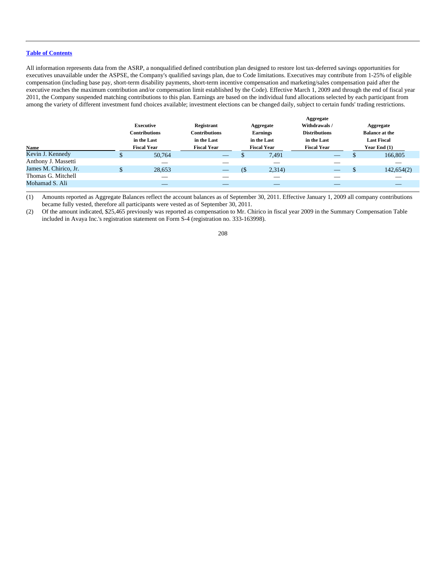All information represents data from the ASRP, a nonqualified defined contribution plan designed to restore lost tax-deferred savings opportunities for executives unavailable under the ASPSE, the Company's qualified savings plan, due to Code limitations. Executives may contribute from 1-25% of eligible compensation (including base pay, short-term disability payments, short-term incentive compensation and marketing/sales compensation paid after the executive reaches the maximum contribution and/or compensation limit established by the Code). Effective March 1, 2009 and through the end of fiscal year 2011, the Company suspended matching contributions to this plan. Earnings are based on the individual fund allocations selected by each participant from among the variety of different investment fund choices available; investment elections can be changed daily, subject to certain funds' trading restrictions.

|                       |                                                         |        | Aggregate            |                                                                   |        |                      |                                                                          |            |
|-----------------------|---------------------------------------------------------|--------|----------------------|-------------------------------------------------------------------|--------|----------------------|--------------------------------------------------------------------------|------------|
|                       | <b>Executive</b><br><b>Contributions</b><br>in the Last |        | Registrant           | Aggregate<br><b>Earnings</b><br>in the Last<br><b>Fiscal Year</b> |        | Withdrawals/         | Aggregate<br><b>Balance at the</b><br><b>Last Fiscal</b><br>Year End (1) |            |
|                       |                                                         |        | <b>Contributions</b> |                                                                   |        | <b>Distributions</b> |                                                                          |            |
|                       |                                                         |        | in the Last          |                                                                   |        | in the Last          |                                                                          |            |
| <b>Name</b>           | <b>Fiscal Year</b>                                      |        | <b>Fiscal Year</b>   |                                                                   |        | <b>Fiscal Year</b>   |                                                                          |            |
| Kevin J. Kennedy      | D                                                       | 50,764 |                      |                                                                   | 7,491  |                      |                                                                          | 166,805    |
| Anthony J. Massetti   |                                                         | _      | __                   |                                                                   | ___    |                      |                                                                          | ---        |
| James M. Chirico, Jr. | \$                                                      | 28,653 |                      | (ა                                                                | 2,314) | _                    | мD                                                                       | 142,654(2) |
| Thomas G. Mitchell    |                                                         | _      | __                   |                                                                   | $-$    | ---                  |                                                                          |            |
| Mohamad S. Ali        |                                                         | _      |                      |                                                                   |        |                      |                                                                          |            |
|                       |                                                         |        |                      |                                                                   |        |                      |                                                                          |            |

(1) Amounts reported as Aggregate Balances reflect the account balances as of September 30, 2011. Effective January 1, 2009 all company contributions became fully vested, therefore all participants were vested as of September 30, 2011.

(2) Of the amount indicated, \$25,465 previously was reported as compensation to Mr. Chirico in fiscal year 2009 in the Summary Compensation Table included in Avaya Inc.'s registration statement on Form S-4 (registration no. 333-163998).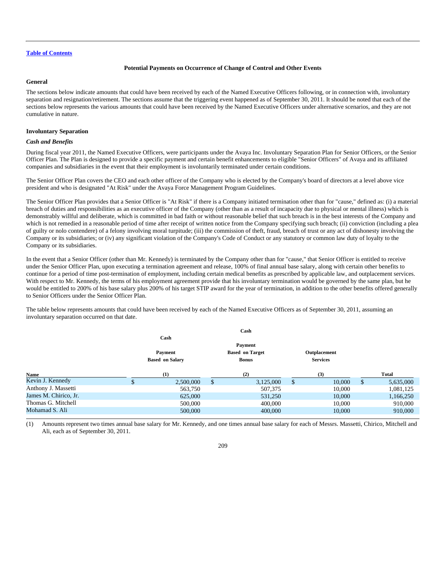# **Potential Payments on Occurrence of Change of Control and Other Events**

#### **General**

The sections below indicate amounts that could have been received by each of the Named Executive Officers following, or in connection with, involuntary separation and resignation/retirement. The sections assume that the triggering event happened as of September 30, 2011. It should be noted that each of the sections below represents the various amounts that could have been received by the Named Executive Officers under alternative scenarios, and they are not cumulative in nature.

### **Involuntary Separation**

### *Cash and Benefits*

During fiscal year 2011, the Named Executive Officers, were participants under the Avaya Inc. Involuntary Separation Plan for Senior Officers, or the Senior Officer Plan. The Plan is designed to provide a specific payment and certain benefit enhancements to eligible "Senior Officers" of Avaya and its affiliated companies and subsidiaries in the event that their employment is involuntarily terminated under certain conditions.

The Senior Officer Plan covers the CEO and each other officer of the Company who is elected by the Company's board of directors at a level above vice president and who is designated "At Risk" under the Avaya Force Management Program Guidelines.

The Senior Officer Plan provides that a Senior Officer is "At Risk" if there is a Company initiated termination other than for "cause," defined as: (i) a material breach of duties and responsibilities as an executive officer of the Company (other than as a result of incapacity due to physical or mental illness) which is demonstrably willful and deliberate, which is committed in bad faith or without reasonable belief that such breach is in the best interests of the Company and which is not remedied in a reasonable period of time after receipt of written notice from the Company specifying such breach; (ii) conviction (including a plea of guilty or nolo contendere) of a felony involving moral turpitude; (iii) the commission of theft, fraud, breach of trust or any act of dishonesty involving the Company or its subsidiaries; or (iv) any significant violation of the Company's Code of Conduct or any statutory or common law duty of loyalty to the Company or its subsidiaries.

In the event that a Senior Officer (other than Mr. Kennedy) is terminated by the Company other than for "cause," that Senior Officer is entitled to receive under the Senior Officer Plan, upon executing a termination agreement and release, 100% of final annual base salary, along with certain other benefits to continue for a period of time post-termination of employment, including certain medical benefits as prescribed by applicable law, and outplacement services. With respect to Mr. Kennedy, the terms of his employment agreement provide that his involuntary termination would be governed by the same plan, but he would be entitled to 200% of his base salary plus 200% of his target STIP award for the year of termination, in addition to the other benefits offered generally to Senior Officers under the Senior Officer Plan.

The table below represents amounts that could have been received by each of the Named Executive Officers as of September 30, 2011, assuming an involuntary separation occurred on that date.

|                       | Cash                   |           |    |                        |                                 |        |    |              |  |
|-----------------------|------------------------|-----------|----|------------------------|---------------------------------|--------|----|--------------|--|
|                       | Cash                   |           |    |                        |                                 |        |    |              |  |
|                       | Payment                |           |    |                        |                                 |        |    |              |  |
|                       | Payment                |           |    | <b>Based on Target</b> | Outplacement<br><b>Services</b> |        |    |              |  |
|                       | <b>Based on Salary</b> |           |    | <b>Bonus</b>           |                                 |        |    |              |  |
| <b>Name</b>           | (1)                    |           |    | (2)                    |                                 | (3)    |    | <b>Total</b> |  |
| Kevin J. Kennedy      | \$                     | 2,500,000 | \$ | 3,125,000              | \$                              | 10,000 | \$ | 5,635,000    |  |
| Anthony J. Massetti   |                        | 563,750   |    | 507,375                |                                 | 10,000 |    | 1,081,125    |  |
| James M. Chirico, Jr. |                        | 625,000   |    | 531,250                |                                 | 10,000 |    | 1,166,250    |  |
| Thomas G. Mitchell    |                        | 500,000   |    | 400,000                |                                 | 10,000 |    | 910,000      |  |
| Mohamad S. Ali        |                        | 500,000   |    | 400,000                |                                 | 10,000 |    | 910,000      |  |

(1) Amounts represent two times annual base salary for Mr. Kennedy, and one times annual base salary for each of Messrs. Massetti, Chirico, Mitchell and Ali, each as of September 30, 2011.

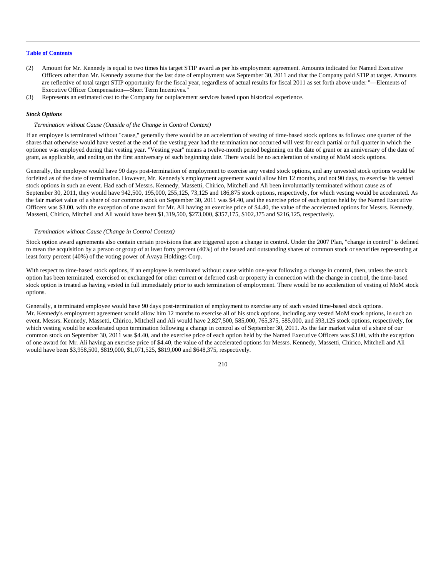- (2) Amount for Mr. Kennedy is equal to two times his target STIP award as per his employment agreement. Amounts indicated for Named Executive Officers other than Mr. Kennedy assume that the last date of employment was September 30, 2011 and that the Company paid STIP at target. Amounts are reflective of total target STIP opportunity for the fiscal year, regardless of actual results for fiscal 2011 as set forth above under "—Elements of Executive Officer Compensation—Short Term Incentives."
- (3) Represents an estimated cost to the Company for outplacement services based upon historical experience.

#### *Stock Options*

### *Termination without Cause (Outside of the Change in Control Context)*

If an employee is terminated without "cause," generally there would be an acceleration of vesting of time-based stock options as follows: one quarter of the shares that otherwise would have vested at the end of the vesting year had the termination not occurred will vest for each partial or full quarter in which the optionee was employed during that vesting year. "Vesting year" means a twelve-month period beginning on the date of grant or an anniversary of the date of grant, as applicable, and ending on the first anniversary of such beginning date. There would be no acceleration of vesting of MoM stock options.

Generally, the employee would have 90 days post-termination of employment to exercise any vested stock options, and any unvested stock options would be forfeited as of the date of termination. However, Mr. Kennedy's employment agreement would allow him 12 months, and not 90 days, to exercise his vested stock options in such an event. Had each of Messrs. Kennedy, Massetti, Chirico, Mitchell and Ali been involuntarily terminated without cause as of September 30, 2011, they would have 942,500, 195,000, 255,125, 73,125 and 186,875 stock options, respectively, for which vesting would be accelerated. As the fair market value of a share of our common stock on September 30, 2011 was \$4.40, and the exercise price of each option held by the Named Executive Officers was \$3.00, with the exception of one award for Mr. Ali having an exercise price of \$4.40, the value of the accelerated options for Messrs. Kennedy, Massetti, Chirico, Mitchell and Ali would have been \$1,319,500, \$273,000, \$357,175, \$102,375 and \$216,125, respectively.

#### *Termination without Cause (Change in Control Context)*

Stock option award agreements also contain certain provisions that are triggered upon a change in control. Under the 2007 Plan, "change in control" is defined to mean the acquisition by a person or group of at least forty percent (40%) of the issued and outstanding shares of common stock or securities representing at least forty percent (40%) of the voting power of Avaya Holdings Corp.

With respect to time-based stock options, if an employee is terminated without cause within one-year following a change in control, then, unless the stock option has been terminated, exercised or exchanged for other current or deferred cash or property in connection with the change in control, the time-based stock option is treated as having vested in full immediately prior to such termination of employment. There would be no acceleration of vesting of MoM stock options.

Generally, a terminated employee would have 90 days post-termination of employment to exercise any of such vested time-based stock options. Mr. Kennedy's employment agreement would allow him 12 months to exercise all of his stock options, including any vested MoM stock options, in such an event. Messrs. Kennedy, Massetti, Chirico, Mitchell and Ali would have 2,827,500, 585,000, 765,375, 585,000, and 593,125 stock options, respectively, for which vesting would be accelerated upon termination following a change in control as of September 30, 2011. As the fair market value of a share of our common stock on September 30, 2011 was \$4.40, and the exercise price of each option held by the Named Executive Officers was \$3.00, with the exception of one award for Mr. Ali having an exercise price of \$4.40, the value of the accelerated options for Messrs. Kennedy, Massetti, Chirico, Mitchell and Ali would have been \$3,958,500, \$819,000, \$1,071,525, \$819,000 and \$648,375, respectively.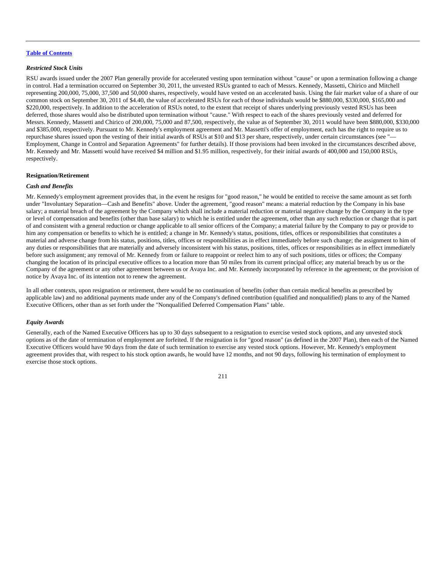### *Restricted Stock Units*

RSU awards issued under the 2007 Plan generally provide for accelerated vesting upon termination without "cause" or upon a termination following a change in control. Had a termination occurred on September 30, 2011, the unvested RSUs granted to each of Messrs. Kennedy, Massetti, Chirico and Mitchell representing 200,000, 75,000, 37,500 and 50,000 shares, respectively, would have vested on an accelerated basis. Using the fair market value of a share of our common stock on September 30, 2011 of \$4.40, the value of accelerated RSUs for each of those individuals would be \$880,000, \$330,000, \$165,000 and \$220,000, respectively. In addition to the acceleration of RSUs noted, to the extent that receipt of shares underlying previously vested RSUs has been deferred, those shares would also be distributed upon termination without "cause." With respect to each of the shares previously vested and deferred for Messrs. Kennedy, Massetti and Chirico of 200,000, 75,000 and 87,500, respectively, the value as of September 30, 2011 would have been \$880,000, \$330,000 and \$385,000, respectively. Pursuant to Mr. Kennedy's employment agreement and Mr. Massetti's offer of employment, each has the right to require us to repurchase shares issued upon the vesting of their initial awards of RSUs at \$10 and \$13 per share, respectively, under certain circumstances (see "— Employment, Change in Control and Separation Agreements" for further details). If those provisions had been invoked in the circumstances described above, Mr. Kennedy and Mr. Massetti would have received \$4 million and \$1.95 million, respectively, for their initial awards of 400,000 and 150,000 RSUs, respectively.

### **Resignation/Retirement**

### *Cash and Benefits*

Mr. Kennedy's employment agreement provides that, in the event he resigns for "good reason," he would be entitled to receive the same amount as set forth under "Involuntary Separation—Cash and Benefits" above. Under the agreement, "good reason" means: a material reduction by the Company in his base salary; a material breach of the agreement by the Company which shall include a material reduction or material negative change by the Company in the type or level of compensation and benefits (other than base salary) to which he is entitled under the agreement, other than any such reduction or change that is part of and consistent with a general reduction or change applicable to all senior officers of the Company; a material failure by the Company to pay or provide to him any compensation or benefits to which he is entitled; a change in Mr. Kennedy's status, positions, titles, offices or responsibilities that constitutes a material and adverse change from his status, positions, titles, offices or responsibilities as in effect immediately before such change; the assignment to him of any duties or responsibilities that are materially and adversely inconsistent with his status, positions, titles, offices or responsibilities as in effect immediately before such assignment; any removal of Mr. Kennedy from or failure to reappoint or reelect him to any of such positions, titles or offices; the Company changing the location of its principal executive offices to a location more than 50 miles from its current principal office; any material breach by us or the Company of the agreement or any other agreement between us or Avaya Inc. and Mr. Kennedy incorporated by reference in the agreement; or the provision of notice by Avaya Inc. of its intention not to renew the agreement.

In all other contexts, upon resignation or retirement, there would be no continuation of benefits (other than certain medical benefits as prescribed by applicable law) and no additional payments made under any of the Company's defined contribution (qualified and nonqualified) plans to any of the Named Executive Officers, other than as set forth under the "Nonqualified Deferred Compensation Plans" table.

## *Equity Awards*

Generally, each of the Named Executive Officers has up to 30 days subsequent to a resignation to exercise vested stock options, and any unvested stock options as of the date of termination of employment are forfeited. If the resignation is for "good reason" (as defined in the 2007 Plan), then each of the Named Executive Officers would have 90 days from the date of such termination to exercise any vested stock options. However, Mr. Kennedy's employment agreement provides that, with respect to his stock option awards, he would have 12 months, and not 90 days, following his termination of employment to exercise those stock options.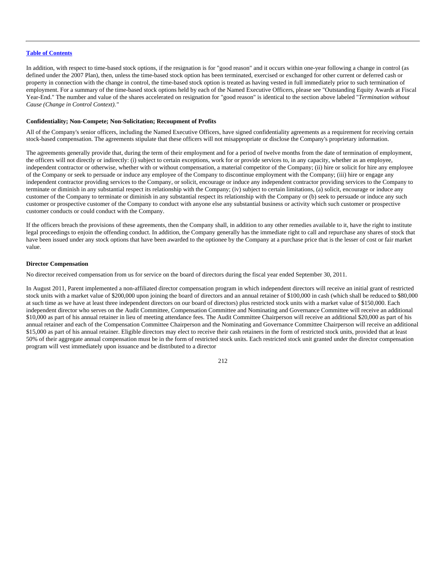In addition, with respect to time-based stock options, if the resignation is for "good reason" and it occurs within one-year following a change in control (as defined under the 2007 Plan), then, unless the time-based stock option has been terminated, exercised or exchanged for other current or deferred cash or property in connection with the change in control, the time-based stock option is treated as having vested in full immediately prior to such termination of employment. For a summary of the time-based stock options held by each of the Named Executive Officers, please see "Outstanding Equity Awards at Fiscal Year-End." The number and value of the shares accelerated on resignation for "good reason" is identical to the section above labeled "*Termination without Cause (Change in Control Context)."*

#### **Confidentiality; Non-Compete; Non-Solicitation; Recoupment of Profits**

All of the Company's senior officers, including the Named Executive Officers, have signed confidentiality agreements as a requirement for receiving certain stock-based compensation. The agreements stipulate that these officers will not misappropriate or disclose the Company's proprietary information.

The agreements generally provide that, during the term of their employment and for a period of twelve months from the date of termination of employment, the officers will not directly or indirectly: (i) subject to certain exceptions, work for or provide services to, in any capacity, whether as an employee, independent contractor or otherwise, whether with or without compensation, a material competitor of the Company; (ii) hire or solicit for hire any employee of the Company or seek to persuade or induce any employee of the Company to discontinue employment with the Company; (iii) hire or engage any independent contractor providing services to the Company, or solicit, encourage or induce any independent contractor providing services to the Company to terminate or diminish in any substantial respect its relationship with the Company; (iv) subject to certain limitations, (a) solicit, encourage or induce any customer of the Company to terminate or diminish in any substantial respect its relationship with the Company or (b) seek to persuade or induce any such customer or prospective customer of the Company to conduct with anyone else any substantial business or activity which such customer or prospective customer conducts or could conduct with the Company.

If the officers breach the provisions of these agreements, then the Company shall, in addition to any other remedies available to it, have the right to institute legal proceedings to enjoin the offending conduct. In addition, the Company generally has the immediate right to call and repurchase any shares of stock that have been issued under any stock options that have been awarded to the optionee by the Company at a purchase price that is the lesser of cost or fair market value.

#### **Director Compensation**

No director received compensation from us for service on the board of directors during the fiscal year ended September 30, 2011.

In August 2011, Parent implemented a non-affiliated director compensation program in which independent directors will receive an initial grant of restricted stock units with a market value of \$200,000 upon joining the board of directors and an annual retainer of \$100,000 in cash (which shall be reduced to \$80,000 at such time as we have at least three independent directors on our board of directors) plus restricted stock units with a market value of \$150,000. Each independent director who serves on the Audit Committee, Compensation Committee and Nominating and Governance Committee will receive an additional \$10,000 as part of his annual retainer in lieu of meeting attendance fees. The Audit Committee Chairperson will receive an additional \$20,000 as part of his annual retainer and each of the Compensation Committee Chairperson and the Nominating and Governance Committee Chairperson will receive an additional \$15,000 as part of his annual retainer. Eligible directors may elect to receive their cash retainers in the form of restricted stock units, provided that at least 50% of their aggregate annual compensation must be in the form of restricted stock units. Each restricted stock unit granted under the director compensation program will vest immediately upon issuance and be distributed to a director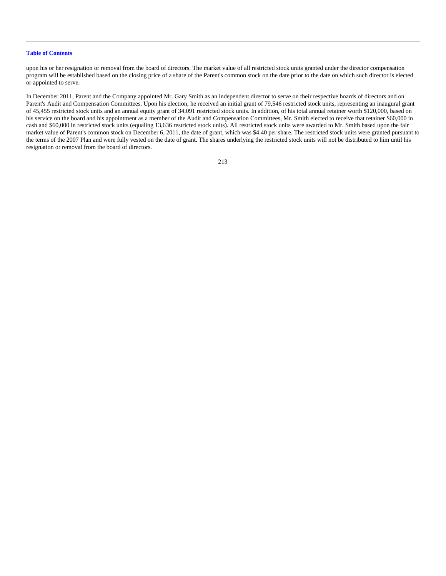upon his or her resignation or removal from the board of directors. The market value of all restricted stock units granted under the director compensation program will be established based on the closing price of a share of the Parent's common stock on the date prior to the date on which such director is elected or appointed to serve.

In December 2011, Parent and the Company appointed Mr. Gary Smith as an independent director to serve on their respective boards of directors and on Parent's Audit and Compensation Committees. Upon his election, he received an initial grant of 79,546 restricted stock units, representing an inaugural grant of 45,455 restricted stock units and an annual equity grant of 34,091 restricted stock units. In addition, of his total annual retainer worth \$120,000, based on his service on the board and his appointment as a member of the Audit and Compensation Committees, Mr. Smith elected to receive that retainer \$60,000 in cash and \$60,000 in restricted stock units (equaling 13,636 restricted stock units). All restricted stock units were awarded to Mr. Smith based upon the fair market value of Parent's common stock on December 6, 2011, the date of grant, which was \$4.40 per share. The restricted stock units were granted pursuant to the terms of the 2007 Plan and were fully vested on the date of grant. The shares underlying the restricted stock units will not be distributed to him until his resignation or removal from the board of directors.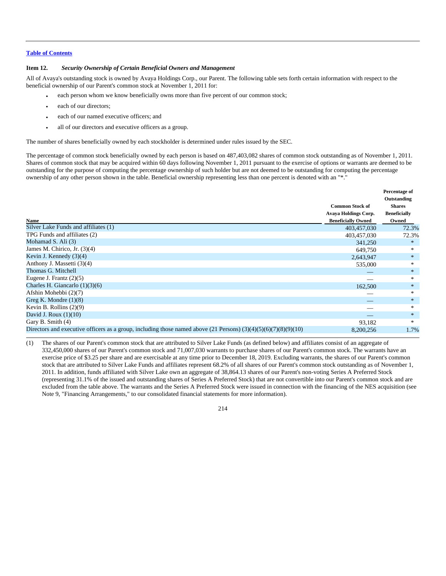## **Item 12.** *Security Ownership of Certain Beneficial Owners and Management*

All of Avaya's outstanding stock is owned by Avaya Holdings Corp., our Parent. The following table sets forth certain information with respect to the beneficial ownership of our Parent's common stock at November 1, 2011 for:

- each person whom we know beneficially owns more than five percent of our common stock;
- each of our directors:
- each of our named executive officers; and
- all of our directors and executive officers as a group.

The number of shares beneficially owned by each stockholder is determined under rules issued by the SEC.

The percentage of common stock beneficially owned by each person is based on 487,403,082 shares of common stock outstanding as of November 1, 2011. Shares of common stock that may be acquired within 60 days following November 1, 2011 pursuant to the exercise of options or warrants are deemed to be outstanding for the purpose of computing the percentage ownership of such holder but are not deemed to be outstanding for computing the percentage ownership of any other person shown in the table. Beneficial ownership representing less than one percent is denoted with an "\*."

|                                                                                                                    |                             | Percentage of<br>Outstanding |
|--------------------------------------------------------------------------------------------------------------------|-----------------------------|------------------------------|
|                                                                                                                    | <b>Common Stock of</b>      | <b>Shares</b>                |
|                                                                                                                    | <b>Avaya Holdings Corp.</b> | <b>Beneficially</b>          |
| <b>Name</b>                                                                                                        | <b>Beneficially Owned</b>   | Owned                        |
| Silver Lake Funds and affiliates (1)                                                                               | 403,457,030                 | 72.3%                        |
| TPG Funds and affiliates (2)                                                                                       | 403,457,030                 | 72.3%                        |
| Mohamad S. Ali (3)                                                                                                 | 341,250                     | $\ast$                       |
| James M. Chirico, Jr. $(3)(4)$                                                                                     | 649,750                     | $\ast$                       |
| Kevin J. Kennedy $(3)(4)$                                                                                          | 2,643,947                   | $\ast$                       |
| Anthony J. Massetti (3)(4)                                                                                         | 535,000                     | $\ast$                       |
| Thomas G. Mitchell                                                                                                 |                             | $\ast$                       |
| Eugene J. Frantz $(2)(5)$                                                                                          |                             | *                            |
| Charles H. Giancarlo $(1)(3)(6)$                                                                                   | 162,500                     | $\ast$                       |
| Afshin Mohebbi (2)(7)                                                                                              |                             | $\ast$                       |
| Greg K. Mondre $(1)(8)$                                                                                            |                             | $\ast$                       |
| Kevin B. Rollins $(2)(9)$                                                                                          | $\overline{\phantom{a}}$    | $\ast$                       |
| David J. Roux $(1)(10)$                                                                                            |                             | $\ast$                       |
| Gary B. Smith (4)                                                                                                  | 93,182                      | $\ast$                       |
| Directors and executive officers as a group, including those named above $(21$ Persons $(3)(4)(5)(6)(7)(8)(9)(10)$ | 8,200,256                   | 1.7%                         |

(1) The shares of our Parent's common stock that are attributed to Silver Lake Funds (as defined below) and affiliates consist of an aggregate of 332,450,000 shares of our Parent's common stock and 71,007,030 warrants to purchase shares of our Parent's common stock. The warrants have an exercise price of \$3.25 per share and are exercisable at any time prior to December 18, 2019. Excluding warrants, the shares of our Parent's common stock that are attributed to Silver Lake Funds and affiliates represent 68.2% of all shares of our Parent's common stock outstanding as of November 1, 2011. In addition, funds affiliated with Silver Lake own an aggregate of 38,864.13 shares of our Parent's non-voting Series A Preferred Stock (representing 31.1% of the issued and outstanding shares of Series A Preferred Stock) that are not convertible into our Parent's common stock and are excluded from the table above. The warrants and the Series A Preferred Stock were issued in connection with the financing of the NES acquisition (see Note 9, "Financing Arrangements," to our consolidated financial statements for more information).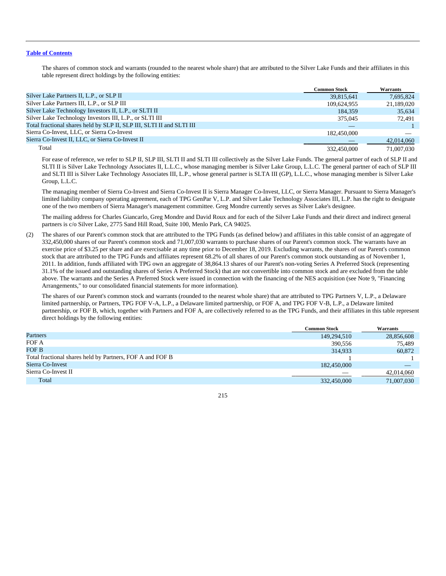The shares of common stock and warrants (rounded to the nearest whole share) that are attributed to the Silver Lake Funds and their affiliates in this table represent direct holdings by the following entities:

|                                                                       | <b>Common Stock</b> | <b>Warrants</b> |
|-----------------------------------------------------------------------|---------------------|-----------------|
| Silver Lake Partners II, L.P., or SLP II                              | 39,815,641          | 7.695.824       |
| Silver Lake Partners III, L.P., or SLP III                            | 109.624.955         | 21,189,020      |
| Silver Lake Technology Investors II, L.P., or SLTI II                 | 184.359             | 35,634          |
| Silver Lake Technology Investors III, L.P., or SLTI III               | 375,045             | 72.491          |
| Total fractional shares held by SLP II, SLP III, SLTI II and SLTI III | _                   |                 |
| Sierra Co-Invest, LLC, or Sierra Co-Invest                            | 182,450,000         |                 |
| Sierra Co-Invest II, LLC, or Sierra Co-Invest II                      |                     | 42,014,060      |
| Total                                                                 | 332,450,000         | 71,007,030      |

For ease of reference, we refer to SLP II, SLP III, SLTI II and SLTI III collectively as the Silver Lake Funds. The general partner of each of SLP II and SLTI II is Silver Lake Technology Associates II, L.L.C., whose managing member is Silver Lake Group, L.L.C. The general partner of each of SLP III and SLTI III is Silver Lake Technology Associates III, L.P., whose general partner is SLTA III (GP), L.L.C., whose managing member is Silver Lake Group, L.L.C.

The managing member of Sierra Co-Invest and Sierra Co-Invest II is Sierra Manager Co-Invest, LLC, or Sierra Manager. Pursuant to Sierra Manager's limited liability company operating agreement, each of TPG GenPar V, L.P. and Silver Lake Technology Associates III, L.P. has the right to designate one of the two members of Sierra Manager's management committee. Greg Mondre currently serves as Silver Lake's designee.

The mailing address for Charles Giancarlo, Greg Mondre and David Roux and for each of the Silver Lake Funds and their direct and indirect general partners is c/o Silver Lake, 2775 Sand Hill Road, Suite 100, Menlo Park, CA 94025.

(2) The shares of our Parent's common stock that are attributed to the TPG Funds (as defined below) and affiliates in this table consist of an aggregate of 332,450,000 shares of our Parent's common stock and 71,007,030 warrants to purchase shares of our Parent's common stock. The warrants have an exercise price of \$3.25 per share and are exercisable at any time prior to December 18, 2019. Excluding warrants, the shares of our Parent's common stock that are attributed to the TPG Funds and affiliates represent 68.2% of all shares of our Parent's common stock outstanding as of November 1, 2011. In addition, funds affiliated with TPG own an aggregate of 38,864.13 shares of our Parent's non-voting Series A Preferred Stock (representing 31.1% of the issued and outstanding shares of Series A Preferred Stock) that are not convertible into common stock and are excluded from the table above. The warrants and the Series A Preferred Stock were issued in connection with the financing of the NES acquisition (see Note 9, "Financing Arrangements," to our consolidated financial statements for more information).

The shares of our Parent's common stock and warrants (rounded to the nearest whole share) that are attributed to TPG Partners V, L.P., a Delaware limited partnership, or Partners, TPG FOF V-A, L.P., a Delaware limited partnership, or FOF A, and TPG FOF V-B, L.P., a Delaware limited partnership, or FOF B, which, together with Partners and FOF A, are collectively referred to as the TPG Funds, and their affiliates in this table represent direct holdings by the following entities:

|                                                           | <b>Common Stock</b> | <b>Warrants</b> |
|-----------------------------------------------------------|---------------------|-----------------|
| Partners                                                  | 149,294,510         | 28,856,608      |
| FOF A                                                     | 390.556             | 75,489          |
| FOF B                                                     | 314.933             | 60,872          |
| Total fractional shares held by Partners, FOF A and FOF B |                     |                 |
| Sierra Co-Invest                                          | 182,450,000         |                 |
| Sierra Co-Invest II                                       |                     | 42,014,060      |
| Total                                                     | 332,450,000         | 71,007,030      |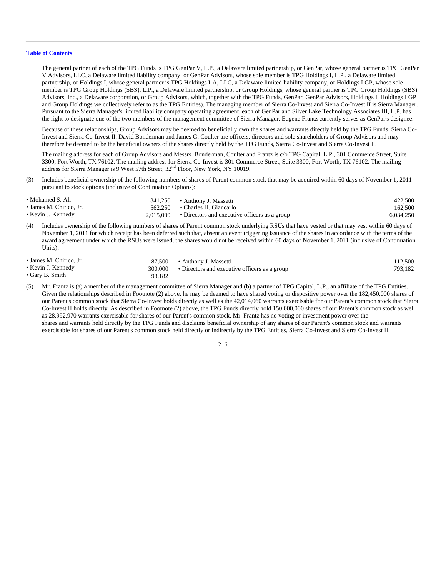The general partner of each of the TPG Funds is TPG GenPar V, L.P., a Delaware limited partnership, or GenPar, whose general partner is TPG GenPar V Advisors, LLC, a Delaware limited liability company, or GenPar Advisors, whose sole member is TPG Holdings I, L.P., a Delaware limited partnership, or Holdings I, whose general partner is TPG Holdings I-A, LLC, a Delaware limited liability company, or Holdings I GP, whose sole member is TPG Group Holdings (SBS), L.P., a Delaware limited partnership, or Group Holdings, whose general partner is TPG Group Holdings (SBS) Advisors, Inc., a Delaware corporation, or Group Advisors, which, together with the TPG Funds, GenPar, GenPar Advisors, Holdings I, Holdings I GP and Group Holdings we collectively refer to as the TPG Entities). The managing member of Sierra Co-Invest and Sierra Co-Invest II is Sierra Manager. Pursuant to the Sierra Manager's limited liability company operating agreement, each of GenPar and Silver Lake Technology Associates III, L.P. has the right to designate one of the two members of the management committee of Sierra Manager. Eugene Frantz currently serves as GenPar's designee.

Because of these relationships, Group Advisors may be deemed to beneficially own the shares and warrants directly held by the TPG Funds, Sierra Co-Invest and Sierra Co-Invest II. David Bonderman and James G. Coulter are officers, directors and sole shareholders of Group Advisors and may therefore be deemed to be the beneficial owners of the shares directly held by the TPG Funds, Sierra Co-Invest and Sierra Co-Invest II.

The mailing address for each of Group Advisors and Messrs. Bonderman, Coulter and Frantz is c/o TPG Capital, L.P., 301 Commerce Street, Suite 3300, Fort Worth, TX 76102. The mailing address for Sierra Co-Invest is 301 Commerce Street, Suite 3300, Fort Worth, TX 76102. The mailing address for Sierra Manager is 9 West 57th Street,  $32<sup>nd</sup>$  Floor, New York, NY 10019.

(3) Includes beneficial ownership of the following numbers of shares of Parent common stock that may be acquired within 60 days of November 1, 2011 pursuant to stock options (inclusive of Continuation Options):

| • Mohamed S. Ali        | 341,250 • Anthony J. Massetti                             | 422,500   |
|-------------------------|-----------------------------------------------------------|-----------|
| • James M. Chirico, Jr. | 562.250 • Charles H. Giancarlo                            | 162,500   |
| • Kevin J. Kennedy      | $2.015.000$ • Directors and executive officers as a group | 6.034.250 |

(4) Includes ownership of the following numbers of shares of Parent common stock underlying RSUs that have vested or that may vest within 60 days of November 1, 2011 for which receipt has been deferred such that, absent an event triggering issuance of the shares in accordance with the terms of the award agreement under which the RSUs were issued, the shares would not be received within 60 days of November 1, 2011 (inclusive of Continuation Units).

| • James M. Chirico, Jr. |        | 87,500 • Anthony J. Massetti                            | 112.500 |
|-------------------------|--------|---------------------------------------------------------|---------|
| • Kevin J. Kennedy      |        | $300,000$ • Directors and executive officers as a group | 793.182 |
| • Gary B. Smith         | 93,182 |                                                         |         |

(5) Mr. Frantz is (a) a member of the management committee of Sierra Manager and (b) a partner of TPG Capital, L.P., an affiliate of the TPG Entities. Given the relationships described in Footnote (2) above, he may be deemed to have shared voting or dispositive power over the 182,450,000 shares of our Parent's common stock that Sierra Co-Invest holds directly as well as the 42,014,060 warrants exercisable for our Parent's common stock that Sierra Co-Invest II holds directly. As described in Footnote (2) above, the TPG Funds directly hold 150,000,000 shares of our Parent's common stock as well as 28,992,970 warrants exercisable for shares of our Parent's common stock. Mr. Frantz has no voting or investment power over the shares and warrants held directly by the TPG Funds and disclaims beneficial ownership of any shares of our Parent's common stock and warrants exercisable for shares of our Parent's common stock held directly or indirectly by the TPG Entities, Sierra Co-Invest and Sierra Co-Invest II.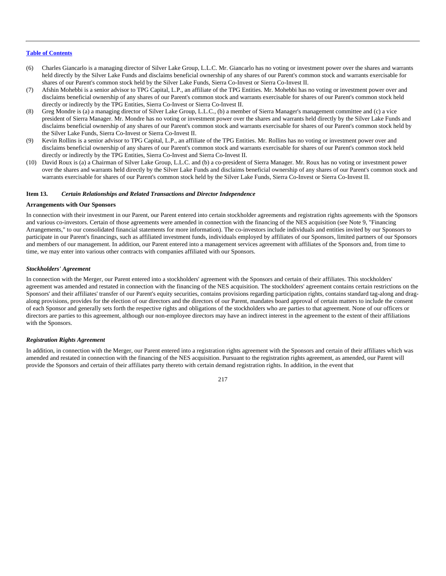- (6) Charles Giancarlo is a managing director of Silver Lake Group, L.L.C. Mr. Giancarlo has no voting or investment power over the shares and warrants held directly by the Silver Lake Funds and disclaims beneficial ownership of any shares of our Parent's common stock and warrants exercisable for shares of our Parent's common stock held by the Silver Lake Funds, Sierra Co-Invest or Sierra Co-Invest II.
- (7) Afshin Mohebbi is a senior advisor to TPG Capital, L.P., an affiliate of the TPG Entities. Mr. Mohebbi has no voting or investment power over and disclaims beneficial ownership of any shares of our Parent's common stock and warrants exercisable for shares of our Parent's common stock held directly or indirectly by the TPG Entities, Sierra Co-Invest or Sierra Co-Invest II.
- (8) Greg Mondre is (a) a managing director of Silver Lake Group, L.L.C., (b) a member of Sierra Manager's management committee and (c) a vice president of Sierra Manager. Mr. Mondre has no voting or investment power over the shares and warrants held directly by the Silver Lake Funds and disclaims beneficial ownership of any shares of our Parent's common stock and warrants exercisable for shares of our Parent's common stock held by the Silver Lake Funds, Sierra Co-Invest or Sierra Co-Invest II.
- (9) Kevin Rollins is a senior advisor to TPG Capital, L.P., an affiliate of the TPG Entities. Mr. Rollins has no voting or investment power over and disclaims beneficial ownership of any shares of our Parent's common stock and warrants exercisable for shares of our Parent's common stock held directly or indirectly by the TPG Entities, Sierra Co-Invest and Sierra Co-Invest II.
- (10) David Roux is (a) a Chairman of Silver Lake Group, L.L.C. and (b) a co-president of Sierra Manager. Mr. Roux has no voting or investment power over the shares and warrants held directly by the Silver Lake Funds and disclaims beneficial ownership of any shares of our Parent's common stock and warrants exercisable for shares of our Parent's common stock held by the Silver Lake Funds, Sierra Co-Invest or Sierra Co-Invest II.

#### **Item 13.** *Certain Relationships and Related Transactions and Director Independence*

#### **Arrangements with Our Sponsors**

In connection with their investment in our Parent, our Parent entered into certain stockholder agreements and registration rights agreements with the Sponsors and various co-investors. Certain of those agreements were amended in connection with the financing of the NES acquisition (see Note 9, "Financing Arrangements," to our consolidated financial statements for more information). The co-investors include individuals and entities invited by our Sponsors to participate in our Parent's financings, such as affiliated investment funds, individuals employed by affiliates of our Sponsors, limited partners of our Sponsors and members of our management. In addition, our Parent entered into a management services agreement with affiliates of the Sponsors and, from time to time, we may enter into various other contracts with companies affiliated with our Sponsors.

### *Stockholders' Agreement*

In connection with the Merger, our Parent entered into a stockholders' agreement with the Sponsors and certain of their affiliates. This stockholders' agreement was amended and restated in connection with the financing of the NES acquisition. The stockholders' agreement contains certain restrictions on the Sponsors' and their affiliates' transfer of our Parent's equity securities, contains provisions regarding participation rights, contains standard tag-along and dragalong provisions, provides for the election of our directors and the directors of our Parent, mandates board approval of certain matters to include the consent of each Sponsor and generally sets forth the respective rights and obligations of the stockholders who are parties to that agreement. None of our officers or directors are parties to this agreement, although our non-employee directors may have an indirect interest in the agreement to the extent of their affiliations with the Sponsors.

#### *Registration Rights Agreement*

In addition, in connection with the Merger, our Parent entered into a registration rights agreement with the Sponsors and certain of their affiliates which was amended and restated in connection with the financing of the NES acquisition. Pursuant to the registration rights agreement, as amended, our Parent will provide the Sponsors and certain of their affiliates party thereto with certain demand registration rights. In addition, in the event that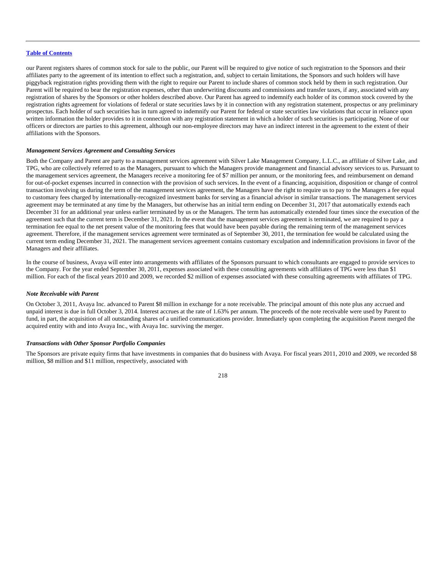our Parent registers shares of common stock for sale to the public, our Parent will be required to give notice of such registration to the Sponsors and their affiliates party to the agreement of its intention to effect such a registration, and, subject to certain limitations, the Sponsors and such holders will have piggyback registration rights providing them with the right to require our Parent to include shares of common stock held by them in such registration. Our Parent will be required to bear the registration expenses, other than underwriting discounts and commissions and transfer taxes, if any, associated with any registration of shares by the Sponsors or other holders described above. Our Parent has agreed to indemnify each holder of its common stock covered by the registration rights agreement for violations of federal or state securities laws by it in connection with any registration statement, prospectus or any preliminary prospectus. Each holder of such securities has in turn agreed to indemnify our Parent for federal or state securities law violations that occur in reliance upon written information the holder provides to it in connection with any registration statement in which a holder of such securities is participating. None of our officers or directors are parties to this agreement, although our non-employee directors may have an indirect interest in the agreement to the extent of their affiliations with the Sponsors.

## *Management Services Agreement and Consulting Services*

Both the Company and Parent are party to a management services agreement with Silver Lake Management Company, L.L.C., an affiliate of Silver Lake, and TPG, who are collectively referred to as the Managers, pursuant to which the Managers provide management and financial advisory services to us. Pursuant to the management services agreement, the Managers receive a monitoring fee of \$7 million per annum, or the monitoring fees, and reimbursement on demand for out-of-pocket expenses incurred in connection with the provision of such services. In the event of a financing, acquisition, disposition or change of control transaction involving us during the term of the management services agreement, the Managers have the right to require us to pay to the Managers a fee equal to customary fees charged by internationally-recognized investment banks for serving as a financial advisor in similar transactions. The management services agreement may be terminated at any time by the Managers, but otherwise has an initial term ending on December 31, 2017 that automatically extends each December 31 for an additional year unless earlier terminated by us or the Managers. The term has automatically extended four times since the execution of the agreement such that the current term is December 31, 2021. In the event that the management services agreement is terminated, we are required to pay a termination fee equal to the net present value of the monitoring fees that would have been payable during the remaining term of the management services agreement. Therefore, if the management services agreement were terminated as of September 30, 2011, the termination fee would be calculated using the current term ending December 31, 2021. The management services agreement contains customary exculpation and indemnification provisions in favor of the Managers and their affiliates.

In the course of business, Avaya will enter into arrangements with affiliates of the Sponsors pursuant to which consultants are engaged to provide services to the Company. For the year ended September 30, 2011, expenses associated with these consulting agreements with affiliates of TPG were less than \$1 million. For each of the fiscal years 2010 and 2009, we recorded \$2 million of expenses associated with these consulting agreements with affiliates of TPG.

#### *Note Receivable with Parent*

On October 3, 2011, Avaya Inc. advanced to Parent \$8 million in exchange for a note receivable. The principal amount of this note plus any accrued and unpaid interest is due in full October 3, 2014. Interest accrues at the rate of 1.63% per annum. The proceeds of the note receivable were used by Parent to fund, in part, the acquisition of all outstanding shares of a unified communications provider. Immediately upon completing the acquisition Parent merged the acquired entity with and into Avaya Inc., with Avaya Inc. surviving the merger.

#### *Transactions with Other Sponsor Portfolio Companies*

The Sponsors are private equity firms that have investments in companies that do business with Avaya. For fiscal years 2011, 2010 and 2009, we recorded \$8 million, \$8 million and \$11 million, respectively, associated with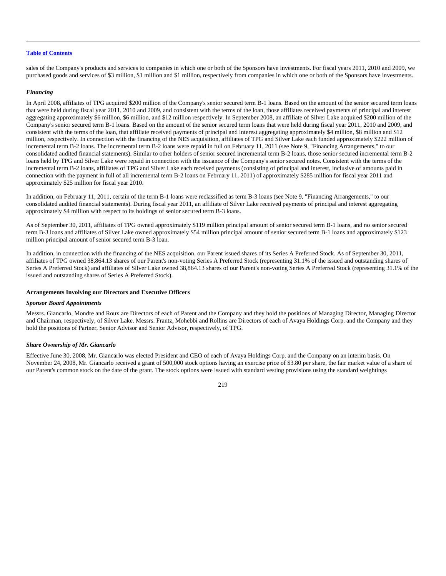sales of the Company's products and services to companies in which one or both of the Sponsors have investments. For fiscal years 2011, 2010 and 2009, we purchased goods and services of \$3 million, \$1 million and \$1 million, respectively from companies in which one or both of the Sponsors have investments.

#### *Financing*

In April 2008, affiliates of TPG acquired \$200 million of the Company's senior secured term B-1 loans. Based on the amount of the senior secured term loans that were held during fiscal year 2011, 2010 and 2009, and consistent with the terms of the loan, those affiliates received payments of principal and interest aggregating approximately \$6 million, \$6 million, and \$12 million respectively. In September 2008, an affiliate of Silver Lake acquired \$200 million of the Company's senior secured term B-1 loans. Based on the amount of the senior secured term loans that were held during fiscal year 2011, 2010 and 2009, and consistent with the terms of the loan, that affiliate received payments of principal and interest aggregating approximately \$4 million, \$8 million and \$12 million, respectively. In connection with the financing of the NES acquisition, affiliates of TPG and Silver Lake each funded approximately \$222 million of incremental term B-2 loans. The incremental term B-2 loans were repaid in full on February 11, 2011 (see Note 9, "Financing Arrangements," to our consolidated audited financial statements). Similar to other holders of senior secured incremental term B-2 loans, those senior secured incremental term B-2 loans held by TPG and Silver Lake were repaid in connection with the issuance of the Company's senior secured notes. Consistent with the terms of the incremental term B-2 loans, affiliates of TPG and Silver Lake each received payments (consisting of principal and interest, inclusive of amounts paid in connection with the payment in full of all incremental term B-2 loans on February 11, 2011) of approximately \$285 million for fiscal year 2011 and approximately \$25 million for fiscal year 2010.

In addition, on February 11, 2011, certain of the term B-1 loans were reclassified as term B-3 loans (see Note 9, "Financing Arrangements," to our consolidated audited financial statements). During fiscal year 2011, an affiliate of Silver Lake received payments of principal and interest aggregating approximately \$4 million with respect to its holdings of senior secured term B-3 loans.

As of September 30, 2011, affiliates of TPG owned approximately \$119 million principal amount of senior secured term B-1 loans, and no senior secured term B-3 loans and affiliates of Silver Lake owned approximately \$54 million principal amount of senior secured term B-1 loans and approximately \$123 million principal amount of senior secured term B-3 loan.

In addition, in connection with the financing of the NES acquisition, our Parent issued shares of its Series A Preferred Stock. As of September 30, 2011, affiliates of TPG owned 38,864.13 shares of our Parent's non-voting Series A Preferred Stock (representing 31.1% of the issued and outstanding shares of Series A Preferred Stock) and affiliates of Silver Lake owned 38,864.13 shares of our Parent's non-voting Series A Preferred Stock (representing 31.1% of the issued and outstanding shares of Series A Preferred Stock).

## **Arrangements Involving our Directors and Executive Officers**

#### *Sponsor Board Appointments*

Messrs. Giancarlo, Mondre and Roux are Directors of each of Parent and the Company and they hold the positions of Managing Director, Managing Director and Chairman, respectively, of Silver Lake. Messrs. Frantz, Mohebbi and Rollins are Directors of each of Avaya Holdings Corp. and the Company and they hold the positions of Partner, Senior Advisor and Senior Advisor, respectively, of TPG.

#### *Share Ownership of Mr. Giancarlo*

Effective June 30, 2008, Mr. Giancarlo was elected President and CEO of each of Avaya Holdings Corp. and the Company on an interim basis. On November 24, 2008, Mr. Giancarlo received a grant of 500,000 stock options having an exercise price of \$3.80 per share, the fair market value of a share of our Parent's common stock on the date of the grant. The stock options were issued with standard vesting provisions using the standard weightings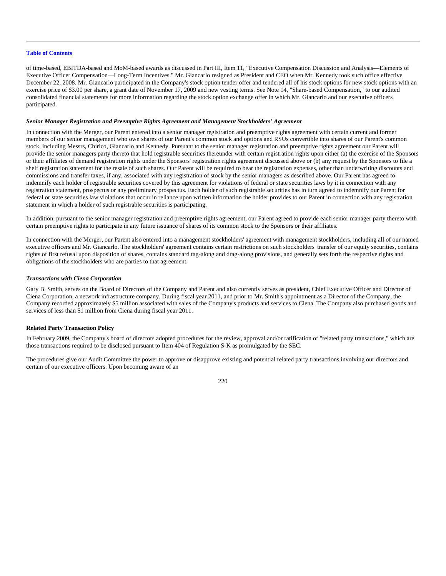of time-based, EBITDA-based and MoM-based awards as discussed in Part III, Item 11, "Executive Compensation Discussion and Analysis—Elements of Executive Officer Compensation—Long-Term Incentives." Mr. Giancarlo resigned as President and CEO when Mr. Kennedy took such office effective December 22, 2008. Mr. Giancarlo participated in the Company's stock option tender offer and tendered all of his stock options for new stock options with an exercise price of \$3.00 per share, a grant date of November 17, 2009 and new vesting terms. See Note 14, "Share-based Compensation," to our audited consolidated financial statements for more information regarding the stock option exchange offer in which Mr. Giancarlo and our executive officers participated.

## *Senior Manager Registration and Preemptive Rights Agreement and Management Stockholders' Agreement*

In connection with the Merger, our Parent entered into a senior manager registration and preemptive rights agreement with certain current and former members of our senior management who own shares of our Parent's common stock and options and RSUs convertible into shares of our Parent's common stock, including Messrs, Chirico, Giancarlo and Kennedy. Pursuant to the senior manager registration and preemptive rights agreement our Parent will provide the senior managers party thereto that hold registrable securities thereunder with certain registration rights upon either (a) the exercise of the Sponsors or their affiliates of demand registration rights under the Sponsors' registration rights agreement discussed above or (b) any request by the Sponsors to file a shelf registration statement for the resale of such shares. Our Parent will be required to bear the registration expenses, other than underwriting discounts and commissions and transfer taxes, if any, associated with any registration of stock by the senior managers as described above. Our Parent has agreed to indemnify each holder of registrable securities covered by this agreement for violations of federal or state securities laws by it in connection with any registration statement, prospectus or any preliminary prospectus. Each holder of such registrable securities has in turn agreed to indemnify our Parent for federal or state securities law violations that occur in reliance upon written information the holder provides to our Parent in connection with any registration statement in which a holder of such registrable securities is participating.

In addition, pursuant to the senior manager registration and preemptive rights agreement, our Parent agreed to provide each senior manager party thereto with certain preemptive rights to participate in any future issuance of shares of its common stock to the Sponsors or their affiliates.

In connection with the Merger, our Parent also entered into a management stockholders' agreement with management stockholders, including all of our named executive officers and Mr. Giancarlo. The stockholders' agreement contains certain restrictions on such stockholders' transfer of our equity securities, contains rights of first refusal upon disposition of shares, contains standard tag-along and drag-along provisions, and generally sets forth the respective rights and obligations of the stockholders who are parties to that agreement.

#### *Transactions with Ciena Corporation*

Gary B. Smith, serves on the Board of Directors of the Company and Parent and also currently serves as president, Chief Executive Officer and Director of Ciena Corporation, a network infrastructure company. During fiscal year 2011, and prior to Mr. Smith's appointment as a Director of the Company, the Company recorded approximately \$5 million associated with sales of the Company's products and services to Ciena. The Company also purchased goods and services of less than \$1 million from Ciena during fiscal year 2011.

#### **Related Party Transaction Policy**

In February 2009, the Company's board of directors adopted procedures for the review, approval and/or ratification of "related party transactions," which are those transactions required to be disclosed pursuant to Item 404 of Regulation S-K as promulgated by the SEC.

The procedures give our Audit Committee the power to approve or disapprove existing and potential related party transactions involving our directors and certain of our executive officers. Upon becoming aware of an

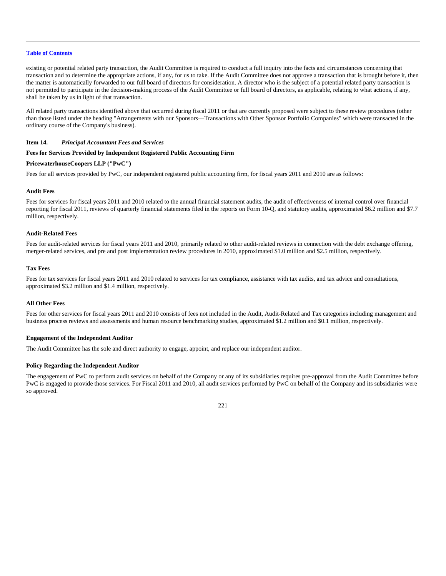existing or potential related party transaction, the Audit Committee is required to conduct a full inquiry into the facts and circumstances concerning that transaction and to determine the appropriate actions, if any, for us to take. If the Audit Committee does not approve a transaction that is brought before it, then the matter is automatically forwarded to our full board of directors for consideration. A director who is the subject of a potential related party transaction is not permitted to participate in the decision-making process of the Audit Committee or full board of directors, as applicable, relating to what actions, if any, shall be taken by us in light of that transaction.

All related party transactions identified above that occurred during fiscal 2011 or that are currently proposed were subject to these review procedures (other than those listed under the heading "Arrangements with our Sponsors—Transactions with Other Sponsor Portfolio Companies" which were transacted in the ordinary course of the Company's business).

## **Item 14.** *Principal Accountant Fees and Services*

#### **Fees for Services Provided by Independent Registered Public Accounting Firm**

## **PricewaterhouseCoopers LLP ("PwC")**

Fees for all services provided by PwC, our independent registered public accounting firm, for fiscal years 2011 and 2010 are as follows:

## **Audit Fees**

Fees for services for fiscal years 2011 and 2010 related to the annual financial statement audits, the audit of effectiveness of internal control over financial reporting for fiscal 2011, reviews of quarterly financial statements filed in the reports on Form 10-Q, and statutory audits, approximated \$6.2 million and \$7.7 million, respectively.

#### **Audit-Related Fees**

Fees for audit-related services for fiscal years 2011 and 2010, primarily related to other audit-related reviews in connection with the debt exchange offering, merger-related services, and pre and post implementation review procedures in 2010, approximated \$1.0 million and \$2.5 million, respectively.

#### **Tax Fees**

Fees for tax services for fiscal years 2011 and 2010 related to services for tax compliance, assistance with tax audits, and tax advice and consultations, approximated \$3.2 million and \$1.4 million, respectively.

## **All Other Fees**

Fees for other services for fiscal years 2011 and 2010 consists of fees not included in the Audit, Audit-Related and Tax categories including management and business process reviews and assessments and human resource benchmarking studies, approximated \$1.2 million and \$0.1 million, respectively.

#### **Engagement of the Independent Auditor**

The Audit Committee has the sole and direct authority to engage, appoint, and replace our independent auditor.

#### **Policy Regarding the Independent Auditor**

The engagement of PwC to perform audit services on behalf of the Company or any of its subsidiaries requires pre-approval from the Audit Committee before PwC is engaged to provide those services. For Fiscal 2011 and 2010, all audit services performed by PwC on behalf of the Company and its subsidiaries were so approved.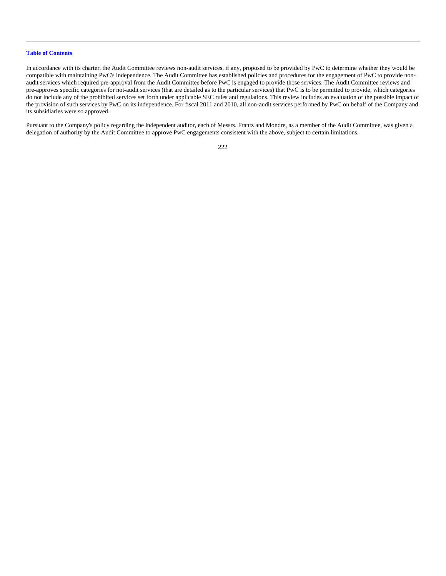In accordance with its charter, the Audit Committee reviews non-audit services, if any, proposed to be provided by PwC to determine whether they would be compatible with maintaining PwC's independence. The Audit Committee has established policies and procedures for the engagement of PwC to provide nonaudit services which required pre-approval from the Audit Committee before PwC is engaged to provide those services. The Audit Committee reviews and pre-approves specific categories for not-audit services (that are detailed as to the particular services) that PwC is to be permitted to provide, which categories do not include any of the prohibited services set forth under applicable SEC rules and regulations. This review includes an evaluation of the possible impact of the provision of such services by PwC on its independence. For fiscal 2011 and 2010, all non-audit services performed by PwC on behalf of the Company and its subsidiaries were so approved.

Pursuant to the Company's policy regarding the independent auditor, each of Messrs. Frantz and Mondre, as a member of the Audit Committee, was given a delegation of authority by the Audit Committee to approve PwC engagements consistent with the above, subject to certain limitations.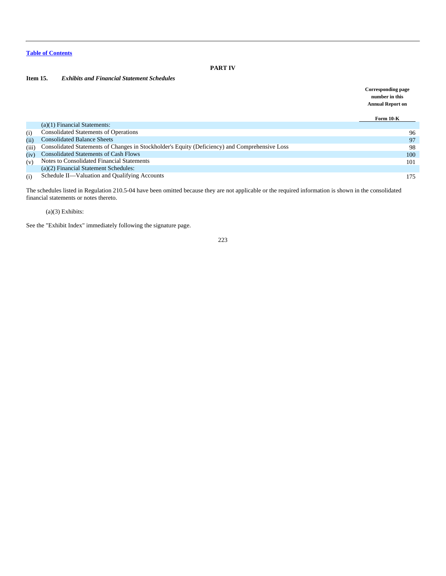## **PART IV**

## **Item 15.** *Exhibits and Financial Statement Schedules*

|       |                                                                                                | Corresponding page<br>number in this<br><b>Annual Report on</b> |
|-------|------------------------------------------------------------------------------------------------|-----------------------------------------------------------------|
|       |                                                                                                | Form $10-K$                                                     |
|       | $(a)(1)$ Financial Statements:                                                                 |                                                                 |
| (i)   | <b>Consolidated Statements of Operations</b>                                                   | 96                                                              |
| (ii)  | <b>Consolidated Balance Sheets</b>                                                             | 97                                                              |
| (iii) | Consolidated Statements of Changes in Stockholder's Equity (Deficiency) and Comprehensive Loss | 98                                                              |
| (iv)  | <b>Consolidated Statements of Cash Flows</b>                                                   | 100                                                             |
| (v)   | Notes to Consolidated Financial Statements                                                     | 101                                                             |
|       | $(a)(2)$ Financial Statement Schedules:                                                        |                                                                 |

(i) Schedule II—Valuation and Qualifying Accounts 175

The schedules listed in Regulation 210.5-04 have been omitted because they are not applicable or the required information is shown in the consolidated financial statements or notes thereto.

# (a)(3) Exhibits:

See the "Exhibit Index" immediately following the signature page.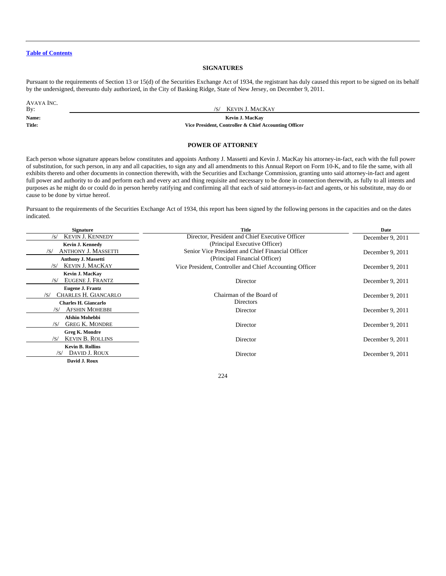## **SIGNATURES**

Pursuant to the requirements of Section 13 or 15(d) of the Securities Exchange Act of 1934, the registrant has duly caused this report to be signed on its behalf by the undersigned, thereunto duly authorized, in the City of Basking Ridge, State of New Jersey, on December 9, 2011.

| Name:      | Kevin J. MacKav        |
|------------|------------------------|
| Bv:        | KEVIN J. MACKAY<br>/S/ |
| AVAYA INC. |                        |

**Title: Vice President, Controller & Chief Accounting Officer**

# **POWER OF ATTORNEY**

Each person whose signature appears below constitutes and appoints Anthony J. Massetti and Kevin J. MacKay his attorney-in-fact, each with the full power of substitution, for such person, in any and all capacities, to sign any and all amendments to this Annual Report on Form 10-K, and to file the same, with all exhibits thereto and other documents in connection therewith, with the Securities and Exchange Commission, granting unto said attorney-in-fact and agent full power and authority to do and perform each and every act and thing requisite and necessary to be done in connection therewith, as fully to all intents and purposes as he might do or could do in person hereby ratifying and confirming all that each of said attorneys-in-fact and agents, or his substitute, may do or cause to be done by virtue hereof.

Pursuant to the requirements of the Securities Exchange Act of 1934, this report has been signed by the following persons in the capacities and on the dates indicated.

| <b>Signature</b>                  | Title                                                   | Date             |
|-----------------------------------|---------------------------------------------------------|------------------|
| <b>KEVIN J. KENNEDY</b><br>/s/    | Director, President and Chief Executive Officer         | December 9, 2011 |
| Kevin J. Kennedy                  | (Principal Executive Officer)                           |                  |
| <b>ANTHONY J. MASSETTI</b><br>/S/ | Senior Vice President and Chief Financial Officer       | December 9, 2011 |
| <b>Anthony J. Massetti</b>        | (Principal Financial Officer)                           |                  |
| KEVIN J. MACKAY<br>/S/            | Vice President, Controller and Chief Accounting Officer | December 9, 2011 |
| Kevin J. MacKay                   |                                                         |                  |
| EUGENE J. FRANTZ<br>/S/           | Director                                                | December 9, 2011 |
| <b>Eugene J. Frantz</b>           |                                                         |                  |
| CHARLES H. GIANCARLO<br>/S/       | Chairman of the Board of                                | December 9, 2011 |
| <b>Charles H. Giancarlo</b>       | Directors                                               |                  |
| <b>AFSHIN MOHEBBI</b><br>/S/      | Director                                                | December 9, 2011 |
| <b>Afshin Mohebbi</b>             |                                                         |                  |
| <b>GREG K. MONDRE</b><br>/S/      | Director                                                | December 9, 2011 |
| <b>Greg K. Mondre</b>             |                                                         |                  |
| <b>KEVIN B. ROLLINS</b><br>/S/    | Director                                                | December 9, 2011 |
| <b>Kevin B. Rollins</b>           |                                                         |                  |
| DAVID J. ROUX<br>/S/              | Director                                                | December 9, 2011 |
| David J. Roux                     |                                                         |                  |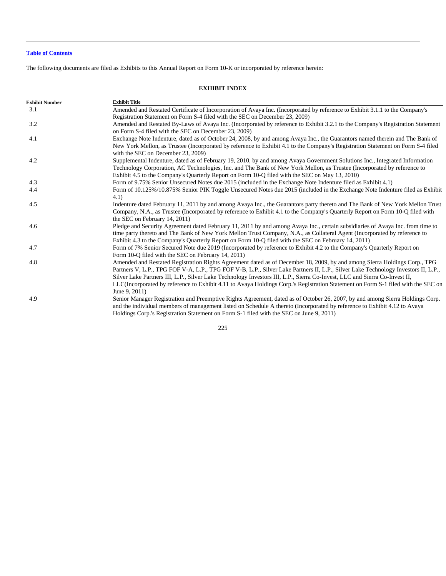The following documents are filed as Exhibits to this Annual Report on Form 10-K or incorporated by reference herein:

# **EXHIBIT INDEX**

| <b>Exhibit Number</b> | <b>Exhibit Title</b>                                                                                                                                                                                                                                                                                                                                                                                                                                                                                                                              |
|-----------------------|---------------------------------------------------------------------------------------------------------------------------------------------------------------------------------------------------------------------------------------------------------------------------------------------------------------------------------------------------------------------------------------------------------------------------------------------------------------------------------------------------------------------------------------------------|
| 3.1                   | Amended and Restated Certificate of Incorporation of Avaya Inc. (Incorporated by reference to Exhibit 3.1.1 to the Company's<br>Registration Statement on Form S-4 filed with the SEC on December 23, 2009)                                                                                                                                                                                                                                                                                                                                       |
| 3.2                   | Amended and Restated By-Laws of Avaya Inc. (Incorporated by reference to Exhibit 3.2.1 to the Company's Registration Statement<br>on Form S-4 filed with the SEC on December 23, 2009)                                                                                                                                                                                                                                                                                                                                                            |
| 4.1                   | Exchange Note Indenture, dated as of October 24, 2008, by and among Avaya Inc., the Guarantors named therein and The Bank of<br>New York Mellon, as Trustee (Incorporated by reference to Exhibit 4.1 to the Company's Registration Statement on Form S-4 filed<br>with the SEC on December 23, 2009)                                                                                                                                                                                                                                             |
| 4.2                   | Supplemental Indenture, dated as of February 19, 2010, by and among Avaya Government Solutions Inc., Integrated Information<br>Technology Corporation, AC Technologies, Inc. and The Bank of New York Mellon, as Trustee (Incorporated by reference to<br>Exhibit 4.5 to the Company's Quarterly Report on Form 10-Q filed with the SEC on May 13, 2010)                                                                                                                                                                                          |
| 4.3                   | Form of 9.75% Senior Unsecured Notes due 2015 (included in the Exchange Note Indenture filed as Exhibit 4.1)                                                                                                                                                                                                                                                                                                                                                                                                                                      |
| 4.4                   | Form of 10.125%/10.875% Senior PIK Toggle Unsecured Notes due 2015 (included in the Exchange Note Indenture filed as Exhibit<br>4.1)                                                                                                                                                                                                                                                                                                                                                                                                              |
| 4.5                   | Indenture dated February 11, 2011 by and among Avaya Inc., the Guarantors party thereto and The Bank of New York Mellon Trust<br>Company, N.A., as Trustee (Incorporated by reference to Exhibit 4.1 to the Company's Quarterly Report on Form 10-Q filed with<br>the SEC on February 14, 2011)                                                                                                                                                                                                                                                   |
| 4.6                   | Pledge and Security Agreement dated February 11, 2011 by and among Avaya Inc., certain subsidiaries of Avaya Inc. from time to<br>time party thereto and The Bank of New York Mellon Trust Company, N.A., as Collateral Agent (Incorporated by reference to<br>Exhibit 4.3 to the Company's Quarterly Report on Form 10-Q filed with the SEC on February 14, 2011)                                                                                                                                                                                |
| 4.7                   | Form of 7% Senior Secured Note due 2019 (Incorporated by reference to Exhibit 4.2 to the Company's Quarterly Report on<br>Form 10-O filed with the SEC on February 14, 2011)                                                                                                                                                                                                                                                                                                                                                                      |
| 4.8                   | Amended and Restated Registration Rights Agreement dated as of December 18, 2009, by and among Sierra Holdings Corp., TPG<br>Partners V, L.P., TPG FOF V-A, L.P., TPG FOF V-B, L.P., Silver Lake Partners II, L.P., Silver Lake Technology Investors II, L.P.,<br>Silver Lake Partners III, L.P., Silver Lake Technology Investors III, L.P., Sierra Co-Invest, LLC and Sierra Co-Invest II,<br>LLC(Incorporated by reference to Exhibit 4.11 to Avaya Holdings Corp.'s Registration Statement on Form S-1 filed with the SEC on<br>June 9, 2011) |
| 4.9                   | Senior Manager Registration and Preemptive Rights Agreement, dated as of October 26, 2007, by and among Sierra Holdings Corp.<br>and the individual members of management listed on Schedule A thereto (Incorporated by reference to Exhibit 4.12 to Avaya<br>Holdings Corp.'s Registration Statement on Form S-1 filed with the SEC on June 9, 2011)                                                                                                                                                                                             |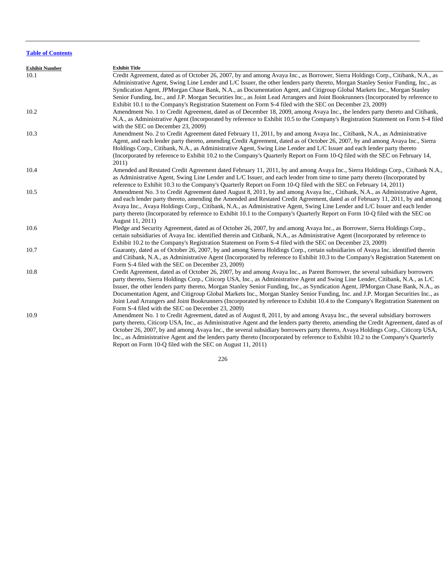| <b>Exhibit Number</b> | <b>Exhibit Title</b>                                                                                                                                                                                                                                                                                                                                                                                                                                                                                                                                                                                                                                                                                                              |
|-----------------------|-----------------------------------------------------------------------------------------------------------------------------------------------------------------------------------------------------------------------------------------------------------------------------------------------------------------------------------------------------------------------------------------------------------------------------------------------------------------------------------------------------------------------------------------------------------------------------------------------------------------------------------------------------------------------------------------------------------------------------------|
| 10.1                  | Credit Agreement, dated as of October 26, 2007, by and among Avaya Inc., as Borrower, Sierra Holdings Corp., Citibank, N.A., as<br>Administrative Agent, Swing Line Lender and L/C Issuer, the other lenders party thereto, Morgan Stanley Senior Funding, Inc., as<br>Syndication Agent, JPMorgan Chase Bank, N.A., as Documentation Agent, and Citigroup Global Markets Inc., Morgan Stanley<br>Senior Funding, Inc., and J.P. Morgan Securities Inc., as Joint Lead Arrangers and Joint Bookrunners (Incorporated by reference to<br>Exhibit 10.1 to the Company's Registration Statement on Form S-4 filed with the SEC on December 23, 2009)                                                                                 |
| 10.2                  | Amendment No. 1 to Credit Agreement, dated as of December 18, 2009, among Avaya Inc., the lenders party thereto and Citibank,<br>N.A., as Administrative Agent (Incorporated by reference to Exhibit 10.5 to the Company's Registration Statement on Form S-4 filed<br>with the SEC on December 23, 2009)                                                                                                                                                                                                                                                                                                                                                                                                                         |
| 10.3                  | Amendment No. 2 to Credit Agreement dated February 11, 2011, by and among Avaya Inc., Citibank, N.A., as Administrative<br>Agent, and each lender party thereto, amending Credit Agreement, dated as of October 26, 2007, by and among Avaya Inc., Sierra<br>Holdings Corp., Citibank, N.A., as Administrative Agent, Swing Line Lender and L/C Issuer and each lender party thereto<br>(Incorporated by reference to Exhibit 10.2 to the Company's Quarterly Report on Form 10-Q filed with the SEC on February 14,<br>2011)                                                                                                                                                                                                     |
| 10.4                  | Amended and Restated Credit Agreement dated February 11, 2011, by and among Avaya Inc., Sierra Holdings Corp., Citibank N.A.,<br>as Administrative Agent, Swing Line Lender and L/C Issuer, and each lender from time to time party thereto (Incorporated by<br>reference to Exhibit 10.3 to the Company's Quarterly Report on Form 10-Q filed with the SEC on February 14, 2011)                                                                                                                                                                                                                                                                                                                                                 |
| 10.5                  | Amendment No. 3 to Credit Agreement dated August 8, 2011, by and among Avaya Inc., Citibank, N.A., as Administrative Agent,<br>and each lender party thereto, amending the Amended and Restated Credit Agreement, dated as of February 11, 2011, by and among<br>Avaya Inc., Avaya Holdings Corp., Citibank, N.A., as Administrative Agent, Swing Line Lender and L/C Issuer and each lender<br>party thereto (Incorporated by reference to Exhibit 10.1 to the Company's Quarterly Report on Form 10-Q filed with the SEC on<br>August 11, 2011)                                                                                                                                                                                 |
| 10.6                  | Pledge and Security Agreement, dated as of October 26, 2007, by and among Avaya Inc., as Borrower, Sierra Holdings Corp.,<br>certain subsidiaries of Avaya Inc. identified therein and Citibank, N.A., as Administrative Agent (Incorporated by reference to<br>Exhibit 10.2 to the Company's Registration Statement on Form S-4 filed with the SEC on December 23, 2009)                                                                                                                                                                                                                                                                                                                                                         |
| 10.7                  | Guaranty, dated as of October 26, 2007, by and among Sierra Holdings Corp., certain subsidiaries of Avaya Inc. identified therein<br>and Citibank, N.A., as Administrative Agent (Incorporated by reference to Exhibit 10.3 to the Company's Registration Statement on<br>Form S-4 filed with the SEC on December 23, 2009)                                                                                                                                                                                                                                                                                                                                                                                                       |
| 10.8                  | Credit Agreement, dated as of October 26, 2007, by and among Avaya Inc., as Parent Borrower, the several subsidiary borrowers<br>party thereto, Sierra Holdings Corp., Citicorp USA, Inc., as Administrative Agent and Swing Line Lender, Citibank, N.A., as L/C<br>Issuer, the other lenders party thereto, Morgan Stanley Senior Funding, Inc., as Syndication Agent, JPMorgan Chase Bank, N.A., as<br>Documentation Agent, and Citigroup Global Markets Inc., Morgan Stanley Senior Funding, Inc. and J.P. Morgan Securities Inc., as<br>Joint Lead Arrangers and Joint Bookrunners (Incorporated by reference to Exhibit 10.4 to the Company's Registration Statement on<br>Form S-4 filed with the SEC on December 23, 2009) |
| 10.9                  | Amendment No. 1 to Credit Agreement, dated as of August 8, 2011, by and among Avaya Inc., the several subsidiary borrowers<br>party thereto, Citicorp USA, Inc., as Administrative Agent and the lenders party thereto, amending the Credit Agreement, dated as of<br>October 26, 2007, by and among Avaya Inc., the several subsidiary borrowers party thereto, Avaya Holdings Corp., Citicorp USA,<br>Inc., as Administrative Agent and the lenders party thereto (Incorporated by reference to Exhibit 10.2 to the Company's Quarterly<br>Report on Form 10-Q filed with the SEC on August 11, 2011)                                                                                                                           |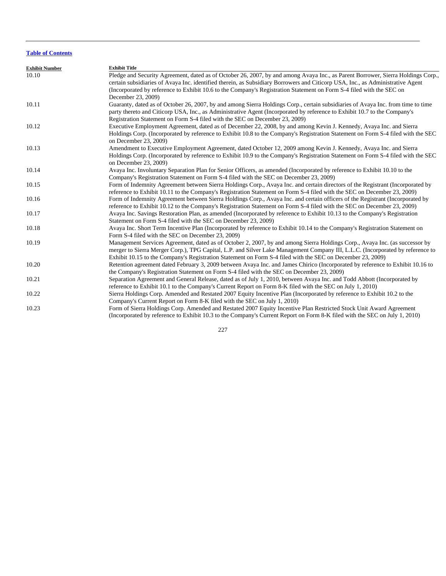| <b>Exhibit Number</b> | <b>Exhibit Title</b>                                                                                                                                                                                                                                                                                                                                                                       |
|-----------------------|--------------------------------------------------------------------------------------------------------------------------------------------------------------------------------------------------------------------------------------------------------------------------------------------------------------------------------------------------------------------------------------------|
| 10.10                 | Pledge and Security Agreement, dated as of October 26, 2007, by and among Avaya Inc., as Parent Borrower, Sierra Holdings Corp.,<br>certain subsidiaries of Avaya Inc. identified therein, as Subsidiary Borrowers and Citicorp USA, Inc., as Administrative Agent<br>(Incorporated by reference to Exhibit 10.6 to the Company's Registration Statement on Form S-4 filed with the SEC on |
|                       | December 23, 2009)                                                                                                                                                                                                                                                                                                                                                                         |
| 10.11                 | Guaranty, dated as of October 26, 2007, by and among Sierra Holdings Corp., certain subsidiaries of Avaya Inc. from time to time<br>party thereto and Citicorp USA, Inc., as Administrative Agent (Incorporated by reference to Exhibit 10.7 to the Company's<br>Registration Statement on Form S-4 filed with the SEC on December 23, 2009)                                               |
| 10.12                 | Executive Employment Agreement, dated as of December 22, 2008, by and among Kevin J. Kennedy, Avaya Inc. and Sierra                                                                                                                                                                                                                                                                        |
|                       | Holdings Corp. (Incorporated by reference to Exhibit 10.8 to the Company's Registration Statement on Form S-4 filed with the SEC<br>on December 23, 2009)                                                                                                                                                                                                                                  |
| 10.13                 | Amendment to Executive Employment Agreement, dated October 12, 2009 among Kevin J. Kennedy, Avaya Inc. and Sierra<br>Holdings Corp. (Incorporated by reference to Exhibit 10.9 to the Company's Registration Statement on Form S-4 filed with the SEC<br>on December 23, 2009)                                                                                                             |
| 10.14                 | Avaya Inc. Involuntary Separation Plan for Senior Officers, as amended (Incorporated by reference to Exhibit 10.10 to the<br>Company's Registration Statement on Form S-4 filed with the SEC on December 23, 2009)                                                                                                                                                                         |
| 10.15                 | Form of Indemnity Agreement between Sierra Holdings Corp., Avaya Inc. and certain directors of the Registrant (Incorporated by<br>reference to Exhibit 10.11 to the Company's Registration Statement on Form S-4 filed with the SEC on December 23, 2009)                                                                                                                                  |
| 10.16                 | Form of Indemnity Agreement between Sierra Holdings Corp., Avaya Inc. and certain officers of the Registrant (Incorporated by<br>reference to Exhibit 10.12 to the Company's Registration Statement on Form S-4 filed with the SEC on December 23, 2009)                                                                                                                                   |
| 10.17                 | Avaya Inc. Savings Restoration Plan, as amended (Incorporated by reference to Exhibit 10.13 to the Company's Registration<br>Statement on Form S-4 filed with the SEC on December 23, 2009)                                                                                                                                                                                                |
| 10.18                 | Avaya Inc. Short Term Incentive Plan (Incorporated by reference to Exhibit 10.14 to the Company's Registration Statement on<br>Form S-4 filed with the SEC on December 23, 2009)                                                                                                                                                                                                           |
| 10.19                 | Management Services Agreement, dated as of October 2, 2007, by and among Sierra Holdings Corp., Avaya Inc. (as successor by<br>merger to Sierra Merger Corp.), TPG Capital, L.P. and Silver Lake Management Company III, L.L.C. (Incorporated by reference to<br>Exhibit 10.15 to the Company's Registration Statement on Form S-4 filed with the SEC on December 23, 2009)                |
| 10.20                 | Retention agreement dated February 3, 2009 between Avaya Inc. and James Chirico (Incorporated by reference to Exhibit 10.16 to<br>the Company's Registration Statement on Form S-4 filed with the SEC on December 23, 2009)                                                                                                                                                                |
| 10.21                 | Separation Agreement and General Release, dated as of July 1, 2010, between Avaya Inc. and Todd Abbott (Incorporated by<br>reference to Exhibit 10.1 to the Company's Current Report on Form 8-K filed with the SEC on July 1, 2010)                                                                                                                                                       |
| 10.22                 | Sierra Holdings Corp. Amended and Restated 2007 Equity Incentive Plan (Incorporated by reference to Exhibit 10.2 to the<br>Company's Current Report on Form 8-K filed with the SEC on July 1, 2010)                                                                                                                                                                                        |
| 10.23                 | Form of Sierra Holdings Corp. Amended and Restated 2007 Equity Incentive Plan Restricted Stock Unit Award Agreement<br>(Incorporated by reference to Exhibit 10.3 to the Company's Current Report on Form 8-K filed with the SEC on July 1, 2010)                                                                                                                                          |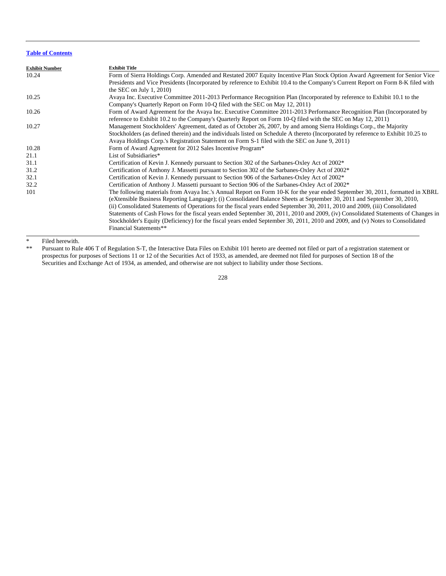| <b>Exhibit Number</b> | <b>Exhibit Title</b>                                                                                                              |
|-----------------------|-----------------------------------------------------------------------------------------------------------------------------------|
| 10.24                 | Form of Sierra Holdings Corp. Amended and Restated 2007 Equity Incentive Plan Stock Option Award Agreement for Senior Vice        |
|                       | Presidents and Vice Presidents (Incorporated by reference to Exhibit 10.4 to the Company's Current Report on Form 8-K filed with  |
|                       | the SEC on July 1, 2010)                                                                                                          |
| 10.25                 | Avaya Inc. Executive Committee 2011-2013 Performance Recognition Plan (Incorporated by reference to Exhibit 10.1 to the           |
|                       | Company's Quarterly Report on Form 10-Q filed with the SEC on May 12, 2011)                                                       |
| 10.26                 | Form of Award Agreement for the Avaya Inc. Executive Committee 2011-2013 Performance Recognition Plan (Incorporated by            |
|                       | reference to Exhibit 10.2 to the Company's Quarterly Report on Form 10-Q filed with the SEC on May 12, 2011)                      |
| 10.27                 | Management Stockholders' Agreement, dated as of October 26, 2007, by and among Sierra Holdings Corp., the Majority                |
|                       | Stockholders (as defined therein) and the individuals listed on Schedule A thereto (Incorporated by reference to Exhibit 10.25 to |
|                       | Avaya Holdings Corp.'s Registration Statement on Form S-1 filed with the SEC on June 9, 2011)                                     |
| 10.28                 | Form of Award Agreement for 2012 Sales Incentive Program*                                                                         |
| 21.1                  | List of Subsidiaries*                                                                                                             |
| 31.1                  | Certification of Kevin J. Kennedy pursuant to Section 302 of the Sarbanes-Oxley Act of 2002*                                      |
| 31.2                  | Certification of Anthony J. Massetti pursuant to Section 302 of the Sarbanes-Oxley Act of 2002*                                   |
| 32.1                  | Certification of Kevin J. Kennedy pursuant to Section 906 of the Sarbanes-Oxley Act of 2002*                                      |
| 32.2                  | Certification of Anthony J. Massetti pursuant to Section 906 of the Sarbanes-Oxley Act of 2002*                                   |
| 101                   | The following materials from Avaya Inc.'s Annual Report on Form 10-K for the year ended September 30, 2011, formatted in XBRL     |
|                       | (eXtensible Business Reporting Language); (i) Consolidated Balance Sheets at September 30, 2011 and September 30, 2010,           |
|                       | (ii) Consolidated Statements of Operations for the fiscal years ended September 30, 2011, 2010 and 2009, (iii) Consolidated       |
|                       | Statements of Cash Flows for the fiscal years ended September 30, 2011, 2010 and 2009, (iv) Consolidated Statements of Changes in |
|                       | Stockholder's Equity (Deficiency) for the fiscal years ended September 30, 2011, 2010 and 2009, and (v) Notes to Consolidated     |
|                       | Financial Statements**                                                                                                            |

\* Filed herewith.<br>\*\* Pursuant to Rul

Pursuant to Rule 406 T of Regulation S-T, the Interactive Data Files on Exhibit 101 hereto are deemed not filed or part of a registration statement or prospectus for purposes of Sections 11 or 12 of the Securities Act of 1933, as amended, are deemed not filed for purposes of Section 18 of the Securities and Exchange Act of 1934, as amended, and otherwise are not subject to liability under those Sections.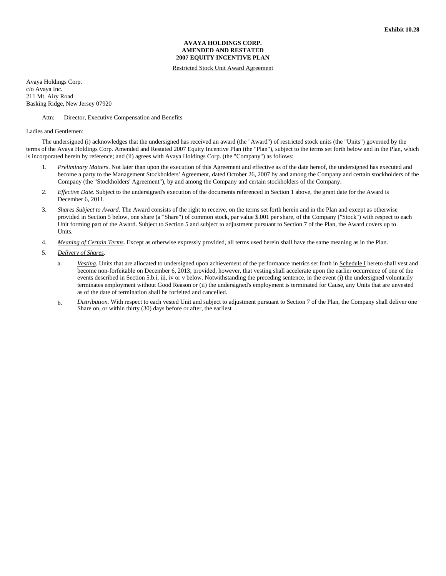## **AVAYA HOLDINGS CORP. AMENDED AND RESTATED 2007 EQUITY INCENTIVE PLAN**

Restricted Stock Unit Award Agreement

Avaya Holdings Corp. c/o Avaya Inc. 211 Mt. Airy Road Basking Ridge, New Jersey 07920

Attn: Director, Executive Compensation and Benefits

Ladies and Gentlemen:

The undersigned (i) acknowledges that the undersigned has received an award (the "Award") of restricted stock units (the "Units") governed by the terms of the Avaya Holdings Corp. Amended and Restated 2007 Equity Incentive Plan (the "Plan"), subject to the terms set forth below and in the Plan, which is incorporated herein by reference; and (ii) agrees with Avaya Holdings Corp. (the "Company") as follows:

- 1. *Preliminary Matters*. Not later than upon the execution of this Agreement and effective as of the date hereof, the undersigned has executed and become a party to the Management Stockholders' Agreement, dated October 26, 2007 by and among the Company and certain stockholders of the Company (the "Stockholders' Agreement"), by and among the Company and certain stockholders of the Company.
- 2. *Effective Date*. Subject to the undersigned's execution of the documents referenced in Section 1 above, the grant date for the Award is December 6, 2011.
- 3. *Shares Subject to Award*. The Award consists of the right to receive, on the terms set forth herein and in the Plan and except as otherwise provided in Section 5 below, one share (a "Share") of common stock, par value \$.001 per share, of the Company ("Stock") with respect to each Unit forming part of the Award. Subject to Section 5 and subject to adjustment pursuant to Section 7 of the Plan, the Award covers up to Units.
- 4. *Meaning of Certain Terms*. Except as otherwise expressly provided, all terms used herein shall have the same meaning as in the Plan.
- 5. *Delivery of Shares*.
	- a. *Vesting*. Units that are allocated to undersigned upon achievement of the performance metrics set forth in Schedule I hereto shall vest and become non-forfeitable on December 6, 2013; provided, however, that vesting shall accelerate upon the earlier occurrence of one of the events described in Section 5.b.i, iii, iv or v below. Notwithstanding the preceding sentence, in the event (i) the undersigned voluntarily terminates employment without Good Reason or (ii) the undersigned's employment is terminated for Cause, any Units that are unvested as of the date of termination shall be forfeited and cancelled.
	- b. *Distribution.* With respect to each vested Unit and subject to adjustment pursuant to Section 7 of the Plan, the Company shall deliver one Share on, or within thirty (30) days before or after, the earliest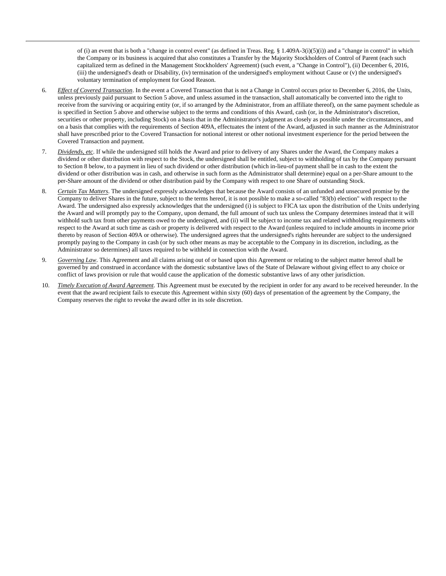of (i) an event that is both a "change in control event" (as defined in Treas. Reg. § 1.409A-3(i)(5)(i)) and a "change in control" in which the Company or its business is acquired that also constitutes a Transfer by the Majority Stockholders of Control of Parent (each such capitalized term as defined in the Management Stockholders' Agreement) (such event, a "Change in Control"), (ii) December 6, 2016, (iii) the undersigned's death or Disability, (iv) termination of the undersigned's employment without Cause or (v) the undersigned's voluntary termination of employment for Good Reason.

- 6. *Effect of Covered Transaction*. In the event a Covered Transaction that is not a Change in Control occurs prior to December 6, 2016, the Units, unless previously paid pursuant to Section 5 above, and unless assumed in the transaction, shall automatically be converted into the right to receive from the surviving or acquiring entity (or, if so arranged by the Administrator, from an affiliate thereof), on the same payment schedule as is specified in Section 5 above and otherwise subject to the terms and conditions of this Award, cash (or, in the Administrator's discretion, securities or other property, including Stock) on a basis that in the Administrator's judgment as closely as possible under the circumstances, and on a basis that complies with the requirements of Section 409A, effectuates the intent of the Award, adjusted in such manner as the Administrator shall have prescribed prior to the Covered Transaction for notional interest or other notional investment experience for the period between the Covered Transaction and payment.
- 7. *Dividends, etc*. If while the undersigned still holds the Award and prior to delivery of any Shares under the Award, the Company makes a dividend or other distribution with respect to the Stock, the undersigned shall be entitled, subject to withholding of tax by the Company pursuant to Section 8 below, to a payment in lieu of such dividend or other distribution (which in-lieu-of payment shall be in cash to the extent the dividend or other distribution was in cash, and otherwise in such form as the Administrator shall determine) equal on a per-Share amount to the per-Share amount of the dividend or other distribution paid by the Company with respect to one Share of outstanding Stock.
- 8. *Certain Tax Matters*. The undersigned expressly acknowledges that because the Award consists of an unfunded and unsecured promise by the Company to deliver Shares in the future, subject to the terms hereof, it is not possible to make a so-called "83(b) election" with respect to the Award. The undersigned also expressly acknowledges that the undersigned (i) is subject to FICA tax upon the distribution of the Units underlying the Award and will promptly pay to the Company, upon demand, the full amount of such tax unless the Company determines instead that it will withhold such tax from other payments owed to the undersigned, and (ii) will be subject to income tax and related withholding requirements with respect to the Award at such time as cash or property is delivered with respect to the Award (unless required to include amounts in income prior thereto by reason of Section 409A or otherwise). The undersigned agrees that the undersigned's rights hereunder are subject to the undersigned promptly paying to the Company in cash (or by such other means as may be acceptable to the Company in its discretion, including, as the Administrator so determines) all taxes required to be withheld in connection with the Award.
- 9. *Governing Law*. This Agreement and all claims arising out of or based upon this Agreement or relating to the subject matter hereof shall be governed by and construed in accordance with the domestic substantive laws of the State of Delaware without giving effect to any choice or conflict of laws provision or rule that would cause the application of the domestic substantive laws of any other jurisdiction.
- 10. *Timely Execution of Award Agreement*. This Agreement must be executed by the recipient in order for any award to be received hereunder. In the event that the award recipient fails to execute this Agreement within sixty (60) days of presentation of the agreement by the Company, the Company reserves the right to revoke the award offer in its sole discretion.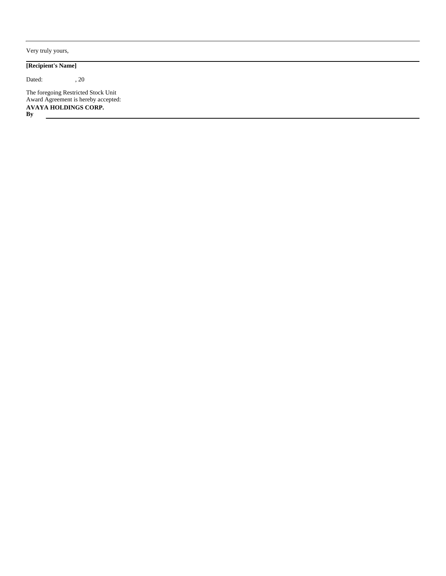Very truly yours,

# **[Recipient's Name]**

Dated:  $, 20$ 

The foregoing Restricted Stock Unit Award Agreement is hereby accepted: **AVAYA HOLDINGS CORP.**

**By**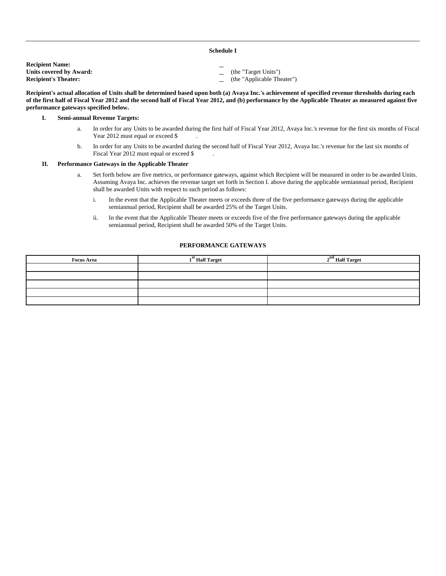## **Schedule I**

**Recipient Name:** Units covered by Award: (the "Target Units")

**Recipient's Theater:** (the "Applicable Theater")  $\qquad \qquad$  (the "Applicable Theater")

**Recipient's actual allocation of Units shall be determined based upon both (a) Avaya Inc.'s achievement of specified revenue thresholds during each of the first half of Fiscal Year 2012 and the second half of Fiscal Year 2012, and (b) performance by the Applicable Theater as measured against five performance gateways specified below.**

## **I. Semi-annual Revenue Targets:**

- a. In order for any Units to be awarded during the first half of Fiscal Year 2012, Avaya Inc.'s revenue for the first six months of Fiscal Year 2012 must equal or exceed \$
- b. In order for any Units to be awarded during the second half of Fiscal Year 2012, Avaya Inc.'s revenue for the last six months of Fiscal Year 2012 must equal or exceed \$

## **II. Performance Gateways in the Applicable Theater**

- a. Set forth below are five metrics, or performance gateways, against which Recipient will be measured in order to be awarded Units. Assuming Avaya Inc. achieves the revenue target set forth in Section I. above during the applicable semiannual period, Recipient shall be awarded Units with respect to such period as follows:
	- i. In the event that the Applicable Theater meets or exceeds three of the five performance gateways during the applicable semiannual period, Recipient shall be awarded 25% of the Target Units.
	- ii. In the event that the Applicable Theater meets or exceeds five of the five performance gateways during the applicable semiannual period, Recipient shall be awarded 50% of the Target Units.

## **PERFORMANCE GATEWAYS**

| <b>Focus Area</b> | 1 <sup>3</sup> Half Target | $2nd$ Half Target |
|-------------------|----------------------------|-------------------|
|                   |                            |                   |
|                   |                            |                   |
|                   |                            |                   |
|                   |                            |                   |
|                   |                            |                   |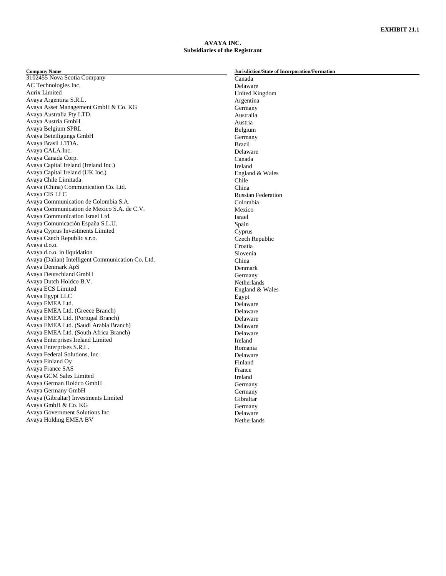## **AVAYA INC. Subsidiaries of the Registrant**

| <b>Company Name</b>                               | <b>Jurisdiction/State of Incorporation/Formation</b> |
|---------------------------------------------------|------------------------------------------------------|
| 3102455 Nova Scotia Company                       | Canada                                               |
| AC Technologies Inc.                              | Delaware                                             |
| Aurix Limited                                     | United Kingdom                                       |
| Avaya Argentina S.R.L.                            | Argentina                                            |
| Avaya Asset Management GmbH & Co. KG              | Germany                                              |
| Avaya Australia Pty LTD.                          | Australia                                            |
| Avaya Austria GmbH                                | Austria                                              |
| Avaya Belgium SPRL                                | Belgium                                              |
| Avaya Beteiligungs GmbH                           | Germany                                              |
| Avaya Brasil LTDA.                                | <b>Brazil</b>                                        |
| Avaya CALA Inc.                                   | Delaware                                             |
| Avaya Canada Corp.                                | Canada                                               |
| Avaya Capital Ireland (Ireland Inc.)              | Ireland                                              |
| Avaya Capital Ireland (UK Inc.)                   | England & Wales                                      |
| Avaya Chile Limitada                              | Chile                                                |
| Avaya (China) Communication Co. Ltd.              | China                                                |
| Avaya CIS LLC                                     | <b>Russian Federation</b>                            |
| Avaya Communication de Colombia S.A.              | Colombia                                             |
| Avaya Communication de Mexico S.A. de C.V.        | Mexico                                               |
| Avaya Communication Israel Ltd.                   | Israel                                               |
| Avaya Comunicación España S.L.U.                  | Spain                                                |
| Avaya Cyprus Investments Limited                  | Cyprus                                               |
| Avaya Czech Republic s.r.o.                       | Czech Republic                                       |
| Avaya d.o.o.                                      | Croatia                                              |
| Avaya d.o.o. in liquidation                       | Slovenia                                             |
| Avaya (Dalian) Intelligent Communication Co. Ltd. | China                                                |
| Avaya Denmark ApS                                 | Denmark                                              |
| Avaya Deutschland GmbH                            | Germany                                              |
| Avaya Dutch Holdco B.V.                           | Netherlands                                          |
| Avaya ECS Limited                                 | England & Wales                                      |
| Avaya Egypt LLC                                   | Egypt                                                |
| Avaya EMEA Ltd.                                   | Delaware                                             |
| Avaya EMEA Ltd. (Greece Branch)                   | Delaware                                             |
| Avaya EMEA Ltd. (Portugal Branch)                 | Delaware                                             |
| Avaya EMEA Ltd. (Saudi Arabia Branch)             | Delaware                                             |
| Avaya EMEA Ltd. (South Africa Branch)             | Delaware                                             |
| Avaya Enterprises Ireland Limited                 | Ireland                                              |
| Avaya Enterprises S.R.L.                          | Romania                                              |
| Avaya Federal Solutions, Inc.                     | Delaware                                             |
| Avaya Finland Oy                                  | Finland                                              |
| Avaya France SAS                                  | France                                               |
| Avaya GCM Sales Limited                           | Ireland                                              |
| Avaya German Holdco GmbH                          | Germany                                              |
| Avaya Germany GmbH                                | Germany                                              |
| Avaya (Gibraltar) Investments Limited             | Gibraltar                                            |
| Avaya GmbH & Co. KG                               | Germany                                              |
| Avaya Government Solutions Inc.                   | Delaware                                             |
| Avaya Holding EMEA BV                             | Netherlands                                          |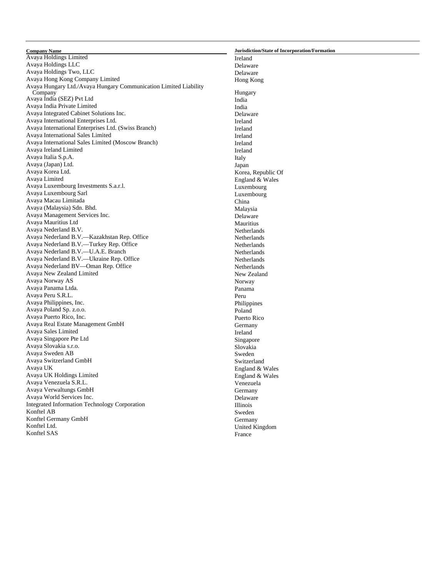| <b>Company Name</b>                                              | Jurisdiction/State of Incorporation/Formation |
|------------------------------------------------------------------|-----------------------------------------------|
| Avaya Holdings Limited                                           | Ireland                                       |
| Avaya Holdings LLC                                               | Delaware                                      |
| Avaya Holdings Two, LLC                                          | Delaware                                      |
| Avaya Hong Kong Company Limited                                  | Hong Kong                                     |
| Avaya Hungary Ltd./Avaya Hungary Communication Limited Liability |                                               |
| Company                                                          | Hungary                                       |
| Avaya India (SEZ) Pvt Ltd                                        | India                                         |
| Avaya India Private Limited                                      | India                                         |
| Avaya Integrated Cabinet Solutions Inc.                          | Delaware                                      |
| Avaya International Enterprises Ltd.                             | Ireland                                       |
| Avaya International Enterprises Ltd. (Swiss Branch)              | Ireland                                       |
| Avaya International Sales Limited                                | Ireland                                       |
| Avaya International Sales Limited (Moscow Branch)                | Ireland                                       |
| Avaya Ireland Limited                                            | Ireland                                       |
| Avaya Italia S.p.A.                                              | Italy                                         |
| Avaya (Japan) Ltd.                                               | Japan                                         |
| Avaya Korea Ltd.                                                 | Korea, Republic Of                            |
| Avaya Limited                                                    | England & Wales                               |
| Avaya Luxembourg Investments S.a.r.l.                            | Luxembourg                                    |
| Avaya Luxembourg Sarl                                            | Luxembourg                                    |
| Avaya Macau Limitada                                             | China                                         |
| Avaya (Malaysia) Sdn. Bhd.                                       | Malaysia                                      |
| Avaya Management Services Inc.                                   | Delaware                                      |
| Avaya Mauritius Ltd                                              | Mauritius                                     |
| Avaya Nederland B.V.                                             | Netherlands                                   |
| Avaya Nederland B.V.-Kazakhstan Rep. Office                      | Netherlands                                   |
| Avaya Nederland B.V.—Turkey Rep. Office                          | Netherlands                                   |
| Avaya Nederland B.V.-U.A.E. Branch                               | Netherlands                                   |
| Avaya Nederland B.V.-Ukraine Rep. Office                         | Netherlands                                   |
| Avaya Nederland BV-Oman Rep. Office                              | Netherlands                                   |
| Avaya New Zealand Limited                                        | New Zealand                                   |
| Avaya Norway AS                                                  | Norway                                        |
| Avaya Panama Ltda.                                               | Panama                                        |
| Avaya Peru S.R.L.                                                | Peru                                          |
| Avaya Philippines, Inc.                                          | Philippines                                   |
| Avaya Poland Sp. z.o.o.                                          | Poland                                        |
| Avaya Puerto Rico, Inc.                                          | Puerto Rico                                   |
| Avaya Real Estate Management GmbH                                | Germany                                       |
| Avaya Sales Limited                                              | Ireland                                       |
| Avaya Singapore Pte Ltd                                          | Singapore                                     |
| Avaya Slovakia s.r.o.                                            | Slovakia                                      |
| Avaya Sweden AB                                                  | Sweden                                        |
| Avaya Switzerland GmbH                                           | Switzerland                                   |
| Avaya UK                                                         | England & Wales                               |
| Avaya UK Holdings Limited                                        | England & Wales                               |
| Avaya Venezuela S.R.L.                                           | Venezuela                                     |
| Avaya Verwaltungs GmbH                                           | Germany                                       |
| Avaya World Services Inc.                                        | Delaware                                      |
| Integrated Information Technology Corporation                    | Illinois                                      |
| Konftel AB                                                       | Sweden                                        |
| Konftel Germany GmbH                                             | Germany                                       |
| Konftel Ltd.                                                     |                                               |
| Konftel SAS                                                      | United Kingdom<br>France                      |
|                                                                  |                                               |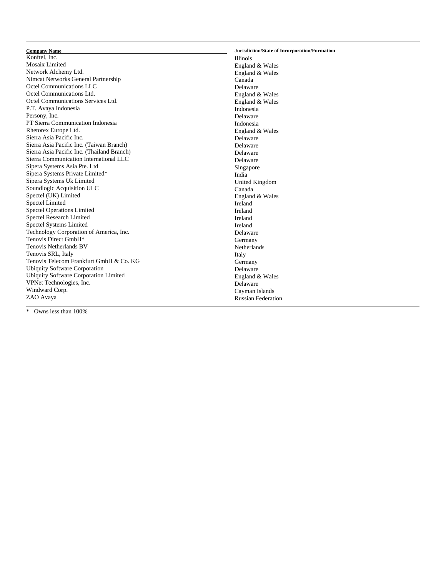| <b>Company Name</b>                          | Jurisdiction/State of Incorporation/Formation |
|----------------------------------------------|-----------------------------------------------|
| Konftel, Inc.                                | <b>Illinois</b>                               |
| Mosaix Limited                               | England & Wales                               |
| Network Alchemy Ltd.                         | England & Wales                               |
| Nimcat Networks General Partnership          | Canada                                        |
| Octel Communications LLC                     | Delaware                                      |
| Octel Communications Ltd.                    | England & Wales                               |
| Octel Communications Services Ltd.           | England & Wales                               |
| P.T. Avaya Indonesia                         | Indonesia                                     |
| Persony, Inc.                                | Delaware                                      |
| PT Sierra Communication Indonesia            | Indonesia                                     |
| Rhetorex Europe Ltd.                         | England & Wales                               |
| Sierra Asia Pacific Inc.                     | Delaware                                      |
| Sierra Asia Pacific Inc. (Taiwan Branch)     | Delaware                                      |
| Sierra Asia Pacific Inc. (Thailand Branch)   | Delaware                                      |
| Sierra Communication International LLC       | Delaware                                      |
| Sipera Systems Asia Pte. Ltd                 | Singapore                                     |
| Sipera Systems Private Limited*              | India                                         |
| Sipera Systems Uk Limited                    | United Kingdom                                |
| Soundlogic Acquisition ULC                   | Canada                                        |
| Spectel (UK) Limited                         | England & Wales                               |
| Spectel Limited                              | Ireland                                       |
| <b>Spectel Operations Limited</b>            | Ireland                                       |
| Spectel Research Limited                     | Ireland                                       |
| <b>Spectel Systems Limited</b>               | Ireland                                       |
| Technology Corporation of America, Inc.      | Delaware                                      |
| Tenovis Direct GmbH*                         | Germany                                       |
| Tenovis Netherlands BV                       | Netherlands                                   |
| Tenovis SRL, Italy                           | Italy                                         |
| Tenovis Telecom Frankfurt GmbH & Co. KG      | Germany                                       |
| <b>Ubiquity Software Corporation</b>         | Delaware                                      |
| <b>Ubiquity Software Corporation Limited</b> | England & Wales                               |
| VPNet Technologies, Inc.                     | Delaware                                      |
| Windward Corp.                               | Cayman Islands                                |
| ZAO Avaya                                    | <b>Russian Federation</b>                     |

\* Owns less than 100%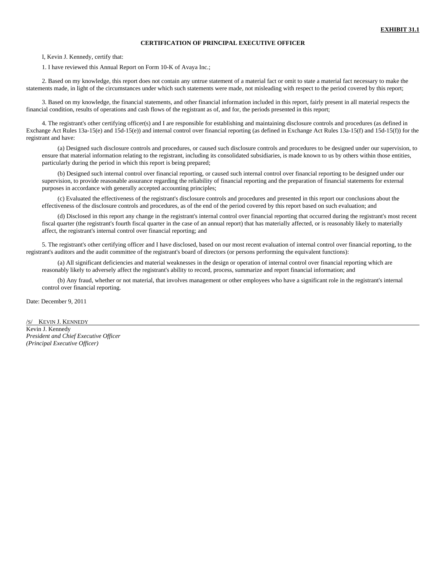## **CERTIFICATION OF PRINCIPAL EXECUTIVE OFFICER**

I, Kevin J. Kennedy, certify that:

1. I have reviewed this Annual Report on Form 10-K of Avaya Inc.;

2. Based on my knowledge, this report does not contain any untrue statement of a material fact or omit to state a material fact necessary to make the statements made, in light of the circumstances under which such statements were made, not misleading with respect to the period covered by this report;

3. Based on my knowledge, the financial statements, and other financial information included in this report, fairly present in all material respects the financial condition, results of operations and cash flows of the registrant as of, and for, the periods presented in this report;

4. The registrant's other certifying officer(s) and I are responsible for establishing and maintaining disclosure controls and procedures (as defined in Exchange Act Rules 13a-15(e) and 15d-15(e)) and internal control over financial reporting (as defined in Exchange Act Rules 13a-15(f) and 15d-15(f)) for the registrant and have:

(a) Designed such disclosure controls and procedures, or caused such disclosure controls and procedures to be designed under our supervision, to ensure that material information relating to the registrant, including its consolidated subsidiaries, is made known to us by others within those entities, particularly during the period in which this report is being prepared;

(b) Designed such internal control over financial reporting, or caused such internal control over financial reporting to be designed under our supervision, to provide reasonable assurance regarding the reliability of financial reporting and the preparation of financial statements for external purposes in accordance with generally accepted accounting principles;

(c) Evaluated the effectiveness of the registrant's disclosure controls and procedures and presented in this report our conclusions about the effectiveness of the disclosure controls and procedures, as of the end of the period covered by this report based on such evaluation; and

(d) Disclosed in this report any change in the registrant's internal control over financial reporting that occurred during the registrant's most recent fiscal quarter (the registrant's fourth fiscal quarter in the case of an annual report) that has materially affected, or is reasonably likely to materially affect, the registrant's internal control over financial reporting; and

5. The registrant's other certifying officer and I have disclosed, based on our most recent evaluation of internal control over financial reporting, to the registrant's auditors and the audit committee of the registrant's board of directors (or persons performing the equivalent functions):

(a) All significant deficiencies and material weaknesses in the design or operation of internal control over financial reporting which are reasonably likely to adversely affect the registrant's ability to record, process, summarize and report financial information; and

(b) Any fraud, whether or not material, that involves management or other employees who have a significant role in the registrant's internal control over financial reporting.

Date: December 9, 2011

/S/ KEVIN J. KENNEDY Kevin J. Kennedy *President and Chief Executive Officer (Principal Executive Officer)*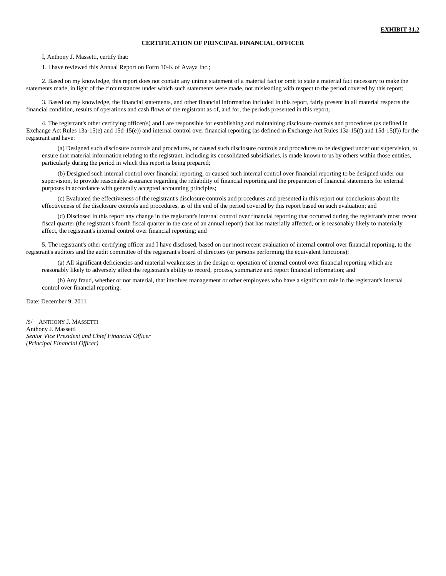## **CERTIFICATION OF PRINCIPAL FINANCIAL OFFICER**

I, Anthony J. Massetti, certify that:

1. I have reviewed this Annual Report on Form 10-K of Avaya Inc.;

2. Based on my knowledge, this report does not contain any untrue statement of a material fact or omit to state a material fact necessary to make the statements made, in light of the circumstances under which such statements were made, not misleading with respect to the period covered by this report;

3. Based on my knowledge, the financial statements, and other financial information included in this report, fairly present in all material respects the financial condition, results of operations and cash flows of the registrant as of, and for, the periods presented in this report;

4. The registrant's other certifying officer(s) and I are responsible for establishing and maintaining disclosure controls and procedures (as defined in Exchange Act Rules 13a-15(e) and 15d-15(e)) and internal control over financial reporting (as defined in Exchange Act Rules 13a-15(f) and 15d-15(f)) for the registrant and have:

(a) Designed such disclosure controls and procedures, or caused such disclosure controls and procedures to be designed under our supervision, to ensure that material information relating to the registrant, including its consolidated subsidiaries, is made known to us by others within those entities, particularly during the period in which this report is being prepared;

(b) Designed such internal control over financial reporting, or caused such internal control over financial reporting to be designed under our supervision, to provide reasonable assurance regarding the reliability of financial reporting and the preparation of financial statements for external purposes in accordance with generally accepted accounting principles;

(c) Evaluated the effectiveness of the registrant's disclosure controls and procedures and presented in this report our conclusions about the effectiveness of the disclosure controls and procedures, as of the end of the period covered by this report based on such evaluation; and

(d) Disclosed in this report any change in the registrant's internal control over financial reporting that occurred during the registrant's most recent fiscal quarter (the registrant's fourth fiscal quarter in the case of an annual report) that has materially affected, or is reasonably likely to materially affect, the registrant's internal control over financial reporting; and

5. The registrant's other certifying officer and I have disclosed, based on our most recent evaluation of internal control over financial reporting, to the registrant's auditors and the audit committee of the registrant's board of directors (or persons performing the equivalent functions):

(a) All significant deficiencies and material weaknesses in the design or operation of internal control over financial reporting which are reasonably likely to adversely affect the registrant's ability to record, process, summarize and report financial information; and

(b) Any fraud, whether or not material, that involves management or other employees who have a significant role in the registrant's internal control over financial reporting.

Date: December 9, 2011

/S/ ANTHONY J. MASSETTI

Anthony J. Massetti *Senior Vice President and Chief Financial Officer (Principal Financial Officer)*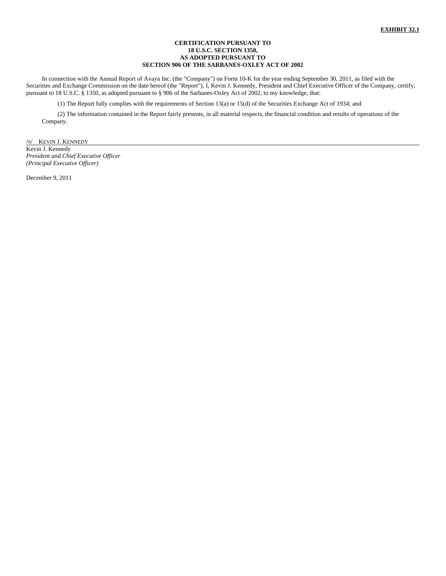## **CERTIFICATION PURSUANT TO 18 U.S.C. SECTION 1350, AS ADOPTED PURSUANT TO SECTION 906 OF THE SARBANES-OXLEY ACT OF 2002**

In connection with the Annual Report of Avaya Inc. (the "Company") on Form 10-K for the year ending September 30, 2011, as filed with the Securities and Exchange Commission on the date hereof (the "Report"), I, Kevin J. Kennedy, President and Chief Executive Officer of the Company, certify, pursuant to 18 U.S.C. § 1350, as adopted pursuant to § 906 of the Sarbanes-Oxley Act of 2002, to my knowledge, that:

(1) The Report fully complies with the requirements of Section 13(a) or 15(d) of the Securities Exchange Act of 1934; and

(2) The information contained in the Report fairly presents, in all material respects, the financial condition and results of operations of the Company.

/S/ KEVIN J. KENNEDY Kevin J. Kennedy *President and Chief Executive Officer (Principal Executive Officer)*

December 9, 2011